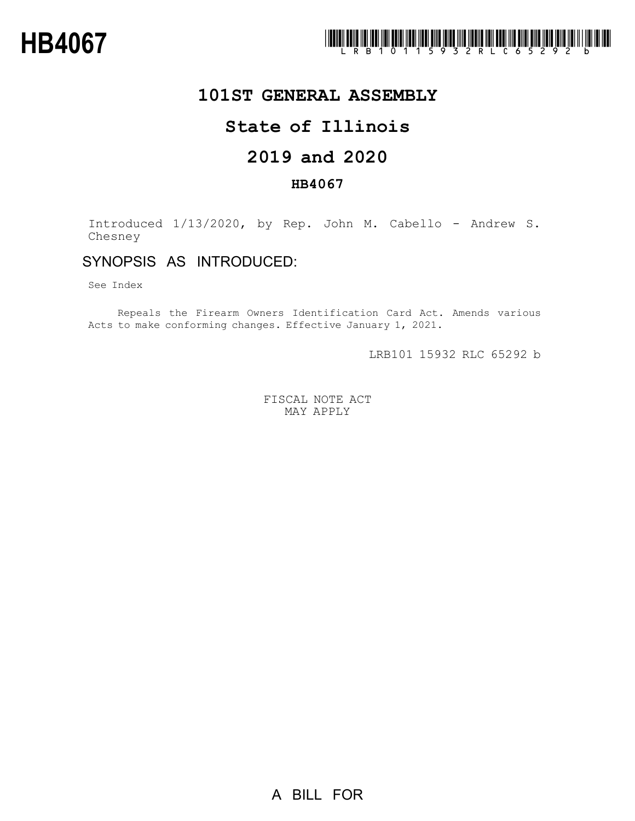

## **101ST GENERAL ASSEMBLY**

# **State of Illinois**

# **2019 and 2020**

### **HB4067**

Introduced 1/13/2020, by Rep. John M. Cabello - Andrew S. Chesney

## SYNOPSIS AS INTRODUCED:

See Index

Repeals the Firearm Owners Identification Card Act. Amends various Acts to make conforming changes. Effective January 1, 2021.

LRB101 15932 RLC 65292 b

FISCAL NOTE ACT MAY APPLY

A BILL FOR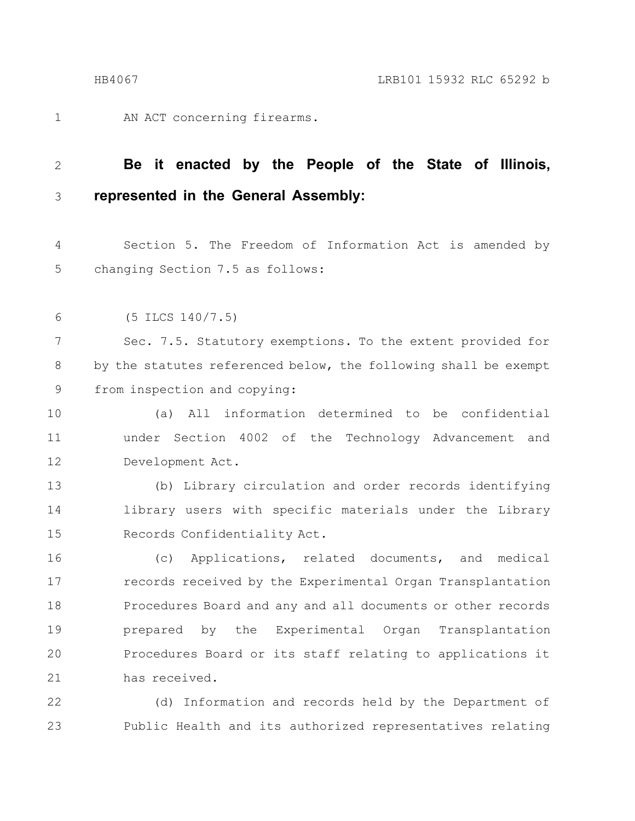AN ACT concerning firearms. 1

### **Be it enacted by the People of the State of Illinois, represented in the General Assembly:** 2 3

Section 5. The Freedom of Information Act is amended by changing Section 7.5 as follows: 4 5

(5 ILCS 140/7.5) 6

Sec. 7.5. Statutory exemptions. To the extent provided for by the statutes referenced below, the following shall be exempt from inspection and copying: 7 8 9

(a) All information determined to be confidential under Section 4002 of the Technology Advancement and Development Act. 10 11 12

(b) Library circulation and order records identifying library users with specific materials under the Library Records Confidentiality Act. 13 14 15

(c) Applications, related documents, and medical records received by the Experimental Organ Transplantation Procedures Board and any and all documents or other records prepared by the Experimental Organ Transplantation Procedures Board or its staff relating to applications it has received. 16 17 18 19 20 21

(d) Information and records held by the Department of Public Health and its authorized representatives relating 22 23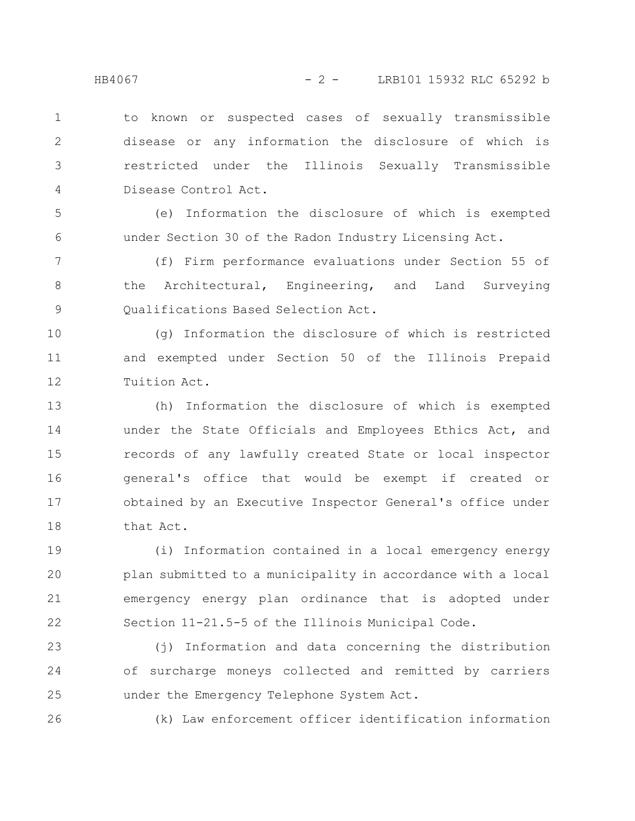5

6

26

to known or suspected cases of sexually transmissible disease or any information the disclosure of which is restricted under the Illinois Sexually Transmissible Disease Control Act. 1 2 3 4

(e) Information the disclosure of which is exempted under Section 30 of the Radon Industry Licensing Act.

(f) Firm performance evaluations under Section 55 of the Architectural, Engineering, and Land Surveying Qualifications Based Selection Act. 7 8 9

(g) Information the disclosure of which is restricted and exempted under Section 50 of the Illinois Prepaid Tuition Act. 10 11 12

(h) Information the disclosure of which is exempted under the State Officials and Employees Ethics Act, and records of any lawfully created State or local inspector general's office that would be exempt if created or obtained by an Executive Inspector General's office under that Act. 13 14 15 16 17 18

(i) Information contained in a local emergency energy plan submitted to a municipality in accordance with a local emergency energy plan ordinance that is adopted under Section 11-21.5-5 of the Illinois Municipal Code. 19 20 21 22

(j) Information and data concerning the distribution of surcharge moneys collected and remitted by carriers under the Emergency Telephone System Act. 23 24 25

(k) Law enforcement officer identification information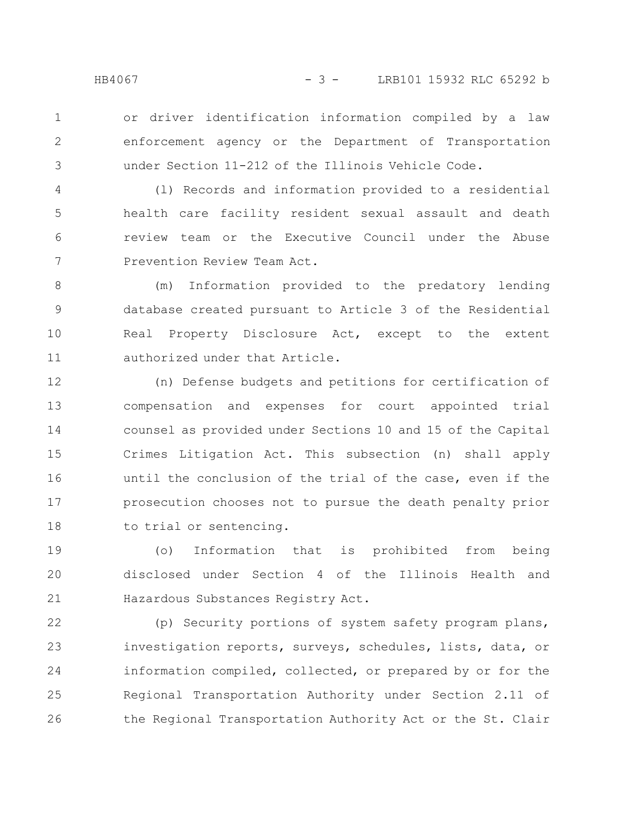or driver identification information compiled by a law enforcement agency or the Department of Transportation under Section 11-212 of the Illinois Vehicle Code. 1 2 3

(l) Records and information provided to a residential health care facility resident sexual assault and death review team or the Executive Council under the Abuse Prevention Review Team Act. 4 5 6 7

(m) Information provided to the predatory lending database created pursuant to Article 3 of the Residential Real Property Disclosure Act, except to the extent authorized under that Article. 8 9 10 11

(n) Defense budgets and petitions for certification of compensation and expenses for court appointed trial counsel as provided under Sections 10 and 15 of the Capital Crimes Litigation Act. This subsection (n) shall apply until the conclusion of the trial of the case, even if the prosecution chooses not to pursue the death penalty prior to trial or sentencing. 12 13 14 15 16 17 18

(o) Information that is prohibited from being disclosed under Section 4 of the Illinois Health and Hazardous Substances Registry Act. 19 20 21

(p) Security portions of system safety program plans, investigation reports, surveys, schedules, lists, data, or information compiled, collected, or prepared by or for the Regional Transportation Authority under Section 2.11 of the Regional Transportation Authority Act or the St. Clair 22 23 24 25 26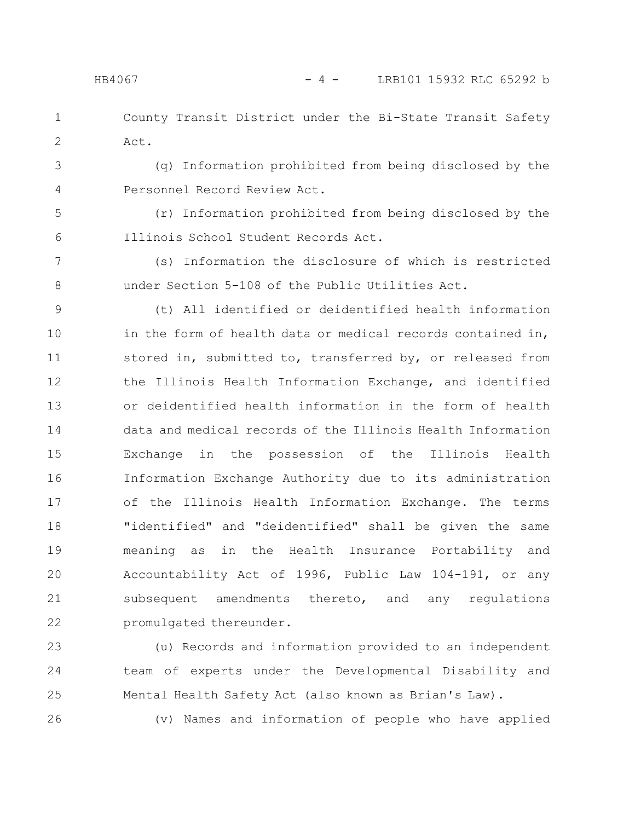4

County Transit District under the Bi-State Transit Safety Act. 1 2

(q) Information prohibited from being disclosed by the Personnel Record Review Act. 3

(r) Information prohibited from being disclosed by the Illinois School Student Records Act. 5 6

(s) Information the disclosure of which is restricted under Section 5-108 of the Public Utilities Act. 7 8

(t) All identified or deidentified health information in the form of health data or medical records contained in, stored in, submitted to, transferred by, or released from the Illinois Health Information Exchange, and identified or deidentified health information in the form of health data and medical records of the Illinois Health Information Exchange in the possession of the Illinois Health Information Exchange Authority due to its administration of the Illinois Health Information Exchange. The terms "identified" and "deidentified" shall be given the same meaning as in the Health Insurance Portability and Accountability Act of 1996, Public Law 104-191, or any subsequent amendments thereto, and any regulations promulgated thereunder. 9 10 11 12 13 14 15 16 17 18 19 20 21 22

(u) Records and information provided to an independent team of experts under the Developmental Disability and Mental Health Safety Act (also known as Brian's Law). 23 24 25

26

(v) Names and information of people who have applied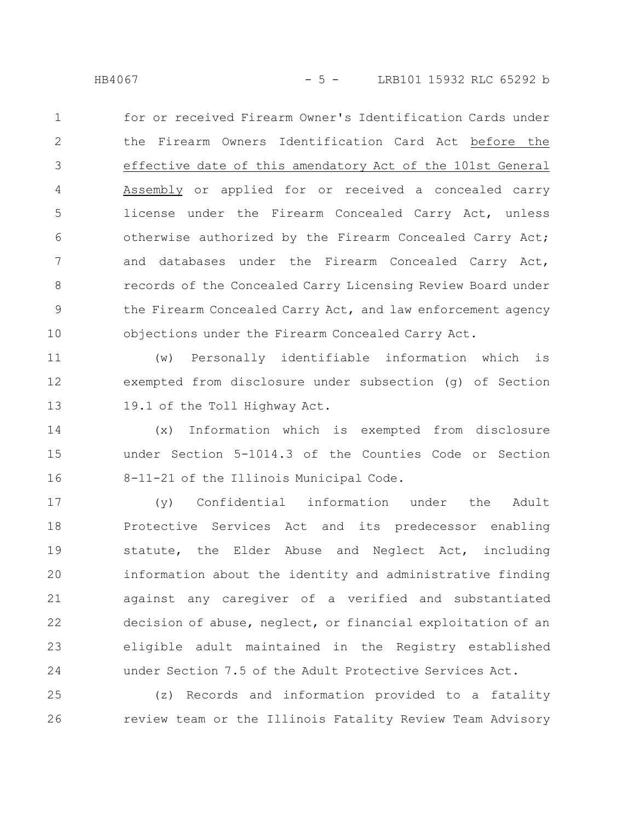HB4067 - 5 - LRB101 15932 RLC 65292 b

for or received Firearm Owner's Identification Cards under the Firearm Owners Identification Card Act before the effective date of this amendatory Act of the 101st General Assembly or applied for or received a concealed carry license under the Firearm Concealed Carry Act, unless otherwise authorized by the Firearm Concealed Carry Act; and databases under the Firearm Concealed Carry Act, records of the Concealed Carry Licensing Review Board under the Firearm Concealed Carry Act, and law enforcement agency objections under the Firearm Concealed Carry Act. 1 2 3 4 5 6 7 8 9 10

(w) Personally identifiable information which is exempted from disclosure under subsection (g) of Section 19.1 of the Toll Highway Act. 11 12 13

(x) Information which is exempted from disclosure under Section 5-1014.3 of the Counties Code or Section 8-11-21 of the Illinois Municipal Code. 14 15 16

(y) Confidential information under the Adult Protective Services Act and its predecessor enabling statute, the Elder Abuse and Neglect Act, including information about the identity and administrative finding against any caregiver of a verified and substantiated decision of abuse, neglect, or financial exploitation of an eligible adult maintained in the Registry established under Section 7.5 of the Adult Protective Services Act. 17 18 19 20 21 22 23 24

(z) Records and information provided to a fatality review team or the Illinois Fatality Review Team Advisory 25 26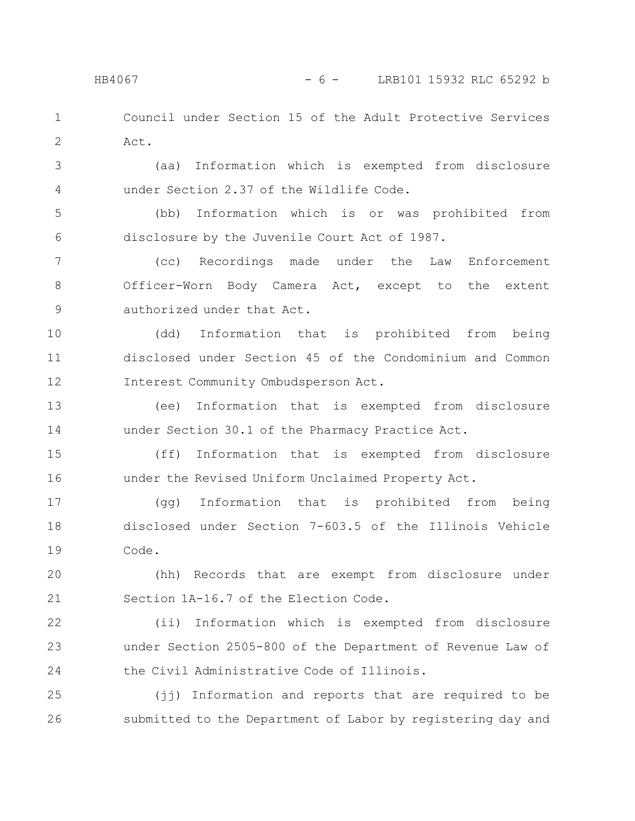Council under Section 15 of the Adult Protective Services Act. 1 2

(aa) Information which is exempted from disclosure under Section 2.37 of the Wildlife Code. 3 4

(bb) Information which is or was prohibited from disclosure by the Juvenile Court Act of 1987. 5 6

(cc) Recordings made under the Law Enforcement Officer-Worn Body Camera Act, except to the extent authorized under that Act. 7 8 9

(dd) Information that is prohibited from being disclosed under Section 45 of the Condominium and Common Interest Community Ombudsperson Act. 10 11 12

(ee) Information that is exempted from disclosure under Section 30.1 of the Pharmacy Practice Act. 13 14

(ff) Information that is exempted from disclosure under the Revised Uniform Unclaimed Property Act. 15 16

(gg) Information that is prohibited from being disclosed under Section 7-603.5 of the Illinois Vehicle Code. 17 18 19

(hh) Records that are exempt from disclosure under Section 1A-16.7 of the Election Code. 20 21

(ii) Information which is exempted from disclosure under Section 2505-800 of the Department of Revenue Law of the Civil Administrative Code of Illinois. 22 23 24

(jj) Information and reports that are required to be submitted to the Department of Labor by registering day and 25 26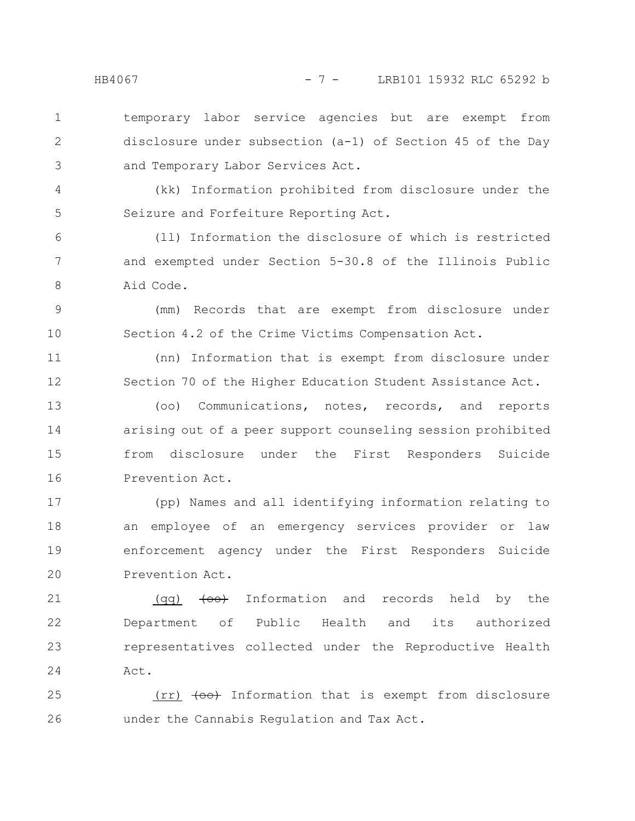temporary labor service agencies but are exempt from disclosure under subsection (a-1) of Section 45 of the Day and Temporary Labor Services Act. 1 2 3

(kk) Information prohibited from disclosure under the Seizure and Forfeiture Reporting Act.

(ll) Information the disclosure of which is restricted and exempted under Section 5-30.8 of the Illinois Public Aid Code. 6 7 8

(mm) Records that are exempt from disclosure under Section 4.2 of the Crime Victims Compensation Act. 9 10

(nn) Information that is exempt from disclosure under Section 70 of the Higher Education Student Assistance Act. 11 12

(oo) Communications, notes, records, and reports arising out of a peer support counseling session prohibited from disclosure under the First Responders Suicide Prevention Act. 13 14 15 16

(pp) Names and all identifying information relating to an employee of an emergency services provider or law enforcement agency under the First Responders Suicide Prevention Act. 17 18 19 20

(qq)  $\leftarrow$  Information and records held by the Department of Public Health and its authorized representatives collected under the Reproductive Health Act. 21 22 23 24

 $(\text{rr})$   $\leftarrow$   $\leftarrow$  Information that is exempt from disclosure under the Cannabis Regulation and Tax Act. 25 26

4

5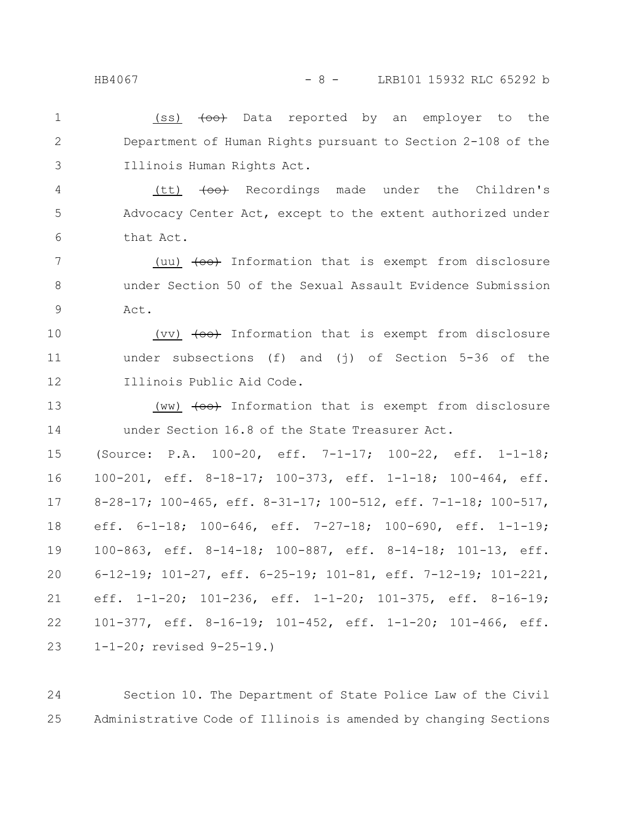### HB4067 - 8 - LRB101 15932 RLC 65292 b

(ss)  $\left\{\infty\right\}$  Data reported by an employer to the Department of Human Rights pursuant to Section 2-108 of the Illinois Human Rights Act. 1 2 3

 $(tt)$   $\left\{\Theta\Theta\right\}$  Recordings made under the Children's Advocacy Center Act, except to the extent authorized under that Act. 4 5 6

(uu)  $\left( \text{co} \right)$  Information that is exempt from disclosure under Section 50 of the Sexual Assault Evidence Submission Act. 7 8 9

(vv)  $\left( \text{co} \right)$  Information that is exempt from disclosure under subsections (f) and (j) of Section 5-36 of the Illinois Public Aid Code. 10 11 12

(ww)  $\left( \text{co} \right)$  Information that is exempt from disclosure under Section 16.8 of the State Treasurer Act. 13 14

(Source: P.A. 100-20, eff. 7-1-17; 100-22, eff. 1-1-18; 100-201, eff. 8-18-17; 100-373, eff. 1-1-18; 100-464, eff. 8-28-17; 100-465, eff. 8-31-17; 100-512, eff. 7-1-18; 100-517, eff. 6-1-18; 100-646, eff. 7-27-18; 100-690, eff. 1-1-19; 100-863, eff. 8-14-18; 100-887, eff. 8-14-18; 101-13, eff. 6-12-19; 101-27, eff. 6-25-19; 101-81, eff. 7-12-19; 101-221, eff. 1-1-20; 101-236, eff. 1-1-20; 101-375, eff. 8-16-19; 101-377, eff. 8-16-19; 101-452, eff. 1-1-20; 101-466, eff. 1-1-20; revised 9-25-19.) 15 16 17 18 19 20 21 22 23

Section 10. The Department of State Police Law of the Civil Administrative Code of Illinois is amended by changing Sections 24 25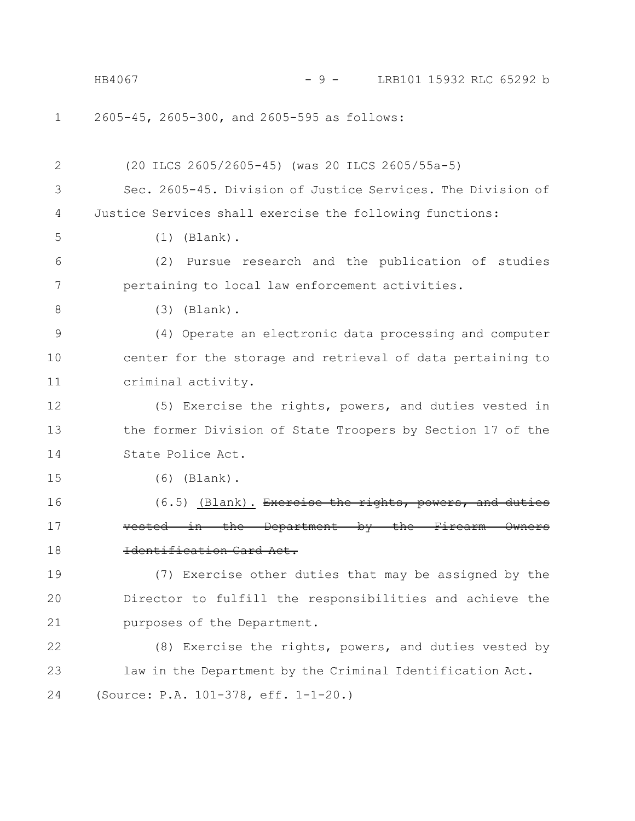2605-45, 2605-300, and 2605-595 as follows: (20 ILCS 2605/2605-45) (was 20 ILCS 2605/55a-5) Sec. 2605-45. Division of Justice Services. The Division of Justice Services shall exercise the following functions: (1) (Blank). (2) Pursue research and the publication of studies pertaining to local law enforcement activities. (3) (Blank). (4) Operate an electronic data processing and computer center for the storage and retrieval of data pertaining to criminal activity. (5) Exercise the rights, powers, and duties vested in the former Division of State Troopers by Section 17 of the State Police Act. (6) (Blank).  $(6.5)$  (Blank). Exercise the rights, powers  $in$  the Department by the Identification Card Act. (7) Exercise other duties that may be assigned by the Director to fulfill the responsibilities and achieve the purposes of the Department. (8) Exercise the rights, powers, and duties vested by law in the Department by the Criminal Identification Act. (Source: P.A. 101-378, eff. 1-1-20.) 1 2 3 4 5 6 7 8 9 10 11 12 13 14 15 16 17 18 19 20 21 22 23 24 HB4067 - 9 - LRB101 15932 RLC 65292 b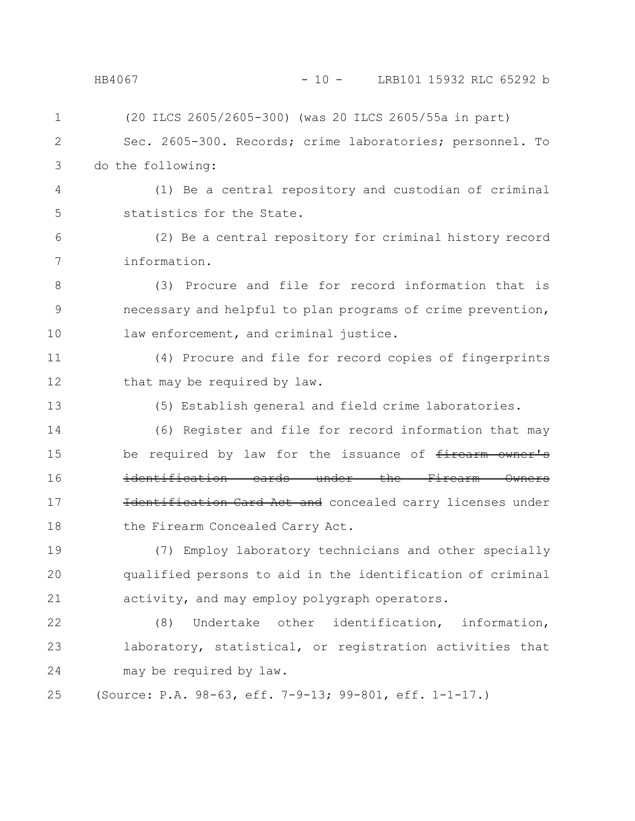| 1  | (20 ILCS 2605/2605-300) (was 20 ILCS 2605/55a in part)                 |
|----|------------------------------------------------------------------------|
| 2  | Sec. 2605-300. Records; crime laboratories; personnel. To              |
| 3  | do the following:                                                      |
| 4  | (1) Be a central repository and custodian of criminal                  |
| 5  | statistics for the State.                                              |
| 6  | (2) Be a central repository for criminal history record                |
| 7  | information.                                                           |
| 8  | (3) Procure and file for record information that is                    |
| 9  | necessary and helpful to plan programs of crime prevention,            |
| 10 | law enforcement, and criminal justice.                                 |
| 11 | (4) Procure and file for record copies of fingerprints                 |
| 12 | that may be required by law.                                           |
| 13 | (5) Establish general and field crime laboratories.                    |
| 14 | (6) Register and file for record information that may                  |
| 15 | be required by law for the issuance of firearm owner's                 |
| 16 | identification cards under the Firearm<br><del>Owners</del>            |
| 17 | ification Card Act and concealed carry licenses under<br><b>H</b> dent |
| 18 | the Firearm Concealed Carry Act.                                       |
| 19 | (7) Employ laboratory technicians and other specially                  |
| 20 | qualified persons to aid in the identification of criminal             |
| 21 | activity, and may employ polygraph operators.                          |
| 22 | Undertake other identification, information,<br>(8)                    |
| 23 | laboratory, statistical, or registration activities that               |
| 24 | may be required by law.                                                |
|    |                                                                        |

(Source: P.A. 98-63, eff. 7-9-13; 99-801, eff. 1-1-17.) 25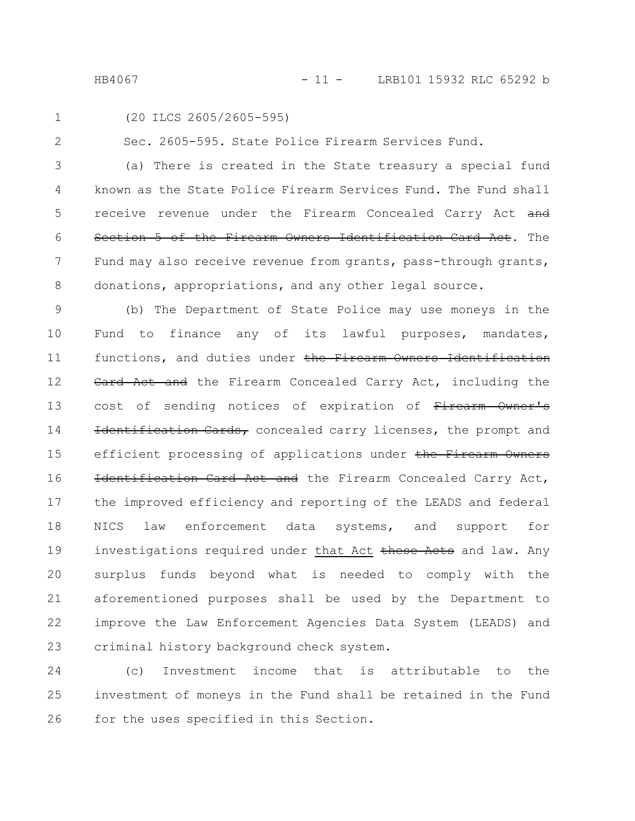HB4067 - 11 - LRB101 15932 RLC 65292 b

1

2

(20 ILCS 2605/2605-595)

Sec. 2605-595. State Police Firearm Services Fund.

(a) There is created in the State treasury a special fund known as the State Police Firearm Services Fund. The Fund shall receive revenue under the Firearm Concealed Carry Act and Section 5 of the Firearm Owners Identification Card Act. The Fund may also receive revenue from grants, pass-through grants, donations, appropriations, and any other legal source. 3 4 5 6 7 8

(b) The Department of State Police may use moneys in the Fund to finance any of its lawful purposes, mandates, functions, and duties under the Firearm Owners Identification Card Act and the Firearm Concealed Carry Act, including the cost of sending notices of expiration of Firearm Owner's Identification Cards, concealed carry licenses, the prompt and efficient processing of applications under the Firearm Owners Identification Card Act and the Firearm Concealed Carry Act, the improved efficiency and reporting of the LEADS and federal NICS law enforcement data systems, and support for investigations required under that Act these Acts and law. Any surplus funds beyond what is needed to comply with the aforementioned purposes shall be used by the Department to improve the Law Enforcement Agencies Data System (LEADS) and criminal history background check system. 9 10 11 12 13 14 15 16 17 18 19 20 21 22 23

(c) Investment income that is attributable to the investment of moneys in the Fund shall be retained in the Fund for the uses specified in this Section. 24 25 26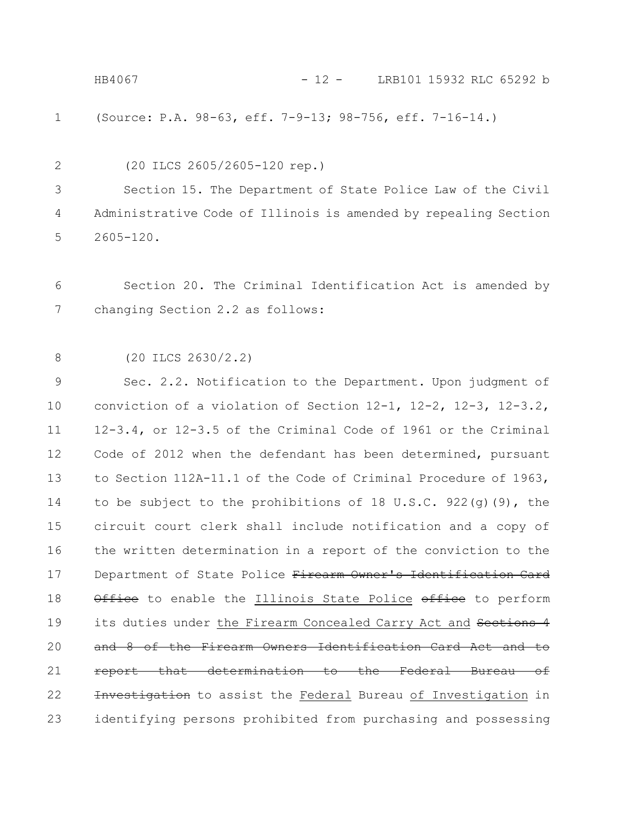HB4067 - 12 - LRB101 15932 RLC 65292 b

(Source: P.A. 98-63, eff. 7-9-13; 98-756, eff. 7-16-14.) 1

(20 ILCS 2605/2605-120 rep.) 2

Section 15. The Department of State Police Law of the Civil Administrative Code of Illinois is amended by repealing Section 2605-120. 3 4 5

Section 20. The Criminal Identification Act is amended by changing Section 2.2 as follows: 6 7

(20 ILCS 2630/2.2) 8

Sec. 2.2. Notification to the Department. Upon judgment of conviction of a violation of Section 12-1, 12-2, 12-3, 12-3.2, 12-3.4, or 12-3.5 of the Criminal Code of 1961 or the Criminal Code of 2012 when the defendant has been determined, pursuant to Section 112A-11.1 of the Code of Criminal Procedure of 1963, to be subject to the prohibitions of 18 U.S.C. 922(g)(9), the circuit court clerk shall include notification and a copy of the written determination in a report of the conviction to the Department of State Police Firearm Owner's Identification Card Office to enable the Illinois State Police office to perform its duties under the Firearm Concealed Carry Act and Sections 4 and 8 of the Firearm Owners Identification Card Act and to report that determination to the Federal Bureau of Investigation to assist the Federal Bureau of Investigation in identifying persons prohibited from purchasing and possessing 9 10 11 12 13 14 15 16 17 18 19 20 21 22 23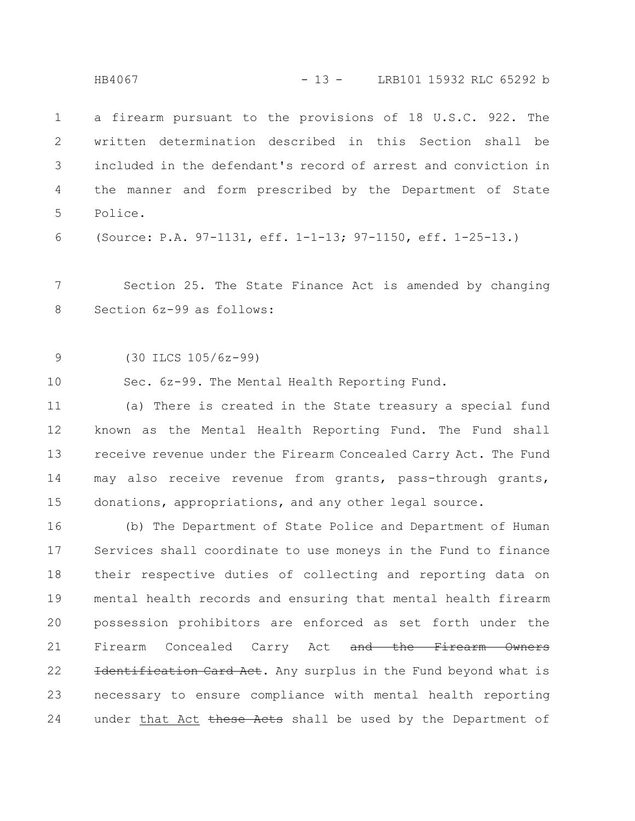a firearm pursuant to the provisions of 18 U.S.C. 922. The written determination described in this Section shall be included in the defendant's record of arrest and conviction in the manner and form prescribed by the Department of State Police. 1 2 3 4 5

(Source: P.A. 97-1131, eff. 1-1-13; 97-1150, eff. 1-25-13.) 6

Section 25. The State Finance Act is amended by changing Section 6z-99 as follows: 7 8

(30 ILCS 105/6z-99) 9

Sec. 6z-99. The Mental Health Reporting Fund. 10

(a) There is created in the State treasury a special fund known as the Mental Health Reporting Fund. The Fund shall receive revenue under the Firearm Concealed Carry Act. The Fund may also receive revenue from grants, pass-through grants, donations, appropriations, and any other legal source. 11 12 13 14 15

(b) The Department of State Police and Department of Human Services shall coordinate to use moneys in the Fund to finance their respective duties of collecting and reporting data on mental health records and ensuring that mental health firearm possession prohibitors are enforced as set forth under the Firearm Concealed Carry Act and the Firearm Owners Identification Card Act. Any surplus in the Fund beyond what is necessary to ensure compliance with mental health reporting under that Act these Acts shall be used by the Department of 16 17 18 19 20 21 22 23 24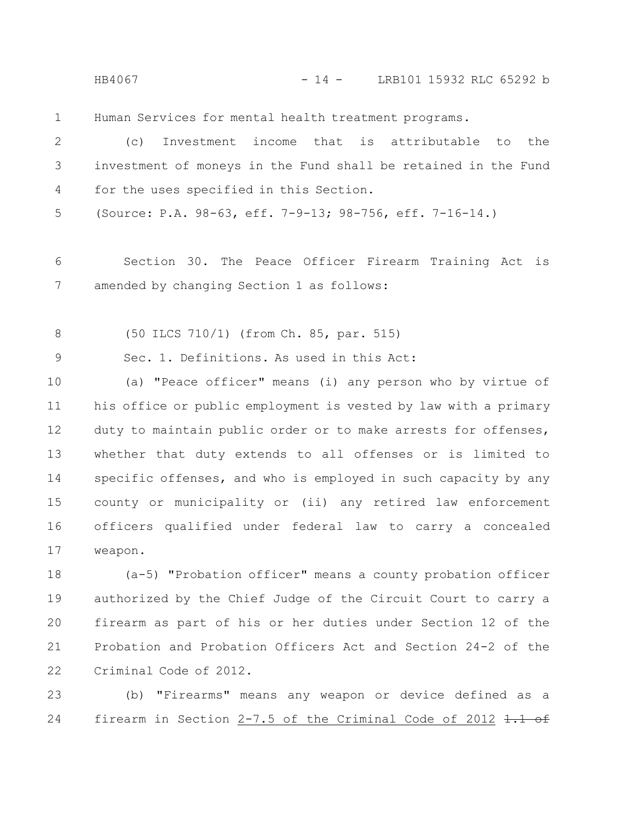HB4067 - 14 - LRB101 15932 RLC 65292 b

Human Services for mental health treatment programs. 1

(c) Investment income that is attributable to the investment of moneys in the Fund shall be retained in the Fund for the uses specified in this Section. 2 3 4

(Source: P.A. 98-63, eff. 7-9-13; 98-756, eff. 7-16-14.) 5

Section 30. The Peace Officer Firearm Training Act is amended by changing Section 1 as follows: 6 7

(50 ILCS 710/1) (from Ch. 85, par. 515) 8

Sec. 1. Definitions. As used in this Act: 9

(a) "Peace officer" means (i) any person who by virtue of his office or public employment is vested by law with a primary duty to maintain public order or to make arrests for offenses, whether that duty extends to all offenses or is limited to specific offenses, and who is employed in such capacity by any county or municipality or (ii) any retired law enforcement officers qualified under federal law to carry a concealed weapon. 10 11 12 13 14 15 16 17

(a-5) "Probation officer" means a county probation officer authorized by the Chief Judge of the Circuit Court to carry a firearm as part of his or her duties under Section 12 of the Probation and Probation Officers Act and Section 24-2 of the Criminal Code of 2012. 18 19 20 21 22

(b) "Firearms" means any weapon or device defined as a firearm in Section 2-7.5 of the Criminal Code of 2012  $1.1$  of 23 24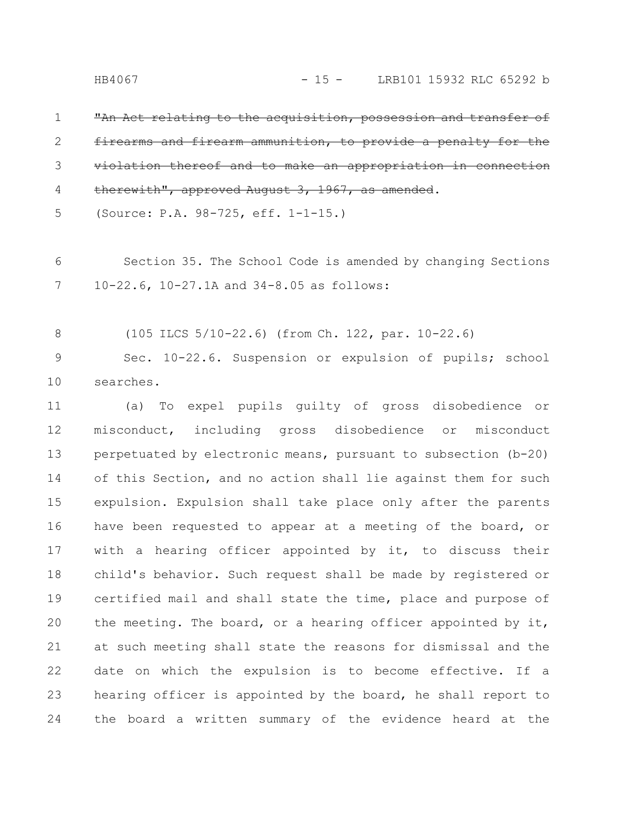"An Act relating to the acquisition, possession and transfer of firearms and firearm ammunition, to provide a penalty for the violation thereof and to make an appropriation therewith", approved August 3, 1967, as amended. 1 2 3 4

(Source: P.A. 98-725, eff. 1-1-15.) 5

Section 35. The School Code is amended by changing Sections 10-22.6, 10-27.1A and 34-8.05 as follows: 6 7

(105 ILCS 5/10-22.6) (from Ch. 122, par. 10-22.6) 8

Sec. 10-22.6. Suspension or expulsion of pupils; school searches. 9 10

(a) To expel pupils guilty of gross disobedience or misconduct, including gross disobedience or misconduct perpetuated by electronic means, pursuant to subsection (b-20) of this Section, and no action shall lie against them for such expulsion. Expulsion shall take place only after the parents have been requested to appear at a meeting of the board, or with a hearing officer appointed by it, to discuss their child's behavior. Such request shall be made by registered or certified mail and shall state the time, place and purpose of the meeting. The board, or a hearing officer appointed by it, at such meeting shall state the reasons for dismissal and the date on which the expulsion is to become effective. If a hearing officer is appointed by the board, he shall report to the board a written summary of the evidence heard at the 11 12 13 14 15 16 17 18 19 20 21 22 23 24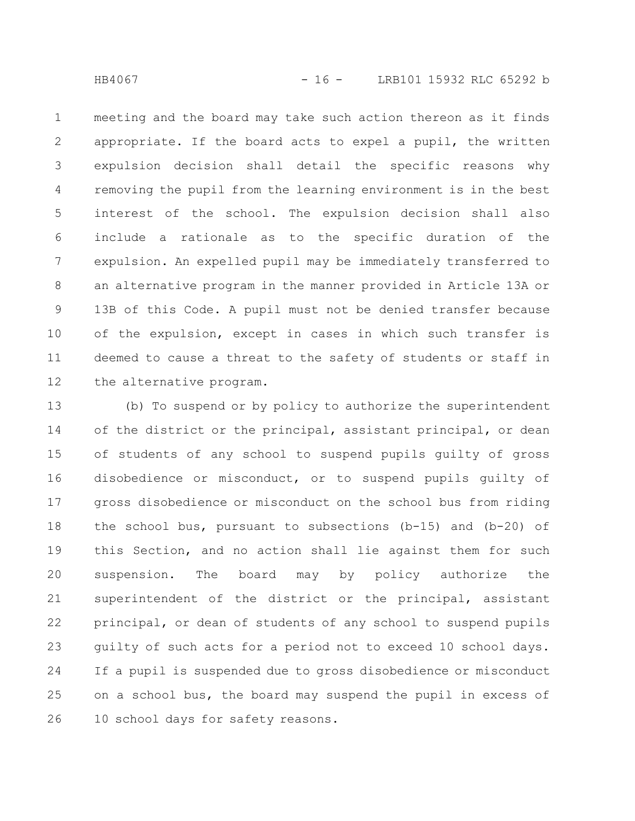meeting and the board may take such action thereon as it finds appropriate. If the board acts to expel a pupil, the written expulsion decision shall detail the specific reasons why removing the pupil from the learning environment is in the best interest of the school. The expulsion decision shall also include a rationale as to the specific duration of the expulsion. An expelled pupil may be immediately transferred to an alternative program in the manner provided in Article 13A or 13B of this Code. A pupil must not be denied transfer because of the expulsion, except in cases in which such transfer is deemed to cause a threat to the safety of students or staff in the alternative program. 1 2 3 4 5 6 7 8 9 10 11 12

(b) To suspend or by policy to authorize the superintendent of the district or the principal, assistant principal, or dean of students of any school to suspend pupils guilty of gross disobedience or misconduct, or to suspend pupils guilty of gross disobedience or misconduct on the school bus from riding the school bus, pursuant to subsections (b-15) and (b-20) of this Section, and no action shall lie against them for such suspension. The board may by policy authorize the superintendent of the district or the principal, assistant principal, or dean of students of any school to suspend pupils guilty of such acts for a period not to exceed 10 school days. If a pupil is suspended due to gross disobedience or misconduct on a school bus, the board may suspend the pupil in excess of 10 school days for safety reasons. 13 14 15 16 17 18 19 20 21 22 23 24 25 26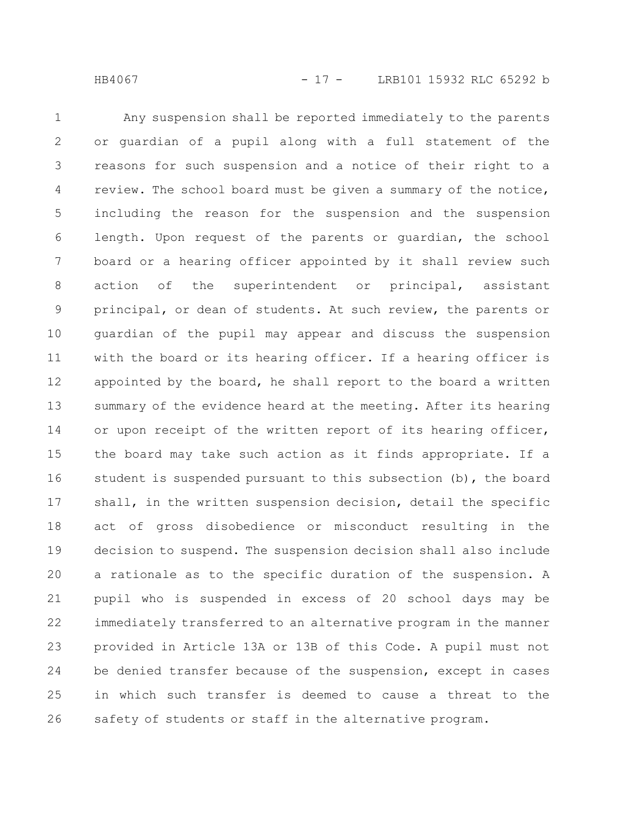Any suspension shall be reported immediately to the parents or guardian of a pupil along with a full statement of the reasons for such suspension and a notice of their right to a review. The school board must be given a summary of the notice, including the reason for the suspension and the suspension length. Upon request of the parents or guardian, the school board or a hearing officer appointed by it shall review such action of the superintendent or principal, assistant principal, or dean of students. At such review, the parents or guardian of the pupil may appear and discuss the suspension with the board or its hearing officer. If a hearing officer is appointed by the board, he shall report to the board a written summary of the evidence heard at the meeting. After its hearing or upon receipt of the written report of its hearing officer, the board may take such action as it finds appropriate. If a student is suspended pursuant to this subsection (b), the board shall, in the written suspension decision, detail the specific act of gross disobedience or misconduct resulting in the decision to suspend. The suspension decision shall also include a rationale as to the specific duration of the suspension. A pupil who is suspended in excess of 20 school days may be immediately transferred to an alternative program in the manner provided in Article 13A or 13B of this Code. A pupil must not be denied transfer because of the suspension, except in cases in which such transfer is deemed to cause a threat to the safety of students or staff in the alternative program. 1 2 3 4 5 6 7 8 9 10 11 12 13 14 15 16 17 18 19 20 21 22 23 24 25 26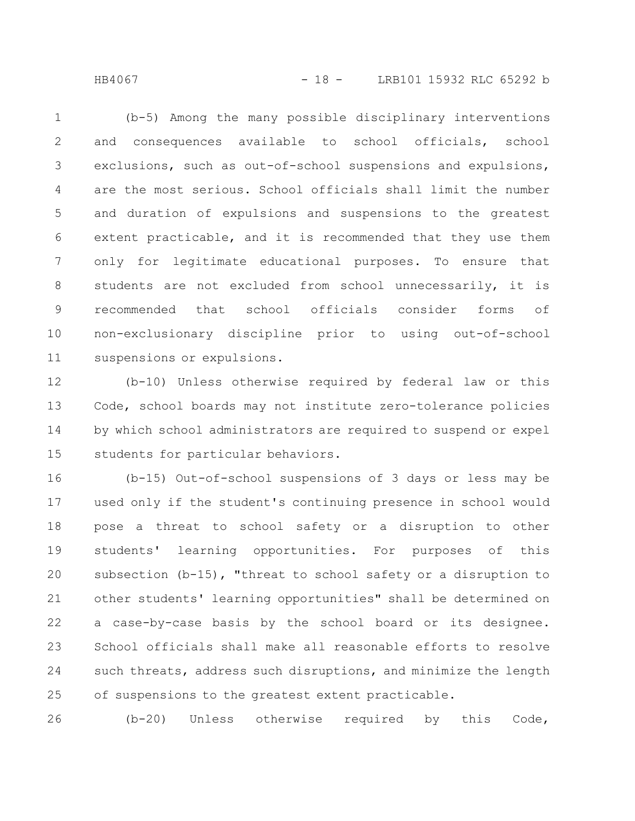HB4067 - 18 - LRB101 15932 RLC 65292 b

(b-5) Among the many possible disciplinary interventions and consequences available to school officials, school exclusions, such as out-of-school suspensions and expulsions, are the most serious. School officials shall limit the number and duration of expulsions and suspensions to the greatest extent practicable, and it is recommended that they use them only for legitimate educational purposes. To ensure that students are not excluded from school unnecessarily, it is recommended that school officials consider forms of non-exclusionary discipline prior to using out-of-school suspensions or expulsions. 1 2 3 4 5 6 7 8 9 10 11

(b-10) Unless otherwise required by federal law or this Code, school boards may not institute zero-tolerance policies by which school administrators are required to suspend or expel students for particular behaviors. 12 13 14 15

(b-15) Out-of-school suspensions of 3 days or less may be used only if the student's continuing presence in school would pose a threat to school safety or a disruption to other students' learning opportunities. For purposes of this subsection (b-15), "threat to school safety or a disruption to other students' learning opportunities" shall be determined on a case-by-case basis by the school board or its designee. School officials shall make all reasonable efforts to resolve such threats, address such disruptions, and minimize the length of suspensions to the greatest extent practicable. 16 17 18 19 20 21 22 23 24 25

(b-20) Unless otherwise required by this Code, 26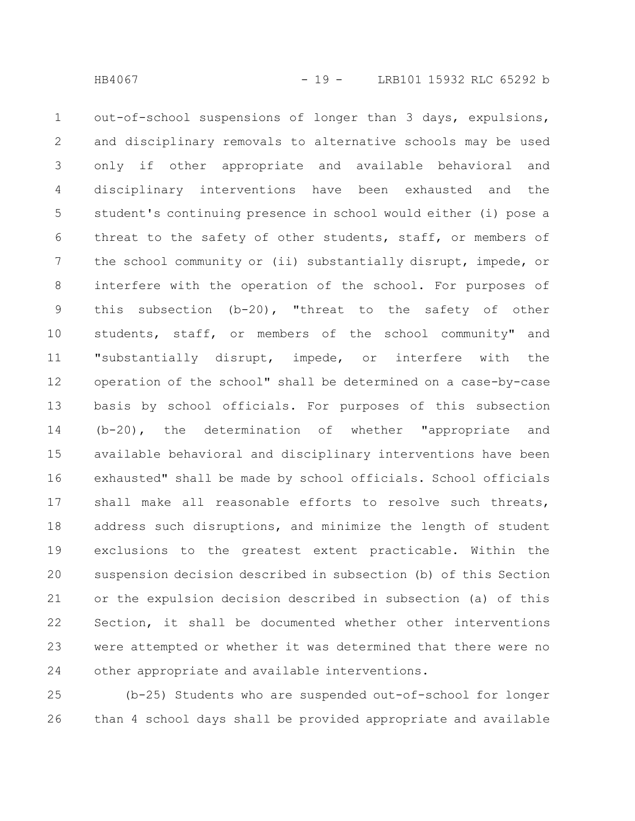out-of-school suspensions of longer than 3 days, expulsions, and disciplinary removals to alternative schools may be used only if other appropriate and available behavioral and disciplinary interventions have been exhausted and the student's continuing presence in school would either (i) pose a threat to the safety of other students, staff, or members of the school community or (ii) substantially disrupt, impede, or interfere with the operation of the school. For purposes of this subsection (b-20), "threat to the safety of other students, staff, or members of the school community" and "substantially disrupt, impede, or interfere with the operation of the school" shall be determined on a case-by-case basis by school officials. For purposes of this subsection (b-20), the determination of whether "appropriate and available behavioral and disciplinary interventions have been exhausted" shall be made by school officials. School officials shall make all reasonable efforts to resolve such threats, address such disruptions, and minimize the length of student exclusions to the greatest extent practicable. Within the suspension decision described in subsection (b) of this Section or the expulsion decision described in subsection (a) of this Section, it shall be documented whether other interventions were attempted or whether it was determined that there were no other appropriate and available interventions. 1 2 3 4 5 6 7 8 9 10 11 12 13 14 15 16 17 18 19 20 21 22 23 24

(b-25) Students who are suspended out-of-school for longer than 4 school days shall be provided appropriate and available 25 26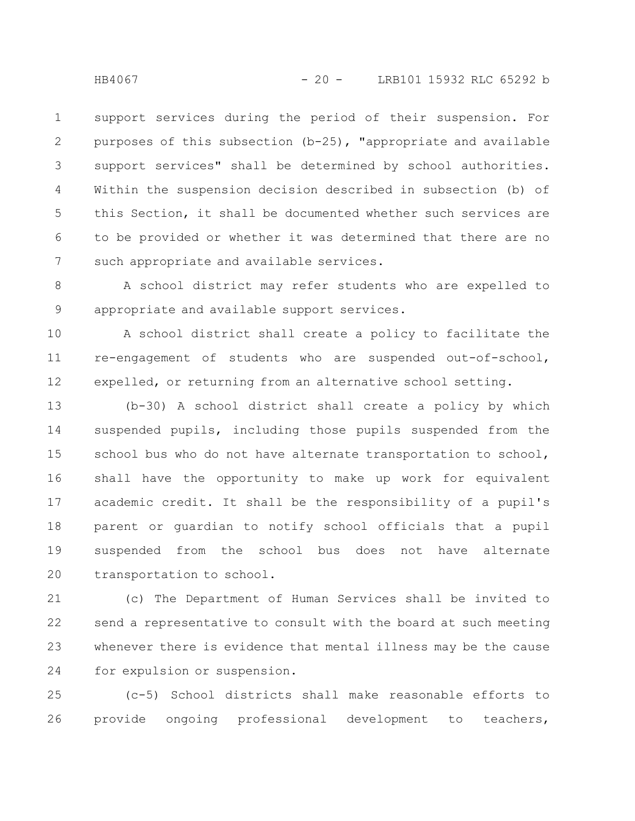support services during the period of their suspension. For purposes of this subsection (b-25), "appropriate and available support services" shall be determined by school authorities. Within the suspension decision described in subsection (b) of this Section, it shall be documented whether such services are to be provided or whether it was determined that there are no such appropriate and available services. 1 2 3 4 5 6 7

A school district may refer students who are expelled to appropriate and available support services. 8 9

A school district shall create a policy to facilitate the re-engagement of students who are suspended out-of-school, expelled, or returning from an alternative school setting. 10 11 12

(b-30) A school district shall create a policy by which suspended pupils, including those pupils suspended from the school bus who do not have alternate transportation to school, shall have the opportunity to make up work for equivalent academic credit. It shall be the responsibility of a pupil's parent or guardian to notify school officials that a pupil suspended from the school bus does not have alternate transportation to school. 13 14 15 16 17 18 19 20

(c) The Department of Human Services shall be invited to send a representative to consult with the board at such meeting whenever there is evidence that mental illness may be the cause for expulsion or suspension. 21 22 23 24

(c-5) School districts shall make reasonable efforts to provide ongoing professional development to teachers, 25 26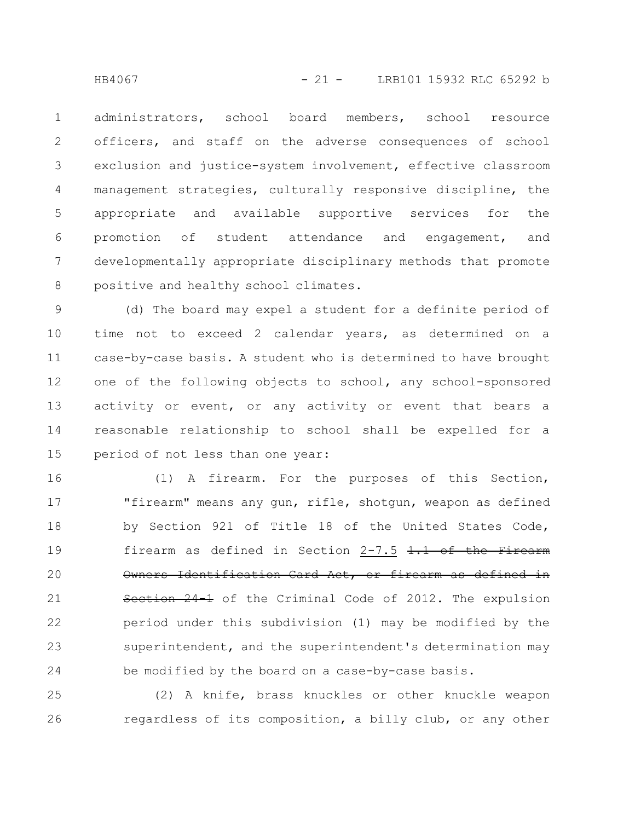HB4067 - 21 - LRB101 15932 RLC 65292 b

administrators, school board members, school resource officers, and staff on the adverse consequences of school exclusion and justice-system involvement, effective classroom management strategies, culturally responsive discipline, the appropriate and available supportive services for the promotion of student attendance and engagement, and developmentally appropriate disciplinary methods that promote positive and healthy school climates. 1 2 3 4 5 6 7 8

(d) The board may expel a student for a definite period of time not to exceed 2 calendar years, as determined on a case-by-case basis. A student who is determined to have brought one of the following objects to school, any school-sponsored activity or event, or any activity or event that bears a reasonable relationship to school shall be expelled for a period of not less than one year: 9 10 11 12 13 14 15

(1) A firearm. For the purposes of this Section, "firearm" means any gun, rifle, shotgun, weapon as defined by Section 921 of Title 18 of the United States Code, firearm as defined in Section  $2-7.5$   $1.1$  of the Firearm Owners Identification Card Act, or firearm as defined in Section 24-1 of the Criminal Code of 2012. The expulsion period under this subdivision (1) may be modified by the superintendent, and the superintendent's determination may be modified by the board on a case-by-case basis. 16 17 18 19 20 21 22 23 24

(2) A knife, brass knuckles or other knuckle weapon regardless of its composition, a billy club, or any other 25 26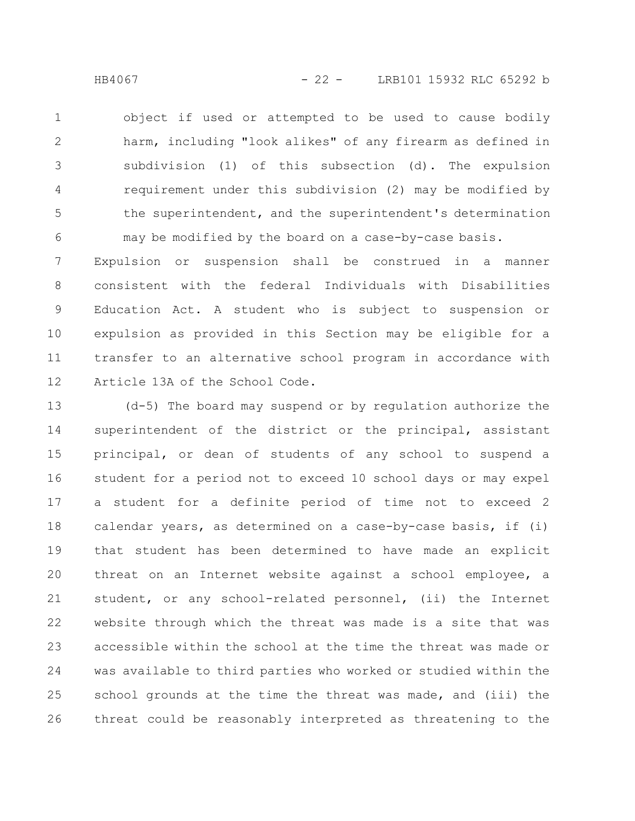object if used or attempted to be used to cause bodily harm, including "look alikes" of any firearm as defined in subdivision (1) of this subsection (d). The expulsion requirement under this subdivision (2) may be modified by the superintendent, and the superintendent's determination may be modified by the board on a case-by-case basis. 1 2 3 4 5 6

Expulsion or suspension shall be construed in a manner consistent with the federal Individuals with Disabilities Education Act. A student who is subject to suspension or expulsion as provided in this Section may be eligible for a transfer to an alternative school program in accordance with Article 13A of the School Code. 7 8 9 10 11 12

(d-5) The board may suspend or by regulation authorize the superintendent of the district or the principal, assistant principal, or dean of students of any school to suspend a student for a period not to exceed 10 school days or may expel a student for a definite period of time not to exceed 2 calendar years, as determined on a case-by-case basis, if (i) that student has been determined to have made an explicit threat on an Internet website against a school employee, a student, or any school-related personnel, (ii) the Internet website through which the threat was made is a site that was accessible within the school at the time the threat was made or was available to third parties who worked or studied within the school grounds at the time the threat was made, and (iii) the threat could be reasonably interpreted as threatening to the 13 14 15 16 17 18 19 20 21 22 23 24 25 26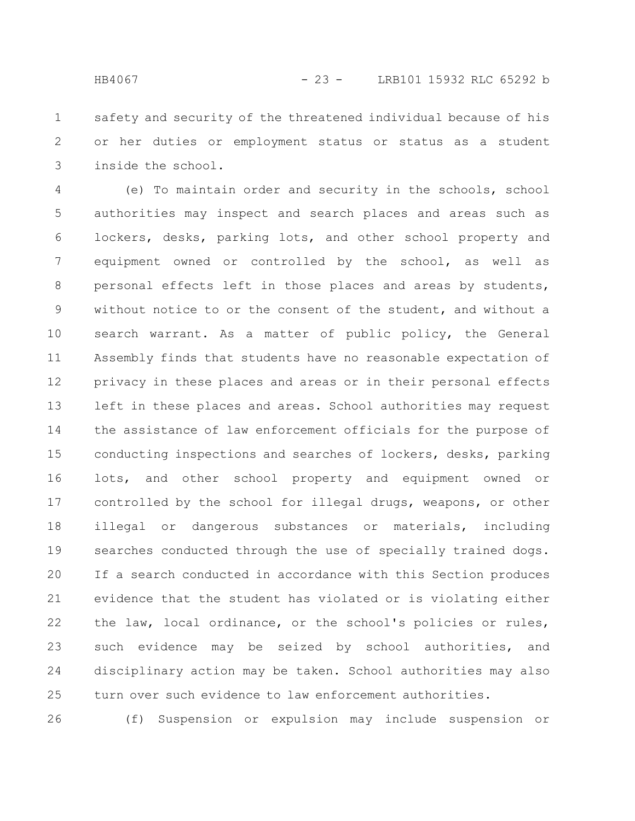safety and security of the threatened individual because of his or her duties or employment status or status as a student inside the school. 1 2 3

(e) To maintain order and security in the schools, school authorities may inspect and search places and areas such as lockers, desks, parking lots, and other school property and equipment owned or controlled by the school, as well as personal effects left in those places and areas by students, without notice to or the consent of the student, and without a search warrant. As a matter of public policy, the General Assembly finds that students have no reasonable expectation of privacy in these places and areas or in their personal effects left in these places and areas. School authorities may request the assistance of law enforcement officials for the purpose of conducting inspections and searches of lockers, desks, parking lots, and other school property and equipment owned or controlled by the school for illegal drugs, weapons, or other illegal or dangerous substances or materials, including searches conducted through the use of specially trained dogs. If a search conducted in accordance with this Section produces evidence that the student has violated or is violating either the law, local ordinance, or the school's policies or rules, such evidence may be seized by school authorities, and disciplinary action may be taken. School authorities may also turn over such evidence to law enforcement authorities. 4 5 6 7 8 9 10 11 12 13 14 15 16 17 18 19 20 21 22 23 24 25

(f) Suspension or expulsion may include suspension or 26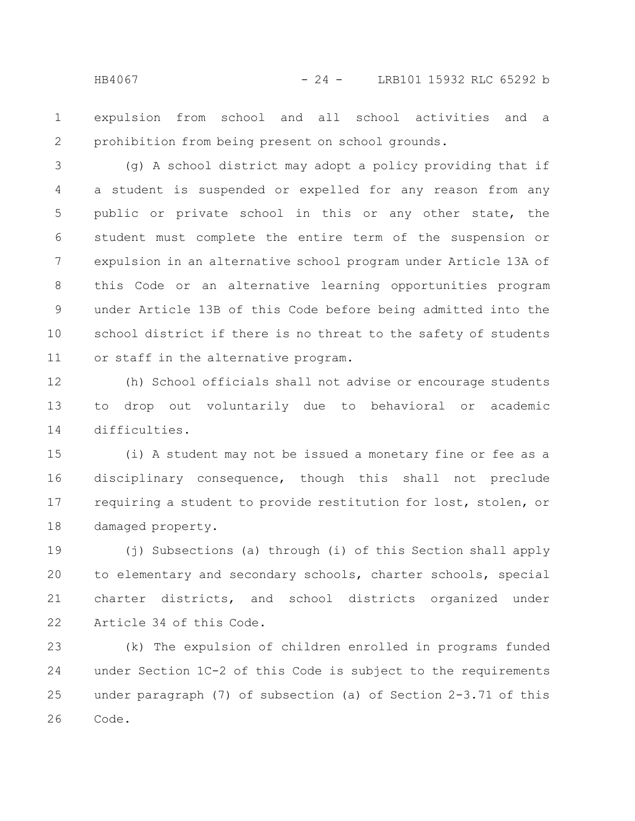expulsion from school and all school activities and a prohibition from being present on school grounds. 1 2

(g) A school district may adopt a policy providing that if a student is suspended or expelled for any reason from any public or private school in this or any other state, the student must complete the entire term of the suspension or expulsion in an alternative school program under Article 13A of this Code or an alternative learning opportunities program under Article 13B of this Code before being admitted into the school district if there is no threat to the safety of students or staff in the alternative program. 3 4 5 6 7 8 9 10 11

(h) School officials shall not advise or encourage students to drop out voluntarily due to behavioral or academic difficulties. 12 13 14

(i) A student may not be issued a monetary fine or fee as a disciplinary consequence, though this shall not preclude requiring a student to provide restitution for lost, stolen, or damaged property. 15 16 17 18

(j) Subsections (a) through (i) of this Section shall apply to elementary and secondary schools, charter schools, special charter districts, and school districts organized under Article 34 of this Code. 19 20 21 22

(k) The expulsion of children enrolled in programs funded under Section 1C-2 of this Code is subject to the requirements under paragraph (7) of subsection (a) of Section 2-3.71 of this Code. 23 24 25 26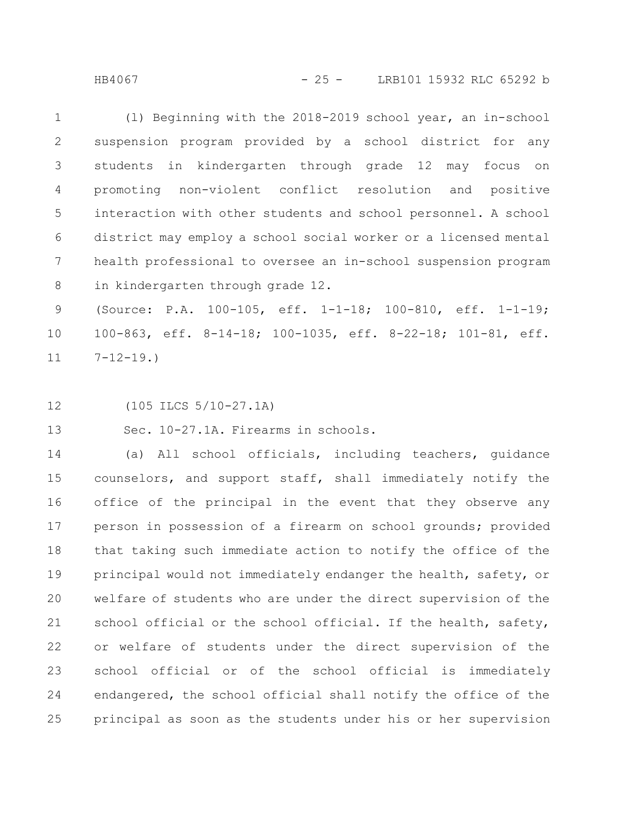HB4067 - 25 - LRB101 15932 RLC 65292 b

(l) Beginning with the 2018-2019 school year, an in-school suspension program provided by a school district for any students in kindergarten through grade 12 may focus on promoting non-violent conflict resolution and positive interaction with other students and school personnel. A school district may employ a school social worker or a licensed mental health professional to oversee an in-school suspension program in kindergarten through grade 12. 1 2 3 4 5 6 7 8

(Source: P.A. 100-105, eff. 1-1-18; 100-810, eff. 1-1-19; 100-863, eff. 8-14-18; 100-1035, eff. 8-22-18; 101-81, eff.  $7 - 12 - 19.$ 9 10 11

(105 ILCS 5/10-27.1A) 12

Sec. 10-27.1A. Firearms in schools. 13

(a) All school officials, including teachers, guidance counselors, and support staff, shall immediately notify the office of the principal in the event that they observe any person in possession of a firearm on school grounds; provided that taking such immediate action to notify the office of the principal would not immediately endanger the health, safety, or welfare of students who are under the direct supervision of the school official or the school official. If the health, safety, or welfare of students under the direct supervision of the school official or of the school official is immediately endangered, the school official shall notify the office of the principal as soon as the students under his or her supervision 14 15 16 17 18 19 20 21 22 23 24 25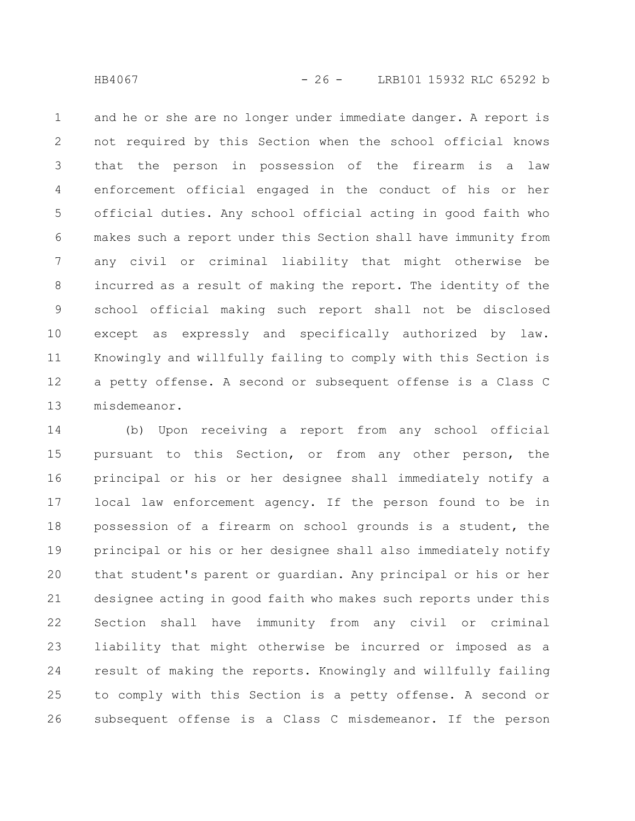and he or she are no longer under immediate danger. A report is not required by this Section when the school official knows that the person in possession of the firearm is a law enforcement official engaged in the conduct of his or her official duties. Any school official acting in good faith who makes such a report under this Section shall have immunity from any civil or criminal liability that might otherwise be incurred as a result of making the report. The identity of the school official making such report shall not be disclosed except as expressly and specifically authorized by law. Knowingly and willfully failing to comply with this Section is a petty offense. A second or subsequent offense is a Class C misdemeanor. 1 2 3 4 5 6 7 8 9 10 11 12 13

(b) Upon receiving a report from any school official pursuant to this Section, or from any other person, the principal or his or her designee shall immediately notify a local law enforcement agency. If the person found to be in possession of a firearm on school grounds is a student, the principal or his or her designee shall also immediately notify that student's parent or guardian. Any principal or his or her designee acting in good faith who makes such reports under this Section shall have immunity from any civil or criminal liability that might otherwise be incurred or imposed as a result of making the reports. Knowingly and willfully failing to comply with this Section is a petty offense. A second or subsequent offense is a Class C misdemeanor. If the person 14 15 16 17 18 19 20 21 22 23 24 25 26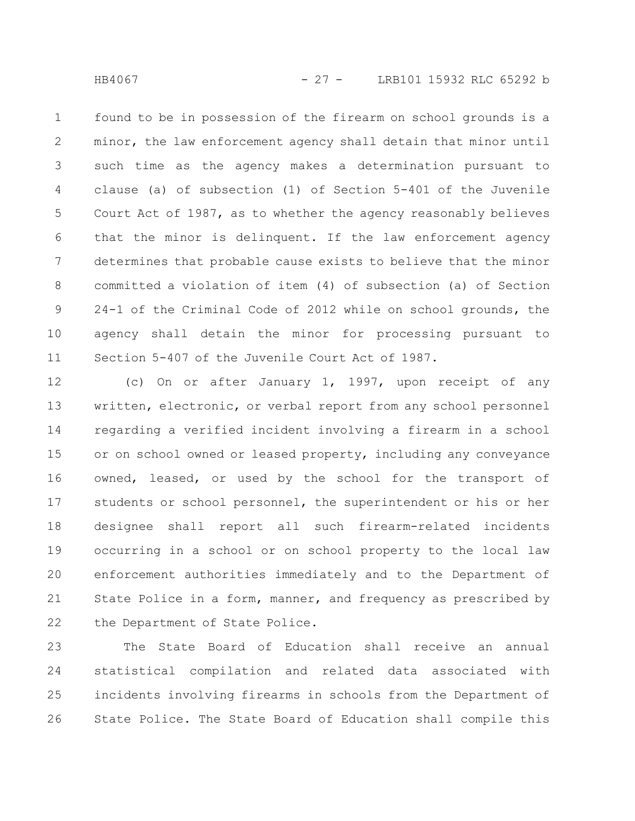HB4067 - 27 - LRB101 15932 RLC 65292 b

found to be in possession of the firearm on school grounds is a minor, the law enforcement agency shall detain that minor until such time as the agency makes a determination pursuant to clause (a) of subsection (1) of Section 5-401 of the Juvenile Court Act of 1987, as to whether the agency reasonably believes that the minor is delinquent. If the law enforcement agency determines that probable cause exists to believe that the minor committed a violation of item (4) of subsection (a) of Section 24-1 of the Criminal Code of 2012 while on school grounds, the agency shall detain the minor for processing pursuant to Section 5-407 of the Juvenile Court Act of 1987. 1 2 3 4 5 6 7 8 9 10 11

(c) On or after January 1, 1997, upon receipt of any written, electronic, or verbal report from any school personnel regarding a verified incident involving a firearm in a school or on school owned or leased property, including any conveyance owned, leased, or used by the school for the transport of students or school personnel, the superintendent or his or her designee shall report all such firearm-related incidents occurring in a school or on school property to the local law enforcement authorities immediately and to the Department of State Police in a form, manner, and frequency as prescribed by the Department of State Police. 12 13 14 15 16 17 18 19 20 21 22

The State Board of Education shall receive an annual statistical compilation and related data associated with incidents involving firearms in schools from the Department of State Police. The State Board of Education shall compile this 23 24 25 26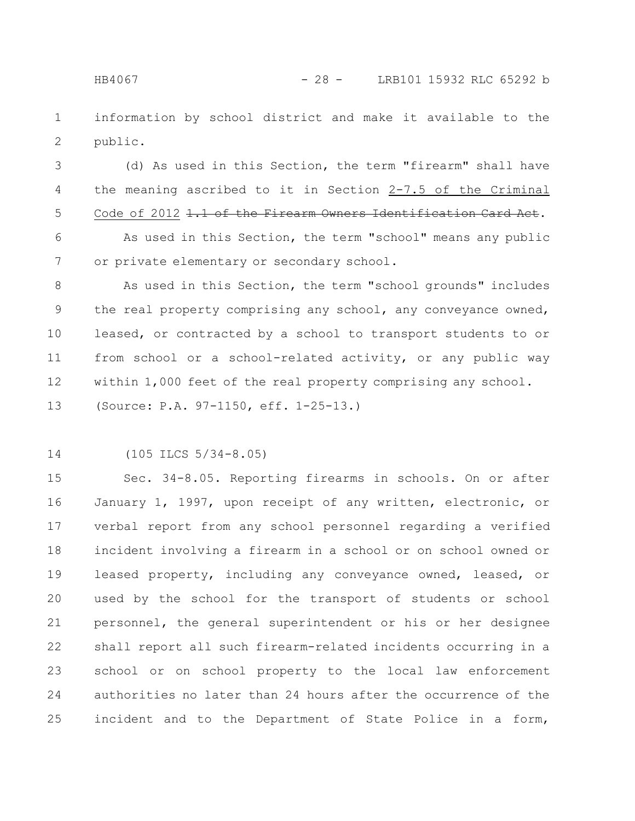information by school district and make it available to the public. 1 2

(d) As used in this Section, the term "firearm" shall have the meaning ascribed to it in Section 2-7.5 of the Criminal Code of 2012 1.1 of the Firearm Owners Identification Card Act. 3 4 5

As used in this Section, the term "school" means any public or private elementary or secondary school. 6 7

As used in this Section, the term "school grounds" includes the real property comprising any school, any conveyance owned, leased, or contracted by a school to transport students to or from school or a school-related activity, or any public way within 1,000 feet of the real property comprising any school. (Source: P.A. 97-1150, eff. 1-25-13.) 8 9 10 11 12 13

(105 ILCS 5/34-8.05) 14

Sec. 34-8.05. Reporting firearms in schools. On or after January 1, 1997, upon receipt of any written, electronic, or verbal report from any school personnel regarding a verified incident involving a firearm in a school or on school owned or leased property, including any conveyance owned, leased, or used by the school for the transport of students or school personnel, the general superintendent or his or her designee shall report all such firearm-related incidents occurring in a school or on school property to the local law enforcement authorities no later than 24 hours after the occurrence of the incident and to the Department of State Police in a form, 15 16 17 18 19 20 21 22 23 24 25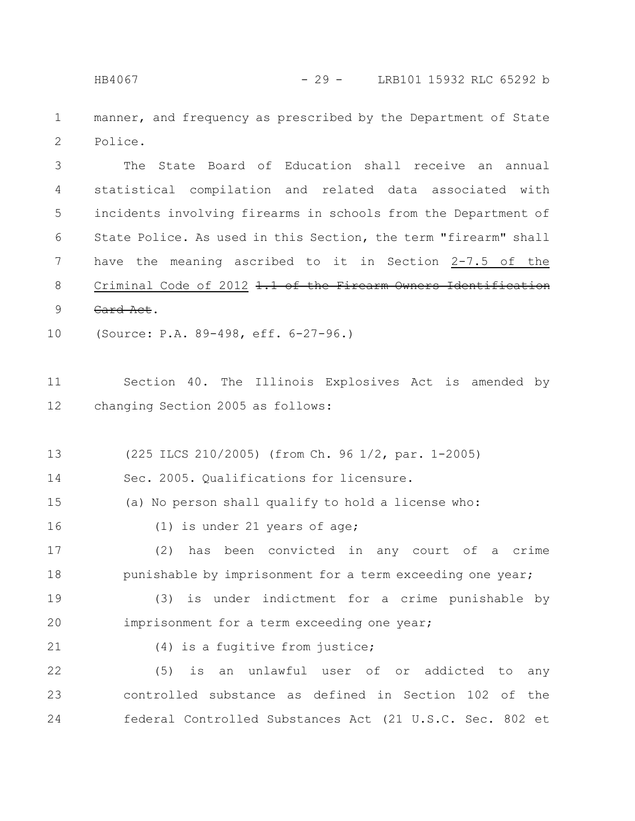manner, and frequency as prescribed by the Department of State Police. 1 2

The State Board of Education shall receive an annual statistical compilation and related data associated with incidents involving firearms in schools from the Department of State Police. As used in this Section, the term "firearm" shall have the meaning ascribed to it in Section 2-7.5 of the Criminal Code of 2012 1.1 of the Firearm Owners Identification Card Act. 3 4 5 6 7 8 9

(Source: P.A. 89-498, eff. 6-27-96.) 10

Section 40. The Illinois Explosives Act is amended by changing Section 2005 as follows: 11 12

(225 ILCS 210/2005) (from Ch. 96 1/2, par. 1-2005) 13

Sec. 2005. Qualifications for licensure. 14

(a) No person shall qualify to hold a license who: 15

(1) is under 21 years of age; 16

(2) has been convicted in any court of a crime punishable by imprisonment for a term exceeding one year; 17 18

(3) is under indictment for a crime punishable by imprisonment for a term exceeding one year; 19 20

(4) is a fugitive from justice;

21

(5) is an unlawful user of or addicted to any controlled substance as defined in Section 102 of the federal Controlled Substances Act (21 U.S.C. Sec. 802 et 22 23 24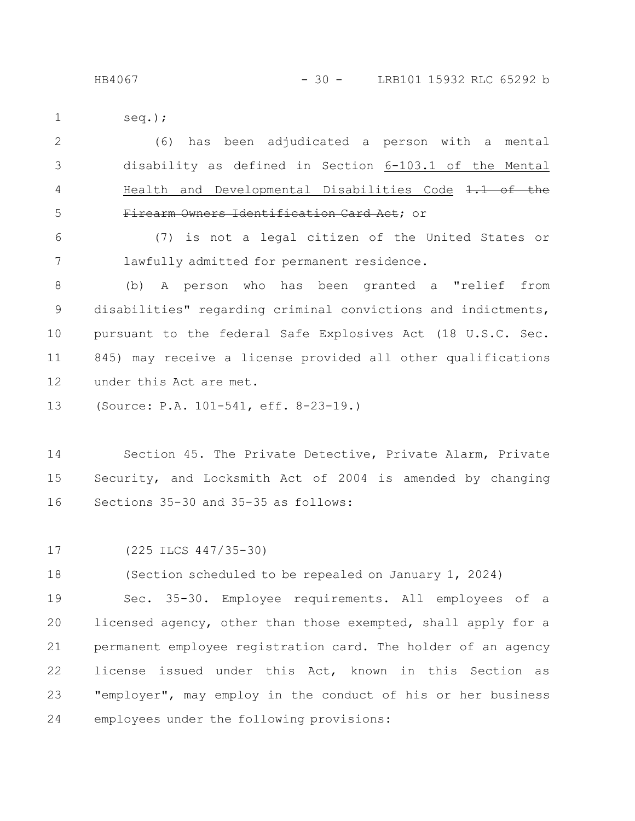seq.); 1

(6) has been adjudicated a person with a mental disability as defined in Section 6-103.1 of the Mental Health and Developmental Disabilities Code  $1.1$  of Firearm Owners Identification Card Act; or 2 3 4 5

(7) is not a legal citizen of the United States or lawfully admitted for permanent residence. 6 7

(b) A person who has been granted a "relief from disabilities" regarding criminal convictions and indictments, pursuant to the federal Safe Explosives Act (18 U.S.C. Sec. 845) may receive a license provided all other qualifications under this Act are met. 8 9 10 11 12

(Source: P.A. 101-541, eff. 8-23-19.) 13

Section 45. The Private Detective, Private Alarm, Private Security, and Locksmith Act of 2004 is amended by changing Sections 35-30 and 35-35 as follows: 14 15 16

(225 ILCS 447/35-30) 17

(Section scheduled to be repealed on January 1, 2024) 18

Sec. 35-30. Employee requirements. All employees of a licensed agency, other than those exempted, shall apply for a permanent employee registration card. The holder of an agency license issued under this Act, known in this Section as "employer", may employ in the conduct of his or her business employees under the following provisions: 19 20 21 22 23 24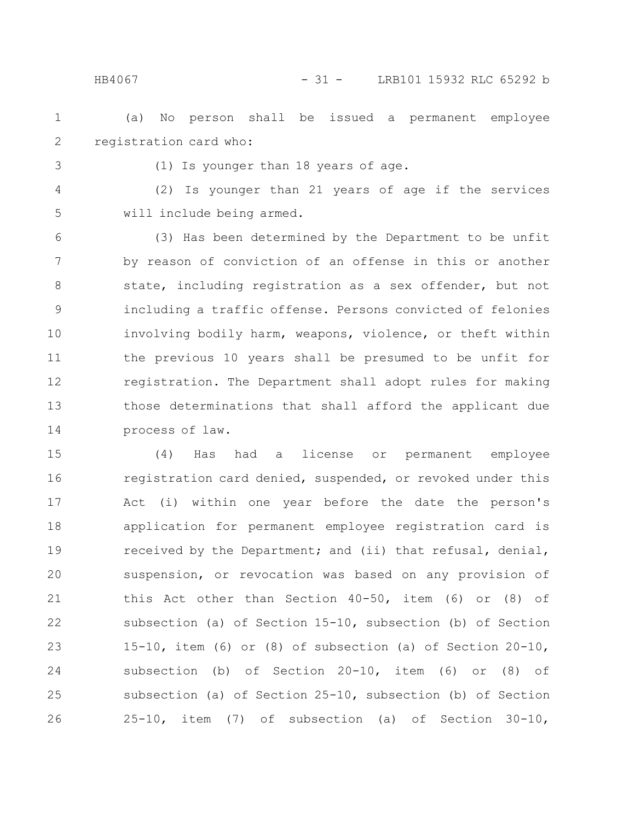HB4067 - 31 - LRB101 15932 RLC 65292 b

(a) No person shall be issued a permanent employee registration card who: 1 2

3

(1) Is younger than 18 years of age.

(2) Is younger than 21 years of age if the services will include being armed. 4 5

(3) Has been determined by the Department to be unfit by reason of conviction of an offense in this or another state, including registration as a sex offender, but not including a traffic offense. Persons convicted of felonies involving bodily harm, weapons, violence, or theft within the previous 10 years shall be presumed to be unfit for registration. The Department shall adopt rules for making those determinations that shall afford the applicant due process of law. 6 7 8 9 10 11 12 13 14

(4) Has had a license or permanent employee registration card denied, suspended, or revoked under this Act (i) within one year before the date the person's application for permanent employee registration card is received by the Department; and (ii) that refusal, denial, suspension, or revocation was based on any provision of this Act other than Section 40-50, item (6) or (8) of subsection (a) of Section 15-10, subsection (b) of Section 15-10, item (6) or (8) of subsection (a) of Section 20-10, subsection (b) of Section 20-10, item (6) or (8) of subsection (a) of Section 25-10, subsection (b) of Section 25-10, item (7) of subsection (a) of Section 30-10, 15 16 17 18 19 20 21 22 23 24 25 26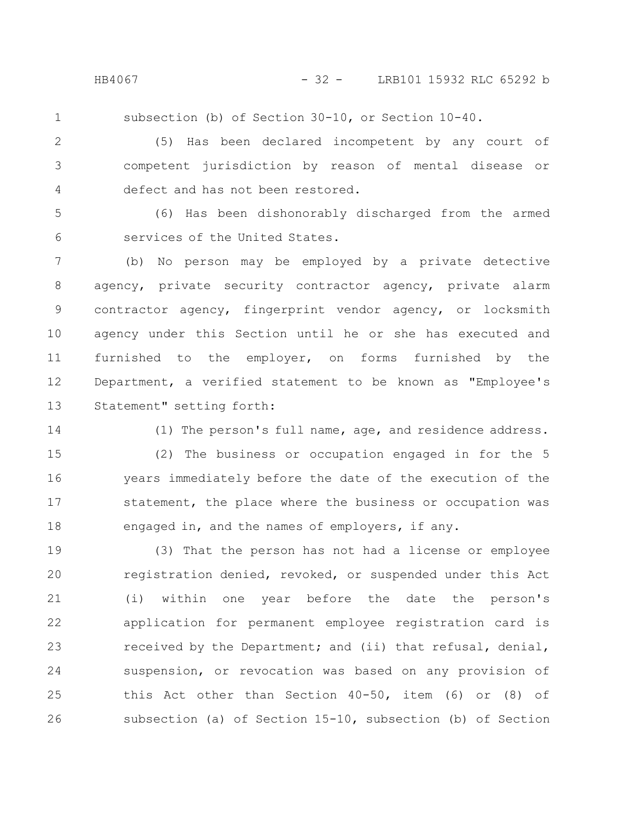1

subsection (b) of Section 30-10, or Section 10-40.

(5) Has been declared incompetent by any court of competent jurisdiction by reason of mental disease or defect and has not been restored. 2 3 4

(6) Has been dishonorably discharged from the armed services of the United States. 5 6

(b) No person may be employed by a private detective agency, private security contractor agency, private alarm contractor agency, fingerprint vendor agency, or locksmith agency under this Section until he or she has executed and furnished to the employer, on forms furnished by the Department, a verified statement to be known as "Employee's Statement" setting forth: 7 8 9 10 11 12 13

14

(1) The person's full name, age, and residence address.

(2) The business or occupation engaged in for the 5 years immediately before the date of the execution of the statement, the place where the business or occupation was engaged in, and the names of employers, if any. 15 16 17 18

(3) That the person has not had a license or employee registration denied, revoked, or suspended under this Act (i) within one year before the date the person's application for permanent employee registration card is received by the Department; and (ii) that refusal, denial, suspension, or revocation was based on any provision of this Act other than Section 40-50, item (6) or (8) of subsection (a) of Section 15-10, subsection (b) of Section 19 20 21 22 23 24 25 26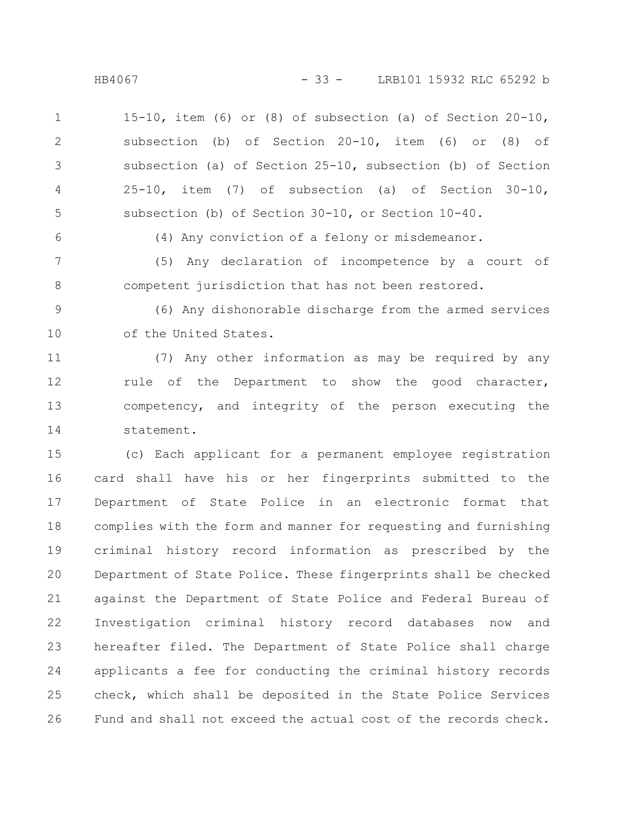HB4067 - 33 - LRB101 15932 RLC 65292 b

15-10, item (6) or (8) of subsection (a) of Section 20-10, subsection (b) of Section 20-10, item (6) or (8) of subsection (a) of Section 25-10, subsection (b) of Section 25-10, item (7) of subsection (a) of Section 30-10, subsection (b) of Section 30-10, or Section 10-40. 1 2 3 4 5

6

(4) Any conviction of a felony or misdemeanor.

(5) Any declaration of incompetence by a court of competent jurisdiction that has not been restored. 7 8

(6) Any dishonorable discharge from the armed services of the United States. 9 10

(7) Any other information as may be required by any rule of the Department to show the good character, competency, and integrity of the person executing the statement. 11 12 13 14

(c) Each applicant for a permanent employee registration card shall have his or her fingerprints submitted to the Department of State Police in an electronic format that complies with the form and manner for requesting and furnishing criminal history record information as prescribed by the Department of State Police. These fingerprints shall be checked against the Department of State Police and Federal Bureau of Investigation criminal history record databases now and hereafter filed. The Department of State Police shall charge applicants a fee for conducting the criminal history records check, which shall be deposited in the State Police Services Fund and shall not exceed the actual cost of the records check. 15 16 17 18 19 20 21 22 23 24 25 26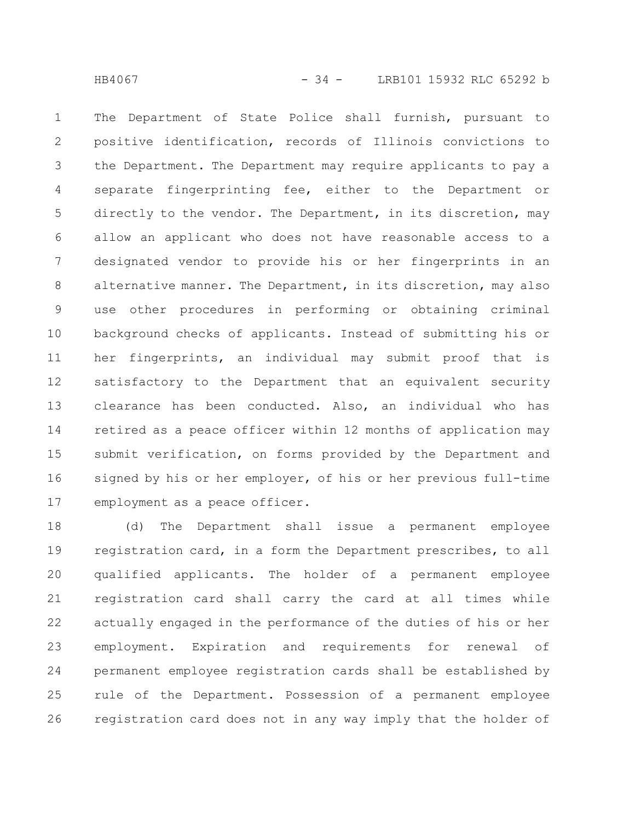The Department of State Police shall furnish, pursuant to positive identification, records of Illinois convictions to the Department. The Department may require applicants to pay a separate fingerprinting fee, either to the Department or directly to the vendor. The Department, in its discretion, may allow an applicant who does not have reasonable access to a designated vendor to provide his or her fingerprints in an alternative manner. The Department, in its discretion, may also use other procedures in performing or obtaining criminal background checks of applicants. Instead of submitting his or her fingerprints, an individual may submit proof that is satisfactory to the Department that an equivalent security clearance has been conducted. Also, an individual who has retired as a peace officer within 12 months of application may submit verification, on forms provided by the Department and signed by his or her employer, of his or her previous full-time employment as a peace officer. 1 2 3 4 5 6 7 8 9 10 11 12 13 14 15 16 17

(d) The Department shall issue a permanent employee registration card, in a form the Department prescribes, to all qualified applicants. The holder of a permanent employee registration card shall carry the card at all times while actually engaged in the performance of the duties of his or her employment. Expiration and requirements for renewal of permanent employee registration cards shall be established by rule of the Department. Possession of a permanent employee registration card does not in any way imply that the holder of 18 19 20 21 22 23 24 25 26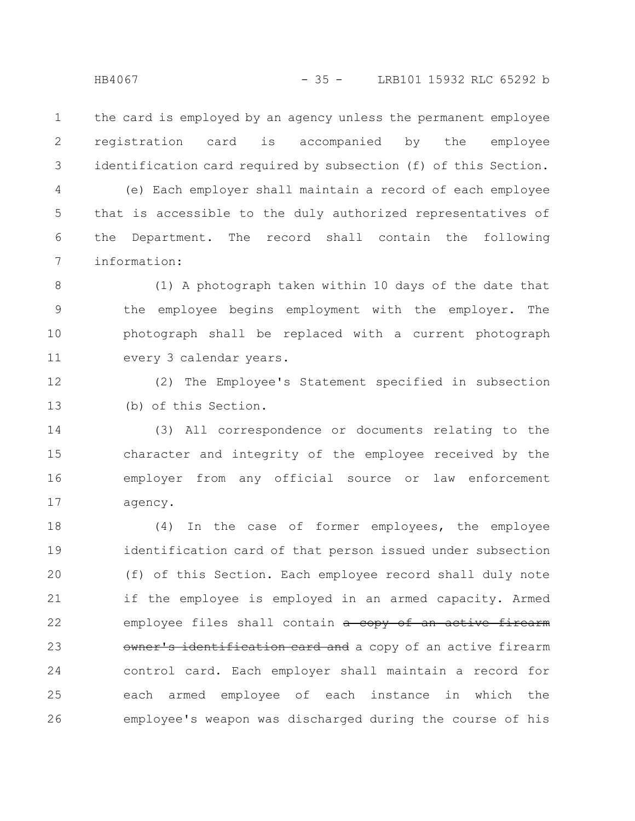the card is employed by an agency unless the permanent employee registration card is accompanied by the employee identification card required by subsection (f) of this Section. 1 2 3

(e) Each employer shall maintain a record of each employee that is accessible to the duly authorized representatives of the Department. The record shall contain the following information: 4 5 6 7

(1) A photograph taken within 10 days of the date that the employee begins employment with the employer. The photograph shall be replaced with a current photograph every 3 calendar years. 8 9 10 11

(2) The Employee's Statement specified in subsection (b) of this Section. 12 13

(3) All correspondence or documents relating to the character and integrity of the employee received by the employer from any official source or law enforcement agency. 14 15 16 17

(4) In the case of former employees, the employee identification card of that person issued under subsection (f) of this Section. Each employee record shall duly note if the employee is employed in an armed capacity. Armed employee files shall contain a copy of an active firearm owner's identification card and a copy of an active firearm control card. Each employer shall maintain a record for each armed employee of each instance in which the employee's weapon was discharged during the course of his 18 19 20 21 22 23 24 25 26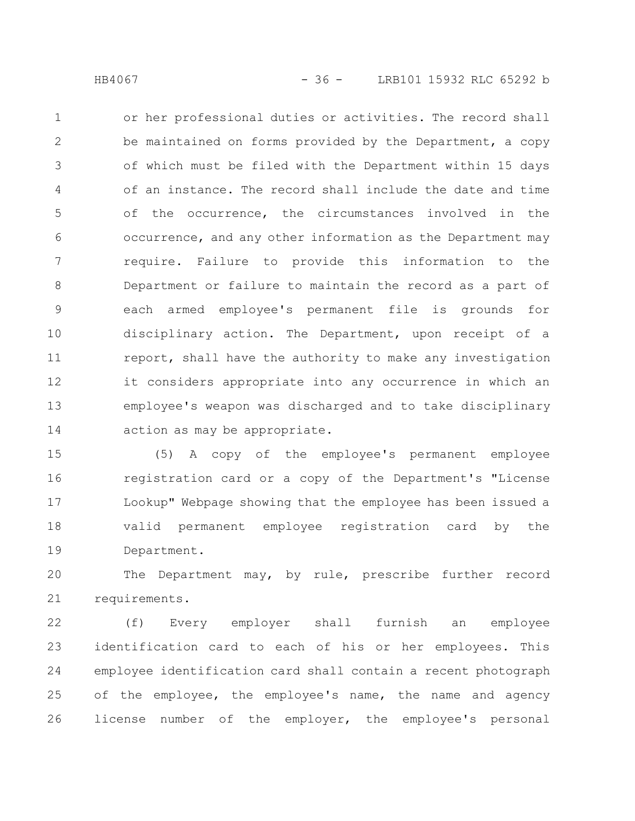or her professional duties or activities. The record shall be maintained on forms provided by the Department, a copy of which must be filed with the Department within 15 days of an instance. The record shall include the date and time of the occurrence, the circumstances involved in the occurrence, and any other information as the Department may require. Failure to provide this information to the Department or failure to maintain the record as a part of each armed employee's permanent file is grounds for disciplinary action. The Department, upon receipt of a report, shall have the authority to make any investigation it considers appropriate into any occurrence in which an employee's weapon was discharged and to take disciplinary action as may be appropriate. 1 2 3 4 5 6 7 8 9 10 11 12 13 14

(5) A copy of the employee's permanent employee registration card or a copy of the Department's "License Lookup" Webpage showing that the employee has been issued a valid permanent employee registration card by the Department. 15 16 17 18 19

The Department may, by rule, prescribe further record requirements. 20 21

(f) Every employer shall furnish an employee identification card to each of his or her employees. This employee identification card shall contain a recent photograph of the employee, the employee's name, the name and agency license number of the employer, the employee's personal 22 23 24 25 26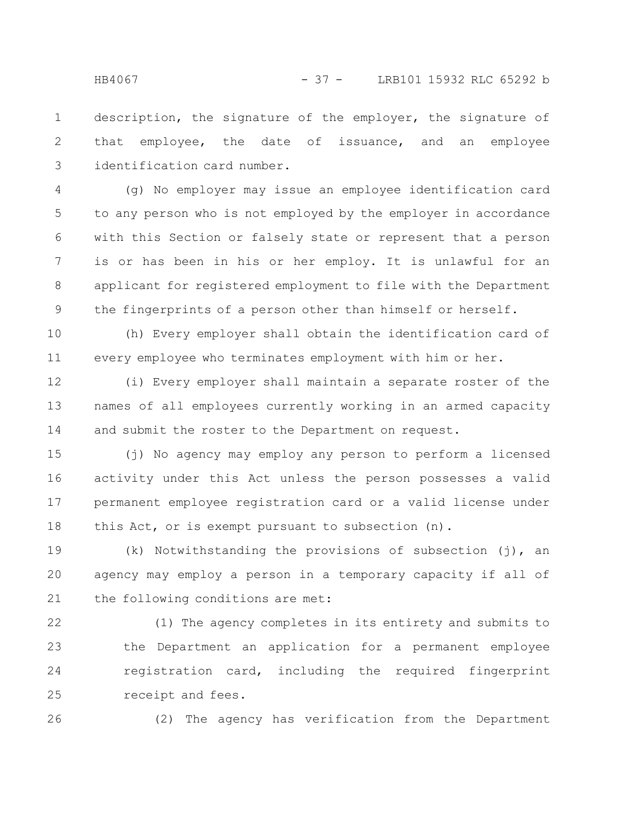description, the signature of the employer, the signature of that employee, the date of issuance, and an employee identification card number. 1 2 3

(g) No employer may issue an employee identification card to any person who is not employed by the employer in accordance with this Section or falsely state or represent that a person is or has been in his or her employ. It is unlawful for an applicant for registered employment to file with the Department the fingerprints of a person other than himself or herself. 4 5 6 7 8 9

(h) Every employer shall obtain the identification card of every employee who terminates employment with him or her. 10 11

(i) Every employer shall maintain a separate roster of the names of all employees currently working in an armed capacity and submit the roster to the Department on request. 12 13 14

(j) No agency may employ any person to perform a licensed activity under this Act unless the person possesses a valid permanent employee registration card or a valid license under this Act, or is exempt pursuant to subsection (n). 15 16 17 18

(k) Notwithstanding the provisions of subsection (j), an agency may employ a person in a temporary capacity if all of the following conditions are met: 19 20 21

(1) The agency completes in its entirety and submits to the Department an application for a permanent employee registration card, including the required fingerprint receipt and fees. 22 23 24 25

26

(2) The agency has verification from the Department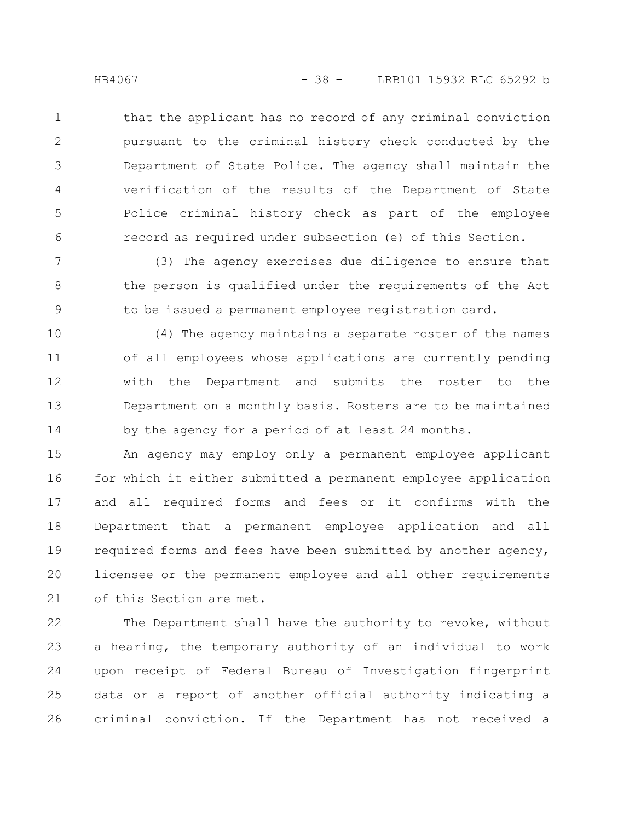that the applicant has no record of any criminal conviction pursuant to the criminal history check conducted by the Department of State Police. The agency shall maintain the verification of the results of the Department of State Police criminal history check as part of the employee record as required under subsection (e) of this Section. 1 2 3 4 5 6

(3) The agency exercises due diligence to ensure that the person is qualified under the requirements of the Act to be issued a permanent employee registration card. 7 8 9

(4) The agency maintains a separate roster of the names of all employees whose applications are currently pending with the Department and submits the roster to the Department on a monthly basis. Rosters are to be maintained by the agency for a period of at least 24 months. 10 11 12 13 14

An agency may employ only a permanent employee applicant for which it either submitted a permanent employee application and all required forms and fees or it confirms with the Department that a permanent employee application and all required forms and fees have been submitted by another agency, licensee or the permanent employee and all other requirements of this Section are met. 15 16 17 18 19 20 21

The Department shall have the authority to revoke, without a hearing, the temporary authority of an individual to work upon receipt of Federal Bureau of Investigation fingerprint data or a report of another official authority indicating a criminal conviction. If the Department has not received a 22 23 24 25 26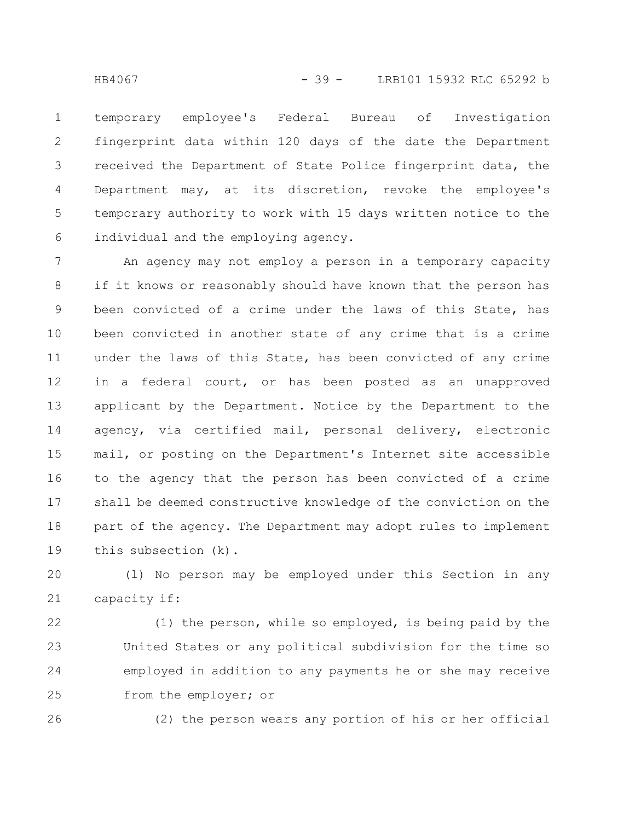temporary employee's Federal Bureau of Investigation fingerprint data within 120 days of the date the Department received the Department of State Police fingerprint data, the Department may, at its discretion, revoke the employee's temporary authority to work with 15 days written notice to the individual and the employing agency. 1 2 3 4 5 6

An agency may not employ a person in a temporary capacity if it knows or reasonably should have known that the person has been convicted of a crime under the laws of this State, has been convicted in another state of any crime that is a crime under the laws of this State, has been convicted of any crime in a federal court, or has been posted as an unapproved applicant by the Department. Notice by the Department to the agency, via certified mail, personal delivery, electronic mail, or posting on the Department's Internet site accessible to the agency that the person has been convicted of a crime shall be deemed constructive knowledge of the conviction on the part of the agency. The Department may adopt rules to implement this subsection (k). 7 8 9 10 11 12 13 14 15 16 17 18 19

(l) No person may be employed under this Section in any capacity if: 20 21

(1) the person, while so employed, is being paid by the United States or any political subdivision for the time so employed in addition to any payments he or she may receive from the employer; or 22 23 24 25

26

(2) the person wears any portion of his or her official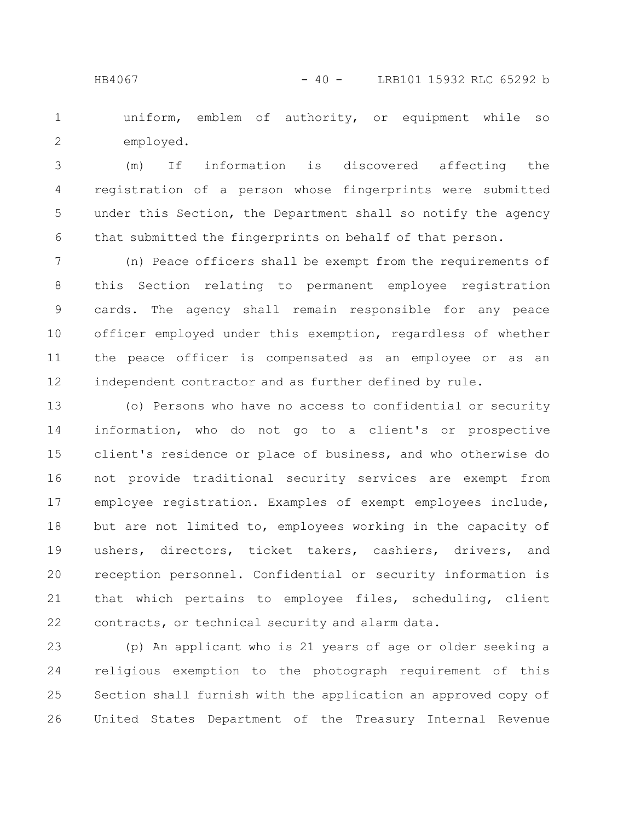uniform, emblem of authority, or equipment while so employed. 1 2

(m) If information is discovered affecting the registration of a person whose fingerprints were submitted under this Section, the Department shall so notify the agency that submitted the fingerprints on behalf of that person. 3 4 5 6

(n) Peace officers shall be exempt from the requirements of this Section relating to permanent employee registration cards. The agency shall remain responsible for any peace officer employed under this exemption, regardless of whether the peace officer is compensated as an employee or as an independent contractor and as further defined by rule. 7 8 9 10 11 12

(o) Persons who have no access to confidential or security information, who do not go to a client's or prospective client's residence or place of business, and who otherwise do not provide traditional security services are exempt from employee registration. Examples of exempt employees include, but are not limited to, employees working in the capacity of ushers, directors, ticket takers, cashiers, drivers, and reception personnel. Confidential or security information is that which pertains to employee files, scheduling, client contracts, or technical security and alarm data. 13 14 15 16 17 18 19 20 21 22

(p) An applicant who is 21 years of age or older seeking a religious exemption to the photograph requirement of this Section shall furnish with the application an approved copy of United States Department of the Treasury Internal Revenue 23 24 25 26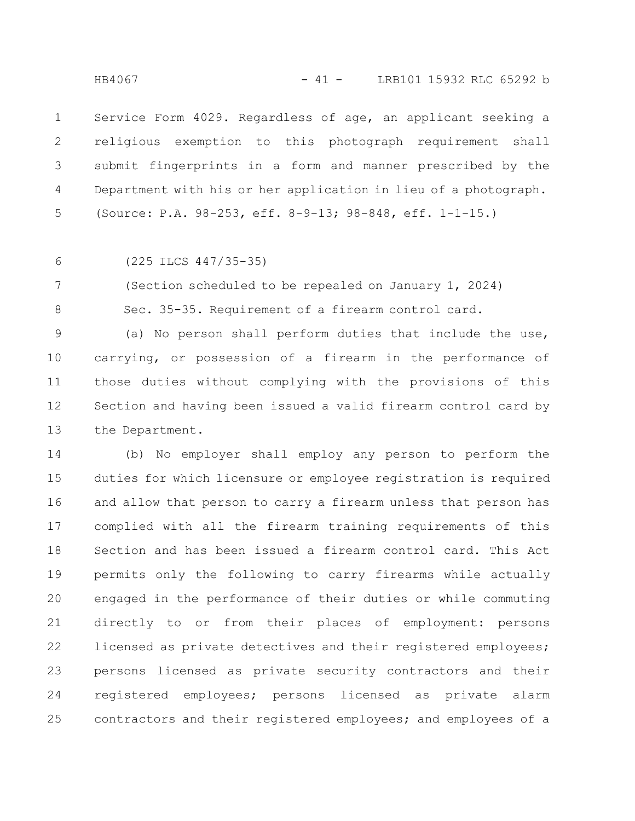Service Form 4029. Regardless of age, an applicant seeking a religious exemption to this photograph requirement shall submit fingerprints in a form and manner prescribed by the Department with his or her application in lieu of a photograph. (Source: P.A. 98-253, eff. 8-9-13; 98-848, eff. 1-1-15.) 1 2 3 4 5

6

(225 ILCS 447/35-35)

(Section scheduled to be repealed on January 1, 2024) 7

8

Sec. 35-35. Requirement of a firearm control card.

(a) No person shall perform duties that include the use, carrying, or possession of a firearm in the performance of those duties without complying with the provisions of this Section and having been issued a valid firearm control card by the Department. 9 10 11 12 13

(b) No employer shall employ any person to perform the duties for which licensure or employee registration is required and allow that person to carry a firearm unless that person has complied with all the firearm training requirements of this Section and has been issued a firearm control card. This Act permits only the following to carry firearms while actually engaged in the performance of their duties or while commuting directly to or from their places of employment: persons licensed as private detectives and their registered employees; persons licensed as private security contractors and their registered employees; persons licensed as private alarm contractors and their registered employees; and employees of a 14 15 16 17 18 19 20 21 22 23 24 25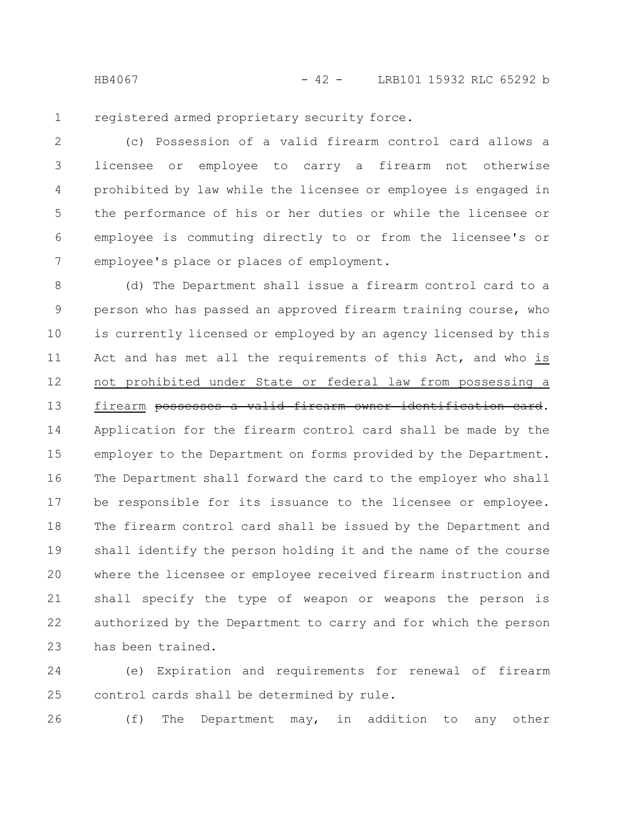HB4067 - 42 - LRB101 15932 RLC 65292 b

registered armed proprietary security force. 1

(c) Possession of a valid firearm control card allows a licensee or employee to carry a firearm not otherwise prohibited by law while the licensee or employee is engaged in the performance of his or her duties or while the licensee or employee is commuting directly to or from the licensee's or employee's place or places of employment. 2 3 4 5 6 7

(d) The Department shall issue a firearm control card to a person who has passed an approved firearm training course, who is currently licensed or employed by an agency licensed by this Act and has met all the requirements of this Act, and who is not prohibited under State or federal law from possessing a firearm possesses a valid firearm owner identification card. Application for the firearm control card shall be made by the employer to the Department on forms provided by the Department. The Department shall forward the card to the employer who shall be responsible for its issuance to the licensee or employee. The firearm control card shall be issued by the Department and shall identify the person holding it and the name of the course where the licensee or employee received firearm instruction and shall specify the type of weapon or weapons the person is authorized by the Department to carry and for which the person has been trained. 8 9 10 11 12 13 14 15 16 17 18 19 20 21 22 23

(e) Expiration and requirements for renewal of firearm control cards shall be determined by rule. 24 25

26

(f) The Department may, in addition to any other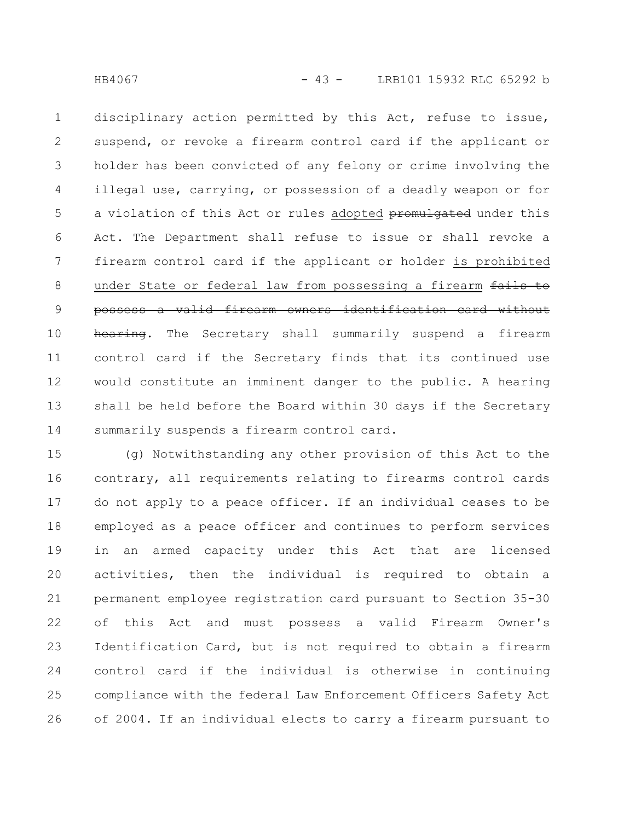disciplinary action permitted by this Act, refuse to issue, suspend, or revoke a firearm control card if the applicant or holder has been convicted of any felony or crime involving the illegal use, carrying, or possession of a deadly weapon or for a violation of this Act or rules adopted promulgated under this Act. The Department shall refuse to issue or shall revoke a firearm control card if the applicant or holder is prohibited under State or federal law from possessing a firearm fails to possess a valid firearm owners identification card without hearing. The Secretary shall summarily suspend a firearm control card if the Secretary finds that its continued use would constitute an imminent danger to the public. A hearing shall be held before the Board within 30 days if the Secretary summarily suspends a firearm control card. 1 2 3 4 5 6 7 8 9 10 11 12 13 14

(g) Notwithstanding any other provision of this Act to the contrary, all requirements relating to firearms control cards do not apply to a peace officer. If an individual ceases to be employed as a peace officer and continues to perform services in an armed capacity under this Act that are licensed activities, then the individual is required to obtain a permanent employee registration card pursuant to Section 35-30 of this Act and must possess a valid Firearm Owner's Identification Card, but is not required to obtain a firearm control card if the individual is otherwise in continuing compliance with the federal Law Enforcement Officers Safety Act of 2004. If an individual elects to carry a firearm pursuant to 15 16 17 18 19 20 21 22 23 24 25 26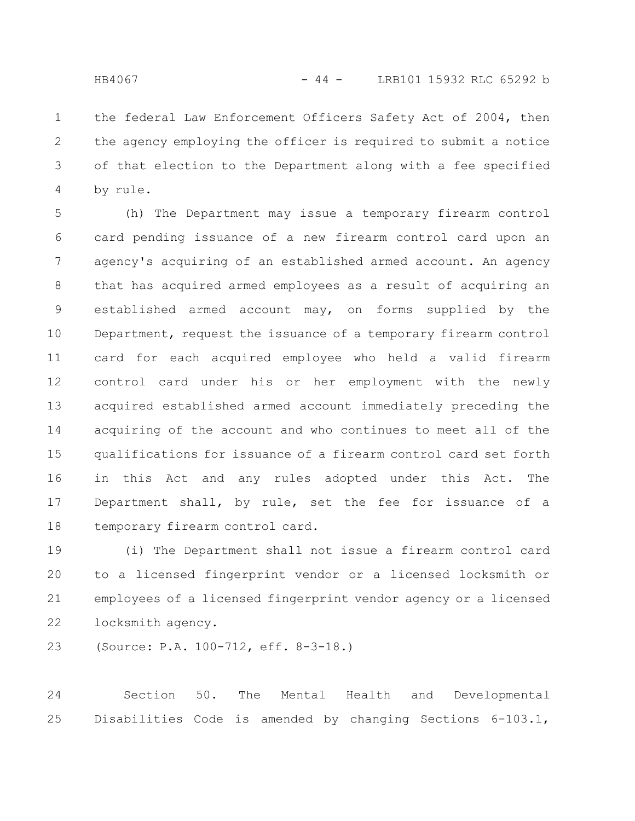the federal Law Enforcement Officers Safety Act of 2004, then the agency employing the officer is required to submit a notice of that election to the Department along with a fee specified by rule. 1 2 3 4

(h) The Department may issue a temporary firearm control card pending issuance of a new firearm control card upon an agency's acquiring of an established armed account. An agency that has acquired armed employees as a result of acquiring an established armed account may, on forms supplied by the Department, request the issuance of a temporary firearm control card for each acquired employee who held a valid firearm control card under his or her employment with the newly acquired established armed account immediately preceding the acquiring of the account and who continues to meet all of the qualifications for issuance of a firearm control card set forth in this Act and any rules adopted under this Act. The Department shall, by rule, set the fee for issuance of a temporary firearm control card. 5 6 7 8 9 10 11 12 13 14 15 16 17 18

(i) The Department shall not issue a firearm control card to a licensed fingerprint vendor or a licensed locksmith or employees of a licensed fingerprint vendor agency or a licensed locksmith agency. 19 20 21 22

(Source: P.A. 100-712, eff. 8-3-18.) 23

Section 50. The Mental Health and Developmental Disabilities Code is amended by changing Sections 6-103.1, 24 25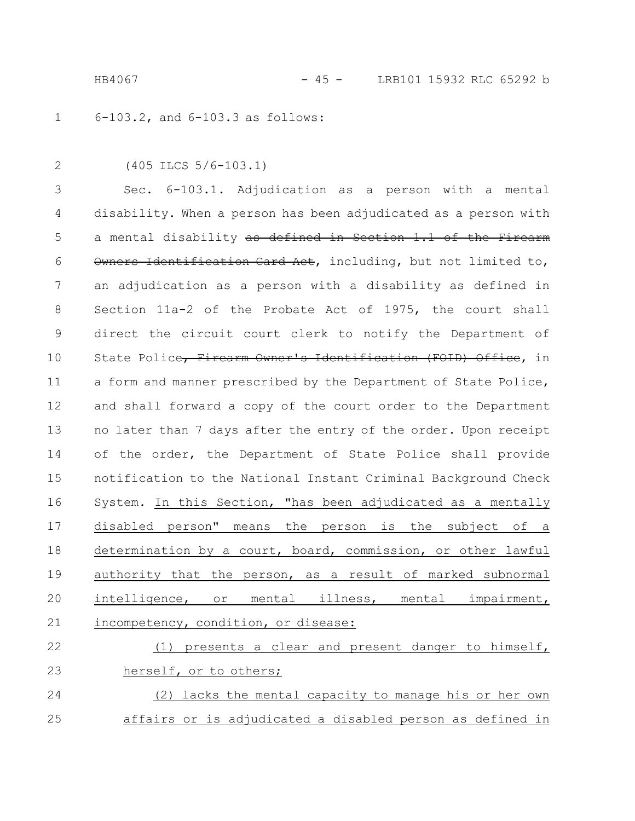HB4067 - 45 - LRB101 15932 RLC 65292 b

6-103.2, and 6-103.3 as follows: 1

2

(405 ILCS 5/6-103.1)

Sec. 6-103.1. Adjudication as a person with a mental disability. When a person has been adjudicated as a person with a mental disability as defined in Section 1.1 of the Firearm Owners Identification Card Act, including, but not limited to, an adjudication as a person with a disability as defined in Section 11a-2 of the Probate Act of 1975, the court shall direct the circuit court clerk to notify the Department of State Police, Firearm Owner's Identification (FOID) Office, in a form and manner prescribed by the Department of State Police, and shall forward a copy of the court order to the Department no later than 7 days after the entry of the order. Upon receipt of the order, the Department of State Police shall provide notification to the National Instant Criminal Background Check System. In this Section, "has been adjudicated as a mentally disabled person" means the person is the subject of a determination by a court, board, commission, or other lawful authority that the person, as a result of marked subnormal intelligence, or mental illness, mental impairment, incompetency, condition, or disease: 3 4 5 6 7 8 9 10 11 12 13 14 15 16 17 18 19 20 21

(1) presents a clear and present danger to himself, herself, or to others; (2) lacks the mental capacity to manage his or her own 22 23 24

affairs or is adjudicated a disabled person as defined in 25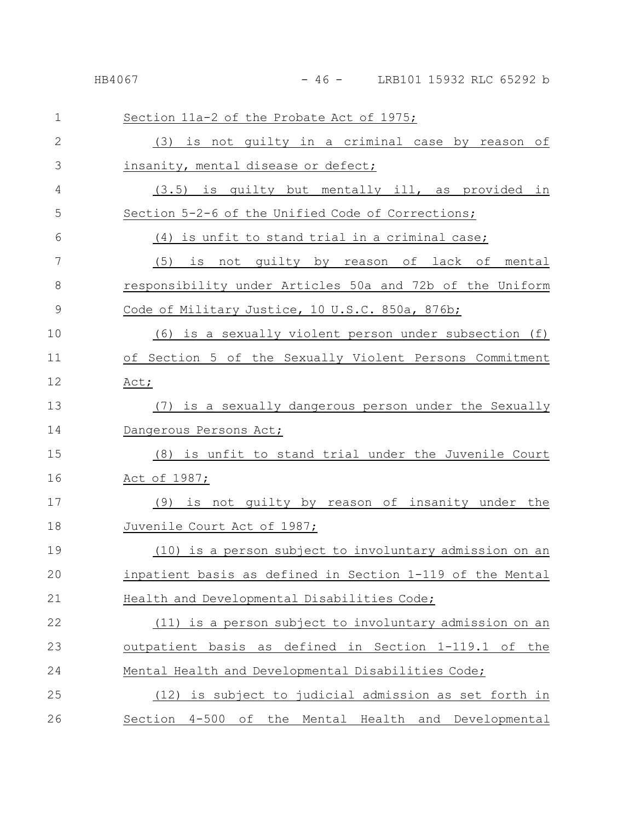| $\mathbf{1}$  | Section 11a-2 of the Probate Act of 1975;                 |
|---------------|-----------------------------------------------------------|
| $\mathbf{2}$  | (3) is not guilty in a criminal case by reason of         |
| 3             | insanity, mental disease or defect;                       |
| 4             | (3.5) is guilty but mentally ill, as provided in          |
| 5             | Section 5-2-6 of the Unified Code of Corrections;         |
| 6             | <u>(4) is unfit to stand trial in a criminal case;</u>    |
| 7             | (5) is not quilty by reason of lack of mental             |
| 8             | responsibility under Articles 50a and 72b of the Uniform  |
| $\mathcal{G}$ | Code of Military Justice, 10 U.S.C. 850a, 876b;           |
| 10            | (6) is a sexually violent person under subsection (f)     |
| 11            | of Section 5 of the Sexually Violent Persons Commitment   |
| 12            | Act;                                                      |
| 13            | (7) is a sexually dangerous person under the Sexually     |
| 14            | Dangerous Persons Act;                                    |
| 15            | (8) is unfit to stand trial under the Juvenile Court      |
| 16            | <u>Act of 1987;</u>                                       |
| 17            | (9) is not quilty by reason of insanity under the         |
| 18            | Juvenile Court Act of 1987;                               |
| 19            | (10) is a person subject to involuntary admission on an   |
| 20            | inpatient basis as defined in Section 1-119 of the Mental |
| 21            | Health and Developmental Disabilities Code;               |
| 22            | (11) is a person subject to involuntary admission on an   |
| 23            | outpatient basis as defined in Section 1-119.1 of the     |
| 24            | Mental Health and Developmental Disabilities Code;        |
| 25            | (12) is subject to judicial admission as set forth in     |
| 26            | Section 4-500 of the Mental Health and Developmental      |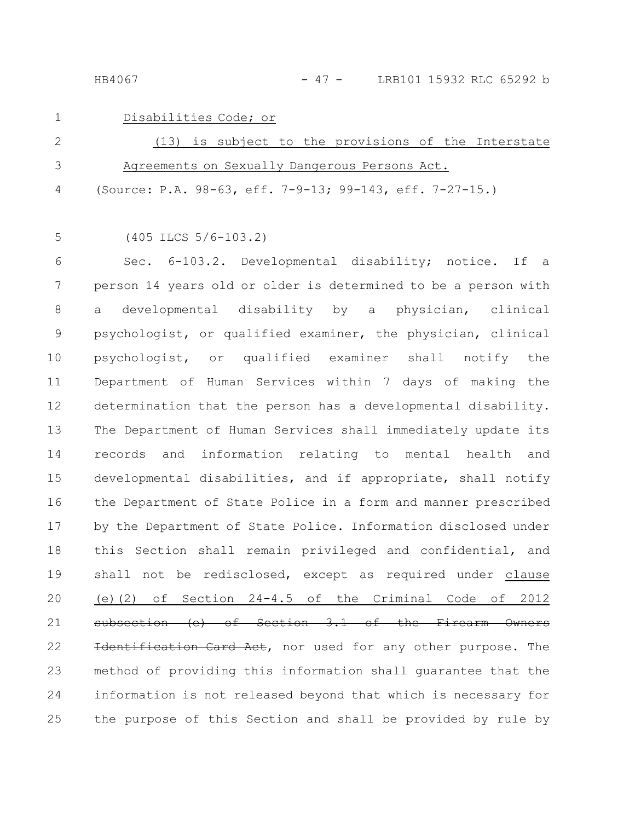HB4067 - 47 - LRB101 15932 RLC 65292 b

# 1

Disabilities Code; or

| -2 | (13) is subject to the provisions of the Interstate        |
|----|------------------------------------------------------------|
| 3  | Agreements on Sexually Dangerous Persons Act.              |
|    | 4 (Source: P.A. 98-63, eff. 7-9-13; 99-143, eff. 7-27-15.) |

5

(405 ILCS 5/6-103.2)

Sec. 6-103.2. Developmental disability; notice. If a person 14 years old or older is determined to be a person with a developmental disability by a physician, clinical psychologist, or qualified examiner, the physician, clinical psychologist, or qualified examiner shall notify the Department of Human Services within 7 days of making the determination that the person has a developmental disability. The Department of Human Services shall immediately update its records and information relating to mental health and developmental disabilities, and if appropriate, shall notify the Department of State Police in a form and manner prescribed by the Department of State Police. Information disclosed under this Section shall remain privileged and confidential, and shall not be redisclosed, except as required under clause (e)(2) of Section 24-4.5 of the Criminal Code of 2012 subsection (e) of Section 3.1 of the Firearm Owners Identification Card Act, nor used for any other purpose. The method of providing this information shall guarantee that the information is not released beyond that which is necessary for the purpose of this Section and shall be provided by rule by 6 7 8 9 10 11 12 13 14 15 16 17 18 19 20 21 22 23 24 25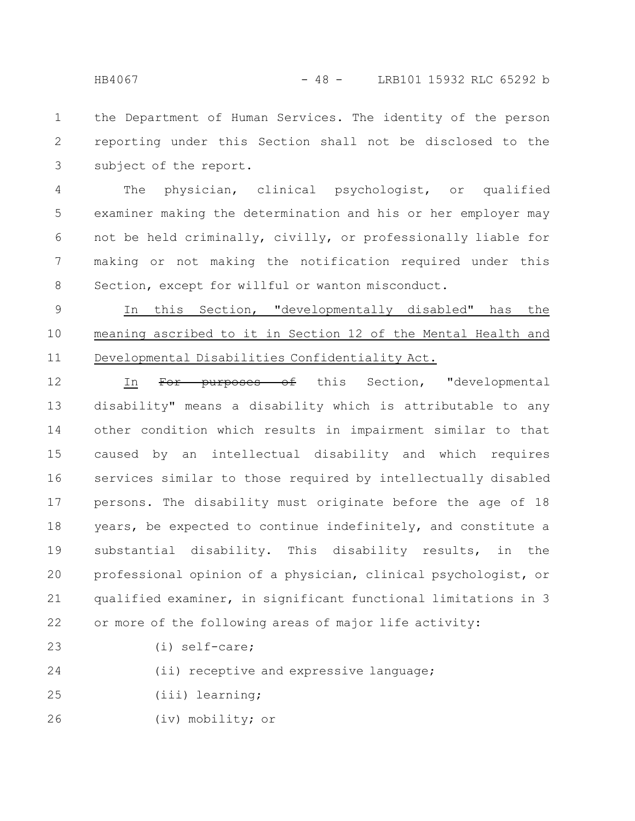the Department of Human Services. The identity of the person reporting under this Section shall not be disclosed to the subject of the report. 1 2 3

The physician, clinical psychologist, or qualified examiner making the determination and his or her employer may not be held criminally, civilly, or professionally liable for making or not making the notification required under this Section, except for willful or wanton misconduct. 4 5 6 7 8

In this Section, "developmentally disabled" has the meaning ascribed to it in Section 12 of the Mental Health and Developmental Disabilities Confidentiality Act. 9 10 11

In For purposes of this Section, "developmental disability" means a disability which is attributable to any other condition which results in impairment similar to that caused by an intellectual disability and which requires services similar to those required by intellectually disabled persons. The disability must originate before the age of 18 years, be expected to continue indefinitely, and constitute a substantial disability. This disability results, in the professional opinion of a physician, clinical psychologist, or qualified examiner, in significant functional limitations in 3 or more of the following areas of major life activity: 12 13 14 15 16 17 18 19 20 21 22

23

(i) self-care;

(ii) receptive and expressive language; 24

(iii) learning; 25

(iv) mobility; or 26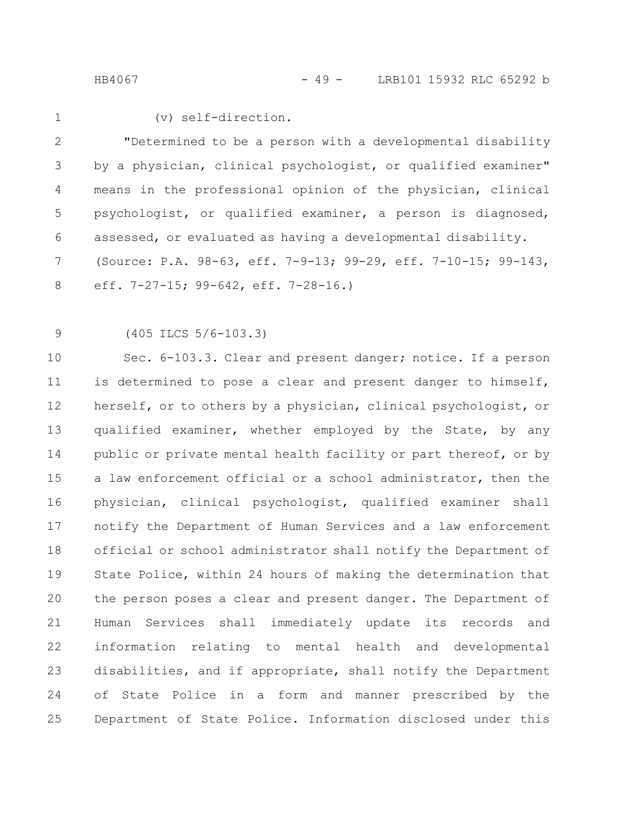HB4067 - 49 - LRB101 15932 RLC 65292 b

1

#### (v) self-direction.

"Determined to be a person with a developmental disability by a physician, clinical psychologist, or qualified examiner" means in the professional opinion of the physician, clinical psychologist, or qualified examiner, a person is diagnosed, assessed, or evaluated as having a developmental disability. (Source: P.A. 98-63, eff. 7-9-13; 99-29, eff. 7-10-15; 99-143, eff. 7-27-15; 99-642, eff. 7-28-16.) 2 3 4 5 6 7 8

(405 ILCS 5/6-103.3) 9

Sec. 6-103.3. Clear and present danger; notice. If a person is determined to pose a clear and present danger to himself, herself, or to others by a physician, clinical psychologist, or qualified examiner, whether employed by the State, by any public or private mental health facility or part thereof, or by a law enforcement official or a school administrator, then the physician, clinical psychologist, qualified examiner shall notify the Department of Human Services and a law enforcement official or school administrator shall notify the Department of State Police, within 24 hours of making the determination that the person poses a clear and present danger. The Department of Human Services shall immediately update its records and information relating to mental health and developmental disabilities, and if appropriate, shall notify the Department of State Police in a form and manner prescribed by the Department of State Police. Information disclosed under this 10 11 12 13 14 15 16 17 18 19 20 21 22 23 24 25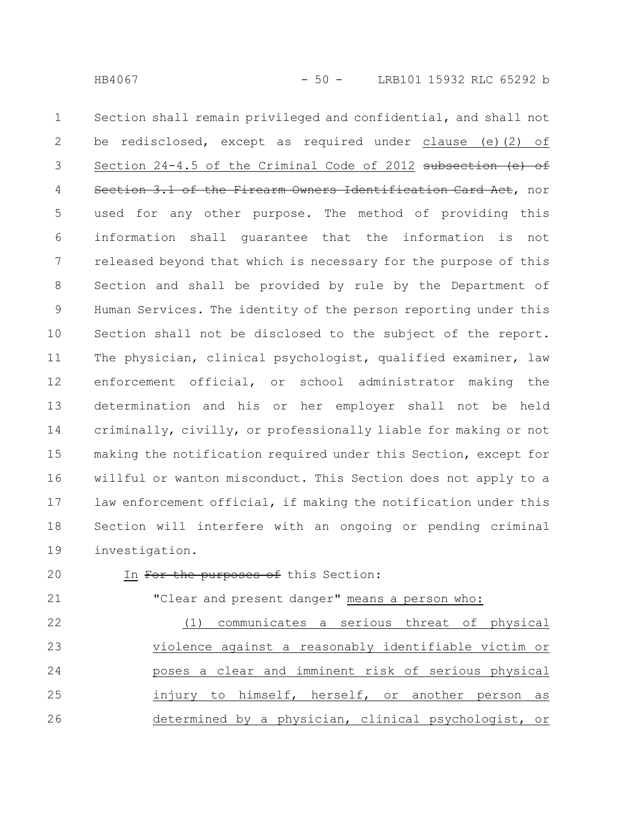Section shall remain privileged and confidential, and shall not be redisclosed, except as required under clause (e)(2) of Section 24-4.5 of the Criminal Code of 2012 subsection (e) of Section 3.1 of the Firearm Owners Identification Card Act, nor used for any other purpose. The method of providing this information shall guarantee that the information is not released beyond that which is necessary for the purpose of this Section and shall be provided by rule by the Department of Human Services. The identity of the person reporting under this Section shall not be disclosed to the subject of the report. The physician, clinical psychologist, qualified examiner, law enforcement official, or school administrator making the determination and his or her employer shall not be held criminally, civilly, or professionally liable for making or not making the notification required under this Section, except for willful or wanton misconduct. This Section does not apply to a law enforcement official, if making the notification under this Section will interfere with an ongoing or pending criminal investigation. 1 2 3 4 5 6 7 8 9 10 11 12 13 14 15 16 17 18 19

20

## In For the purposes of this Section:

21

"Clear and present danger" means a person who:

(1) communicates a serious threat of physical violence against a reasonably identifiable victim or poses a clear and imminent risk of serious physical injury to himself, herself, or another person as determined by a physician, clinical psychologist, or 22 23 24 25 26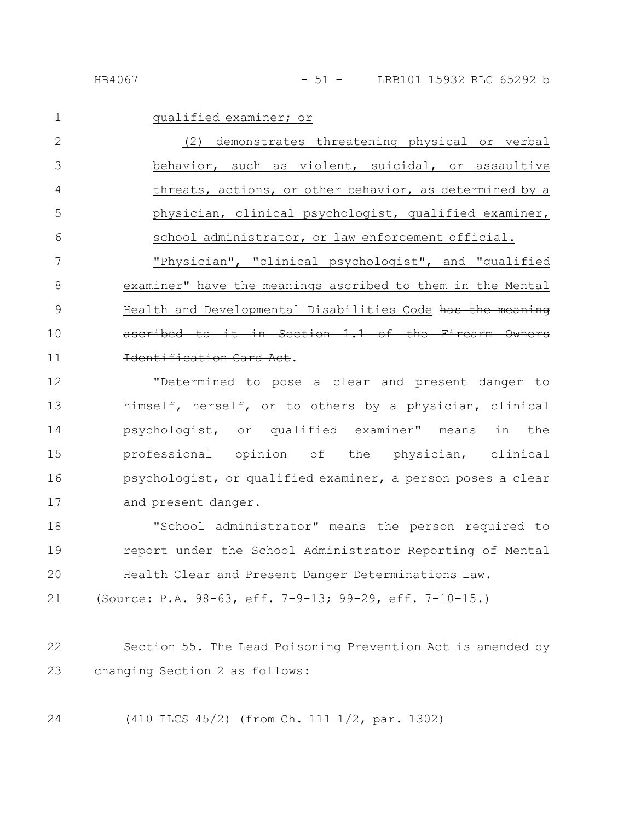|--|--|--|--|--|--|

1

qualified examiner; or

(2) demonstrates threatening physical or verbal behavior, such as violent, suicidal, or assaultive threats, actions, or other behavior, as determined by a physician, clinical psychologist, qualified examiner, school administrator, or law enforcement official. "Physician", "clinical psychologist", and "qualified examiner" have the meanings ascribed to them in the Mental Health and Developmental Disabilities Code has the meaning ascribed to it in Section  $1.1$  of the Firearm Identification Card Act. 2 3 4 5 6 7 8 9 10 11

"Determined to pose a clear and present danger to himself, herself, or to others by a physician, clinical psychologist, or qualified examiner" means in the professional opinion of the physician, clinical psychologist, or qualified examiner, a person poses a clear and present danger. 12 13 14 15 16 17

"School administrator" means the person required to report under the School Administrator Reporting of Mental Health Clear and Present Danger Determinations Law. 18 19 20

(Source: P.A. 98-63, eff. 7-9-13; 99-29, eff. 7-10-15.) 21

Section 55. The Lead Poisoning Prevention Act is amended by changing Section 2 as follows: 22 23

24

(410 ILCS 45/2) (from Ch. 111 1/2, par. 1302)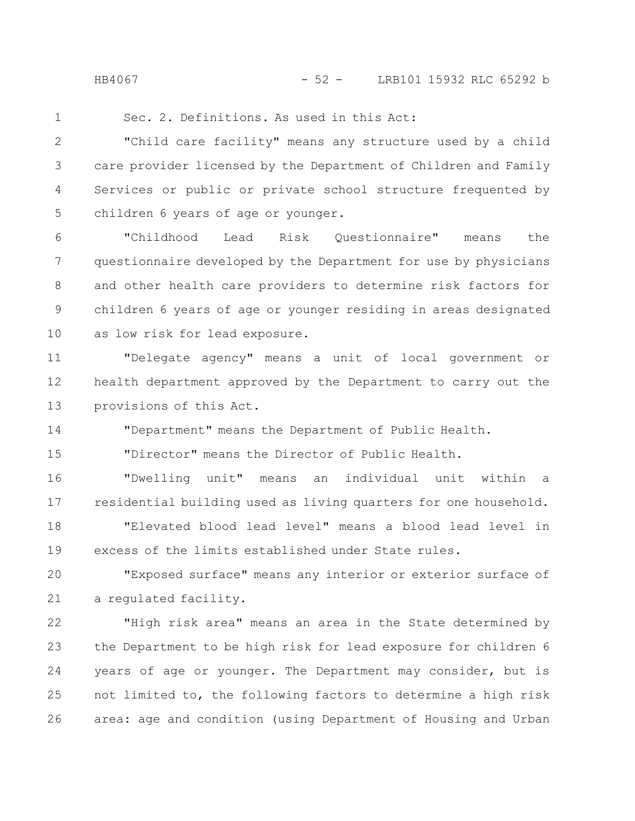HB4067 - 52 - LRB101 15932 RLC 65292 b

1

Sec. 2. Definitions. As used in this Act:

"Child care facility" means any structure used by a child care provider licensed by the Department of Children and Family Services or public or private school structure frequented by children 6 years of age or younger. 2 3 4 5

"Childhood Lead Risk Questionnaire" means the questionnaire developed by the Department for use by physicians and other health care providers to determine risk factors for children 6 years of age or younger residing in areas designated as low risk for lead exposure. 6 7 8 9 10

"Delegate agency" means a unit of local government or health department approved by the Department to carry out the provisions of this Act. 11 12 13

"Department" means the Department of Public Health. 14

"Director" means the Director of Public Health. 15

"Dwelling unit" means an individual unit within a residential building used as living quarters for one household. 16 17

"Elevated blood lead level" means a blood lead level in excess of the limits established under State rules. 18 19

"Exposed surface" means any interior or exterior surface of a regulated facility. 20 21

"High risk area" means an area in the State determined by the Department to be high risk for lead exposure for children 6 years of age or younger. The Department may consider, but is not limited to, the following factors to determine a high risk area: age and condition (using Department of Housing and Urban 22 23 24 25 26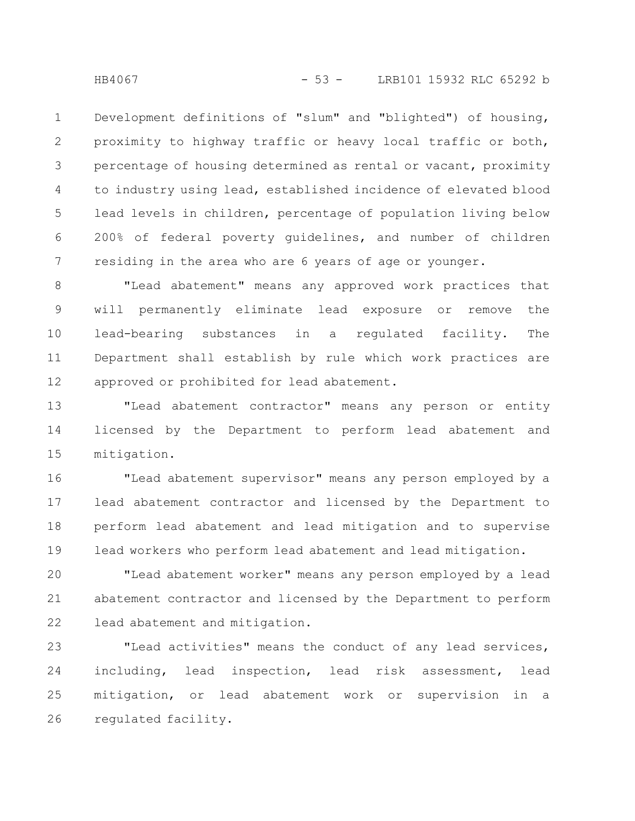Development definitions of "slum" and "blighted") of housing, proximity to highway traffic or heavy local traffic or both, percentage of housing determined as rental or vacant, proximity to industry using lead, established incidence of elevated blood lead levels in children, percentage of population living below 200% of federal poverty guidelines, and number of children residing in the area who are 6 years of age or younger. 1 2 3 4 5 6 7

"Lead abatement" means any approved work practices that will permanently eliminate lead exposure or remove the lead-bearing substances in a regulated facility. The Department shall establish by rule which work practices are approved or prohibited for lead abatement. 8 9 10 11 12

"Lead abatement contractor" means any person or entity licensed by the Department to perform lead abatement and mitigation. 13 14 15

"Lead abatement supervisor" means any person employed by a lead abatement contractor and licensed by the Department to perform lead abatement and lead mitigation and to supervise lead workers who perform lead abatement and lead mitigation. 16 17 18 19

"Lead abatement worker" means any person employed by a lead abatement contractor and licensed by the Department to perform lead abatement and mitigation. 20 21 22

"Lead activities" means the conduct of any lead services, including, lead inspection, lead risk assessment, lead mitigation, or lead abatement work or supervision in a regulated facility. 23 24 25 26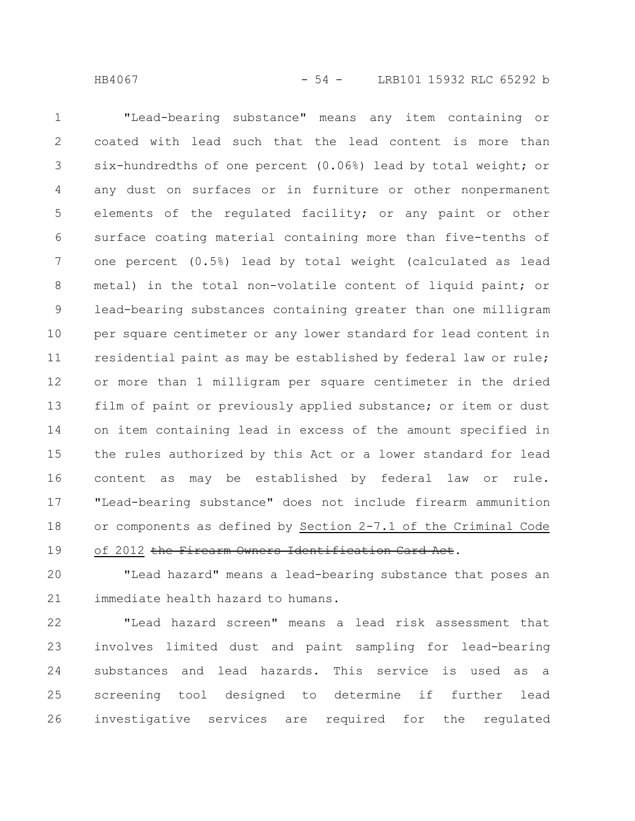"Lead-bearing substance" means any item containing or coated with lead such that the lead content is more than six-hundredths of one percent (0.06%) lead by total weight; or any dust on surfaces or in furniture or other nonpermanent elements of the regulated facility; or any paint or other surface coating material containing more than five-tenths of one percent (0.5%) lead by total weight (calculated as lead metal) in the total non-volatile content of liquid paint; or lead-bearing substances containing greater than one milligram per square centimeter or any lower standard for lead content in residential paint as may be established by federal law or rule; or more than 1 milligram per square centimeter in the dried film of paint or previously applied substance; or item or dust on item containing lead in excess of the amount specified in the rules authorized by this Act or a lower standard for lead content as may be established by federal law or rule. "Lead-bearing substance" does not include firearm ammunition or components as defined by Section 2-7.1 of the Criminal Code of 2012 the Firearm Owners Identification Card Act. 1 2 3 4 5 6 7 8 9 10 11 12 13 14 15 16 17 18 19

"Lead hazard" means a lead-bearing substance that poses an immediate health hazard to humans. 20 21

"Lead hazard screen" means a lead risk assessment that involves limited dust and paint sampling for lead-bearing substances and lead hazards. This service is used as a screening tool designed to determine if further lead investigative services are required for the regulated 22 23 24 25 26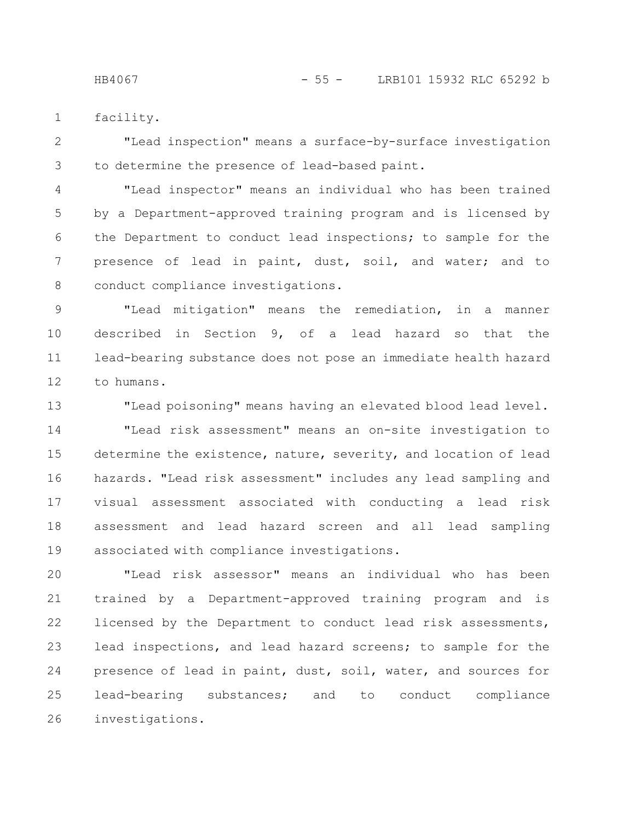facility. 1

"Lead inspection" means a surface-by-surface investigation to determine the presence of lead-based paint. 2 3

"Lead inspector" means an individual who has been trained by a Department-approved training program and is licensed by the Department to conduct lead inspections; to sample for the presence of lead in paint, dust, soil, and water; and to conduct compliance investigations. 4 5 6 7 8

"Lead mitigation" means the remediation, in a manner described in Section 9, of a lead hazard so that the lead-bearing substance does not pose an immediate health hazard to humans. 9 10 11 12

"Lead poisoning" means having an elevated blood lead level. "Lead risk assessment" means an on-site investigation to determine the existence, nature, severity, and location of lead hazards. "Lead risk assessment" includes any lead sampling and visual assessment associated with conducting a lead risk assessment and lead hazard screen and all lead sampling associated with compliance investigations. 13 14 15 16 17 18 19

"Lead risk assessor" means an individual who has been trained by a Department-approved training program and is licensed by the Department to conduct lead risk assessments, lead inspections, and lead hazard screens; to sample for the presence of lead in paint, dust, soil, water, and sources for lead-bearing substances; and to conduct compliance investigations. 20 21 22 23 24 25 26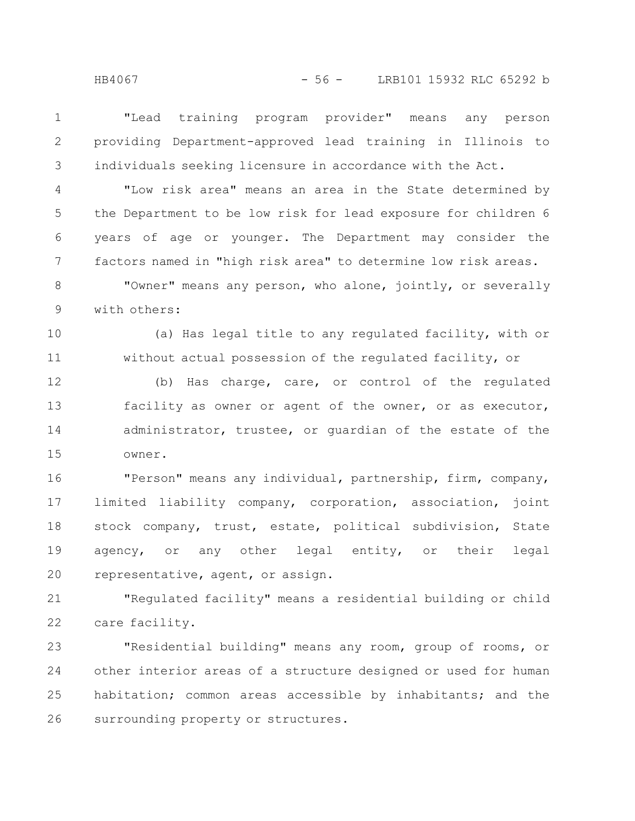"Lead training program provider" means any person providing Department-approved lead training in Illinois to individuals seeking licensure in accordance with the Act. 1 2 3

"Low risk area" means an area in the State determined by the Department to be low risk for lead exposure for children 6 years of age or younger. The Department may consider the factors named in "high risk area" to determine low risk areas. 4 5 6 7

"Owner" means any person, who alone, jointly, or severally with others: 8 9

(a) Has legal title to any regulated facility, with or without actual possession of the regulated facility, or 10 11

(b) Has charge, care, or control of the regulated facility as owner or agent of the owner, or as executor, administrator, trustee, or guardian of the estate of the owner. 12 13 14 15

"Person" means any individual, partnership, firm, company, limited liability company, corporation, association, joint stock company, trust, estate, political subdivision, State agency, or any other legal entity, or their legal representative, agent, or assign. 16 17 18 19 20

"Regulated facility" means a residential building or child care facility. 21 22

"Residential building" means any room, group of rooms, or other interior areas of a structure designed or used for human habitation; common areas accessible by inhabitants; and the surrounding property or structures. 23 24 25 26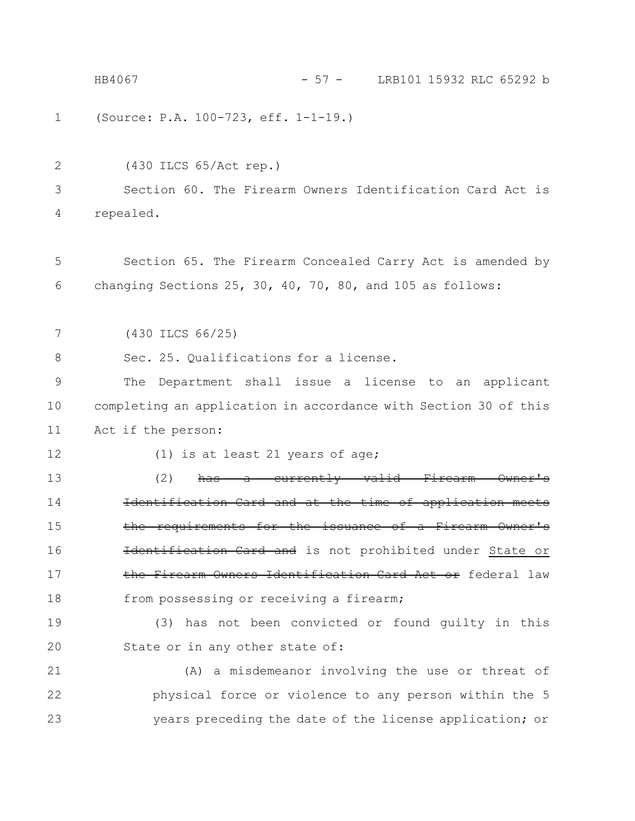|    | HB4067<br>$-57 -$<br>LRB101 15932 RLC 65292 b                             |
|----|---------------------------------------------------------------------------|
| 1  | (Source: P.A. 100-723, eff. 1-1-19.)                                      |
| 2  | (430 ILCS 65/Act rep.)                                                    |
| 3  | Section 60. The Firearm Owners Identification Card Act is                 |
| 4  | repealed.                                                                 |
| 5  | Section 65. The Firearm Concealed Carry Act is amended by                 |
| 6  | changing Sections 25, 30, 40, 70, 80, and 105 as follows:                 |
| 7  | (430 ILCS 66/25)                                                          |
| 8  | Sec. 25. Qualifications for a license.                                    |
| 9  | The Department shall issue a license to an applicant                      |
| 10 | completing an application in accordance with Section 30 of this           |
| 11 | Act if the person:                                                        |
| 12 | $(1)$ is at least 21 years of age;                                        |
| 13 | (2)<br>a currently valid Firearm<br><del>has-</del>                       |
| 14 | Identification Card and at the time of application mee                    |
| 15 | <u>requirements for the issuance of a Firearm Owner</u><br><del>the</del> |
| 16 | Heentification Card and is not prohibited under State or                  |
| 17 | the Firearm Owners Identification Card Act or federal law                 |
| 18 | from possessing or receiving a firearm;                                   |
| 19 | (3) has not been convicted or found guilty in this                        |
| 20 | State or in any other state of:                                           |
| 21 | (A) a misdemeanor involving the use or threat of                          |
| 22 | physical force or violence to any person within the 5                     |
| 23 | years preceding the date of the license application; or                   |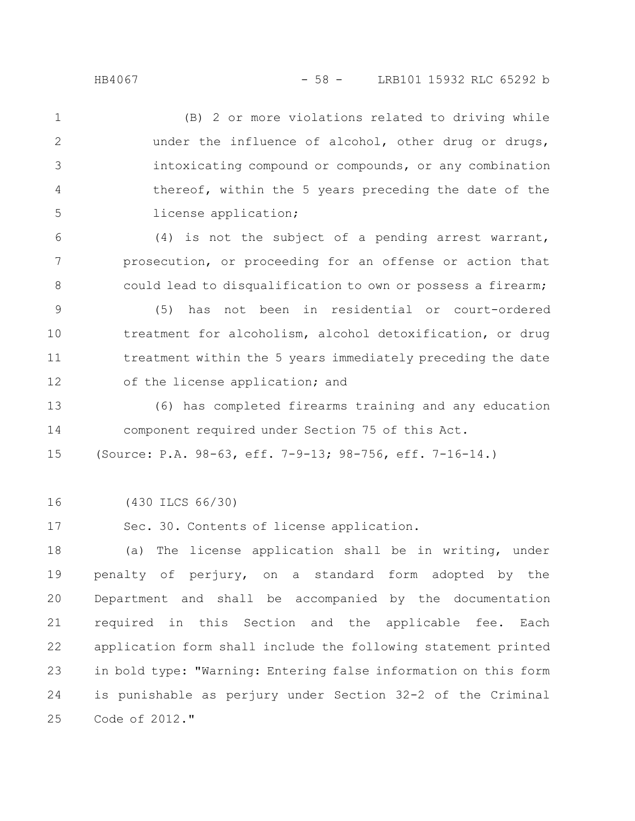## HB4067 - 58 - LRB101 15932 RLC 65292 b

(B) 2 or more violations related to driving while under the influence of alcohol, other drug or drugs, intoxicating compound or compounds, or any combination thereof, within the 5 years preceding the date of the license application; (4) is not the subject of a pending arrest warrant, prosecution, or proceeding for an offense or action that could lead to disqualification to own or possess a firearm; 1 2 3 4 5 6 7 8

(5) has not been in residential or court-ordered treatment for alcoholism, alcohol detoxification, or drug treatment within the 5 years immediately preceding the date of the license application; and 9 10 11 12

(6) has completed firearms training and any education component required under Section 75 of this Act. 13 14

(Source: P.A. 98-63, eff. 7-9-13; 98-756, eff. 7-16-14.) 15

(430 ILCS 66/30) 16

Sec. 30. Contents of license application. 17

(a) The license application shall be in writing, under penalty of perjury, on a standard form adopted by the Department and shall be accompanied by the documentation required in this Section and the applicable fee. Each application form shall include the following statement printed in bold type: "Warning: Entering false information on this form is punishable as perjury under Section 32-2 of the Criminal Code of 2012." 18 19 20 21 22 23 24 25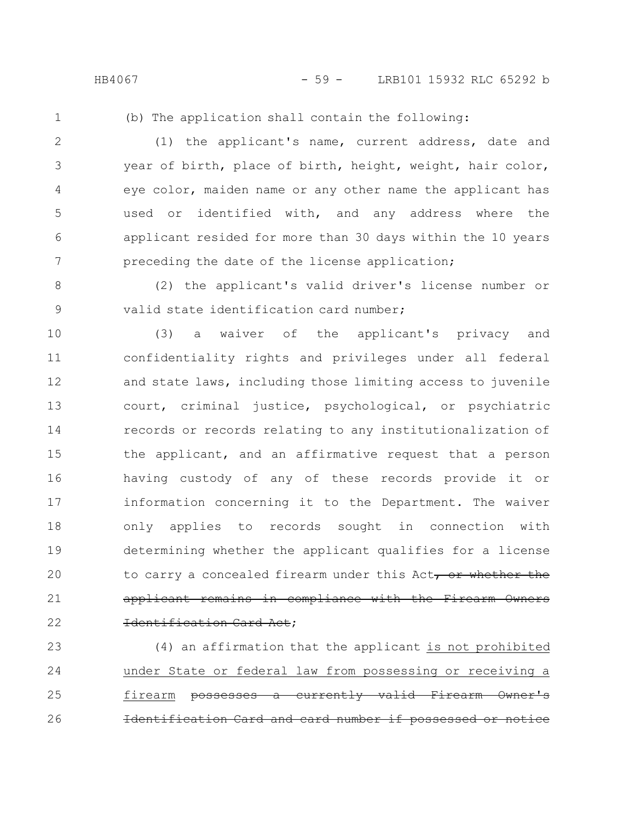HB4067 - 59 - LRB101 15932 RLC 65292 b

1

(b) The application shall contain the following:

(1) the applicant's name, current address, date and year of birth, place of birth, height, weight, hair color, eye color, maiden name or any other name the applicant has used or identified with, and any address where the applicant resided for more than 30 days within the 10 years preceding the date of the license application; 2 3 4 5 6 7

(2) the applicant's valid driver's license number or valid state identification card number; 8 9

(3) a waiver of the applicant's privacy and confidentiality rights and privileges under all federal and state laws, including those limiting access to juvenile court, criminal justice, psychological, or psychiatric records or records relating to any institutionalization of the applicant, and an affirmative request that a person having custody of any of these records provide it or information concerning it to the Department. The waiver only applies to records sought in connection with determining whether the applicant qualifies for a license to carry a concealed firearm under this Act, or whether the applicant remains in compliance with the Firearm Owners Identification Card Act; 10 11 12 13 14 15 16 17 18 19 20 21 22

(4) an affirmation that the applicant is not prohibited under State or federal law from possessing or receiving a firearm possesses a currently valid Firearm Owner's fication Card and card number if possessed 23 24 25 26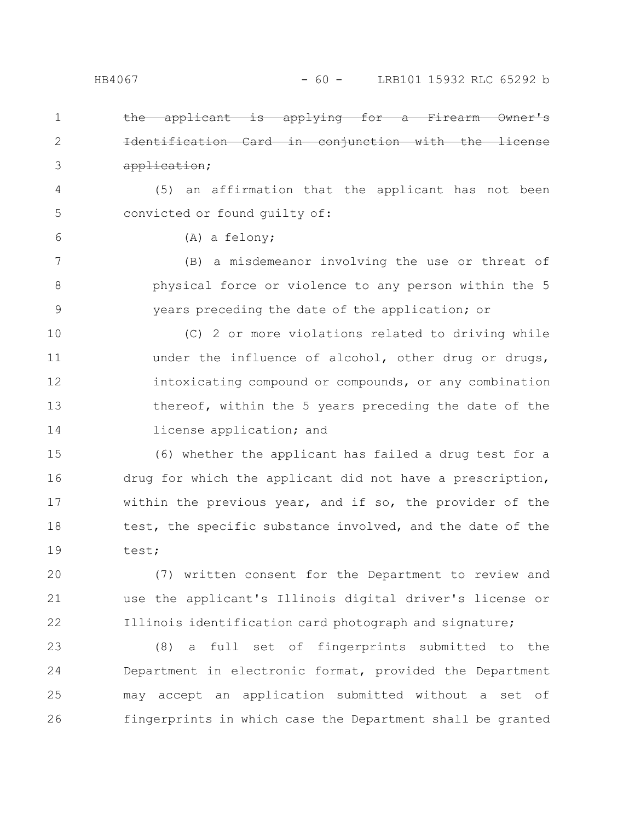6

 $the$  applicant is applying Identification Card in conjunction with the license application; 1 2 3

(5) an affirmation that the applicant has not been convicted or found guilty of: 4 5

(A) a felony;

(B) a misdemeanor involving the use or threat of physical force or violence to any person within the 5 years preceding the date of the application; or 7 8 9

(C) 2 or more violations related to driving while under the influence of alcohol, other drug or drugs, intoxicating compound or compounds, or any combination thereof, within the 5 years preceding the date of the license application; and 10 11 12 13 14

(6) whether the applicant has failed a drug test for a drug for which the applicant did not have a prescription, within the previous year, and if so, the provider of the test, the specific substance involved, and the date of the test; 15 16 17 18 19

(7) written consent for the Department to review and use the applicant's Illinois digital driver's license or Illinois identification card photograph and signature; 20 21 22

(8) a full set of fingerprints submitted to the Department in electronic format, provided the Department may accept an application submitted without a set of fingerprints in which case the Department shall be granted 23 24 25 26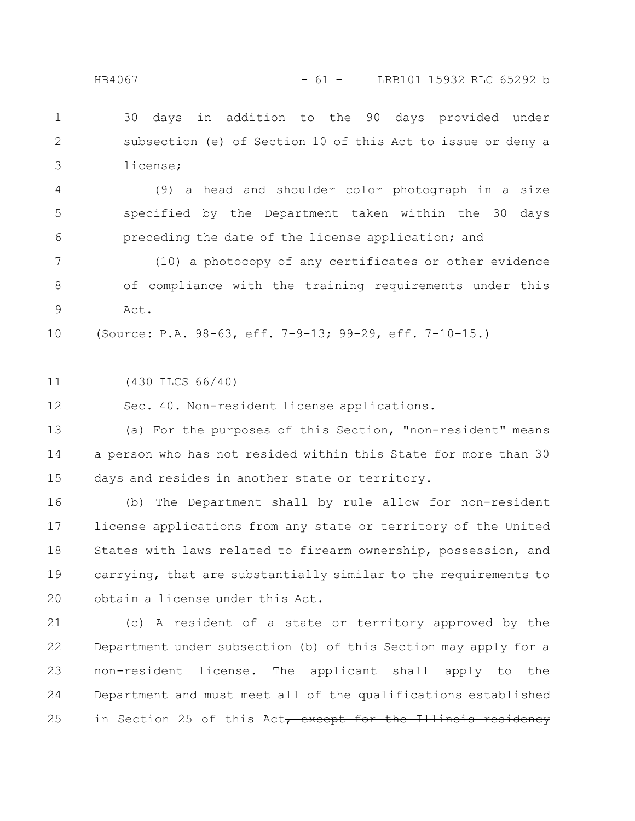### HB4067 - 61 - LRB101 15932 RLC 65292 b

30 days in addition to the 90 days provided under subsection (e) of Section 10 of this Act to issue or deny a license; 1 2 3

(9) a head and shoulder color photograph in a size specified by the Department taken within the 30 days preceding the date of the license application; and 4 5 6

(10) a photocopy of any certificates or other evidence of compliance with the training requirements under this Act. 7 8 9

(Source: P.A. 98-63, eff. 7-9-13; 99-29, eff. 7-10-15.) 10

(430 ILCS 66/40) 11

Sec. 40. Non-resident license applications. 12

(a) For the purposes of this Section, "non-resident" means a person who has not resided within this State for more than 30 days and resides in another state or territory. 13 14 15

(b) The Department shall by rule allow for non-resident license applications from any state or territory of the United States with laws related to firearm ownership, possession, and carrying, that are substantially similar to the requirements to obtain a license under this Act. 16 17 18 19 20

(c) A resident of a state or territory approved by the Department under subsection (b) of this Section may apply for a non-resident license. The applicant shall apply to the Department and must meet all of the qualifications established in Section 25 of this Act, except for the Illinois residency 21 22 23 24 25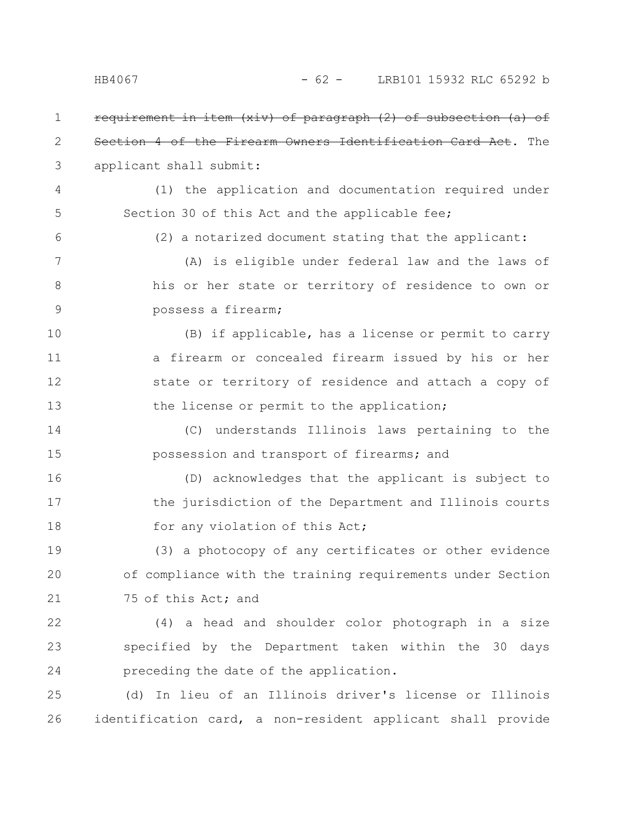requirement in item (xiv) of paragraph (2) of subsection (a) of Section 4 of the Firearm Owners Identification Card Act. The applicant shall submit: (1) the application and documentation required under Section 30 of this Act and the applicable fee; (2) a notarized document stating that the applicant: (A) is eligible under federal law and the laws of his or her state or territory of residence to own or possess a firearm; (B) if applicable, has a license or permit to carry a firearm or concealed firearm issued by his or her state or territory of residence and attach a copy of the license or permit to the application; (C) understands Illinois laws pertaining to the possession and transport of firearms; and (D) acknowledges that the applicant is subject to the jurisdiction of the Department and Illinois courts for any violation of this Act; (3) a photocopy of any certificates or other evidence of compliance with the training requirements under Section 75 of this Act; and (4) a head and shoulder color photograph in a size specified by the Department taken within the 30 days preceding the date of the application. (d) In lieu of an Illinois driver's license or Illinois identification card, a non-resident applicant shall provide 1 2 3 4 5 6 7 8 9 10 11 12 13 14 15 16 17 18 19 20 21 22 23 24 25 26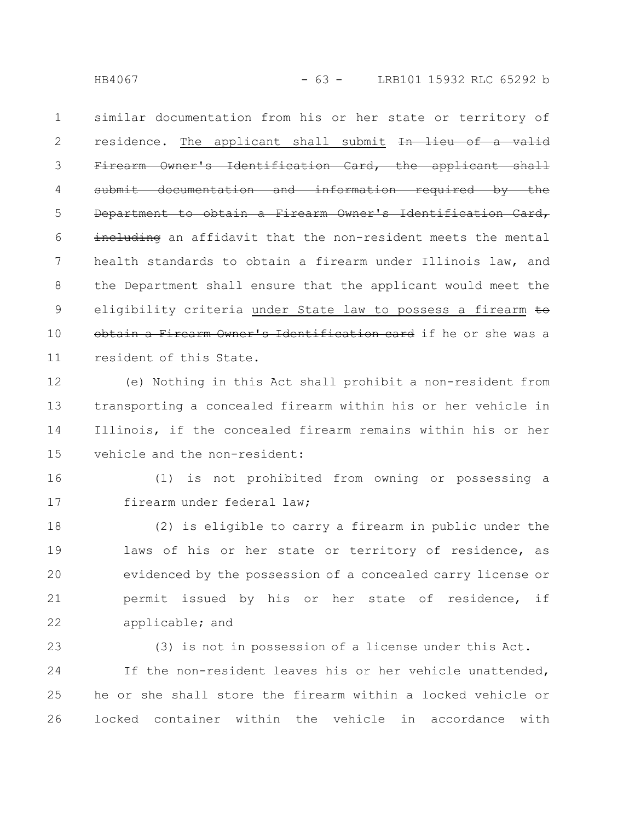HB4067 - 63 - LRB101 15932 RLC 65292 b

similar documentation from his or her state or territory of residence. The applicant shall submit In lieu of a valid Firearm Owner's Identification Card, the applicant shall submit documentation and information required by the Department to obtain a Firearm Owner's Identification Card, including an affidavit that the non-resident meets the mental health standards to obtain a firearm under Illinois law, and the Department shall ensure that the applicant would meet the eligibility criteria under State law to possess a firearm to obtain a Firearm Owner's Identification card if he or she was a resident of this State. 1 2 3 4 5 6 7 8 9 10 11

(e) Nothing in this Act shall prohibit a non-resident from transporting a concealed firearm within his or her vehicle in Illinois, if the concealed firearm remains within his or her vehicle and the non-resident: 12 13 14 15

16

17

(1) is not prohibited from owning or possessing a firearm under federal law;

(2) is eligible to carry a firearm in public under the laws of his or her state or territory of residence, as evidenced by the possession of a concealed carry license or permit issued by his or her state of residence, if applicable; and 18 19 20 21 22

(3) is not in possession of a license under this Act. If the non-resident leaves his or her vehicle unattended, he or she shall store the firearm within a locked vehicle or locked container within the vehicle in accordance with 23 24 25 26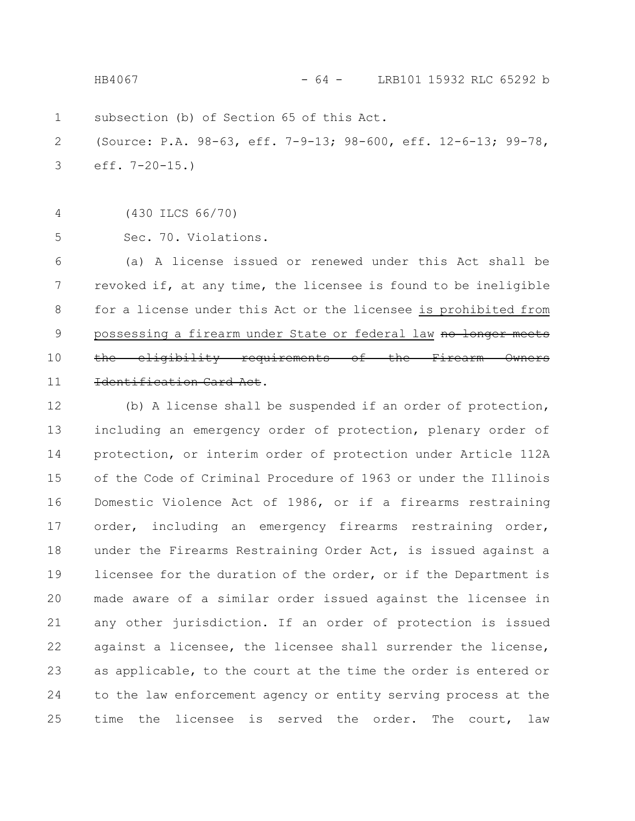subsection (b) of Section 65 of this Act. (Source: P.A. 98-63, eff. 7-9-13; 98-600, eff. 12-6-13; 99-78, eff. 7-20-15.) (430 ILCS 66/70) Sec. 70. Violations. 1 2 3 4 5 HB4067 - 64 - LRB101 15932 RLC 65292 b

(a) A license issued or renewed under this Act shall be revoked if, at any time, the licensee is found to be ineligible for a license under this Act or the licensee is prohibited from possessing a firearm under State or federal law no longer meets the eligibility requirements of the Firearm Owners Identification Card Act. 6 7 8 9 10 11

(b) A license shall be suspended if an order of protection, including an emergency order of protection, plenary order of protection, or interim order of protection under Article 112A of the Code of Criminal Procedure of 1963 or under the Illinois Domestic Violence Act of 1986, or if a firearms restraining order, including an emergency firearms restraining order, under the Firearms Restraining Order Act, is issued against a licensee for the duration of the order, or if the Department is made aware of a similar order issued against the licensee in any other jurisdiction. If an order of protection is issued against a licensee, the licensee shall surrender the license, as applicable, to the court at the time the order is entered or to the law enforcement agency or entity serving process at the time the licensee is served the order. The court, law 12 13 14 15 16 17 18 19 20 21 22 23 24 25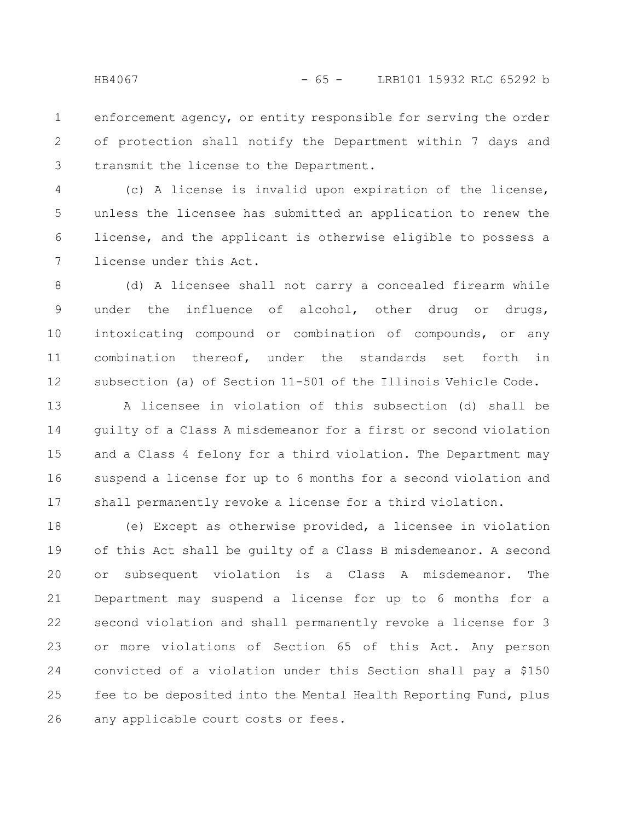enforcement agency, or entity responsible for serving the order of protection shall notify the Department within 7 days and transmit the license to the Department. 1 2 3

(c) A license is invalid upon expiration of the license, unless the licensee has submitted an application to renew the license, and the applicant is otherwise eligible to possess a license under this Act. 4 5 6 7

(d) A licensee shall not carry a concealed firearm while under the influence of alcohol, other drug or drugs, intoxicating compound or combination of compounds, or any combination thereof, under the standards set forth in subsection (a) of Section 11-501 of the Illinois Vehicle Code. 8 9 10 11 12

A licensee in violation of this subsection (d) shall be guilty of a Class A misdemeanor for a first or second violation and a Class 4 felony for a third violation. The Department may suspend a license for up to 6 months for a second violation and shall permanently revoke a license for a third violation. 13 14 15 16 17

(e) Except as otherwise provided, a licensee in violation of this Act shall be guilty of a Class B misdemeanor. A second or subsequent violation is a Class A misdemeanor. The Department may suspend a license for up to 6 months for a second violation and shall permanently revoke a license for 3 or more violations of Section 65 of this Act. Any person convicted of a violation under this Section shall pay a \$150 fee to be deposited into the Mental Health Reporting Fund, plus any applicable court costs or fees. 18 19 20 21 22 23 24 25 26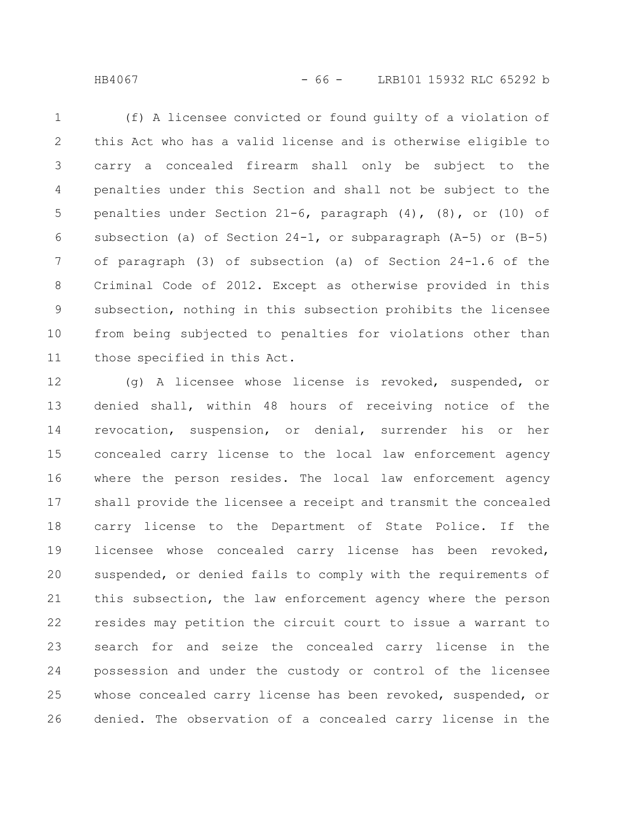HB4067 - 66 - LRB101 15932 RLC 65292 b

(f) A licensee convicted or found guilty of a violation of this Act who has a valid license and is otherwise eligible to carry a concealed firearm shall only be subject to the penalties under this Section and shall not be subject to the penalties under Section 21-6, paragraph (4), (8), or (10) of subsection (a) of Section 24-1, or subparagraph (A-5) or (B-5) of paragraph (3) of subsection (a) of Section 24-1.6 of the Criminal Code of 2012. Except as otherwise provided in this subsection, nothing in this subsection prohibits the licensee from being subjected to penalties for violations other than those specified in this Act. 1 2 3 4 5 6 7 8 9 10 11

(g) A licensee whose license is revoked, suspended, or denied shall, within 48 hours of receiving notice of the revocation, suspension, or denial, surrender his or her concealed carry license to the local law enforcement agency where the person resides. The local law enforcement agency shall provide the licensee a receipt and transmit the concealed carry license to the Department of State Police. If the licensee whose concealed carry license has been revoked, suspended, or denied fails to comply with the requirements of this subsection, the law enforcement agency where the person resides may petition the circuit court to issue a warrant to search for and seize the concealed carry license in the possession and under the custody or control of the licensee whose concealed carry license has been revoked, suspended, or denied. The observation of a concealed carry license in the 12 13 14 15 16 17 18 19 20 21 22 23 24 25 26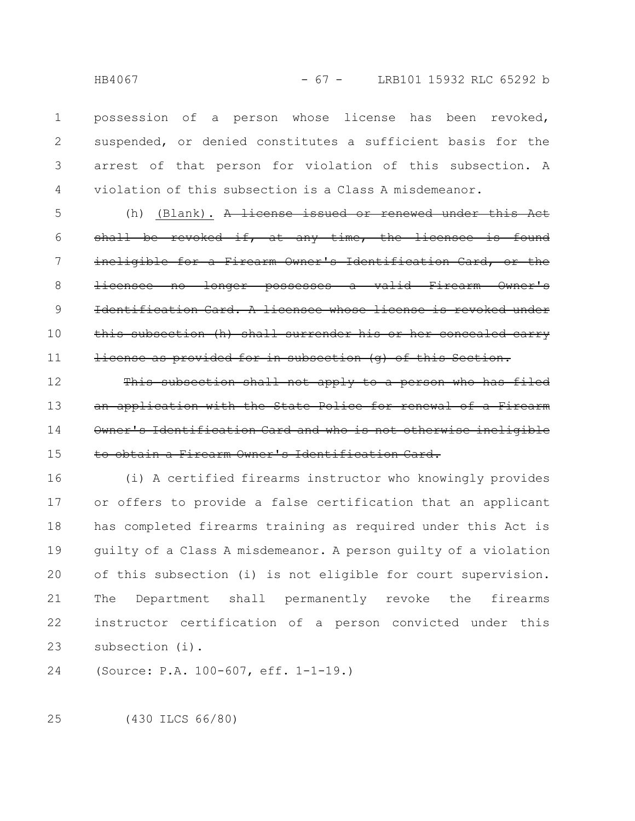possession of a person whose license has been revoked, suspended, or denied constitutes a sufficient basis for the arrest of that person for violation of this subsection. A violation of this subsection is a Class A misdemeanor. 1 2 3 4

(h) (Blank). A license issued or renewed under this Act shall be revoked if, at any time, the licensee is found ineligible for a Firearm Owner's Identification Card, no longer possesses a valid Firearm Identification Card. A licensee whose license is revoked under this subsection (h) shall surrender his or her concealed carry license as provided for in subsection (g) of this Section. 5 6 7 8 9 10 11

This subsection shall not apply to a person application with the State Police Owner's Identification Card and who is not otherwise ineligible to obtain a Firearm Owner's Identification Card. 12 13 14 15

(i) A certified firearms instructor who knowingly provides or offers to provide a false certification that an applicant has completed firearms training as required under this Act is guilty of a Class A misdemeanor. A person guilty of a violation of this subsection (i) is not eligible for court supervision. The Department shall permanently revoke the firearms instructor certification of a person convicted under this subsection (i). 16 17 18 19 20 21 22 23

(Source: P.A. 100-607, eff. 1-1-19.) 24

(430 ILCS 66/80) 25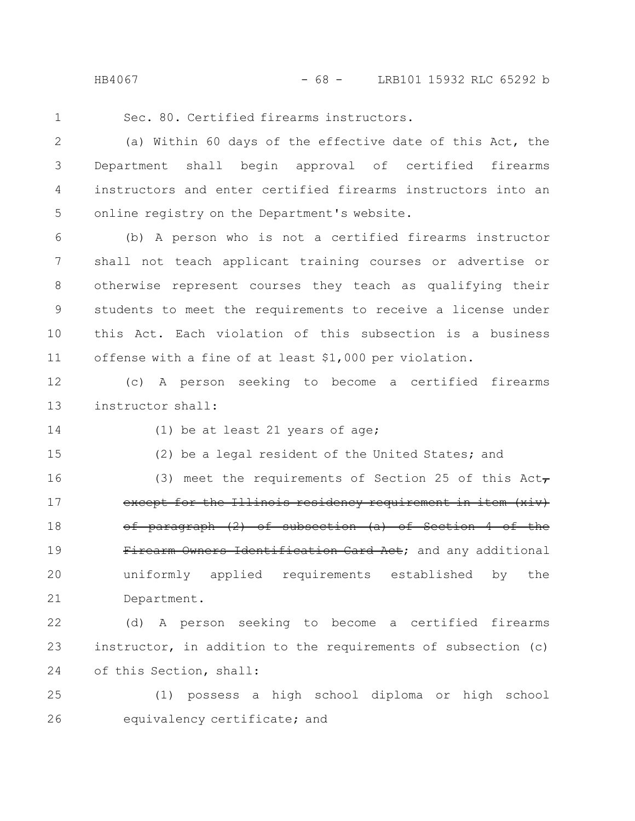HB4067 - 68 - LRB101 15932 RLC 65292 b

1

Sec. 80. Certified firearms instructors.

(a) Within 60 days of the effective date of this Act, the Department shall begin approval of certified firearms instructors and enter certified firearms instructors into an online registry on the Department's website. 2 3 4 5

(b) A person who is not a certified firearms instructor shall not teach applicant training courses or advertise or otherwise represent courses they teach as qualifying their students to meet the requirements to receive a license under this Act. Each violation of this subsection is a business offense with a fine of at least \$1,000 per violation. 6 7 8 9 10 11

(c) A person seeking to become a certified firearms instructor shall: 12 13

14

15

(1) be at least 21 years of age;

(2) be a legal resident of the United States; and

(3) meet the requirements of Section 25 of this  $Act_{\tau}$ except for the Illinois residency requirement in item (xiv) of paragraph (2) of subsection (a) of Section 4 of the Firearm Owners Identification Card Act; and any additional uniformly applied requirements established by the Department. 16 17 18 19 20 21

(d) A person seeking to become a certified firearms instructor, in addition to the requirements of subsection (c) of this Section, shall: 22 23 24

(1) possess a high school diploma or high school equivalency certificate; and 25 26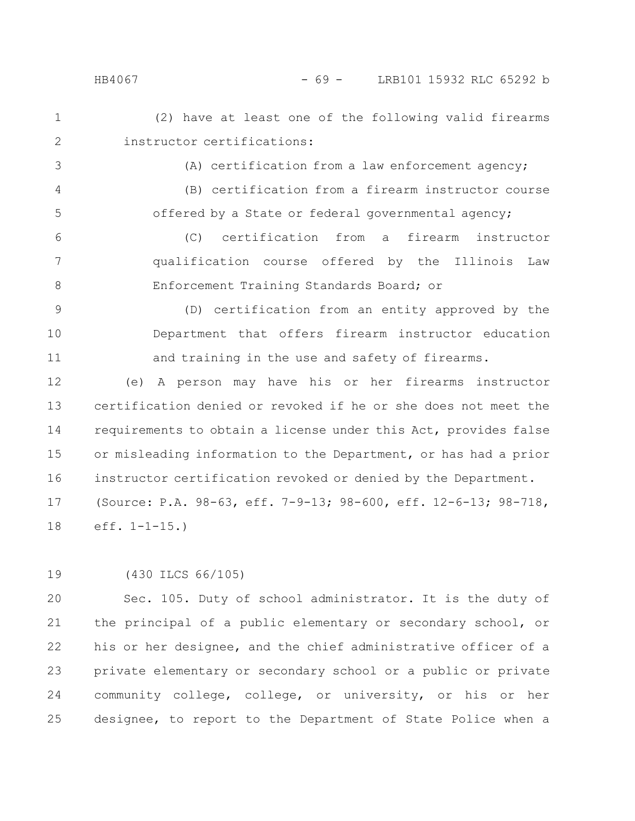1 2

3

4

5

(A) certification from a law enforcement agency;

instructor certifications:

(2) have at least one of the following valid firearms

(B) certification from a firearm instructor course offered by a State or federal governmental agency;

(C) certification from a firearm instructor qualification course offered by the Illinois Law Enforcement Training Standards Board; or 6 7 8

(D) certification from an entity approved by the Department that offers firearm instructor education and training in the use and safety of firearms. 9 10 11

(e) A person may have his or her firearms instructor certification denied or revoked if he or she does not meet the requirements to obtain a license under this Act, provides false or misleading information to the Department, or has had a prior instructor certification revoked or denied by the Department. (Source: P.A. 98-63, eff. 7-9-13; 98-600, eff. 12-6-13; 98-718, eff. 1-1-15.) 12 13 14 15 16 17 18

(430 ILCS 66/105) 19

Sec. 105. Duty of school administrator. It is the duty of the principal of a public elementary or secondary school, or his or her designee, and the chief administrative officer of a private elementary or secondary school or a public or private community college, college, or university, or his or her designee, to report to the Department of State Police when a 20 21 22 23 24 25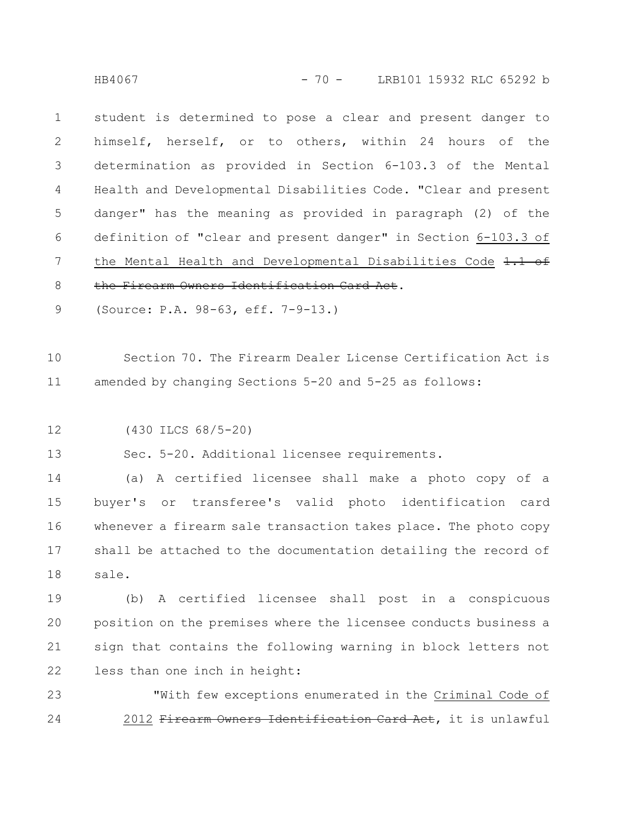HB4067 - 70 - LRB101 15932 RLC 65292 b

student is determined to pose a clear and present danger to himself, herself, or to others, within 24 hours of the determination as provided in Section 6-103.3 of the Mental Health and Developmental Disabilities Code. "Clear and present danger" has the meaning as provided in paragraph (2) of the definition of "clear and present danger" in Section 6-103.3 of the Mental Health and Developmental Disabilities Code 1.1 of the Firearm Owners Identification Card Act. 1 2 3 4 5 6 7 8

(Source: P.A. 98-63, eff. 7-9-13.) 9

Section 70. The Firearm Dealer License Certification Act is amended by changing Sections 5-20 and 5-25 as follows: 10 11

(430 ILCS 68/5-20) 12

Sec. 5-20. Additional licensee requirements. 13

(a) A certified licensee shall make a photo copy of a buyer's or transferee's valid photo identification card whenever a firearm sale transaction takes place. The photo copy shall be attached to the documentation detailing the record of sale. 14 15 16 17 18

(b) A certified licensee shall post in a conspicuous position on the premises where the licensee conducts business a sign that contains the following warning in block letters not less than one inch in height: 19 20 21 22

"With few exceptions enumerated in the Criminal Code of 2012 Firearm Owners Identification Card Act, it is unlawful 23 24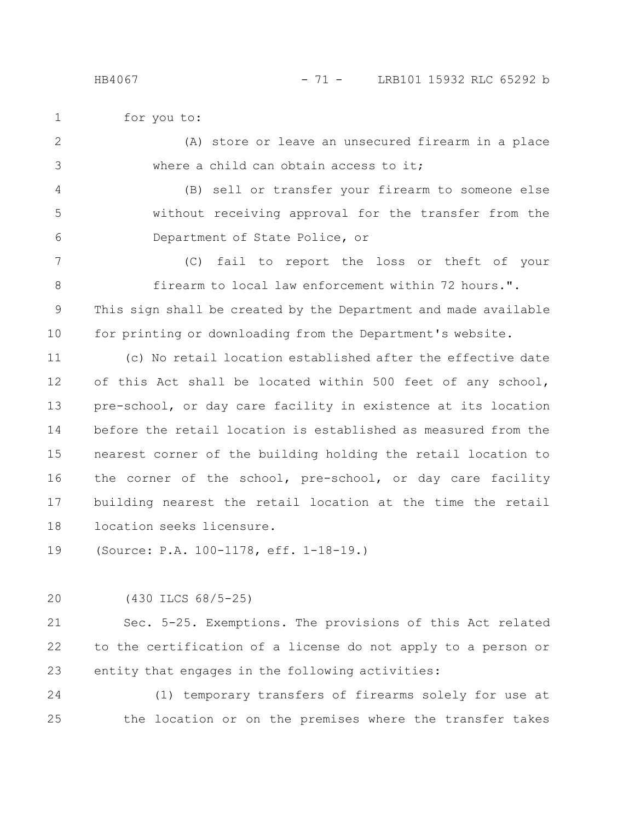for you to:

(A) store or leave an unsecured firearm in a place where a child can obtain access to it; 2 3

(B) sell or transfer your firearm to someone else without receiving approval for the transfer from the Department of State Police, or 4 5 6

(C) fail to report the loss or theft of your firearm to local law enforcement within 72 hours.". This sign shall be created by the Department and made available for printing or downloading from the Department's website. 7 8 9 10

(c) No retail location established after the effective date of this Act shall be located within 500 feet of any school, pre-school, or day care facility in existence at its location before the retail location is established as measured from the nearest corner of the building holding the retail location to the corner of the school, pre-school, or day care facility building nearest the retail location at the time the retail location seeks licensure. 11 12 13 14 15 16 17 18

(Source: P.A. 100-1178, eff. 1-18-19.) 19

(430 ILCS 68/5-25) 20

Sec. 5-25. Exemptions. The provisions of this Act related to the certification of a license do not apply to a person or entity that engages in the following activities: 21 22 23

(1) temporary transfers of firearms solely for use at the location or on the premises where the transfer takes 24 25

1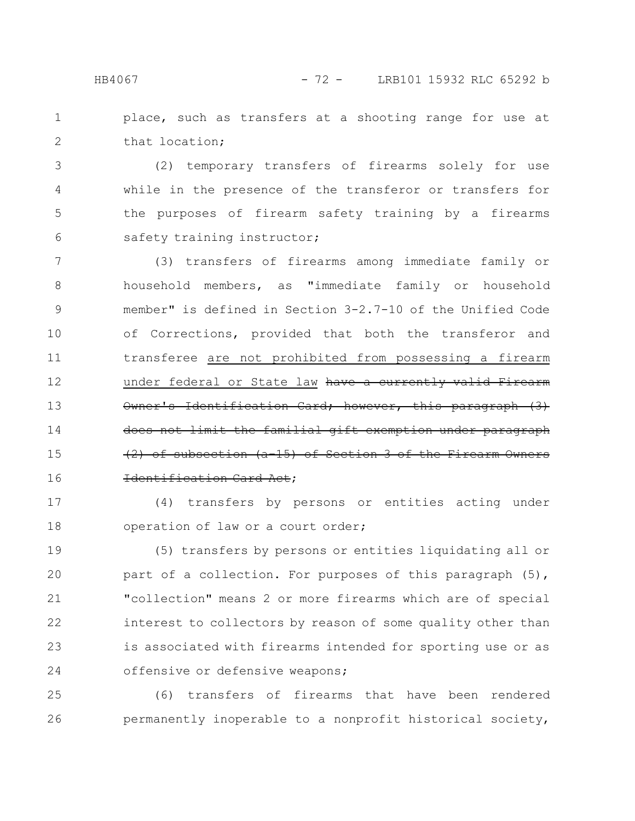place, such as transfers at a shooting range for use at that location; 1 2

(2) temporary transfers of firearms solely for use while in the presence of the transferor or transfers for the purposes of firearm safety training by a firearms safety training instructor; 3 4 5 6

(3) transfers of firearms among immediate family or household members, as "immediate family or household member" is defined in Section 3-2.7-10 of the Unified Code of Corrections, provided that both the transferor and transferee are not prohibited from possessing a firearm under federal or State law have a currently valid Firearm Owner's Identification Card; however, this paragraph (3) does not limit the familial gift exemption under paragraph  $(2)$  of subsection  $(a-15)$  of Section 3 of the Identification Card Act; 7 8 9 10 11 12 13 14 15 16

(4) transfers by persons or entities acting under operation of law or a court order; 17 18

(5) transfers by persons or entities liquidating all or part of a collection. For purposes of this paragraph (5), "collection" means 2 or more firearms which are of special interest to collectors by reason of some quality other than is associated with firearms intended for sporting use or as offensive or defensive weapons; 19 20 21 22 23 24

(6) transfers of firearms that have been rendered permanently inoperable to a nonprofit historical society, 25 26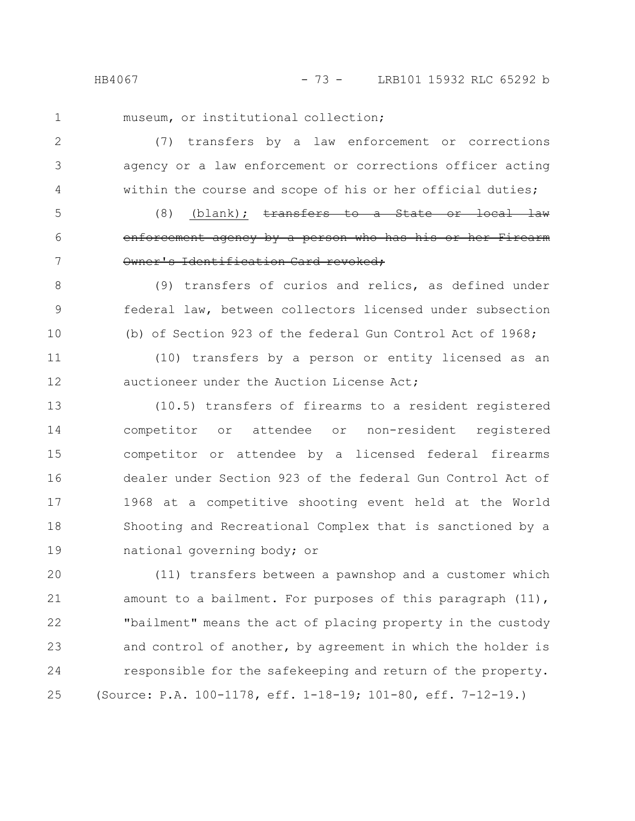HB4067 - 73 - LRB101 15932 RLC 65292 b

1

5

6

7

museum, or institutional collection;

(7) transfers by a law enforcement or corrections agency or a law enforcement or corrections officer acting within the course and scope of his or her official duties; 2 3 4

 $(8)$  (blank); transfers to a State or local law enforcement agency by a person who has his or her Owner's Identification Card revoked;

(9) transfers of curios and relics, as defined under federal law, between collectors licensed under subsection (b) of Section 923 of the federal Gun Control Act of 1968; 8 9 10

(10) transfers by a person or entity licensed as an auctioneer under the Auction License Act; 11 12

(10.5) transfers of firearms to a resident registered competitor or attendee or non-resident registered competitor or attendee by a licensed federal firearms dealer under Section 923 of the federal Gun Control Act of 1968 at a competitive shooting event held at the World Shooting and Recreational Complex that is sanctioned by a national governing body; or 13 14 15 16 17 18 19

(11) transfers between a pawnshop and a customer which amount to a bailment. For purposes of this paragraph (11), "bailment" means the act of placing property in the custody and control of another, by agreement in which the holder is responsible for the safekeeping and return of the property. (Source: P.A. 100-1178, eff. 1-18-19; 101-80, eff. 7-12-19.) 20 21 22 23 24 25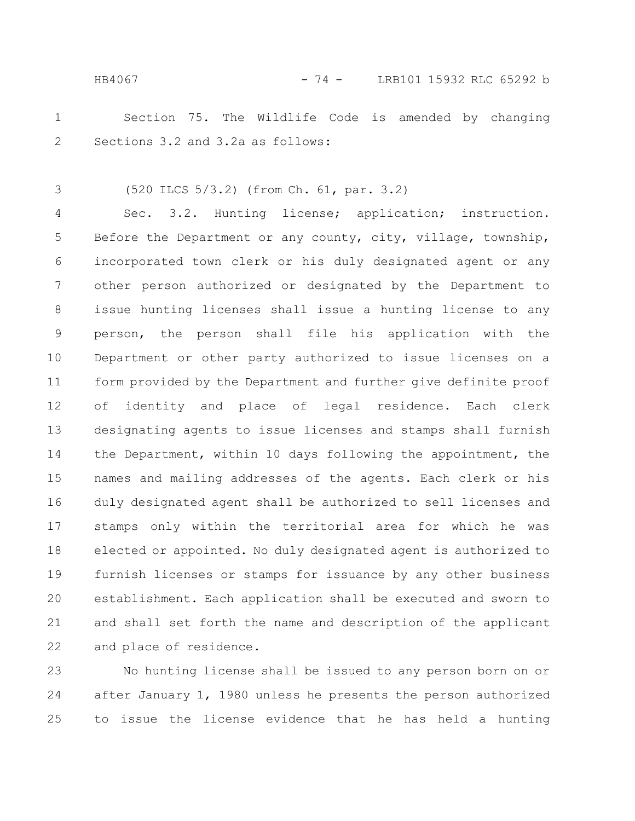Section 75. The Wildlife Code is amended by changing Sections 3.2 and 3.2a as follows: 1 2

(520 ILCS 5/3.2) (from Ch. 61, par. 3.2) 3

Sec. 3.2. Hunting license; application; instruction. Before the Department or any county, city, village, township, incorporated town clerk or his duly designated agent or any other person authorized or designated by the Department to issue hunting licenses shall issue a hunting license to any person, the person shall file his application with the Department or other party authorized to issue licenses on a form provided by the Department and further give definite proof of identity and place of legal residence. Each clerk designating agents to issue licenses and stamps shall furnish the Department, within 10 days following the appointment, the names and mailing addresses of the agents. Each clerk or his duly designated agent shall be authorized to sell licenses and stamps only within the territorial area for which he was elected or appointed. No duly designated agent is authorized to furnish licenses or stamps for issuance by any other business establishment. Each application shall be executed and sworn to and shall set forth the name and description of the applicant and place of residence. 4 5 6 7 8 9 10 11 12 13 14 15 16 17 18 19 20 21 22

No hunting license shall be issued to any person born on or after January 1, 1980 unless he presents the person authorized to issue the license evidence that he has held a hunting 23 24 25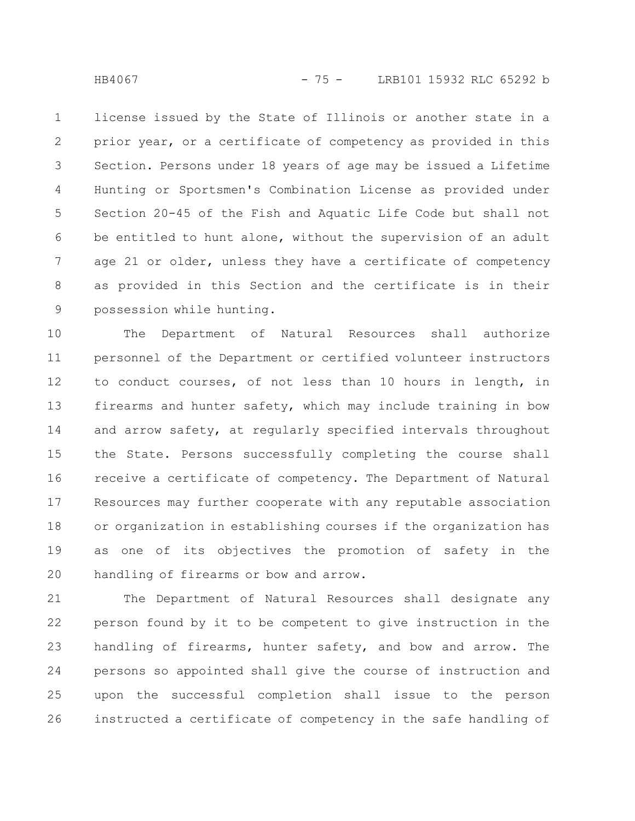license issued by the State of Illinois or another state in a prior year, or a certificate of competency as provided in this Section. Persons under 18 years of age may be issued a Lifetime Hunting or Sportsmen's Combination License as provided under Section 20-45 of the Fish and Aquatic Life Code but shall not be entitled to hunt alone, without the supervision of an adult age 21 or older, unless they have a certificate of competency as provided in this Section and the certificate is in their possession while hunting. 1 2 3 4 5 6 7 8 9

The Department of Natural Resources shall authorize personnel of the Department or certified volunteer instructors to conduct courses, of not less than 10 hours in length, in firearms and hunter safety, which may include training in bow and arrow safety, at regularly specified intervals throughout the State. Persons successfully completing the course shall receive a certificate of competency. The Department of Natural Resources may further cooperate with any reputable association or organization in establishing courses if the organization has as one of its objectives the promotion of safety in the handling of firearms or bow and arrow. 10 11 12 13 14 15 16 17 18 19 20

The Department of Natural Resources shall designate any person found by it to be competent to give instruction in the handling of firearms, hunter safety, and bow and arrow. The persons so appointed shall give the course of instruction and upon the successful completion shall issue to the person instructed a certificate of competency in the safe handling of 21 22 23 24 25 26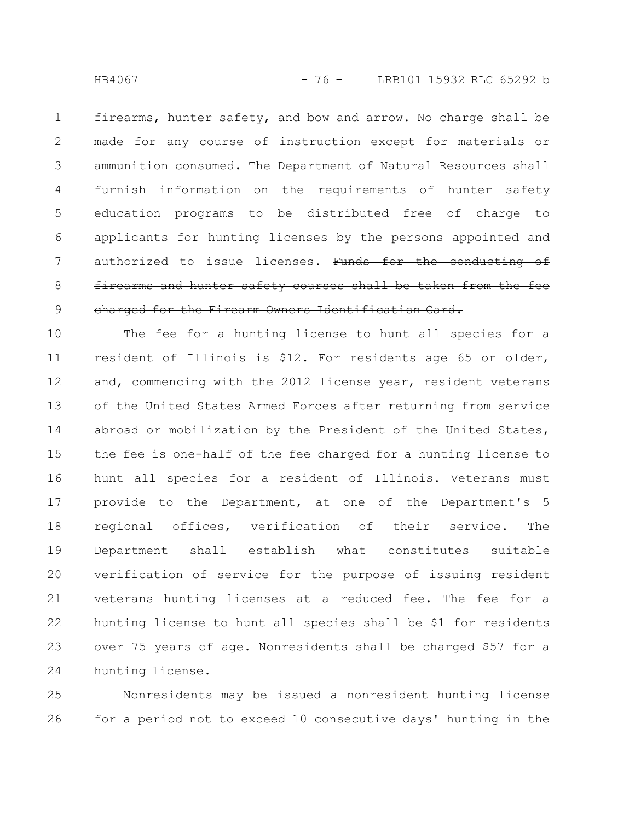firearms, hunter safety, and bow and arrow. No charge shall be made for any course of instruction except for materials or ammunition consumed. The Department of Natural Resources shall furnish information on the requirements of hunter safety education programs to be distributed free of charge to applicants for hunting licenses by the persons appointed and authorized to issue licenses. Funds for the conducting of firearms and hunter safety courses shall be taken from the charged for the Firearm Owners Identification Card. 1 2 3 4 5 6 7 8 9

The fee for a hunting license to hunt all species for a resident of Illinois is \$12. For residents age 65 or older, and, commencing with the 2012 license year, resident veterans of the United States Armed Forces after returning from service abroad or mobilization by the President of the United States, the fee is one-half of the fee charged for a hunting license to hunt all species for a resident of Illinois. Veterans must provide to the Department, at one of the Department's 5 regional offices, verification of their service. The Department shall establish what constitutes suitable verification of service for the purpose of issuing resident veterans hunting licenses at a reduced fee. The fee for a hunting license to hunt all species shall be \$1 for residents over 75 years of age. Nonresidents shall be charged \$57 for a hunting license. 10 11 12 13 14 15 16 17 18 19 20 21 22 23 24

Nonresidents may be issued a nonresident hunting license for a period not to exceed 10 consecutive days' hunting in the 25 26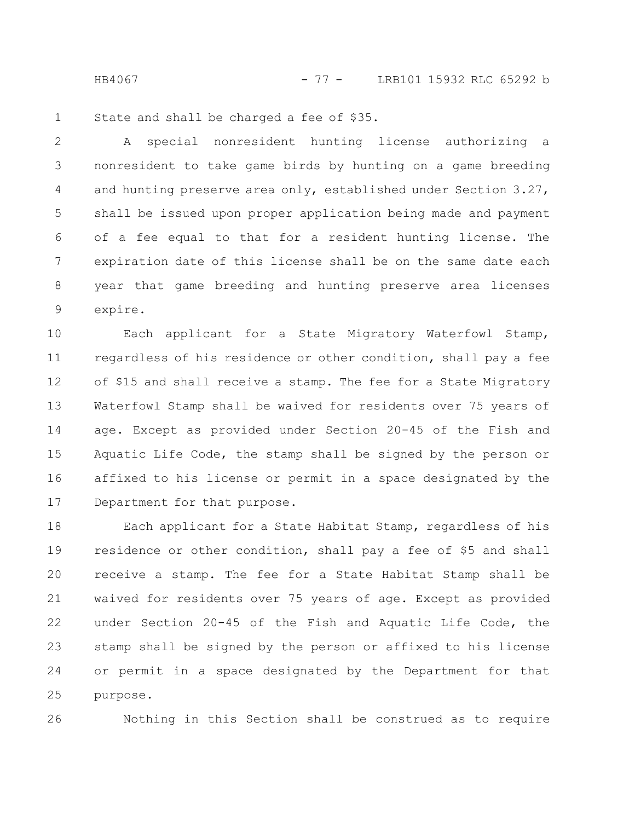HB4067 - 77 - LRB101 15932 RLC 65292 b

State and shall be charged a fee of \$35. 1

A special nonresident hunting license authorizing a nonresident to take game birds by hunting on a game breeding and hunting preserve area only, established under Section 3.27, shall be issued upon proper application being made and payment of a fee equal to that for a resident hunting license. The expiration date of this license shall be on the same date each year that game breeding and hunting preserve area licenses expire. 2 3 4 5 6 7 8 9

Each applicant for a State Migratory Waterfowl Stamp, regardless of his residence or other condition, shall pay a fee of \$15 and shall receive a stamp. The fee for a State Migratory Waterfowl Stamp shall be waived for residents over 75 years of age. Except as provided under Section 20-45 of the Fish and Aquatic Life Code, the stamp shall be signed by the person or affixed to his license or permit in a space designated by the Department for that purpose. 10 11 12 13 14 15 16 17

Each applicant for a State Habitat Stamp, regardless of his residence or other condition, shall pay a fee of \$5 and shall receive a stamp. The fee for a State Habitat Stamp shall be waived for residents over 75 years of age. Except as provided under Section 20-45 of the Fish and Aquatic Life Code, the stamp shall be signed by the person or affixed to his license or permit in a space designated by the Department for that purpose. 18 19 20 21 22 23 24 25

26

Nothing in this Section shall be construed as to require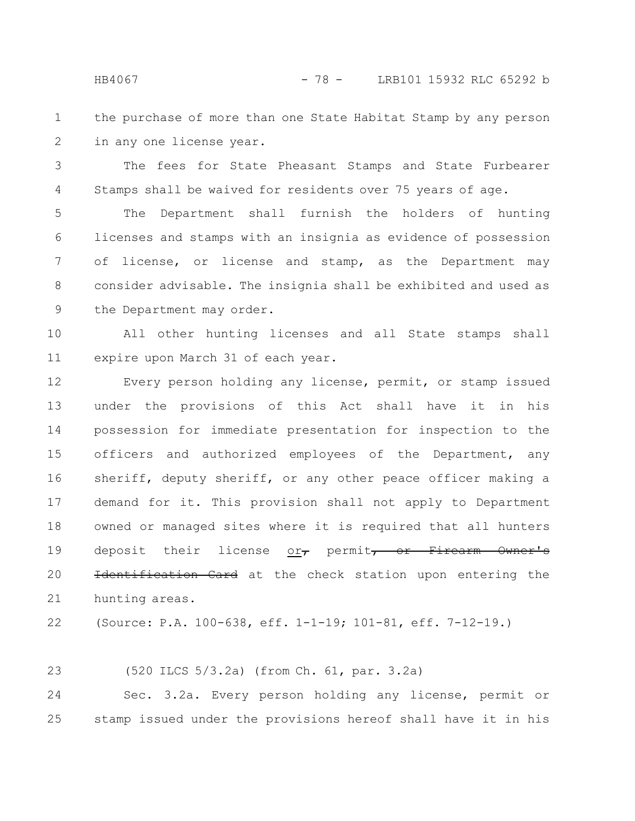- the purchase of more than one State Habitat Stamp by any person in any one license year. 1 2
- The fees for State Pheasant Stamps and State Furbearer Stamps shall be waived for residents over 75 years of age. 3 4

The Department shall furnish the holders of hunting licenses and stamps with an insignia as evidence of possession of license, or license and stamp, as the Department may consider advisable. The insignia shall be exhibited and used as the Department may order. 5 6 7 8 9

All other hunting licenses and all State stamps shall expire upon March 31 of each year. 10 11

Every person holding any license, permit, or stamp issued under the provisions of this Act shall have it in his possession for immediate presentation for inspection to the officers and authorized employees of the Department, any sheriff, deputy sheriff, or any other peace officer making a demand for it. This provision shall not apply to Department owned or managed sites where it is required that all hunters deposit their license or, permit, or Firearm Owner's Identification Card at the check station upon entering the hunting areas. 12 13 14 15 16 17 18 19 20 21

(Source: P.A. 100-638, eff. 1-1-19; 101-81, eff. 7-12-19.) 22

(520 ILCS 5/3.2a) (from Ch. 61, par. 3.2a) 23

Sec. 3.2a. Every person holding any license, permit or stamp issued under the provisions hereof shall have it in his 24 25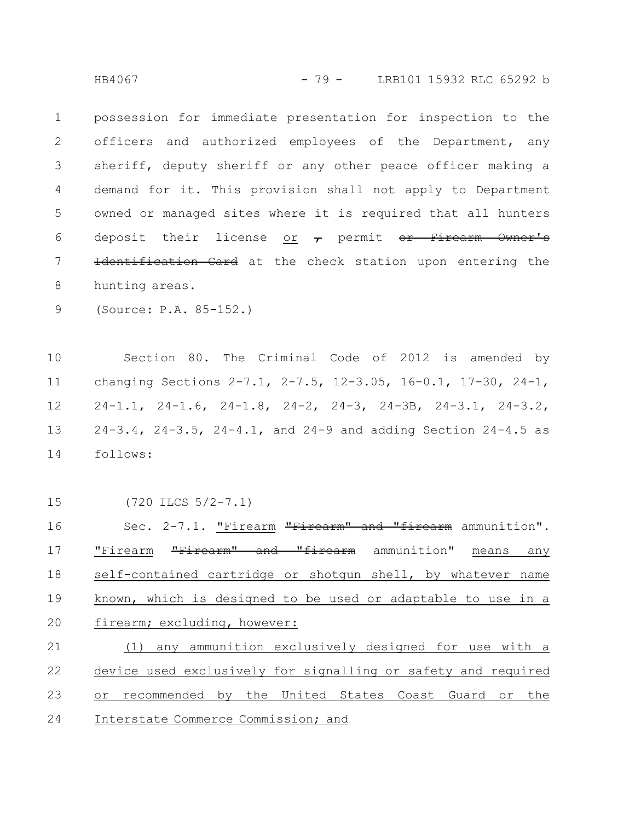HB4067 - 79 - LRB101 15932 RLC 65292 b

possession for immediate presentation for inspection to the officers and authorized employees of the Department, any sheriff, deputy sheriff or any other peace officer making a demand for it. This provision shall not apply to Department owned or managed sites where it is required that all hunters deposit their license or  $\tau$  permit or Firearm Owner's Identification Card at the check station upon entering the hunting areas. 1 2 3 4 5 6 7 8

(Source: P.A. 85-152.) 9

Section 80. The Criminal Code of 2012 is amended by changing Sections 2-7.1, 2-7.5, 12-3.05, 16-0.1, 17-30, 24-1, 24-1.1, 24-1.6, 24-1.8, 24-2, 24-3, 24-3B, 24-3.1, 24-3.2, 24-3.4, 24-3.5, 24-4.1, and 24-9 and adding Section 24-4.5 as follows: 10 11 12 13 14

15

(720 ILCS 5/2-7.1)

Sec. 2-7.1. "Firearm "Firearm" and "firearm ammunition". "Firearm "Firearm" and "firearm ammunition" means any self-contained cartridge or shotgun shell, by whatever name known, which is designed to be used or adaptable to use in a firearm; excluding, however: 16 17 18 19 20

(1) any ammunition exclusively designed for use with a device used exclusively for signalling or safety and required or recommended by the United States Coast Guard or the Interstate Commerce Commission; and 21 22 23 24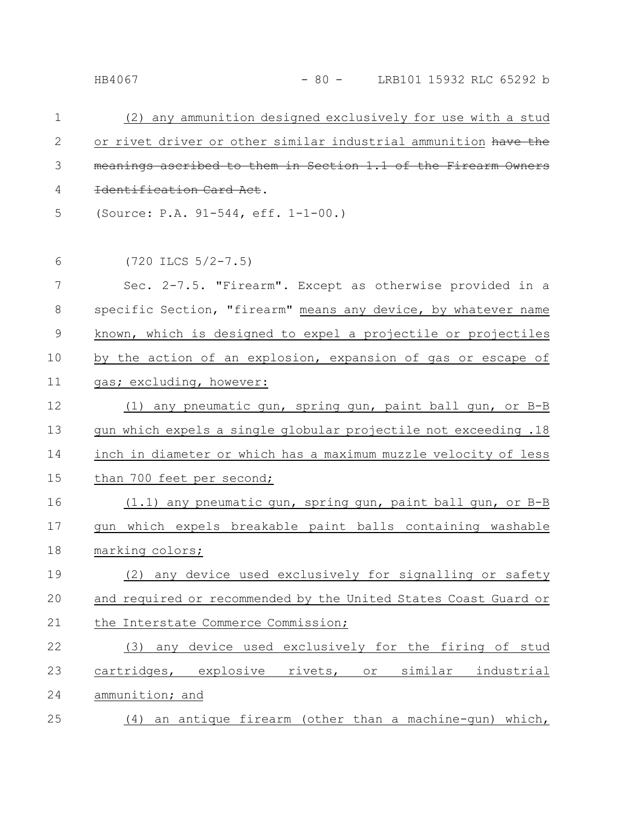| $\mathbf 1$  | (2) any ammunition designed exclusively for use with a stud     |
|--------------|-----------------------------------------------------------------|
| $\mathbf{2}$ | or rivet driver or other similar industrial ammunition have the |
| 3            | meanings ascribed to them in Section 1.1 of the Firearm         |
| 4            | Identification Card Act.                                        |
| 5            | (Source: P.A. 91-544, eff. 1-1-00.)                             |
| 6            | $(720$ ILCS $5/2-7.5)$                                          |
|              |                                                                 |
| 7            | Sec. 2-7.5. "Firearm". Except as otherwise provided in a        |
| 8            | specific Section, "firearm" means any device, by whatever name  |
| 9            | known, which is designed to expel a projectile or projectiles   |
| 10           | by the action of an explosion, expansion of gas or escape of    |
| 11           | gas; excluding, however:                                        |
| 12           | (1) any pneumatic gun, spring gun, paint ball gun, or B-B       |
| 13           | gun which expels a single globular projectile not exceeding .18 |
| 14           | inch in diameter or which has a maximum muzzle velocity of less |
| 15           | than 700 feet per second;                                       |
| 16           | (1.1) any pneumatic gun, spring gun, paint ball gun, or B-B     |
| 17           | gun which expels breakable paint balls containing washable      |
| 18           | marking colors;                                                 |
| 19           | (2) any device used exclusively for signalling or safety        |
| 20           | and required or recommended by the United States Coast Guard or |
| 21           | the Interstate Commerce Commission;                             |
| 22           | (3) any device used exclusively for the firing of stud          |
| 23           | cartridges, explosive rivets, or similar industrial             |
| 24           | ammunition; and                                                 |
| 25           | (4) an antique firearm (other than a machine-qun) which,        |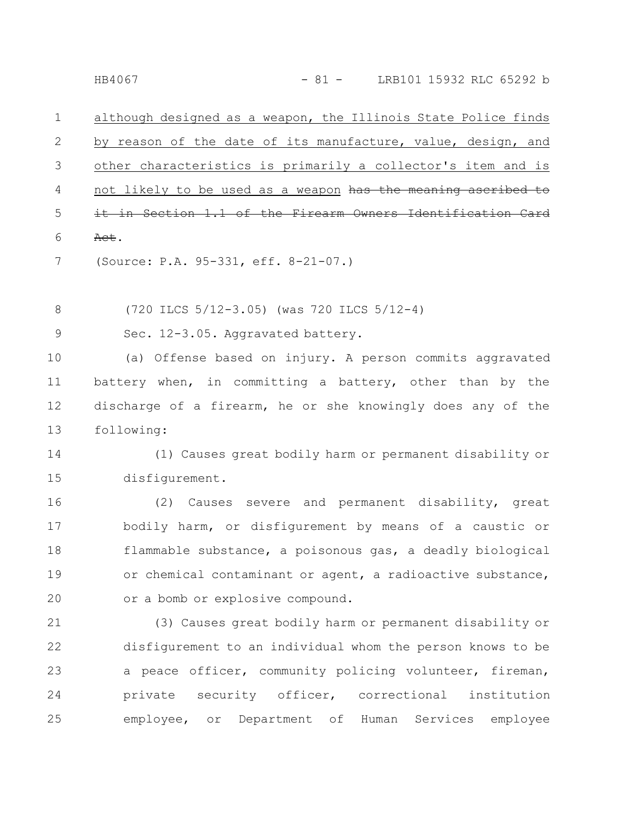although designed as a weapon, the Illinois State Police finds by reason of the date of its manufacture, value, design, and other characteristics is primarily a collector's item and is not likely to be used as a weapon has the meaning it in Section 1.1 of the Firearm Owners Identification Act. 1 2 3 4 5 6

(Source: P.A. 95-331, eff. 8-21-07.) 7

(720 ILCS 5/12-3.05) (was 720 ILCS 5/12-4) 8

Sec. 12-3.05. Aggravated battery. 9

(a) Offense based on injury. A person commits aggravated battery when, in committing a battery, other than by the discharge of a firearm, he or she knowingly does any of the following: 10 11 12 13

(1) Causes great bodily harm or permanent disability or disfigurement. 14 15

(2) Causes severe and permanent disability, great bodily harm, or disfigurement by means of a caustic or flammable substance, a poisonous gas, a deadly biological or chemical contaminant or agent, a radioactive substance, or a bomb or explosive compound. 16 17 18 19 20

(3) Causes great bodily harm or permanent disability or disfigurement to an individual whom the person knows to be a peace officer, community policing volunteer, fireman, private security officer, correctional institution employee, or Department of Human Services employee 21 22 23 24 25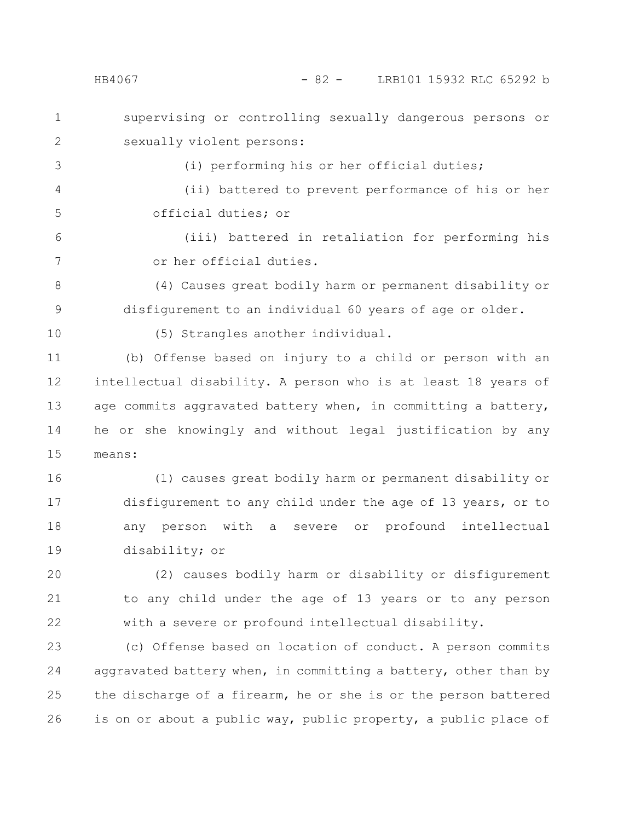## HB4067 - 82 - LRB101 15932 RLC 65292 b

supervising or controlling sexually dangerous persons or sexually violent persons: 1 2

3

5

(i) performing his or her official duties;

(ii) battered to prevent performance of his or her official duties; or 4

(iii) battered in retaliation for performing his or her official duties. 6 7

(4) Causes great bodily harm or permanent disability or disfigurement to an individual 60 years of age or older. 8 9

10

(5) Strangles another individual.

(b) Offense based on injury to a child or person with an intellectual disability. A person who is at least 18 years of age commits aggravated battery when, in committing a battery, he or she knowingly and without legal justification by any means: 11 12 13 14 15

(1) causes great bodily harm or permanent disability or disfigurement to any child under the age of 13 years, or to any person with a severe or profound intellectual disability; or 16 17 18 19

(2) causes bodily harm or disability or disfigurement to any child under the age of 13 years or to any person with a severe or profound intellectual disability. 20 21 22

(c) Offense based on location of conduct. A person commits aggravated battery when, in committing a battery, other than by the discharge of a firearm, he or she is or the person battered is on or about a public way, public property, a public place of 23 24 25 26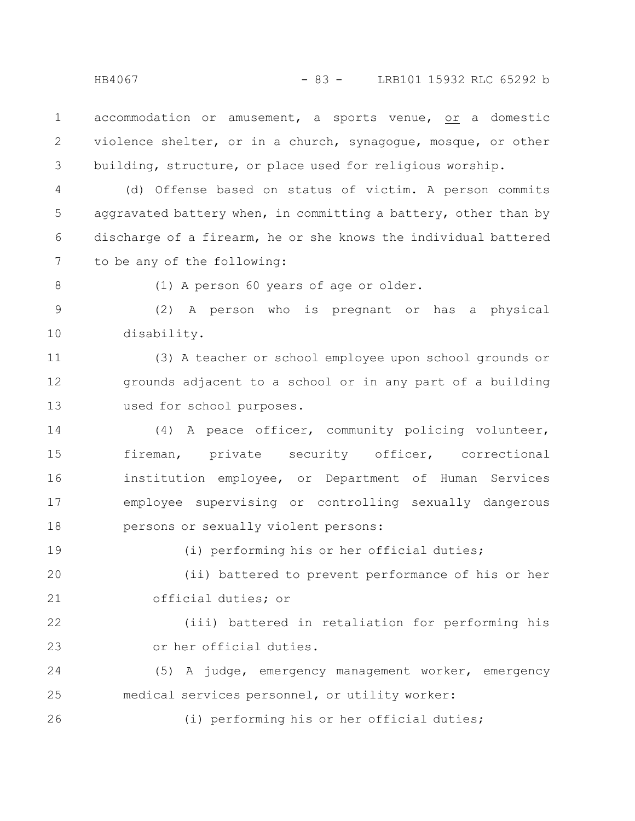accommodation or amusement, a sports venue, or a domestic violence shelter, or in a church, synagogue, mosque, or other building, structure, or place used for religious worship. 1 2 3

(d) Offense based on status of victim. A person commits aggravated battery when, in committing a battery, other than by discharge of a firearm, he or she knows the individual battered to be any of the following: 4 5 6 7

8

19

(1) A person 60 years of age or older.

(2) A person who is pregnant or has a physical disability. 9 10

(3) A teacher or school employee upon school grounds or grounds adjacent to a school or in any part of a building used for school purposes. 11 12 13

(4) A peace officer, community policing volunteer, fireman, private security officer, correctional institution employee, or Department of Human Services employee supervising or controlling sexually dangerous persons or sexually violent persons: 14 15 16 17 18

(i) performing his or her official duties;

(ii) battered to prevent performance of his or her official duties; or 20 21

(iii) battered in retaliation for performing his or her official duties. 22 23

(5) A judge, emergency management worker, emergency medical services personnel, or utility worker: 24 25

(i) performing his or her official duties; 26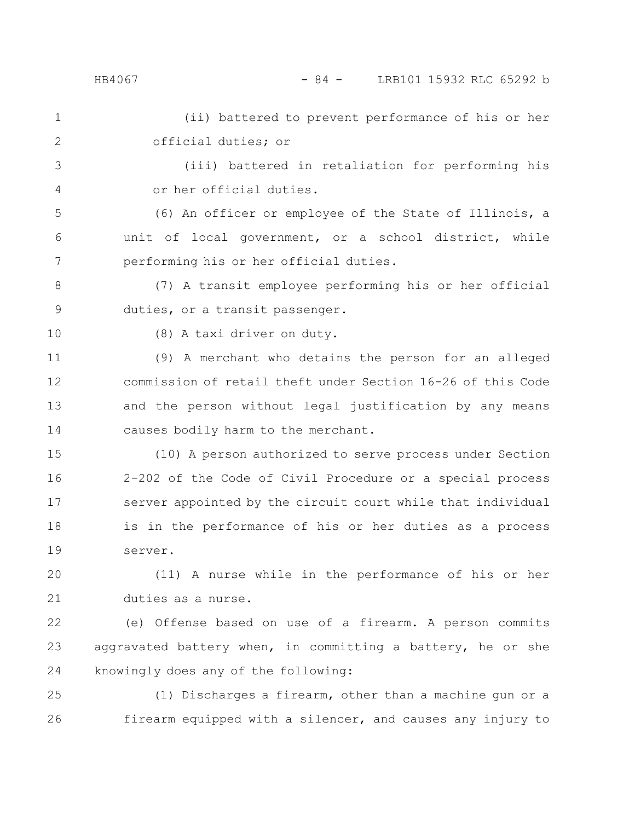## HB4067 - 84 - LRB101 15932 RLC 65292 b

(ii) battered to prevent performance of his or her official duties; or 1 2

(iii) battered in retaliation for performing his or her official duties. 3 4

(6) An officer or employee of the State of Illinois, a unit of local government, or a school district, while performing his or her official duties. 5 6 7

(7) A transit employee performing his or her official duties, or a transit passenger. 8 9

10

(8) A taxi driver on duty.

(9) A merchant who detains the person for an alleged commission of retail theft under Section 16-26 of this Code and the person without legal justification by any means causes bodily harm to the merchant. 11 12 13 14

(10) A person authorized to serve process under Section 2-202 of the Code of Civil Procedure or a special process server appointed by the circuit court while that individual is in the performance of his or her duties as a process server. 15 16 17 18 19

(11) A nurse while in the performance of his or her duties as a nurse. 20 21

(e) Offense based on use of a firearm. A person commits aggravated battery when, in committing a battery, he or she knowingly does any of the following: 22 23 24

(1) Discharges a firearm, other than a machine gun or a firearm equipped with a silencer, and causes any injury to 25 26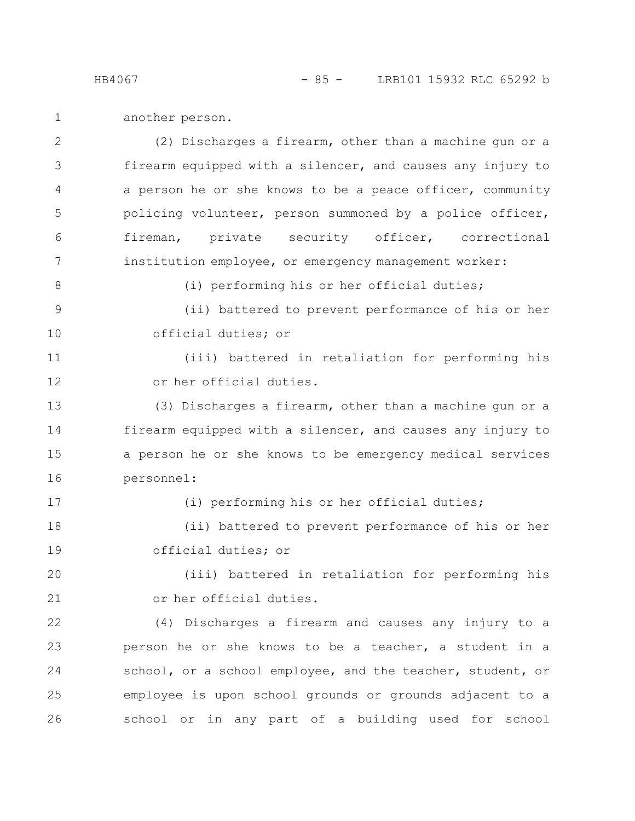another person. 1

(2) Discharges a firearm, other than a machine gun or a firearm equipped with a silencer, and causes any injury to a person he or she knows to be a peace officer, community policing volunteer, person summoned by a police officer, fireman, private security officer, correctional institution employee, or emergency management worker: (i) performing his or her official duties; (ii) battered to prevent performance of his or her official duties; or (iii) battered in retaliation for performing his or her official duties. (3) Discharges a firearm, other than a machine gun or a firearm equipped with a silencer, and causes any injury to a person he or she knows to be emergency medical services personnel: (i) performing his or her official duties; (ii) battered to prevent performance of his or her official duties; or (iii) battered in retaliation for performing his or her official duties. (4) Discharges a firearm and causes any injury to a person he or she knows to be a teacher, a student in a school, or a school employee, and the teacher, student, or employee is upon school grounds or grounds adjacent to a 2 3 4 5 6 7 8 9 10 11 12 13 14 15 16 17 18 19 20 21 22 23 24 25

school or in any part of a building used for school

26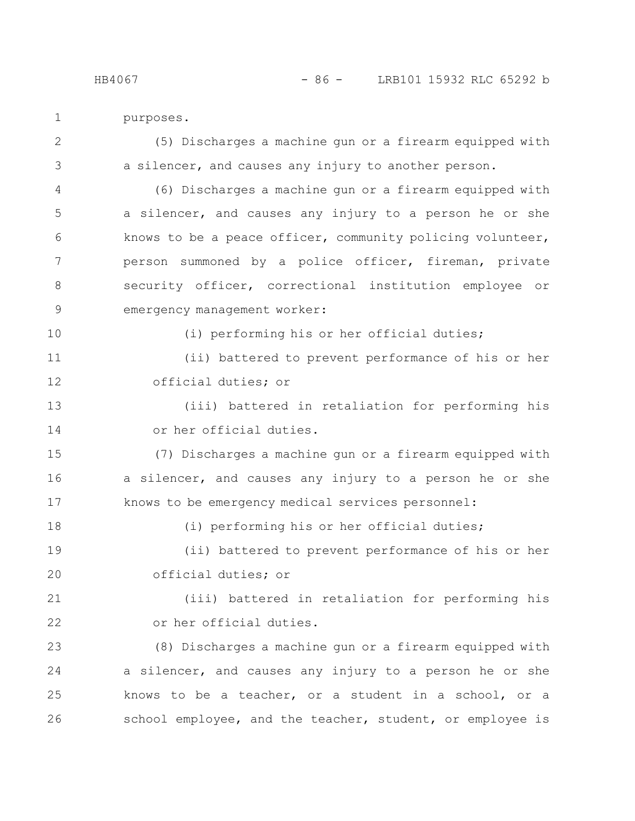purposes. 1

(5) Discharges a machine gun or a firearm equipped with a silencer, and causes any injury to another person. 2 3

(6) Discharges a machine gun or a firearm equipped with a silencer, and causes any injury to a person he or she knows to be a peace officer, community policing volunteer, person summoned by a police officer, fireman, private security officer, correctional institution employee or emergency management worker: 4 5 6 7 8 9

10

18

(i) performing his or her official duties;

(i) performing his or her official duties;

(ii) battered to prevent performance of his or her official duties; or 11 12

(iii) battered in retaliation for performing his or her official duties. 13 14

(7) Discharges a machine gun or a firearm equipped with a silencer, and causes any injury to a person he or she knows to be emergency medical services personnel: 15 16 17

(ii) battered to prevent performance of his or her official duties; or 19 20

(iii) battered in retaliation for performing his or her official duties. 21 22

(8) Discharges a machine gun or a firearm equipped with a silencer, and causes any injury to a person he or she knows to be a teacher, or a student in a school, or a school employee, and the teacher, student, or employee is 23 24 25 26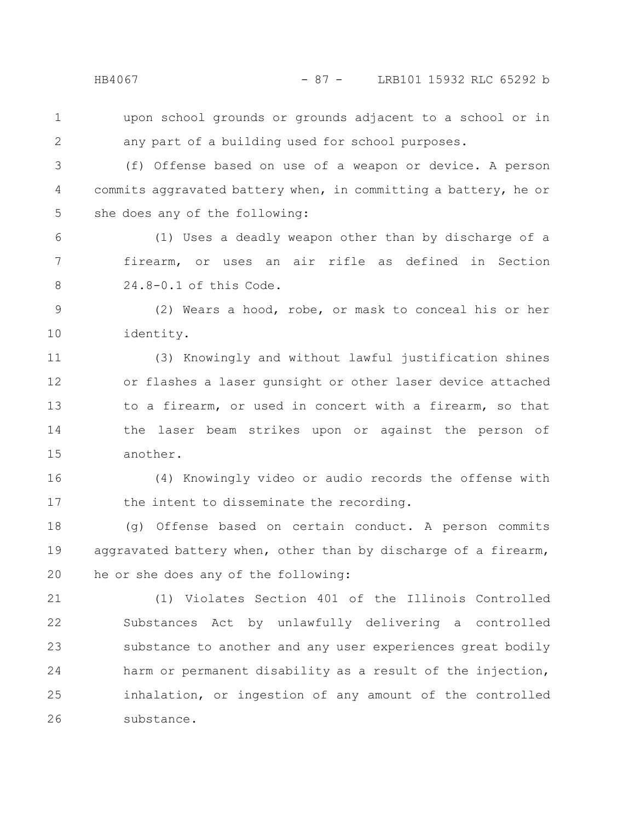1

2

upon school grounds or grounds adjacent to a school or in any part of a building used for school purposes.

(f) Offense based on use of a weapon or device. A person commits aggravated battery when, in committing a battery, he or she does any of the following: 3 4 5

(1) Uses a deadly weapon other than by discharge of a firearm, or uses an air rifle as defined in Section 24.8-0.1 of this Code. 6 7 8

(2) Wears a hood, robe, or mask to conceal his or her identity. 9 10

(3) Knowingly and without lawful justification shines or flashes a laser gunsight or other laser device attached to a firearm, or used in concert with a firearm, so that the laser beam strikes upon or against the person of another. 11 12 13 14 15

(4) Knowingly video or audio records the offense with the intent to disseminate the recording. 16 17

(g) Offense based on certain conduct. A person commits aggravated battery when, other than by discharge of a firearm, he or she does any of the following: 18 19 20

(1) Violates Section 401 of the Illinois Controlled Substances Act by unlawfully delivering a controlled substance to another and any user experiences great bodily harm or permanent disability as a result of the injection, inhalation, or ingestion of any amount of the controlled substance. 21 22 23 24 25 26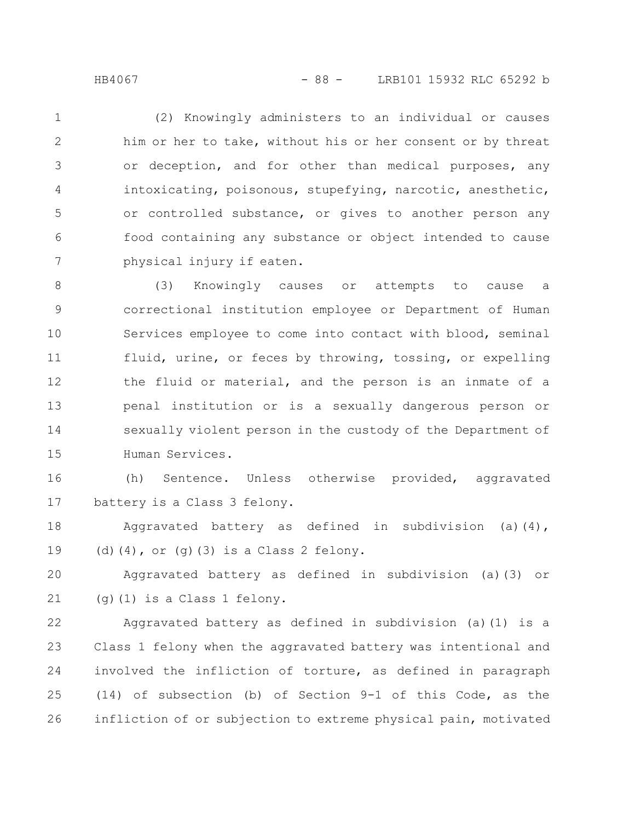(2) Knowingly administers to an individual or causes him or her to take, without his or her consent or by threat or deception, and for other than medical purposes, any intoxicating, poisonous, stupefying, narcotic, anesthetic, or controlled substance, or gives to another person any food containing any substance or object intended to cause physical injury if eaten. 1 2 3 4 5 6 7

(3) Knowingly causes or attempts to cause a correctional institution employee or Department of Human Services employee to come into contact with blood, seminal fluid, urine, or feces by throwing, tossing, or expelling the fluid or material, and the person is an inmate of a penal institution or is a sexually dangerous person or sexually violent person in the custody of the Department of Human Services. 8 9 10 11 12 13 14 15

(h) Sentence. Unless otherwise provided, aggravated battery is a Class 3 felony. 16 17

Aggravated battery as defined in subdivision (a)(4), (d) $(4)$ , or  $(g)(3)$  is a Class 2 felony. 18 19

Aggravated battery as defined in subdivision (a)(3) or (g)(1) is a Class 1 felony. 20 21

Aggravated battery as defined in subdivision (a)(1) is a Class 1 felony when the aggravated battery was intentional and involved the infliction of torture, as defined in paragraph (14) of subsection (b) of Section 9-1 of this Code, as the infliction of or subjection to extreme physical pain, motivated 22 23 24 25 26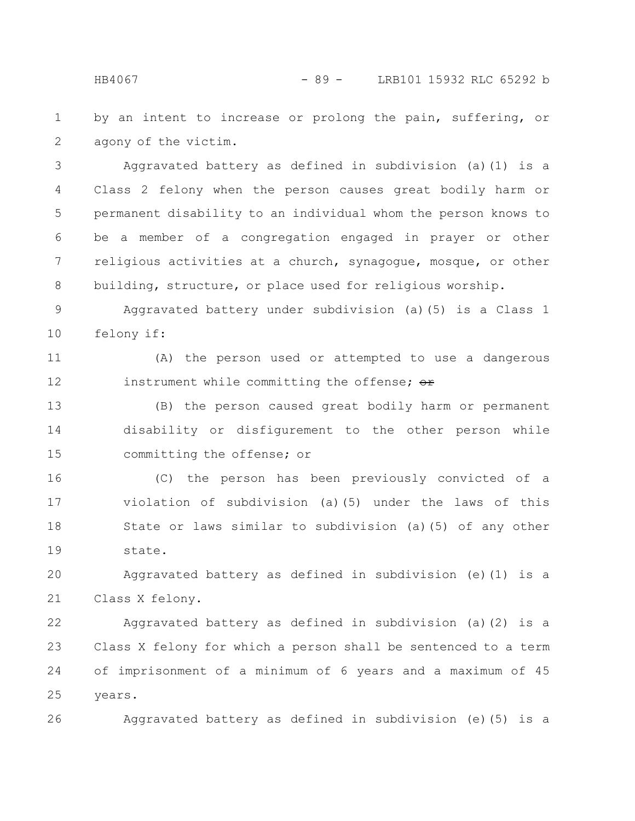by an intent to increase or prolong the pain, suffering, or agony of the victim. 1 2

Aggravated battery as defined in subdivision (a)(1) is a Class 2 felony when the person causes great bodily harm or permanent disability to an individual whom the person knows to be a member of a congregation engaged in prayer or other religious activities at a church, synagogue, mosque, or other building, structure, or place used for religious worship. 3 4 5 6 7 8

Aggravated battery under subdivision (a)(5) is a Class 1 felony if: 9 10

(A) the person used or attempted to use a dangerous instrument while committing the offense;  $\Theta$ r 11 12

(B) the person caused great bodily harm or permanent disability or disfigurement to the other person while committing the offense; or 13 14 15

(C) the person has been previously convicted of a violation of subdivision (a)(5) under the laws of this State or laws similar to subdivision (a)(5) of any other state. 16 17 18 19

Aggravated battery as defined in subdivision (e)(1) is a Class X felony. 20 21

Aggravated battery as defined in subdivision (a)(2) is a Class X felony for which a person shall be sentenced to a term of imprisonment of a minimum of 6 years and a maximum of 45 years. 22 23 24 25

Aggravated battery as defined in subdivision (e)(5) is a 26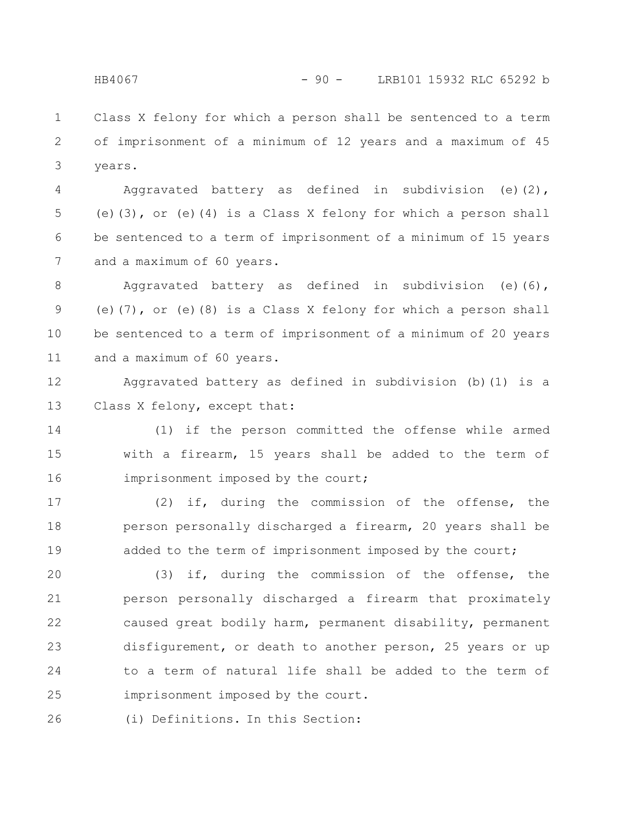Class X felony for which a person shall be sentenced to a term of imprisonment of a minimum of 12 years and a maximum of 45 years. 1 2 3

Aggravated battery as defined in subdivision (e)(2), (e)(3), or (e)(4) is a Class X felony for which a person shall be sentenced to a term of imprisonment of a minimum of 15 years and a maximum of 60 years. 4 5 6 7

Aggravated battery as defined in subdivision (e)(6), (e)(7), or (e)(8) is a Class X felony for which a person shall be sentenced to a term of imprisonment of a minimum of 20 years and a maximum of 60 years. 8 9 10 11

Aggravated battery as defined in subdivision (b)(1) is a Class X felony, except that: 12 13

(1) if the person committed the offense while armed with a firearm, 15 years shall be added to the term of imprisonment imposed by the court; 14 15 16

(2) if, during the commission of the offense, the person personally discharged a firearm, 20 years shall be added to the term of imprisonment imposed by the court; 17 18 19

(3) if, during the commission of the offense, the person personally discharged a firearm that proximately caused great bodily harm, permanent disability, permanent disfigurement, or death to another person, 25 years or up to a term of natural life shall be added to the term of imprisonment imposed by the court. 20 21 22 23 24 25

(i) Definitions. In this Section: 26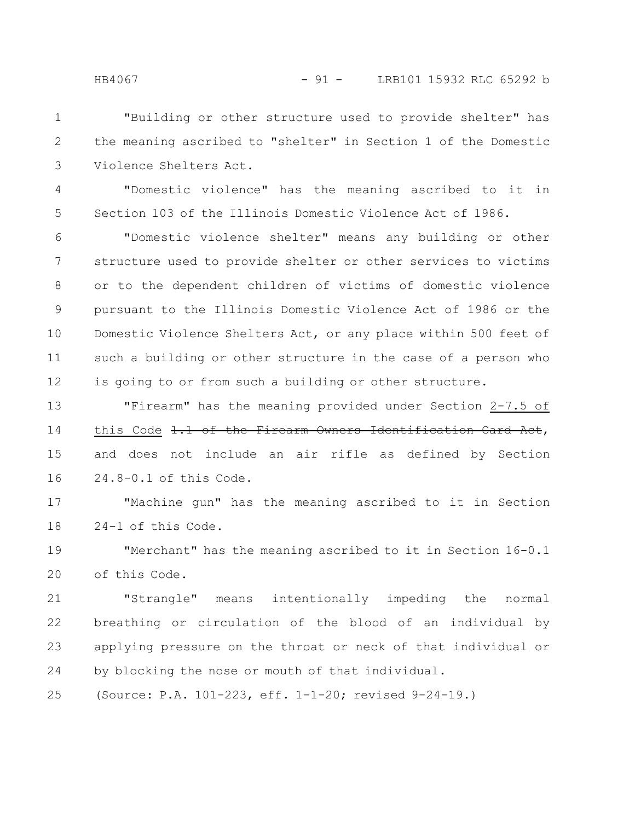"Building or other structure used to provide shelter" has the meaning ascribed to "shelter" in Section 1 of the Domestic Violence Shelters Act. 1 2 3

"Domestic violence" has the meaning ascribed to it in Section 103 of the Illinois Domestic Violence Act of 1986. 4 5

"Domestic violence shelter" means any building or other structure used to provide shelter or other services to victims or to the dependent children of victims of domestic violence pursuant to the Illinois Domestic Violence Act of 1986 or the Domestic Violence Shelters Act, or any place within 500 feet of such a building or other structure in the case of a person who is going to or from such a building or other structure. 6 7 8 9 10 11 12

"Firearm" has the meaning provided under Section 2-7.5 of this Code 1.1 of the Firearm Owners Identification Card Act, and does not include an air rifle as defined by Section 24.8-0.1 of this Code. 13 14 15 16

"Machine gun" has the meaning ascribed to it in Section 24-1 of this Code. 17 18

"Merchant" has the meaning ascribed to it in Section 16-0.1 of this Code. 19 20

"Strangle" means intentionally impeding the normal breathing or circulation of the blood of an individual by applying pressure on the throat or neck of that individual or by blocking the nose or mouth of that individual. 21 22 23 24

(Source: P.A. 101-223, eff. 1-1-20; revised 9-24-19.) 25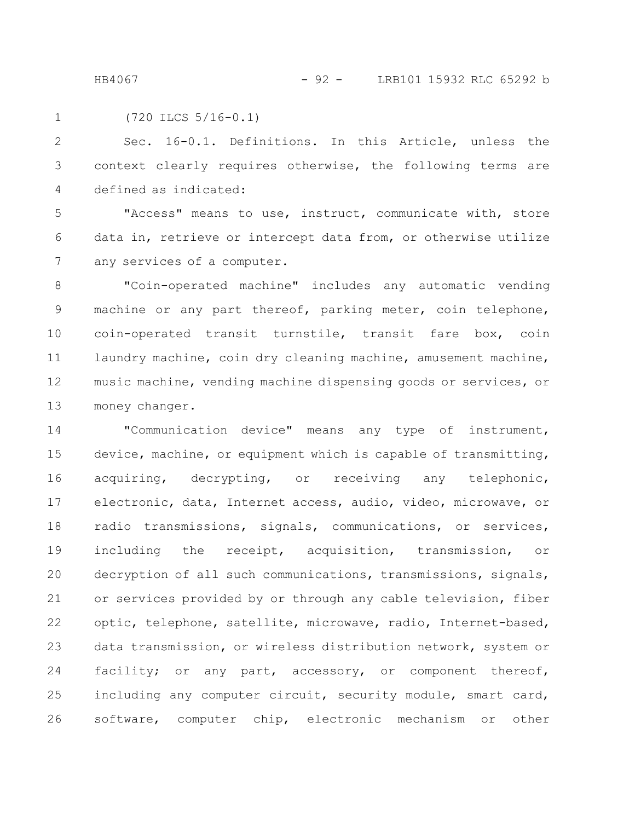HB4067 - 92 - LRB101 15932 RLC 65292 b

(720 ILCS 5/16-0.1) 1

Sec. 16-0.1. Definitions. In this Article, unless the context clearly requires otherwise, the following terms are defined as indicated: 2 3 4

"Access" means to use, instruct, communicate with, store data in, retrieve or intercept data from, or otherwise utilize any services of a computer. 5 6 7

"Coin-operated machine" includes any automatic vending machine or any part thereof, parking meter, coin telephone, coin-operated transit turnstile, transit fare box, coin laundry machine, coin dry cleaning machine, amusement machine, music machine, vending machine dispensing goods or services, or money changer. 8 9 10 11 12 13

"Communication device" means any type of instrument, device, machine, or equipment which is capable of transmitting, acquiring, decrypting, or receiving any telephonic, electronic, data, Internet access, audio, video, microwave, or radio transmissions, signals, communications, or services, including the receipt, acquisition, transmission, or decryption of all such communications, transmissions, signals, or services provided by or through any cable television, fiber optic, telephone, satellite, microwave, radio, Internet-based, data transmission, or wireless distribution network, system or facility; or any part, accessory, or component thereof, including any computer circuit, security module, smart card, software, computer chip, electronic mechanism or other 14 15 16 17 18 19 20 21 22 23 24 25 26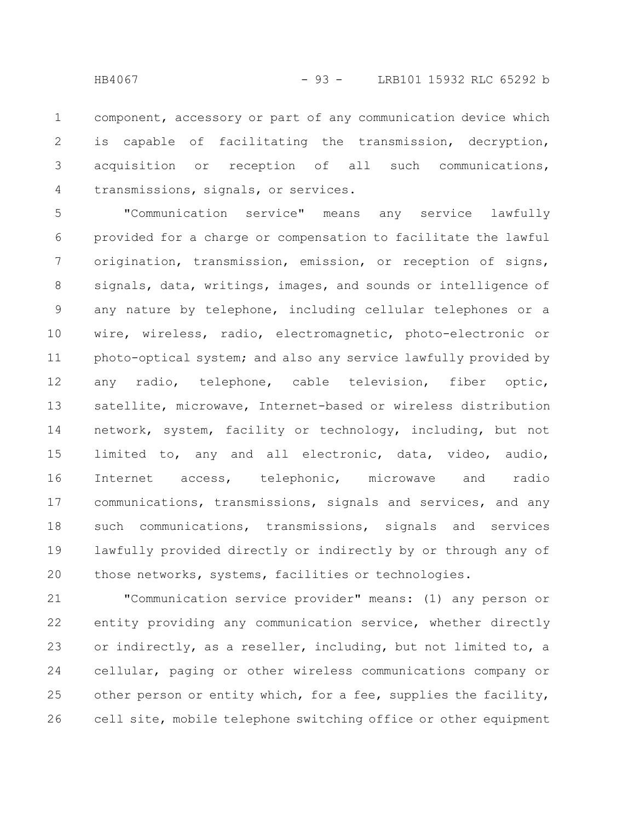component, accessory or part of any communication device which is capable of facilitating the transmission, decryption, acquisition or reception of all such communications, transmissions, signals, or services. 1 2 3 4

"Communication service" means any service lawfully provided for a charge or compensation to facilitate the lawful origination, transmission, emission, or reception of signs, signals, data, writings, images, and sounds or intelligence of any nature by telephone, including cellular telephones or a wire, wireless, radio, electromagnetic, photo-electronic or photo-optical system; and also any service lawfully provided by any radio, telephone, cable television, fiber optic, satellite, microwave, Internet-based or wireless distribution network, system, facility or technology, including, but not limited to, any and all electronic, data, video, audio, Internet access, telephonic, microwave and radio communications, transmissions, signals and services, and any such communications, transmissions, signals and services lawfully provided directly or indirectly by or through any of those networks, systems, facilities or technologies. 5 6 7 8 9 10 11 12 13 14 15 16 17 18 19 20

"Communication service provider" means: (1) any person or entity providing any communication service, whether directly or indirectly, as a reseller, including, but not limited to, a cellular, paging or other wireless communications company or other person or entity which, for a fee, supplies the facility, cell site, mobile telephone switching office or other equipment 21 22 23 24 25 26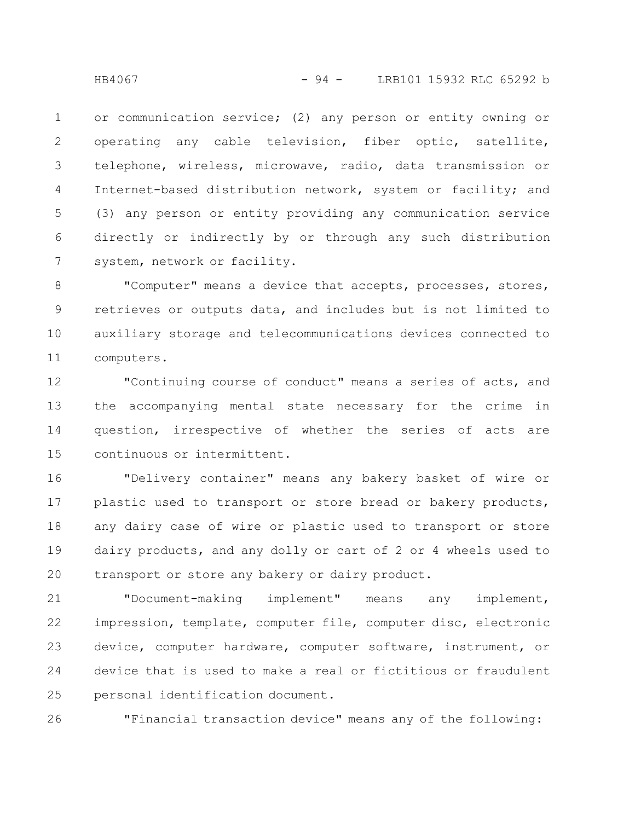or communication service; (2) any person or entity owning or operating any cable television, fiber optic, satellite, telephone, wireless, microwave, radio, data transmission or Internet-based distribution network, system or facility; and (3) any person or entity providing any communication service directly or indirectly by or through any such distribution system, network or facility. 1 2 3 4 5 6 7

"Computer" means a device that accepts, processes, stores, retrieves or outputs data, and includes but is not limited to auxiliary storage and telecommunications devices connected to computers. 8 9 10 11

"Continuing course of conduct" means a series of acts, and the accompanying mental state necessary for the crime in question, irrespective of whether the series of acts are continuous or intermittent. 12 13 14 15

"Delivery container" means any bakery basket of wire or plastic used to transport or store bread or bakery products, any dairy case of wire or plastic used to transport or store dairy products, and any dolly or cart of 2 or 4 wheels used to transport or store any bakery or dairy product. 16 17 18 19 20

"Document-making implement" means any implement, impression, template, computer file, computer disc, electronic device, computer hardware, computer software, instrument, or device that is used to make a real or fictitious or fraudulent personal identification document. 21 22 23 24 25

"Financial transaction device" means any of the following: 26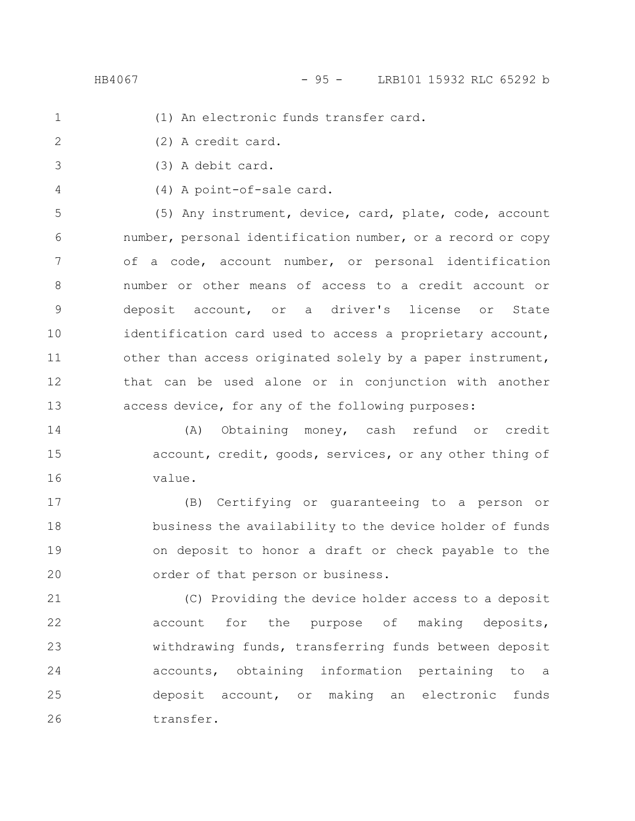HB4067 - 95 - LRB101 15932 RLC 65292 b

- - (1) An electronic funds transfer card.
- (2) A credit card. 2
- (3) A debit card. 3
- 4

1

(4) A point-of-sale card.

(5) Any instrument, device, card, plate, code, account number, personal identification number, or a record or copy of a code, account number, or personal identification number or other means of access to a credit account or deposit account, or a driver's license or State identification card used to access a proprietary account, other than access originated solely by a paper instrument, that can be used alone or in conjunction with another access device, for any of the following purposes: 5 6 7 8 9 10 11 12 13

(A) Obtaining money, cash refund or credit account, credit, goods, services, or any other thing of value. 14 15 16

(B) Certifying or guaranteeing to a person or business the availability to the device holder of funds on deposit to honor a draft or check payable to the order of that person or business. 17 18 19 20

(C) Providing the device holder access to a deposit account for the purpose of making deposits, withdrawing funds, transferring funds between deposit accounts, obtaining information pertaining to a deposit account, or making an electronic funds transfer. 21 22 23 24 25 26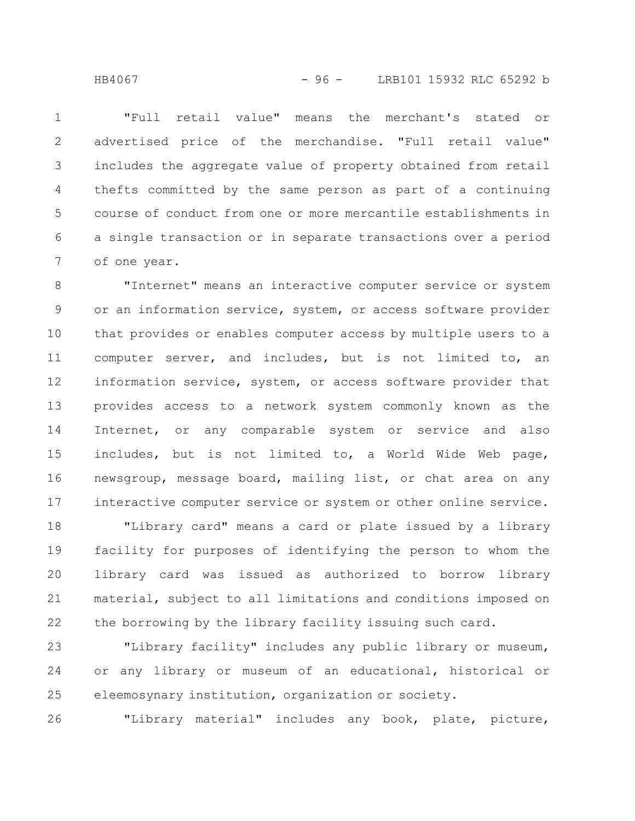"Full retail value" means the merchant's stated or advertised price of the merchandise. "Full retail value" includes the aggregate value of property obtained from retail thefts committed by the same person as part of a continuing course of conduct from one or more mercantile establishments in a single transaction or in separate transactions over a period of one year. 1 2 3 4 5 6 7

"Internet" means an interactive computer service or system or an information service, system, or access software provider that provides or enables computer access by multiple users to a computer server, and includes, but is not limited to, an information service, system, or access software provider that provides access to a network system commonly known as the Internet, or any comparable system or service and also includes, but is not limited to, a World Wide Web page, newsgroup, message board, mailing list, or chat area on any interactive computer service or system or other online service. 8 9 10 11 12 13 14 15 16 17

"Library card" means a card or plate issued by a library facility for purposes of identifying the person to whom the library card was issued as authorized to borrow library material, subject to all limitations and conditions imposed on the borrowing by the library facility issuing such card. 18 19 20 21 22

"Library facility" includes any public library or museum, or any library or museum of an educational, historical or eleemosynary institution, organization or society. 23 24 25

26

"Library material" includes any book, plate, picture,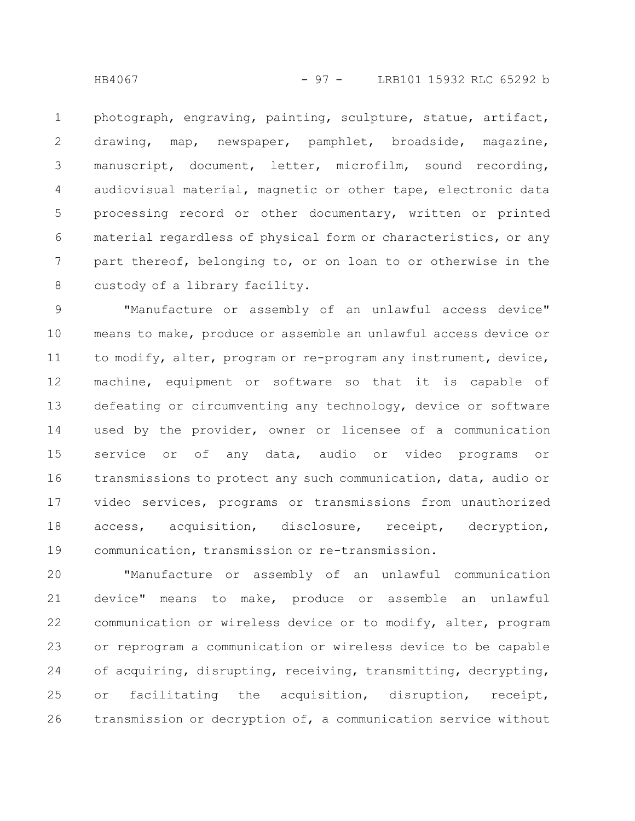photograph, engraving, painting, sculpture, statue, artifact, drawing, map, newspaper, pamphlet, broadside, magazine, manuscript, document, letter, microfilm, sound recording, audiovisual material, magnetic or other tape, electronic data processing record or other documentary, written or printed material regardless of physical form or characteristics, or any part thereof, belonging to, or on loan to or otherwise in the custody of a library facility. 1 2 3 4 5 6 7 8

"Manufacture or assembly of an unlawful access device" means to make, produce or assemble an unlawful access device or to modify, alter, program or re-program any instrument, device, machine, equipment or software so that it is capable of defeating or circumventing any technology, device or software used by the provider, owner or licensee of a communication service or of any data, audio or video programs or transmissions to protect any such communication, data, audio or video services, programs or transmissions from unauthorized access, acquisition, disclosure, receipt, decryption, communication, transmission or re-transmission. 9 10 11 12 13 14 15 16 17 18 19

"Manufacture or assembly of an unlawful communication device" means to make, produce or assemble an unlawful communication or wireless device or to modify, alter, program or reprogram a communication or wireless device to be capable of acquiring, disrupting, receiving, transmitting, decrypting, or facilitating the acquisition, disruption, receipt, transmission or decryption of, a communication service without 20 21 22 23 24 25 26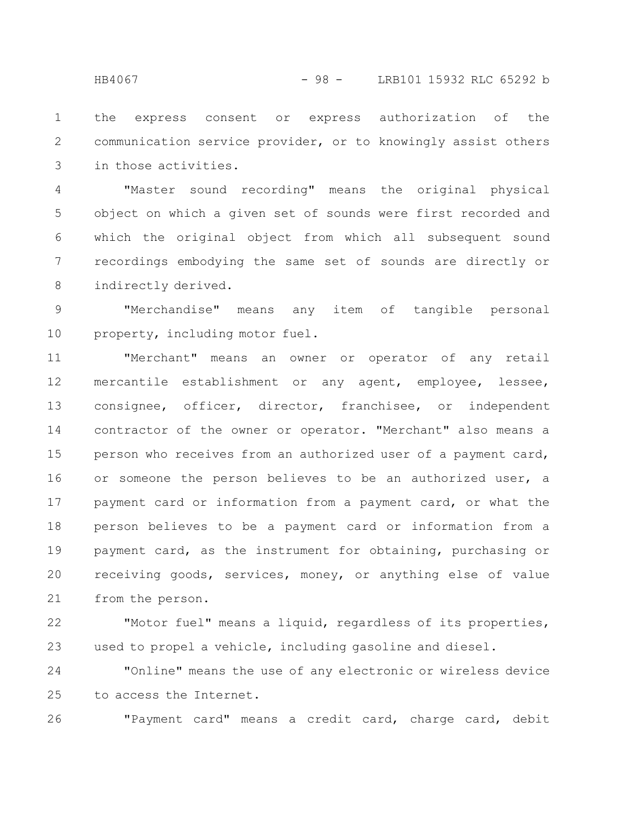the express consent or express authorization of the communication service provider, or to knowingly assist others in those activities. 1 2 3

"Master sound recording" means the original physical object on which a given set of sounds were first recorded and which the original object from which all subsequent sound recordings embodying the same set of sounds are directly or indirectly derived. 4 5 6 7 8

"Merchandise" means any item of tangible personal property, including motor fuel. 9 10

"Merchant" means an owner or operator of any retail mercantile establishment or any agent, employee, lessee, consignee, officer, director, franchisee, or independent contractor of the owner or operator. "Merchant" also means a person who receives from an authorized user of a payment card, or someone the person believes to be an authorized user, a payment card or information from a payment card, or what the person believes to be a payment card or information from a payment card, as the instrument for obtaining, purchasing or receiving goods, services, money, or anything else of value from the person. 11 12 13 14 15 16 17 18 19 20 21

"Motor fuel" means a liquid, regardless of its properties, used to propel a vehicle, including gasoline and diesel. 22 23

"Online" means the use of any electronic or wireless device to access the Internet. 24 25

26

"Payment card" means a credit card, charge card, debit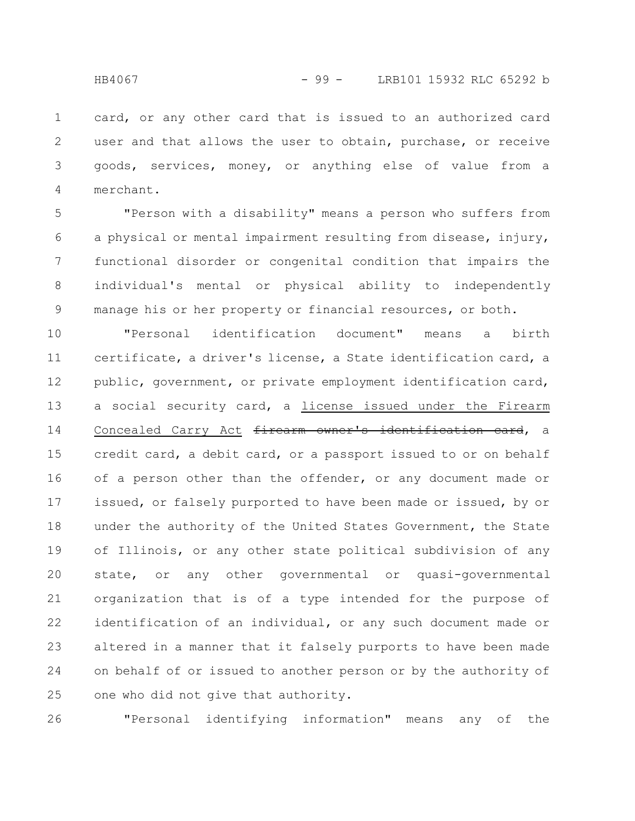card, or any other card that is issued to an authorized card user and that allows the user to obtain, purchase, or receive goods, services, money, or anything else of value from a merchant. 1 2 3 4

"Person with a disability" means a person who suffers from a physical or mental impairment resulting from disease, injury, functional disorder or congenital condition that impairs the individual's mental or physical ability to independently manage his or her property or financial resources, or both. 5 6 7 8 9

"Personal identification document" means a birth certificate, a driver's license, a State identification card, a public, government, or private employment identification card, a social security card, a license issued under the Firearm Concealed Carry Act firearm owner's identification card, a credit card, a debit card, or a passport issued to or on behalf of a person other than the offender, or any document made or issued, or falsely purported to have been made or issued, by or under the authority of the United States Government, the State of Illinois, or any other state political subdivision of any state, or any other governmental or quasi-governmental organization that is of a type intended for the purpose of identification of an individual, or any such document made or altered in a manner that it falsely purports to have been made on behalf of or issued to another person or by the authority of one who did not give that authority. 10 11 12 13 14 15 16 17 18 19 20 21 22 23 24 25

"Personal identifying information" means any of the 26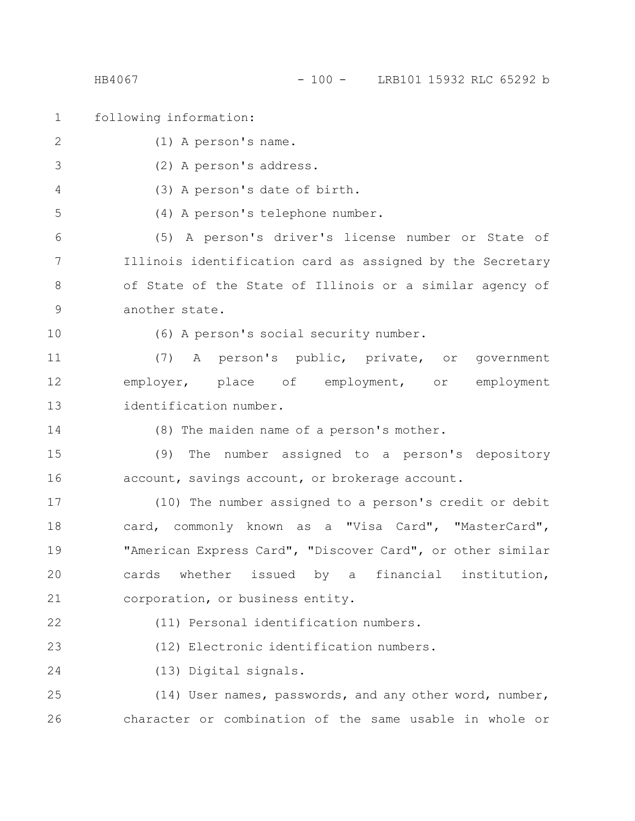## HB4067 - 100 - LRB101 15932 RLC 65292 b

following information: (1) A person's name. (2) A person's address. (3) A person's date of birth. (4) A person's telephone number. (5) A person's driver's license number or State of Illinois identification card as assigned by the Secretary of State of the State of Illinois or a similar agency of another state. (6) A person's social security number. (7) A person's public, private, or government employer, place of employment, or employment identification number. (8) The maiden name of a person's mother. (9) The number assigned to a person's depository account, savings account, or brokerage account. (10) The number assigned to a person's credit or debit card, commonly known as a "Visa Card", "MasterCard", "American Express Card", "Discover Card", or other similar cards whether issued by a financial institution, corporation, or business entity. (11) Personal identification numbers. (12) Electronic identification numbers. (13) Digital signals. (14) User names, passwords, and any other word, number, character or combination of the same usable in whole or 1 2 3 4 5 6 7 8 9 10 11 12 13 14 15 16 17 18 19 20 21 22 23 24 25 26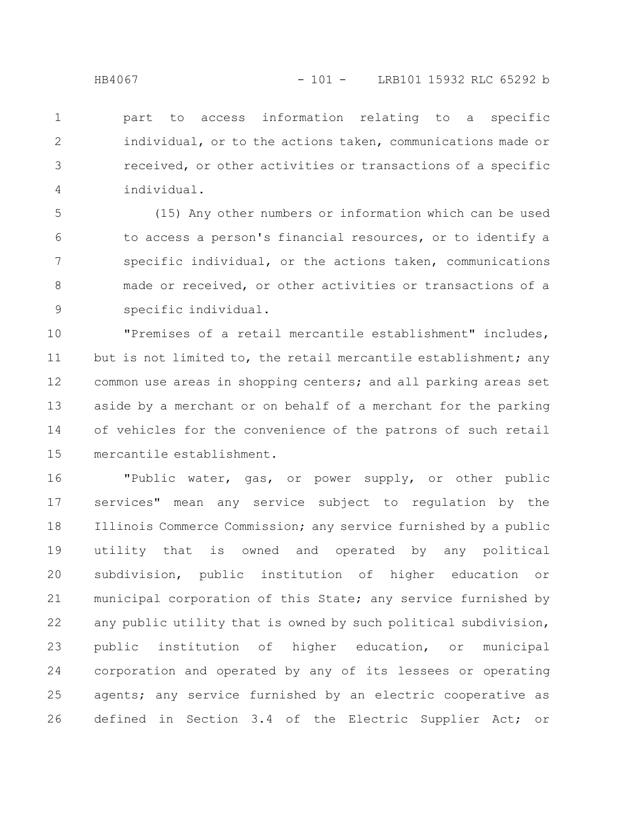part to access information relating to a specific individual, or to the actions taken, communications made or received, or other activities or transactions of a specific individual. 1 2 3 4

(15) Any other numbers or information which can be used to access a person's financial resources, or to identify a specific individual, or the actions taken, communications made or received, or other activities or transactions of a specific individual. 5 6 7 8 9

"Premises of a retail mercantile establishment" includes, but is not limited to, the retail mercantile establishment; any common use areas in shopping centers; and all parking areas set aside by a merchant or on behalf of a merchant for the parking of vehicles for the convenience of the patrons of such retail mercantile establishment. 10 11 12 13 14 15

"Public water, gas, or power supply, or other public services" mean any service subject to regulation by the Illinois Commerce Commission; any service furnished by a public utility that is owned and operated by any political subdivision, public institution of higher education or municipal corporation of this State; any service furnished by any public utility that is owned by such political subdivision, public institution of higher education, or municipal corporation and operated by any of its lessees or operating agents; any service furnished by an electric cooperative as defined in Section 3.4 of the Electric Supplier Act; or 16 17 18 19 20 21 22 23 24 25 26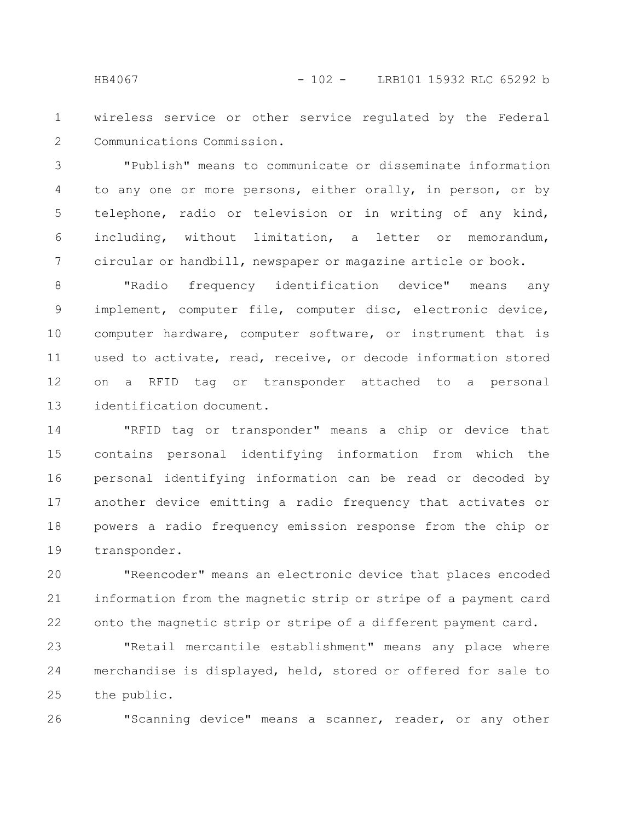wireless service or other service regulated by the Federal Communications Commission. 1 2

"Publish" means to communicate or disseminate information to any one or more persons, either orally, in person, or by telephone, radio or television or in writing of any kind, including, without limitation, a letter or memorandum, circular or handbill, newspaper or magazine article or book. 3 4 5 6 7

"Radio frequency identification device" means any implement, computer file, computer disc, electronic device, computer hardware, computer software, or instrument that is used to activate, read, receive, or decode information stored on a RFID tag or transponder attached to a personal identification document. 8 9 10 11 12 13

"RFID tag or transponder" means a chip or device that contains personal identifying information from which the personal identifying information can be read or decoded by another device emitting a radio frequency that activates or powers a radio frequency emission response from the chip or transponder. 14 15 16 17 18 19

"Reencoder" means an electronic device that places encoded information from the magnetic strip or stripe of a payment card onto the magnetic strip or stripe of a different payment card. 20 21 22

"Retail mercantile establishment" means any place where merchandise is displayed, held, stored or offered for sale to the public. 23 24 25

"Scanning device" means a scanner, reader, or any other

26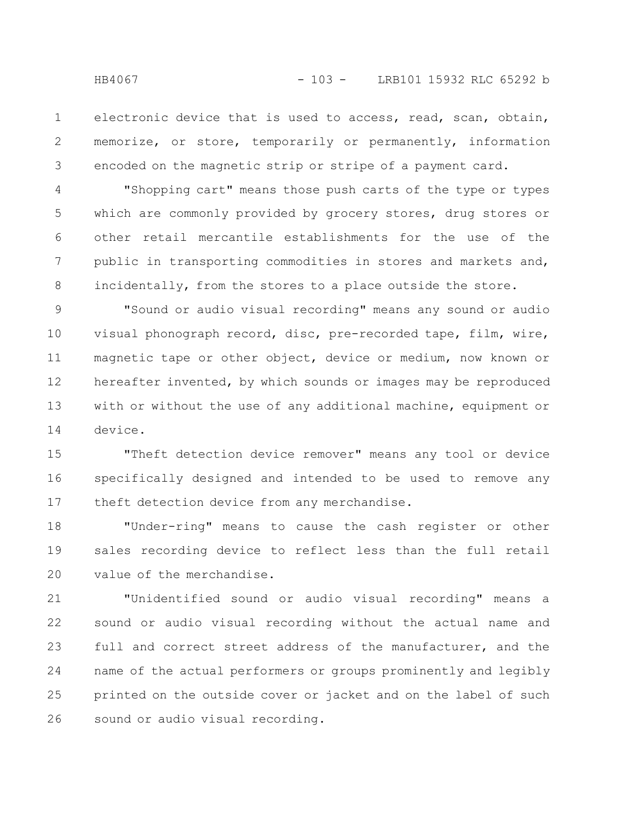electronic device that is used to access, read, scan, obtain, memorize, or store, temporarily or permanently, information encoded on the magnetic strip or stripe of a payment card. 1 2 3

"Shopping cart" means those push carts of the type or types which are commonly provided by grocery stores, drug stores or other retail mercantile establishments for the use of the public in transporting commodities in stores and markets and, incidentally, from the stores to a place outside the store. 4 5 6 7 8

"Sound or audio visual recording" means any sound or audio visual phonograph record, disc, pre-recorded tape, film, wire, magnetic tape or other object, device or medium, now known or hereafter invented, by which sounds or images may be reproduced with or without the use of any additional machine, equipment or device. 9 10 11 12 13 14

"Theft detection device remover" means any tool or device specifically designed and intended to be used to remove any theft detection device from any merchandise. 15 16 17

"Under-ring" means to cause the cash register or other sales recording device to reflect less than the full retail value of the merchandise. 18 19 20

"Unidentified sound or audio visual recording" means a sound or audio visual recording without the actual name and full and correct street address of the manufacturer, and the name of the actual performers or groups prominently and legibly printed on the outside cover or jacket and on the label of such sound or audio visual recording. 21 22 23 24 25 26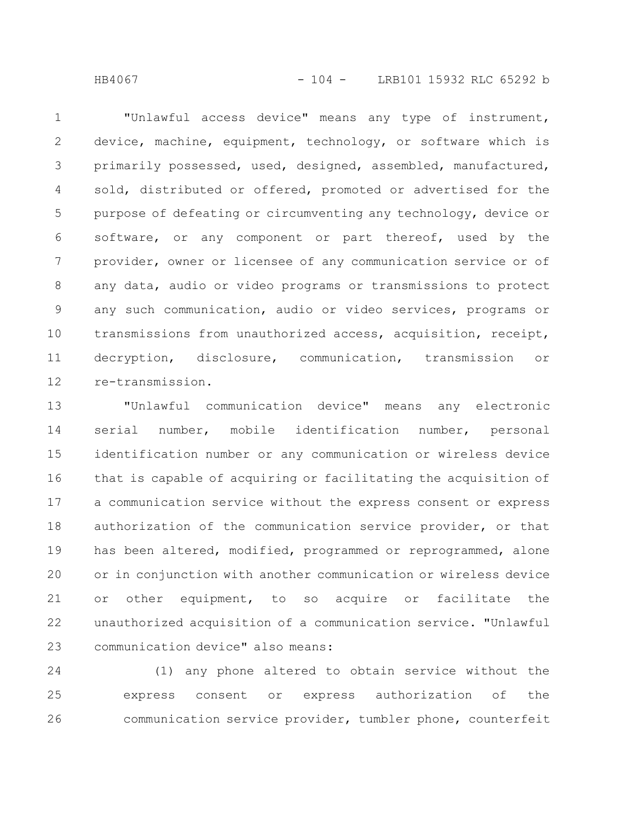HB4067 - 104 - LRB101 15932 RLC 65292 b

"Unlawful access device" means any type of instrument, device, machine, equipment, technology, or software which is primarily possessed, used, designed, assembled, manufactured, sold, distributed or offered, promoted or advertised for the purpose of defeating or circumventing any technology, device or software, or any component or part thereof, used by the provider, owner or licensee of any communication service or of any data, audio or video programs or transmissions to protect any such communication, audio or video services, programs or transmissions from unauthorized access, acquisition, receipt, decryption, disclosure, communication, transmission or re-transmission. 1 2 3 4 5 6 7 8 9 10 11 12

"Unlawful communication device" means any electronic serial number, mobile identification number, personal identification number or any communication or wireless device that is capable of acquiring or facilitating the acquisition of a communication service without the express consent or express authorization of the communication service provider, or that has been altered, modified, programmed or reprogrammed, alone or in conjunction with another communication or wireless device or other equipment, to so acquire or facilitate the unauthorized acquisition of a communication service. "Unlawful communication device" also means: 13 14 15 16 17 18 19 20 21 22 23

(1) any phone altered to obtain service without the express consent or express authorization of the communication service provider, tumbler phone, counterfeit 24 25 26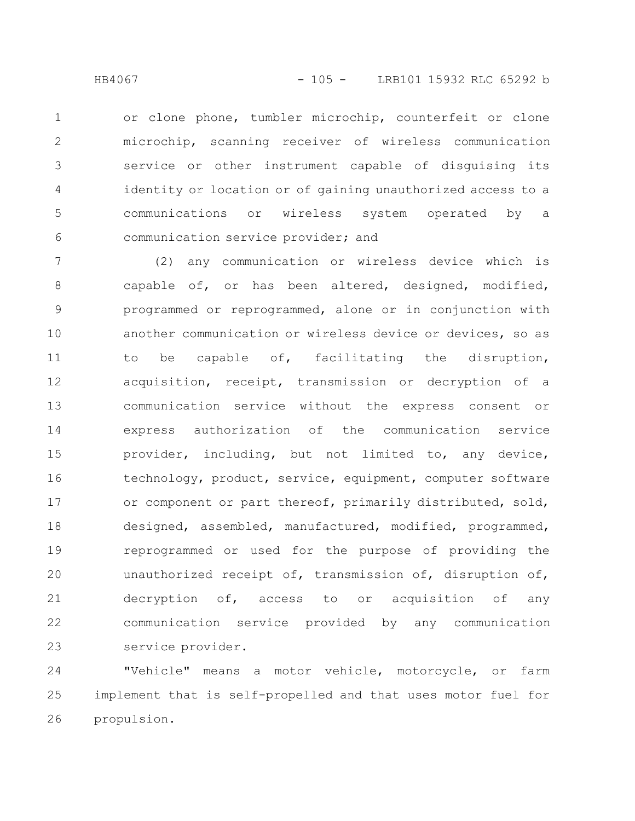or clone phone, tumbler microchip, counterfeit or clone microchip, scanning receiver of wireless communication service or other instrument capable of disguising its identity or location or of gaining unauthorized access to a communications or wireless system operated by a communication service provider; and 1 2 3 4 5 6

(2) any communication or wireless device which is capable of, or has been altered, designed, modified, programmed or reprogrammed, alone or in conjunction with another communication or wireless device or devices, so as to be capable of, facilitating the disruption, acquisition, receipt, transmission or decryption of a communication service without the express consent or express authorization of the communication service provider, including, but not limited to, any device, technology, product, service, equipment, computer software or component or part thereof, primarily distributed, sold, designed, assembled, manufactured, modified, programmed, reprogrammed or used for the purpose of providing the unauthorized receipt of, transmission of, disruption of, decryption of, access to or acquisition of any communication service provided by any communication service provider. 7 8 9 10 11 12 13 14 15 16 17 18 19 20 21 22 23

"Vehicle" means a motor vehicle, motorcycle, or farm implement that is self-propelled and that uses motor fuel for propulsion. 24 25 26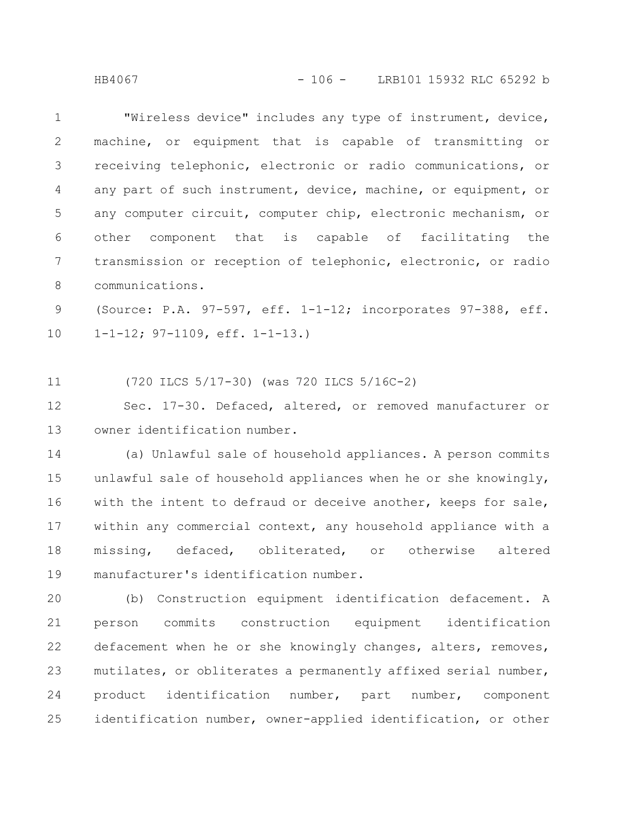HB4067 - 106 - LRB101 15932 RLC 65292 b

"Wireless device" includes any type of instrument, device, machine, or equipment that is capable of transmitting or receiving telephonic, electronic or radio communications, or any part of such instrument, device, machine, or equipment, or any computer circuit, computer chip, electronic mechanism, or other component that is capable of facilitating the transmission or reception of telephonic, electronic, or radio communications. 1 2 3 4 5 6 7 8

(Source: P.A. 97-597, eff. 1-1-12; incorporates 97-388, eff. 1-1-12; 97-1109, eff. 1-1-13.) 9 10

(720 ILCS 5/17-30) (was 720 ILCS 5/16C-2) 11

Sec. 17-30. Defaced, altered, or removed manufacturer or owner identification number. 12 13

(a) Unlawful sale of household appliances. A person commits unlawful sale of household appliances when he or she knowingly, with the intent to defraud or deceive another, keeps for sale, within any commercial context, any household appliance with a missing, defaced, obliterated, or otherwise altered manufacturer's identification number. 14 15 16 17 18 19

(b) Construction equipment identification defacement. A person commits construction equipment identification defacement when he or she knowingly changes, alters, removes, mutilates, or obliterates a permanently affixed serial number, product identification number, part number, component identification number, owner-applied identification, or other 20 21 22 23 24 25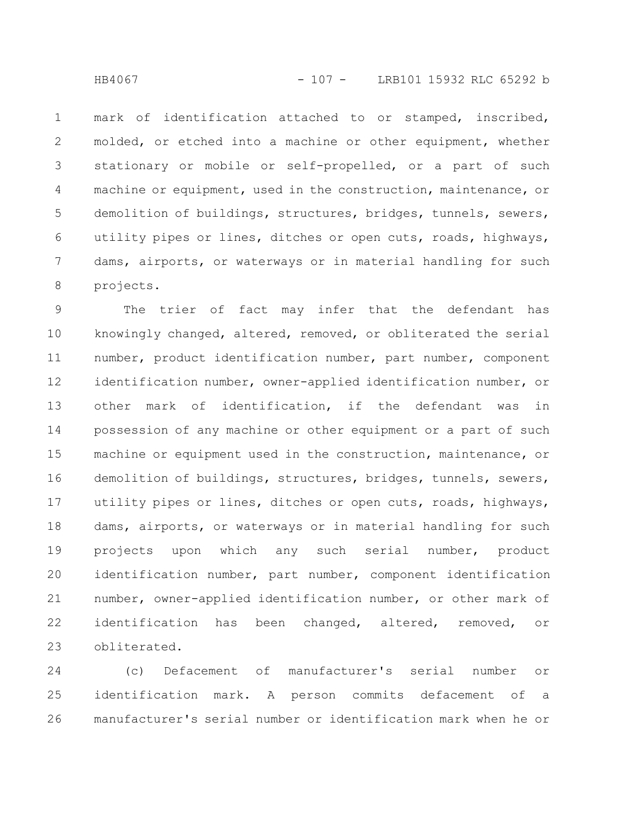mark of identification attached to or stamped, inscribed, molded, or etched into a machine or other equipment, whether stationary or mobile or self-propelled, or a part of such machine or equipment, used in the construction, maintenance, or demolition of buildings, structures, bridges, tunnels, sewers, utility pipes or lines, ditches or open cuts, roads, highways, dams, airports, or waterways or in material handling for such projects. 1 2 3 4 5 6 7 8

The trier of fact may infer that the defendant has knowingly changed, altered, removed, or obliterated the serial number, product identification number, part number, component identification number, owner-applied identification number, or other mark of identification, if the defendant was in possession of any machine or other equipment or a part of such machine or equipment used in the construction, maintenance, or demolition of buildings, structures, bridges, tunnels, sewers, utility pipes or lines, ditches or open cuts, roads, highways, dams, airports, or waterways or in material handling for such projects upon which any such serial number, product identification number, part number, component identification number, owner-applied identification number, or other mark of identification has been changed, altered, removed, or obliterated. 9 10 11 12 13 14 15 16 17 18 19 20 21 22 23

(c) Defacement of manufacturer's serial number or identification mark. A person commits defacement of a manufacturer's serial number or identification mark when he or 24 25 26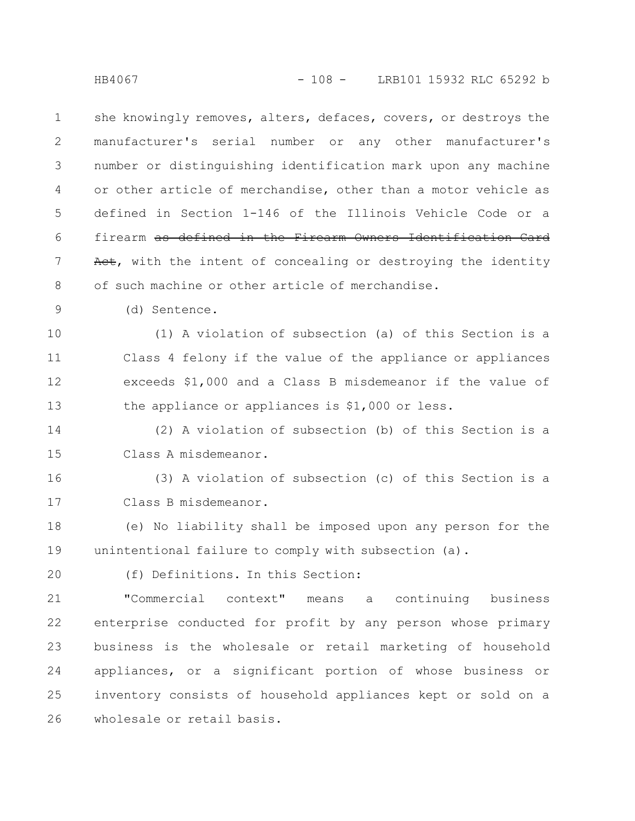she knowingly removes, alters, defaces, covers, or destroys the manufacturer's serial number or any other manufacturer's number or distinguishing identification mark upon any machine or other article of merchandise, other than a motor vehicle as defined in Section 1-146 of the Illinois Vehicle Code or a firearm as defined in the Firearm Owners Identification Card Act, with the intent of concealing or destroying the identity of such machine or other article of merchandise. 1 2 3 4 5 6 7 8

(d) Sentence. 9

(1) A violation of subsection (a) of this Section is a Class 4 felony if the value of the appliance or appliances exceeds \$1,000 and a Class B misdemeanor if the value of the appliance or appliances is \$1,000 or less. 10 11 12 13

(2) A violation of subsection (b) of this Section is a Class A misdemeanor. 14 15

(3) A violation of subsection (c) of this Section is a Class B misdemeanor. 16 17

(e) No liability shall be imposed upon any person for the unintentional failure to comply with subsection (a). 18 19

20

(f) Definitions. In this Section:

"Commercial context" means a continuing business enterprise conducted for profit by any person whose primary business is the wholesale or retail marketing of household appliances, or a significant portion of whose business or inventory consists of household appliances kept or sold on a wholesale or retail basis. 21 22 23 24 25 26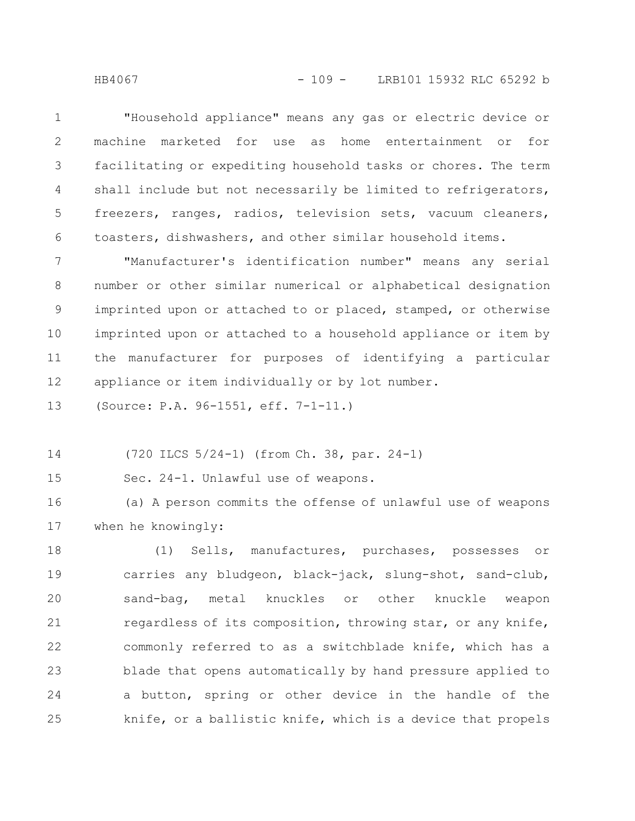"Household appliance" means any gas or electric device or machine marketed for use as home entertainment or for facilitating or expediting household tasks or chores. The term shall include but not necessarily be limited to refrigerators, freezers, ranges, radios, television sets, vacuum cleaners, toasters, dishwashers, and other similar household items. 1 2 3 4 5 6

"Manufacturer's identification number" means any serial number or other similar numerical or alphabetical designation imprinted upon or attached to or placed, stamped, or otherwise imprinted upon or attached to a household appliance or item by the manufacturer for purposes of identifying a particular appliance or item individually or by lot number. 7 8 9 10 11 12

(Source: P.A. 96-1551, eff. 7-1-11.) 13

(720 ILCS 5/24-1) (from Ch. 38, par. 24-1) 14

Sec. 24-1. Unlawful use of weapons. 15

(a) A person commits the offense of unlawful use of weapons when he knowingly: 16 17

(1) Sells, manufactures, purchases, possesses or carries any bludgeon, black-jack, slung-shot, sand-club, sand-bag, metal knuckles or other knuckle weapon regardless of its composition, throwing star, or any knife, commonly referred to as a switchblade knife, which has a blade that opens automatically by hand pressure applied to a button, spring or other device in the handle of the knife, or a ballistic knife, which is a device that propels 18 19 20 21 22 23 24 25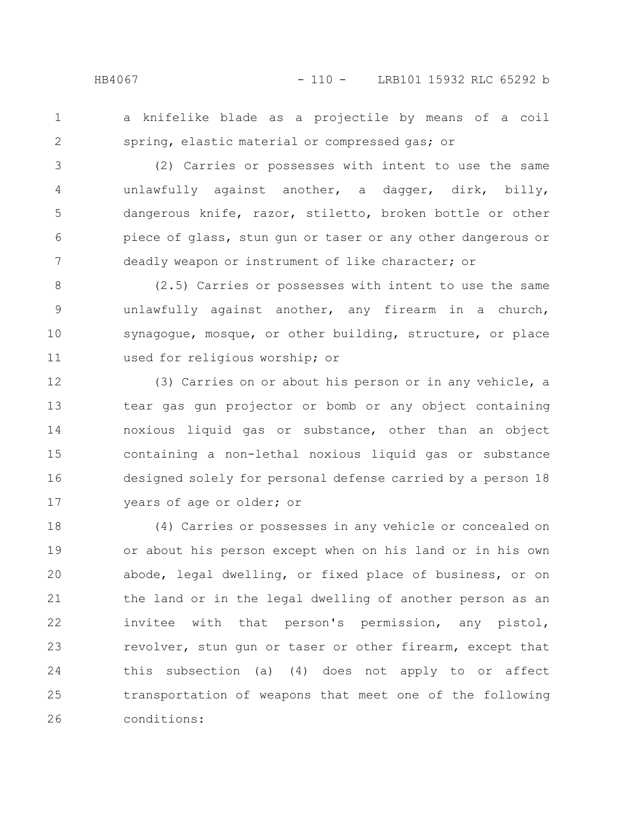- 
- 1 2

a knifelike blade as a projectile by means of a coil spring, elastic material or compressed gas; or

(2) Carries or possesses with intent to use the same unlawfully against another, a dagger, dirk, billy, dangerous knife, razor, stiletto, broken bottle or other piece of glass, stun gun or taser or any other dangerous or deadly weapon or instrument of like character; or 3 4 5 6 7

(2.5) Carries or possesses with intent to use the same unlawfully against another, any firearm in a church, synagogue, mosque, or other building, structure, or place used for religious worship; or 8 9 10 11

(3) Carries on or about his person or in any vehicle, a tear gas gun projector or bomb or any object containing noxious liquid gas or substance, other than an object containing a non-lethal noxious liquid gas or substance designed solely for personal defense carried by a person 18 years of age or older; or 12 13 14 15 16 17

(4) Carries or possesses in any vehicle or concealed on or about his person except when on his land or in his own abode, legal dwelling, or fixed place of business, or on the land or in the legal dwelling of another person as an invitee with that person's permission, any pistol, revolver, stun gun or taser or other firearm, except that this subsection (a) (4) does not apply to or affect transportation of weapons that meet one of the following conditions: 18 19 20 21 22 23 24 25 26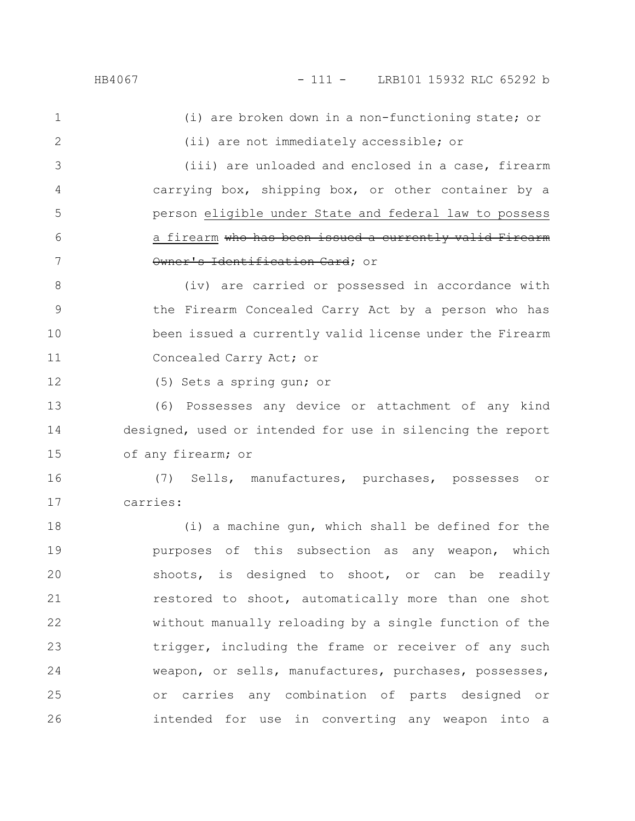(i) are broken down in a non-functioning state; or (ii) are not immediately accessible; or 1 2

(iii) are unloaded and enclosed in a case, firearm carrying box, shipping box, or other container by a person eligible under State and federal law to possess a firearm who has been issued a currently valid Firearm Owner's Identification Card; or 3 4 5 6 7

(iv) are carried or possessed in accordance with the Firearm Concealed Carry Act by a person who has been issued a currently valid license under the Firearm Concealed Carry Act; or 8 9 10 11

(5) Sets a spring gun; or

(6) Possesses any device or attachment of any kind designed, used or intended for use in silencing the report of any firearm; or 13 14 15

(7) Sells, manufactures, purchases, possesses or carries: 16 17

(i) a machine gun, which shall be defined for the purposes of this subsection as any weapon, which shoots, is designed to shoot, or can be readily restored to shoot, automatically more than one shot without manually reloading by a single function of the trigger, including the frame or receiver of any such weapon, or sells, manufactures, purchases, possesses, or carries any combination of parts designed or intended for use in converting any weapon into a 18 19 20 21 22 23 24 25 26

12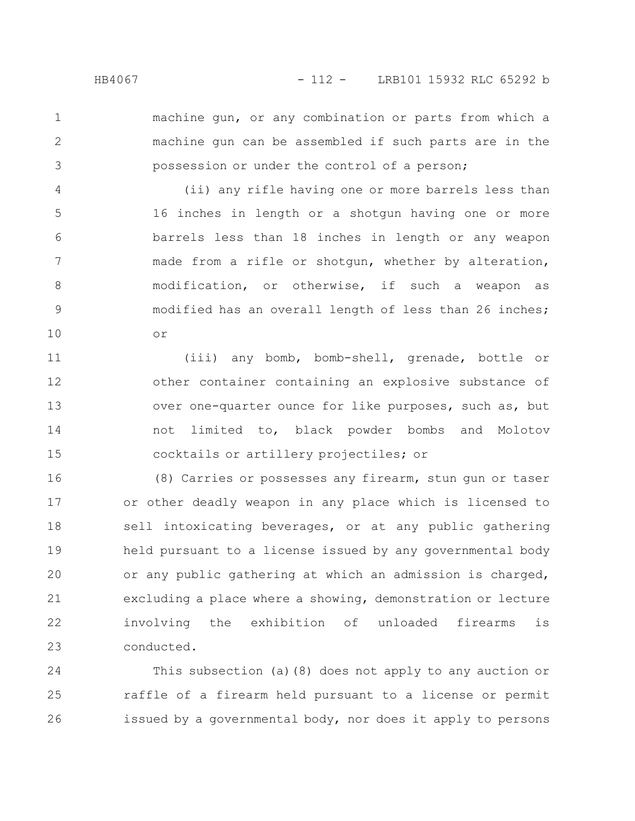2

3

machine gun, or any combination or parts from which a machine gun can be assembled if such parts are in the possession or under the control of a person;

(ii) any rifle having one or more barrels less than 16 inches in length or a shotgun having one or more barrels less than 18 inches in length or any weapon made from a rifle or shotgun, whether by alteration, modification, or otherwise, if such a weapon as modified has an overall length of less than 26 inches; or 4 5 6 7 8 9 10

(iii) any bomb, bomb-shell, grenade, bottle or other container containing an explosive substance of over one-quarter ounce for like purposes, such as, but not limited to, black powder bombs and Molotov cocktails or artillery projectiles; or 11 12 13 14 15

(8) Carries or possesses any firearm, stun gun or taser or other deadly weapon in any place which is licensed to sell intoxicating beverages, or at any public gathering held pursuant to a license issued by any governmental body or any public gathering at which an admission is charged, excluding a place where a showing, demonstration or lecture involving the exhibition of unloaded firearms is conducted. 16 17 18 19 20 21 22 23

This subsection (a)(8) does not apply to any auction or raffle of a firearm held pursuant to a license or permit issued by a governmental body, nor does it apply to persons 24 25 26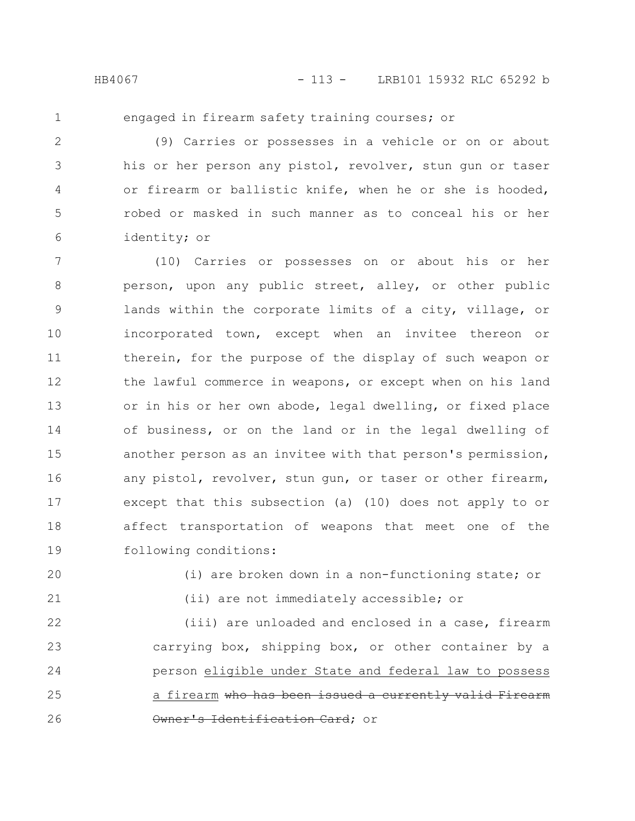engaged in firearm safety training courses; or

(9) Carries or possesses in a vehicle or on or about his or her person any pistol, revolver, stun gun or taser or firearm or ballistic knife, when he or she is hooded, robed or masked in such manner as to conceal his or her identity; or 2 3 4 5 6

(10) Carries or possesses on or about his or her person, upon any public street, alley, or other public lands within the corporate limits of a city, village, or incorporated town, except when an invitee thereon or therein, for the purpose of the display of such weapon or the lawful commerce in weapons, or except when on his land or in his or her own abode, legal dwelling, or fixed place of business, or on the land or in the legal dwelling of another person as an invitee with that person's permission, any pistol, revolver, stun gun, or taser or other firearm, except that this subsection (a) (10) does not apply to or affect transportation of weapons that meet one of the following conditions: 7 8 9 10 11 12 13 14 15 16 17 18 19

- 20
- 21

(i) are broken down in a non-functioning state; or (ii) are not immediately accessible; or

(iii) are unloaded and enclosed in a case, firearm carrying box, shipping box, or other container by a person eligible under State and federal law to possess a firearm who has been issued a currently valid Firearm Owner's Identification Card; or 22 23 24 25 26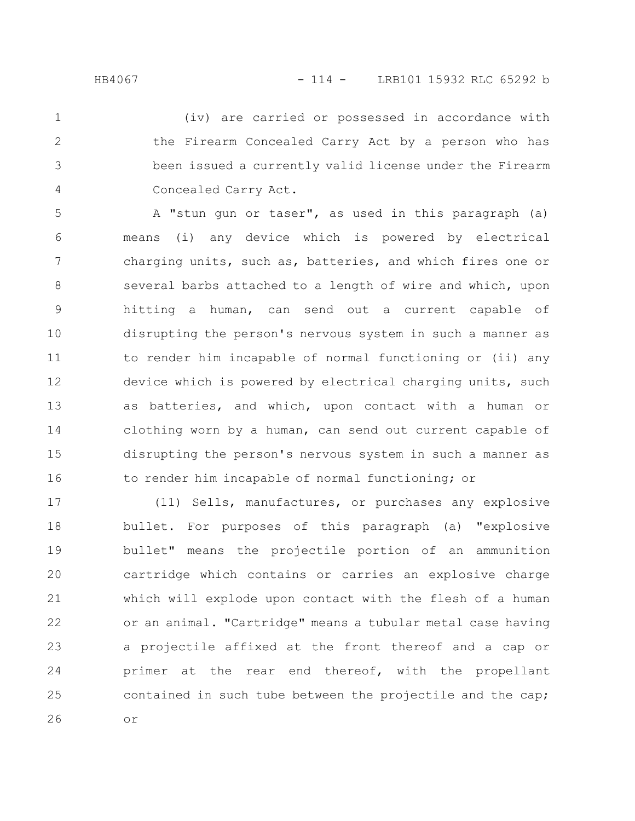2

3

4

(iv) are carried or possessed in accordance with the Firearm Concealed Carry Act by a person who has been issued a currently valid license under the Firearm Concealed Carry Act.

A "stun gun or taser", as used in this paragraph (a) means (i) any device which is powered by electrical charging units, such as, batteries, and which fires one or several barbs attached to a length of wire and which, upon hitting a human, can send out a current capable of disrupting the person's nervous system in such a manner as to render him incapable of normal functioning or (ii) any device which is powered by electrical charging units, such as batteries, and which, upon contact with a human or clothing worn by a human, can send out current capable of disrupting the person's nervous system in such a manner as to render him incapable of normal functioning; or 5 6 7 8 9 10 11 12 13 14 15 16

(11) Sells, manufactures, or purchases any explosive bullet. For purposes of this paragraph (a) "explosive bullet" means the projectile portion of an ammunition cartridge which contains or carries an explosive charge which will explode upon contact with the flesh of a human or an animal. "Cartridge" means a tubular metal case having a projectile affixed at the front thereof and a cap or primer at the rear end thereof, with the propellant contained in such tube between the projectile and the cap; or 17 18 19 20 21 22 23 24 25 26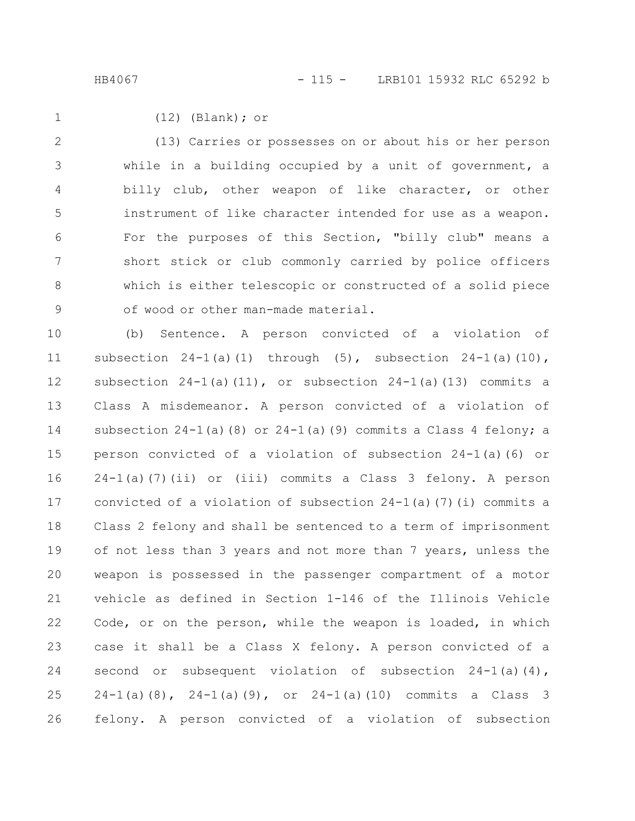$(12)$  (Blank); or (13) Carries or possesses on or about his or her person while in a building occupied by a unit of government, a billy club, other weapon of like character, or other instrument of like character intended for use as a weapon. For the purposes of this Section, "billy club" means a short stick or club commonly carried by police officers which is either telescopic or constructed of a solid piece of wood or other man-made material. 1 2 3 4 5 6 7 8 9

(b) Sentence. A person convicted of a violation of subsection  $24-1$  (a)(1) through (5), subsection  $24-1$  (a)(10), subsection  $24-1$ (a)(11), or subsection  $24-1$ (a)(13) commits a Class A misdemeanor. A person convicted of a violation of subsection  $24-1$  (a) (8) or  $24-1$  (a) (9) commits a Class 4 felony; a person convicted of a violation of subsection 24-1(a)(6) or 24-1(a)(7)(ii) or (iii) commits a Class 3 felony. A person convicted of a violation of subsection  $24-1$  (a)(7)(i) commits a Class 2 felony and shall be sentenced to a term of imprisonment of not less than 3 years and not more than 7 years, unless the weapon is possessed in the passenger compartment of a motor vehicle as defined in Section 1-146 of the Illinois Vehicle Code, or on the person, while the weapon is loaded, in which case it shall be a Class X felony. A person convicted of a second or subsequent violation of subsection  $24-1$  (a)(4),  $24-1(a)(8)$ ,  $24-1(a)(9)$ , or  $24-1(a)(10)$  commits a Class 3 felony. A person convicted of a violation of subsection 10 11 12 13 14 15 16 17 18 19 20 21 22 23 24 25 26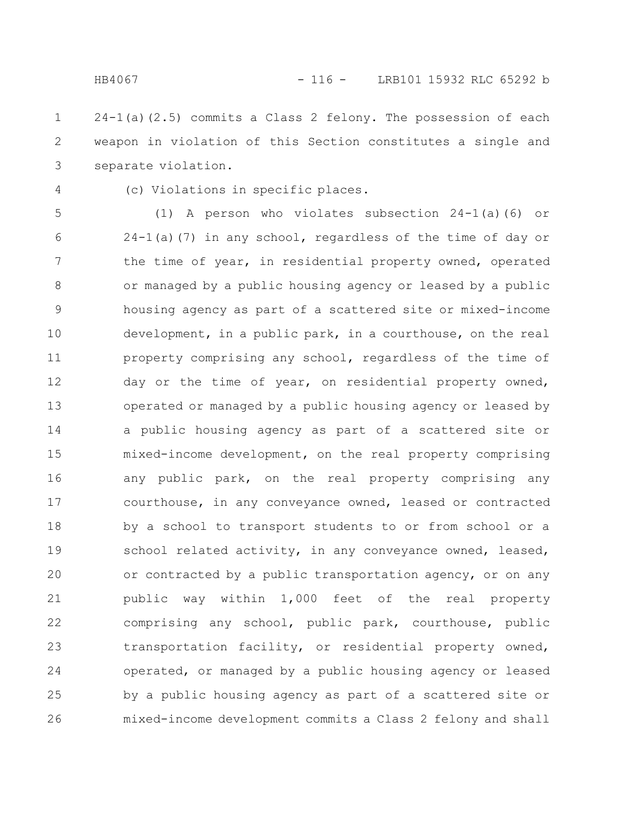$24-1$ (a)( $2.5$ ) commits a Class 2 felony. The possession of each weapon in violation of this Section constitutes a single and separate violation. 1 2 3

4

(c) Violations in specific places.

(1) A person who violates subsection 24-1(a)(6) or 24-1(a)(7) in any school, regardless of the time of day or the time of year, in residential property owned, operated or managed by a public housing agency or leased by a public housing agency as part of a scattered site or mixed-income development, in a public park, in a courthouse, on the real property comprising any school, regardless of the time of day or the time of year, on residential property owned, operated or managed by a public housing agency or leased by a public housing agency as part of a scattered site or mixed-income development, on the real property comprising any public park, on the real property comprising any courthouse, in any conveyance owned, leased or contracted by a school to transport students to or from school or a school related activity, in any conveyance owned, leased, or contracted by a public transportation agency, or on any public way within 1,000 feet of the real property comprising any school, public park, courthouse, public transportation facility, or residential property owned, operated, or managed by a public housing agency or leased by a public housing agency as part of a scattered site or mixed-income development commits a Class 2 felony and shall 5 6 7 8 9 10 11 12 13 14 15 16 17 18 19 20 21 22 23 24 25 26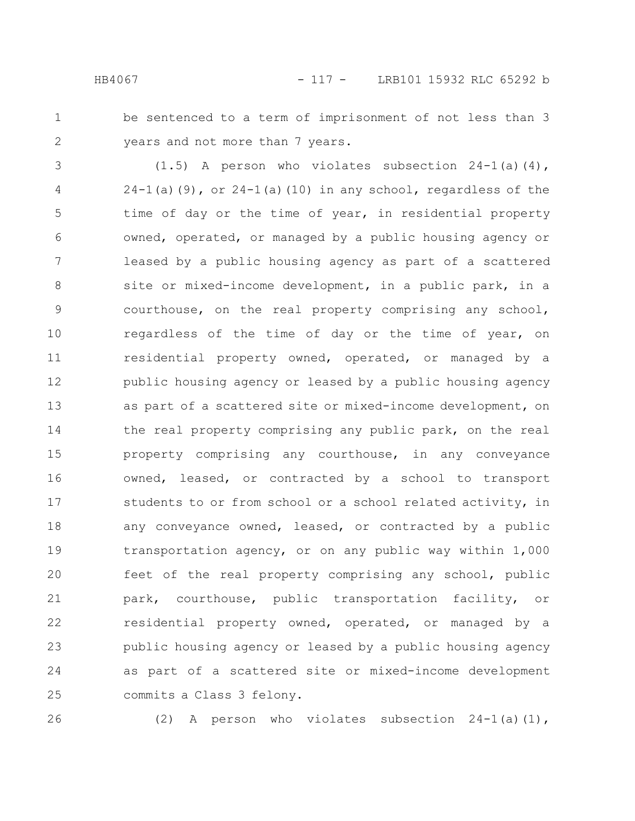- 
- 1 2

be sentenced to a term of imprisonment of not less than 3 years and not more than 7 years.

(1.5) A person who violates subsection 24-1(a)(4),  $24-1$ (a)(9), or  $24-1$ (a)(10) in any school, regardless of the time of day or the time of year, in residential property owned, operated, or managed by a public housing agency or leased by a public housing agency as part of a scattered site or mixed-income development, in a public park, in a courthouse, on the real property comprising any school, regardless of the time of day or the time of year, on residential property owned, operated, or managed by a public housing agency or leased by a public housing agency as part of a scattered site or mixed-income development, on the real property comprising any public park, on the real property comprising any courthouse, in any conveyance owned, leased, or contracted by a school to transport students to or from school or a school related activity, in any conveyance owned, leased, or contracted by a public transportation agency, or on any public way within 1,000 feet of the real property comprising any school, public park, courthouse, public transportation facility, or residential property owned, operated, or managed by a public housing agency or leased by a public housing agency as part of a scattered site or mixed-income development commits a Class 3 felony. 3 4 5 6 7 8 9 10 11 12 13 14 15 16 17 18 19 20 21 22 23 24 25

26

(2) A person who violates subsection  $24-1$  (a)(1),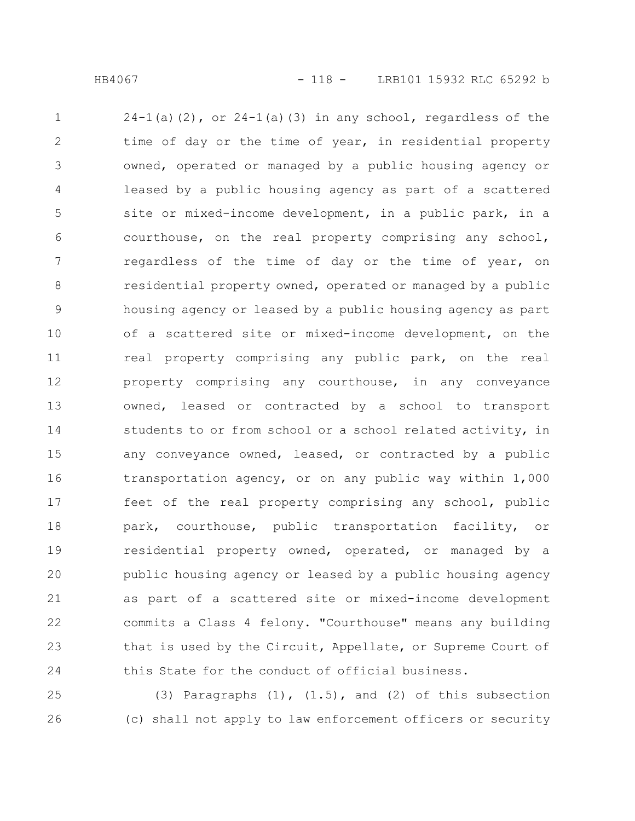$24-1$ (a)(2), or  $24-1$ (a)(3) in any school, regardless of the time of day or the time of year, in residential property owned, operated or managed by a public housing agency or leased by a public housing agency as part of a scattered site or mixed-income development, in a public park, in a courthouse, on the real property comprising any school, regardless of the time of day or the time of year, on residential property owned, operated or managed by a public housing agency or leased by a public housing agency as part of a scattered site or mixed-income development, on the real property comprising any public park, on the real property comprising any courthouse, in any conveyance owned, leased or contracted by a school to transport students to or from school or a school related activity, in any conveyance owned, leased, or contracted by a public transportation agency, or on any public way within 1,000 feet of the real property comprising any school, public park, courthouse, public transportation facility, or residential property owned, operated, or managed by a public housing agency or leased by a public housing agency as part of a scattered site or mixed-income development commits a Class 4 felony. "Courthouse" means any building that is used by the Circuit, Appellate, or Supreme Court of this State for the conduct of official business. 1 2 3 4 5 6 7 8 9 10 11 12 13 14 15 16 17 18 19 20 21 22 23 24

(3) Paragraphs  $(1)$ ,  $(1.5)$ , and  $(2)$  of this subsection (c) shall not apply to law enforcement officers or security 25 26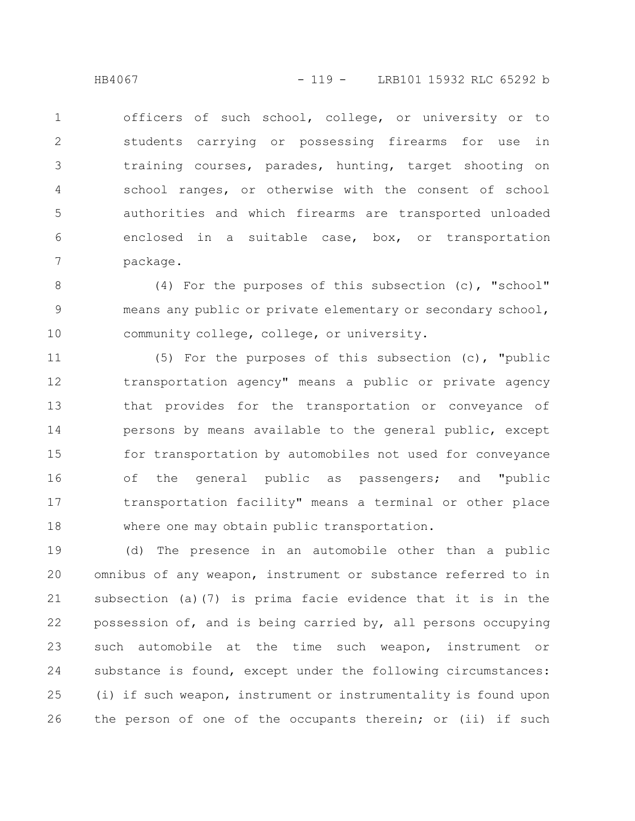officers of such school, college, or university or to students carrying or possessing firearms for use in training courses, parades, hunting, target shooting on school ranges, or otherwise with the consent of school authorities and which firearms are transported unloaded enclosed in a suitable case, box, or transportation package. 1 2 3 4 5 6 7

(4) For the purposes of this subsection (c), "school" means any public or private elementary or secondary school, community college, college, or university. 8 9 10

(5) For the purposes of this subsection (c), "public transportation agency" means a public or private agency that provides for the transportation or conveyance of persons by means available to the general public, except for transportation by automobiles not used for conveyance of the general public as passengers; and "public transportation facility" means a terminal or other place where one may obtain public transportation. 11 12 13 14 15 16 17 18

(d) The presence in an automobile other than a public omnibus of any weapon, instrument or substance referred to in subsection (a)(7) is prima facie evidence that it is in the possession of, and is being carried by, all persons occupying such automobile at the time such weapon, instrument or substance is found, except under the following circumstances: (i) if such weapon, instrument or instrumentality is found upon the person of one of the occupants therein; or (ii) if such 19 20 21 22 23 24 25 26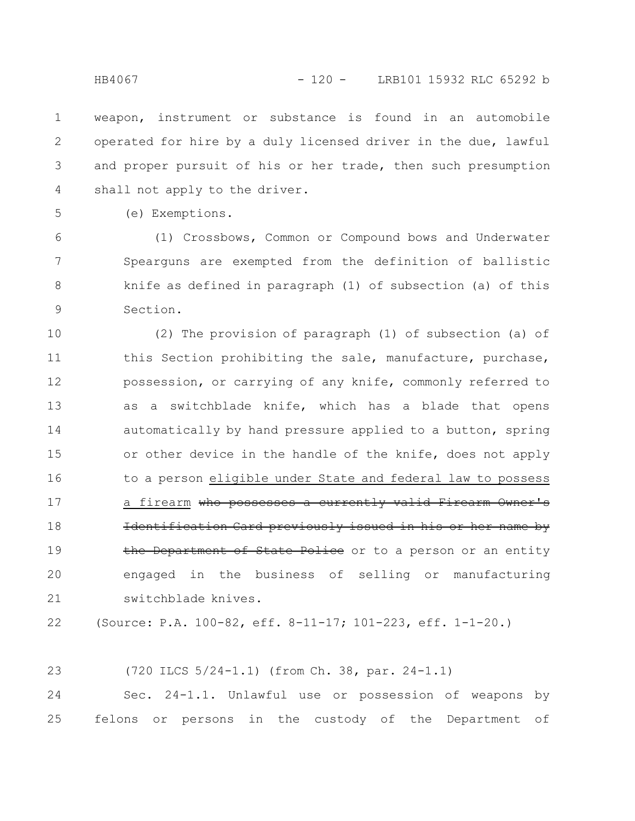weapon, instrument or substance is found in an automobile operated for hire by a duly licensed driver in the due, lawful and proper pursuit of his or her trade, then such presumption shall not apply to the driver. 1 2 3 4

5

(e) Exemptions.

(1) Crossbows, Common or Compound bows and Underwater Spearguns are exempted from the definition of ballistic knife as defined in paragraph (1) of subsection (a) of this Section. 6 7 8 9

(2) The provision of paragraph (1) of subsection (a) of this Section prohibiting the sale, manufacture, purchase, possession, or carrying of any knife, commonly referred to as a switchblade knife, which has a blade that opens automatically by hand pressure applied to a button, spring or other device in the handle of the knife, does not apply to a person eligible under State and federal law to possess a firearm who possesses a currently valid Firearm Owner's Identification Card previously issued in his or her name by the Department of State Police or to a person or an entity engaged in the business of selling or manufacturing switchblade knives. 10 11 12 13 14 15 16 17 18 19 20 21

(Source: P.A. 100-82, eff. 8-11-17; 101-223, eff. 1-1-20.) 22

(720 ILCS 5/24-1.1) (from Ch. 38, par. 24-1.1) 23

Sec. 24-1.1. Unlawful use or possession of weapons by felons or persons in the custody of the Department of 24 25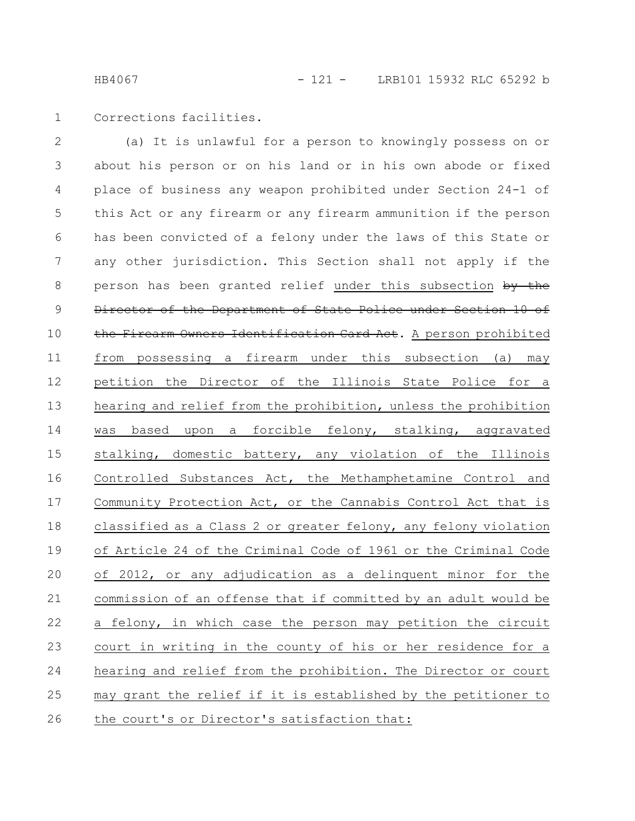Corrections facilities. 1

(a) It is unlawful for a person to knowingly possess on or about his person or on his land or in his own abode or fixed place of business any weapon prohibited under Section 24-1 of this Act or any firearm or any firearm ammunition if the person has been convicted of a felony under the laws of this State or any other jurisdiction. This Section shall not apply if the person has been granted relief under this subsection by the Director of the Department of State Police under Section 10 of the Firearm Owners Identification Card Act. A person prohibited from possessing a firearm under this subsection (a) may petition the Director of the Illinois State Police for a hearing and relief from the prohibition, unless the prohibition was based upon a forcible felony, stalking, aggravated stalking, domestic battery, any violation of the Illinois Controlled Substances Act, the Methamphetamine Control and Community Protection Act, or the Cannabis Control Act that is classified as a Class 2 or greater felony, any felony violation of Article 24 of the Criminal Code of 1961 or the Criminal Code of 2012, or any adjudication as a delinquent minor for the commission of an offense that if committed by an adult would be a felony, in which case the person may petition the circuit court in writing in the county of his or her residence for a hearing and relief from the prohibition. The Director or court may grant the relief if it is established by the petitioner to the court's or Director's satisfaction that: 2 3 4 5 6 7 8 9 10 11 12 13 14 15 16 17 18 19 20 21 22 23 24 25 26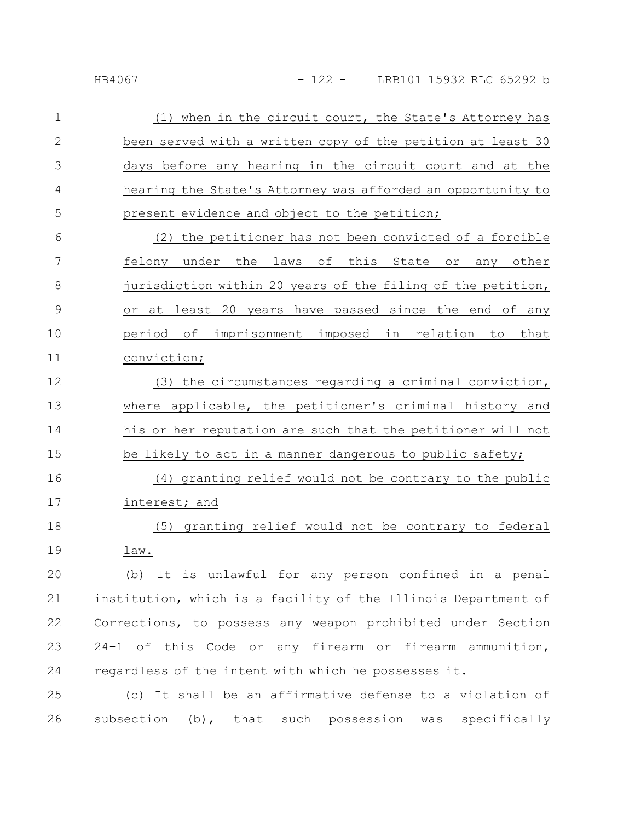| $\mathbf 1$  | (1) when in the circuit court, the State's Attorney has       |
|--------------|---------------------------------------------------------------|
| $\mathbf{2}$ | been served with a written copy of the petition at least 30   |
| 3            | days before any hearing in the circuit court and at the       |
| 4            | hearing the State's Attorney was afforded an opportunity to   |
| 5            | present evidence and object to the petition;                  |
| 6            | (2) the petitioner has not been convicted of a forcible       |
| 7            | felony under the laws of this State<br>$\circ$ r<br>any other |
| 8            | jurisdiction within 20 years of the filing of the petition,   |
| 9            | or at least 20 years have passed since the end of any         |
| 10           | period of imprisonment imposed in relation to that            |
| 11           | conviction;                                                   |
| 12           | (3) the circumstances regarding a criminal conviction,        |
| 13           | where applicable, the petitioner's criminal history and       |
| 14           | his or her reputation are such that the petitioner will not   |
| 15           | be likely to act in a manner dangerous to public safety;      |
| 16           | (4) granting relief would not be contrary to the public       |
| 17           | interest; and                                                 |

(5) granting relief would not be contrary to federal law. 18 19

(b) It is unlawful for any person confined in a penal institution, which is a facility of the Illinois Department of Corrections, to possess any weapon prohibited under Section 24-1 of this Code or any firearm or firearm ammunition, regardless of the intent with which he possesses it. 20 21 22 23 24

(c) It shall be an affirmative defense to a violation of subsection (b), that such possession was specifically 25 26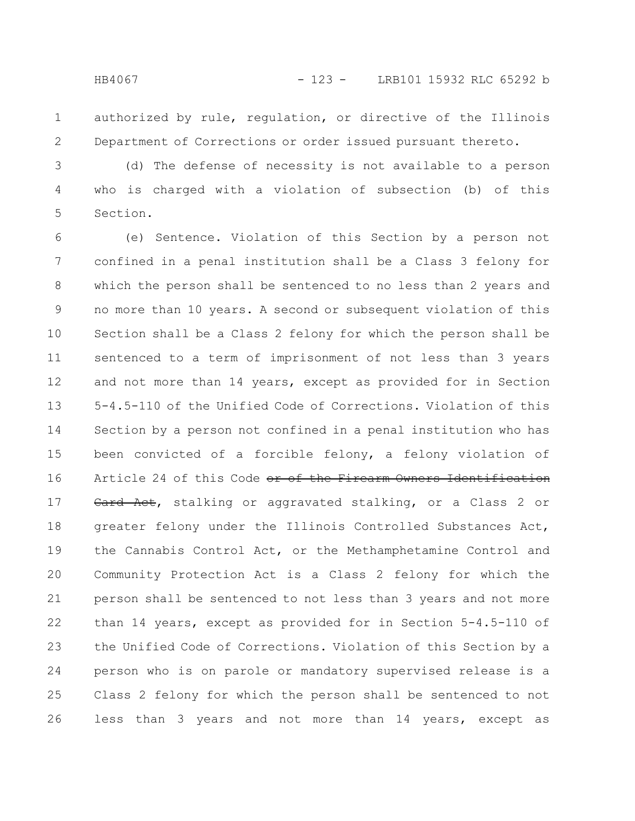authorized by rule, regulation, or directive of the Illinois Department of Corrections or order issued pursuant thereto. 1 2

(d) The defense of necessity is not available to a person who is charged with a violation of subsection (b) of this Section. 3 4 5

(e) Sentence. Violation of this Section by a person not confined in a penal institution shall be a Class 3 felony for which the person shall be sentenced to no less than 2 years and no more than 10 years. A second or subsequent violation of this Section shall be a Class 2 felony for which the person shall be sentenced to a term of imprisonment of not less than 3 years and not more than 14 years, except as provided for in Section 5-4.5-110 of the Unified Code of Corrections. Violation of this Section by a person not confined in a penal institution who has been convicted of a forcible felony, a felony violation of Article 24 of this Code or of the Firearm Owners Identification Card Act, stalking or aggravated stalking, or a Class 2 or greater felony under the Illinois Controlled Substances Act, the Cannabis Control Act, or the Methamphetamine Control and Community Protection Act is a Class 2 felony for which the person shall be sentenced to not less than 3 years and not more than 14 years, except as provided for in Section 5-4.5-110 of the Unified Code of Corrections. Violation of this Section by a person who is on parole or mandatory supervised release is a Class 2 felony for which the person shall be sentenced to not less than 3 years and not more than 14 years, except as 6 7 8 9 10 11 12 13 14 15 16 17 18 19 20 21 22 23 24 25 26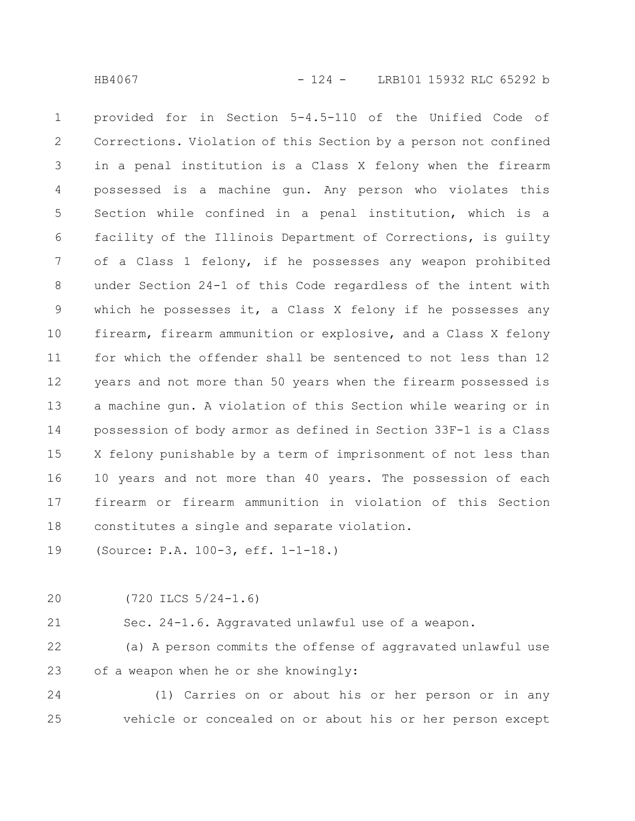provided for in Section 5-4.5-110 of the Unified Code of Corrections. Violation of this Section by a person not confined in a penal institution is a Class X felony when the firearm possessed is a machine gun. Any person who violates this Section while confined in a penal institution, which is a facility of the Illinois Department of Corrections, is guilty of a Class 1 felony, if he possesses any weapon prohibited under Section 24-1 of this Code regardless of the intent with which he possesses it, a Class X felony if he possesses any firearm, firearm ammunition or explosive, and a Class X felony for which the offender shall be sentenced to not less than 12 years and not more than 50 years when the firearm possessed is a machine gun. A violation of this Section while wearing or in possession of body armor as defined in Section 33F-1 is a Class X felony punishable by a term of imprisonment of not less than 10 years and not more than 40 years. The possession of each firearm or firearm ammunition in violation of this Section constitutes a single and separate violation. 1 2 3 4 5 6 7 8 9 10 11 12 13 14 15 16 17 18

(Source: P.A. 100-3, eff. 1-1-18.) 19

20

(720 ILCS 5/24-1.6)

Sec. 24-1.6. Aggravated unlawful use of a weapon. 21

(a) A person commits the offense of aggravated unlawful use of a weapon when he or she knowingly: 22 23

(1) Carries on or about his or her person or in any vehicle or concealed on or about his or her person except 24 25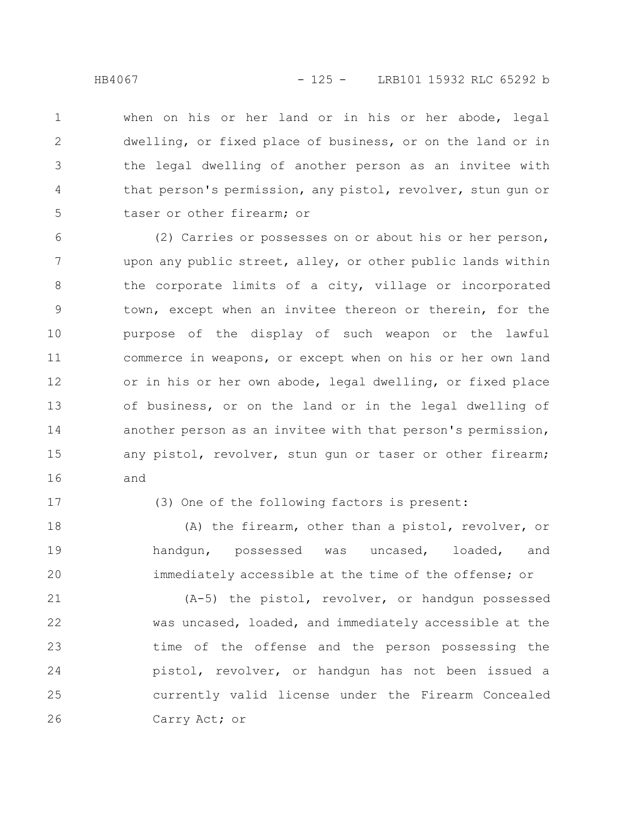when on his or her land or in his or her abode, legal dwelling, or fixed place of business, or on the land or in the legal dwelling of another person as an invitee with that person's permission, any pistol, revolver, stun gun or taser or other firearm; or 1 2 3 4 5

(2) Carries or possesses on or about his or her person, upon any public street, alley, or other public lands within the corporate limits of a city, village or incorporated town, except when an invitee thereon or therein, for the purpose of the display of such weapon or the lawful commerce in weapons, or except when on his or her own land or in his or her own abode, legal dwelling, or fixed place of business, or on the land or in the legal dwelling of another person as an invitee with that person's permission, any pistol, revolver, stun gun or taser or other firearm; and 6 7 8 9 10 11 12 13 14 15 16

17

(3) One of the following factors is present:

(A) the firearm, other than a pistol, revolver, or handgun, possessed was uncased, loaded, and immediately accessible at the time of the offense; or 18 19 20

(A-5) the pistol, revolver, or handgun possessed was uncased, loaded, and immediately accessible at the time of the offense and the person possessing the pistol, revolver, or handgun has not been issued a currently valid license under the Firearm Concealed Carry Act; or 21 22 23 24 25 26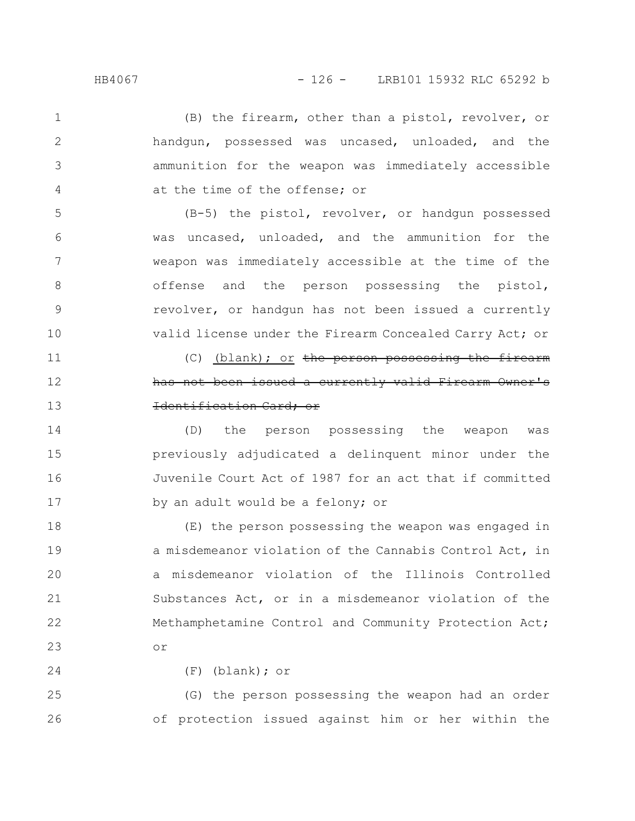(B) the firearm, other than a pistol, revolver, or handgun, possessed was uncased, unloaded, and the ammunition for the weapon was immediately accessible at the time of the offense; or 1 2 3 4

(B-5) the pistol, revolver, or handgun possessed was uncased, unloaded, and the ammunition for the weapon was immediately accessible at the time of the offense and the person possessing the pistol, revolver, or handgun has not been issued a currently valid license under the Firearm Concealed Carry Act; or

(C) (blank); or the person possessing the firearm has not been issued a currently valid Firearm Owner's Identification Card; or

(D) the person possessing the weapon was previously adjudicated a delinquent minor under the Juvenile Court Act of 1987 for an act that if committed by an adult would be a felony; or 14 15 16 17

(E) the person possessing the weapon was engaged in a misdemeanor violation of the Cannabis Control Act, in a misdemeanor violation of the Illinois Controlled Substances Act, or in a misdemeanor violation of the Methamphetamine Control and Community Protection Act; or 18 19 20 21 22 23

24

(F) (blank); or

(G) the person possessing the weapon had an order of protection issued against him or her within the 25 26

5

6

7

8

9

10

11

12

13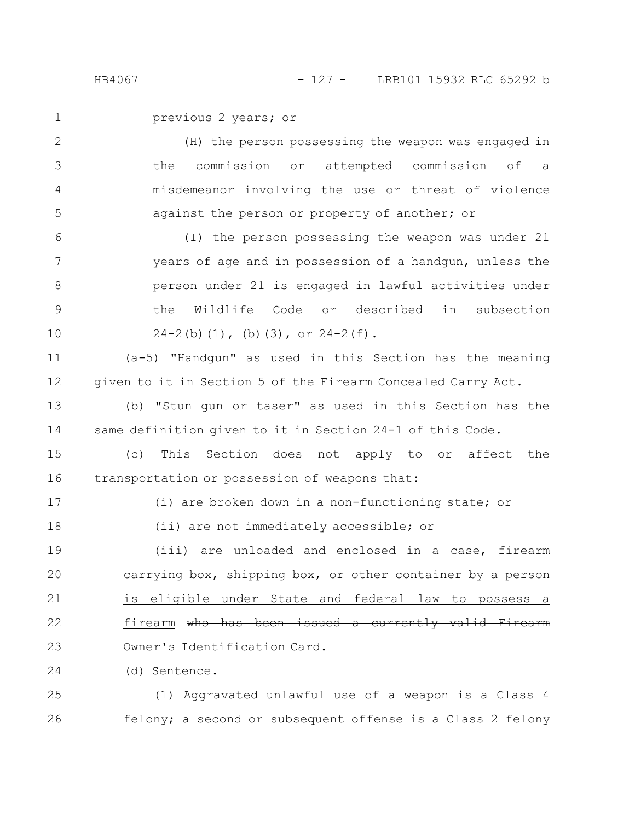previous 2 years; or

(H) the person possessing the weapon was engaged in the commission or attempted commission of a misdemeanor involving the use or threat of violence against the person or property of another; or 2 3 4 5

(I) the person possessing the weapon was under 21 years of age and in possession of a handgun, unless the person under 21 is engaged in lawful activities under the Wildlife Code or described in subsection  $24-2(b)(1)$ , (b)(3), or  $24-2(f)$ . 6 7 8 9 10

(a-5) "Handgun" as used in this Section has the meaning given to it in Section 5 of the Firearm Concealed Carry Act. 11 12

(b) "Stun gun or taser" as used in this Section has the same definition given to it in Section 24-1 of this Code. 13 14

(c) This Section does not apply to or affect the transportation or possession of weapons that: 15 16

17 18 (i) are broken down in a non-functioning state; or

(ii) are not immediately accessible; or

(iii) are unloaded and enclosed in a case, firearm carrying box, shipping box, or other container by a person is eligible under State and federal law to possess a firearm who has been issued a currently valid Firearm Owner's Identification Card. 19 20 21 22 23

(d) Sentence. 24

(1) Aggravated unlawful use of a weapon is a Class 4 felony; a second or subsequent offense is a Class 2 felony 25 26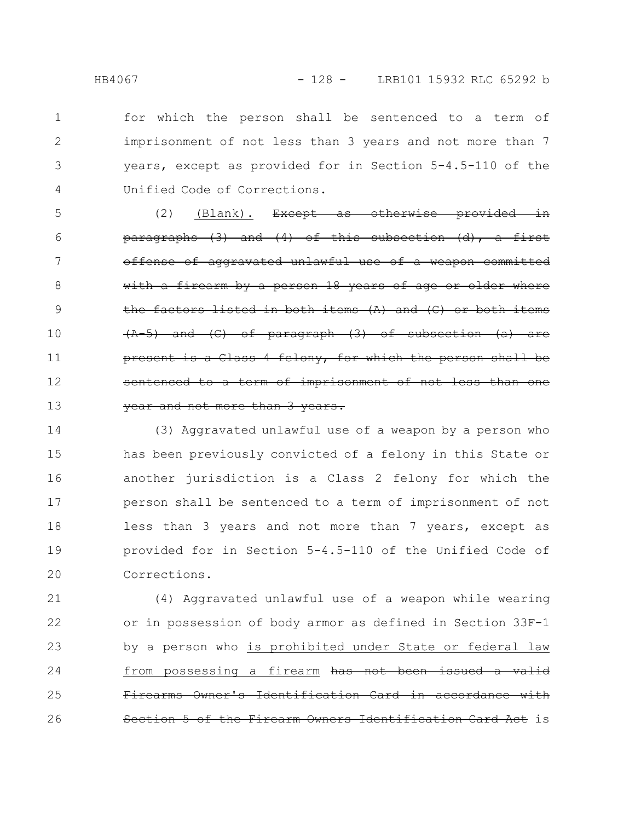for which the person shall be sentenced to a term of imprisonment of not less than 3 years and not more than 7 years, except as provided for in Section 5-4.5-110 of the Unified Code of Corrections. 1 2 3 4

 $(2)$  (Blank). Except as otherwise provided  $\frac{\text{parameters}}{\text{parameters}}$  (3) and (4) of this subsection (d), a of aggravated unlawful use of a weapon with a firearm by a person 18 years of age the factors listed in both items  $(A)$  and  $(C)$  $(C)$  of paragraph  $(3)$  of subsection  $(a)$  are Class 4 felony, for which the person term of imprisonment of not less year and not more than 3 years. 5 6 7 8 9 10 11 12 13

(3) Aggravated unlawful use of a weapon by a person who has been previously convicted of a felony in this State or another jurisdiction is a Class 2 felony for which the person shall be sentenced to a term of imprisonment of not less than 3 years and not more than 7 years, except as provided for in Section 5-4.5-110 of the Unified Code of Corrections. 14 15 16 17 18 19 20

(4) Aggravated unlawful use of a weapon while wearing or in possession of body armor as defined in Section 33F-1 by a person who is prohibited under State or federal law from possessing a firearm has not been issued a valid Firearms Owner's Identification Card in accordance with ction 5 of the Firearm Owners Identification Card Act is 21 22 23 24 25 26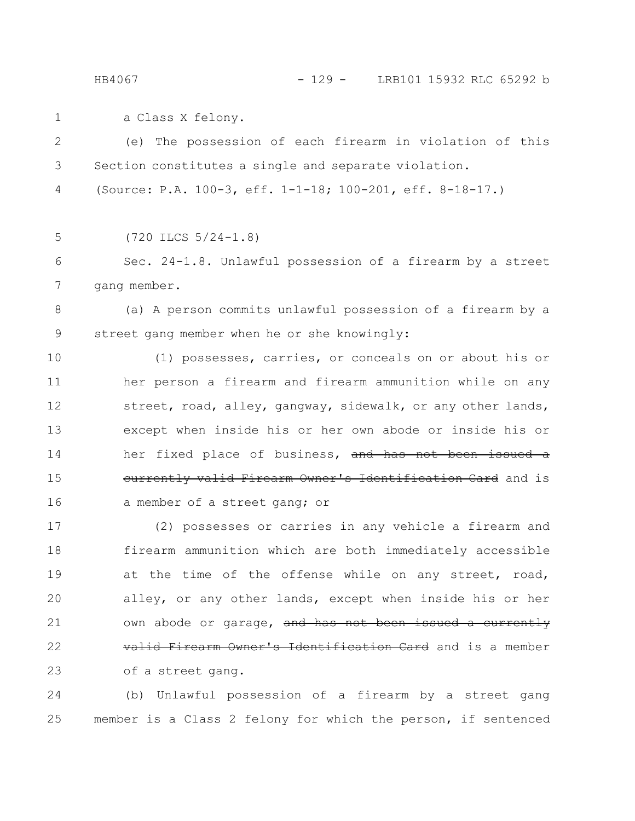a Class X felony. 1

(e) The possession of each firearm in violation of this Section constitutes a single and separate violation. (Source: P.A. 100-3, eff. 1-1-18; 100-201, eff. 8-18-17.) (720 ILCS 5/24-1.8) Sec. 24-1.8. Unlawful possession of a firearm by a street gang member. (a) A person commits unlawful possession of a firearm by a street gang member when he or she knowingly: (1) possesses, carries, or conceals on or about his or her person a firearm and firearm ammunition while on any street, road, alley, gangway, sidewalk, or any other lands, except when inside his or her own abode or inside his or her fixed place of business, and has not been issued a currently valid Firearm Owner's Identification Card and is a member of a street gang; or (2) possesses or carries in any vehicle a firearm and firearm ammunition which are both immediately accessible at the time of the offense while on any street, road, alley, or any other lands, except when inside his or her own abode or garage, and has not been issued a currently valid Firearm Owner's Identification Card and is a member of a street gang. 2 3 4 5 6 7 8 9 10 11 12 13 14 15 16 17 18 19 20 21 22 23

(b) Unlawful possession of a firearm by a street gang member is a Class 2 felony for which the person, if sentenced 24 25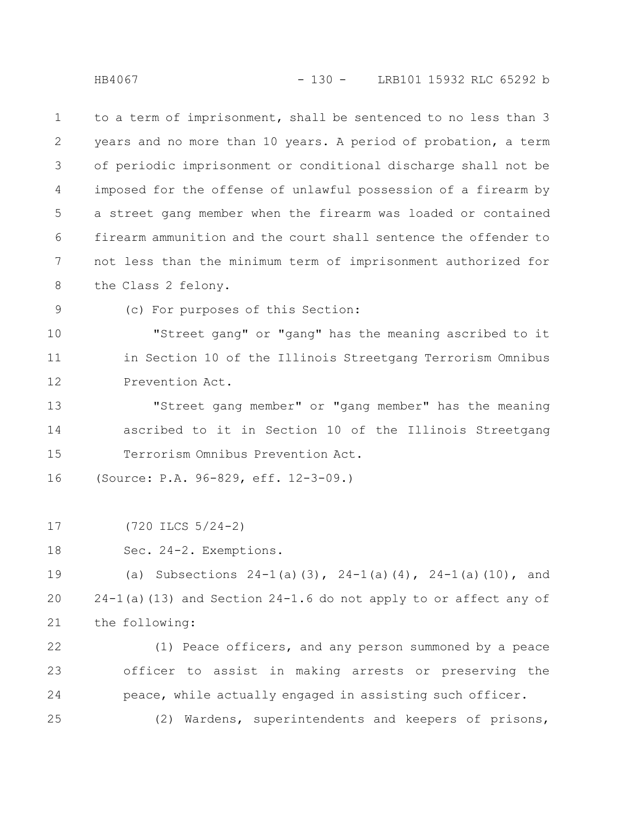to a term of imprisonment, shall be sentenced to no less than 3 years and no more than 10 years. A period of probation, a term of periodic imprisonment or conditional discharge shall not be imposed for the offense of unlawful possession of a firearm by a street gang member when the firearm was loaded or contained firearm ammunition and the court shall sentence the offender to not less than the minimum term of imprisonment authorized for the Class 2 felony. 1 2 3 4 5 6 7 8

(c) For purposes of this Section: 9

"Street gang" or "gang" has the meaning ascribed to it in Section 10 of the Illinois Streetgang Terrorism Omnibus Prevention Act. 10 11 12

"Street gang member" or "gang member" has the meaning ascribed to it in Section 10 of the Illinois Streetgang Terrorism Omnibus Prevention Act. 13 14 15

(Source: P.A. 96-829, eff. 12-3-09.) 16

(720 ILCS 5/24-2) 17

Sec. 24-2. Exemptions. 18

(a) Subsections  $24-1$  (a)(3),  $24-1$  (a)(4),  $24-1$  (a)(10), and 24-1(a)(13) and Section 24-1.6 do not apply to or affect any of the following: 19 20 21

(1) Peace officers, and any person summoned by a peace officer to assist in making arrests or preserving the peace, while actually engaged in assisting such officer. 22 23 24

(2) Wardens, superintendents and keepers of prisons, 25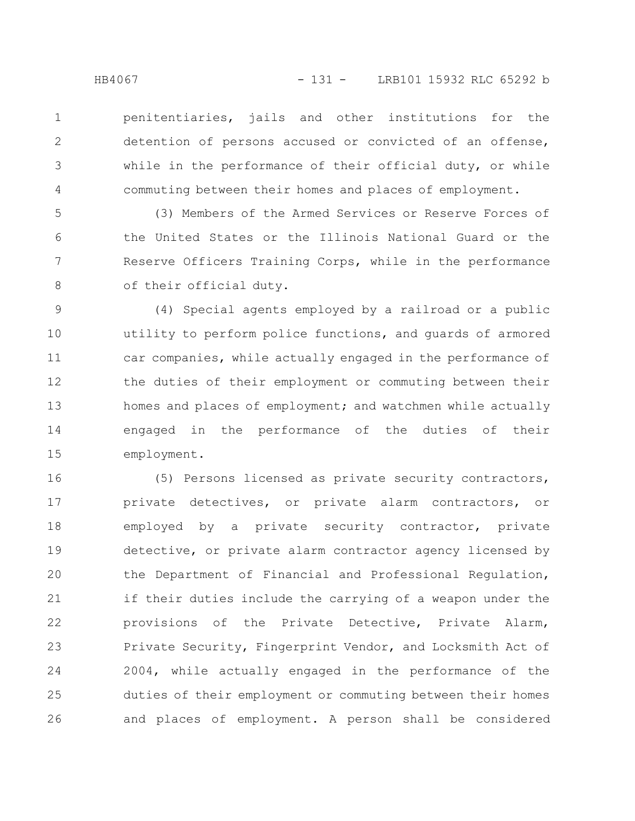2

3

4

penitentiaries, jails and other institutions for the detention of persons accused or convicted of an offense, while in the performance of their official duty, or while commuting between their homes and places of employment.

(3) Members of the Armed Services or Reserve Forces of the United States or the Illinois National Guard or the Reserve Officers Training Corps, while in the performance of their official duty. 5 6 7 8

(4) Special agents employed by a railroad or a public utility to perform police functions, and guards of armored car companies, while actually engaged in the performance of the duties of their employment or commuting between their homes and places of employment; and watchmen while actually engaged in the performance of the duties of their employment. 9 10 11 12 13 14 15

(5) Persons licensed as private security contractors, private detectives, or private alarm contractors, or employed by a private security contractor, private detective, or private alarm contractor agency licensed by the Department of Financial and Professional Regulation, if their duties include the carrying of a weapon under the provisions of the Private Detective, Private Alarm, Private Security, Fingerprint Vendor, and Locksmith Act of 2004, while actually engaged in the performance of the duties of their employment or commuting between their homes and places of employment. A person shall be considered 16 17 18 19 20 21 22 23 24 25 26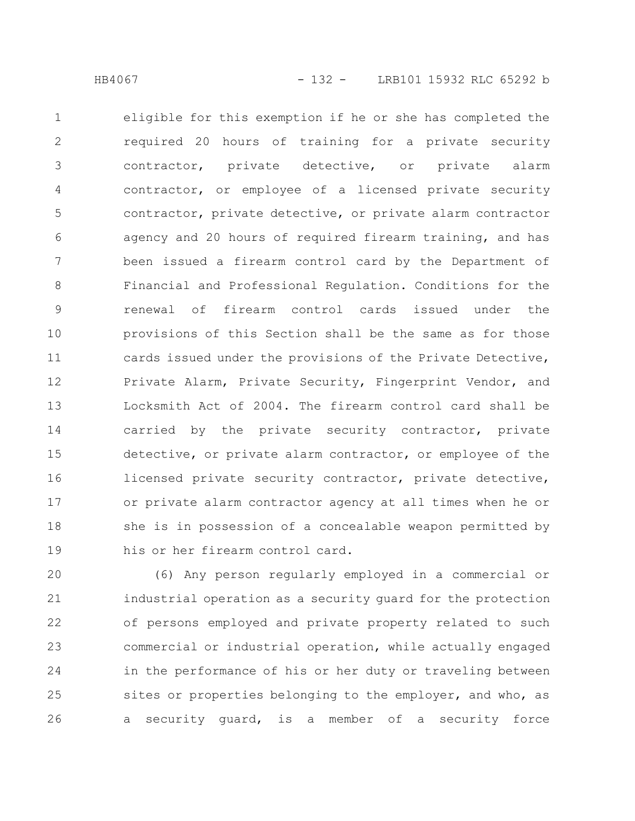eligible for this exemption if he or she has completed the required 20 hours of training for a private security contractor, private detective, or private alarm contractor, or employee of a licensed private security contractor, private detective, or private alarm contractor agency and 20 hours of required firearm training, and has been issued a firearm control card by the Department of Financial and Professional Regulation. Conditions for the renewal of firearm control cards issued under the provisions of this Section shall be the same as for those cards issued under the provisions of the Private Detective, Private Alarm, Private Security, Fingerprint Vendor, and Locksmith Act of 2004. The firearm control card shall be carried by the private security contractor, private detective, or private alarm contractor, or employee of the licensed private security contractor, private detective, or private alarm contractor agency at all times when he or she is in possession of a concealable weapon permitted by his or her firearm control card. 1 2 3 4 5 6 7 8 9 10 11 12 13 14 15 16 17 18 19

(6) Any person regularly employed in a commercial or industrial operation as a security guard for the protection of persons employed and private property related to such commercial or industrial operation, while actually engaged in the performance of his or her duty or traveling between sites or properties belonging to the employer, and who, as a security guard, is a member of a security force 20 21 22 23 24 25 26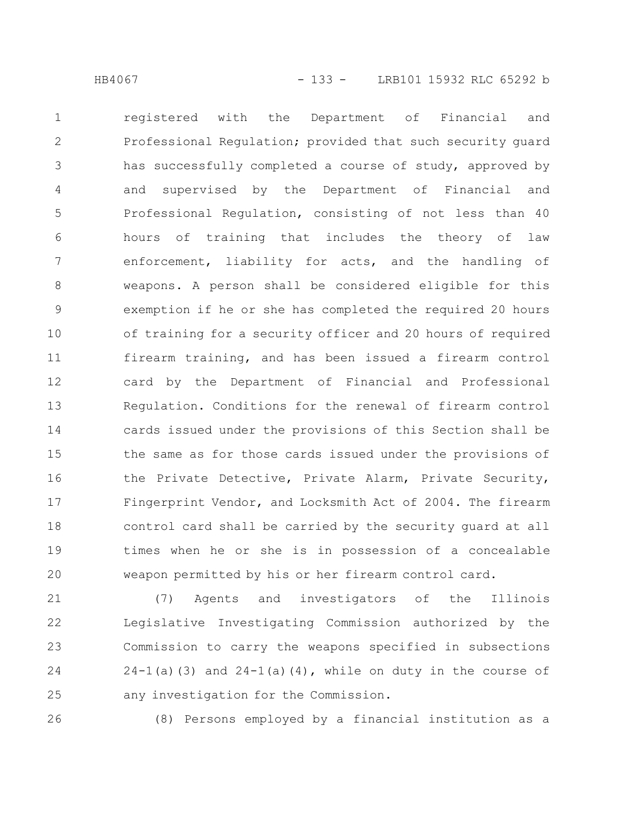registered with the Department of Financial and Professional Regulation; provided that such security guard has successfully completed a course of study, approved by and supervised by the Department of Financial and Professional Regulation, consisting of not less than 40 hours of training that includes the theory of law enforcement, liability for acts, and the handling of weapons. A person shall be considered eligible for this exemption if he or she has completed the required 20 hours of training for a security officer and 20 hours of required firearm training, and has been issued a firearm control card by the Department of Financial and Professional Regulation. Conditions for the renewal of firearm control cards issued under the provisions of this Section shall be the same as for those cards issued under the provisions of the Private Detective, Private Alarm, Private Security, Fingerprint Vendor, and Locksmith Act of 2004. The firearm control card shall be carried by the security guard at all 1 2 3 4 5 6 7 8 9 10 11 12 13 14 15 16 17 18

times when he or she is in possession of a concealable weapon permitted by his or her firearm control card. 19 20

(7) Agents and investigators of the Illinois Legislative Investigating Commission authorized by the Commission to carry the weapons specified in subsections  $24-1$ (a)(3) and  $24-1$ (a)(4), while on duty in the course of any investigation for the Commission. 21 22 23 24 25

26

(8) Persons employed by a financial institution as a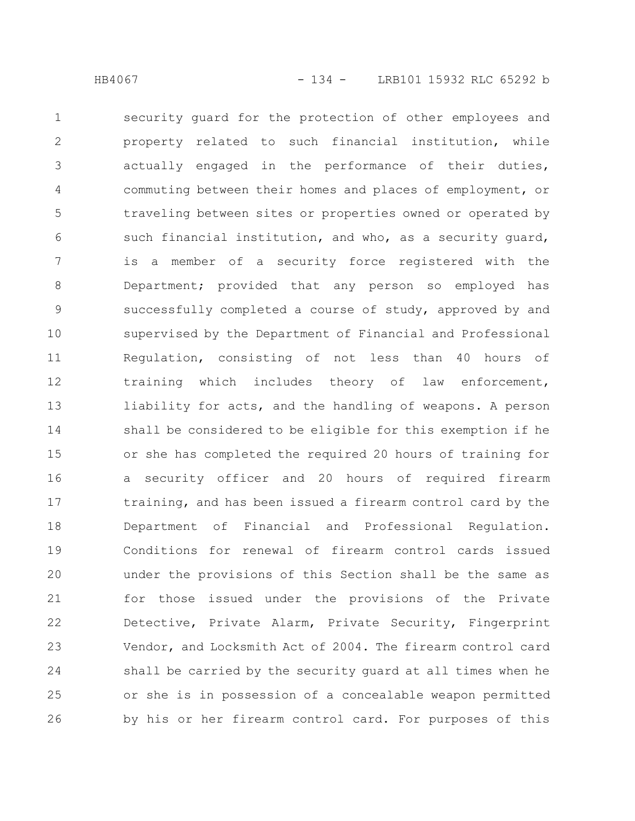security guard for the protection of other employees and property related to such financial institution, while actually engaged in the performance of their duties, commuting between their homes and places of employment, or traveling between sites or properties owned or operated by such financial institution, and who, as a security guard, is a member of a security force registered with the Department; provided that any person so employed has successfully completed a course of study, approved by and supervised by the Department of Financial and Professional Regulation, consisting of not less than 40 hours of training which includes theory of law enforcement, liability for acts, and the handling of weapons. A person shall be considered to be eligible for this exemption if he or she has completed the required 20 hours of training for a security officer and 20 hours of required firearm training, and has been issued a firearm control card by the Department of Financial and Professional Regulation. Conditions for renewal of firearm control cards issued under the provisions of this Section shall be the same as for those issued under the provisions of the Private Detective, Private Alarm, Private Security, Fingerprint Vendor, and Locksmith Act of 2004. The firearm control card shall be carried by the security guard at all times when he or she is in possession of a concealable weapon permitted by his or her firearm control card. For purposes of this 1 2 3 4 5 6 7 8 9 10 11 12 13 14 15 16 17 18 19 20 21 22 23 24 25 26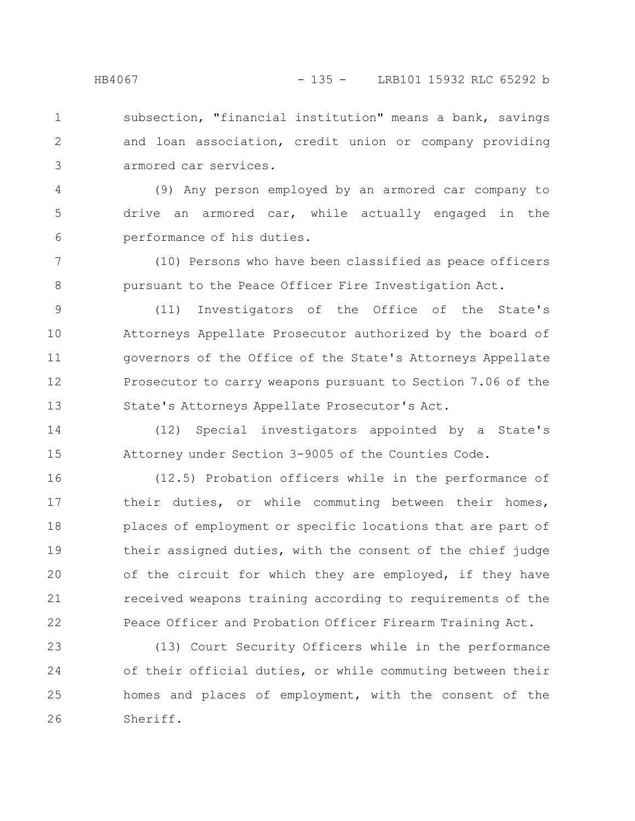subsection, "financial institution" means a bank, savings and loan association, credit union or company providing armored car services. 1 2 3

(9) Any person employed by an armored car company to drive an armored car, while actually engaged in the performance of his duties. 4 5 6

(10) Persons who have been classified as peace officers pursuant to the Peace Officer Fire Investigation Act. 7 8

(11) Investigators of the Office of the State's Attorneys Appellate Prosecutor authorized by the board of governors of the Office of the State's Attorneys Appellate Prosecutor to carry weapons pursuant to Section 7.06 of the State's Attorneys Appellate Prosecutor's Act. 9 10 11 12 13

(12) Special investigators appointed by a State's Attorney under Section 3-9005 of the Counties Code. 14 15

(12.5) Probation officers while in the performance of their duties, or while commuting between their homes, places of employment or specific locations that are part of their assigned duties, with the consent of the chief judge of the circuit for which they are employed, if they have received weapons training according to requirements of the Peace Officer and Probation Officer Firearm Training Act. 16 17 18 19 20 21 22

(13) Court Security Officers while in the performance of their official duties, or while commuting between their homes and places of employment, with the consent of the Sheriff. 23 24 25 26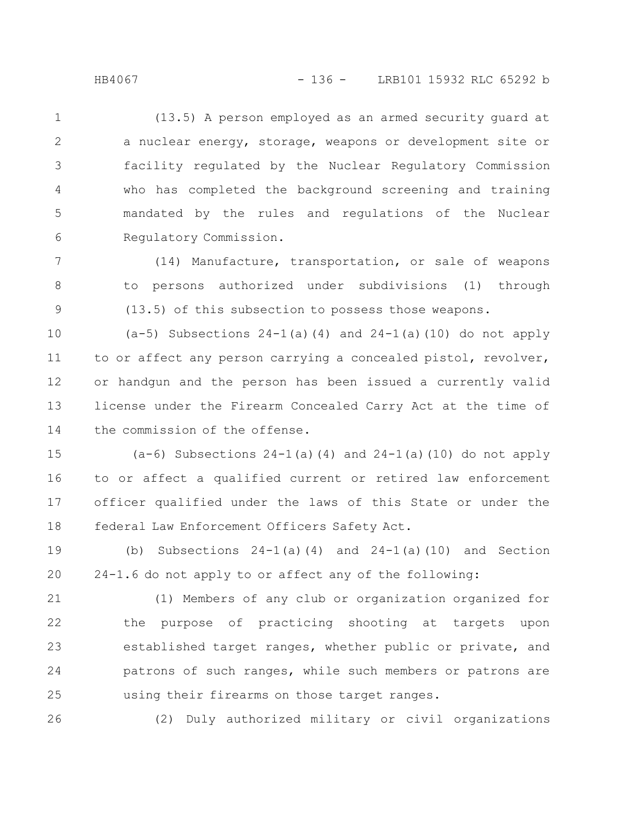(13.5) A person employed as an armed security guard at a nuclear energy, storage, weapons or development site or facility regulated by the Nuclear Regulatory Commission who has completed the background screening and training mandated by the rules and regulations of the Nuclear Regulatory Commission. 1 2 3 4 5 6

(14) Manufacture, transportation, or sale of weapons to persons authorized under subdivisions (1) through (13.5) of this subsection to possess those weapons. 7 8 9

 $(a-5)$  Subsections  $24-1(a)(4)$  and  $24-1(a)(10)$  do not apply to or affect any person carrying a concealed pistol, revolver, or handgun and the person has been issued a currently valid license under the Firearm Concealed Carry Act at the time of the commission of the offense. 10 11 12 13 14

(a-6) Subsections 24-1(a)(4) and 24-1(a)(10) do not apply to or affect a qualified current or retired law enforcement officer qualified under the laws of this State or under the federal Law Enforcement Officers Safety Act. 15 16 17 18

(b) Subsections  $24-1$ (a)(4) and  $24-1$ (a)(10) and Section 24-1.6 do not apply to or affect any of the following: 19 20

(1) Members of any club or organization organized for the purpose of practicing shooting at targets upon established target ranges, whether public or private, and patrons of such ranges, while such members or patrons are using their firearms on those target ranges. 21 22 23 24 25

(2) Duly authorized military or civil organizations

26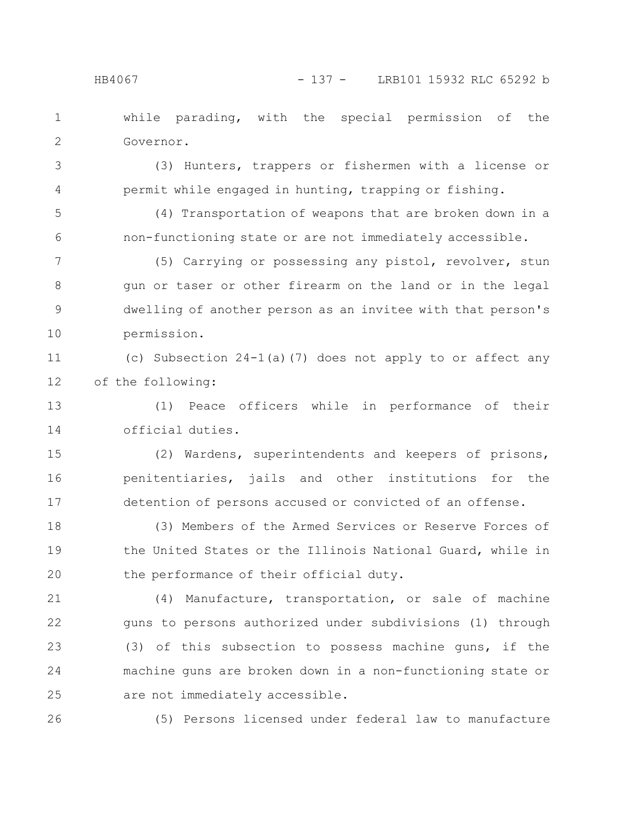while parading, with the special permission of the Governor. 1 2

(3) Hunters, trappers or fishermen with a license or permit while engaged in hunting, trapping or fishing. 3 4

(4) Transportation of weapons that are broken down in a non-functioning state or are not immediately accessible. 5 6

(5) Carrying or possessing any pistol, revolver, stun gun or taser or other firearm on the land or in the legal dwelling of another person as an invitee with that person's permission. 7 8 9 10

(c) Subsection 24-1(a)(7) does not apply to or affect any of the following: 11 12

(1) Peace officers while in performance of their official duties. 13 14

(2) Wardens, superintendents and keepers of prisons, penitentiaries, jails and other institutions for the detention of persons accused or convicted of an offense. 15 16 17

(3) Members of the Armed Services or Reserve Forces of the United States or the Illinois National Guard, while in the performance of their official duty. 18 19 20

(4) Manufacture, transportation, or sale of machine guns to persons authorized under subdivisions (1) through (3) of this subsection to possess machine guns, if the machine guns are broken down in a non-functioning state or are not immediately accessible. 21 22 23 24 25

26

(5) Persons licensed under federal law to manufacture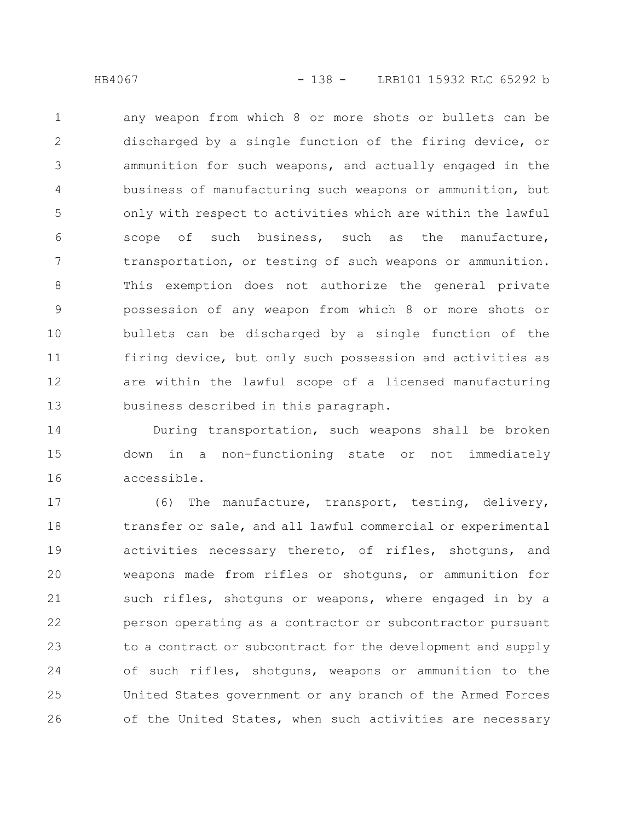any weapon from which 8 or more shots or bullets can be discharged by a single function of the firing device, or ammunition for such weapons, and actually engaged in the business of manufacturing such weapons or ammunition, but only with respect to activities which are within the lawful scope of such business, such as the manufacture, transportation, or testing of such weapons or ammunition. This exemption does not authorize the general private possession of any weapon from which 8 or more shots or bullets can be discharged by a single function of the firing device, but only such possession and activities as are within the lawful scope of a licensed manufacturing business described in this paragraph. 1 2 3 4 5 6 7 8 9 10 11 12 13

During transportation, such weapons shall be broken down in a non-functioning state or not immediately accessible. 14 15 16

(6) The manufacture, transport, testing, delivery, transfer or sale, and all lawful commercial or experimental activities necessary thereto, of rifles, shotguns, and weapons made from rifles or shotguns, or ammunition for such rifles, shotguns or weapons, where engaged in by a person operating as a contractor or subcontractor pursuant to a contract or subcontract for the development and supply of such rifles, shotguns, weapons or ammunition to the United States government or any branch of the Armed Forces of the United States, when such activities are necessary 17 18 19 20 21 22 23 24 25 26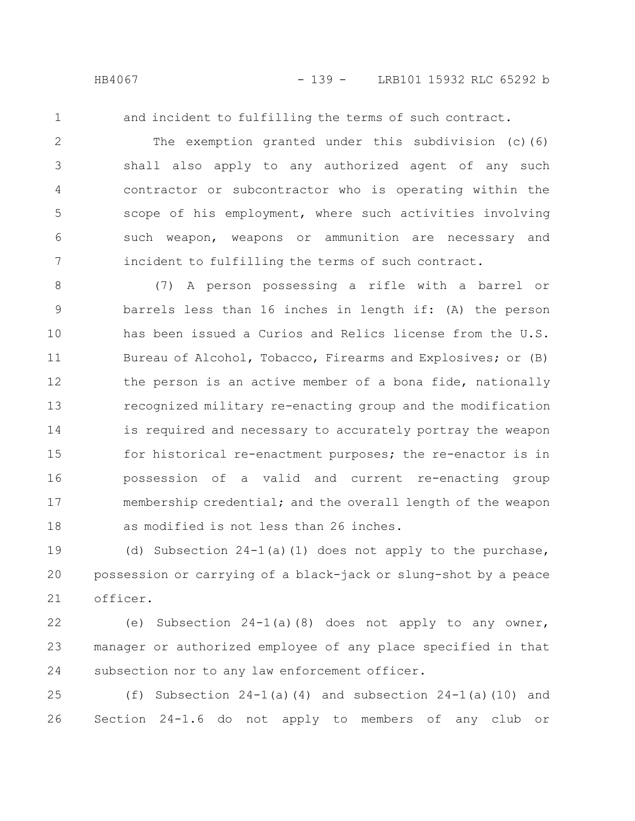and incident to fulfilling the terms of such contract.

The exemption granted under this subdivision (c)(6) shall also apply to any authorized agent of any such contractor or subcontractor who is operating within the scope of his employment, where such activities involving such weapon, weapons or ammunition are necessary and incident to fulfilling the terms of such contract. 2 3 4 5 6 7

(7) A person possessing a rifle with a barrel or barrels less than 16 inches in length if: (A) the person has been issued a Curios and Relics license from the U.S. Bureau of Alcohol, Tobacco, Firearms and Explosives; or (B) the person is an active member of a bona fide, nationally recognized military re-enacting group and the modification is required and necessary to accurately portray the weapon for historical re-enactment purposes; the re-enactor is in possession of a valid and current re-enacting group membership credential; and the overall length of the weapon as modified is not less than 26 inches. 8 9 10 11 12 13 14 15 16 17 18

(d) Subsection  $24-1$ (a)(1) does not apply to the purchase, possession or carrying of a black-jack or slung-shot by a peace officer. 19 20 21

(e) Subsection 24-1(a)(8) does not apply to any owner, manager or authorized employee of any place specified in that subsection nor to any law enforcement officer. 22 23 24

(f) Subsection  $24-1$  (a)(4) and subsection  $24-1$  (a)(10) and Section 24-1.6 do not apply to members of any club or 25 26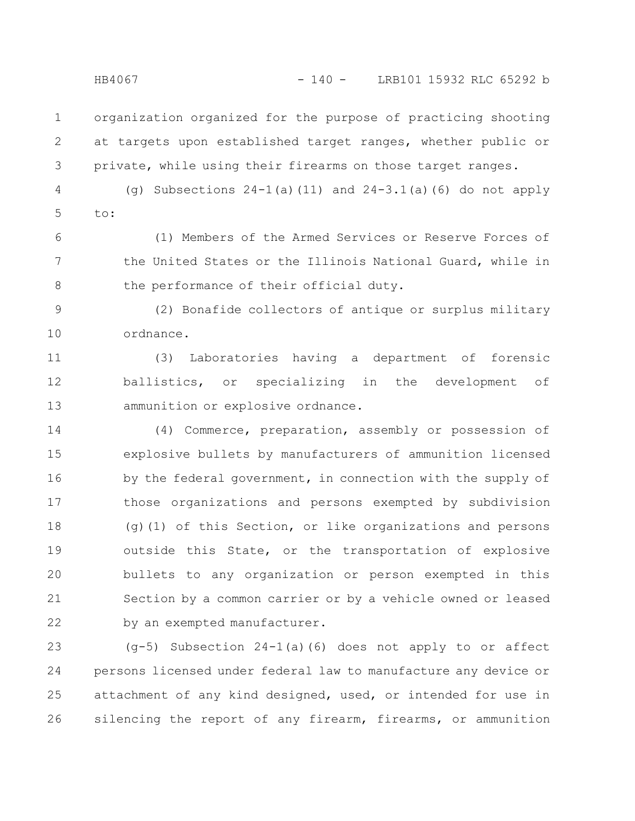organization organized for the purpose of practicing shooting at targets upon established target ranges, whether public or private, while using their firearms on those target ranges. 1 2 3

(g) Subsections 24-1(a)(11) and 24-3.1(a)(6) do not apply  $t \circ t$ : 4 5

(1) Members of the Armed Services or Reserve Forces of the United States or the Illinois National Guard, while in the performance of their official duty. 6 7 8

(2) Bonafide collectors of antique or surplus military ordnance. 9 10

(3) Laboratories having a department of forensic ballistics, or specializing in the development of ammunition or explosive ordnance. 11 12 13

(4) Commerce, preparation, assembly or possession of explosive bullets by manufacturers of ammunition licensed by the federal government, in connection with the supply of those organizations and persons exempted by subdivision (g)(1) of this Section, or like organizations and persons outside this State, or the transportation of explosive bullets to any organization or person exempted in this Section by a common carrier or by a vehicle owned or leased by an exempted manufacturer. 14 15 16 17 18 19 20 21 22

(g-5) Subsection 24-1(a)(6) does not apply to or affect persons licensed under federal law to manufacture any device or attachment of any kind designed, used, or intended for use in silencing the report of any firearm, firearms, or ammunition 23 24 25 26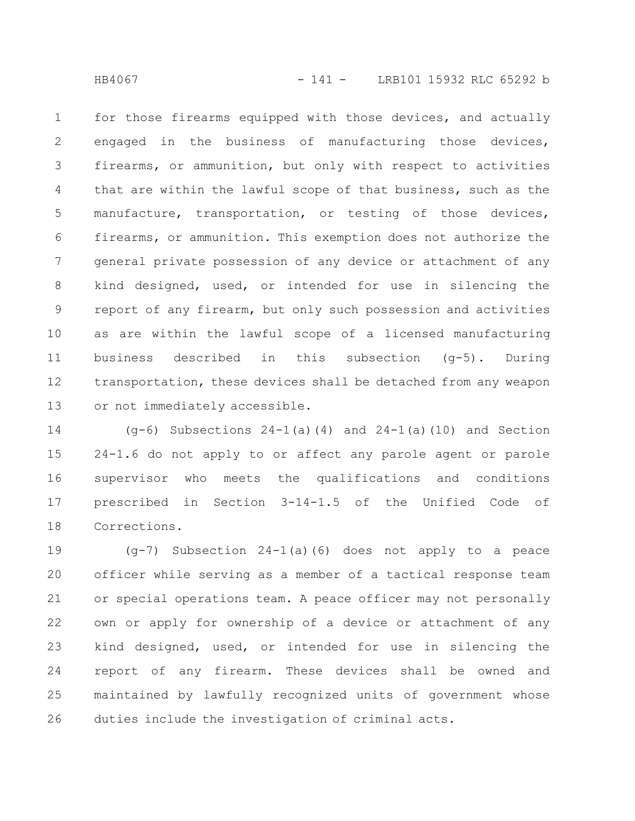for those firearms equipped with those devices, and actually engaged in the business of manufacturing those devices, firearms, or ammunition, but only with respect to activities that are within the lawful scope of that business, such as the manufacture, transportation, or testing of those devices, firearms, or ammunition. This exemption does not authorize the general private possession of any device or attachment of any kind designed, used, or intended for use in silencing the report of any firearm, but only such possession and activities as are within the lawful scope of a licensed manufacturing business described in this subsection (g-5). During transportation, these devices shall be detached from any weapon or not immediately accessible. 1 2 3 4 5 6 7 8 9 10 11 12 13

(g-6) Subsections 24-1(a)(4) and 24-1(a)(10) and Section 24-1.6 do not apply to or affect any parole agent or parole supervisor who meets the qualifications and conditions prescribed in Section 3-14-1.5 of the Unified Code of Corrections. 14 15 16 17 18

(g-7) Subsection 24-1(a)(6) does not apply to a peace officer while serving as a member of a tactical response team or special operations team. A peace officer may not personally own or apply for ownership of a device or attachment of any kind designed, used, or intended for use in silencing the report of any firearm. These devices shall be owned and maintained by lawfully recognized units of government whose duties include the investigation of criminal acts. 19 20 21 22 23 24 25 26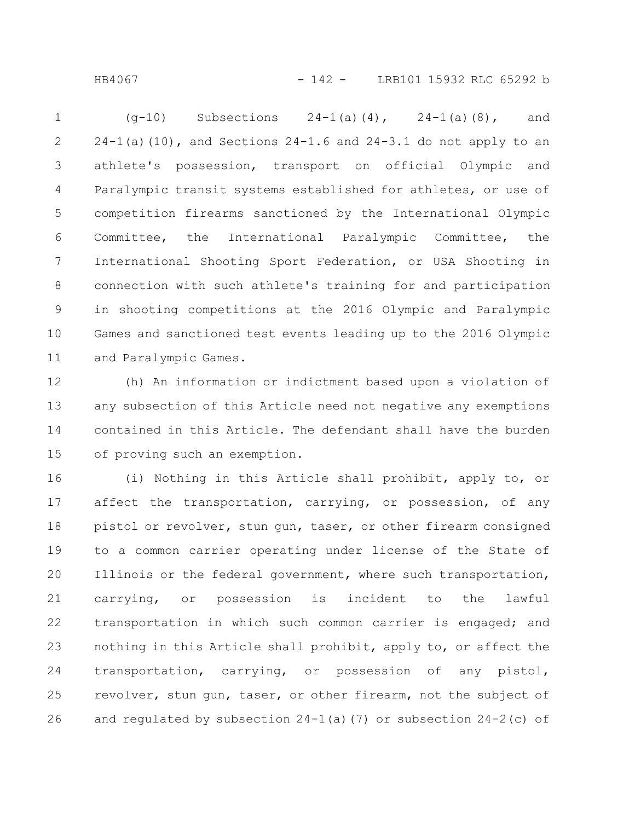HB4067 - 142 - LRB101 15932 RLC 65292 b

 $(q-10)$  Subsections  $24-1(a)(4)$ ,  $24-1(a)(8)$ , and  $24-1$ (a)(10), and Sections  $24-1.6$  and  $24-3.1$  do not apply to an athlete's possession, transport on official Olympic and Paralympic transit systems established for athletes, or use of competition firearms sanctioned by the International Olympic Committee, the International Paralympic Committee, the International Shooting Sport Federation, or USA Shooting in connection with such athlete's training for and participation in shooting competitions at the 2016 Olympic and Paralympic Games and sanctioned test events leading up to the 2016 Olympic and Paralympic Games. 1 2 3 4 5 6 7 8 9 10 11

(h) An information or indictment based upon a violation of any subsection of this Article need not negative any exemptions contained in this Article. The defendant shall have the burden of proving such an exemption. 12 13 14 15

(i) Nothing in this Article shall prohibit, apply to, or affect the transportation, carrying, or possession, of any pistol or revolver, stun gun, taser, or other firearm consigned to a common carrier operating under license of the State of Illinois or the federal government, where such transportation, carrying, or possession is incident to the lawful transportation in which such common carrier is engaged; and nothing in this Article shall prohibit, apply to, or affect the transportation, carrying, or possession of any pistol, revolver, stun gun, taser, or other firearm, not the subject of and regulated by subsection  $24-1$  (a)(7) or subsection  $24-2$  (c) of 16 17 18 19 20 21 22 23 24 25 26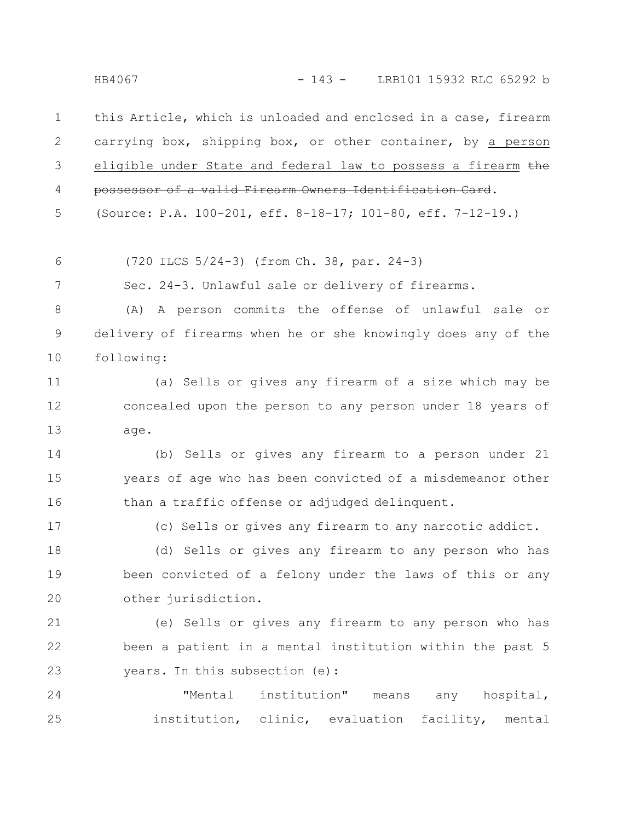HB4067 - 143 - LRB101 15932 RLC 65292 b

this Article, which is unloaded and enclosed in a case, firearm carrying box, shipping box, or other container, by a person eligible under State and federal law to possess a firearm the possessor of a valid Firearm Owners Identification Card. 1 2 3 4

(Source: P.A. 100-201, eff. 8-18-17; 101-80, eff. 7-12-19.) 5

(720 ILCS 5/24-3) (from Ch. 38, par. 24-3) 6

Sec. 24-3. Unlawful sale or delivery of firearms. 7

(A) A person commits the offense of unlawful sale or delivery of firearms when he or she knowingly does any of the following: 8 9 10

(a) Sells or gives any firearm of a size which may be concealed upon the person to any person under 18 years of age. 11 12 13

(b) Sells or gives any firearm to a person under 21 years of age who has been convicted of a misdemeanor other than a traffic offense or adjudged delinquent. 14 15 16

(c) Sells or gives any firearm to any narcotic addict.

17

(d) Sells or gives any firearm to any person who has been convicted of a felony under the laws of this or any other jurisdiction. 18 19 20

(e) Sells or gives any firearm to any person who has been a patient in a mental institution within the past 5 years. In this subsection (e): 21 22 23

"Mental institution" means any hospital, institution, clinic, evaluation facility, mental 24 25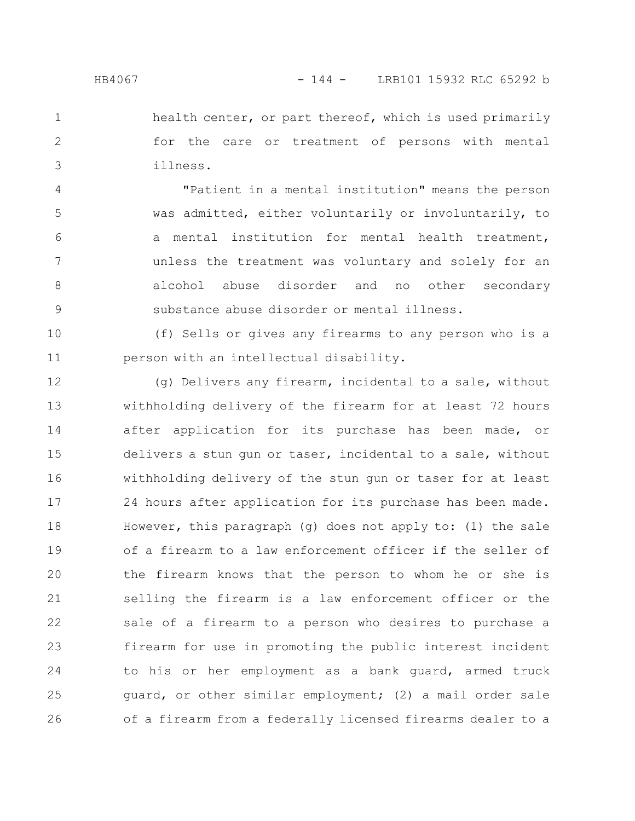health center, or part thereof, which is used primarily for the care or treatment of persons with mental illness. 1 2 3

"Patient in a mental institution" means the person was admitted, either voluntarily or involuntarily, to a mental institution for mental health treatment, unless the treatment was voluntary and solely for an alcohol abuse disorder and no other secondary substance abuse disorder or mental illness. 4 5 6 7 8 9

(f) Sells or gives any firearms to any person who is a person with an intellectual disability. 10 11

(g) Delivers any firearm, incidental to a sale, without withholding delivery of the firearm for at least 72 hours after application for its purchase has been made, or delivers a stun gun or taser, incidental to a sale, without withholding delivery of the stun gun or taser for at least 24 hours after application for its purchase has been made. However, this paragraph (g) does not apply to: (1) the sale of a firearm to a law enforcement officer if the seller of the firearm knows that the person to whom he or she is selling the firearm is a law enforcement officer or the sale of a firearm to a person who desires to purchase a firearm for use in promoting the public interest incident to his or her employment as a bank guard, armed truck guard, or other similar employment; (2) a mail order sale of a firearm from a federally licensed firearms dealer to a 12 13 14 15 16 17 18 19 20 21 22 23 24 25 26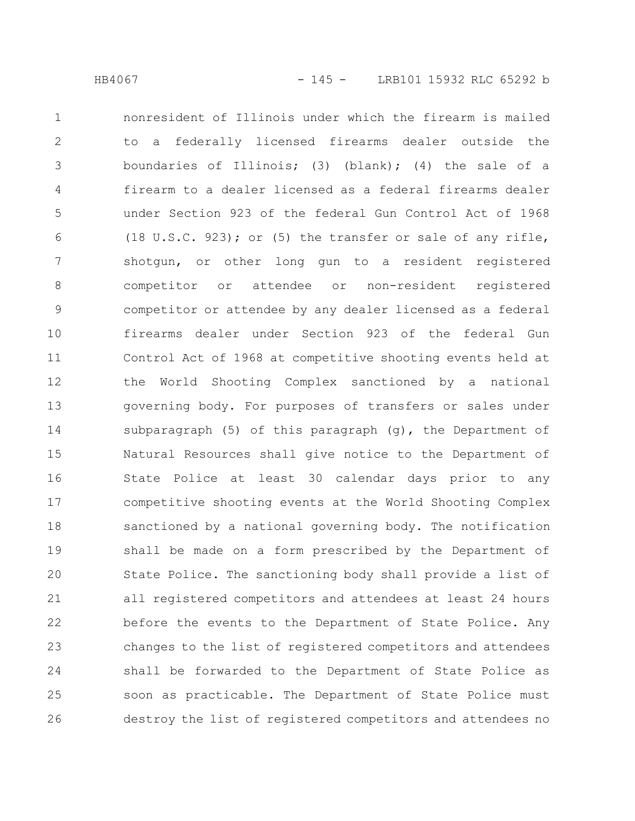nonresident of Illinois under which the firearm is mailed to a federally licensed firearms dealer outside the boundaries of Illinois; (3) (blank); (4) the sale of a firearm to a dealer licensed as a federal firearms dealer under Section 923 of the federal Gun Control Act of 1968 (18 U.S.C. 923); or (5) the transfer or sale of any rifle, shotgun, or other long gun to a resident registered competitor or attendee or non-resident registered competitor or attendee by any dealer licensed as a federal firearms dealer under Section 923 of the federal Gun Control Act of 1968 at competitive shooting events held at the World Shooting Complex sanctioned by a national governing body. For purposes of transfers or sales under subparagraph (5) of this paragraph (g), the Department of Natural Resources shall give notice to the Department of State Police at least 30 calendar days prior to any competitive shooting events at the World Shooting Complex sanctioned by a national governing body. The notification shall be made on a form prescribed by the Department of State Police. The sanctioning body shall provide a list of all registered competitors and attendees at least 24 hours before the events to the Department of State Police. Any changes to the list of registered competitors and attendees shall be forwarded to the Department of State Police as soon as practicable. The Department of State Police must destroy the list of registered competitors and attendees no 1 2 3 4 5 6 7 8 9 10 11 12 13 14 15 16 17 18 19 20 21 22 23 24 25 26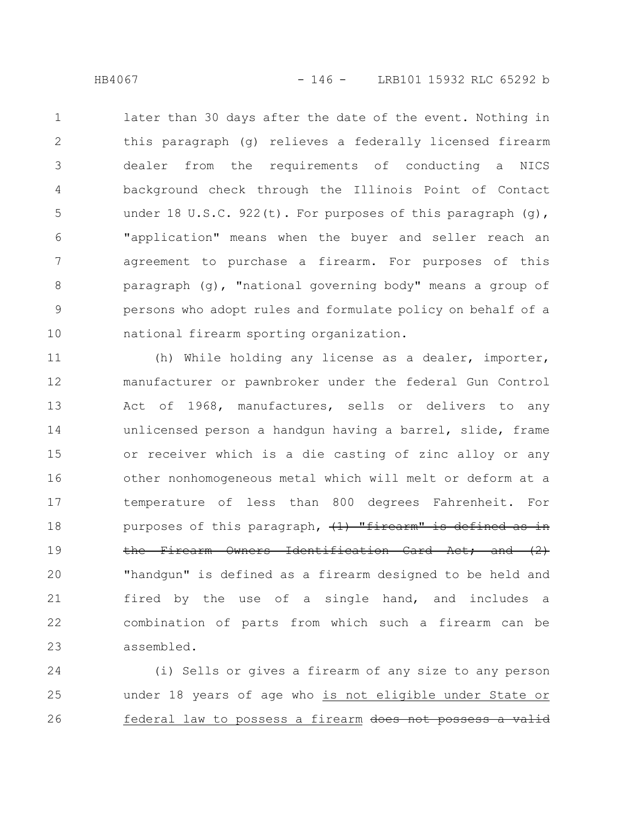later than 30 days after the date of the event. Nothing in this paragraph (g) relieves a federally licensed firearm dealer from the requirements of conducting a NICS background check through the Illinois Point of Contact under 18 U.S.C. 922(t). For purposes of this paragraph  $(q)$ , "application" means when the buyer and seller reach an agreement to purchase a firearm. For purposes of this paragraph (g), "national governing body" means a group of persons who adopt rules and formulate policy on behalf of a national firearm sporting organization. 1 2 3 4 5 6 7 8 9 10

(h) While holding any license as a dealer, importer, manufacturer or pawnbroker under the federal Gun Control Act of 1968, manufactures, sells or delivers to any unlicensed person a handgun having a barrel, slide, frame or receiver which is a die casting of zinc alloy or any other nonhomogeneous metal which will melt or deform at a temperature of less than 800 degrees Fahrenheit. For purposes of this paragraph,  $(1)$  "firearm" is defined as in the Firearm Owners Identification Card Act; and (2) "handgun" is defined as a firearm designed to be held and fired by the use of a single hand, and includes a combination of parts from which such a firearm can be assembled. 11 12 13 14 15 16 17 18 19 20 21 22 23

(i) Sells or gives a firearm of any size to any person under 18 years of age who is not eligible under State or federal law to possess a firearm does not possess 24 25 26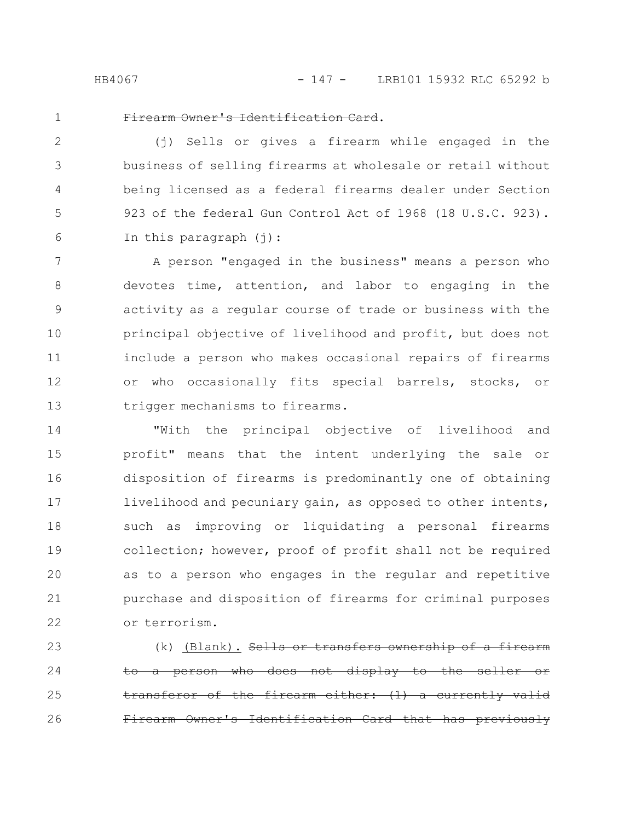HB4067 - 147 - LRB101 15932 RLC 65292 b

1

## Firearm Owner's Identification Card.

(j) Sells or gives a firearm while engaged in the business of selling firearms at wholesale or retail without being licensed as a federal firearms dealer under Section 923 of the federal Gun Control Act of 1968 (18 U.S.C. 923). In this paragraph  $(i)$ : 2 3 4 5 6

A person "engaged in the business" means a person who devotes time, attention, and labor to engaging in the activity as a regular course of trade or business with the principal objective of livelihood and profit, but does not include a person who makes occasional repairs of firearms or who occasionally fits special barrels, stocks, or trigger mechanisms to firearms. 7 8 9 10 11 12 13

"With the principal objective of livelihood and profit" means that the intent underlying the sale or disposition of firearms is predominantly one of obtaining livelihood and pecuniary gain, as opposed to other intents, such as improving or liquidating a personal firearms collection; however, proof of profit shall not be required as to a person who engages in the regular and repetitive purchase and disposition of firearms for criminal purposes or terrorism. 14 15 16 17 18 19 20 21 22

(k) (Blank). Sells or transfers ownership person who does not display the firearm either:  $(1)$  a curre earm Owner's Identification Card that 23 24 25 26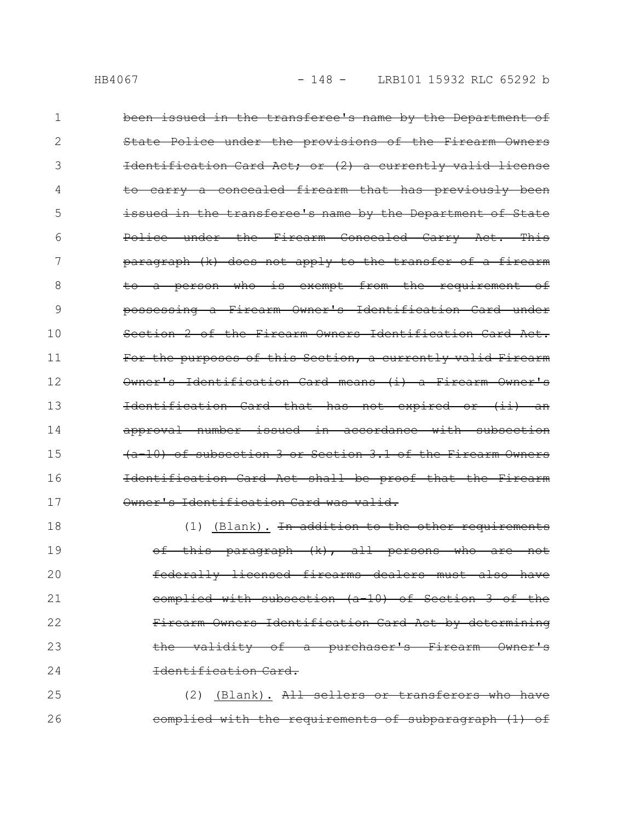been issued in the transferee's name by the Department of State Police under the provisions of the Firearm Owners Identification Card Act; or (2) a currently valid license to carry a concealed firearm that has previously been issued in the transferee's name by the Department of State Police under the Firearm Concealed Carry Act. This paragraph (k) does not apply to the transfer of a firearm to a person who is exempt from the requirement of possessing a Firearm Owner's Identification Card under Section 2 of the Firearm Owners Identification Card Act. For the purposes of this Section, a currently valid Firearm Owner's Identification Card means (i) a Firearm Owner's Identification Card that has not expired or (ii) approval number issued in accordance with subsection (a-10) of subsection 3 or Section 3.1 of the Firearm Owners Identification Card Act shall be proof that the Firearm Owner's Identification Card was valid. (1) (Blank). In addition to the other requirements 1 2 3 4 5 6 7 8 9 10 11 12 13 14 15 16 17 18

of this paragraph (k), all persons who are not federally licensed firearms dealers must also have complied with subsection (a-10) of Section 3 of the Firearm Owners Identification Card Act by determining the validity of a purchaser's Firearm Owner's Identification Card. 19 20 21 22 23 24

(2) (Blank). All sellers or transferors who have complied with the requirements of subparagraph (1) of 25 26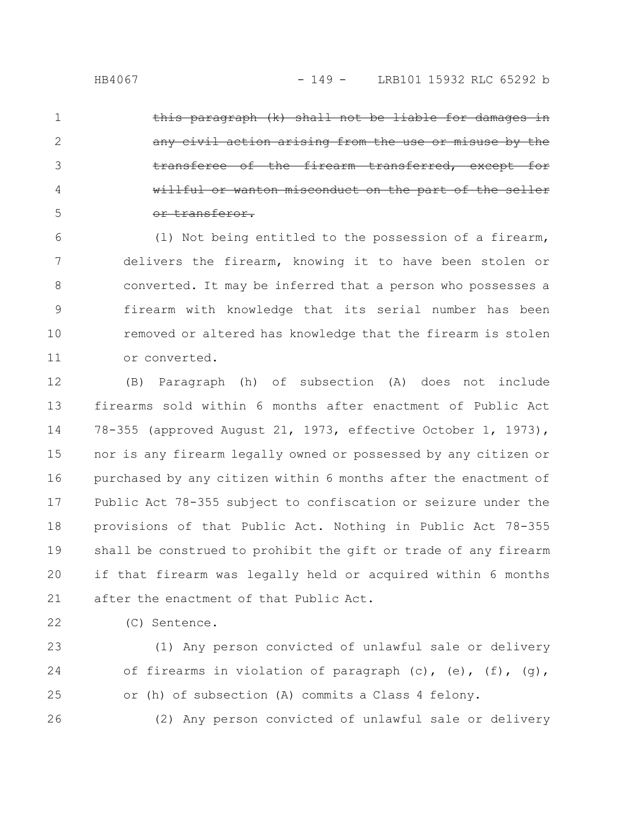2

3

4

5

aragraph (k) shall not any civil action arising from the use or misuse by the transferee of the firearm transferred, except for willful or wanton misconduct on the part of the seller or transferor.

(l) Not being entitled to the possession of a firearm, delivers the firearm, knowing it to have been stolen or converted. It may be inferred that a person who possesses a firearm with knowledge that its serial number has been removed or altered has knowledge that the firearm is stolen or converted. 6 7 8 9 10 11

(B) Paragraph (h) of subsection (A) does not include firearms sold within 6 months after enactment of Public Act 78-355 (approved August 21, 1973, effective October 1, 1973), nor is any firearm legally owned or possessed by any citizen or purchased by any citizen within 6 months after the enactment of Public Act 78-355 subject to confiscation or seizure under the provisions of that Public Act. Nothing in Public Act 78-355 shall be construed to prohibit the gift or trade of any firearm if that firearm was legally held or acquired within 6 months after the enactment of that Public Act. 12 13 14 15 16 17 18 19 20 21

- 22
- (C) Sentence.

(1) Any person convicted of unlawful sale or delivery of firearms in violation of paragraph  $(c)$ ,  $(e)$ ,  $(f)$ ,  $(g)$ , or (h) of subsection (A) commits a Class 4 felony. 23 24 25

(2) Any person convicted of unlawful sale or delivery 26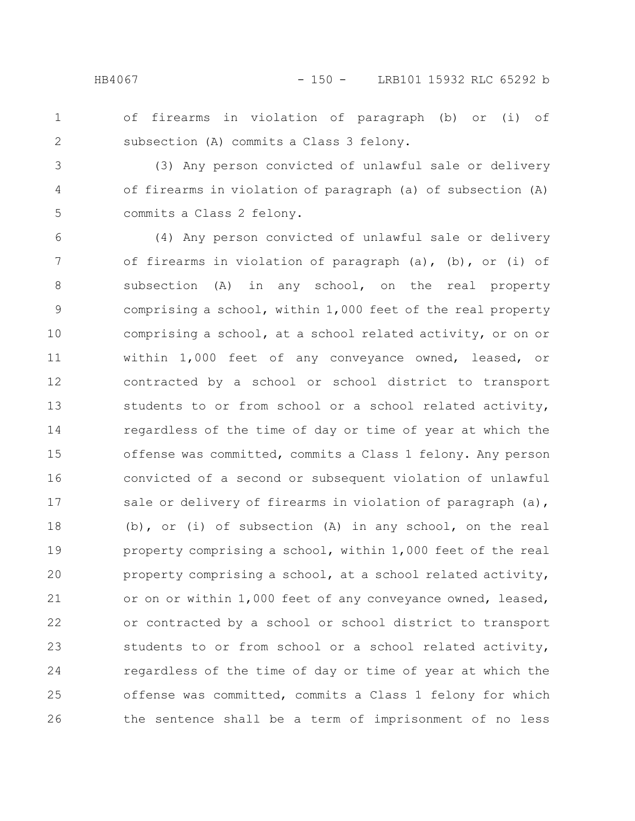2

## HB4067 - 150 - LRB101 15932 RLC 65292 b

- of firearms in violation of paragraph (b) or (i) of subsection (A) commits a Class 3 felony.
- (3) Any person convicted of unlawful sale or delivery of firearms in violation of paragraph (a) of subsection (A) commits a Class 2 felony. 3 4 5

(4) Any person convicted of unlawful sale or delivery of firearms in violation of paragraph (a), (b), or (i) of subsection (A) in any school, on the real property comprising a school, within 1,000 feet of the real property comprising a school, at a school related activity, or on or within 1,000 feet of any conveyance owned, leased, or contracted by a school or school district to transport students to or from school or a school related activity, regardless of the time of day or time of year at which the offense was committed, commits a Class 1 felony. Any person convicted of a second or subsequent violation of unlawful sale or delivery of firearms in violation of paragraph (a), (b), or (i) of subsection (A) in any school, on the real property comprising a school, within 1,000 feet of the real property comprising a school, at a school related activity, or on or within 1,000 feet of any conveyance owned, leased, or contracted by a school or school district to transport students to or from school or a school related activity, regardless of the time of day or time of year at which the offense was committed, commits a Class 1 felony for which the sentence shall be a term of imprisonment of no less 6 7 8 9 10 11 12 13 14 15 16 17 18 19 20 21 22 23 24 25 26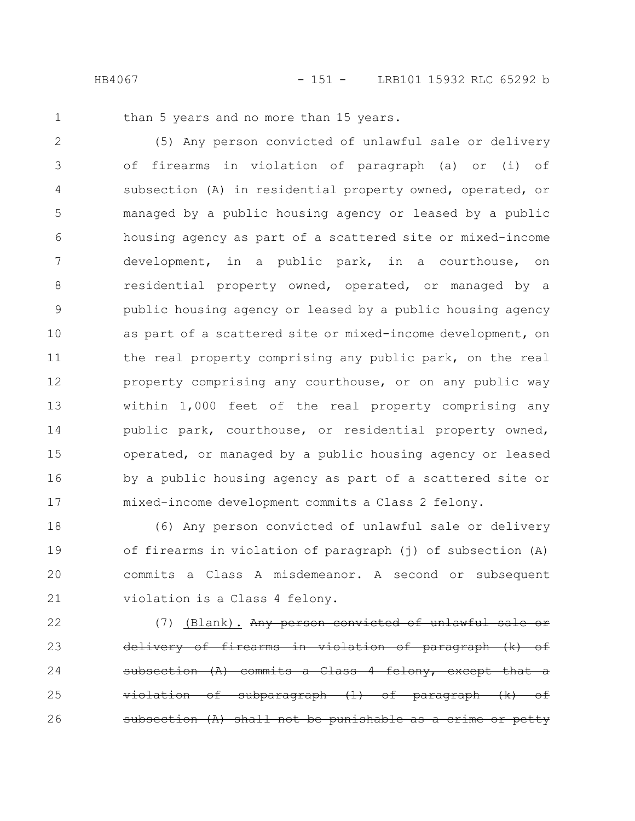than 5 years and no more than 15 years.

(5) Any person convicted of unlawful sale or delivery of firearms in violation of paragraph (a) or (i) of subsection (A) in residential property owned, operated, or managed by a public housing agency or leased by a public housing agency as part of a scattered site or mixed-income development, in a public park, in a courthouse, on residential property owned, operated, or managed by a public housing agency or leased by a public housing agency as part of a scattered site or mixed-income development, on the real property comprising any public park, on the real property comprising any courthouse, or on any public way within 1,000 feet of the real property comprising any public park, courthouse, or residential property owned, operated, or managed by a public housing agency or leased by a public housing agency as part of a scattered site or mixed-income development commits a Class 2 felony. 2 3 4 5 6 7 8 9 10 11 12 13 14 15 16 17

(6) Any person convicted of unlawful sale or delivery of firearms in violation of paragraph (j) of subsection (A) commits a Class A misdemeanor. A second or subsequent violation is a Class 4 felony. 18 19 20 21

(7) (Blank). Any person convicted of unlawful sale delivery of firearms in violation of paragraph (k) of subsection (A) commits a Class 4 felony, except that a qubparagraph  $(1)$  of paragraph shall not be punishable 22 23 24 25 26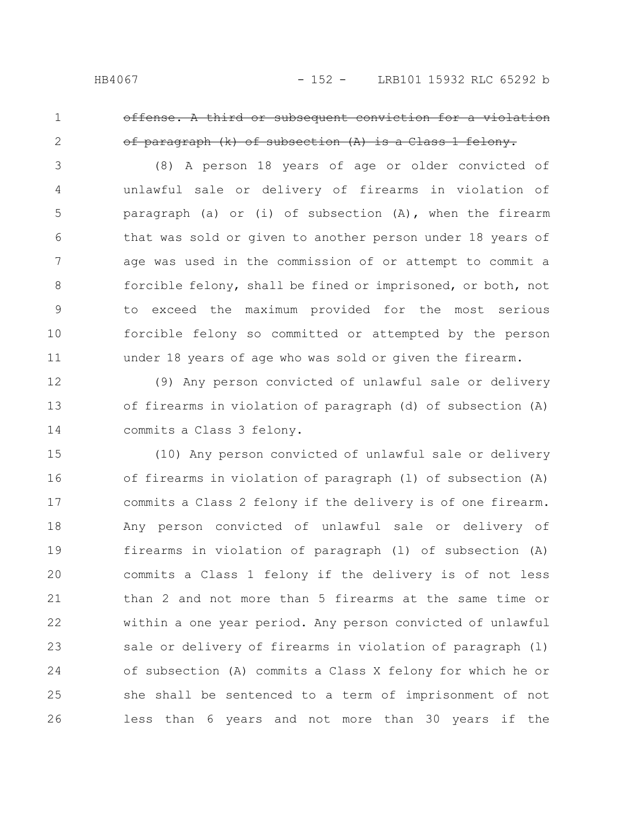2

offense. A third or subsequent conviction for a violation of paragraph (k) of subsection (A) is a Class 1 felony.

(8) A person 18 years of age or older convicted of unlawful sale or delivery of firearms in violation of paragraph (a) or (i) of subsection (A), when the firearm that was sold or given to another person under 18 years of age was used in the commission of or attempt to commit a forcible felony, shall be fined or imprisoned, or both, not to exceed the maximum provided for the most serious forcible felony so committed or attempted by the person under 18 years of age who was sold or given the firearm. 3 4 5 6 7 8 9 10 11

(9) Any person convicted of unlawful sale or delivery of firearms in violation of paragraph (d) of subsection (A) commits a Class 3 felony. 12 13 14

(10) Any person convicted of unlawful sale or delivery of firearms in violation of paragraph (l) of subsection (A) commits a Class 2 felony if the delivery is of one firearm. Any person convicted of unlawful sale or delivery of firearms in violation of paragraph (l) of subsection (A) commits a Class 1 felony if the delivery is of not less than 2 and not more than 5 firearms at the same time or within a one year period. Any person convicted of unlawful sale or delivery of firearms in violation of paragraph (l) of subsection (A) commits a Class X felony for which he or she shall be sentenced to a term of imprisonment of not less than 6 years and not more than 30 years if the 15 16 17 18 19 20 21 22 23 24 25 26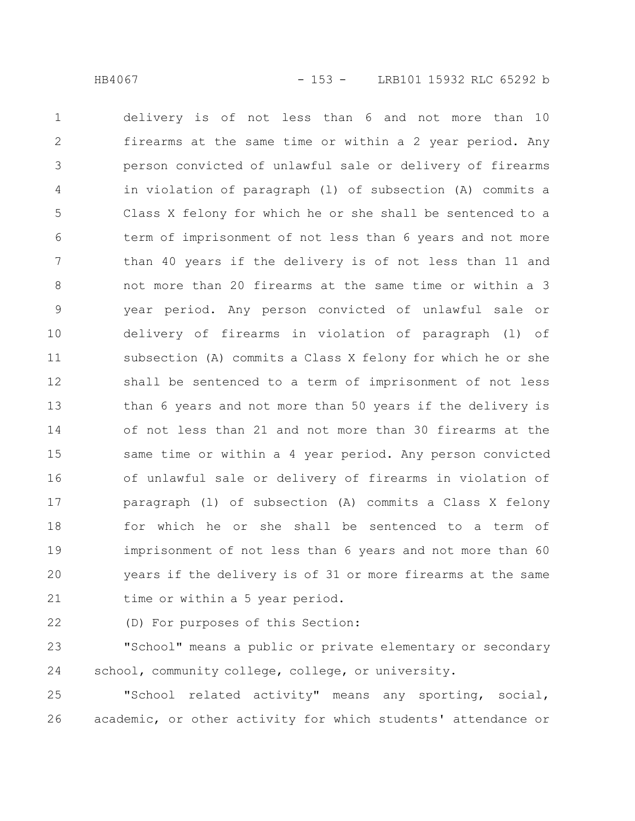delivery is of not less than 6 and not more than 10 firearms at the same time or within a 2 year period. Any person convicted of unlawful sale or delivery of firearms in violation of paragraph (l) of subsection (A) commits a Class X felony for which he or she shall be sentenced to a term of imprisonment of not less than 6 years and not more than 40 years if the delivery is of not less than 11 and not more than 20 firearms at the same time or within a 3 year period. Any person convicted of unlawful sale or delivery of firearms in violation of paragraph (l) of subsection (A) commits a Class X felony for which he or she shall be sentenced to a term of imprisonment of not less than 6 years and not more than 50 years if the delivery is of not less than 21 and not more than 30 firearms at the same time or within a 4 year period. Any person convicted of unlawful sale or delivery of firearms in violation of paragraph (l) of subsection (A) commits a Class X felony for which he or she shall be sentenced to a term of imprisonment of not less than 6 years and not more than 60 years if the delivery is of 31 or more firearms at the same time or within a 5 year period. 1 2 3 4 5 6 7 8 9 10 11 12 13 14 15 16 17 18 19 20 21

22

(D) For purposes of this Section:

"School" means a public or private elementary or secondary school, community college, college, or university. 23 24

"School related activity" means any sporting, social, academic, or other activity for which students' attendance or 25 26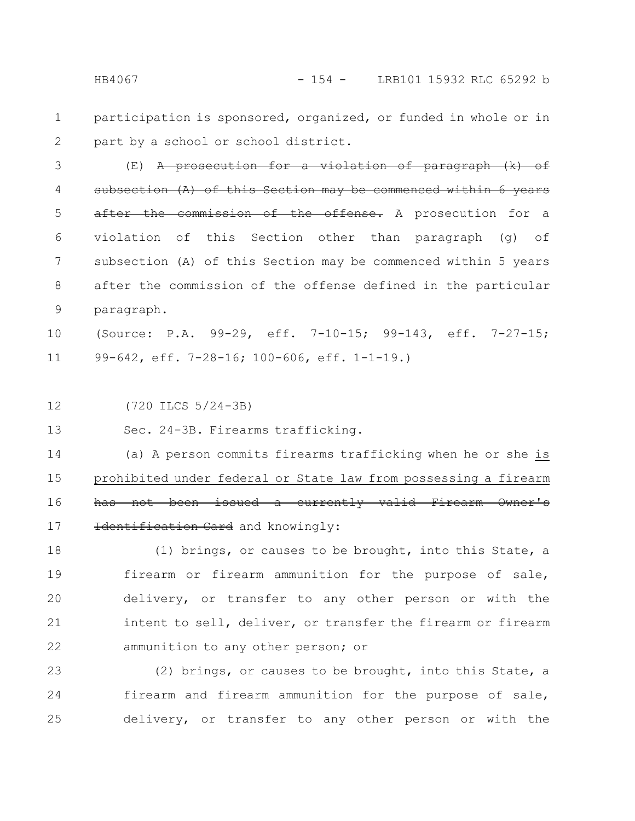participation is sponsored, organized, or funded in whole or in part by a school or school district. 1 2

(E) A prosecution for a violation of paragraph (k) of subsection  $(A)$  of this Section may be commenced within after the commission of the offense. A prosecution for a violation of this Section other than paragraph (g) of subsection (A) of this Section may be commenced within 5 years after the commission of the offense defined in the particular paragraph. 3 4 5 6 7 8 9

(Source: P.A. 99-29, eff. 7-10-15; 99-143, eff. 7-27-15; 99-642, eff. 7-28-16; 100-606, eff. 1-1-19.) 10 11

(720 ILCS 5/24-3B) 12

Sec. 24-3B. Firearms trafficking. 13

(a) A person commits firearms trafficking when he or she is prohibited under federal or State law from possessing a firearm has not been issued a currently valid Firearm Owner's Identification Card and knowingly: 14 15 16 17

(1) brings, or causes to be brought, into this State, a firearm or firearm ammunition for the purpose of sale, delivery, or transfer to any other person or with the intent to sell, deliver, or transfer the firearm or firearm ammunition to any other person; or 18 19 20 21 22

(2) brings, or causes to be brought, into this State, a firearm and firearm ammunition for the purpose of sale, delivery, or transfer to any other person or with the 23 24 25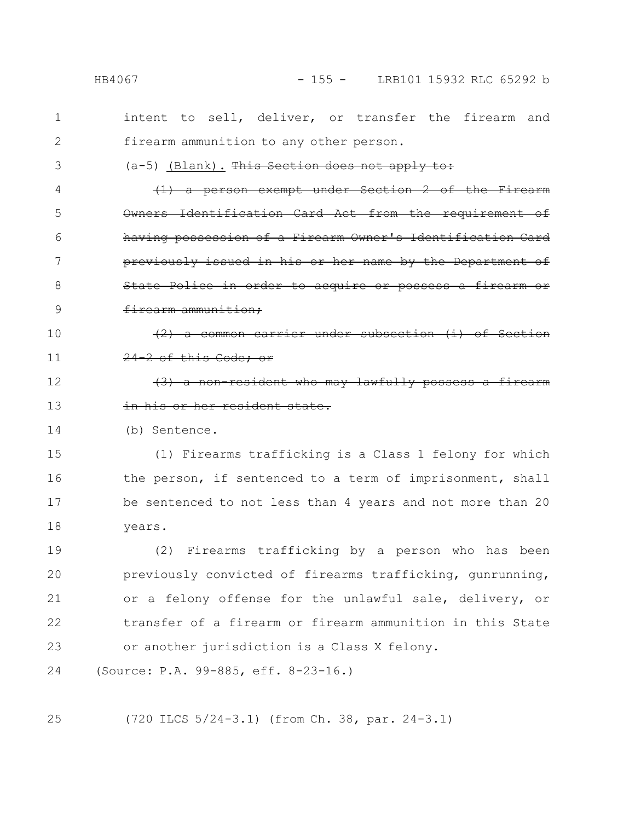intent to sell, deliver, or transfer the firearm and firearm ammunition to any other person. (a-5) (Blank). This Section does not apply to:  $\{1\}$  a person exempt under Owners Identification Card Act from the requirement of having possession of a Firearm Owner's Identification Card previously issued in his or her name by the State Police in order to acquire or possess a firearm or firearm ammunition; (2) a common carrier under subsect 24-2 of this Code; or resident who may lawfully her resident state. (b) Sentence. (1) Firearms trafficking is a Class 1 felony for which the person, if sentenced to a term of imprisonment, shall be sentenced to not less than 4 years and not more than 20 years. (2) Firearms trafficking by a person who has been previously convicted of firearms trafficking, gunrunning, or a felony offense for the unlawful sale, delivery, or transfer of a firearm or firearm ammunition in this State or another jurisdiction is a Class X felony. (Source: P.A. 99-885, eff. 8-23-16.) 1 2 3 4 5 6 7 8 9 10 11 12 13 14 15 16 17 18 19 20 21 22 23 24

(720 ILCS 5/24-3.1) (from Ch. 38, par. 24-3.1) 25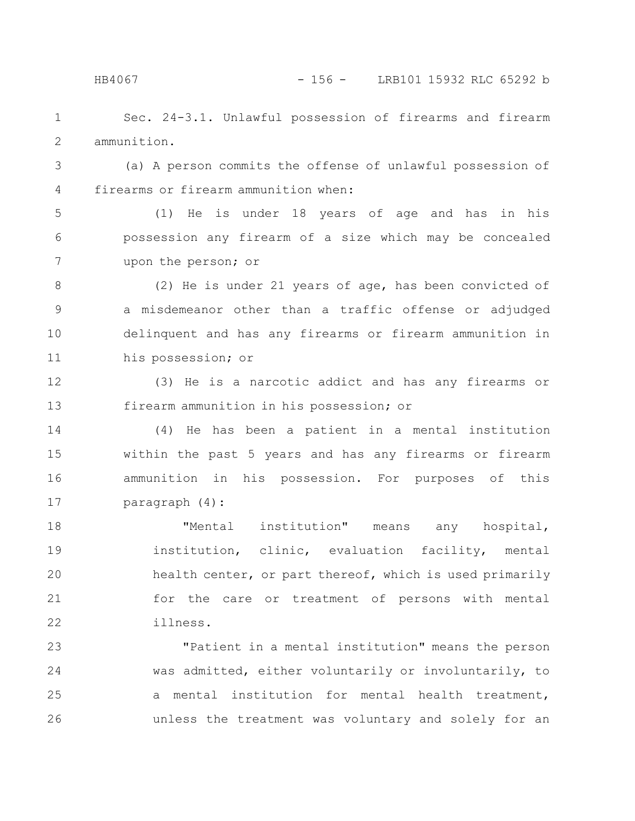HB4067 - 156 - LRB101 15932 RLC 65292 b

Sec. 24-3.1. Unlawful possession of firearms and firearm ammunition. 1 2

(a) A person commits the offense of unlawful possession of firearms or firearm ammunition when: 3 4

(1) He is under 18 years of age and has in his possession any firearm of a size which may be concealed upon the person; or 5 6 7

(2) He is under 21 years of age, has been convicted of a misdemeanor other than a traffic offense or adjudged delinquent and has any firearms or firearm ammunition in his possession; or 8 9 10 11

(3) He is a narcotic addict and has any firearms or firearm ammunition in his possession; or 12 13

(4) He has been a patient in a mental institution within the past 5 years and has any firearms or firearm ammunition in his possession. For purposes of this paragraph (4): 14 15 16 17

"Mental institution" means any hospital, institution, clinic, evaluation facility, mental health center, or part thereof, which is used primarily for the care or treatment of persons with mental illness. 18 19 20 21 22

"Patient in a mental institution" means the person was admitted, either voluntarily or involuntarily, to a mental institution for mental health treatment, unless the treatment was voluntary and solely for an 23 24 25 26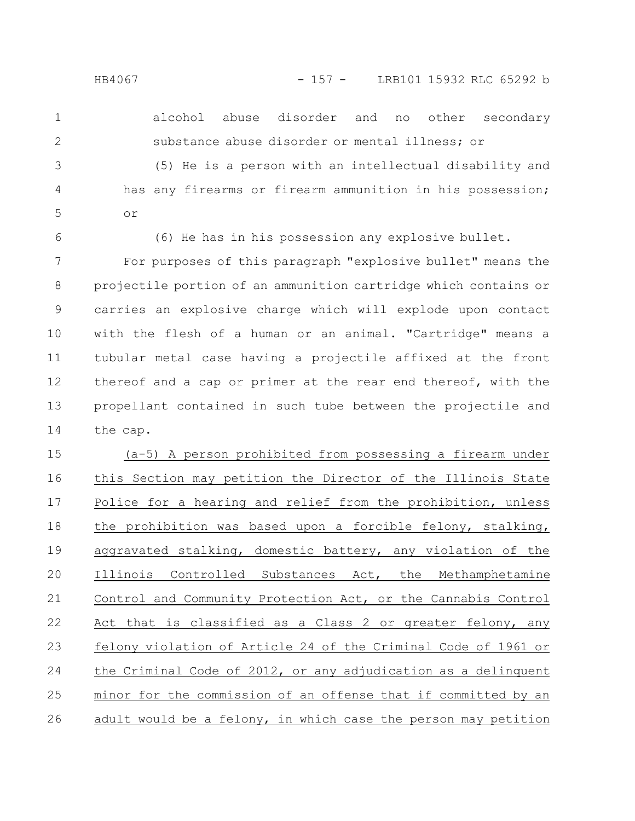alcohol abuse disorder and no other secondary substance abuse disorder or mental illness; or 1 2

(5) He is a person with an intellectual disability and has any firearms or firearm ammunition in his possession; or 3 4 5

6

(6) He has in his possession any explosive bullet.

For purposes of this paragraph "explosive bullet" means the projectile portion of an ammunition cartridge which contains or carries an explosive charge which will explode upon contact with the flesh of a human or an animal. "Cartridge" means a tubular metal case having a projectile affixed at the front thereof and a cap or primer at the rear end thereof, with the propellant contained in such tube between the projectile and the cap. 7 8 9 10 11 12 13 14

(a-5) A person prohibited from possessing a firearm under this Section may petition the Director of the Illinois State Police for a hearing and relief from the prohibition, unless the prohibition was based upon a forcible felony, stalking, aggravated stalking, domestic battery, any violation of the Illinois Controlled Substances Act, the Methamphetamine Control and Community Protection Act, or the Cannabis Control Act that is classified as a Class 2 or greater felony, any felony violation of Article 24 of the Criminal Code of 1961 or the Criminal Code of 2012, or any adjudication as a delinquent minor for the commission of an offense that if committed by an adult would be a felony, in which case the person may petition 15 16 17 18 19 20 21 22 23 24 25 26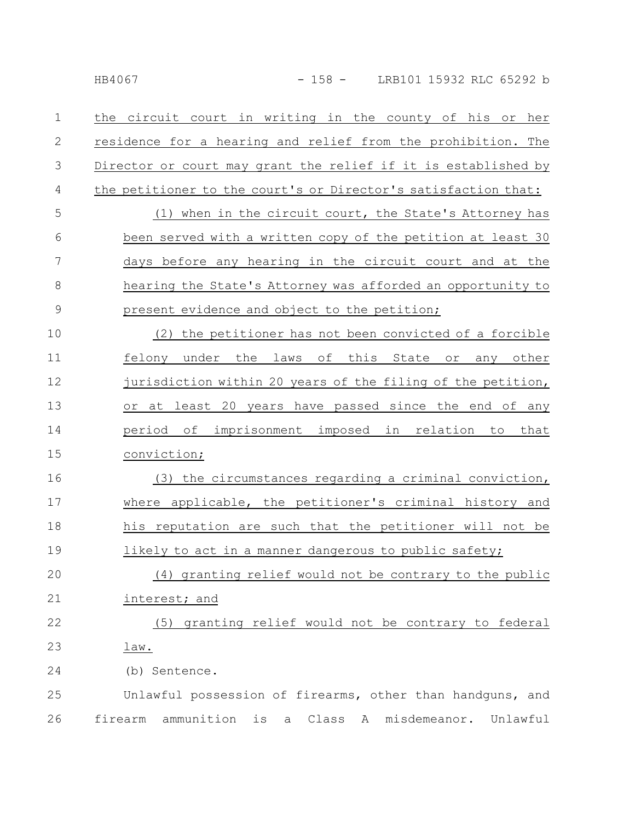the circuit court in writing in the county of his or her residence for a hearing and relief from the prohibition. The Director or court may grant the relief if it is established by the petitioner to the court's or Director's satisfaction that: (1) when in the circuit court, the State's Attorney has been served with a written copy of the petition at least 30 days before any hearing in the circuit court and at the hearing the State's Attorney was afforded an opportunity to present evidence and object to the petition; (2) the petitioner has not been convicted of a forcible felony under the laws of this State or any other jurisdiction within 20 years of the filing of the petition, or at least 20 years have passed since the end of any period of imprisonment imposed in relation to that conviction; (3) the circumstances regarding a criminal conviction, where applicable, the petitioner's criminal history and his reputation are such that the petitioner will not be likely to act in a manner dangerous to public safety; (4) granting relief would not be contrary to the public interest; and (5) granting relief would not be contrary to federal law. (b) Sentence. Unlawful possession of firearms, other than handguns, and firearm ammunition is a Class A misdemeanor. Unlawful 1 2 3 4 5 6 7 8 9 10 11 12 13 14 15 16 17 18 19 20 21 22 23 24 25 26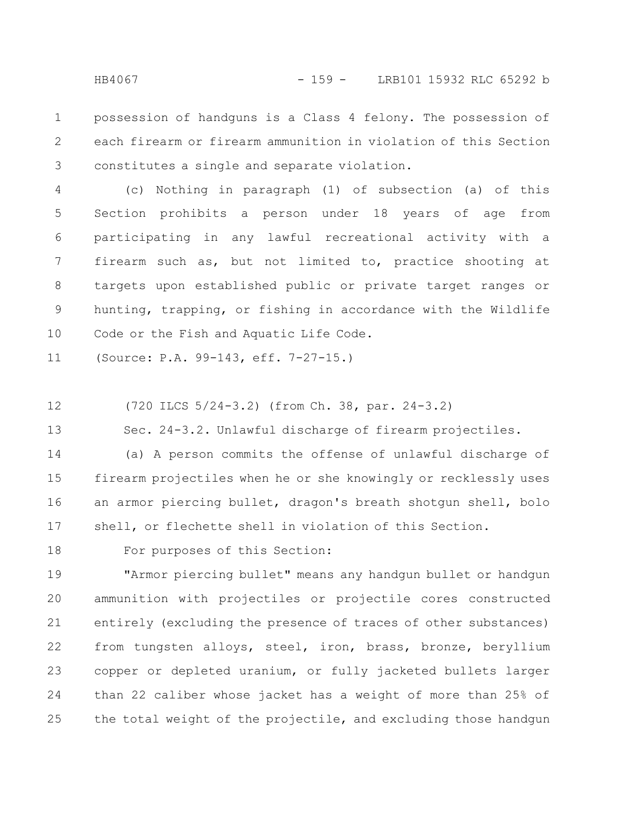possession of handguns is a Class 4 felony. The possession of each firearm or firearm ammunition in violation of this Section constitutes a single and separate violation. 1 2 3

(c) Nothing in paragraph (1) of subsection (a) of this Section prohibits a person under 18 years of age from participating in any lawful recreational activity with a firearm such as, but not limited to, practice shooting at targets upon established public or private target ranges or hunting, trapping, or fishing in accordance with the Wildlife Code or the Fish and Aquatic Life Code. 4 5 6 7 8 9 10

(Source: P.A. 99-143, eff. 7-27-15.) 11

(720 ILCS 5/24-3.2) (from Ch. 38, par. 24-3.2) 12

Sec. 24-3.2. Unlawful discharge of firearm projectiles. 13

(a) A person commits the offense of unlawful discharge of firearm projectiles when he or she knowingly or recklessly uses an armor piercing bullet, dragon's breath shotgun shell, bolo shell, or flechette shell in violation of this Section. 14 15 16 17

18

For purposes of this Section:

"Armor piercing bullet" means any handgun bullet or handgun ammunition with projectiles or projectile cores constructed entirely (excluding the presence of traces of other substances) from tungsten alloys, steel, iron, brass, bronze, beryllium copper or depleted uranium, or fully jacketed bullets larger than 22 caliber whose jacket has a weight of more than 25% of the total weight of the projectile, and excluding those handgun 19 20 21 22 23 24 25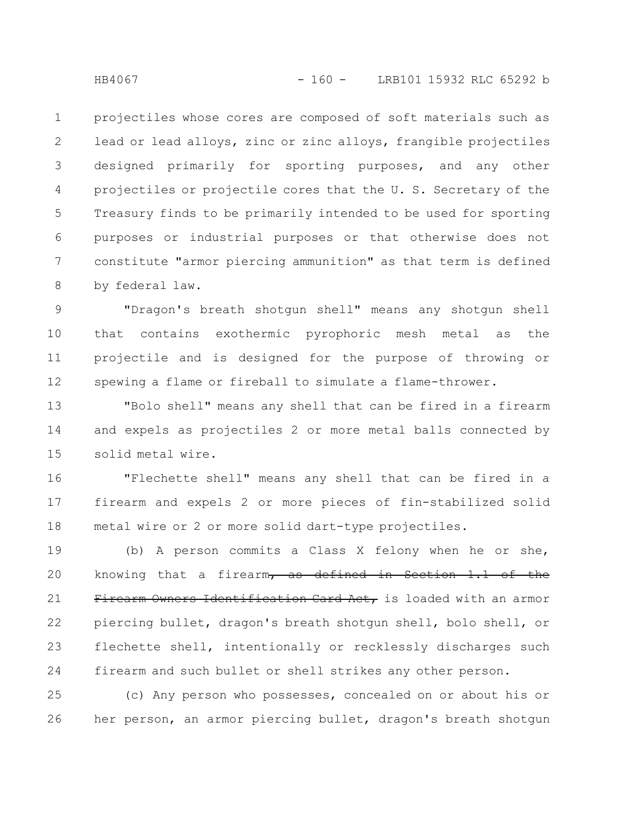projectiles whose cores are composed of soft materials such as lead or lead alloys, zinc or zinc alloys, frangible projectiles designed primarily for sporting purposes, and any other projectiles or projectile cores that the U. S. Secretary of the Treasury finds to be primarily intended to be used for sporting purposes or industrial purposes or that otherwise does not constitute "armor piercing ammunition" as that term is defined by federal law. 1 2 3 4 5 6 7 8

"Dragon's breath shotgun shell" means any shotgun shell that contains exothermic pyrophoric mesh metal as the projectile and is designed for the purpose of throwing or spewing a flame or fireball to simulate a flame-thrower. 9 10 11 12

"Bolo shell" means any shell that can be fired in a firearm and expels as projectiles 2 or more metal balls connected by solid metal wire. 13 14 15

"Flechette shell" means any shell that can be fired in a firearm and expels 2 or more pieces of fin-stabilized solid metal wire or 2 or more solid dart-type projectiles. 16 17 18

(b) A person commits a Class X felony when he or she, knowing that a firearm, as defined in Section 1.1 of the Firearm Owners Identification Card Act, is loaded with an armor piercing bullet, dragon's breath shotgun shell, bolo shell, or flechette shell, intentionally or recklessly discharges such firearm and such bullet or shell strikes any other person. 19 20 21 22 23 24

(c) Any person who possesses, concealed on or about his or her person, an armor piercing bullet, dragon's breath shotgun 25 26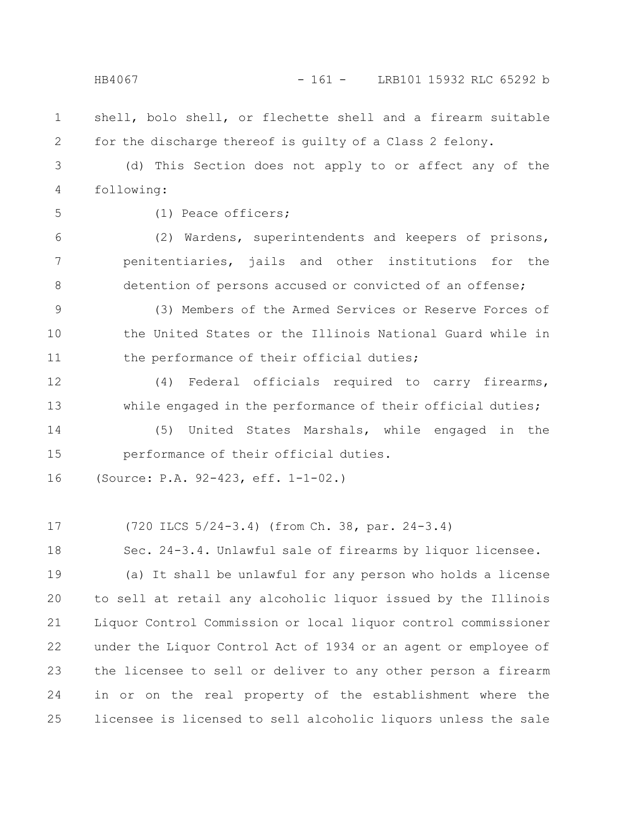## HB4067 - 161 - LRB101 15932 RLC 65292 b

- shell, bolo shell, or flechette shell and a firearm suitable for the discharge thereof is guilty of a Class 2 felony. 1 2
- (d) This Section does not apply to or affect any of the following: 3 4
- 5

(1) Peace officers;

(2) Wardens, superintendents and keepers of prisons, penitentiaries, jails and other institutions for the detention of persons accused or convicted of an offense; 6 7 8

(3) Members of the Armed Services or Reserve Forces of the United States or the Illinois National Guard while in the performance of their official duties; 9 10 11

(4) Federal officials required to carry firearms, while engaged in the performance of their official duties; 12 13

(5) United States Marshals, while engaged in the performance of their official duties. 14 15

(Source: P.A. 92-423, eff. 1-1-02.) 16

(720 ILCS 5/24-3.4) (from Ch. 38, par. 24-3.4) 17

Sec. 24-3.4. Unlawful sale of firearms by liquor licensee. 18

(a) It shall be unlawful for any person who holds a license to sell at retail any alcoholic liquor issued by the Illinois Liquor Control Commission or local liquor control commissioner under the Liquor Control Act of 1934 or an agent or employee of the licensee to sell or deliver to any other person a firearm in or on the real property of the establishment where the licensee is licensed to sell alcoholic liquors unless the sale 19 20 21 22 23 24 25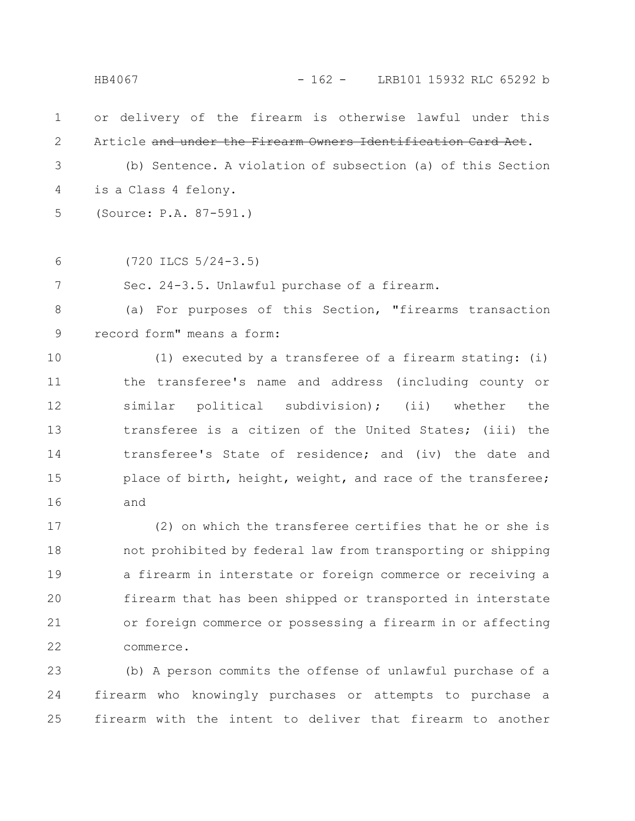or delivery of the firearm is otherwise lawful under this Article and under the Firearm Owners Identification Card Act. (b) Sentence. A violation of subsection (a) of this Section is a Class 4 felony. (Source: P.A. 87-591.) (720 ILCS 5/24-3.5) Sec. 24-3.5. Unlawful purchase of a firearm. (a) For purposes of this Section, "firearms transaction record form" means a form: (1) executed by a transferee of a firearm stating: (i) the transferee's name and address (including county or similar political subdivision); (ii) whether the transferee is a citizen of the United States; (iii) the transferee's State of residence; and (iv) the date and place of birth, height, weight, and race of the transferee; and (2) on which the transferee certifies that he or she is 1 2 3 4 5 6 7 8 9 10 11 12 13 14 15 16 17 HB4067 - 162 - LRB101 15932 RLC 65292 b

not prohibited by federal law from transporting or shipping a firearm in interstate or foreign commerce or receiving a firearm that has been shipped or transported in interstate or foreign commerce or possessing a firearm in or affecting commerce. 18 19 20 21 22

(b) A person commits the offense of unlawful purchase of a firearm who knowingly purchases or attempts to purchase a firearm with the intent to deliver that firearm to another 23 24 25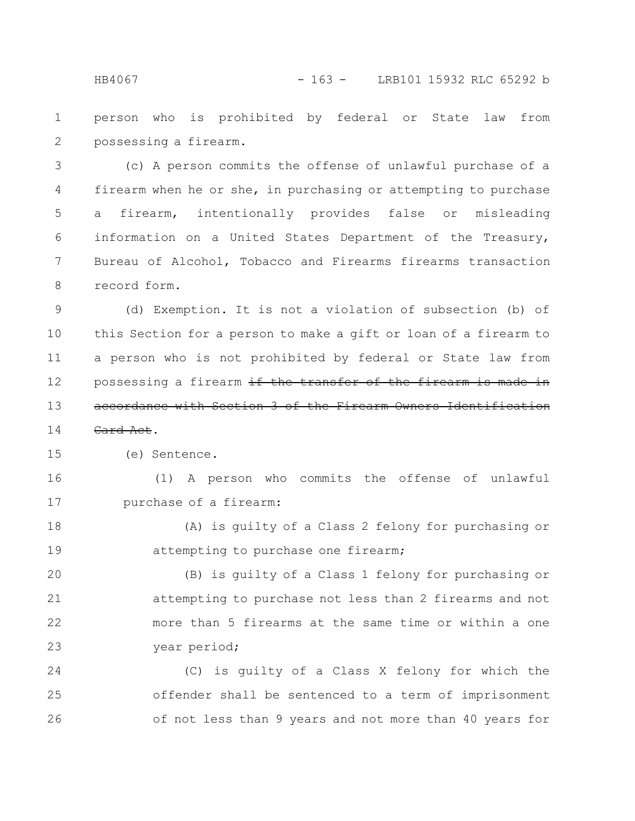person who is prohibited by federal or State law from possessing a firearm. 1 2

(c) A person commits the offense of unlawful purchase of a firearm when he or she, in purchasing or attempting to purchase a firearm, intentionally provides false or misleading information on a United States Department of the Treasury, Bureau of Alcohol, Tobacco and Firearms firearms transaction record form. 3 4 5 6 7 8

(d) Exemption. It is not a violation of subsection (b) of this Section for a person to make a gift or loan of a firearm to a person who is not prohibited by federal or State law from possessing a firearm if the transfer of the firearm is accordance with Section 3 of the Firearm Owners Identifi 9 10 11 12 13

Card Act. 14

(e) Sentence. 15

(1) A person who commits the offense of unlawful purchase of a firearm: 16 17

(A) is guilty of a Class 2 felony for purchasing or attempting to purchase one firearm; 18 19

(B) is guilty of a Class 1 felony for purchasing or attempting to purchase not less than 2 firearms and not more than 5 firearms at the same time or within a one year period; 20 21 22 23

(C) is guilty of a Class X felony for which the offender shall be sentenced to a term of imprisonment of not less than 9 years and not more than 40 years for 24 25 26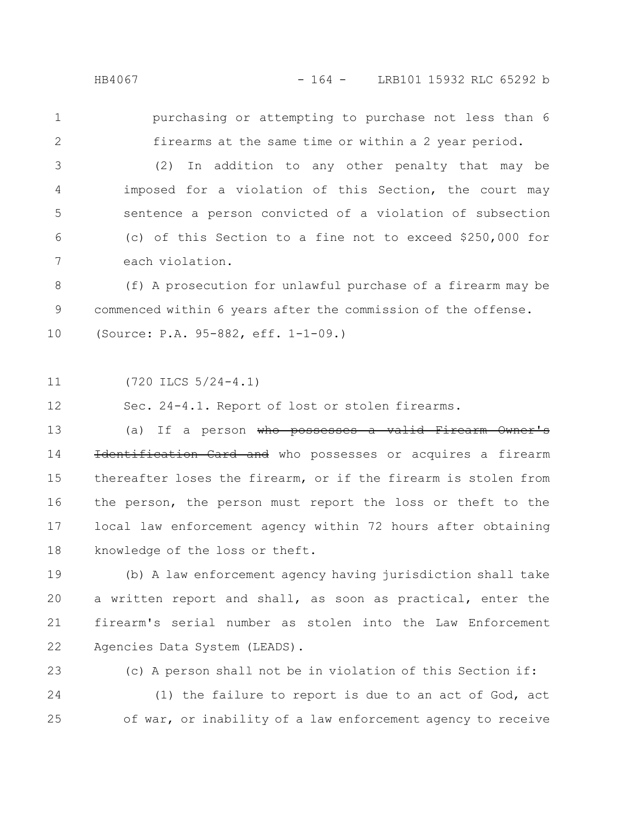purchasing or attempting to purchase not less than 6 1

(2) In addition to any other penalty that may be imposed for a violation of this Section, the court may sentence a person convicted of a violation of subsection (c) of this Section to a fine not to exceed \$250,000 for each violation. 3 4 5 6 7

firearms at the same time or within a 2 year period.

(f) A prosecution for unlawful purchase of a firearm may be commenced within 6 years after the commission of the offense. (Source: P.A. 95-882, eff. 1-1-09.) 8 9 10

(720 ILCS 5/24-4.1) 11

Sec. 24-4.1. Report of lost or stolen firearms. 12

(a) If a person who possesses a valid Firearm Owner's Identification Card and who possesses or acquires a firearm thereafter loses the firearm, or if the firearm is stolen from the person, the person must report the loss or theft to the local law enforcement agency within 72 hours after obtaining knowledge of the loss or theft. 13 14 15 16 17 18

(b) A law enforcement agency having jurisdiction shall take a written report and shall, as soon as practical, enter the firearm's serial number as stolen into the Law Enforcement Agencies Data System (LEADS). 19 20 21 22

23

(c) A person shall not be in violation of this Section if:

(1) the failure to report is due to an act of God, act of war, or inability of a law enforcement agency to receive 24 25

2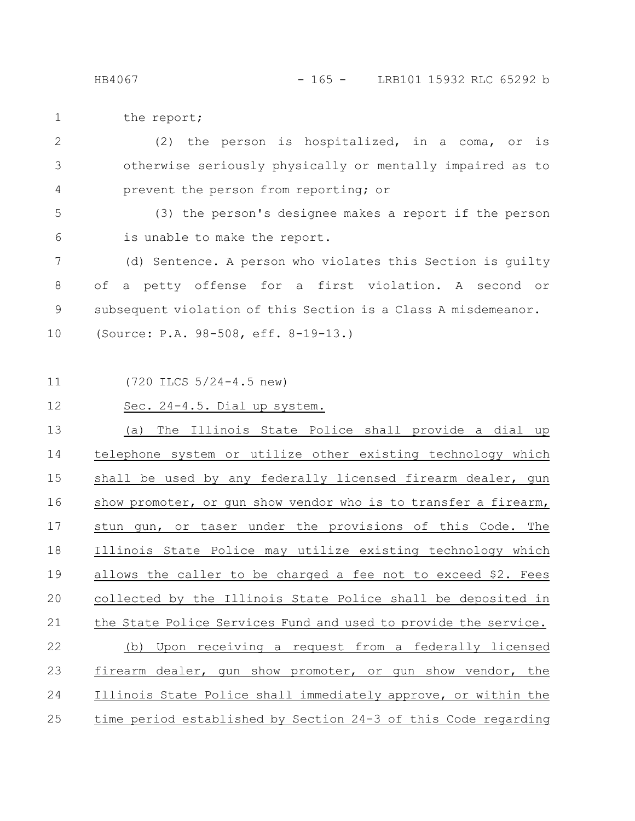the report; 1

(2) the person is hospitalized, in a coma, or is otherwise seriously physically or mentally impaired as to prevent the person from reporting; or 2 3 4

(3) the person's designee makes a report if the person is unable to make the report. 5 6

(d) Sentence. A person who violates this Section is guilty of a petty offense for a first violation. A second or subsequent violation of this Section is a Class A misdemeanor. (Source: P.A. 98-508, eff. 8-19-13.) 7 8 9 10

11

(720 ILCS 5/24-4.5 new)

Sec. 24-4.5. Dial up system. 12

(a) The Illinois State Police shall provide a dial up telephone system or utilize other existing technology which shall be used by any federally licensed firearm dealer, gun show promoter, or gun show vendor who is to transfer a firearm, stun gun, or taser under the provisions of this Code. The Illinois State Police may utilize existing technology which allows the caller to be charged a fee not to exceed \$2. Fees collected by the Illinois State Police shall be deposited in the State Police Services Fund and used to provide the service. (b) Upon receiving a request from a federally licensed firearm dealer, gun show promoter, or gun show vendor, the Illinois State Police shall immediately approve, or within the time period established by Section 24-3 of this Code regarding 13 14 15 16 17 18 19 20 21 22 23 24 25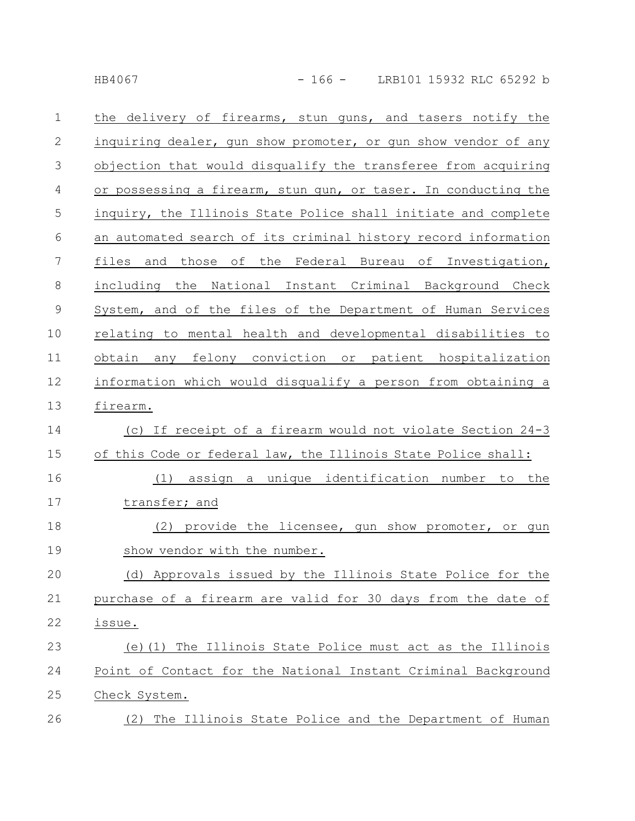| $\mathbf 1$  | the delivery of firearms, stun guns, and tasers notify the     |
|--------------|----------------------------------------------------------------|
| $\mathbf{2}$ | inquiring dealer, gun show promoter, or gun show vendor of any |
| 3            | objection that would disqualify the transferee from acquiring  |
| 4            | or possessing a firearm, stun gun, or taser. In conducting the |
| 5            | inquiry, the Illinois State Police shall initiate and complete |
| 6            | an automated search of its criminal history record information |
| 7            | and those of the Federal Bureau of Investigation,<br>files     |
| 8            | including the National Instant Criminal Background Check       |
| $\mathsf 9$  | System, and of the files of the Department of Human Services   |
| 10           | relating to mental health and developmental disabilities to    |
| 11           | felony conviction or patient hospitalization<br>obtain<br>any  |
| 12           | information which would disqualify a person from obtaining a   |
| 13           | firearm.                                                       |
| 14           | (c) If receipt of a firearm would not violate Section 24-3     |
| 15           | of this Code or federal law, the Illinois State Police shall:  |
| 16           | assign a unique identification number to the<br>(1)            |
| 17           | transfer; and                                                  |
| 18           | (2) provide the licensee, gun show promoter, or gun            |
| 19           | show vendor with the number.                                   |
| 20           | (d) Approvals issued by the Illinois State Police for the      |
| 21           | purchase of a firearm are valid for 30 days from the date of   |
| 22           | issue.                                                         |
| 23           | (e) (1) The Illinois State Police must act as the Illinois     |
| 24           | Point of Contact for the National Instant Criminal Background  |
| 25           | Check System.                                                  |
| 26           | (2) The Illinois State Police and the Department of Human      |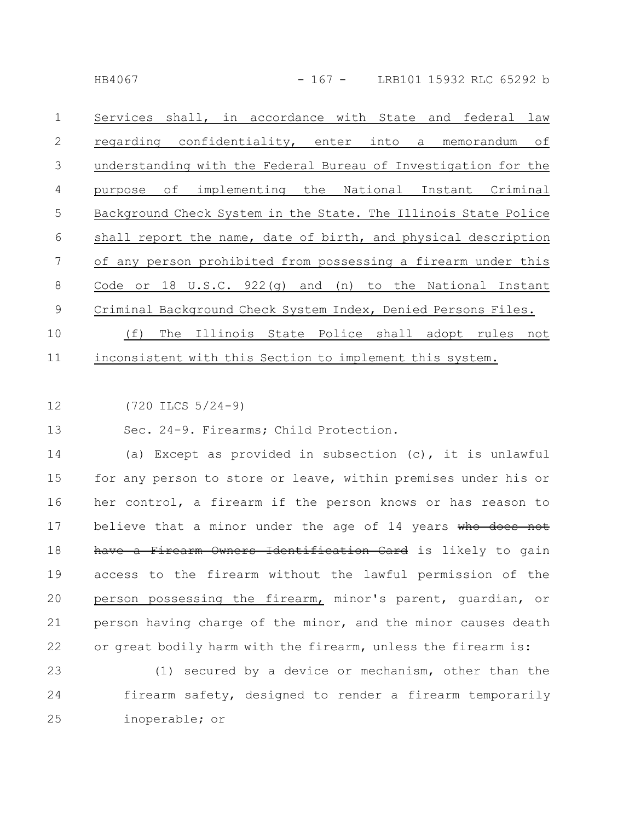Services shall, in accordance with State and federal law regarding confidentiality, enter into a memorandum of understanding with the Federal Bureau of Investigation for the purpose of implementing the National Instant Criminal Background Check System in the State. The Illinois State Police shall report the name, date of birth, and physical description of any person prohibited from possessing a firearm under this Code or 18 U.S.C. 922(g) and (n) to the National Instant Criminal Background Check System Index, Denied Persons Files. (f) The Illinois State Police shall adopt rules not 1 2 3 4 5 6 7 8 9 10

inconsistent with this Section to implement this system. 11

(720 ILCS 5/24-9) 12

Sec. 24-9. Firearms; Child Protection. 13

(a) Except as provided in subsection (c), it is unlawful for any person to store or leave, within premises under his or her control, a firearm if the person knows or has reason to believe that a minor under the age of 14 years who does not have a Firearm Owners Identification Card is likely to gain access to the firearm without the lawful permission of the person possessing the firearm, minor's parent, guardian, or person having charge of the minor, and the minor causes death or great bodily harm with the firearm, unless the firearm is: 14 15 16 17 18 19 20 21 22

(1) secured by a device or mechanism, other than the firearm safety, designed to render a firearm temporarily inoperable; or 23 24 25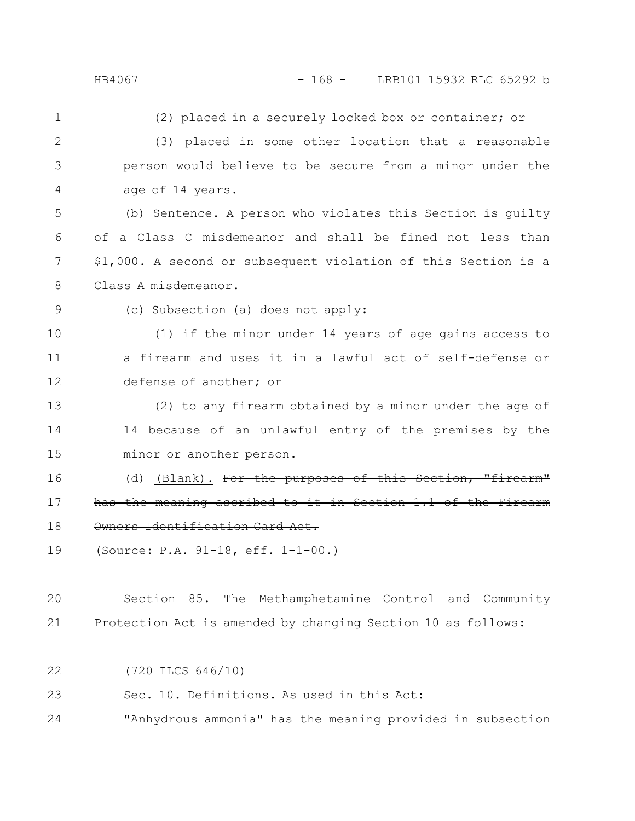(2) placed in a securely locked box or container; or (3) placed in some other location that a reasonable person would believe to be secure from a minor under the age of 14 years. (b) Sentence. A person who violates this Section is guilty of a Class C misdemeanor and shall be fined not less than \$1,000. A second or subsequent violation of this Section is a Class A misdemeanor. (c) Subsection (a) does not apply: (1) if the minor under 14 years of age gains access to a firearm and uses it in a lawful act of self-defense or defense of another; or (2) to any firearm obtained by a minor under the age of 14 because of an unlawful entry of the premises by the minor or another person. (d) (Blank). For the purposes of this Section, has the meaning ascribed to it in Section 1.1 of the Owners Identification Card Act. (Source: P.A. 91-18, eff. 1-1-00.) 1 2 3 4 5 6 7 8 9 10 11 12 13 14 15 16 17 18 19

Section 85. The Methamphetamine Control and Community Protection Act is amended by changing Section 10 as follows: 20 21

(720 ILCS 646/10) 22

Sec. 10. Definitions. As used in this Act: 23

"Anhydrous ammonia" has the meaning provided in subsection 24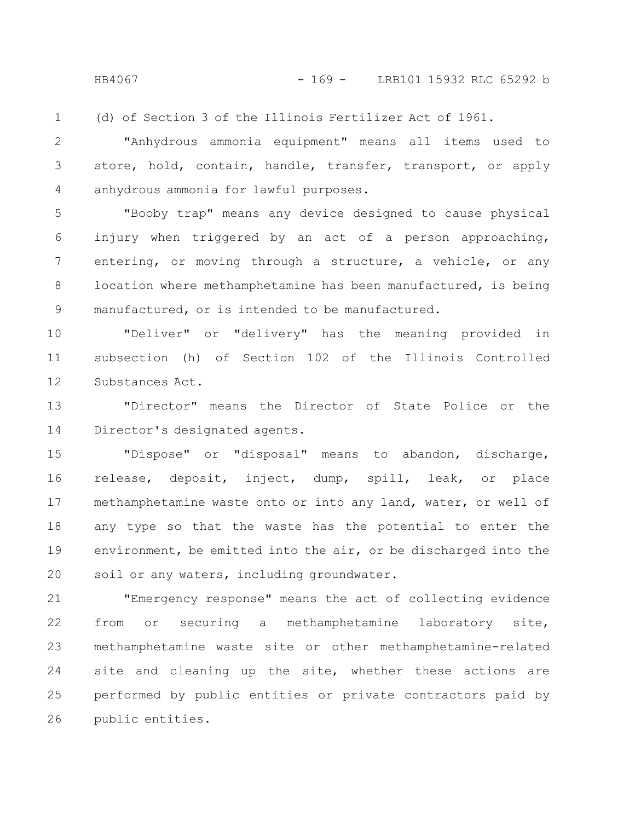(d) of Section 3 of the Illinois Fertilizer Act of 1961. 1

"Anhydrous ammonia equipment" means all items used to store, hold, contain, handle, transfer, transport, or apply anhydrous ammonia for lawful purposes. 2 3 4

"Booby trap" means any device designed to cause physical injury when triggered by an act of a person approaching, entering, or moving through a structure, a vehicle, or any location where methamphetamine has been manufactured, is being manufactured, or is intended to be manufactured. 5 6 7 8 9

"Deliver" or "delivery" has the meaning provided in subsection (h) of Section 102 of the Illinois Controlled Substances Act. 10 11 12

"Director" means the Director of State Police or the Director's designated agents. 13 14

"Dispose" or "disposal" means to abandon, discharge, release, deposit, inject, dump, spill, leak, or place methamphetamine waste onto or into any land, water, or well of any type so that the waste has the potential to enter the environment, be emitted into the air, or be discharged into the soil or any waters, including groundwater. 15 16 17 18 19 20

"Emergency response" means the act of collecting evidence from or securing a methamphetamine laboratory site, methamphetamine waste site or other methamphetamine-related site and cleaning up the site, whether these actions are performed by public entities or private contractors paid by public entities. 21 22 23 24 25 26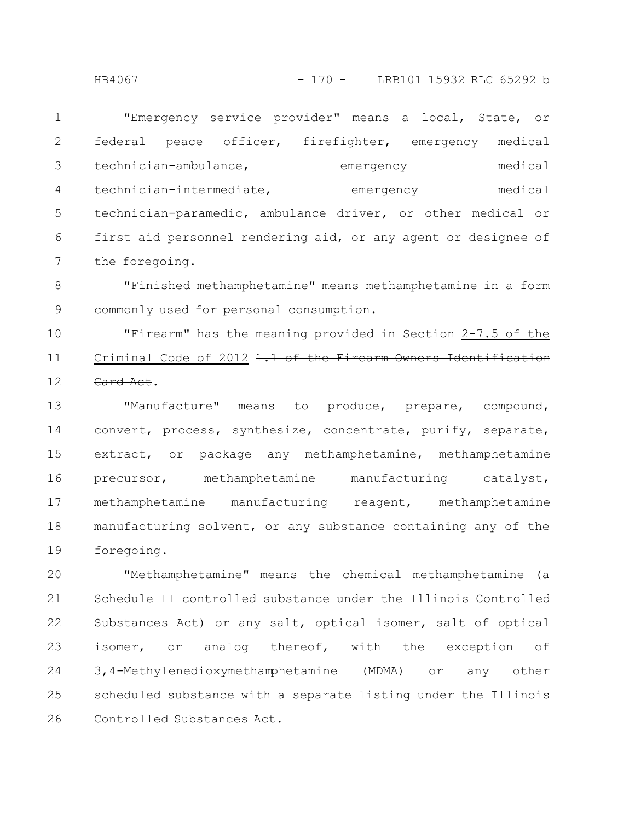"Emergency service provider" means a local, State, or federal peace officer, firefighter, emergency medical technician-ambulance, emergency medical technician-intermediate, emergency medical technician-paramedic, ambulance driver, or other medical or first aid personnel rendering aid, or any agent or designee of the foregoing. 1 2 3 4 5 6 7

"Finished methamphetamine" means methamphetamine in a form commonly used for personal consumption. 8 9

"Firearm" has the meaning provided in Section 2-7.5 of the Criminal Code of 2012 1.1 of the Firearm Owners Identification Card Act. 10 11 12

"Manufacture" means to produce, prepare, compound, convert, process, synthesize, concentrate, purify, separate, extract, or package any methamphetamine, methamphetamine precursor, methamphetamine manufacturing catalyst, methamphetamine manufacturing reagent, methamphetamine manufacturing solvent, or any substance containing any of the foregoing. 13 14 15 16 17 18 19

"Methamphetamine" means the chemical methamphetamine (a Schedule II controlled substance under the Illinois Controlled Substances Act) or any salt, optical isomer, salt of optical isomer, or analog thereof, with the exception of 3,4-Methylenedioxymethamphetamine (MDMA) or any other scheduled substance with a separate listing under the Illinois Controlled Substances Act. 20 21 22 23 24 25 26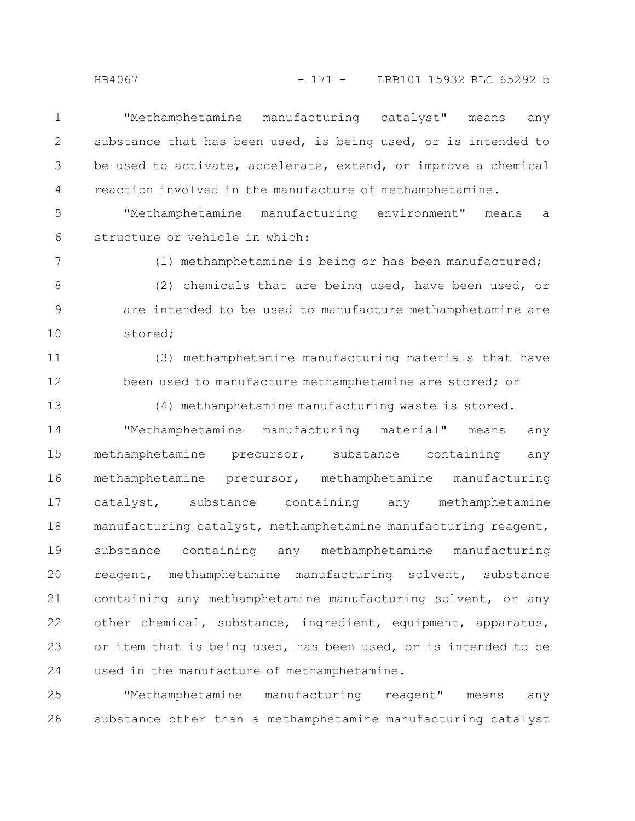"Methamphetamine manufacturing catalyst" means any substance that has been used, is being used, or is intended to be used to activate, accelerate, extend, or improve a chemical reaction involved in the manufacture of methamphetamine. 1 2 3 4

"Methamphetamine manufacturing environment" means a structure or vehicle in which: 5 6

7

(1) methamphetamine is being or has been manufactured;

(2) chemicals that are being used, have been used, or are intended to be used to manufacture methamphetamine are stored; 8 9 10

(3) methamphetamine manufacturing materials that have been used to manufacture methamphetamine are stored; or 11 12

13

(4) methamphetamine manufacturing waste is stored.

"Methamphetamine manufacturing material" means any methamphetamine precursor, substance containing any methamphetamine precursor, methamphetamine manufacturing catalyst, substance containing any methamphetamine manufacturing catalyst, methamphetamine manufacturing reagent, substance containing any methamphetamine manufacturing reagent, methamphetamine manufacturing solvent, substance containing any methamphetamine manufacturing solvent, or any other chemical, substance, ingredient, equipment, apparatus, or item that is being used, has been used, or is intended to be used in the manufacture of methamphetamine. 14 15 16 17 18 19 20 21 22 23 24

"Methamphetamine manufacturing reagent" means any substance other than a methamphetamine manufacturing catalyst 25 26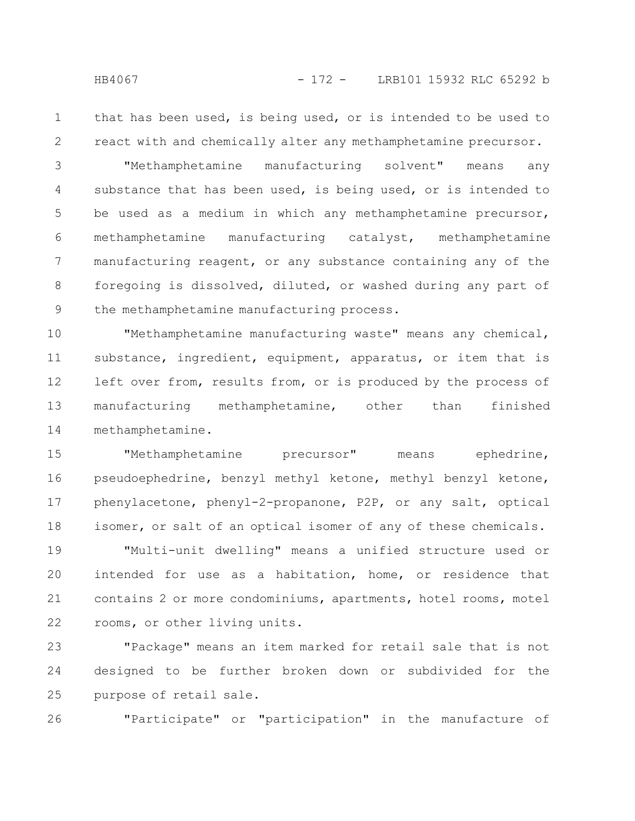2

that has been used, is being used, or is intended to be used to react with and chemically alter any methamphetamine precursor.

"Methamphetamine manufacturing solvent" means any substance that has been used, is being used, or is intended to be used as a medium in which any methamphetamine precursor, methamphetamine manufacturing catalyst, methamphetamine manufacturing reagent, or any substance containing any of the foregoing is dissolved, diluted, or washed during any part of the methamphetamine manufacturing process. 3 4 5 6 7 8 9

"Methamphetamine manufacturing waste" means any chemical, substance, ingredient, equipment, apparatus, or item that is left over from, results from, or is produced by the process of manufacturing methamphetamine, other than finished methamphetamine. 10 11 12 13 14

"Methamphetamine precursor" means ephedrine, pseudoephedrine, benzyl methyl ketone, methyl benzyl ketone, phenylacetone, phenyl-2-propanone, P2P, or any salt, optical isomer, or salt of an optical isomer of any of these chemicals. 15 16 17 18

"Multi-unit dwelling" means a unified structure used or intended for use as a habitation, home, or residence that contains 2 or more condominiums, apartments, hotel rooms, motel rooms, or other living units. 19 20 21 22

"Package" means an item marked for retail sale that is not designed to be further broken down or subdivided for the purpose of retail sale. 23 24 25

"Participate" or "participation" in the manufacture of 26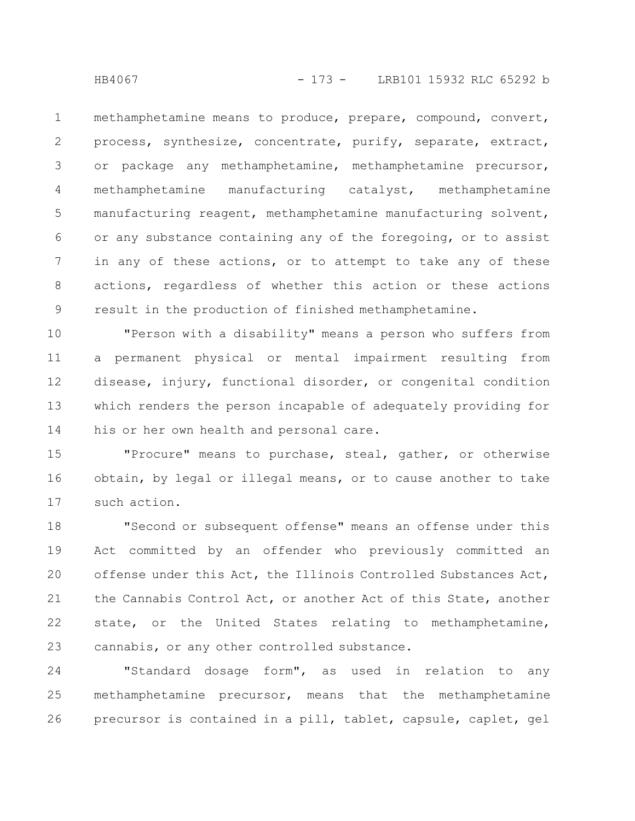methamphetamine means to produce, prepare, compound, convert, process, synthesize, concentrate, purify, separate, extract, or package any methamphetamine, methamphetamine precursor, methamphetamine manufacturing catalyst, methamphetamine manufacturing reagent, methamphetamine manufacturing solvent, or any substance containing any of the foregoing, or to assist in any of these actions, or to attempt to take any of these actions, regardless of whether this action or these actions result in the production of finished methamphetamine. 1 2 3 4 5 6 7 8 9

"Person with a disability" means a person who suffers from a permanent physical or mental impairment resulting from disease, injury, functional disorder, or congenital condition which renders the person incapable of adequately providing for his or her own health and personal care. 10 11 12 13 14

"Procure" means to purchase, steal, gather, or otherwise obtain, by legal or illegal means, or to cause another to take such action. 15 16 17

"Second or subsequent offense" means an offense under this Act committed by an offender who previously committed an offense under this Act, the Illinois Controlled Substances Act, the Cannabis Control Act, or another Act of this State, another state, or the United States relating to methamphetamine, cannabis, or any other controlled substance. 18 19 20 21 22 23

"Standard dosage form", as used in relation to any methamphetamine precursor, means that the methamphetamine precursor is contained in a pill, tablet, capsule, caplet, gel 24 25 26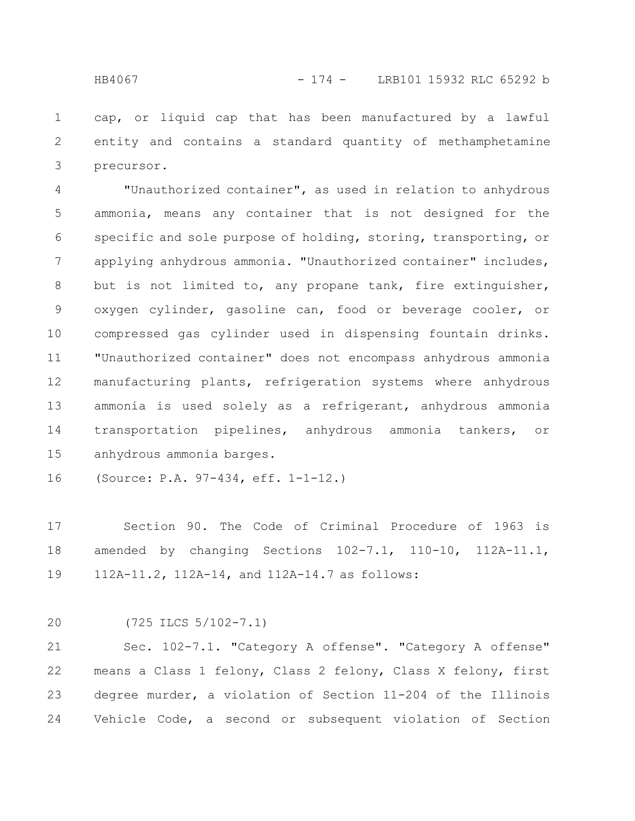cap, or liquid cap that has been manufactured by a lawful entity and contains a standard quantity of methamphetamine precursor. 1 2 3

"Unauthorized container", as used in relation to anhydrous ammonia, means any container that is not designed for the specific and sole purpose of holding, storing, transporting, or applying anhydrous ammonia. "Unauthorized container" includes, but is not limited to, any propane tank, fire extinguisher, oxygen cylinder, gasoline can, food or beverage cooler, or compressed gas cylinder used in dispensing fountain drinks. "Unauthorized container" does not encompass anhydrous ammonia manufacturing plants, refrigeration systems where anhydrous ammonia is used solely as a refrigerant, anhydrous ammonia transportation pipelines, anhydrous ammonia tankers, or anhydrous ammonia barges. 4 5 6 7 8 9 10 11 12 13 14 15

(Source: P.A. 97-434, eff. 1-1-12.) 16

Section 90. The Code of Criminal Procedure of 1963 is amended by changing Sections 102-7.1, 110-10, 112A-11.1, 112A-11.2, 112A-14, and 112A-14.7 as follows: 17 18 19

(725 ILCS 5/102-7.1) 20

Sec. 102-7.1. "Category A offense". "Category A offense" means a Class 1 felony, Class 2 felony, Class X felony, first degree murder, a violation of Section 11-204 of the Illinois Vehicle Code, a second or subsequent violation of Section 21 22 23 24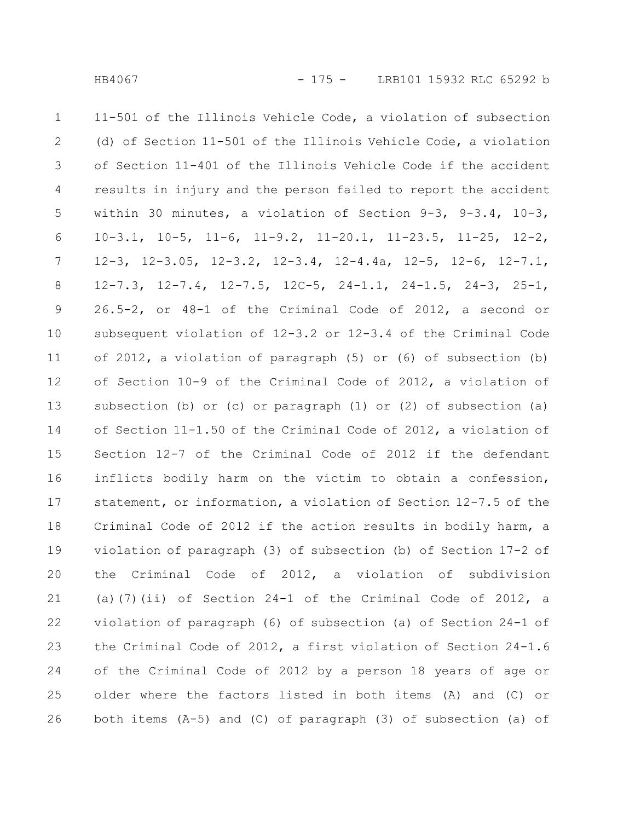11-501 of the Illinois Vehicle Code, a violation of subsection (d) of Section 11-501 of the Illinois Vehicle Code, a violation of Section 11-401 of the Illinois Vehicle Code if the accident results in injury and the person failed to report the accident within 30 minutes, a violation of Section 9-3, 9-3.4, 10-3, 10-3.1, 10-5, 11-6, 11-9.2, 11-20.1, 11-23.5, 11-25, 12-2, 12-3, 12-3.05, 12-3.2, 12-3.4, 12-4.4a, 12-5, 12-6, 12-7.1, 12-7.3, 12-7.4, 12-7.5, 12C-5, 24-1.1, 24-1.5, 24-3, 25-1, 26.5-2, or 48-1 of the Criminal Code of 2012, a second or subsequent violation of 12-3.2 or 12-3.4 of the Criminal Code of 2012, a violation of paragraph (5) or (6) of subsection (b) of Section 10-9 of the Criminal Code of 2012, a violation of subsection (b) or (c) or paragraph (1) or (2) of subsection (a) of Section 11-1.50 of the Criminal Code of 2012, a violation of Section 12-7 of the Criminal Code of 2012 if the defendant inflicts bodily harm on the victim to obtain a confession, statement, or information, a violation of Section 12-7.5 of the Criminal Code of 2012 if the action results in bodily harm, a violation of paragraph (3) of subsection (b) of Section 17-2 of the Criminal Code of 2012, a violation of subdivision (a)(7)(ii) of Section  $24-1$  of the Criminal Code of  $2012$ , a violation of paragraph (6) of subsection (a) of Section 24-1 of the Criminal Code of 2012, a first violation of Section 24-1.6 of the Criminal Code of 2012 by a person 18 years of age or older where the factors listed in both items (A) and (C) or both items (A-5) and (C) of paragraph (3) of subsection (a) of 1 2 3 4 5 6 7 8 9 10 11 12 13 14 15 16 17 18 19 20 21 22 23 24 25 26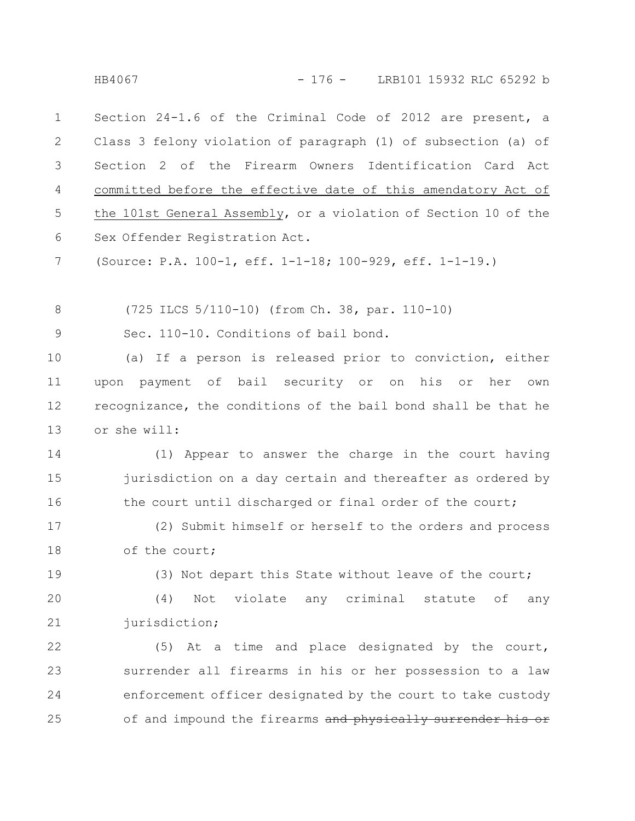Section 24-1.6 of the Criminal Code of 2012 are present, a Class 3 felony violation of paragraph (1) of subsection (a) of Section 2 of the Firearm Owners Identification Card Act committed before the effective date of this amendatory Act of the 101st General Assembly, or a violation of Section 10 of the Sex Offender Registration Act. 1 2 3 4 5 6

(Source: P.A. 100-1, eff. 1-1-18; 100-929, eff. 1-1-19.) 7

(725 ILCS 5/110-10) (from Ch. 38, par. 110-10) 8

Sec. 110-10. Conditions of bail bond. 9

(a) If a person is released prior to conviction, either upon payment of bail security or on his or her own recognizance, the conditions of the bail bond shall be that he or she will: 10 11 12 13

(1) Appear to answer the charge in the court having jurisdiction on a day certain and thereafter as ordered by the court until discharged or final order of the court; 14 15 16

(2) Submit himself or herself to the orders and process of the court; 17 18

19

(3) Not depart this State without leave of the court;

(4) Not violate any criminal statute of any jurisdiction; 20 21

(5) At a time and place designated by the court, surrender all firearms in his or her possession to a law enforcement officer designated by the court to take custody of and impound the firearms and physically surrender 22 23 24 25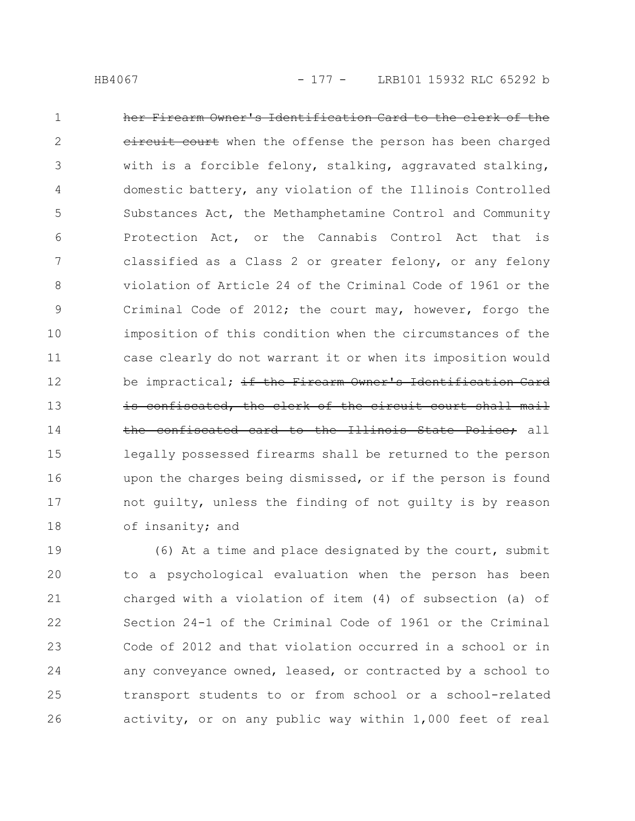her Firearm Owner's Identification Card to the clerk of the eircuit court when the offense the person has been charged with is a forcible felony, stalking, aggravated stalking, domestic battery, any violation of the Illinois Controlled Substances Act, the Methamphetamine Control and Community Protection Act, or the Cannabis Control Act that is classified as a Class 2 or greater felony, or any felony violation of Article 24 of the Criminal Code of 1961 or the Criminal Code of 2012; the court may, however, forgo the imposition of this condition when the circumstances of the case clearly do not warrant it or when its imposition would be impractical; if the Firearm Owner's Identification Card confiscated, the clerk of the circuit court shall mail the confiscated card to the Illinois State Police; all legally possessed firearms shall be returned to the person upon the charges being dismissed, or if the person is found not guilty, unless the finding of not guilty is by reason of insanity; and 1 2 3 4 5 6 7 8 9 10 11 12 13 14 15 16 17 18

(6) At a time and place designated by the court, submit to a psychological evaluation when the person has been charged with a violation of item (4) of subsection (a) of Section 24-1 of the Criminal Code of 1961 or the Criminal Code of 2012 and that violation occurred in a school or in any conveyance owned, leased, or contracted by a school to transport students to or from school or a school-related activity, or on any public way within 1,000 feet of real 19 20 21 22 23 24 25 26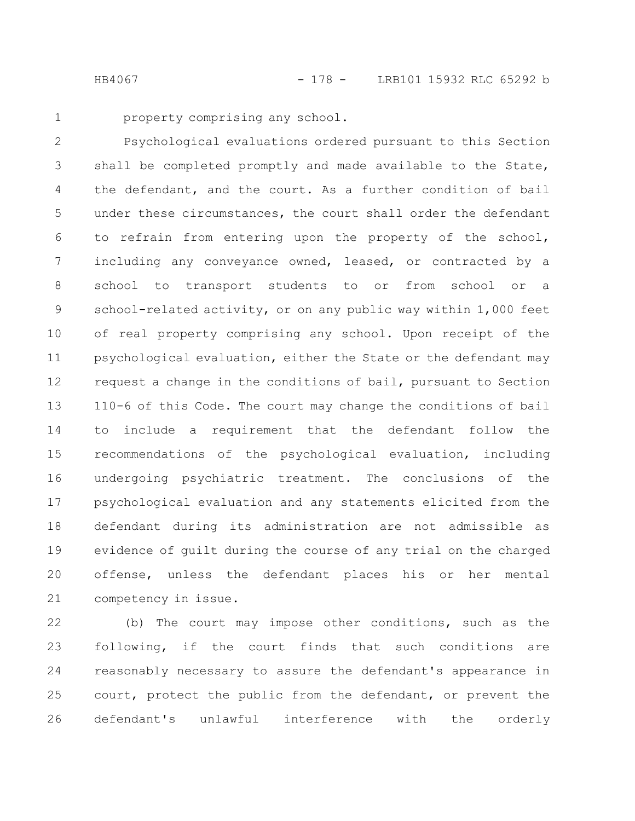property comprising any school.

Psychological evaluations ordered pursuant to this Section shall be completed promptly and made available to the State, the defendant, and the court. As a further condition of bail under these circumstances, the court shall order the defendant to refrain from entering upon the property of the school, including any conveyance owned, leased, or contracted by a school to transport students to or from school or a school-related activity, or on any public way within 1,000 feet of real property comprising any school. Upon receipt of the psychological evaluation, either the State or the defendant may request a change in the conditions of bail, pursuant to Section 110-6 of this Code. The court may change the conditions of bail to include a requirement that the defendant follow the recommendations of the psychological evaluation, including undergoing psychiatric treatment. The conclusions of the psychological evaluation and any statements elicited from the defendant during its administration are not admissible as evidence of guilt during the course of any trial on the charged offense, unless the defendant places his or her mental competency in issue. 2 3 4 5 6 7 8 9 10 11 12 13 14 15 16 17 18 19 20 21

(b) The court may impose other conditions, such as the following, if the court finds that such conditions are reasonably necessary to assure the defendant's appearance in court, protect the public from the defendant, or prevent the defendant's unlawful interference with the orderly 22 23 24 25 26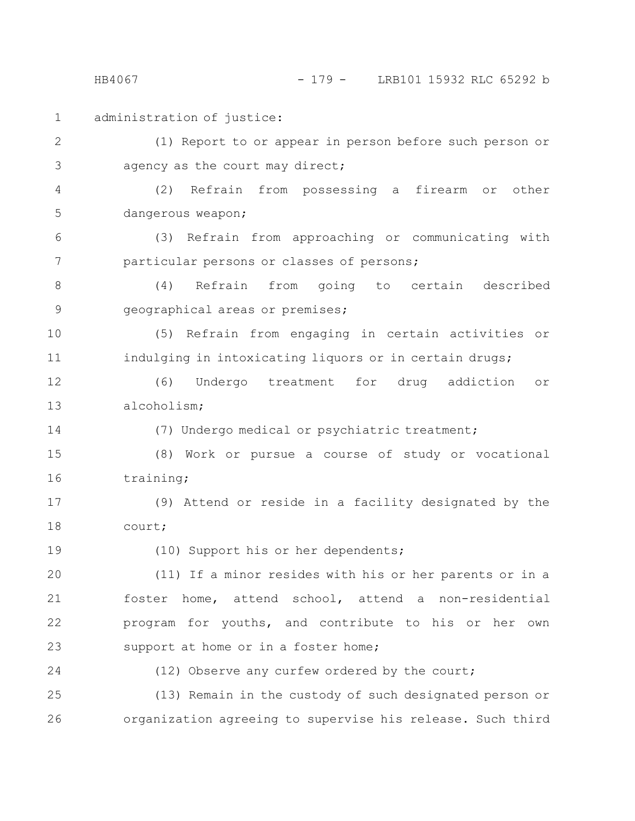HB4067 - 179 - LRB101 15932 RLC 65292 b

administration of justice: (1) Report to or appear in person before such person or agency as the court may direct; (2) Refrain from possessing a firearm or other dangerous weapon; (3) Refrain from approaching or communicating with particular persons or classes of persons; (4) Refrain from going to certain described geographical areas or premises; (5) Refrain from engaging in certain activities or indulging in intoxicating liquors or in certain drugs; (6) Undergo treatment for drug addiction or alcoholism; (7) Undergo medical or psychiatric treatment; (8) Work or pursue a course of study or vocational training; (9) Attend or reside in a facility designated by the court; (10) Support his or her dependents; (11) If a minor resides with his or her parents or in a foster home, attend school, attend a non-residential program for youths, and contribute to his or her own support at home or in a foster home; (12) Observe any curfew ordered by the court; (13) Remain in the custody of such designated person or organization agreeing to supervise his release. Such third 1 2 3 4 5 6 7 8 9 10 11 12 13 14 15 16 17 18 19 20 21 22 23 24 25 26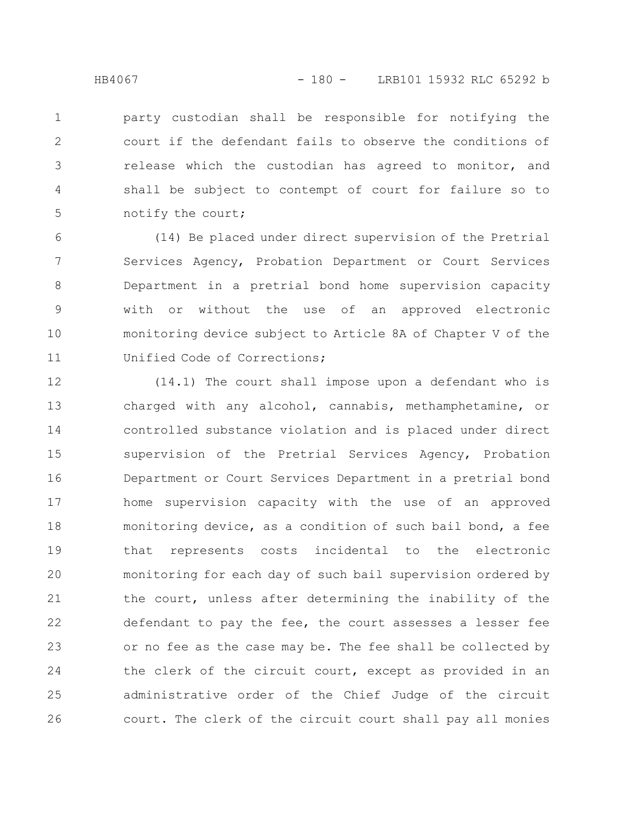party custodian shall be responsible for notifying the court if the defendant fails to observe the conditions of release which the custodian has agreed to monitor, and shall be subject to contempt of court for failure so to notify the court; 1 2 3 4 5

(14) Be placed under direct supervision of the Pretrial Services Agency, Probation Department or Court Services Department in a pretrial bond home supervision capacity with or without the use of an approved electronic monitoring device subject to Article 8A of Chapter V of the Unified Code of Corrections; 6 7 8 9 10 11

(14.1) The court shall impose upon a defendant who is charged with any alcohol, cannabis, methamphetamine, or controlled substance violation and is placed under direct supervision of the Pretrial Services Agency, Probation Department or Court Services Department in a pretrial bond home supervision capacity with the use of an approved monitoring device, as a condition of such bail bond, a fee that represents costs incidental to the electronic monitoring for each day of such bail supervision ordered by the court, unless after determining the inability of the defendant to pay the fee, the court assesses a lesser fee or no fee as the case may be. The fee shall be collected by the clerk of the circuit court, except as provided in an administrative order of the Chief Judge of the circuit court. The clerk of the circuit court shall pay all monies 12 13 14 15 16 17 18 19 20 21 22 23 24 25 26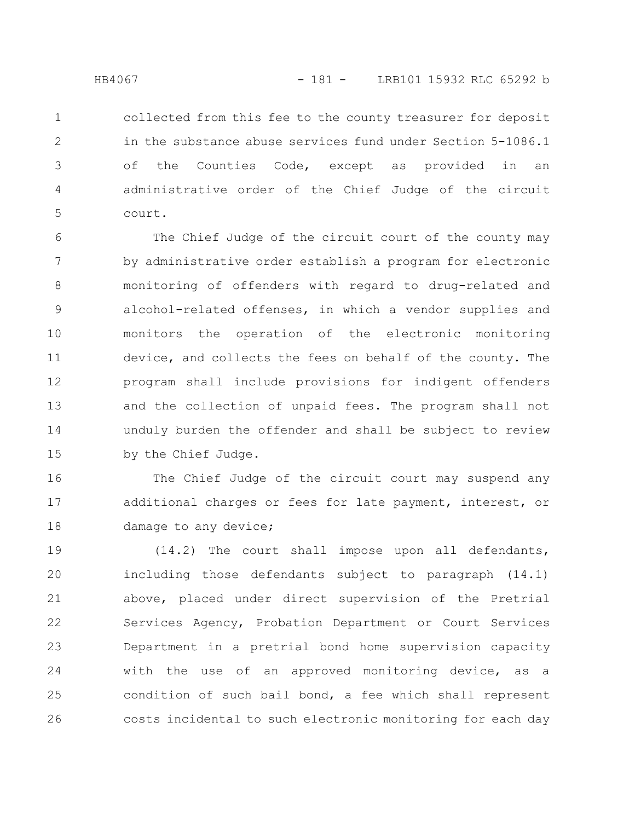collected from this fee to the county treasurer for deposit in the substance abuse services fund under Section 5-1086.1 of the Counties Code, except as provided in an administrative order of the Chief Judge of the circuit court. 1 2 3 4 5

The Chief Judge of the circuit court of the county may by administrative order establish a program for electronic monitoring of offenders with regard to drug-related and alcohol-related offenses, in which a vendor supplies and monitors the operation of the electronic monitoring device, and collects the fees on behalf of the county. The program shall include provisions for indigent offenders and the collection of unpaid fees. The program shall not unduly burden the offender and shall be subject to review by the Chief Judge. 6 7 8 9 10 11 12 13 14 15

The Chief Judge of the circuit court may suspend any additional charges or fees for late payment, interest, or damage to any device; 16 17 18

(14.2) The court shall impose upon all defendants, including those defendants subject to paragraph (14.1) above, placed under direct supervision of the Pretrial Services Agency, Probation Department or Court Services Department in a pretrial bond home supervision capacity with the use of an approved monitoring device, as a condition of such bail bond, a fee which shall represent costs incidental to such electronic monitoring for each day 19 20 21 22 23 24 25 26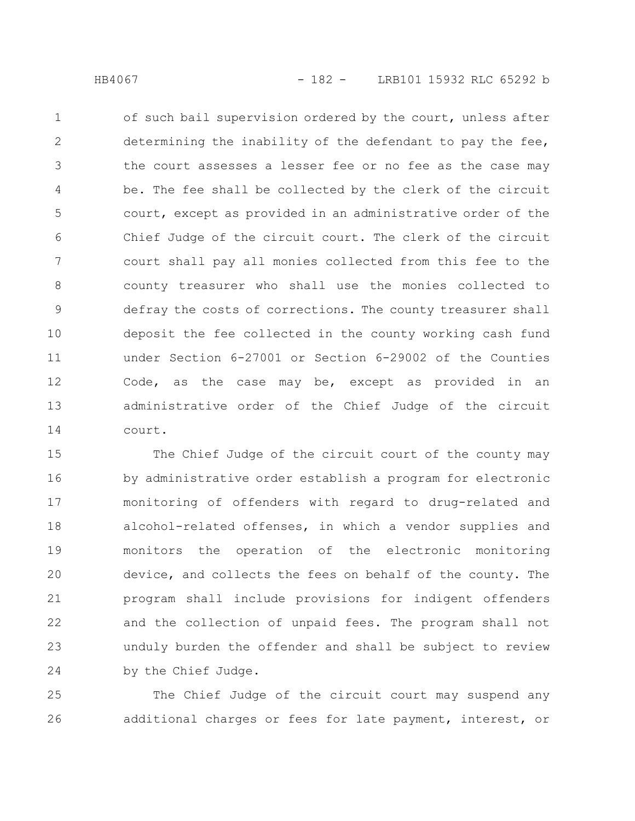of such bail supervision ordered by the court, unless after determining the inability of the defendant to pay the fee, the court assesses a lesser fee or no fee as the case may be. The fee shall be collected by the clerk of the circuit court, except as provided in an administrative order of the Chief Judge of the circuit court. The clerk of the circuit court shall pay all monies collected from this fee to the county treasurer who shall use the monies collected to defray the costs of corrections. The county treasurer shall deposit the fee collected in the county working cash fund under Section 6-27001 or Section 6-29002 of the Counties Code, as the case may be, except as provided in an administrative order of the Chief Judge of the circuit court. 1 2 3 4 5 6 7 8 9 10 11 12 13 14

The Chief Judge of the circuit court of the county may by administrative order establish a program for electronic monitoring of offenders with regard to drug-related and alcohol-related offenses, in which a vendor supplies and monitors the operation of the electronic monitoring device, and collects the fees on behalf of the county. The program shall include provisions for indigent offenders and the collection of unpaid fees. The program shall not unduly burden the offender and shall be subject to review by the Chief Judge. 15 16 17 18 19 20 21 22 23 24

The Chief Judge of the circuit court may suspend any additional charges or fees for late payment, interest, or 25 26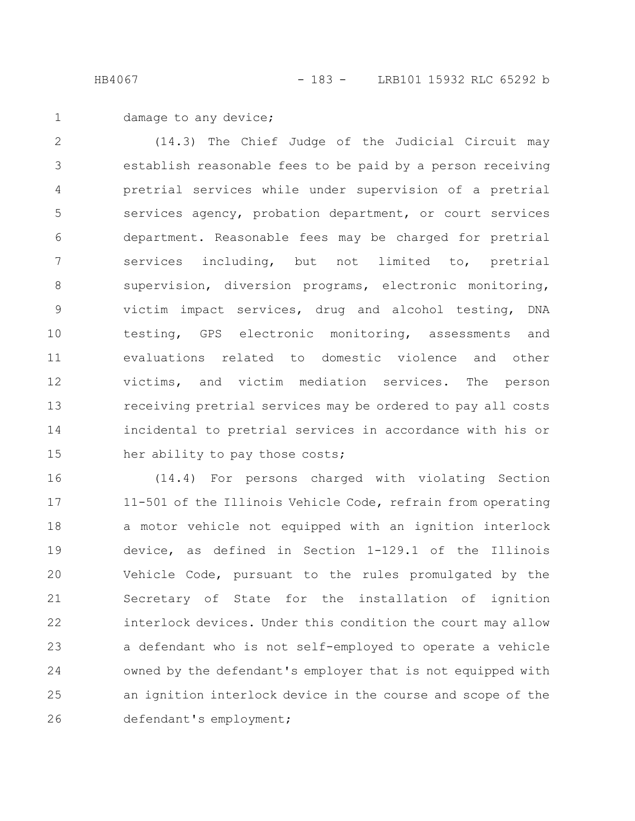damage to any device; 1

(14.3) The Chief Judge of the Judicial Circuit may establish reasonable fees to be paid by a person receiving pretrial services while under supervision of a pretrial services agency, probation department, or court services department. Reasonable fees may be charged for pretrial services including, but not limited to, pretrial supervision, diversion programs, electronic monitoring, victim impact services, drug and alcohol testing, DNA testing, GPS electronic monitoring, assessments and evaluations related to domestic violence and other victims, and victim mediation services. The person receiving pretrial services may be ordered to pay all costs incidental to pretrial services in accordance with his or her ability to pay those costs; 2 3 4 5 6 7 8 9 10 11 12 13 14 15

(14.4) For persons charged with violating Section 11-501 of the Illinois Vehicle Code, refrain from operating a motor vehicle not equipped with an ignition interlock device, as defined in Section 1-129.1 of the Illinois Vehicle Code, pursuant to the rules promulgated by the Secretary of State for the installation of ignition interlock devices. Under this condition the court may allow a defendant who is not self-employed to operate a vehicle owned by the defendant's employer that is not equipped with an ignition interlock device in the course and scope of the defendant's employment; 16 17 18 19 20 21 22 23 24 25 26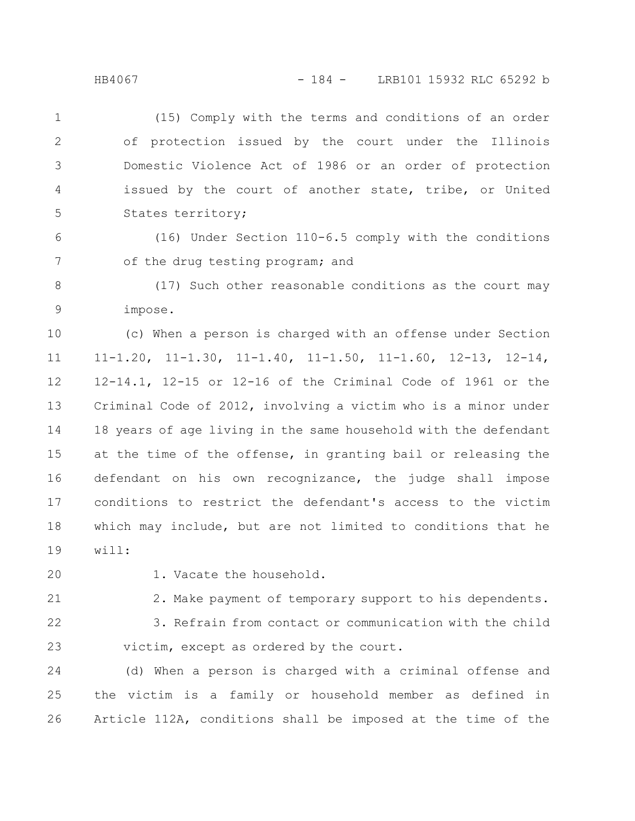(15) Comply with the terms and conditions of an order of protection issued by the court under the Illinois Domestic Violence Act of 1986 or an order of protection issued by the court of another state, tribe, or United States territory; 1 2 3 4 5

(16) Under Section 110-6.5 comply with the conditions of the drug testing program; and 6 7

(17) Such other reasonable conditions as the court may impose. 8 9

(c) When a person is charged with an offense under Section 11-1.20, 11-1.30, 11-1.40, 11-1.50, 11-1.60, 12-13, 12-14, 12-14.1, 12-15 or 12-16 of the Criminal Code of 1961 or the Criminal Code of 2012, involving a victim who is a minor under 18 years of age living in the same household with the defendant at the time of the offense, in granting bail or releasing the defendant on his own recognizance, the judge shall impose conditions to restrict the defendant's access to the victim which may include, but are not limited to conditions that he will: 10 11 12 13 14 15 16 17 18 19

20

1. Vacate the household.

2. Make payment of temporary support to his dependents. 21

22

23

3. Refrain from contact or communication with the child victim, except as ordered by the court.

(d) When a person is charged with a criminal offense and the victim is a family or household member as defined in Article 112A, conditions shall be imposed at the time of the 24 25 26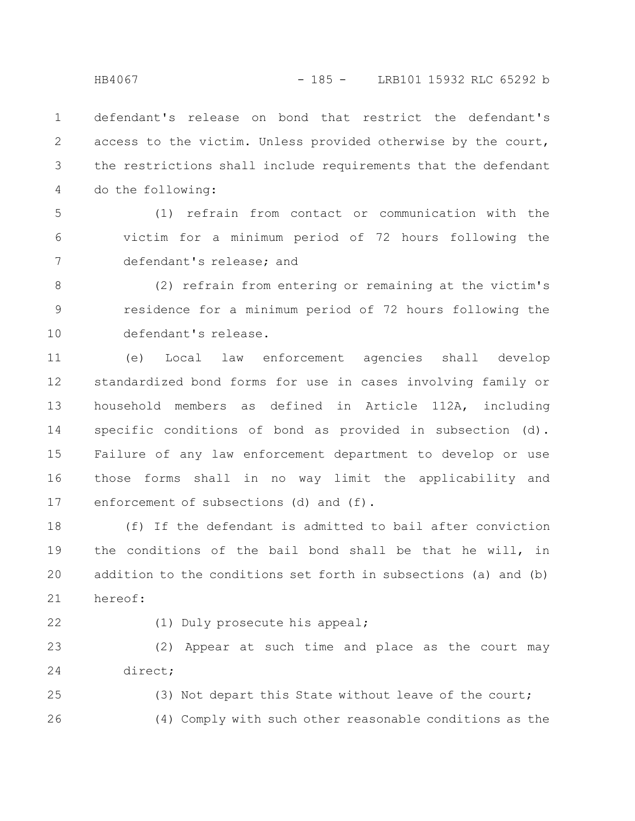defendant's release on bond that restrict the defendant's access to the victim. Unless provided otherwise by the court, the restrictions shall include requirements that the defendant do the following: 1 2 3 4

(1) refrain from contact or communication with the victim for a minimum period of 72 hours following the defendant's release; and 5 6 7

(2) refrain from entering or remaining at the victim's residence for a minimum period of 72 hours following the defendant's release. 8 9 10

(e) Local law enforcement agencies shall develop standardized bond forms for use in cases involving family or household members as defined in Article 112A, including specific conditions of bond as provided in subsection (d). Failure of any law enforcement department to develop or use those forms shall in no way limit the applicability and enforcement of subsections (d) and (f). 11 12 13 14 15 16 17

(f) If the defendant is admitted to bail after conviction the conditions of the bail bond shall be that he will, in addition to the conditions set forth in subsections (a) and (b) hereof: 18 19 20 21

22

(1) Duly prosecute his appeal;

(2) Appear at such time and place as the court may direct; 23 24

(3) Not depart this State without leave of the court; (4) Comply with such other reasonable conditions as the 25 26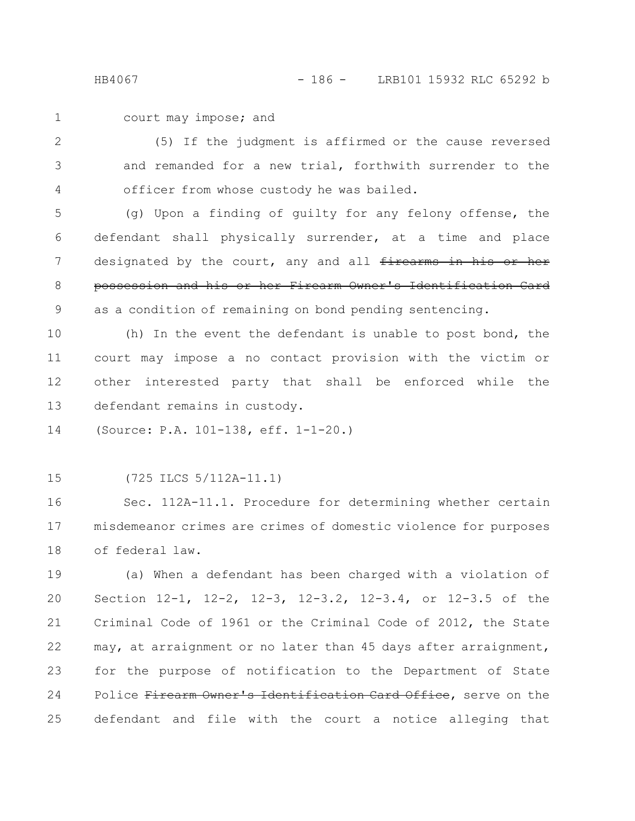court may impose; and 1

(5) If the judgment is affirmed or the cause reversed and remanded for a new trial, forthwith surrender to the officer from whose custody he was bailed. 2 3 4

(g) Upon a finding of guilty for any felony offense, the defendant shall physically surrender, at a time and place designated by the court, any and all firearms in his or her possession and his or her Firearm Owner's Identification Card as a condition of remaining on bond pending sentencing. 5 6 7 8 9

(h) In the event the defendant is unable to post bond, the court may impose a no contact provision with the victim or other interested party that shall be enforced while the defendant remains in custody. 10 11 12 13

(Source: P.A. 101-138, eff. 1-1-20.) 14

(725 ILCS 5/112A-11.1) 15

Sec. 112A-11.1. Procedure for determining whether certain misdemeanor crimes are crimes of domestic violence for purposes of federal law. 16 17 18

(a) When a defendant has been charged with a violation of Section 12-1, 12-2, 12-3, 12-3.2, 12-3.4, or 12-3.5 of the Criminal Code of 1961 or the Criminal Code of 2012, the State may, at arraignment or no later than 45 days after arraignment, for the purpose of notification to the Department of State Police Firearm Owner's Identification Card Office, serve on the defendant and file with the court a notice alleging that 19 20 21 22 23 24 25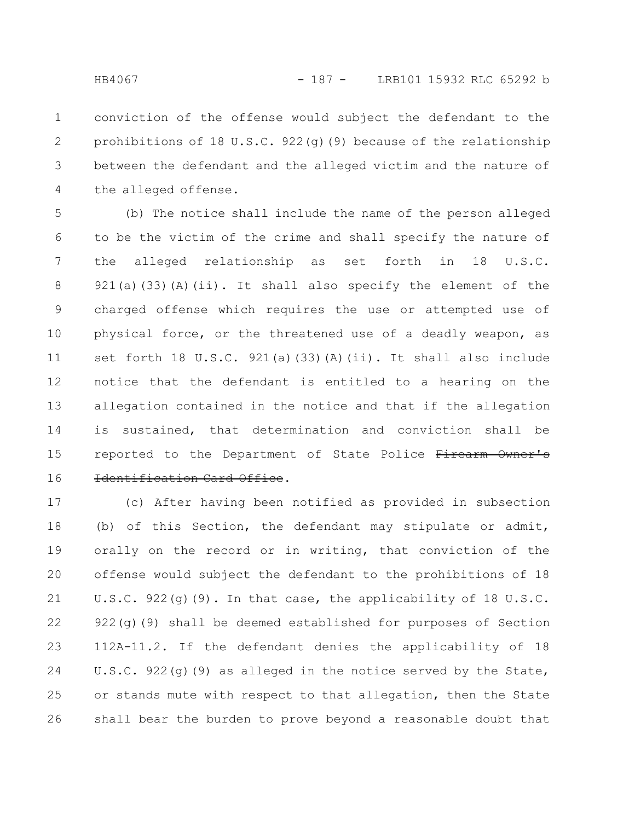conviction of the offense would subject the defendant to the prohibitions of 18 U.S.C. 922(g)(9) because of the relationship between the defendant and the alleged victim and the nature of the alleged offense. 1 2 3 4

(b) The notice shall include the name of the person alleged to be the victim of the crime and shall specify the nature of the alleged relationship as set forth in 18 U.S.C. 921(a)(33)(A)(ii). It shall also specify the element of the charged offense which requires the use or attempted use of physical force, or the threatened use of a deadly weapon, as set forth 18 U.S.C. 921(a)(33)(A)(ii). It shall also include notice that the defendant is entitled to a hearing on the allegation contained in the notice and that if the allegation is sustained, that determination and conviction shall be reported to the Department of State Police Firearm Owner's Identification Card Office. 5 6 7 8 9 10 11 12 13 14 15 16

(c) After having been notified as provided in subsection (b) of this Section, the defendant may stipulate or admit, orally on the record or in writing, that conviction of the offense would subject the defendant to the prohibitions of 18 U.S.C. 922(g)(9). In that case, the applicability of 18 U.S.C. 922(g)(9) shall be deemed established for purposes of Section 112A-11.2. If the defendant denies the applicability of 18 U.S.C. 922(g)(9) as alleged in the notice served by the State, or stands mute with respect to that allegation, then the State shall bear the burden to prove beyond a reasonable doubt that 17 18 19 20 21 22 23 24 25 26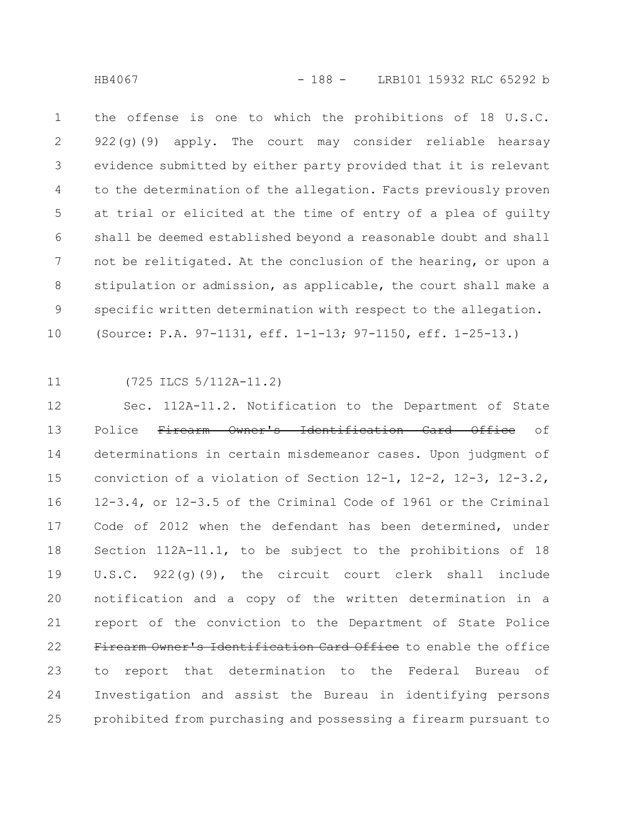the offense is one to which the prohibitions of 18 U.S.C. 922(g)(9) apply. The court may consider reliable hearsay evidence submitted by either party provided that it is relevant to the determination of the allegation. Facts previously proven at trial or elicited at the time of entry of a plea of guilty shall be deemed established beyond a reasonable doubt and shall not be relitigated. At the conclusion of the hearing, or upon a stipulation or admission, as applicable, the court shall make a specific written determination with respect to the allegation. (Source: P.A. 97-1131, eff. 1-1-13; 97-1150, eff. 1-25-13.) 1 2 3 4 5 6 7 8 9 10

11

(725 ILCS 5/112A-11.2)

Sec. 112A-11.2. Notification to the Department of State Police Firearm Owner's Identification Card Office of determinations in certain misdemeanor cases. Upon judgment of conviction of a violation of Section 12-1, 12-2, 12-3, 12-3.2, 12-3.4, or 12-3.5 of the Criminal Code of 1961 or the Criminal Code of 2012 when the defendant has been determined, under Section 112A-11.1, to be subject to the prohibitions of 18 U.S.C. 922(g)(9), the circuit court clerk shall include notification and a copy of the written determination in a report of the conviction to the Department of State Police Firearm Owner's Identification Card Office to enable the office to report that determination to the Federal Bureau of Investigation and assist the Bureau in identifying persons prohibited from purchasing and possessing a firearm pursuant to 12 13 14 15 16 17 18 19 20 21 22 23 24 25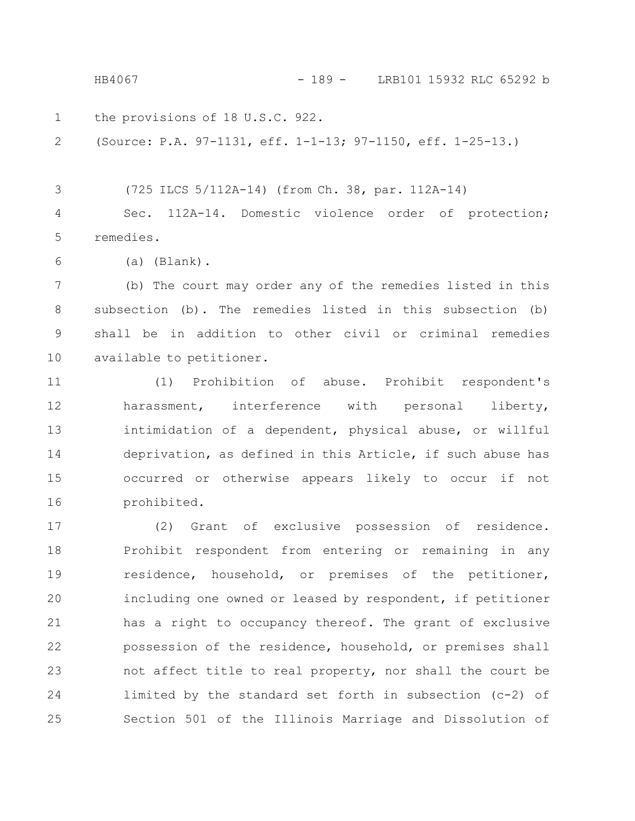the provisions of 18 U.S.C. 922. (Source: P.A. 97-1131, eff. 1-1-13; 97-1150, eff. 1-25-13.) (725 ILCS 5/112A-14) (from Ch. 38, par. 112A-14) Sec. 112A-14. Domestic violence order of protection; remedies. 1 2 3 4 5 HB4067 - 189 - LRB101 15932 RLC 65292 b

(a) (Blank). 6

(b) The court may order any of the remedies listed in this subsection (b). The remedies listed in this subsection (b) shall be in addition to other civil or criminal remedies available to petitioner. 7 8 9 10

(1) Prohibition of abuse. Prohibit respondent's harassment, interference with personal liberty, intimidation of a dependent, physical abuse, or willful deprivation, as defined in this Article, if such abuse has occurred or otherwise appears likely to occur if not prohibited. 11 12 13 14 15 16

(2) Grant of exclusive possession of residence. Prohibit respondent from entering or remaining in any residence, household, or premises of the petitioner, including one owned or leased by respondent, if petitioner has a right to occupancy thereof. The grant of exclusive possession of the residence, household, or premises shall not affect title to real property, nor shall the court be limited by the standard set forth in subsection (c-2) of Section 501 of the Illinois Marriage and Dissolution of 17 18 19 20 21 22 23 24 25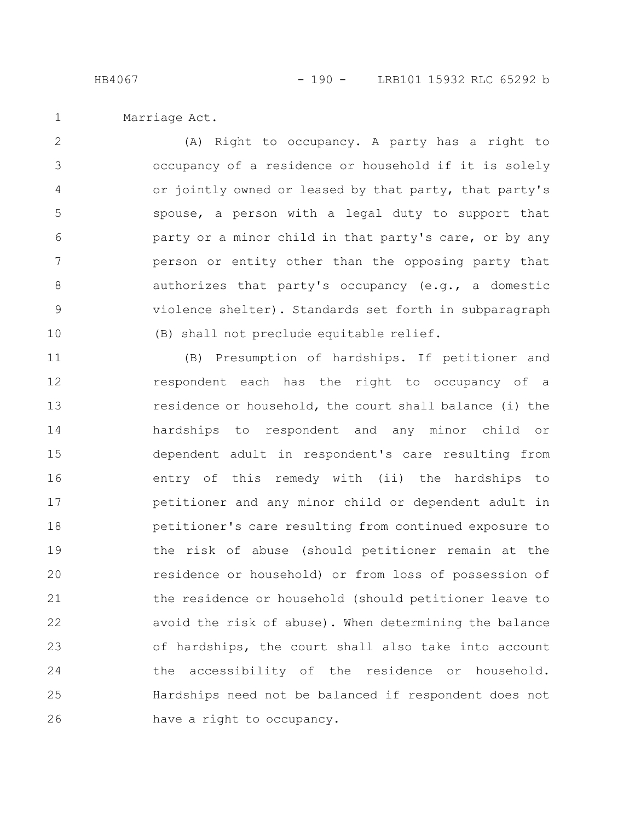Marriage Act. 1

(A) Right to occupancy. A party has a right to occupancy of a residence or household if it is solely or jointly owned or leased by that party, that party's spouse, a person with a legal duty to support that party or a minor child in that party's care, or by any person or entity other than the opposing party that authorizes that party's occupancy (e.g., a domestic violence shelter). Standards set forth in subparagraph (B) shall not preclude equitable relief. 2 3 4 5 6 7 8 9 10

(B) Presumption of hardships. If petitioner and respondent each has the right to occupancy of a residence or household, the court shall balance (i) the hardships to respondent and any minor child or dependent adult in respondent's care resulting from entry of this remedy with (ii) the hardships to petitioner and any minor child or dependent adult in petitioner's care resulting from continued exposure to the risk of abuse (should petitioner remain at the residence or household) or from loss of possession of the residence or household (should petitioner leave to avoid the risk of abuse). When determining the balance of hardships, the court shall also take into account the accessibility of the residence or household. Hardships need not be balanced if respondent does not have a right to occupancy. 11 12 13 14 15 16 17 18 19 20 21 22 23 24 25 26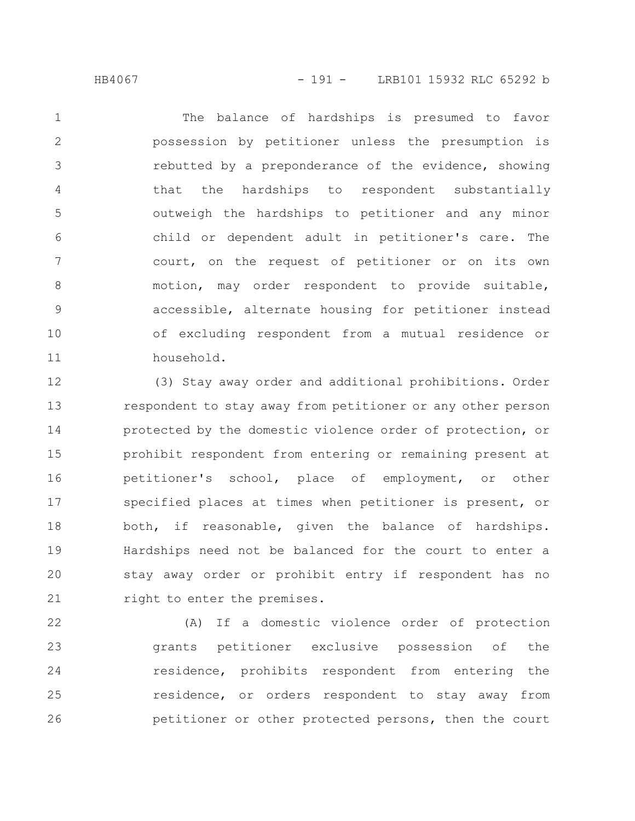HB4067 - 191 - LRB101 15932 RLC 65292 b

The balance of hardships is presumed to favor possession by petitioner unless the presumption is rebutted by a preponderance of the evidence, showing that the hardships to respondent substantially outweigh the hardships to petitioner and any minor child or dependent adult in petitioner's care. The court, on the request of petitioner or on its own motion, may order respondent to provide suitable, accessible, alternate housing for petitioner instead of excluding respondent from a mutual residence or household. 1 2 3 4 5 6 7 8 9 10 11

(3) Stay away order and additional prohibitions. Order respondent to stay away from petitioner or any other person protected by the domestic violence order of protection, or prohibit respondent from entering or remaining present at petitioner's school, place of employment, or other specified places at times when petitioner is present, or both, if reasonable, given the balance of hardships. Hardships need not be balanced for the court to enter a stay away order or prohibit entry if respondent has no right to enter the premises. 12 13 14 15 16 17 18 19 20 21

(A) If a domestic violence order of protection grants petitioner exclusive possession of the residence, prohibits respondent from entering the residence, or orders respondent to stay away from petitioner or other protected persons, then the court 22 23 24 25 26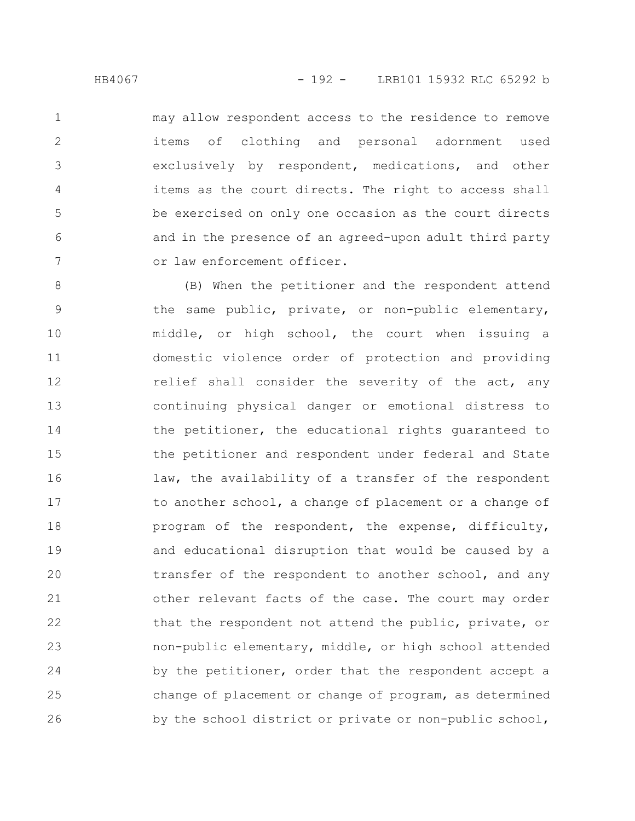may allow respondent access to the residence to remove items of clothing and personal adornment used exclusively by respondent, medications, and other items as the court directs. The right to access shall be exercised on only one occasion as the court directs and in the presence of an agreed-upon adult third party or law enforcement officer. 1 2 3 4 5 6 7

(B) When the petitioner and the respondent attend the same public, private, or non-public elementary, middle, or high school, the court when issuing a domestic violence order of protection and providing relief shall consider the severity of the act, any continuing physical danger or emotional distress to the petitioner, the educational rights guaranteed to the petitioner and respondent under federal and State law, the availability of a transfer of the respondent to another school, a change of placement or a change of program of the respondent, the expense, difficulty, and educational disruption that would be caused by a transfer of the respondent to another school, and any other relevant facts of the case. The court may order that the respondent not attend the public, private, or non-public elementary, middle, or high school attended by the petitioner, order that the respondent accept a change of placement or change of program, as determined by the school district or private or non-public school, 8 9 10 11 12 13 14 15 16 17 18 19 20 21 22 23 24 25 26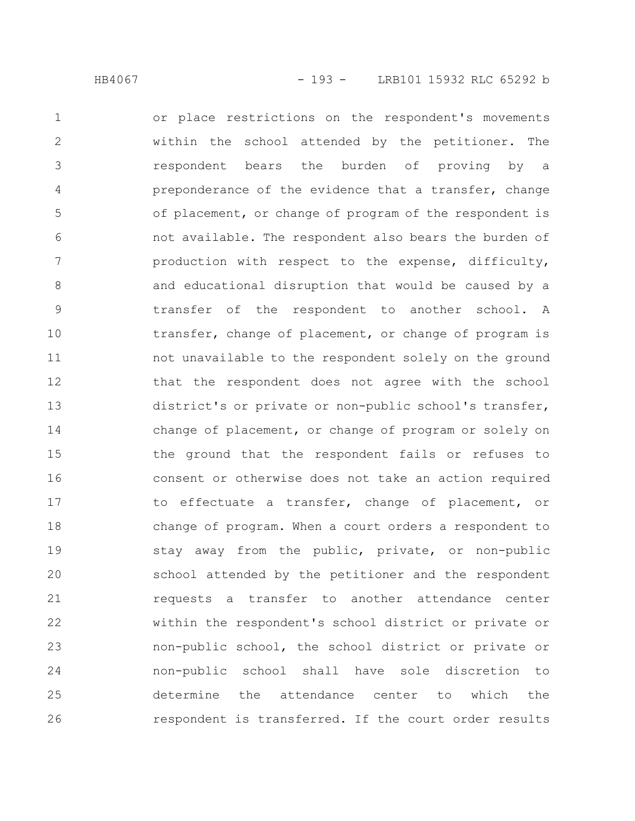or place restrictions on the respondent's movements within the school attended by the petitioner. The respondent bears the burden of proving by a preponderance of the evidence that a transfer, change of placement, or change of program of the respondent is not available. The respondent also bears the burden of production with respect to the expense, difficulty, and educational disruption that would be caused by a transfer of the respondent to another school. A transfer, change of placement, or change of program is not unavailable to the respondent solely on the ground that the respondent does not agree with the school district's or private or non-public school's transfer, change of placement, or change of program or solely on the ground that the respondent fails or refuses to consent or otherwise does not take an action required to effectuate a transfer, change of placement, or change of program. When a court orders a respondent to stay away from the public, private, or non-public school attended by the petitioner and the respondent requests a transfer to another attendance center within the respondent's school district or private or non-public school, the school district or private or non-public school shall have sole discretion to determine the attendance center to which the respondent is transferred. If the court order results 1 2 3 4 5 6 7 8 9 10 11 12 13 14 15 16 17 18 19 20 21 22 23 24 25 26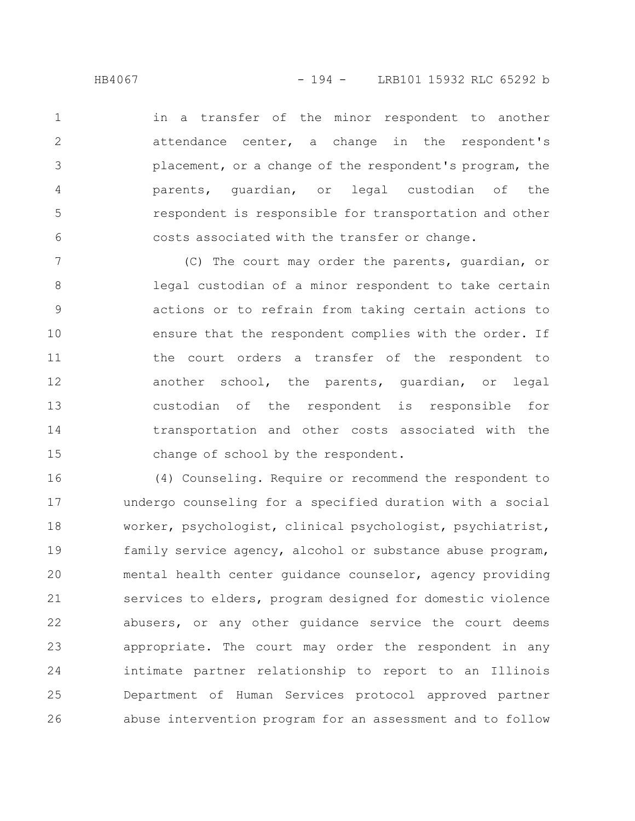in a transfer of the minor respondent to another attendance center, a change in the respondent's placement, or a change of the respondent's program, the parents, guardian, or legal custodian of the respondent is responsible for transportation and other costs associated with the transfer or change. 1 2 3 4 5 6

(C) The court may order the parents, guardian, or legal custodian of a minor respondent to take certain actions or to refrain from taking certain actions to ensure that the respondent complies with the order. If the court orders a transfer of the respondent to another school, the parents, guardian, or legal custodian of the respondent is responsible for transportation and other costs associated with the change of school by the respondent. 7 8 9 10 11 12 13 14 15

(4) Counseling. Require or recommend the respondent to undergo counseling for a specified duration with a social worker, psychologist, clinical psychologist, psychiatrist, family service agency, alcohol or substance abuse program, mental health center guidance counselor, agency providing services to elders, program designed for domestic violence abusers, or any other guidance service the court deems appropriate. The court may order the respondent in any intimate partner relationship to report to an Illinois Department of Human Services protocol approved partner abuse intervention program for an assessment and to follow 16 17 18 19 20 21 22 23 24 25 26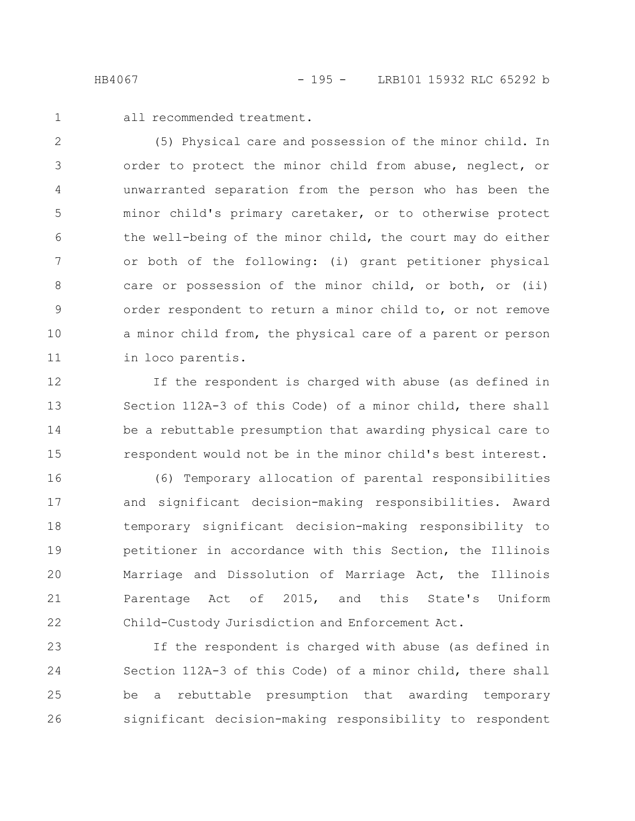1

all recommended treatment.

(5) Physical care and possession of the minor child. In order to protect the minor child from abuse, neglect, or unwarranted separation from the person who has been the minor child's primary caretaker, or to otherwise protect the well-being of the minor child, the court may do either or both of the following: (i) grant petitioner physical care or possession of the minor child, or both, or (ii) order respondent to return a minor child to, or not remove a minor child from, the physical care of a parent or person in loco parentis. 2 3 4 5 6 7 8 9 10 11

If the respondent is charged with abuse (as defined in Section 112A-3 of this Code) of a minor child, there shall be a rebuttable presumption that awarding physical care to respondent would not be in the minor child's best interest. 12 13 14 15

(6) Temporary allocation of parental responsibilities and significant decision-making responsibilities. Award temporary significant decision-making responsibility to petitioner in accordance with this Section, the Illinois Marriage and Dissolution of Marriage Act, the Illinois Parentage Act of 2015, and this State's Uniform Child-Custody Jurisdiction and Enforcement Act. 16 17 18 19 20 21 22

If the respondent is charged with abuse (as defined in Section 112A-3 of this Code) of a minor child, there shall be a rebuttable presumption that awarding temporary significant decision-making responsibility to respondent 23 24 25 26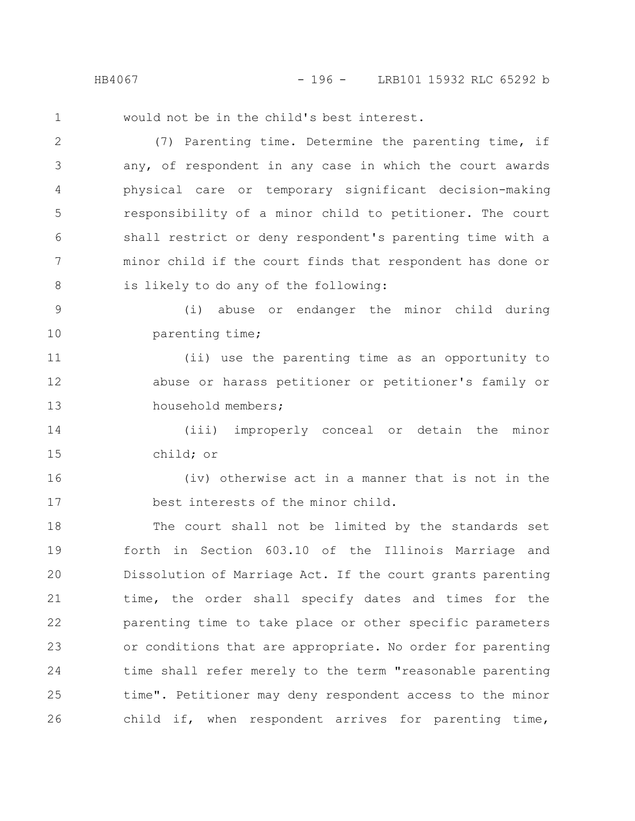HB4067 - 196 - LRB101 15932 RLC 65292 b

1

would not be in the child's best interest.

(7) Parenting time. Determine the parenting time, if any, of respondent in any case in which the court awards physical care or temporary significant decision-making responsibility of a minor child to petitioner. The court shall restrict or deny respondent's parenting time with a minor child if the court finds that respondent has done or is likely to do any of the following: 2 3 4 5 6 7 8

(i) abuse or endanger the minor child during parenting time; 9 10

(ii) use the parenting time as an opportunity to abuse or harass petitioner or petitioner's family or household members; 11 12 13

(iii) improperly conceal or detain the minor child; or 14 15

(iv) otherwise act in a manner that is not in the best interests of the minor child. 16 17

The court shall not be limited by the standards set forth in Section 603.10 of the Illinois Marriage and Dissolution of Marriage Act. If the court grants parenting time, the order shall specify dates and times for the parenting time to take place or other specific parameters or conditions that are appropriate. No order for parenting time shall refer merely to the term "reasonable parenting time". Petitioner may deny respondent access to the minor child if, when respondent arrives for parenting time, 18 19 20 21 22 23 24 25 26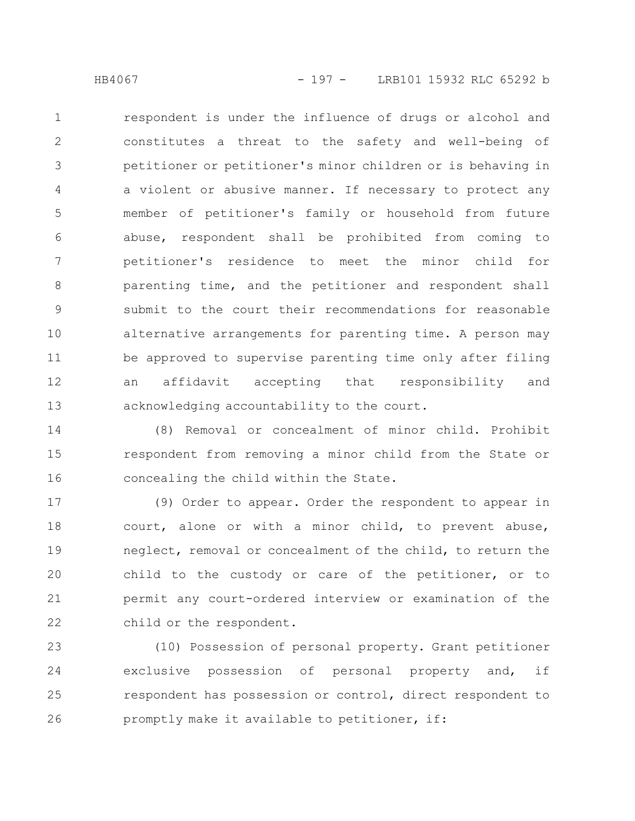respondent is under the influence of drugs or alcohol and constitutes a threat to the safety and well-being of petitioner or petitioner's minor children or is behaving in a violent or abusive manner. If necessary to protect any member of petitioner's family or household from future abuse, respondent shall be prohibited from coming to petitioner's residence to meet the minor child for parenting time, and the petitioner and respondent shall submit to the court their recommendations for reasonable alternative arrangements for parenting time. A person may be approved to supervise parenting time only after filing an affidavit accepting that responsibility and acknowledging accountability to the court. 1 2 3 4 5 6 7 8 9 10 11 12 13

(8) Removal or concealment of minor child. Prohibit respondent from removing a minor child from the State or concealing the child within the State. 14 15 16

(9) Order to appear. Order the respondent to appear in court, alone or with a minor child, to prevent abuse, neglect, removal or concealment of the child, to return the child to the custody or care of the petitioner, or to permit any court-ordered interview or examination of the child or the respondent. 17 18 19 20 21 22

(10) Possession of personal property. Grant petitioner exclusive possession of personal property and, if respondent has possession or control, direct respondent to promptly make it available to petitioner, if: 23 24 25 26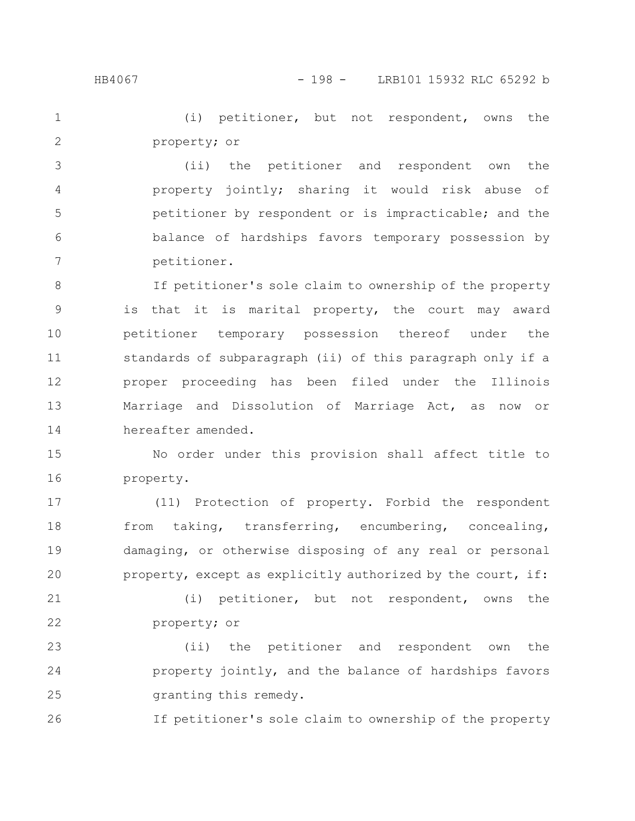(i) petitioner, but not respondent, owns the property; or 1 2

(ii) the petitioner and respondent own the property jointly; sharing it would risk abuse of petitioner by respondent or is impracticable; and the balance of hardships favors temporary possession by petitioner. 3 4 5 6 7

If petitioner's sole claim to ownership of the property is that it is marital property, the court may award petitioner temporary possession thereof under the standards of subparagraph (ii) of this paragraph only if a proper proceeding has been filed under the Illinois Marriage and Dissolution of Marriage Act, as now or hereafter amended. 8 9 10 11 12 13 14

No order under this provision shall affect title to property. 15 16

(11) Protection of property. Forbid the respondent from taking, transferring, encumbering, concealing, damaging, or otherwise disposing of any real or personal property, except as explicitly authorized by the court, if: 17 18 19 20

(i) petitioner, but not respondent, owns the property; or 21 22

(ii) the petitioner and respondent own the property jointly, and the balance of hardships favors granting this remedy. 23 24 25

If petitioner's sole claim to ownership of the property 26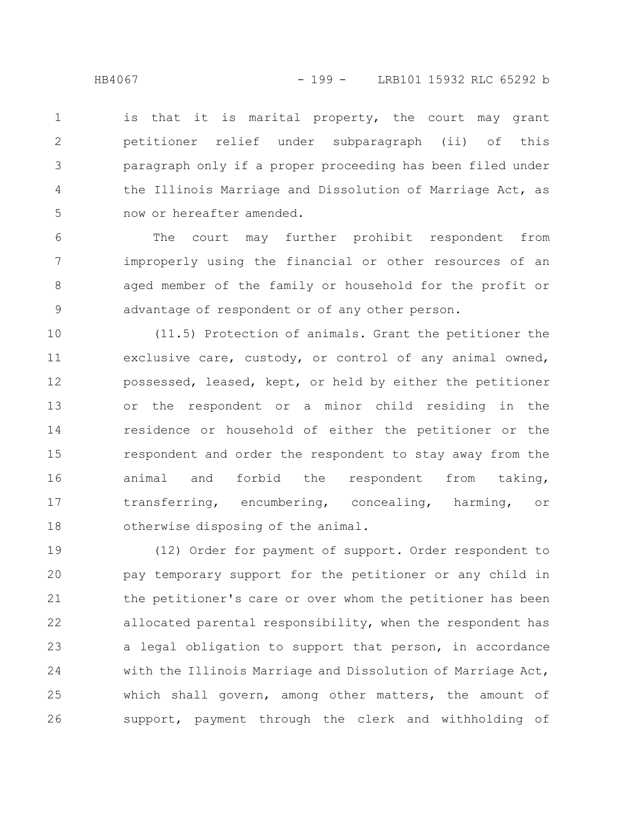is that it is marital property, the court may grant petitioner relief under subparagraph (ii) of this paragraph only if a proper proceeding has been filed under the Illinois Marriage and Dissolution of Marriage Act, as now or hereafter amended. 1 2 3 4 5

The court may further prohibit respondent from improperly using the financial or other resources of an aged member of the family or household for the profit or advantage of respondent or of any other person. 6 7 8 9

(11.5) Protection of animals. Grant the petitioner the exclusive care, custody, or control of any animal owned, possessed, leased, kept, or held by either the petitioner or the respondent or a minor child residing in the residence or household of either the petitioner or the respondent and order the respondent to stay away from the animal and forbid the respondent from taking, transferring, encumbering, concealing, harming, or otherwise disposing of the animal. 10 11 12 13 14 15 16 17 18

(12) Order for payment of support. Order respondent to pay temporary support for the petitioner or any child in the petitioner's care or over whom the petitioner has been allocated parental responsibility, when the respondent has a legal obligation to support that person, in accordance with the Illinois Marriage and Dissolution of Marriage Act, which shall govern, among other matters, the amount of support, payment through the clerk and withholding of 19 20 21 22 23 24 25 26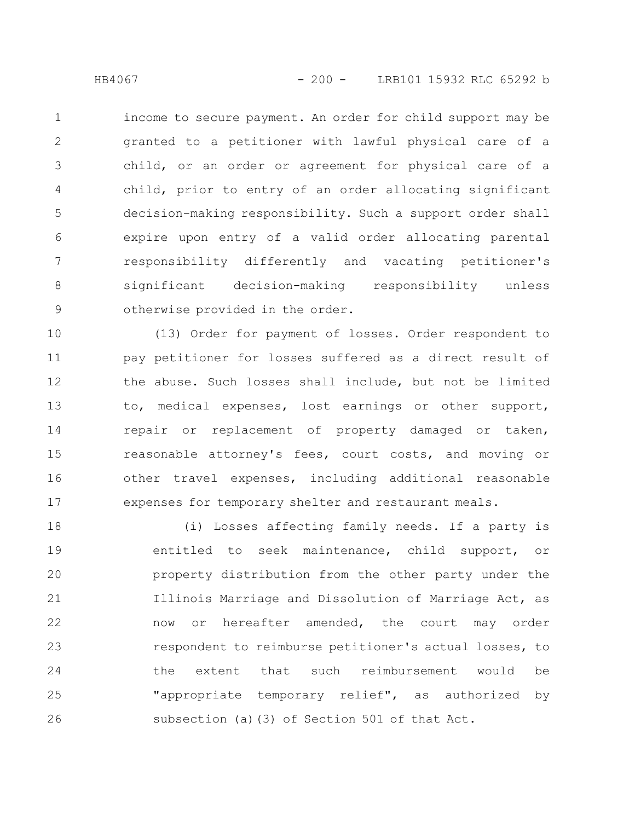income to secure payment. An order for child support may be granted to a petitioner with lawful physical care of a child, or an order or agreement for physical care of a child, prior to entry of an order allocating significant decision-making responsibility. Such a support order shall expire upon entry of a valid order allocating parental responsibility differently and vacating petitioner's significant decision-making responsibility unless otherwise provided in the order. 1 2 3 4 5 6 7 8 9

(13) Order for payment of losses. Order respondent to pay petitioner for losses suffered as a direct result of the abuse. Such losses shall include, but not be limited to, medical expenses, lost earnings or other support, repair or replacement of property damaged or taken, reasonable attorney's fees, court costs, and moving or other travel expenses, including additional reasonable expenses for temporary shelter and restaurant meals. 10 11 12 13 14 15 16 17

(i) Losses affecting family needs. If a party is entitled to seek maintenance, child support, or property distribution from the other party under the Illinois Marriage and Dissolution of Marriage Act, as now or hereafter amended, the court may order respondent to reimburse petitioner's actual losses, to the extent that such reimbursement would be "appropriate temporary relief", as authorized by subsection (a)(3) of Section 501 of that Act. 18 19 20 21 22 23 24 25 26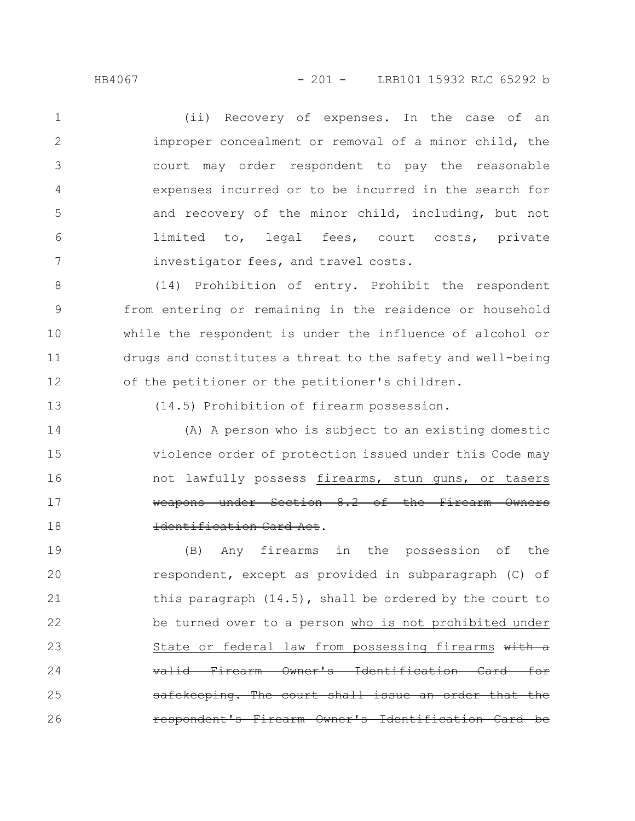(ii) Recovery of expenses. In the case of an improper concealment or removal of a minor child, the court may order respondent to pay the reasonable expenses incurred or to be incurred in the search for and recovery of the minor child, including, but not limited to, legal fees, court costs, private investigator fees, and travel costs. 1 2 3 4 5 6 7

(14) Prohibition of entry. Prohibit the respondent from entering or remaining in the residence or household while the respondent is under the influence of alcohol or drugs and constitutes a threat to the safety and well-being of the petitioner or the petitioner's children. 8 9 10 11 12

13

(14.5) Prohibition of firearm possession.

(A) A person who is subject to an existing domestic violence order of protection issued under this Code may not lawfully possess firearms, stun guns, or tasers weapons under Section 8.2 of the Firearm Owners Identification Card Act. 14 15 16 17 18

(B) Any firearms in the possession of the respondent, except as provided in subparagraph (C) of this paragraph (14.5), shall be ordered by the court to be turned over to a person who is not prohibited under State or federal law from possessing firearms with a Firearm Owner's Identification Card safekeeping. The court shall issue an order Firearm Owner's Identificat 19 20 21 22 23 24 25 26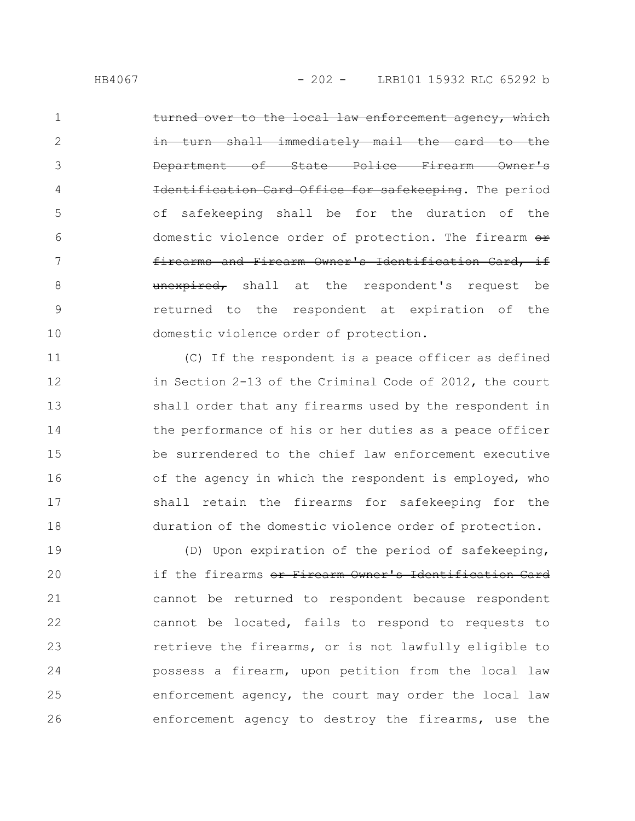over to the local law enforcement agency, which immediately mail the card to the of State Police Firearm Owner's on Card Office for safekeeping. The period of safekeeping shall be for the duration of the domestic violence order of protection. The firearm  $e$ firearms and Firearm Owner's Identification Card, if unexpired, shall at the respondent's request be returned to the respondent at expiration of the domestic violence order of protection. 1 2 3 4 5 6 7 8 9 10

(C) If the respondent is a peace officer as defined in Section 2-13 of the Criminal Code of 2012, the court shall order that any firearms used by the respondent in the performance of his or her duties as a peace officer be surrendered to the chief law enforcement executive of the agency in which the respondent is employed, who shall retain the firearms for safekeeping for the duration of the domestic violence order of protection. 11 12 13 14 15 16 17 18

(D) Upon expiration of the period of safekeeping, if the firearms or Firearm Owner's Identification Card cannot be returned to respondent because respondent cannot be located, fails to respond to requests to retrieve the firearms, or is not lawfully eligible to possess a firearm, upon petition from the local law enforcement agency, the court may order the local law enforcement agency to destroy the firearms, use the 19 20 21 22 23 24 25 26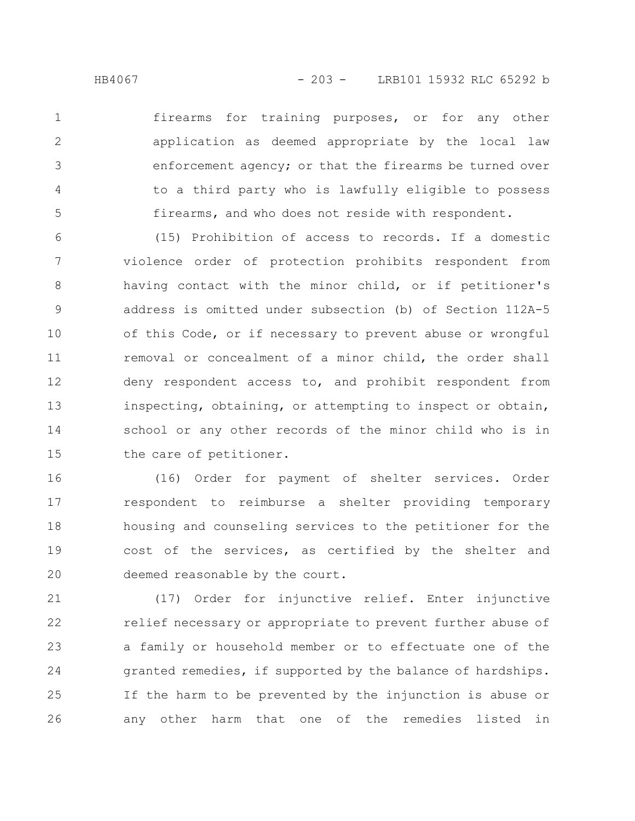firearms for training purposes, or for any other application as deemed appropriate by the local law enforcement agency; or that the firearms be turned over to a third party who is lawfully eligible to possess firearms, and who does not reside with respondent. 1 2 3 4 5

(15) Prohibition of access to records. If a domestic violence order of protection prohibits respondent from having contact with the minor child, or if petitioner's address is omitted under subsection (b) of Section 112A-5 of this Code, or if necessary to prevent abuse or wrongful removal or concealment of a minor child, the order shall deny respondent access to, and prohibit respondent from inspecting, obtaining, or attempting to inspect or obtain, school or any other records of the minor child who is in the care of petitioner. 6 7 8 9 10 11 12 13 14 15

(16) Order for payment of shelter services. Order respondent to reimburse a shelter providing temporary housing and counseling services to the petitioner for the cost of the services, as certified by the shelter and deemed reasonable by the court. 16 17 18 19 20

(17) Order for injunctive relief. Enter injunctive relief necessary or appropriate to prevent further abuse of a family or household member or to effectuate one of the granted remedies, if supported by the balance of hardships. If the harm to be prevented by the injunction is abuse or any other harm that one of the remedies listed in 21 22 23 24 25 26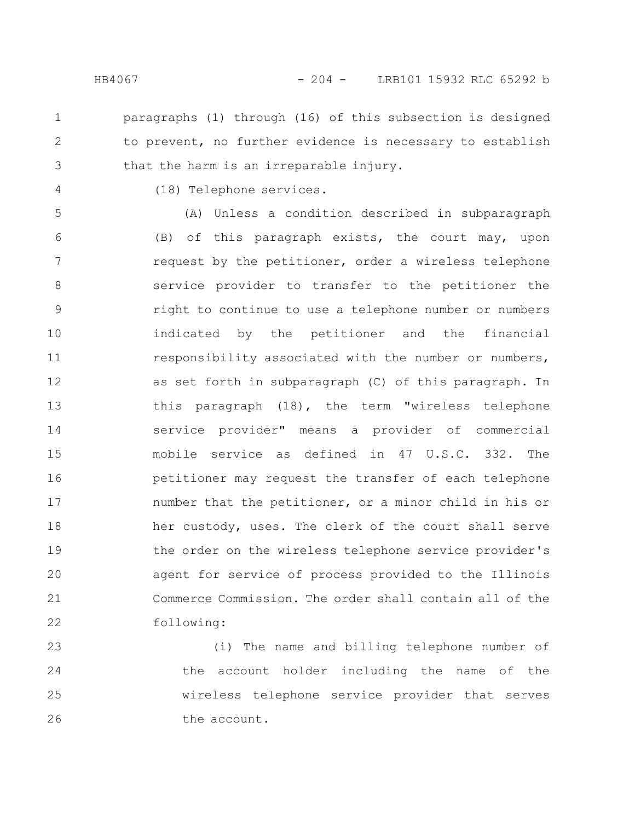paragraphs (1) through (16) of this subsection is designed to prevent, no further evidence is necessary to establish that the harm is an irreparable injury. 1 2 3

4

(18) Telephone services.

(A) Unless a condition described in subparagraph (B) of this paragraph exists, the court may, upon request by the petitioner, order a wireless telephone service provider to transfer to the petitioner the right to continue to use a telephone number or numbers indicated by the petitioner and the financial responsibility associated with the number or numbers, as set forth in subparagraph (C) of this paragraph. In this paragraph (18), the term "wireless telephone service provider" means a provider of commercial mobile service as defined in 47 U.S.C. 332. The petitioner may request the transfer of each telephone number that the petitioner, or a minor child in his or her custody, uses. The clerk of the court shall serve the order on the wireless telephone service provider's agent for service of process provided to the Illinois Commerce Commission. The order shall contain all of the following: 5 6 7 8 9 10 11 12 13 14 15 16 17 18 19 20 21 22

(i) The name and billing telephone number of the account holder including the name of the wireless telephone service provider that serves the account. 23 24 25 26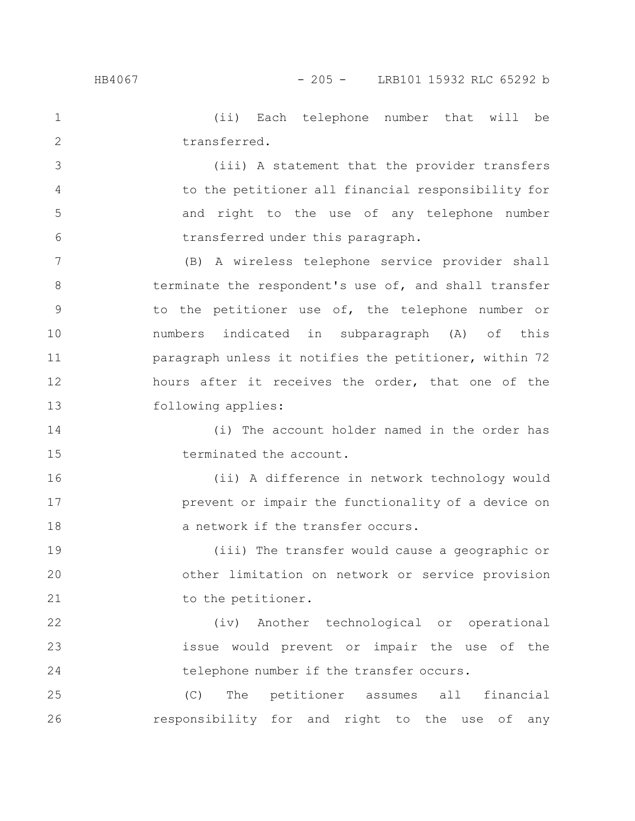3

4

5

6

16

17

18

(ii) Each telephone number that will be transferred. 1 2

(iii) A statement that the provider transfers to the petitioner all financial responsibility for and right to the use of any telephone number transferred under this paragraph.

(B) A wireless telephone service provider shall terminate the respondent's use of, and shall transfer to the petitioner use of, the telephone number or numbers indicated in subparagraph (A) of this paragraph unless it notifies the petitioner, within 72 hours after it receives the order, that one of the following applies: 7 8 9 10 11 12 13

(i) The account holder named in the order has terminated the account. 14 15

(ii) A difference in network technology would prevent or impair the functionality of a device on a network if the transfer occurs.

(iii) The transfer would cause a geographic or other limitation on network or service provision to the petitioner. 19 20 21

(iv) Another technological or operational issue would prevent or impair the use of the telephone number if the transfer occurs. 22 23 24

(C) The petitioner assumes all financial responsibility for and right to the use of any 25 26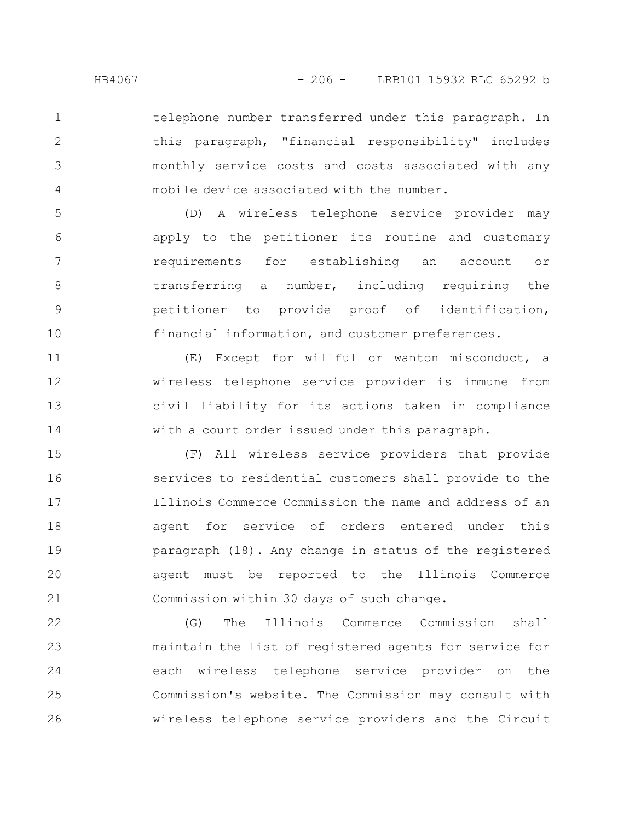telephone number transferred under this paragraph. In this paragraph, "financial responsibility" includes monthly service costs and costs associated with any mobile device associated with the number. 1 2 3 4

(D) A wireless telephone service provider may apply to the petitioner its routine and customary requirements for establishing an account or transferring a number, including requiring the petitioner to provide proof of identification, financial information, and customer preferences. 5 6 7 8 9 10

(E) Except for willful or wanton misconduct, a wireless telephone service provider is immune from civil liability for its actions taken in compliance with a court order issued under this paragraph. 11 12 13 14

(F) All wireless service providers that provide services to residential customers shall provide to the Illinois Commerce Commission the name and address of an agent for service of orders entered under this paragraph (18). Any change in status of the registered agent must be reported to the Illinois Commerce Commission within 30 days of such change. 15 16 17 18 19 20 21

(G) The Illinois Commerce Commission shall maintain the list of registered agents for service for each wireless telephone service provider on the Commission's website. The Commission may consult with wireless telephone service providers and the Circuit 22 23 24 25 26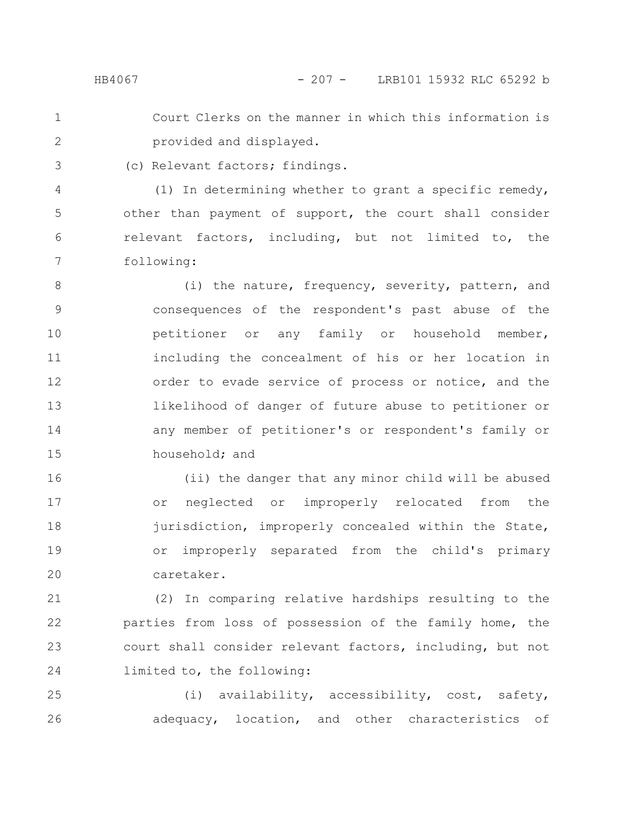- Court Clerks on the manner in which this information is provided and displayed. 1 2
- (c) Relevant factors; findings. 3

(1) In determining whether to grant a specific remedy, other than payment of support, the court shall consider relevant factors, including, but not limited to, the following: 4 5 6 7

(i) the nature, frequency, severity, pattern, and consequences of the respondent's past abuse of the petitioner or any family or household member, including the concealment of his or her location in order to evade service of process or notice, and the likelihood of danger of future abuse to petitioner or any member of petitioner's or respondent's family or household; and 8 9 10 11 12 13 14 15

(ii) the danger that any minor child will be abused or neglected or improperly relocated from the jurisdiction, improperly concealed within the State, or improperly separated from the child's primary caretaker. 16 17 18 19 20

(2) In comparing relative hardships resulting to the parties from loss of possession of the family home, the court shall consider relevant factors, including, but not limited to, the following: 21 22 23 24

(i) availability, accessibility, cost, safety, adequacy, location, and other characteristics of 25 26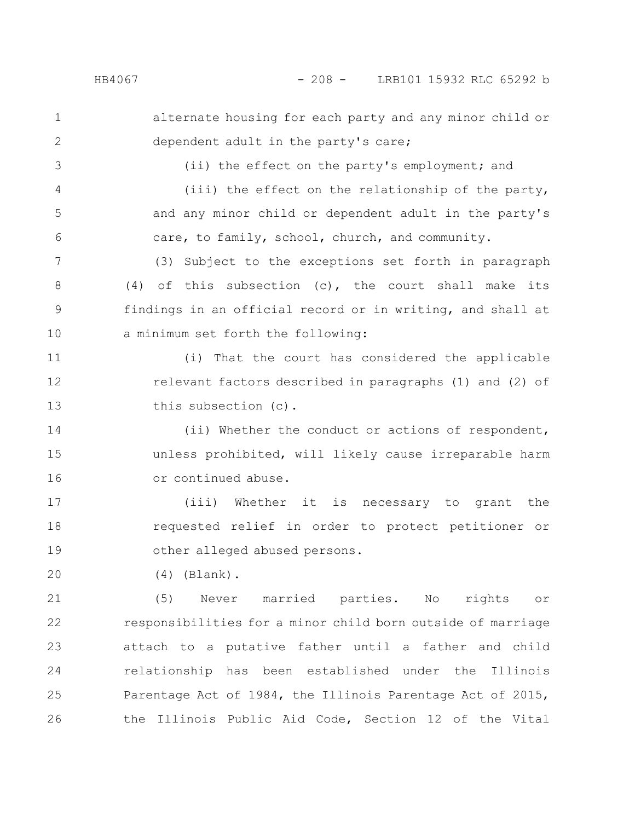3

4

5

6

## HB4067 - 208 - LRB101 15932 RLC 65292 b

alternate housing for each party and any minor child or dependent adult in the party's care; 1 2

(ii) the effect on the party's employment; and

(iii) the effect on the relationship of the party, and any minor child or dependent adult in the party's care, to family, school, church, and community.

(3) Subject to the exceptions set forth in paragraph (4) of this subsection (c), the court shall make its findings in an official record or in writing, and shall at a minimum set forth the following: 7 8 9 10

(i) That the court has considered the applicable relevant factors described in paragraphs (1) and (2) of this subsection (c). 11 12 13

(ii) Whether the conduct or actions of respondent, unless prohibited, will likely cause irreparable harm or continued abuse. 14 15 16

(iii) Whether it is necessary to grant the requested relief in order to protect petitioner or other alleged abused persons. 17 18 19

(4) (Blank). 20

(5) Never married parties. No rights or responsibilities for a minor child born outside of marriage attach to a putative father until a father and child relationship has been established under the Illinois Parentage Act of 1984, the Illinois Parentage Act of 2015, the Illinois Public Aid Code, Section 12 of the Vital 21 22 23 24 25 26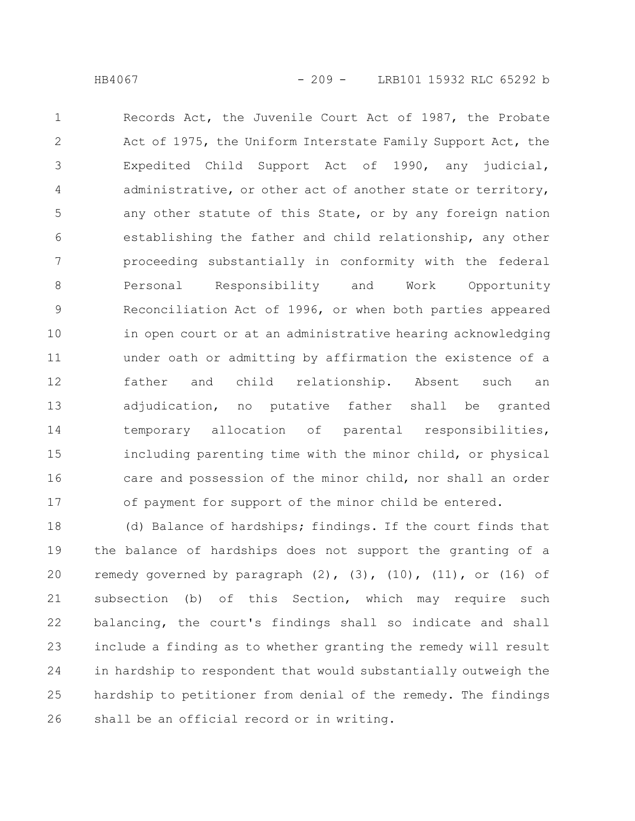Records Act, the Juvenile Court Act of 1987, the Probate Act of 1975, the Uniform Interstate Family Support Act, the Expedited Child Support Act of 1990, any judicial, administrative, or other act of another state or territory, any other statute of this State, or by any foreign nation establishing the father and child relationship, any other proceeding substantially in conformity with the federal Personal Responsibility and Work Opportunity Reconciliation Act of 1996, or when both parties appeared in open court or at an administrative hearing acknowledging under oath or admitting by affirmation the existence of a father and child relationship. Absent such an adjudication, no putative father shall be granted temporary allocation of parental responsibilities, including parenting time with the minor child, or physical care and possession of the minor child, nor shall an order of payment for support of the minor child be entered. 1 2 3 4 5 6 7 8 9 10 11 12 13 14 15 16 17

(d) Balance of hardships; findings. If the court finds that the balance of hardships does not support the granting of a remedy governed by paragraph  $(2)$ ,  $(3)$ ,  $(10)$ ,  $(11)$ , or  $(16)$  of subsection (b) of this Section, which may require such balancing, the court's findings shall so indicate and shall include a finding as to whether granting the remedy will result in hardship to respondent that would substantially outweigh the hardship to petitioner from denial of the remedy. The findings shall be an official record or in writing. 18 19 20 21 22 23 24 25 26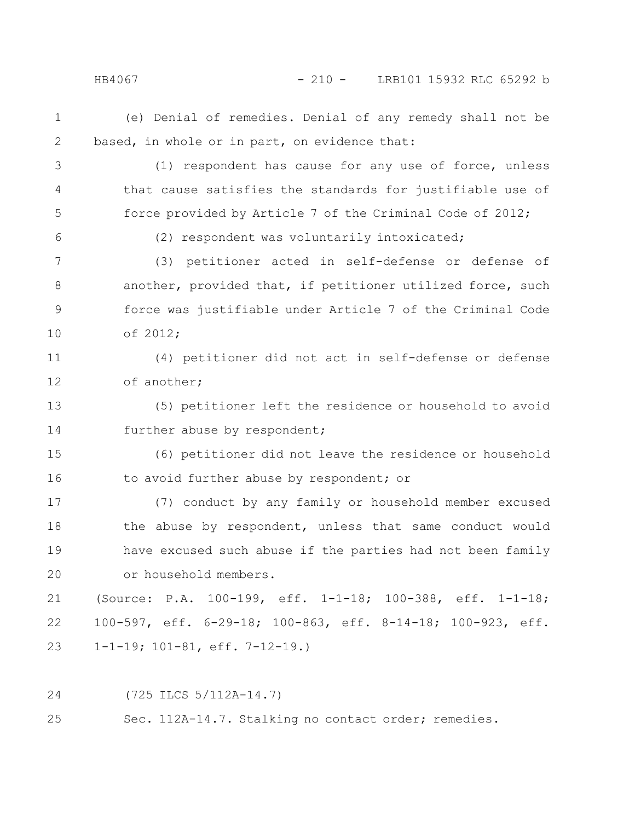## HB4067 - 210 - LRB101 15932 RLC 65292 b

- (e) Denial of remedies. Denial of any remedy shall not be based, in whole or in part, on evidence that: 1 2
- (1) respondent has cause for any use of force, unless that cause satisfies the standards for justifiable use of force provided by Article 7 of the Criminal Code of 2012; 3 4 5
- 6

(2) respondent was voluntarily intoxicated;

(3) petitioner acted in self-defense or defense of another, provided that, if petitioner utilized force, such force was justifiable under Article 7 of the Criminal Code of 2012; 7 8 9 10

(4) petitioner did not act in self-defense or defense of another; 11 12

(5) petitioner left the residence or household to avoid further abuse by respondent; 13 14

(6) petitioner did not leave the residence or household to avoid further abuse by respondent; or 15 16

(7) conduct by any family or household member excused the abuse by respondent, unless that same conduct would have excused such abuse if the parties had not been family or household members. 17 18 19 20

(Source: P.A. 100-199, eff. 1-1-18; 100-388, eff. 1-1-18; 100-597, eff. 6-29-18; 100-863, eff. 8-14-18; 100-923, eff. 1-1-19; 101-81, eff. 7-12-19.) 21 22 23

(725 ILCS 5/112A-14.7) 24

Sec. 112A-14.7. Stalking no contact order; remedies. 25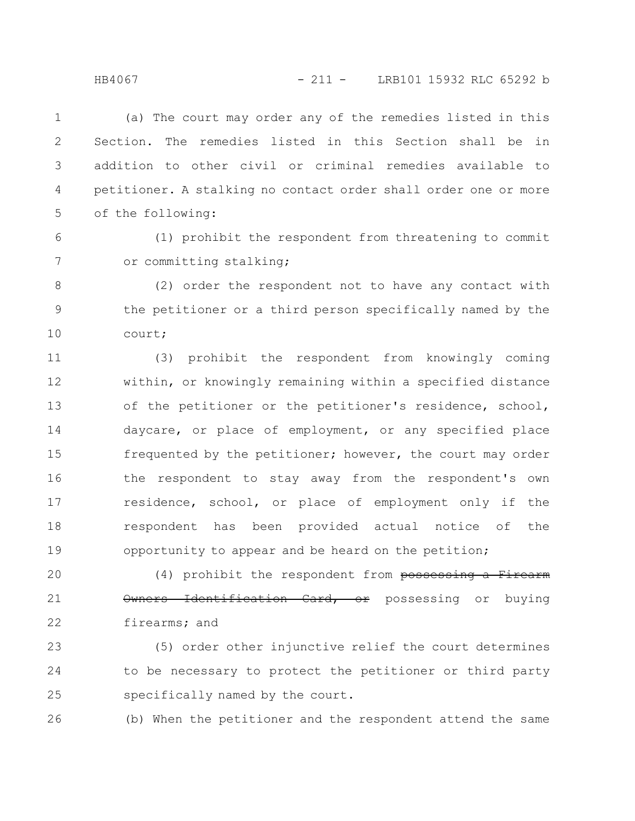(a) The court may order any of the remedies listed in this Section. The remedies listed in this Section shall be in addition to other civil or criminal remedies available to petitioner. A stalking no contact order shall order one or more of the following: 1 2 3 4 5

6

7

(1) prohibit the respondent from threatening to commit or committing stalking;

(2) order the respondent not to have any contact with the petitioner or a third person specifically named by the court; 8 9 10

(3) prohibit the respondent from knowingly coming within, or knowingly remaining within a specified distance of the petitioner or the petitioner's residence, school, daycare, or place of employment, or any specified place frequented by the petitioner; however, the court may order the respondent to stay away from the respondent's own residence, school, or place of employment only if the respondent has been provided actual notice of the opportunity to appear and be heard on the petition; 11 12 13 14 15 16 17 18 19

(4) prohibit the respondent from possessing a Firearm Owners Identification Card, or possessing or buying firearms; and 20 21 22

(5) order other injunctive relief the court determines to be necessary to protect the petitioner or third party specifically named by the court. 23 24 25

(b) When the petitioner and the respondent attend the same 26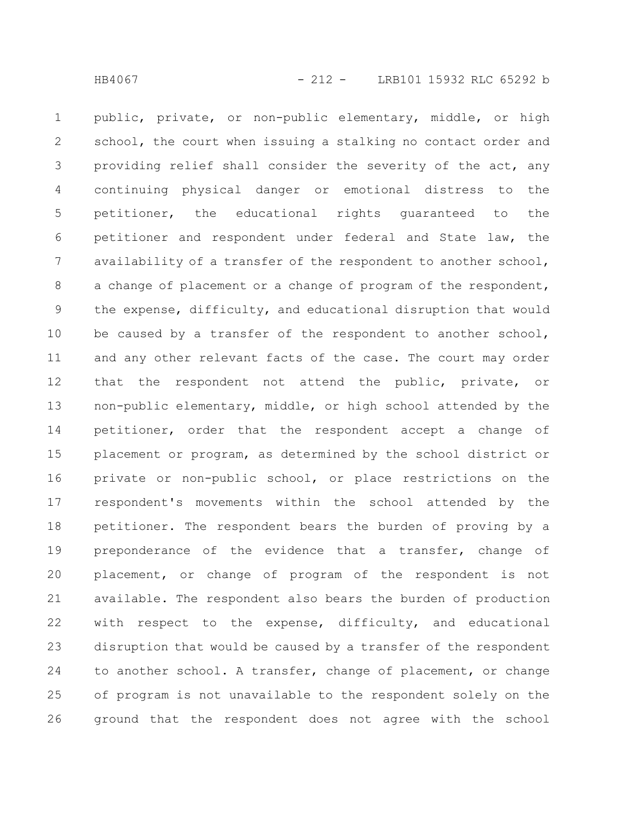public, private, or non-public elementary, middle, or high school, the court when issuing a stalking no contact order and providing relief shall consider the severity of the act, any continuing physical danger or emotional distress to the petitioner, the educational rights guaranteed to the petitioner and respondent under federal and State law, the availability of a transfer of the respondent to another school, a change of placement or a change of program of the respondent, the expense, difficulty, and educational disruption that would be caused by a transfer of the respondent to another school, and any other relevant facts of the case. The court may order that the respondent not attend the public, private, or non-public elementary, middle, or high school attended by the petitioner, order that the respondent accept a change of placement or program, as determined by the school district or private or non-public school, or place restrictions on the respondent's movements within the school attended by the petitioner. The respondent bears the burden of proving by a preponderance of the evidence that a transfer, change of placement, or change of program of the respondent is not available. The respondent also bears the burden of production with respect to the expense, difficulty, and educational disruption that would be caused by a transfer of the respondent to another school. A transfer, change of placement, or change of program is not unavailable to the respondent solely on the ground that the respondent does not agree with the school 1 2 3 4 5 6 7 8 9 10 11 12 13 14 15 16 17 18 19 20 21 22 23 24 25 26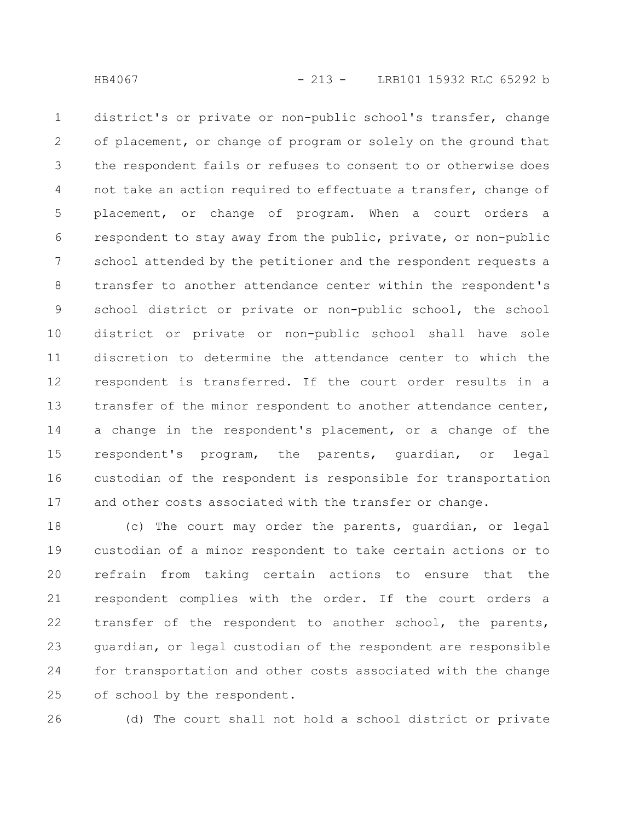district's or private or non-public school's transfer, change of placement, or change of program or solely on the ground that the respondent fails or refuses to consent to or otherwise does not take an action required to effectuate a transfer, change of placement, or change of program. When a court orders a respondent to stay away from the public, private, or non-public school attended by the petitioner and the respondent requests a transfer to another attendance center within the respondent's school district or private or non-public school, the school district or private or non-public school shall have sole discretion to determine the attendance center to which the respondent is transferred. If the court order results in a transfer of the minor respondent to another attendance center, a change in the respondent's placement, or a change of the respondent's program, the parents, guardian, or legal custodian of the respondent is responsible for transportation and other costs associated with the transfer or change. 1 2 3 4 5 6 7 8 9 10 11 12 13 14 15 16 17

(c) The court may order the parents, guardian, or legal custodian of a minor respondent to take certain actions or to refrain from taking certain actions to ensure that the respondent complies with the order. If the court orders a transfer of the respondent to another school, the parents, guardian, or legal custodian of the respondent are responsible for transportation and other costs associated with the change of school by the respondent. 18 19 20 21 22 23 24 25

26

(d) The court shall not hold a school district or private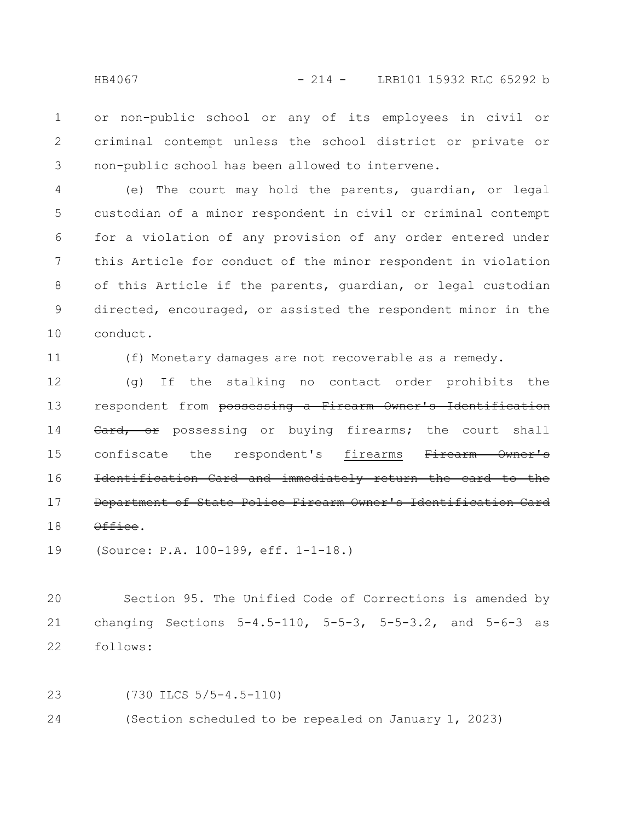or non-public school or any of its employees in civil or criminal contempt unless the school district or private or non-public school has been allowed to intervene. 1 2 3

(e) The court may hold the parents, guardian, or legal custodian of a minor respondent in civil or criminal contempt for a violation of any provision of any order entered under this Article for conduct of the minor respondent in violation of this Article if the parents, guardian, or legal custodian directed, encouraged, or assisted the respondent minor in the conduct. 4 5 6 7 8 9 10

11

(f) Monetary damages are not recoverable as a remedy.

(g) If the stalking no contact order prohibits the respondent from possessing a Firearm Owner's Identification Card, or possessing or buying firearms; the court shall confiscate the respondent's firearms Firearm Owner's Identification Card and immediately return the card Department of State Police Firearm Owner's Identification Office. 12 13 14 15 16 17 18

(Source: P.A. 100-199, eff. 1-1-18.) 19

Section 95. The Unified Code of Corrections is amended by changing Sections 5-4.5-110, 5-5-3, 5-5-3.2, and 5-6-3 as follows: 20 21 22

(730 ILCS 5/5-4.5-110) (Section scheduled to be repealed on January 1, 2023) 23 24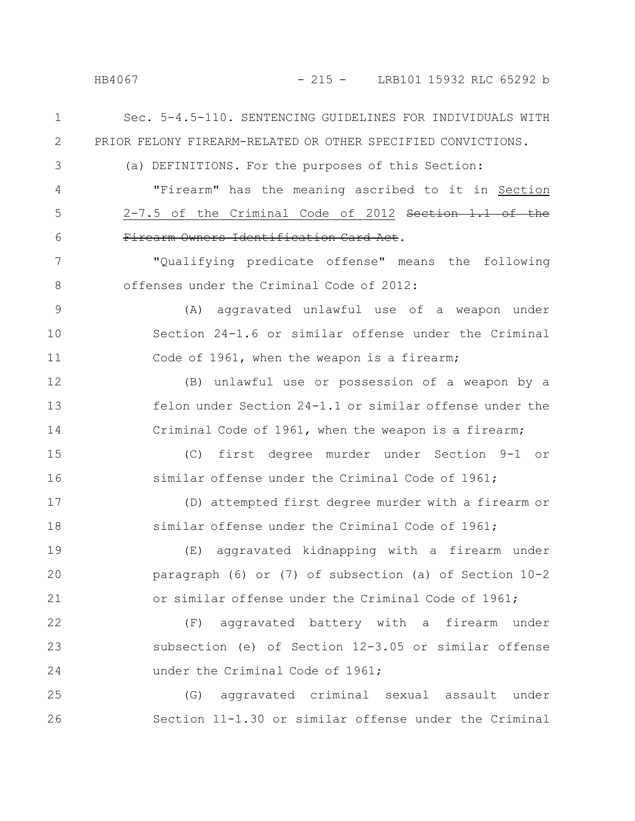HB4067 - 215 - LRB101 15932 RLC 65292 b

Sec. 5-4.5-110. SENTENCING GUIDELINES FOR INDIVIDUALS WITH PRIOR FELONY FIREARM-RELATED OR OTHER SPECIFIED CONVICTIONS. (a) DEFINITIONS. For the purposes of this Section: "Firearm" has the meaning ascribed to it in Section 2-7.5 of the Criminal Code of 2012 Section 1.1 of the Firearm Owners Identification Card Act. "Qualifying predicate offense" means the following offenses under the Criminal Code of 2012: (A) aggravated unlawful use of a weapon under Section 24-1.6 or similar offense under the Criminal Code of 1961, when the weapon is a firearm; (B) unlawful use or possession of a weapon by a felon under Section 24-1.1 or similar offense under the Criminal Code of 1961, when the weapon is a firearm; (C) first degree murder under Section 9-1 or similar offense under the Criminal Code of 1961; (D) attempted first degree murder with a firearm or similar offense under the Criminal Code of 1961; (E) aggravated kidnapping with a firearm under paragraph (6) or (7) of subsection (a) of Section 10-2 or similar offense under the Criminal Code of 1961; (F) aggravated battery with a firearm under subsection (e) of Section 12-3.05 or similar offense under the Criminal Code of 1961; (G) aggravated criminal sexual assault under Section 11-1.30 or similar offense under the Criminal 1 2 3 4 5 6 7 8 9 10 11 12 13 14 15 16 17 18 19 20 21 22 23 24 25 26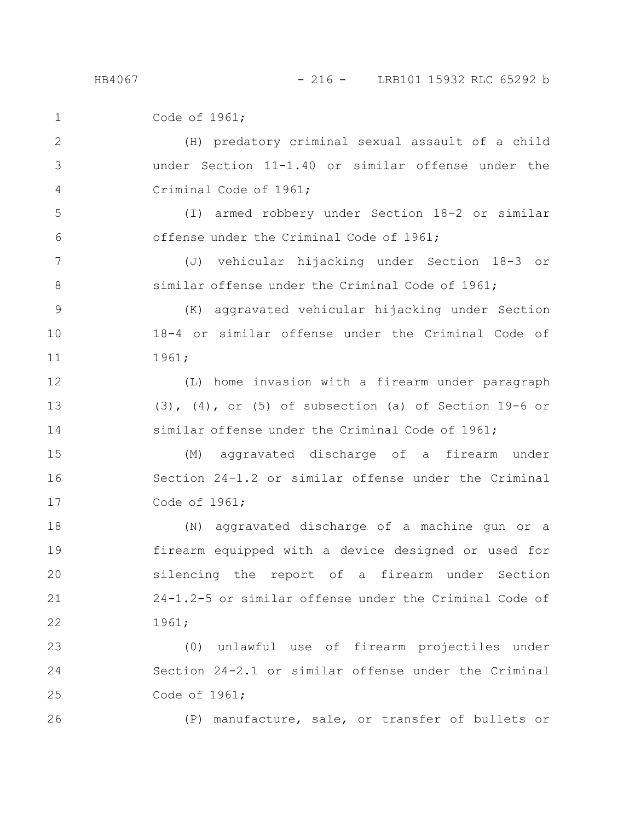Code of 1961; (H) predatory criminal sexual assault of a child under Section 11-1.40 or similar offense under the Criminal Code of 1961; (I) armed robbery under Section 18-2 or similar offense under the Criminal Code of 1961; (J) vehicular hijacking under Section 18-3 or similar offense under the Criminal Code of 1961; (K) aggravated vehicular hijacking under Section 18-4 or similar offense under the Criminal Code of 1961; (L) home invasion with a firearm under paragraph  $(3)$ ,  $(4)$ , or  $(5)$  of subsection (a) of Section 19-6 or similar offense under the Criminal Code of 1961; (M) aggravated discharge of a firearm under Section 24-1.2 or similar offense under the Criminal Code of 1961; (N) aggravated discharge of a machine gun or a firearm equipped with a device designed or used for silencing the report of a firearm under Section 24-1.2-5 or similar offense under the Criminal Code of 1961; (0) unlawful use of firearm projectiles under Section 24-2.1 or similar offense under the Criminal Code of 1961; (P) manufacture, sale, or transfer of bullets or 1 2 3 4 5 6 7 8 9 10 11 12 13 14 15 16 17 18 19 20 21 22 23 24 25 26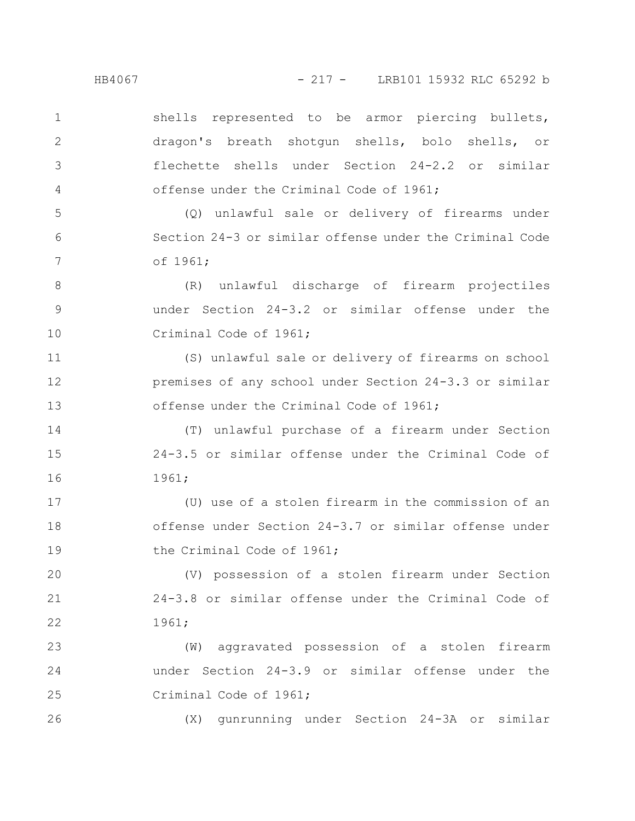shells represented to be armor piercing bullets, dragon's breath shotgun shells, bolo shells, or flechette shells under Section 24-2.2 or similar offense under the Criminal Code of 1961; 1 2 3 4

(Q) unlawful sale or delivery of firearms under Section 24-3 or similar offense under the Criminal Code of 1961; 5 6 7

(R) unlawful discharge of firearm projectiles under Section 24-3.2 or similar offense under the Criminal Code of 1961; 8 9 10

(S) unlawful sale or delivery of firearms on school premises of any school under Section 24-3.3 or similar offense under the Criminal Code of 1961; 11 12 13

(T) unlawful purchase of a firearm under Section 24-3.5 or similar offense under the Criminal Code of 1961; 14 15 16

(U) use of a stolen firearm in the commission of an offense under Section 24-3.7 or similar offense under the Criminal Code of 1961; 17 18 19

(V) possession of a stolen firearm under Section 24-3.8 or similar offense under the Criminal Code of 1961; 20 21 22

(W) aggravated possession of a stolen firearm under Section 24-3.9 or similar offense under the Criminal Code of 1961; 23 24 25

(X) gunrunning under Section 24-3A or similar

26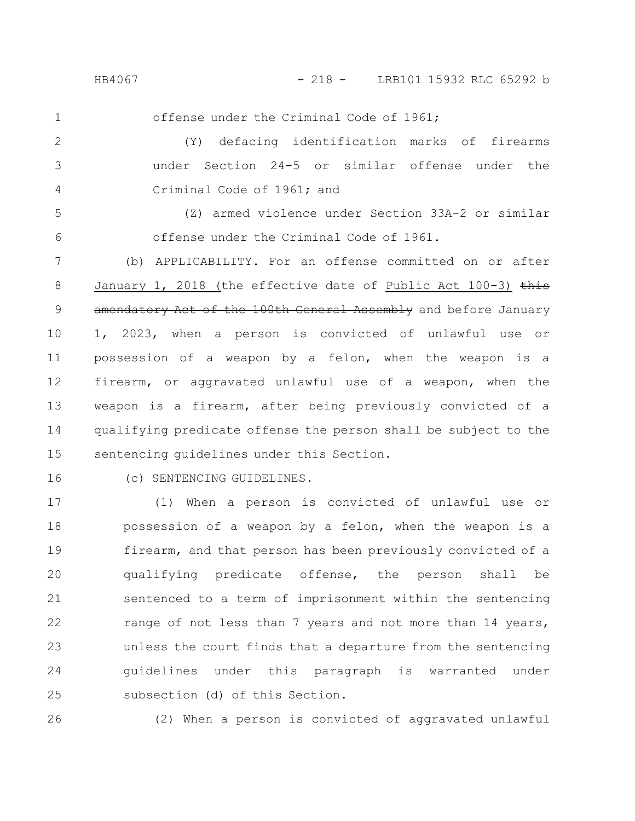1

offense under the Criminal Code of 1961;

(Y) defacing identification marks of firearms under Section 24-5 or similar offense under the Criminal Code of 1961; and 2 3 4

(Z) armed violence under Section 33A-2 or similar offense under the Criminal Code of 1961. 5 6

(b) APPLICABILITY. For an offense committed on or after January 1, 2018 (the effective date of Public Act 100-3)  $\frac{1}{2}$ amendatory Act of the 100th General Assembly and before January 1, 2023, when a person is convicted of unlawful use or possession of a weapon by a felon, when the weapon is a firearm, or aggravated unlawful use of a weapon, when the weapon is a firearm, after being previously convicted of a qualifying predicate offense the person shall be subject to the sentencing guidelines under this Section. 7 8 9 10 11 12 13 14 15

16

(c) SENTENCING GUIDELINES.

(1) When a person is convicted of unlawful use or possession of a weapon by a felon, when the weapon is a firearm, and that person has been previously convicted of a qualifying predicate offense, the person shall be sentenced to a term of imprisonment within the sentencing range of not less than 7 years and not more than 14 years, unless the court finds that a departure from the sentencing guidelines under this paragraph is warranted under subsection (d) of this Section. 17 18 19 20 21 22 23 24 25

26

(2) When a person is convicted of aggravated unlawful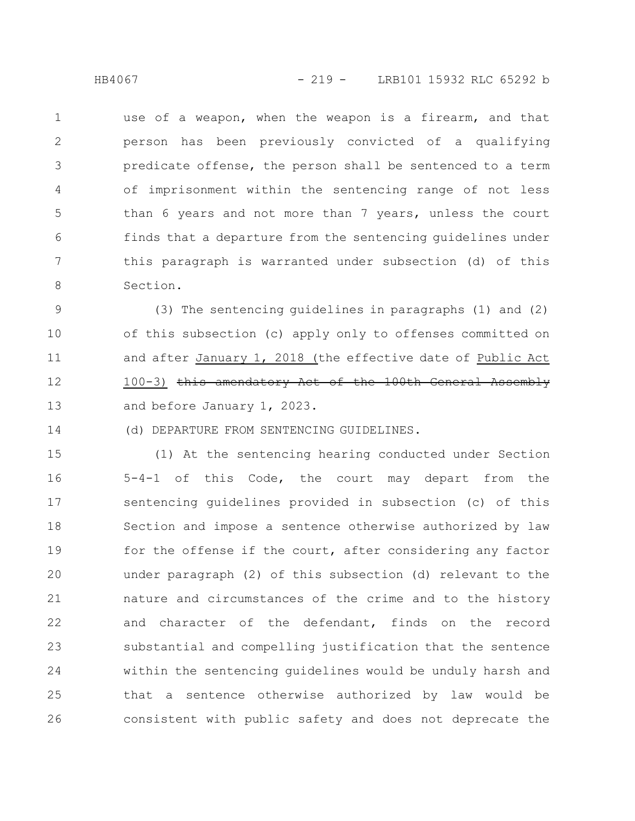use of a weapon, when the weapon is a firearm, and that person has been previously convicted of a qualifying predicate offense, the person shall be sentenced to a term of imprisonment within the sentencing range of not less than 6 years and not more than 7 years, unless the court finds that a departure from the sentencing guidelines under this paragraph is warranted under subsection (d) of this Section. 1 2 3 4 5 6 7 8

(3) The sentencing guidelines in paragraphs (1) and (2) of this subsection (c) apply only to offenses committed on and after January 1, 2018 (the effective date of Public Act 100-3) this amendatory Act of the 100th General Assembly and before January 1, 2023. 9 10 11 12 13

(d) DEPARTURE FROM SENTENCING GUIDELINES.

(1) At the sentencing hearing conducted under Section 5-4-1 of this Code, the court may depart from the sentencing guidelines provided in subsection (c) of this Section and impose a sentence otherwise authorized by law for the offense if the court, after considering any factor under paragraph (2) of this subsection (d) relevant to the nature and circumstances of the crime and to the history and character of the defendant, finds on the record substantial and compelling justification that the sentence within the sentencing guidelines would be unduly harsh and that a sentence otherwise authorized by law would be consistent with public safety and does not deprecate the 15 16 17 18 19 20 21 22 23 24 25 26

14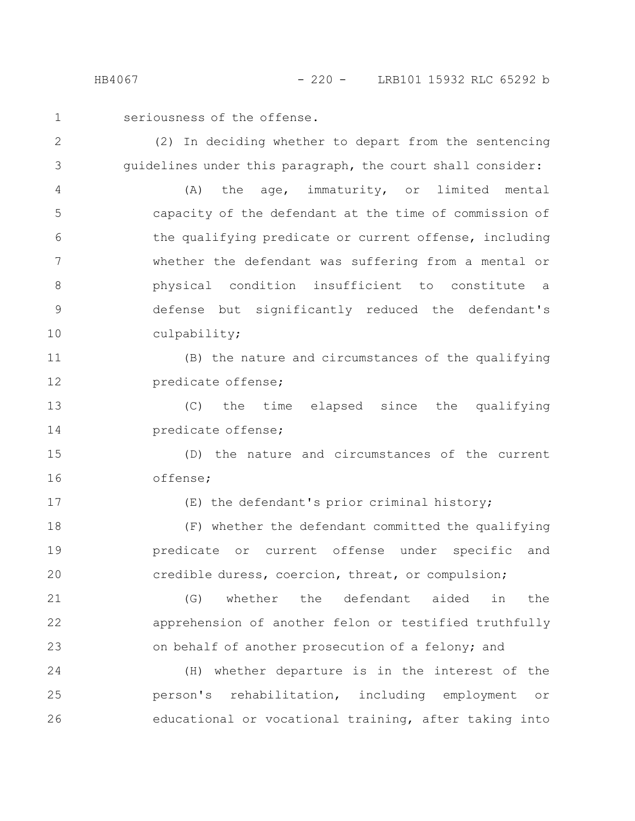seriousness of the offense. 1

(2) In deciding whether to depart from the sentencing guidelines under this paragraph, the court shall consider: 2 3

(A) the age, immaturity, or limited mental capacity of the defendant at the time of commission of the qualifying predicate or current offense, including whether the defendant was suffering from a mental or physical condition insufficient to constitute a defense but significantly reduced the defendant's culpability; 4 5 6 7 8 9 10

(B) the nature and circumstances of the qualifying predicate offense; 11 12

(C) the time elapsed since the qualifying predicate offense; 13 14

(D) the nature and circumstances of the current offense; 15 16

17

(E) the defendant's prior criminal history;

(F) whether the defendant committed the qualifying predicate or current offense under specific and credible duress, coercion, threat, or compulsion; 18 19 20

(G) whether the defendant aided in the apprehension of another felon or testified truthfully on behalf of another prosecution of a felony; and 21 22 23

(H) whether departure is in the interest of the person's rehabilitation, including employment or educational or vocational training, after taking into 24 25 26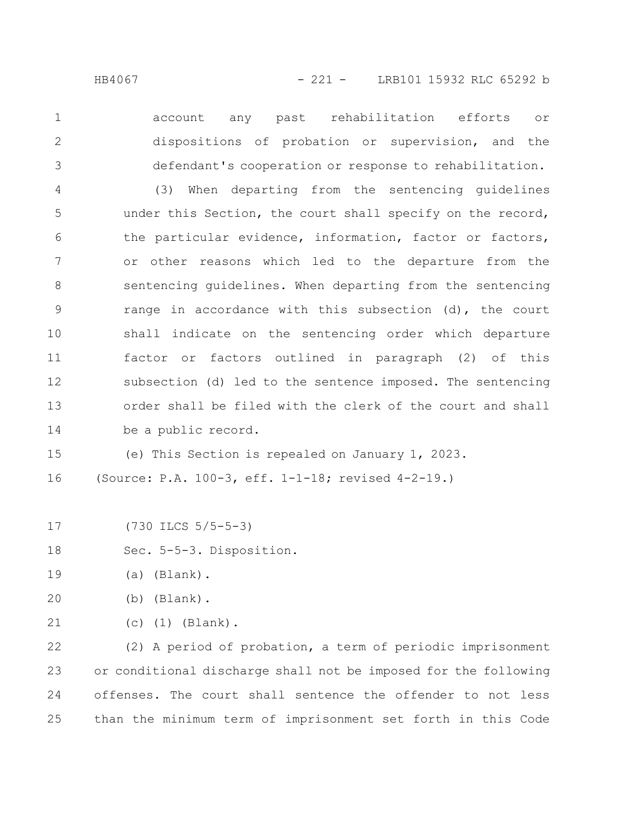account any past rehabilitation efforts or dispositions of probation or supervision, and the defendant's cooperation or response to rehabilitation. (3) When departing from the sentencing guidelines under this Section, the court shall specify on the record, the particular evidence, information, factor or factors, or other reasons which led to the departure from the sentencing guidelines. When departing from the sentencing range in accordance with this subsection (d), the court shall indicate on the sentencing order which departure factor or factors outlined in paragraph (2) of this subsection (d) led to the sentence imposed. The sentencing order shall be filed with the clerk of the court and shall be a public record. 1 2 3 4 5 6 7 8 9 10 11 12 13 14

(e) This Section is repealed on January 1, 2023. 15

(Source: P.A. 100-3, eff. 1-1-18; revised 4-2-19.) 16

(730 ILCS 5/5-5-3) 17

Sec. 5-5-3. Disposition. 18

- (a) (Blank). 19
- (b) (Blank). 20
- (c) (1) (Blank). 21

(2) A period of probation, a term of periodic imprisonment or conditional discharge shall not be imposed for the following offenses. The court shall sentence the offender to not less than the minimum term of imprisonment set forth in this Code 22 23 24 25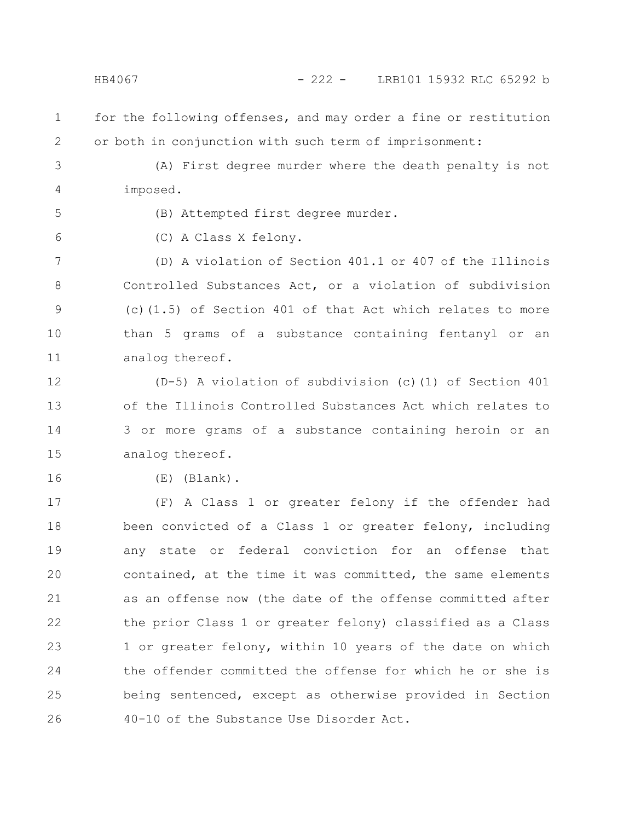## HB4067 - 222 - LRB101 15932 RLC 65292 b

for the following offenses, and may order a fine or restitution or both in conjunction with such term of imprisonment: 1 2

(A) First degree murder where the death penalty is not imposed. 3 4

5

6

(B) Attempted first degree murder.

(C) A Class X felony.

(D) A violation of Section 401.1 or 407 of the Illinois Controlled Substances Act, or a violation of subdivision (c)(1.5) of Section 401 of that Act which relates to more than 5 grams of a substance containing fentanyl or an analog thereof. 7 8 9 10 11

(D-5) A violation of subdivision (c)(1) of Section 401 of the Illinois Controlled Substances Act which relates to 3 or more grams of a substance containing heroin or an analog thereof. 12 13 14 15

16

(E) (Blank).

(F) A Class 1 or greater felony if the offender had been convicted of a Class 1 or greater felony, including any state or federal conviction for an offense that contained, at the time it was committed, the same elements as an offense now (the date of the offense committed after the prior Class 1 or greater felony) classified as a Class 1 or greater felony, within 10 years of the date on which the offender committed the offense for which he or she is being sentenced, except as otherwise provided in Section 40-10 of the Substance Use Disorder Act. 17 18 19 20 21 22 23 24 25 26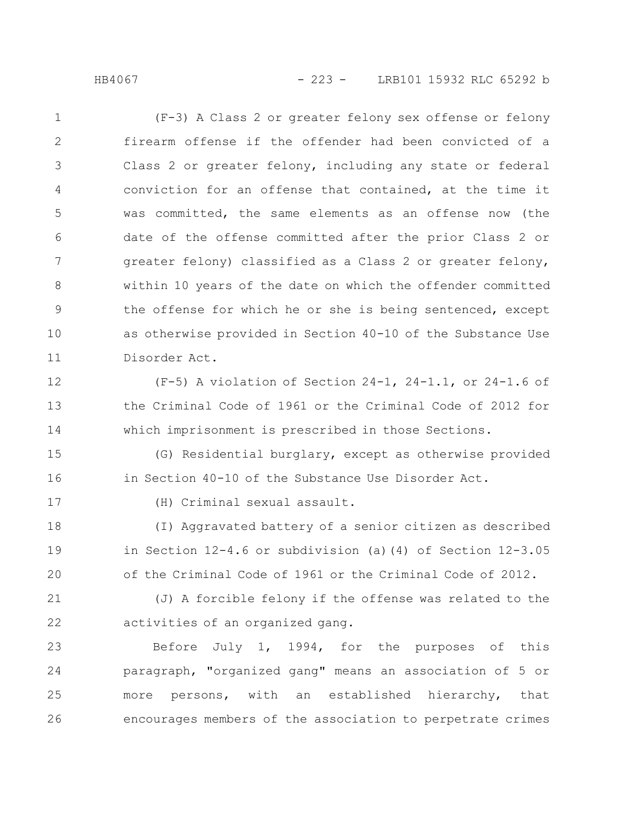## HB4067 - 223 - LRB101 15932 RLC 65292 b

(F-3) A Class 2 or greater felony sex offense or felony firearm offense if the offender had been convicted of a Class 2 or greater felony, including any state or federal conviction for an offense that contained, at the time it was committed, the same elements as an offense now (the date of the offense committed after the prior Class 2 or greater felony) classified as a Class 2 or greater felony, within 10 years of the date on which the offender committed the offense for which he or she is being sentenced, except as otherwise provided in Section 40-10 of the Substance Use Disorder Act. 1 2 3 4 5 6 7 8 9 10 11

(F-5) A violation of Section 24-1, 24-1.1, or 24-1.6 of the Criminal Code of 1961 or the Criminal Code of 2012 for which imprisonment is prescribed in those Sections. 12 13 14

(G) Residential burglary, except as otherwise provided in Section 40-10 of the Substance Use Disorder Act. 15 16

17

(H) Criminal sexual assault.

(I) Aggravated battery of a senior citizen as described in Section 12-4.6 or subdivision (a)(4) of Section 12-3.05 of the Criminal Code of 1961 or the Criminal Code of 2012. 18 19 20

(J) A forcible felony if the offense was related to the activities of an organized gang. 21 22

Before July 1, 1994, for the purposes of this paragraph, "organized gang" means an association of 5 or more persons, with an established hierarchy, that encourages members of the association to perpetrate crimes 23 24 25 26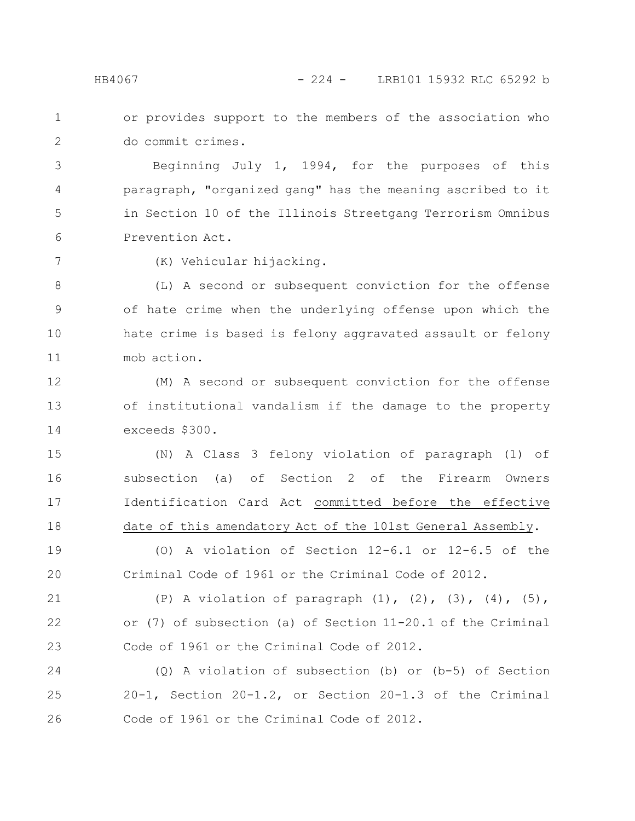or provides support to the members of the association who do commit crimes. 1 2

Beginning July 1, 1994, for the purposes of this paragraph, "organized gang" has the meaning ascribed to it in Section 10 of the Illinois Streetgang Terrorism Omnibus Prevention Act. 3 4 5 6

7

(K) Vehicular hijacking.

(L) A second or subsequent conviction for the offense of hate crime when the underlying offense upon which the hate crime is based is felony aggravated assault or felony mob action. 8 9 10 11

(M) A second or subsequent conviction for the offense of institutional vandalism if the damage to the property exceeds \$300. 12 13 14

(N) A Class 3 felony violation of paragraph (1) of subsection (a) of Section 2 of the Firearm Owners Identification Card Act committed before the effective date of this amendatory Act of the 101st General Assembly. 15 16 17 18

(O) A violation of Section 12-6.1 or 12-6.5 of the Criminal Code of 1961 or the Criminal Code of 2012. 19 20

(P) A violation of paragraph (1), (2), (3), (4), (5), or (7) of subsection (a) of Section 11-20.1 of the Criminal Code of 1961 or the Criminal Code of 2012. 21 22 23

(Q) A violation of subsection (b) or (b-5) of Section 20-1, Section 20-1.2, or Section 20-1.3 of the Criminal Code of 1961 or the Criminal Code of 2012. 24 25 26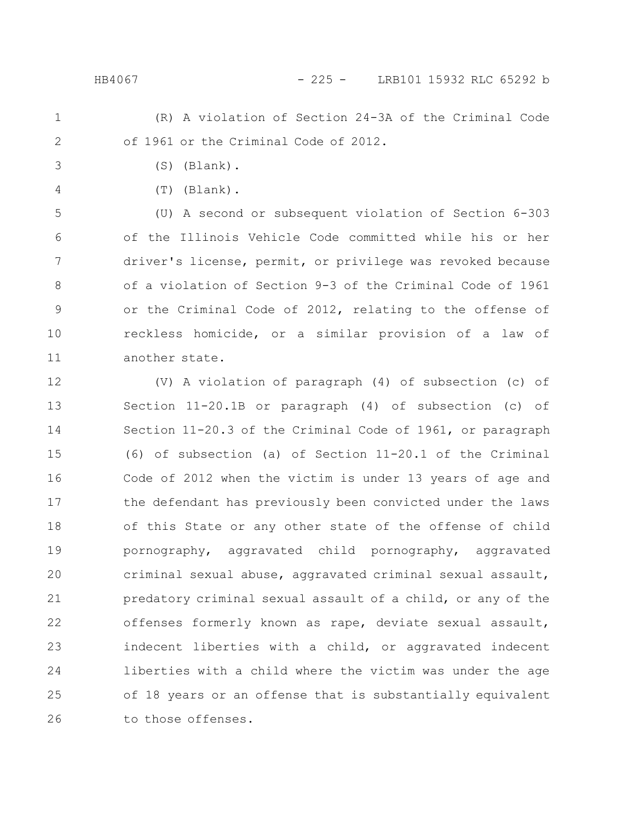## HB4067 - 225 - LRB101 15932 RLC 65292 b

- (R) A violation of Section 24-3A of the Criminal Code of 1961 or the Criminal Code of 2012. 1 2
	-

3

4

(T) (Blank).

(S) (Blank).

(U) A second or subsequent violation of Section 6-303 of the Illinois Vehicle Code committed while his or her driver's license, permit, or privilege was revoked because of a violation of Section 9-3 of the Criminal Code of 1961 or the Criminal Code of 2012, relating to the offense of reckless homicide, or a similar provision of a law of another state. 5 6 7 8 9 10 11

(V) A violation of paragraph (4) of subsection (c) of Section 11-20.1B or paragraph (4) of subsection (c) of Section 11-20.3 of the Criminal Code of 1961, or paragraph (6) of subsection (a) of Section 11-20.1 of the Criminal Code of 2012 when the victim is under 13 years of age and the defendant has previously been convicted under the laws of this State or any other state of the offense of child pornography, aggravated child pornography, aggravated criminal sexual abuse, aggravated criminal sexual assault, predatory criminal sexual assault of a child, or any of the offenses formerly known as rape, deviate sexual assault, indecent liberties with a child, or aggravated indecent liberties with a child where the victim was under the age of 18 years or an offense that is substantially equivalent to those offenses. 12 13 14 15 16 17 18 19 20 21 22 23 24 25 26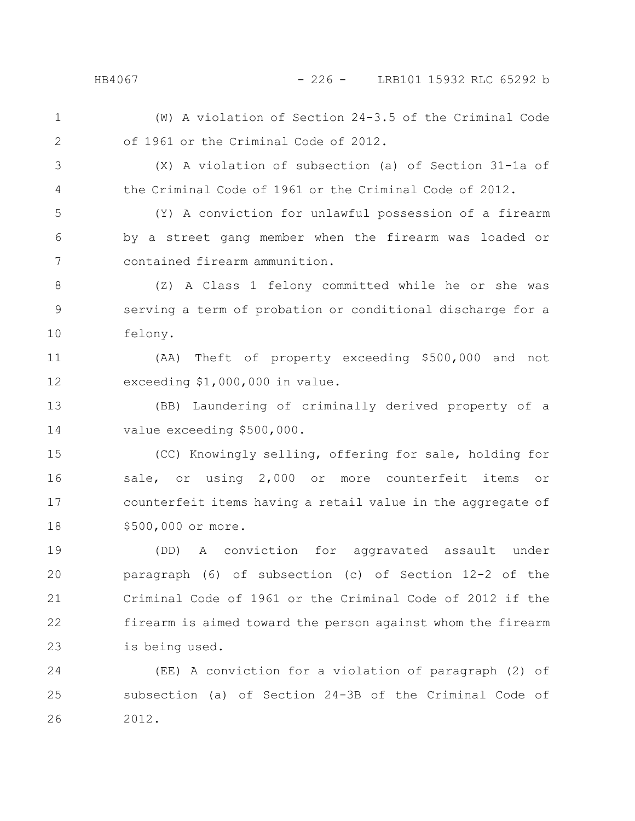HB4067 - 226 - LRB101 15932 RLC 65292 b

(W) A violation of Section 24-3.5 of the Criminal Code of 1961 or the Criminal Code of 2012. 1 2

3

4

(X) A violation of subsection (a) of Section 31-1a of the Criminal Code of 1961 or the Criminal Code of 2012.

(Y) A conviction for unlawful possession of a firearm by a street gang member when the firearm was loaded or contained firearm ammunition. 5 6 7

(Z) A Class 1 felony committed while he or she was serving a term of probation or conditional discharge for a felony. 8 9 10

(AA) Theft of property exceeding \$500,000 and not exceeding \$1,000,000 in value. 11 12

(BB) Laundering of criminally derived property of a value exceeding \$500,000. 13 14

(CC) Knowingly selling, offering for sale, holding for sale, or using 2,000 or more counterfeit items or counterfeit items having a retail value in the aggregate of \$500,000 or more. 15 16 17 18

(DD) A conviction for aggravated assault under paragraph (6) of subsection (c) of Section 12-2 of the Criminal Code of 1961 or the Criminal Code of 2012 if the firearm is aimed toward the person against whom the firearm is being used. 19 20 21 22 23

(EE) A conviction for a violation of paragraph (2) of subsection (a) of Section 24-3B of the Criminal Code of 2012. 24 25 26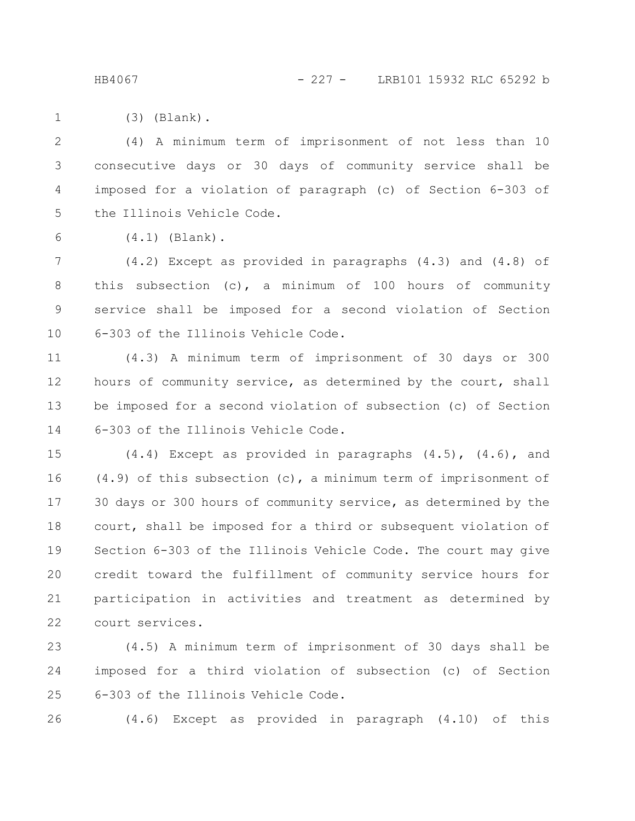HB4067 - 227 - LRB101 15932 RLC 65292 b

(3) (Blank). 1

(4) A minimum term of imprisonment of not less than 10 consecutive days or 30 days of community service shall be imposed for a violation of paragraph (c) of Section 6-303 of the Illinois Vehicle Code. 2 3 4 5

6

(4.1) (Blank).

(4.2) Except as provided in paragraphs (4.3) and (4.8) of this subsection (c), a minimum of 100 hours of community service shall be imposed for a second violation of Section 6-303 of the Illinois Vehicle Code. 7 8 9 10

(4.3) A minimum term of imprisonment of 30 days or 300 hours of community service, as determined by the court, shall be imposed for a second violation of subsection (c) of Section 6-303 of the Illinois Vehicle Code. 11 12 13 14

(4.4) Except as provided in paragraphs (4.5), (4.6), and (4.9) of this subsection (c), a minimum term of imprisonment of 30 days or 300 hours of community service, as determined by the court, shall be imposed for a third or subsequent violation of Section 6-303 of the Illinois Vehicle Code. The court may give credit toward the fulfillment of community service hours for participation in activities and treatment as determined by court services. 15 16 17 18 19 20 21 22

(4.5) A minimum term of imprisonment of 30 days shall be imposed for a third violation of subsection (c) of Section 6-303 of the Illinois Vehicle Code. 23 24 25

26

(4.6) Except as provided in paragraph (4.10) of this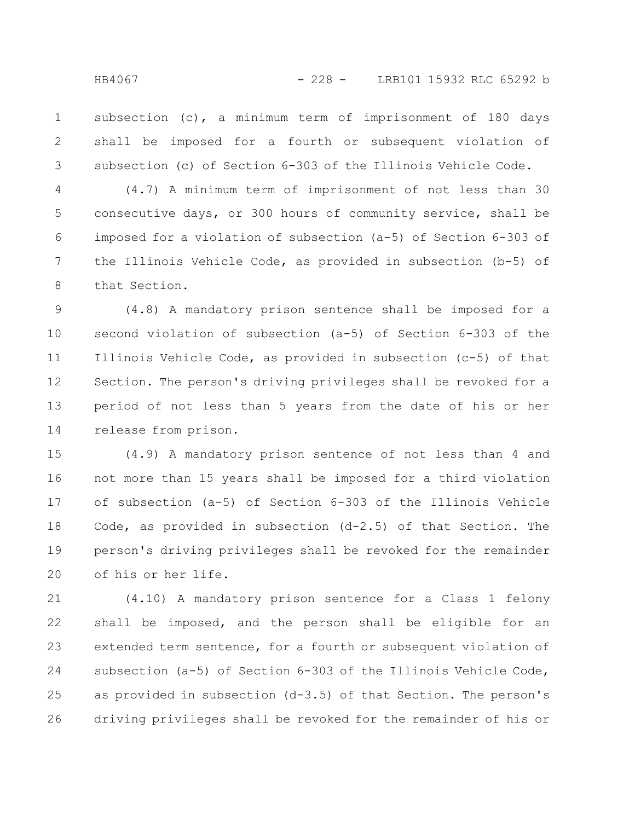subsection (c), a minimum term of imprisonment of 180 days shall be imposed for a fourth or subsequent violation of subsection (c) of Section 6-303 of the Illinois Vehicle Code. 1 2 3

(4.7) A minimum term of imprisonment of not less than 30 consecutive days, or 300 hours of community service, shall be imposed for a violation of subsection (a-5) of Section 6-303 of the Illinois Vehicle Code, as provided in subsection (b-5) of that Section. 4 5 6 7 8

(4.8) A mandatory prison sentence shall be imposed for a second violation of subsection (a-5) of Section 6-303 of the Illinois Vehicle Code, as provided in subsection (c-5) of that Section. The person's driving privileges shall be revoked for a period of not less than 5 years from the date of his or her release from prison. 9 10 11 12 13 14

(4.9) A mandatory prison sentence of not less than 4 and not more than 15 years shall be imposed for a third violation of subsection (a-5) of Section 6-303 of the Illinois Vehicle Code, as provided in subsection (d-2.5) of that Section. The person's driving privileges shall be revoked for the remainder of his or her life. 15 16 17 18 19 20

(4.10) A mandatory prison sentence for a Class 1 felony shall be imposed, and the person shall be eligible for an extended term sentence, for a fourth or subsequent violation of subsection (a-5) of Section 6-303 of the Illinois Vehicle Code, as provided in subsection (d-3.5) of that Section. The person's driving privileges shall be revoked for the remainder of his or 21 22 23 24 25 26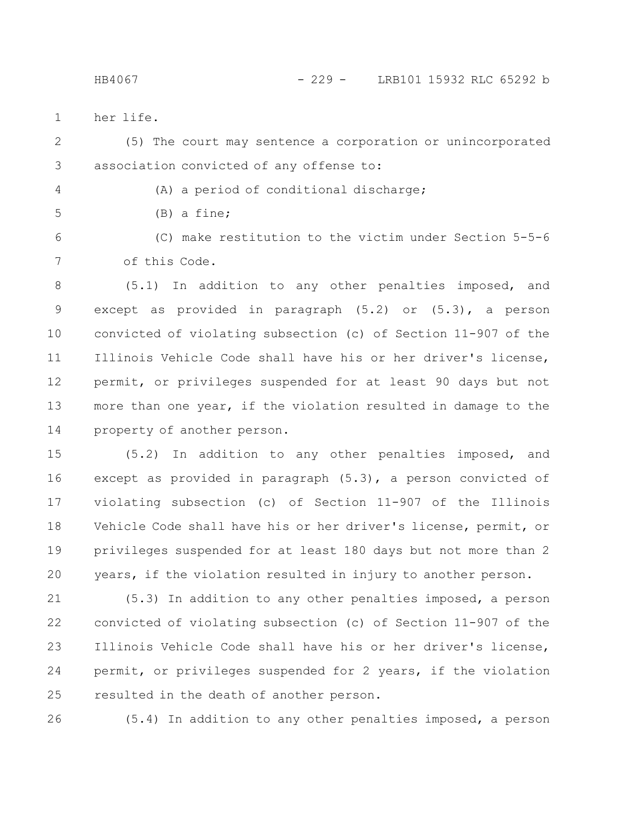her life. 1

(5) The court may sentence a corporation or unincorporated association convicted of any offense to: 2 3

4

(A) a period of conditional discharge;

5

(B) a fine;

(C) make restitution to the victim under Section 5-5-6 of this Code. 6 7

(5.1) In addition to any other penalties imposed, and except as provided in paragraph (5.2) or (5.3), a person convicted of violating subsection (c) of Section 11-907 of the Illinois Vehicle Code shall have his or her driver's license, permit, or privileges suspended for at least 90 days but not more than one year, if the violation resulted in damage to the property of another person. 8 9 10 11 12 13 14

(5.2) In addition to any other penalties imposed, and except as provided in paragraph (5.3), a person convicted of violating subsection (c) of Section 11-907 of the Illinois Vehicle Code shall have his or her driver's license, permit, or privileges suspended for at least 180 days but not more than 2 years, if the violation resulted in injury to another person. 15 16 17 18 19 20

(5.3) In addition to any other penalties imposed, a person convicted of violating subsection (c) of Section 11-907 of the Illinois Vehicle Code shall have his or her driver's license, permit, or privileges suspended for 2 years, if the violation resulted in the death of another person. 21 22 23 24 25

26

(5.4) In addition to any other penalties imposed, a person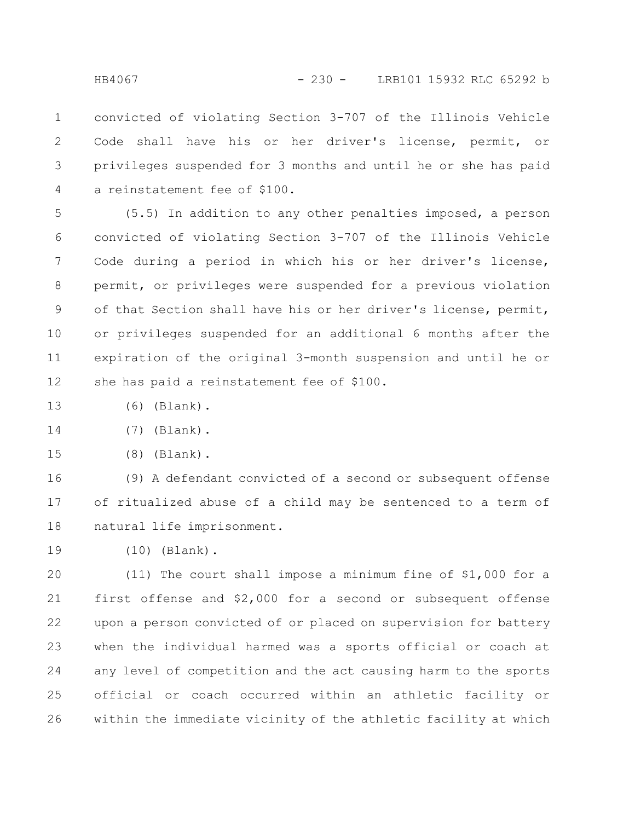convicted of violating Section 3-707 of the Illinois Vehicle Code shall have his or her driver's license, permit, or privileges suspended for 3 months and until he or she has paid a reinstatement fee of \$100. 1 2 3 4

(5.5) In addition to any other penalties imposed, a person convicted of violating Section 3-707 of the Illinois Vehicle Code during a period in which his or her driver's license, permit, or privileges were suspended for a previous violation of that Section shall have his or her driver's license, permit, or privileges suspended for an additional 6 months after the expiration of the original 3-month suspension and until he or she has paid a reinstatement fee of \$100. 5 6 7 8 9 10 11 12

- (6) (Blank). 13
- (7) (Blank). 14
- (8) (Blank). 15

(9) A defendant convicted of a second or subsequent offense of ritualized abuse of a child may be sentenced to a term of natural life imprisonment. 16 17 18

(10) (Blank). 19

(11) The court shall impose a minimum fine of \$1,000 for a first offense and \$2,000 for a second or subsequent offense upon a person convicted of or placed on supervision for battery when the individual harmed was a sports official or coach at any level of competition and the act causing harm to the sports official or coach occurred within an athletic facility or within the immediate vicinity of the athletic facility at which 20 21 22 23 24 25 26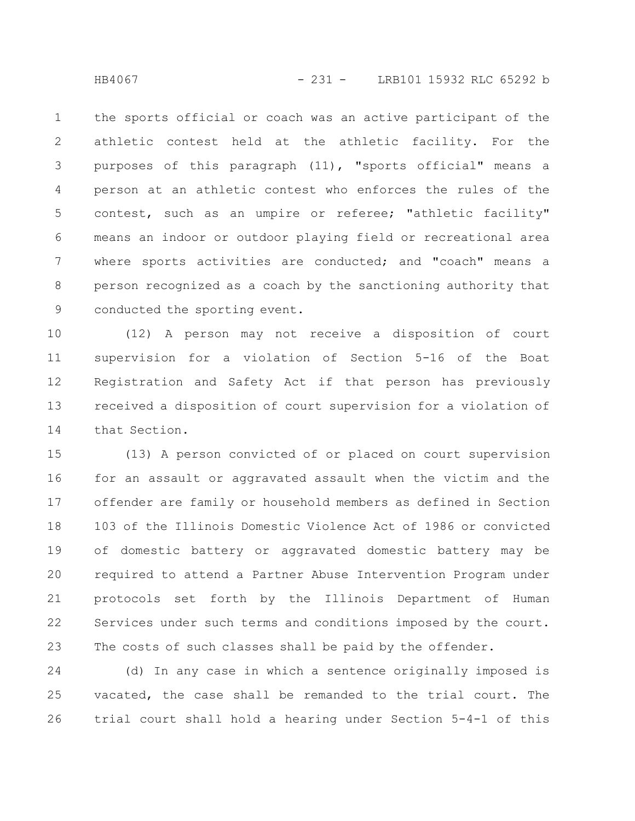the sports official or coach was an active participant of the athletic contest held at the athletic facility. For the purposes of this paragraph (11), "sports official" means a person at an athletic contest who enforces the rules of the contest, such as an umpire or referee; "athletic facility" means an indoor or outdoor playing field or recreational area where sports activities are conducted; and "coach" means a person recognized as a coach by the sanctioning authority that conducted the sporting event. 1 2 3 4 5 6 7 8 9

(12) A person may not receive a disposition of court supervision for a violation of Section 5-16 of the Boat Registration and Safety Act if that person has previously received a disposition of court supervision for a violation of that Section. 10 11 12 13 14

(13) A person convicted of or placed on court supervision for an assault or aggravated assault when the victim and the offender are family or household members as defined in Section 103 of the Illinois Domestic Violence Act of 1986 or convicted of domestic battery or aggravated domestic battery may be required to attend a Partner Abuse Intervention Program under protocols set forth by the Illinois Department of Human Services under such terms and conditions imposed by the court. The costs of such classes shall be paid by the offender. 15 16 17 18 19 20 21 22 23

(d) In any case in which a sentence originally imposed is vacated, the case shall be remanded to the trial court. The trial court shall hold a hearing under Section 5-4-1 of this 24 25 26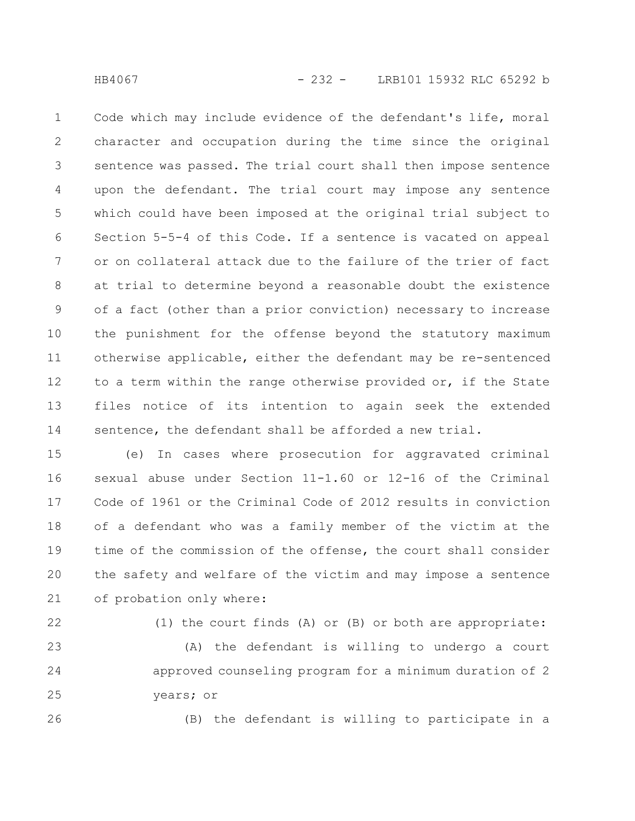Code which may include evidence of the defendant's life, moral character and occupation during the time since the original sentence was passed. The trial court shall then impose sentence upon the defendant. The trial court may impose any sentence which could have been imposed at the original trial subject to Section 5-5-4 of this Code. If a sentence is vacated on appeal or on collateral attack due to the failure of the trier of fact at trial to determine beyond a reasonable doubt the existence of a fact (other than a prior conviction) necessary to increase the punishment for the offense beyond the statutory maximum otherwise applicable, either the defendant may be re-sentenced to a term within the range otherwise provided or, if the State files notice of its intention to again seek the extended sentence, the defendant shall be afforded a new trial. 1 2 3 4 5 6 7 8 9 10 11 12 13 14

(e) In cases where prosecution for aggravated criminal sexual abuse under Section 11-1.60 or 12-16 of the Criminal Code of 1961 or the Criminal Code of 2012 results in conviction of a defendant who was a family member of the victim at the time of the commission of the offense, the court shall consider the safety and welfare of the victim and may impose a sentence of probation only where: 15 16 17 18 19 20 21

22

(1) the court finds (A) or (B) or both are appropriate:

(A) the defendant is willing to undergo a court approved counseling program for a minimum duration of 2 years; or 23 24 25

26

(B) the defendant is willing to participate in a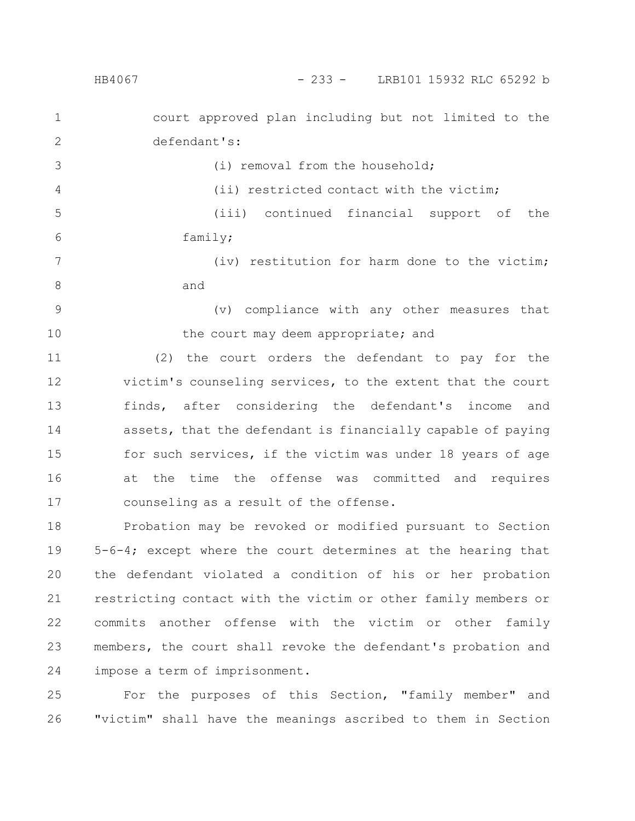| $\mathbf 1$    | court approved plan including but not limited to the        |
|----------------|-------------------------------------------------------------|
| $\mathbf{2}$   | defendant's:                                                |
| 3              | (i) removal from the household;                             |
| $\overline{4}$ | (ii) restricted contact with the victim;                    |
| 5              | (iii) continued financial support of the                    |
| 6              | family;                                                     |
| 7              | (iv) restitution for harm done to the victim;               |
| 8              | and                                                         |
| $\mathcal{G}$  | (v) compliance with any other measures that                 |
| 10             | the court may deem appropriate; and                         |
| 11             | (2) the court orders the defendant to pay for the           |
| 12             | victim's counseling services, to the extent that the court  |
| 13             | finds, after considering the defendant's income and         |
| 14             | assets, that the defendant is financially capable of paying |
| 15             | for such services, if the victim was under 18 years of age  |
| 16             | at the time the offense was committed and requires          |
| 17             | counseling as a result of the offense.                      |

Probation may be revoked or modified pursuant to Section 5-6-4; except where the court determines at the hearing that the defendant violated a condition of his or her probation restricting contact with the victim or other family members or commits another offense with the victim or other family members, the court shall revoke the defendant's probation and impose a term of imprisonment. 18 19 20 21 22 23 24

For the purposes of this Section, "family member" and "victim" shall have the meanings ascribed to them in Section 25 26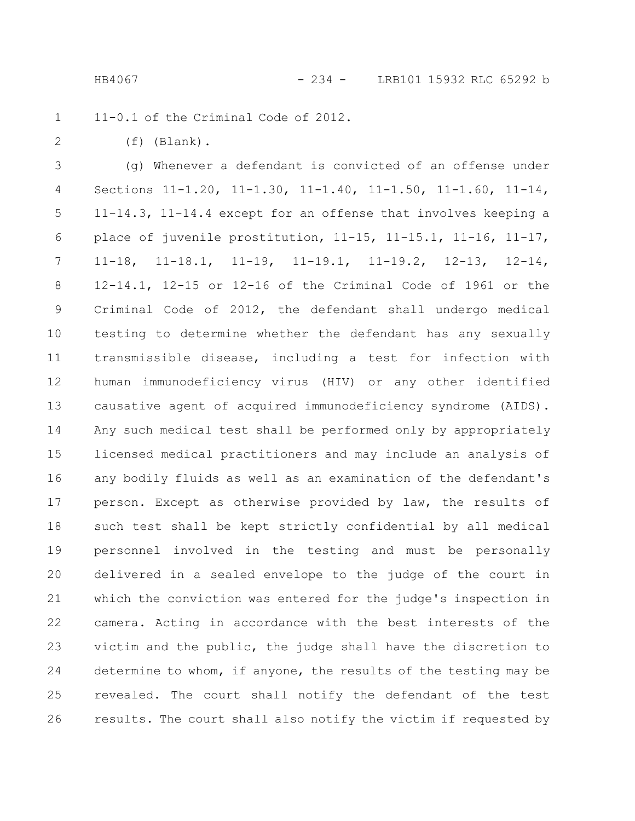11-0.1 of the Criminal Code of 2012. 1

2

(f) (Blank).

(g) Whenever a defendant is convicted of an offense under Sections 11-1.20, 11-1.30, 11-1.40, 11-1.50, 11-1.60, 11-14, 11-14.3, 11-14.4 except for an offense that involves keeping a place of juvenile prostitution, 11-15, 11-15.1, 11-16, 11-17, 11-18, 11-18.1, 11-19, 11-19.1, 11-19.2, 12-13, 12-14, 12-14.1, 12-15 or 12-16 of the Criminal Code of 1961 or the Criminal Code of 2012, the defendant shall undergo medical testing to determine whether the defendant has any sexually transmissible disease, including a test for infection with human immunodeficiency virus (HIV) or any other identified causative agent of acquired immunodeficiency syndrome (AIDS). Any such medical test shall be performed only by appropriately licensed medical practitioners and may include an analysis of any bodily fluids as well as an examination of the defendant's person. Except as otherwise provided by law, the results of such test shall be kept strictly confidential by all medical personnel involved in the testing and must be personally delivered in a sealed envelope to the judge of the court in which the conviction was entered for the judge's inspection in camera. Acting in accordance with the best interests of the victim and the public, the judge shall have the discretion to determine to whom, if anyone, the results of the testing may be revealed. The court shall notify the defendant of the test results. The court shall also notify the victim if requested by 3 4 5 6 7 8 9 10 11 12 13 14 15 16 17 18 19 20 21 22 23 24 25 26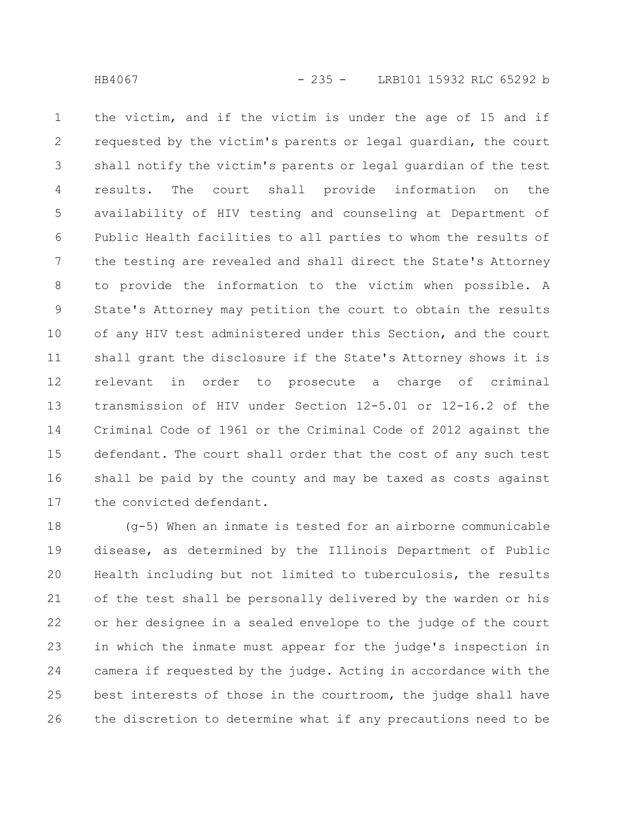the victim, and if the victim is under the age of 15 and if requested by the victim's parents or legal guardian, the court shall notify the victim's parents or legal guardian of the test results. The court shall provide information on the availability of HIV testing and counseling at Department of Public Health facilities to all parties to whom the results of the testing are revealed and shall direct the State's Attorney to provide the information to the victim when possible. A State's Attorney may petition the court to obtain the results of any HIV test administered under this Section, and the court shall grant the disclosure if the State's Attorney shows it is relevant in order to prosecute a charge of criminal transmission of HIV under Section 12-5.01 or 12-16.2 of the Criminal Code of 1961 or the Criminal Code of 2012 against the defendant. The court shall order that the cost of any such test shall be paid by the county and may be taxed as costs against the convicted defendant. 1 2 3 4 5 6 7 8 9 10 11 12 13 14 15 16 17

(g-5) When an inmate is tested for an airborne communicable disease, as determined by the Illinois Department of Public Health including but not limited to tuberculosis, the results of the test shall be personally delivered by the warden or his or her designee in a sealed envelope to the judge of the court in which the inmate must appear for the judge's inspection in camera if requested by the judge. Acting in accordance with the best interests of those in the courtroom, the judge shall have the discretion to determine what if any precautions need to be 18 19 20 21 22 23 24 25 26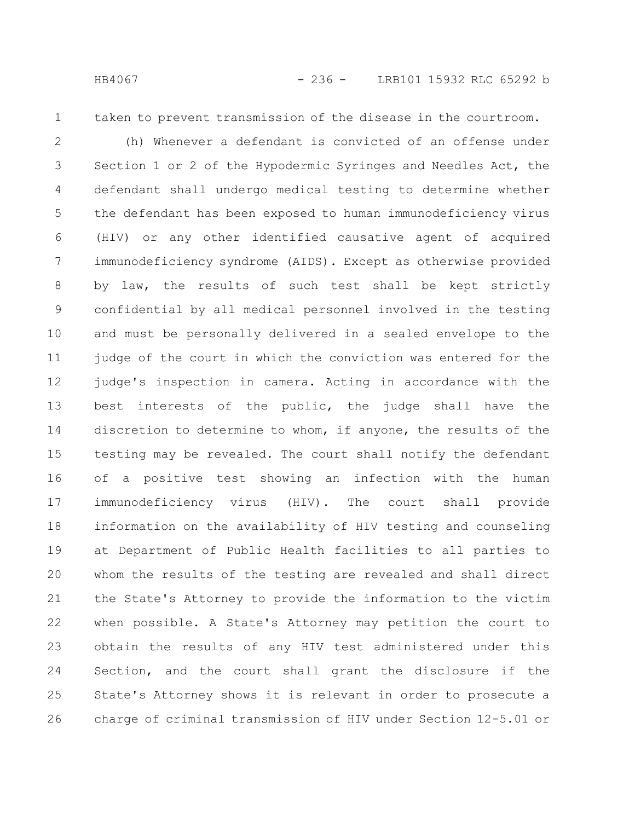- 
- 1

taken to prevent transmission of the disease in the courtroom.

(h) Whenever a defendant is convicted of an offense under Section 1 or 2 of the Hypodermic Syringes and Needles Act, the defendant shall undergo medical testing to determine whether the defendant has been exposed to human immunodeficiency virus (HIV) or any other identified causative agent of acquired immunodeficiency syndrome (AIDS). Except as otherwise provided by law, the results of such test shall be kept strictly confidential by all medical personnel involved in the testing and must be personally delivered in a sealed envelope to the judge of the court in which the conviction was entered for the judge's inspection in camera. Acting in accordance with the best interests of the public, the judge shall have the discretion to determine to whom, if anyone, the results of the testing may be revealed. The court shall notify the defendant of a positive test showing an infection with the human immunodeficiency virus (HIV). The court shall provide information on the availability of HIV testing and counseling at Department of Public Health facilities to all parties to whom the results of the testing are revealed and shall direct the State's Attorney to provide the information to the victim when possible. A State's Attorney may petition the court to obtain the results of any HIV test administered under this Section, and the court shall grant the disclosure if the State's Attorney shows it is relevant in order to prosecute a charge of criminal transmission of HIV under Section 12-5.01 or 2 3 4 5 6 7 8 9 10 11 12 13 14 15 16 17 18 19 20 21 22 23 24 25 26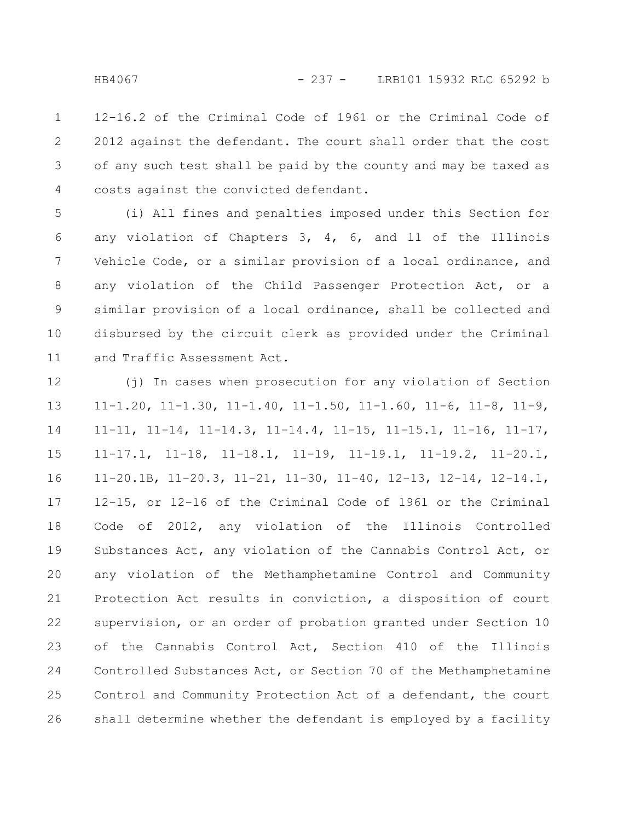12-16.2 of the Criminal Code of 1961 or the Criminal Code of 2012 against the defendant. The court shall order that the cost of any such test shall be paid by the county and may be taxed as costs against the convicted defendant. 1 2 3 4

(i) All fines and penalties imposed under this Section for any violation of Chapters 3, 4, 6, and 11 of the Illinois Vehicle Code, or a similar provision of a local ordinance, and any violation of the Child Passenger Protection Act, or a similar provision of a local ordinance, shall be collected and disbursed by the circuit clerk as provided under the Criminal and Traffic Assessment Act. 5 6 7 8 9 10 11

(j) In cases when prosecution for any violation of Section 11-1.20, 11-1.30, 11-1.40, 11-1.50, 11-1.60, 11-6, 11-8, 11-9, 11-11, 11-14, 11-14.3, 11-14.4, 11-15, 11-15.1, 11-16, 11-17, 11-17.1, 11-18, 11-18.1, 11-19, 11-19.1, 11-19.2, 11-20.1, 11-20.1B, 11-20.3, 11-21, 11-30, 11-40, 12-13, 12-14, 12-14.1, 12-15, or 12-16 of the Criminal Code of 1961 or the Criminal Code of 2012, any violation of the Illinois Controlled Substances Act, any violation of the Cannabis Control Act, or any violation of the Methamphetamine Control and Community Protection Act results in conviction, a disposition of court supervision, or an order of probation granted under Section 10 of the Cannabis Control Act, Section 410 of the Illinois Controlled Substances Act, or Section 70 of the Methamphetamine Control and Community Protection Act of a defendant, the court shall determine whether the defendant is employed by a facility 12 13 14 15 16 17 18 19 20 21 22 23 24 25 26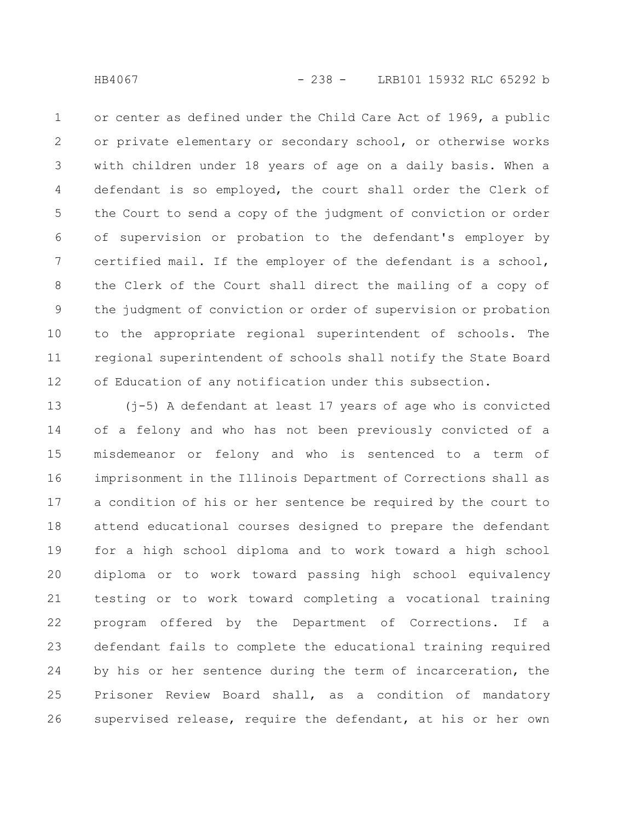or center as defined under the Child Care Act of 1969, a public or private elementary or secondary school, or otherwise works with children under 18 years of age on a daily basis. When a defendant is so employed, the court shall order the Clerk of the Court to send a copy of the judgment of conviction or order of supervision or probation to the defendant's employer by certified mail. If the employer of the defendant is a school, the Clerk of the Court shall direct the mailing of a copy of the judgment of conviction or order of supervision or probation to the appropriate regional superintendent of schools. The regional superintendent of schools shall notify the State Board of Education of any notification under this subsection. 1 2 3 4 5 6 7 8 9 10 11 12

(j-5) A defendant at least 17 years of age who is convicted of a felony and who has not been previously convicted of a misdemeanor or felony and who is sentenced to a term of imprisonment in the Illinois Department of Corrections shall as a condition of his or her sentence be required by the court to attend educational courses designed to prepare the defendant for a high school diploma and to work toward a high school diploma or to work toward passing high school equivalency testing or to work toward completing a vocational training program offered by the Department of Corrections. If a defendant fails to complete the educational training required by his or her sentence during the term of incarceration, the Prisoner Review Board shall, as a condition of mandatory supervised release, require the defendant, at his or her own 13 14 15 16 17 18 19 20 21 22 23 24 25 26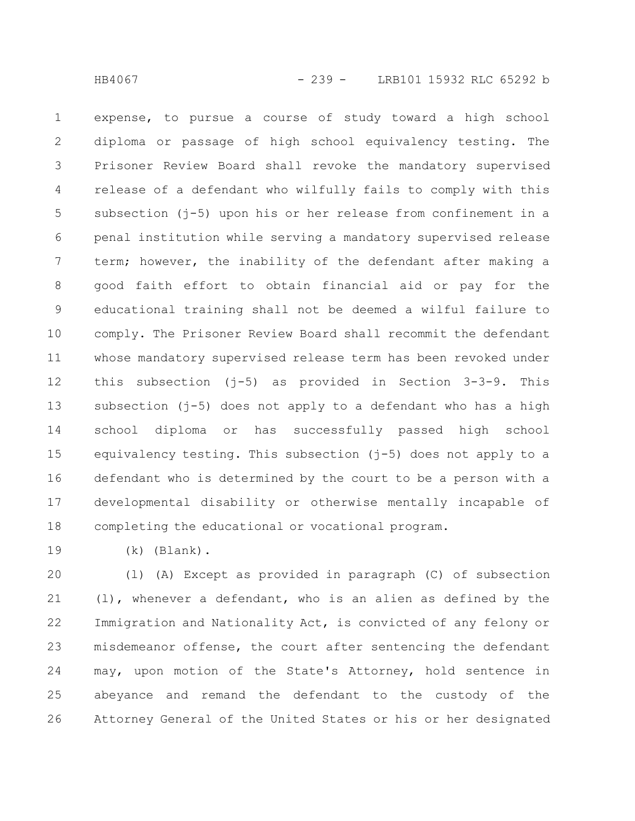expense, to pursue a course of study toward a high school diploma or passage of high school equivalency testing. The Prisoner Review Board shall revoke the mandatory supervised release of a defendant who wilfully fails to comply with this subsection ( $i$ -5) upon his or her release from confinement in a penal institution while serving a mandatory supervised release term; however, the inability of the defendant after making a good faith effort to obtain financial aid or pay for the educational training shall not be deemed a wilful failure to comply. The Prisoner Review Board shall recommit the defendant whose mandatory supervised release term has been revoked under this subsection (j-5) as provided in Section 3-3-9. This subsection (j-5) does not apply to a defendant who has a high school diploma or has successfully passed high school equivalency testing. This subsection (j-5) does not apply to a defendant who is determined by the court to be a person with a developmental disability or otherwise mentally incapable of completing the educational or vocational program. 1 2 3 4 5 6 7 8 9 10 11 12 13 14 15 16 17 18

19

(k) (Blank).

(l) (A) Except as provided in paragraph (C) of subsection (l), whenever a defendant, who is an alien as defined by the Immigration and Nationality Act, is convicted of any felony or misdemeanor offense, the court after sentencing the defendant may, upon motion of the State's Attorney, hold sentence in abeyance and remand the defendant to the custody of the Attorney General of the United States or his or her designated 20 21 22 23 24 25 26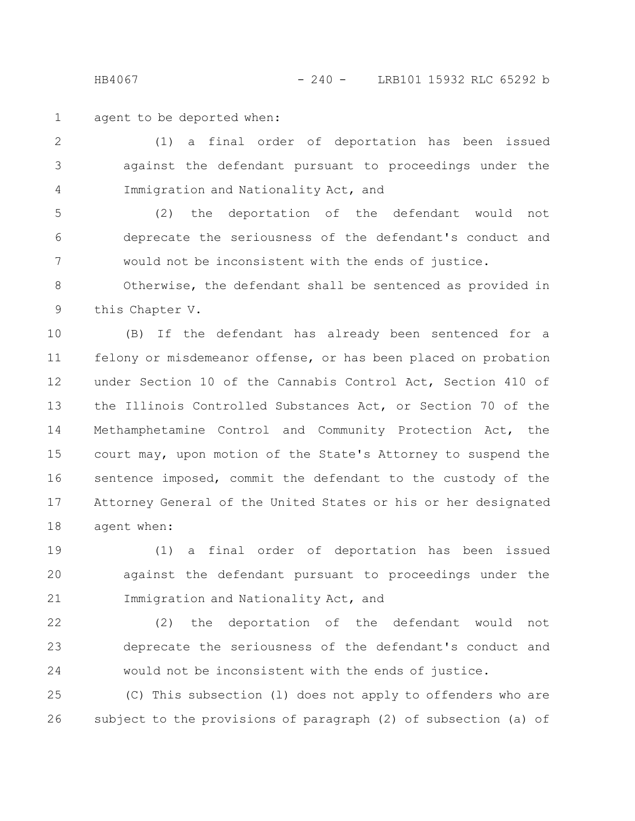HB4067 - 240 - LRB101 15932 RLC 65292 b

agent to be deported when: 1

(1) a final order of deportation has been issued against the defendant pursuant to proceedings under the Immigration and Nationality Act, and 2 3 4

(2) the deportation of the defendant would not deprecate the seriousness of the defendant's conduct and would not be inconsistent with the ends of justice. 5 6 7

Otherwise, the defendant shall be sentenced as provided in this Chapter V. 8 9

(B) If the defendant has already been sentenced for a felony or misdemeanor offense, or has been placed on probation under Section 10 of the Cannabis Control Act, Section 410 of the Illinois Controlled Substances Act, or Section 70 of the Methamphetamine Control and Community Protection Act, the court may, upon motion of the State's Attorney to suspend the sentence imposed, commit the defendant to the custody of the Attorney General of the United States or his or her designated agent when: 10 11 12 13 14 15 16 17 18

(1) a final order of deportation has been issued against the defendant pursuant to proceedings under the Immigration and Nationality Act, and 19 20 21

(2) the deportation of the defendant would not deprecate the seriousness of the defendant's conduct and would not be inconsistent with the ends of justice. 22 23 24

(C) This subsection (l) does not apply to offenders who are subject to the provisions of paragraph (2) of subsection (a) of 25 26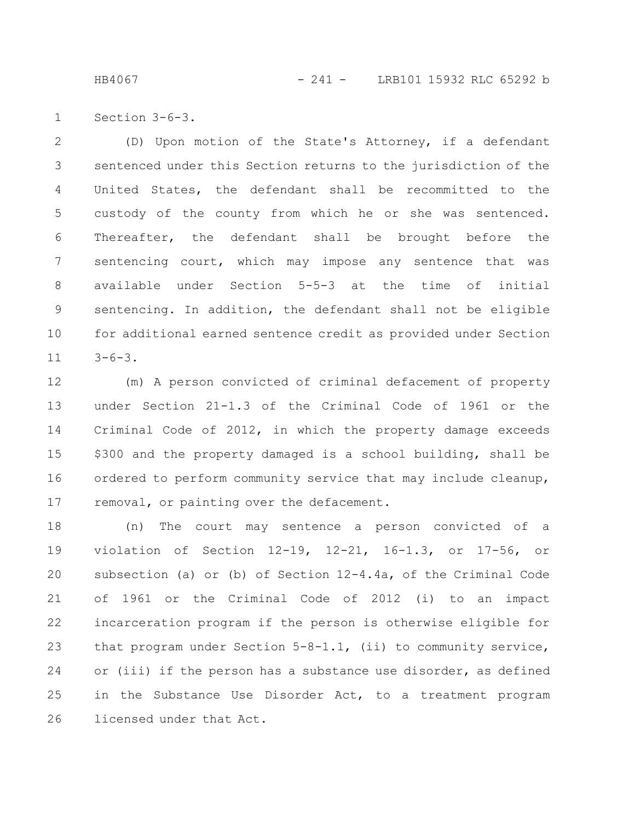HB4067 - 241 - LRB101 15932 RLC 65292 b

Section 3-6-3. 1

(D) Upon motion of the State's Attorney, if a defendant sentenced under this Section returns to the jurisdiction of the United States, the defendant shall be recommitted to the custody of the county from which he or she was sentenced. Thereafter, the defendant shall be brought before the sentencing court, which may impose any sentence that was available under Section 5-5-3 at the time of initial sentencing. In addition, the defendant shall not be eligible for additional earned sentence credit as provided under Section  $3-6-3$ . 2 3 4 5 6 7 8 9 10 11

(m) A person convicted of criminal defacement of property under Section 21-1.3 of the Criminal Code of 1961 or the Criminal Code of 2012, in which the property damage exceeds \$300 and the property damaged is a school building, shall be ordered to perform community service that may include cleanup, removal, or painting over the defacement. 12 13 14 15 16 17

(n) The court may sentence a person convicted of a violation of Section 12-19, 12-21, 16-1.3, or 17-56, or subsection (a) or (b) of Section 12-4.4a, of the Criminal Code of 1961 or the Criminal Code of 2012 (i) to an impact incarceration program if the person is otherwise eligible for that program under Section 5-8-1.1, (ii) to community service, or (iii) if the person has a substance use disorder, as defined in the Substance Use Disorder Act, to a treatment program licensed under that Act. 18 19 20 21 22 23 24 25 26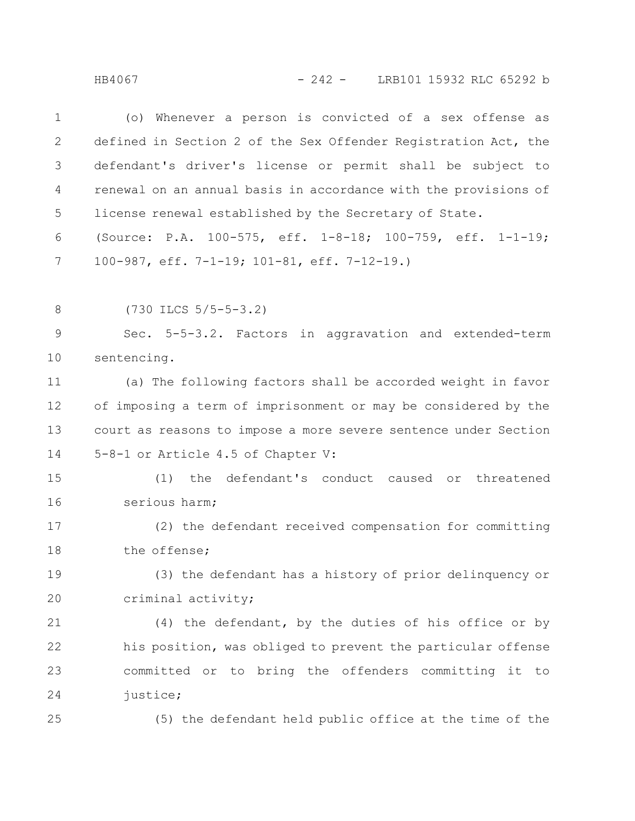HB4067 - 242 - LRB101 15932 RLC 65292 b

(o) Whenever a person is convicted of a sex offense as defined in Section 2 of the Sex Offender Registration Act, the defendant's driver's license or permit shall be subject to renewal on an annual basis in accordance with the provisions of license renewal established by the Secretary of State. (Source: P.A. 100-575, eff. 1-8-18; 100-759, eff. 1-1-19; 100-987, eff. 7-1-19; 101-81, eff. 7-12-19.) 1 2 3 4 5 6 7

(730 ILCS 5/5-5-3.2) 8

Sec. 5-5-3.2. Factors in aggravation and extended-term sentencing. 9 10

(a) The following factors shall be accorded weight in favor of imposing a term of imprisonment or may be considered by the court as reasons to impose a more severe sentence under Section 5-8-1 or Article 4.5 of Chapter V: 11 12 13 14

(1) the defendant's conduct caused or threatened serious harm; 15 16

(2) the defendant received compensation for committing the offense; 17 18

(3) the defendant has a history of prior delinquency or criminal activity; 19 20

(4) the defendant, by the duties of his office or by his position, was obliged to prevent the particular offense committed or to bring the offenders committing it to justice; 21 22 23 24

25

(5) the defendant held public office at the time of the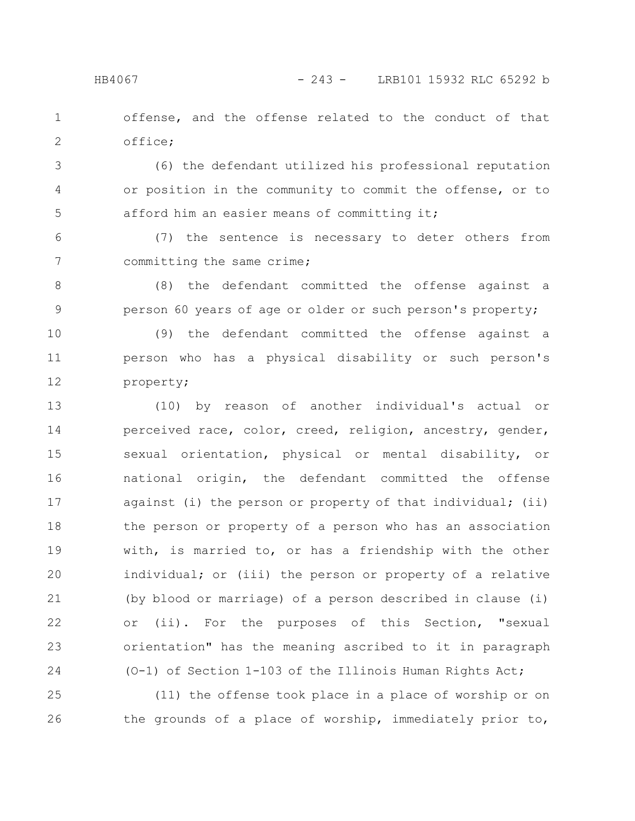offense, and the offense related to the conduct of that office; 1 2

(6) the defendant utilized his professional reputation or position in the community to commit the offense, or to afford him an easier means of committing it; 3 4 5

(7) the sentence is necessary to deter others from committing the same crime; 6 7

(8) the defendant committed the offense against a person 60 years of age or older or such person's property; 8 9

(9) the defendant committed the offense against a person who has a physical disability or such person's property; 10 11 12

(10) by reason of another individual's actual or perceived race, color, creed, religion, ancestry, gender, sexual orientation, physical or mental disability, or national origin, the defendant committed the offense against (i) the person or property of that individual; (ii) the person or property of a person who has an association with, is married to, or has a friendship with the other individual; or (iii) the person or property of a relative (by blood or marriage) of a person described in clause (i) or (ii). For the purposes of this Section, "sexual orientation" has the meaning ascribed to it in paragraph (O-1) of Section 1-103 of the Illinois Human Rights Act; 13 14 15 16 17 18 19 20 21 22 23 24

(11) the offense took place in a place of worship or on the grounds of a place of worship, immediately prior to, 25 26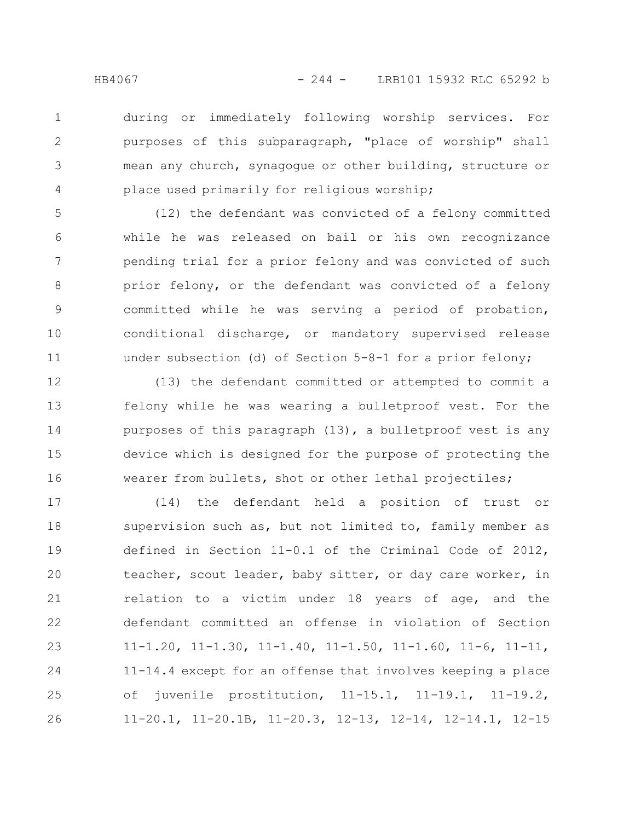during or immediately following worship services. For purposes of this subparagraph, "place of worship" shall mean any church, synagogue or other building, structure or place used primarily for religious worship; 1 2 3 4

(12) the defendant was convicted of a felony committed while he was released on bail or his own recognizance pending trial for a prior felony and was convicted of such prior felony, or the defendant was convicted of a felony committed while he was serving a period of probation, conditional discharge, or mandatory supervised release under subsection (d) of Section 5-8-1 for a prior felony; 5 6 7 8 9 10 11

(13) the defendant committed or attempted to commit a felony while he was wearing a bulletproof vest. For the purposes of this paragraph (13), a bulletproof vest is any device which is designed for the purpose of protecting the wearer from bullets, shot or other lethal projectiles; 12 13 14 15 16

(14) the defendant held a position of trust or supervision such as, but not limited to, family member as defined in Section 11-0.1 of the Criminal Code of 2012, teacher, scout leader, baby sitter, or day care worker, in relation to a victim under 18 years of age, and the defendant committed an offense in violation of Section 11-1.20, 11-1.30, 11-1.40, 11-1.50, 11-1.60, 11-6, 11-11, 11-14.4 except for an offense that involves keeping a place of juvenile prostitution, 11-15.1, 11-19.1, 11-19.2, 11-20.1, 11-20.1B, 11-20.3, 12-13, 12-14, 12-14.1, 12-15 17 18 19 20 21 22 23 24 25 26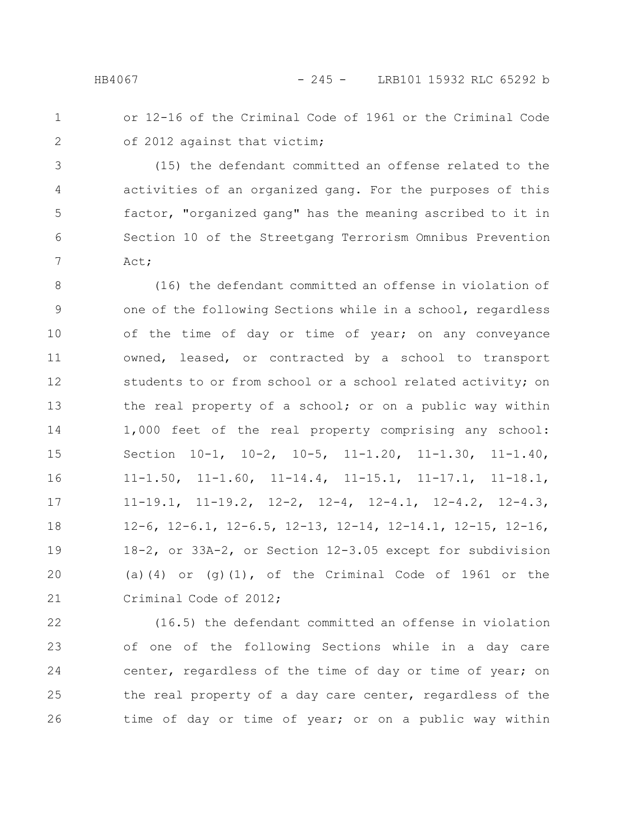## HB4067 - 245 - LRB101 15932 RLC 65292 b

or 12-16 of the Criminal Code of 1961 or the Criminal Code of 2012 against that victim; 1 2

(15) the defendant committed an offense related to the activities of an organized gang. For the purposes of this factor, "organized gang" has the meaning ascribed to it in Section 10 of the Streetgang Terrorism Omnibus Prevention Act; 3 4 5 6 7

(16) the defendant committed an offense in violation of one of the following Sections while in a school, regardless of the time of day or time of year; on any conveyance owned, leased, or contracted by a school to transport students to or from school or a school related activity; on the real property of a school; or on a public way within 1,000 feet of the real property comprising any school: Section 10-1, 10-2, 10-5, 11-1.20, 11-1.30, 11-1.40, 11-1.50, 11-1.60, 11-14.4, 11-15.1, 11-17.1, 11-18.1, 11-19.1, 11-19.2, 12-2, 12-4, 12-4.1, 12-4.2, 12-4.3, 12-6, 12-6.1, 12-6.5, 12-13, 12-14, 12-14.1, 12-15, 12-16, 18-2, or 33A-2, or Section 12-3.05 except for subdivision (a)(4) or  $(g)(1)$ , of the Criminal Code of 1961 or the Criminal Code of 2012; 8 9 10 11 12 13 14 15 16 17 18 19 20 21

(16.5) the defendant committed an offense in violation of one of the following Sections while in a day care center, regardless of the time of day or time of year; on the real property of a day care center, regardless of the time of day or time of year; or on a public way within 22 23 24 25 26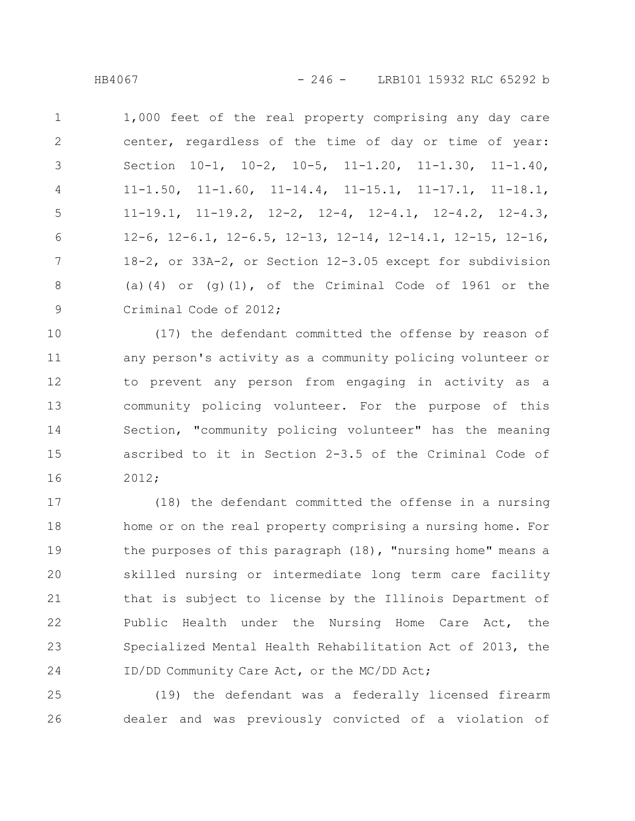1,000 feet of the real property comprising any day care center, regardless of the time of day or time of year: Section 10-1, 10-2, 10-5, 11-1.20, 11-1.30, 11-1.40, 11-1.50, 11-1.60, 11-14.4, 11-15.1, 11-17.1, 11-18.1, 11-19.1, 11-19.2, 12-2, 12-4, 12-4.1, 12-4.2, 12-4.3, 12-6, 12-6.1, 12-6.5, 12-13, 12-14, 12-14.1, 12-15, 12-16, 18-2, or 33A-2, or Section 12-3.05 except for subdivision (a)(4) or (g)(1), of the Criminal Code of 1961 or the Criminal Code of 2012; 1 2 3 4 5 6 7 8 9

(17) the defendant committed the offense by reason of any person's activity as a community policing volunteer or to prevent any person from engaging in activity as a community policing volunteer. For the purpose of this Section, "community policing volunteer" has the meaning ascribed to it in Section 2-3.5 of the Criminal Code of 2012; 10 11 12 13 14 15 16

(18) the defendant committed the offense in a nursing home or on the real property comprising a nursing home. For the purposes of this paragraph (18), "nursing home" means a skilled nursing or intermediate long term care facility that is subject to license by the Illinois Department of Public Health under the Nursing Home Care Act, the Specialized Mental Health Rehabilitation Act of 2013, the ID/DD Community Care Act, or the MC/DD Act; 17 18 19 20 21 22 23 24

(19) the defendant was a federally licensed firearm dealer and was previously convicted of a violation of 25 26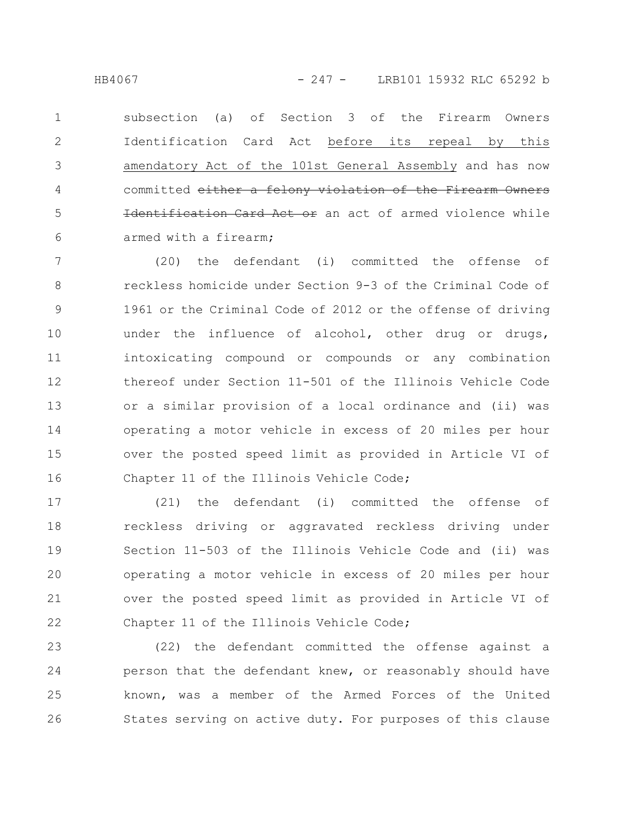subsection (a) of Section 3 of the Firearm Owners Identification Card Act before its repeal by this amendatory Act of the 101st General Assembly and has now committed either a felony violation of the Firearm Owners Identification Card Act or an act of armed violence while armed with a firearm; 1 2 3 4 5 6

(20) the defendant (i) committed the offense of reckless homicide under Section 9-3 of the Criminal Code of 1961 or the Criminal Code of 2012 or the offense of driving under the influence of alcohol, other drug or drugs, intoxicating compound or compounds or any combination thereof under Section 11-501 of the Illinois Vehicle Code or a similar provision of a local ordinance and (ii) was operating a motor vehicle in excess of 20 miles per hour over the posted speed limit as provided in Article VI of Chapter 11 of the Illinois Vehicle Code; 7 8 9 10 11 12 13 14 15 16

(21) the defendant (i) committed the offense of reckless driving or aggravated reckless driving under Section 11-503 of the Illinois Vehicle Code and (ii) was operating a motor vehicle in excess of 20 miles per hour over the posted speed limit as provided in Article VI of Chapter 11 of the Illinois Vehicle Code; 17 18 19 20 21 22

(22) the defendant committed the offense against a person that the defendant knew, or reasonably should have known, was a member of the Armed Forces of the United States serving on active duty. For purposes of this clause 23 24 25 26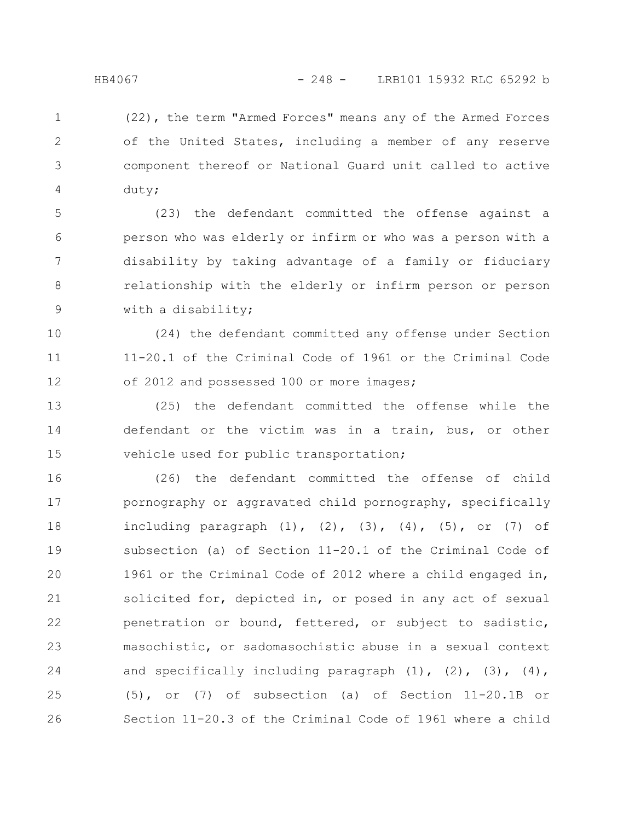(22), the term "Armed Forces" means any of the Armed Forces of the United States, including a member of any reserve component thereof or National Guard unit called to active duty; 1 2 3 4

(23) the defendant committed the offense against a person who was elderly or infirm or who was a person with a disability by taking advantage of a family or fiduciary relationship with the elderly or infirm person or person with a disability; 5 6 7 8 9

(24) the defendant committed any offense under Section 11-20.1 of the Criminal Code of 1961 or the Criminal Code of 2012 and possessed 100 or more images; 10 11 12

(25) the defendant committed the offense while the defendant or the victim was in a train, bus, or other vehicle used for public transportation; 13 14 15

(26) the defendant committed the offense of child pornography or aggravated child pornography, specifically including paragraph  $(1)$ ,  $(2)$ ,  $(3)$ ,  $(4)$ ,  $(5)$ , or  $(7)$  of subsection (a) of Section 11-20.1 of the Criminal Code of 1961 or the Criminal Code of 2012 where a child engaged in, solicited for, depicted in, or posed in any act of sexual penetration or bound, fettered, or subject to sadistic, masochistic, or sadomasochistic abuse in a sexual context and specifically including paragraph  $(1)$ ,  $(2)$ ,  $(3)$ ,  $(4)$ , (5), or (7) of subsection (a) of Section 11-20.1B or Section 11-20.3 of the Criminal Code of 1961 where a child 16 17 18 19 20 21 22 23 24 25 26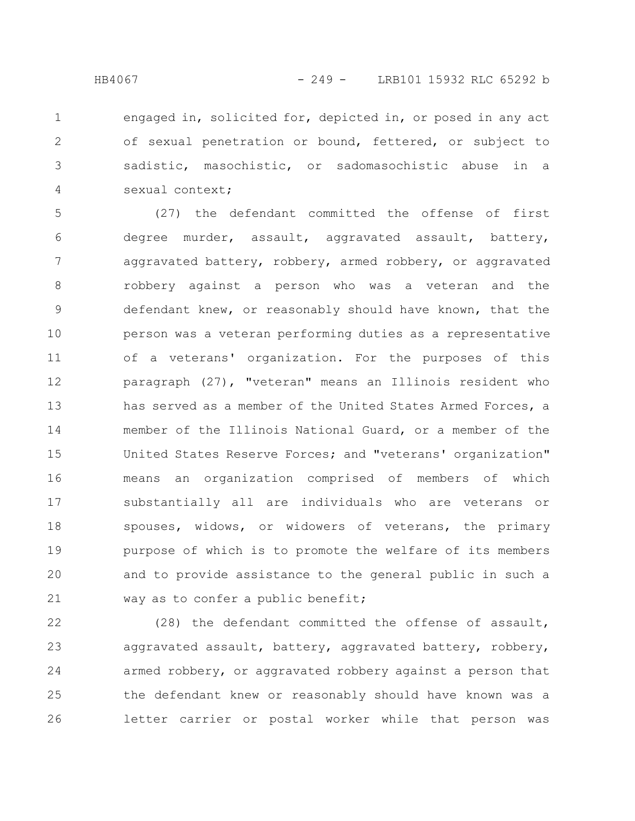engaged in, solicited for, depicted in, or posed in any act of sexual penetration or bound, fettered, or subject to sadistic, masochistic, or sadomasochistic abuse in a sexual context; 1 2 3 4

(27) the defendant committed the offense of first degree murder, assault, aggravated assault, battery, aggravated battery, robbery, armed robbery, or aggravated robbery against a person who was a veteran and the defendant knew, or reasonably should have known, that the person was a veteran performing duties as a representative of a veterans' organization. For the purposes of this paragraph (27), "veteran" means an Illinois resident who has served as a member of the United States Armed Forces, a member of the Illinois National Guard, or a member of the United States Reserve Forces; and "veterans' organization" means an organization comprised of members of which substantially all are individuals who are veterans or spouses, widows, or widowers of veterans, the primary purpose of which is to promote the welfare of its members and to provide assistance to the general public in such a way as to confer a public benefit; 5 6 7 8 9 10 11 12 13 14 15 16 17 18 19 20 21

(28) the defendant committed the offense of assault, aggravated assault, battery, aggravated battery, robbery, armed robbery, or aggravated robbery against a person that the defendant knew or reasonably should have known was a letter carrier or postal worker while that person was 22 23 24 25 26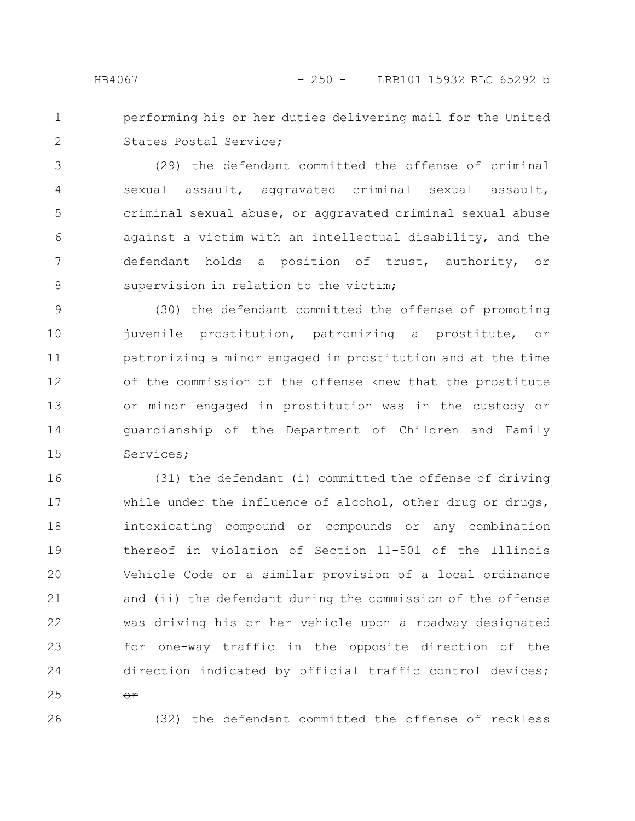- 
- performing his or her duties delivering mail for the United States Postal Service; 1 2

(29) the defendant committed the offense of criminal sexual assault, aggravated criminal sexual assault, criminal sexual abuse, or aggravated criminal sexual abuse against a victim with an intellectual disability, and the defendant holds a position of trust, authority, or supervision in relation to the victim; 3 4 5 6 7 8

(30) the defendant committed the offense of promoting juvenile prostitution, patronizing a prostitute, or patronizing a minor engaged in prostitution and at the time of the commission of the offense knew that the prostitute or minor engaged in prostitution was in the custody or guardianship of the Department of Children and Family Services; 9 10 11 12 13 14 15

(31) the defendant (i) committed the offense of driving while under the influence of alcohol, other drug or drugs, intoxicating compound or compounds or any combination thereof in violation of Section 11-501 of the Illinois Vehicle Code or a similar provision of a local ordinance and (ii) the defendant during the commission of the offense was driving his or her vehicle upon a roadway designated for one-way traffic in the opposite direction of the direction indicated by official traffic control devices; 16 17 18 19 20 21 22 23 24

25

 $\Theta$  $\hat{r}$ 

26

(32) the defendant committed the offense of reckless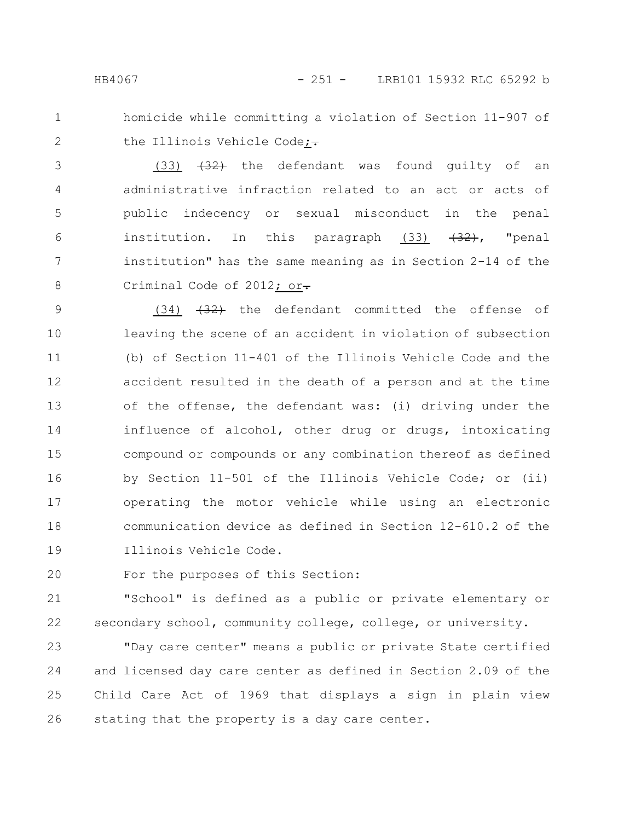1 2 homicide while committing a violation of Section 11-907 of the Illinois Vehicle Code; $\div$ 

 $(33)$   $(32)$  the defendant was found guilty of an administrative infraction related to an act or acts of public indecency or sexual misconduct in the penal institution. In this paragraph  $(33)$   $(32)$ , "penal institution" has the same meaning as in Section 2-14 of the Criminal Code of 2012; or-3 4 5 6 7 8

 $(34)$   $(32)$  the defendant committed the offense of leaving the scene of an accident in violation of subsection (b) of Section 11-401 of the Illinois Vehicle Code and the accident resulted in the death of a person and at the time of the offense, the defendant was: (i) driving under the influence of alcohol, other drug or drugs, intoxicating compound or compounds or any combination thereof as defined by Section 11-501 of the Illinois Vehicle Code; or (ii) operating the motor vehicle while using an electronic communication device as defined in Section 12-610.2 of the Illinois Vehicle Code. 9 10 11 12 13 14 15 16 17 18 19

For the purposes of this Section: 20

"School" is defined as a public or private elementary or secondary school, community college, college, or university. 21 22

"Day care center" means a public or private State certified and licensed day care center as defined in Section 2.09 of the Child Care Act of 1969 that displays a sign in plain view stating that the property is a day care center. 23 24 25 26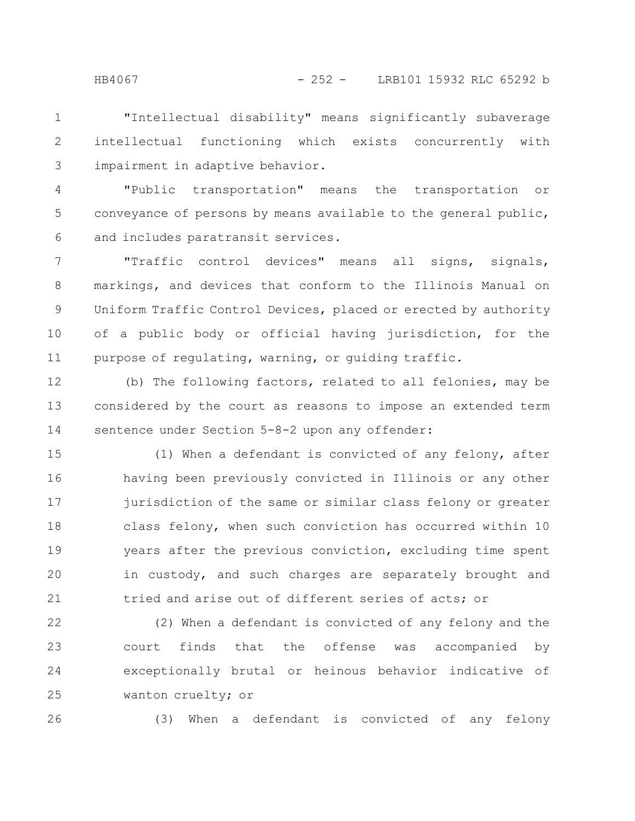"Intellectual disability" means significantly subaverage intellectual functioning which exists concurrently with impairment in adaptive behavior. 1 2 3

"Public transportation" means the transportation or conveyance of persons by means available to the general public, and includes paratransit services. 4 5 6

"Traffic control devices" means all signs, signals, markings, and devices that conform to the Illinois Manual on Uniform Traffic Control Devices, placed or erected by authority of a public body or official having jurisdiction, for the purpose of regulating, warning, or guiding traffic. 7 8 9 10 11

(b) The following factors, related to all felonies, may be considered by the court as reasons to impose an extended term sentence under Section 5-8-2 upon any offender: 12 13 14

(1) When a defendant is convicted of any felony, after having been previously convicted in Illinois or any other jurisdiction of the same or similar class felony or greater class felony, when such conviction has occurred within 10 years after the previous conviction, excluding time spent in custody, and such charges are separately brought and tried and arise out of different series of acts; or 15 16 17 18 19 20 21

(2) When a defendant is convicted of any felony and the court finds that the offense was accompanied by exceptionally brutal or heinous behavior indicative of wanton cruelty; or 22 23 24 25

26

(3) When a defendant is convicted of any felony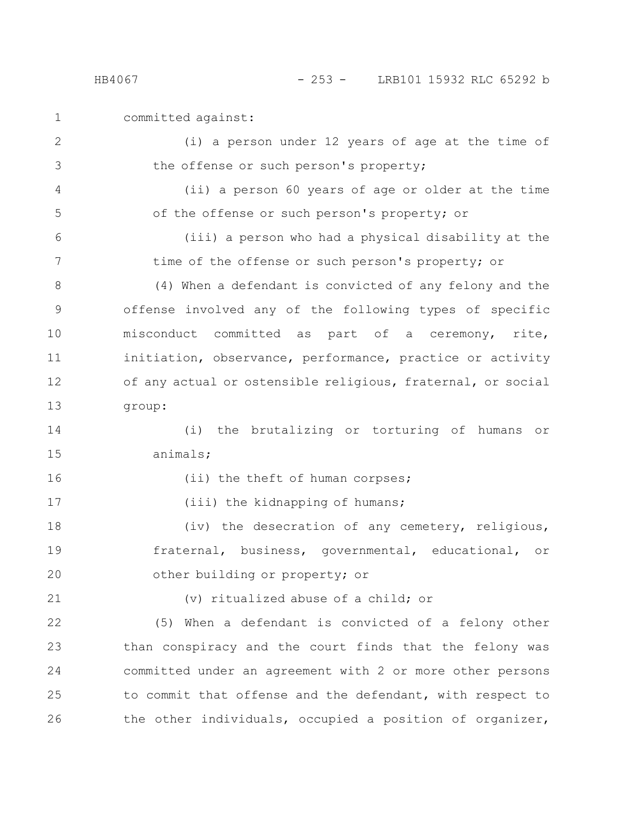committed against:

(i) a person under 12 years of age at the time of the offense or such person's property;

(ii) a person 60 years of age or older at the time of the offense or such person's property; or

(iii) a person who had a physical disability at the time of the offense or such person's property; or

(4) When a defendant is convicted of any felony and the offense involved any of the following types of specific misconduct committed as part of a ceremony, rite, initiation, observance, performance, practice or activity of any actual or ostensible religious, fraternal, or social group: 8 9 10 11 12 13

(i) the brutalizing or torturing of humans or animals; 14 15

16

17

(ii) the theft of human corpses;

(iii) the kidnapping of humans;

(iv) the desecration of any cemetery, religious, fraternal, business, governmental, educational, or other building or property; or 18 19 20

21

(v) ritualized abuse of a child; or

(5) When a defendant is convicted of a felony other than conspiracy and the court finds that the felony was committed under an agreement with 2 or more other persons to commit that offense and the defendant, with respect to the other individuals, occupied a position of organizer, 22 23 24 25 26

1

2

3

4

5

6

7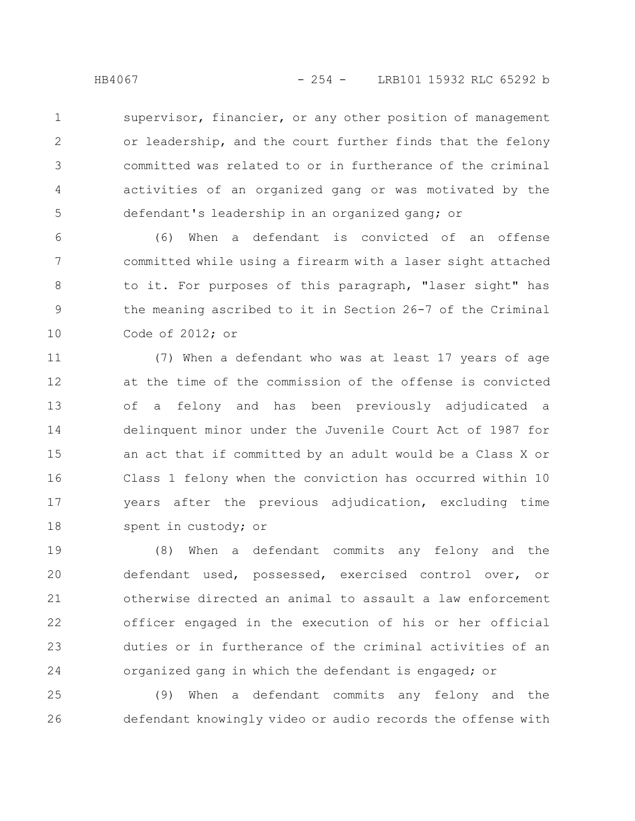supervisor, financier, or any other position of management or leadership, and the court further finds that the felony committed was related to or in furtherance of the criminal activities of an organized gang or was motivated by the defendant's leadership in an organized gang; or 1 2 3 4 5

(6) When a defendant is convicted of an offense committed while using a firearm with a laser sight attached to it. For purposes of this paragraph, "laser sight" has the meaning ascribed to it in Section 26-7 of the Criminal Code of 2012; or 6 7 8 9 10

(7) When a defendant who was at least 17 years of age at the time of the commission of the offense is convicted of a felony and has been previously adjudicated a delinquent minor under the Juvenile Court Act of 1987 for an act that if committed by an adult would be a Class X or Class 1 felony when the conviction has occurred within 10 years after the previous adjudication, excluding time spent in custody; or 11 12 13 14 15 16 17 18

(8) When a defendant commits any felony and the defendant used, possessed, exercised control over, or otherwise directed an animal to assault a law enforcement officer engaged in the execution of his or her official duties or in furtherance of the criminal activities of an organized gang in which the defendant is engaged; or 19 20 21 22 23 24

(9) When a defendant commits any felony and the defendant knowingly video or audio records the offense with 25 26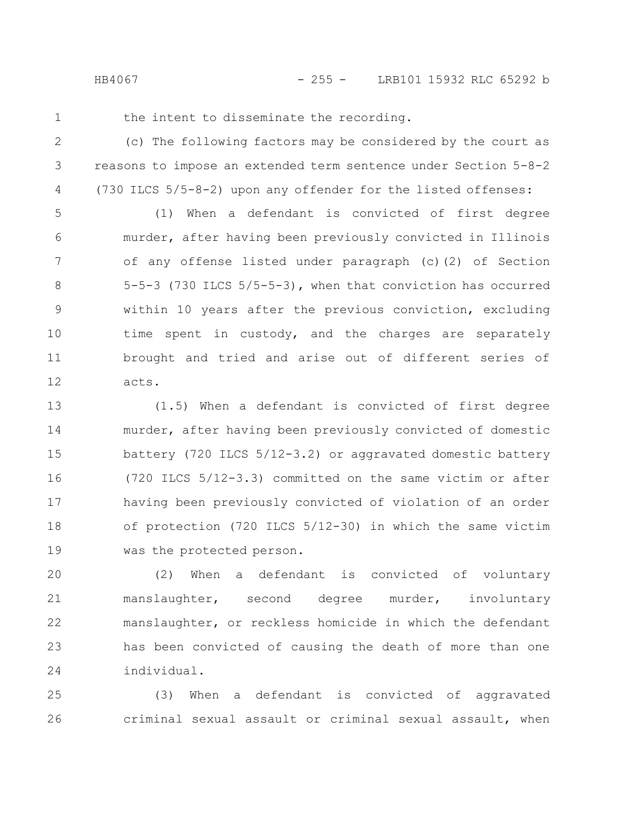HB4067 - 255 - LRB101 15932 RLC 65292 b

1

the intent to disseminate the recording.

(c) The following factors may be considered by the court as reasons to impose an extended term sentence under Section 5-8-2 (730 ILCS 5/5-8-2) upon any offender for the listed offenses: 2 3 4

(1) When a defendant is convicted of first degree murder, after having been previously convicted in Illinois of any offense listed under paragraph (c)(2) of Section 5-5-3 (730 ILCS 5/5-5-3), when that conviction has occurred within 10 years after the previous conviction, excluding time spent in custody, and the charges are separately brought and tried and arise out of different series of acts. 5 6 7 8 9 10 11 12

(1.5) When a defendant is convicted of first degree murder, after having been previously convicted of domestic battery (720 ILCS 5/12-3.2) or aggravated domestic battery (720 ILCS 5/12-3.3) committed on the same victim or after having been previously convicted of violation of an order of protection (720 ILCS 5/12-30) in which the same victim was the protected person. 13 14 15 16 17 18 19

(2) When a defendant is convicted of voluntary manslaughter, second degree murder, involuntary manslaughter, or reckless homicide in which the defendant has been convicted of causing the death of more than one individual. 20 21 22 23 24

(3) When a defendant is convicted of aggravated criminal sexual assault or criminal sexual assault, when 25 26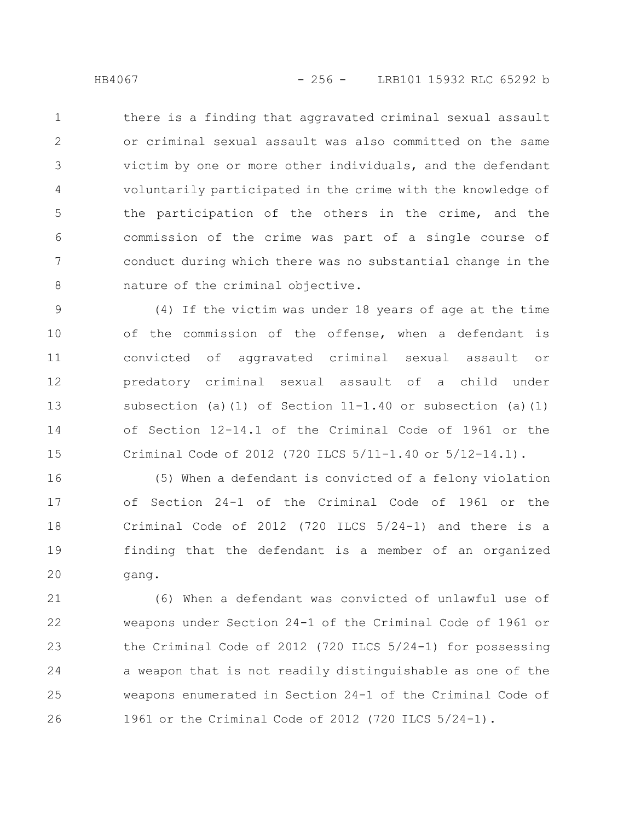there is a finding that aggravated criminal sexual assault or criminal sexual assault was also committed on the same victim by one or more other individuals, and the defendant voluntarily participated in the crime with the knowledge of the participation of the others in the crime, and the commission of the crime was part of a single course of conduct during which there was no substantial change in the nature of the criminal objective. 1 2 3 4 5 6 7 8

(4) If the victim was under 18 years of age at the time of the commission of the offense, when a defendant is convicted of aggravated criminal sexual assault or predatory criminal sexual assault of a child under subsection (a)(1) of Section  $11-1.40$  or subsection (a)(1) of Section 12-14.1 of the Criminal Code of 1961 or the Criminal Code of 2012 (720 ILCS 5/11-1.40 or 5/12-14.1). 9 10 11 12 13 14 15

(5) When a defendant is convicted of a felony violation of Section 24-1 of the Criminal Code of 1961 or the Criminal Code of 2012 (720 ILCS 5/24-1) and there is a finding that the defendant is a member of an organized gang. 16 17 18 19 20

(6) When a defendant was convicted of unlawful use of weapons under Section 24-1 of the Criminal Code of 1961 or the Criminal Code of 2012 (720 ILCS 5/24-1) for possessing a weapon that is not readily distinguishable as one of the weapons enumerated in Section 24-1 of the Criminal Code of 1961 or the Criminal Code of 2012 (720 ILCS 5/24-1). 21 22 23 24 25 26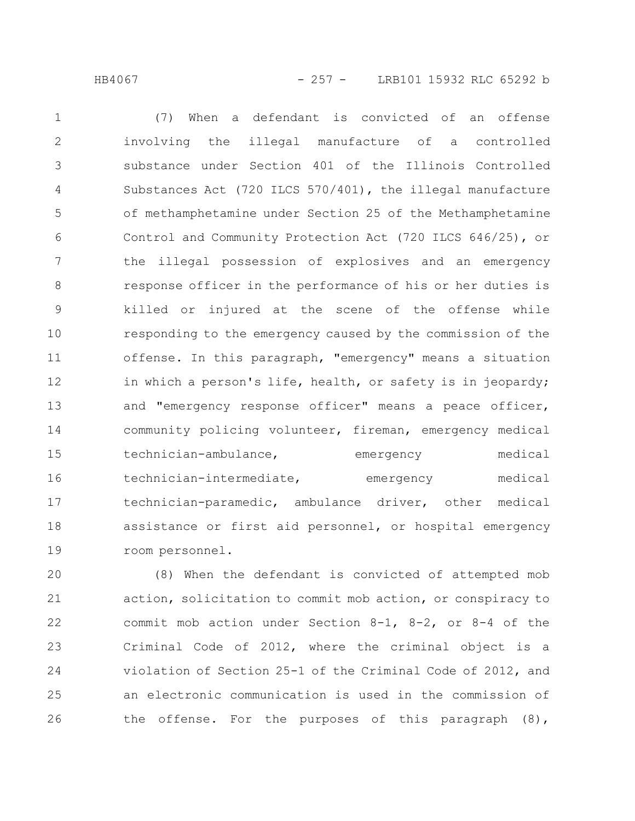(7) When a defendant is convicted of an offense involving the illegal manufacture of a controlled substance under Section 401 of the Illinois Controlled Substances Act (720 ILCS 570/401), the illegal manufacture of methamphetamine under Section 25 of the Methamphetamine Control and Community Protection Act (720 ILCS 646/25), or the illegal possession of explosives and an emergency response officer in the performance of his or her duties is killed or injured at the scene of the offense while responding to the emergency caused by the commission of the offense. In this paragraph, "emergency" means a situation in which a person's life, health, or safety is in jeopardy; and "emergency response officer" means a peace officer, community policing volunteer, fireman, emergency medical technician-ambulance, emergency medical technician-intermediate, emergency medical technician-paramedic, ambulance driver, other medical assistance or first aid personnel, or hospital emergency room personnel. 1 2 3 4 5 6 7 8 9 10 11 12 13 14 15 16 17 18 19

(8) When the defendant is convicted of attempted mob action, solicitation to commit mob action, or conspiracy to commit mob action under Section  $8-1$ ,  $8-2$ , or  $8-4$  of the Criminal Code of 2012, where the criminal object is a violation of Section 25-1 of the Criminal Code of 2012, and an electronic communication is used in the commission of the offense. For the purposes of this paragraph (8), 20 21 22 23 24 25 26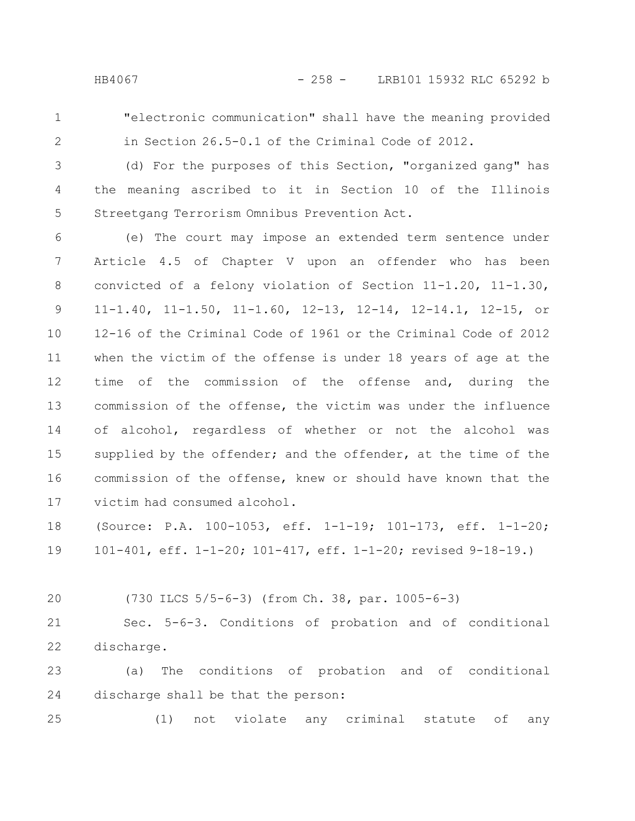1

"electronic communication" shall have the meaning provided in Section 26.5-0.1 of the Criminal Code of 2012.

2

(d) For the purposes of this Section, "organized gang" has the meaning ascribed to it in Section 10 of the Illinois Streetgang Terrorism Omnibus Prevention Act. 3 4 5

(e) The court may impose an extended term sentence under Article 4.5 of Chapter V upon an offender who has been convicted of a felony violation of Section 11-1.20, 11-1.30, 11-1.40, 11-1.50, 11-1.60, 12-13, 12-14, 12-14.1, 12-15, or 12-16 of the Criminal Code of 1961 or the Criminal Code of 2012 when the victim of the offense is under 18 years of age at the time of the commission of the offense and, during the commission of the offense, the victim was under the influence of alcohol, regardless of whether or not the alcohol was supplied by the offender; and the offender, at the time of the commission of the offense, knew or should have known that the victim had consumed alcohol. 6 7 8 9 10 11 12 13 14 15 16 17

(Source: P.A. 100-1053, eff. 1-1-19; 101-173, eff. 1-1-20; 101-401, eff. 1-1-20; 101-417, eff. 1-1-20; revised 9-18-19.) 18 19

20

(730 ILCS 5/5-6-3) (from Ch. 38, par. 1005-6-3)

Sec. 5-6-3. Conditions of probation and of conditional discharge. 21 22

(a) The conditions of probation and of conditional discharge shall be that the person: 23 24

(1) not violate any criminal statute of any 25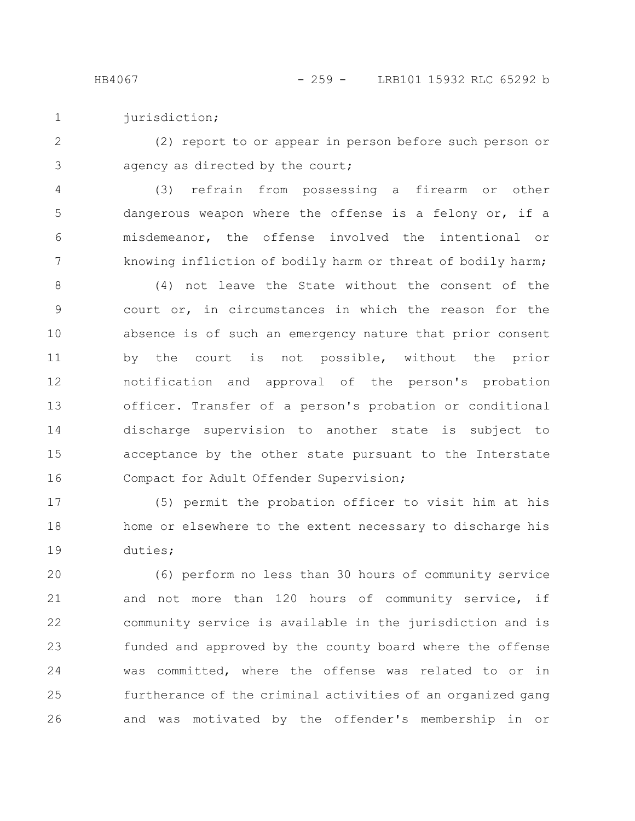jurisdiction; 1

(2) report to or appear in person before such person or agency as directed by the court; 2 3

(3) refrain from possessing a firearm or other dangerous weapon where the offense is a felony or, if a misdemeanor, the offense involved the intentional or knowing infliction of bodily harm or threat of bodily harm; 4 5 6 7

(4) not leave the State without the consent of the court or, in circumstances in which the reason for the absence is of such an emergency nature that prior consent by the court is not possible, without the prior notification and approval of the person's probation officer. Transfer of a person's probation or conditional discharge supervision to another state is subject to acceptance by the other state pursuant to the Interstate Compact for Adult Offender Supervision; 8 9 10 11 12 13 14 15 16

(5) permit the probation officer to visit him at his home or elsewhere to the extent necessary to discharge his duties; 17 18 19

(6) perform no less than 30 hours of community service and not more than 120 hours of community service, if community service is available in the jurisdiction and is funded and approved by the county board where the offense was committed, where the offense was related to or in furtherance of the criminal activities of an organized gang and was motivated by the offender's membership in or 20 21 22 23 24 25 26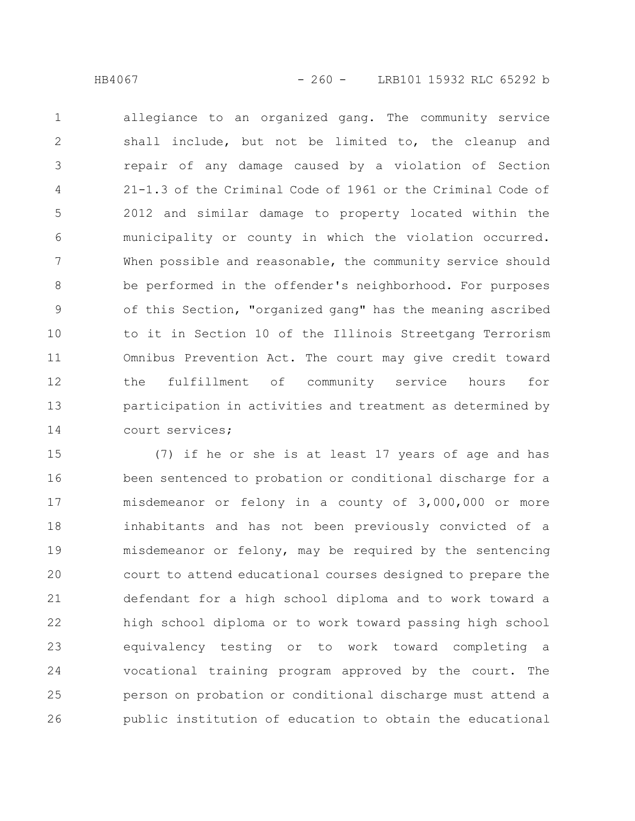allegiance to an organized gang. The community service shall include, but not be limited to, the cleanup and repair of any damage caused by a violation of Section 21-1.3 of the Criminal Code of 1961 or the Criminal Code of 2012 and similar damage to property located within the municipality or county in which the violation occurred. When possible and reasonable, the community service should be performed in the offender's neighborhood. For purposes of this Section, "organized gang" has the meaning ascribed to it in Section 10 of the Illinois Streetgang Terrorism Omnibus Prevention Act. The court may give credit toward the fulfillment of community service hours for participation in activities and treatment as determined by court services; 1 2 3 4 5 6 7 8 9 10 11 12 13 14

(7) if he or she is at least 17 years of age and has been sentenced to probation or conditional discharge for a misdemeanor or felony in a county of 3,000,000 or more inhabitants and has not been previously convicted of a misdemeanor or felony, may be required by the sentencing court to attend educational courses designed to prepare the defendant for a high school diploma and to work toward a high school diploma or to work toward passing high school equivalency testing or to work toward completing a vocational training program approved by the court. The person on probation or conditional discharge must attend a public institution of education to obtain the educational 15 16 17 18 19 20 21 22 23 24 25 26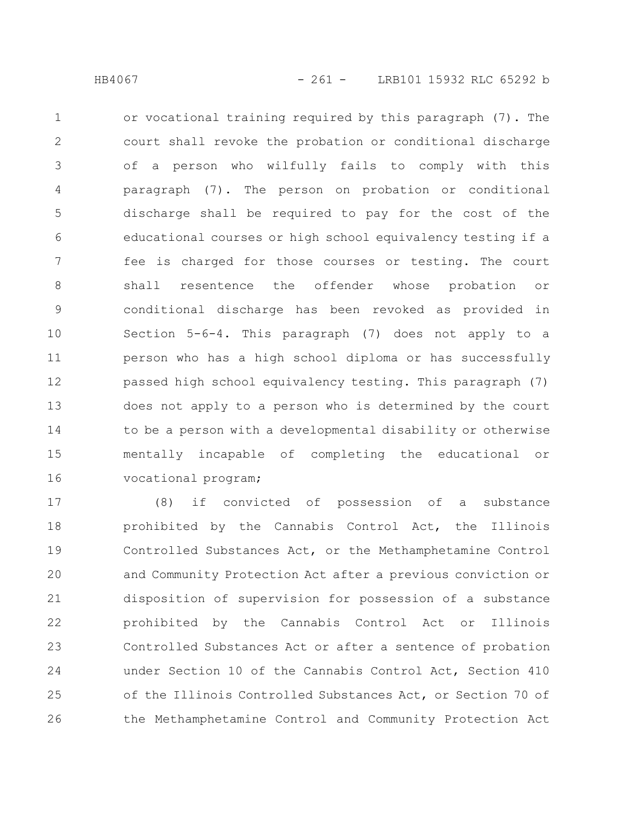or vocational training required by this paragraph (7). The court shall revoke the probation or conditional discharge of a person who wilfully fails to comply with this paragraph (7). The person on probation or conditional discharge shall be required to pay for the cost of the educational courses or high school equivalency testing if a fee is charged for those courses or testing. The court shall resentence the offender whose probation or conditional discharge has been revoked as provided in Section 5-6-4. This paragraph (7) does not apply to a person who has a high school diploma or has successfully passed high school equivalency testing. This paragraph (7) does not apply to a person who is determined by the court to be a person with a developmental disability or otherwise mentally incapable of completing the educational or vocational program; 1 2 3 4 5 6 7 8 9 10 11 12 13 14 15 16

(8) if convicted of possession of a substance prohibited by the Cannabis Control Act, the Illinois Controlled Substances Act, or the Methamphetamine Control and Community Protection Act after a previous conviction or disposition of supervision for possession of a substance prohibited by the Cannabis Control Act or Illinois Controlled Substances Act or after a sentence of probation under Section 10 of the Cannabis Control Act, Section 410 of the Illinois Controlled Substances Act, or Section 70 of the Methamphetamine Control and Community Protection Act 17 18 19 20 21 22 23 24 25 26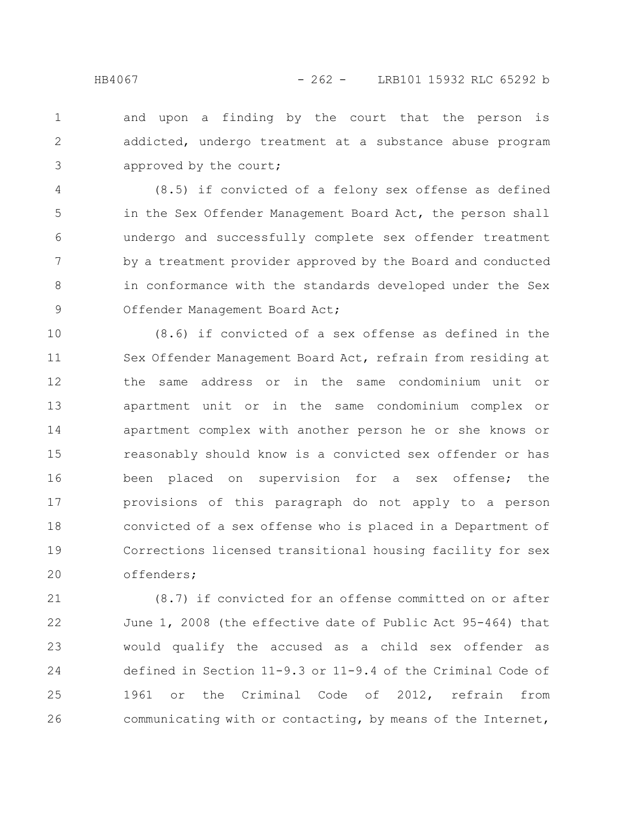and upon a finding by the court that the person is addicted, undergo treatment at a substance abuse program approved by the court; 1 2 3

(8.5) if convicted of a felony sex offense as defined in the Sex Offender Management Board Act, the person shall undergo and successfully complete sex offender treatment by a treatment provider approved by the Board and conducted in conformance with the standards developed under the Sex Offender Management Board Act; 4 5 6 7 8 9

(8.6) if convicted of a sex offense as defined in the Sex Offender Management Board Act, refrain from residing at the same address or in the same condominium unit or apartment unit or in the same condominium complex or apartment complex with another person he or she knows or reasonably should know is a convicted sex offender or has been placed on supervision for a sex offense; the provisions of this paragraph do not apply to a person convicted of a sex offense who is placed in a Department of Corrections licensed transitional housing facility for sex offenders; 10 11 12 13 14 15 16 17 18 19 20

(8.7) if convicted for an offense committed on or after June 1, 2008 (the effective date of Public Act 95-464) that would qualify the accused as a child sex offender as defined in Section 11-9.3 or 11-9.4 of the Criminal Code of 1961 or the Criminal Code of 2012, refrain from communicating with or contacting, by means of the Internet, 21 22 23 24 25 26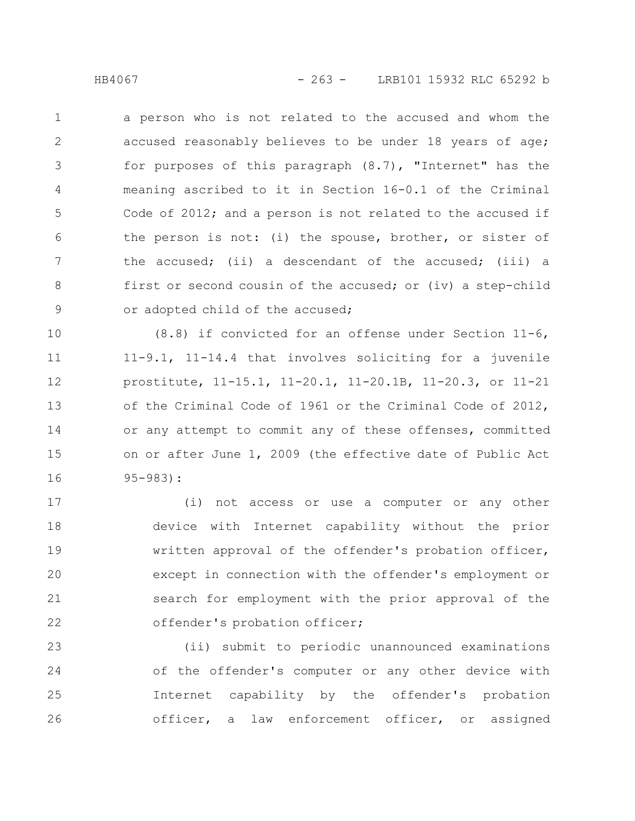a person who is not related to the accused and whom the accused reasonably believes to be under 18 years of age; for purposes of this paragraph (8.7), "Internet" has the meaning ascribed to it in Section 16-0.1 of the Criminal Code of 2012; and a person is not related to the accused if the person is not: (i) the spouse, brother, or sister of the accused; (ii) a descendant of the accused; (iii) a first or second cousin of the accused; or (iv) a step-child or adopted child of the accused; 1 2 3 4 5 6 7 8 9

(8.8) if convicted for an offense under Section 11-6, 11-9.1, 11-14.4 that involves soliciting for a juvenile prostitute, 11-15.1, 11-20.1, 11-20.1B, 11-20.3, or 11-21 of the Criminal Code of 1961 or the Criminal Code of 2012, or any attempt to commit any of these offenses, committed on or after June 1, 2009 (the effective date of Public Act 95-983): 10 11 12 13 14 15 16

(i) not access or use a computer or any other device with Internet capability without the prior written approval of the offender's probation officer, except in connection with the offender's employment or search for employment with the prior approval of the offender's probation officer; 17 18 19 20 21 22

(ii) submit to periodic unannounced examinations of the offender's computer or any other device with Internet capability by the offender's probation officer, a law enforcement officer, or assigned 23 24 25 26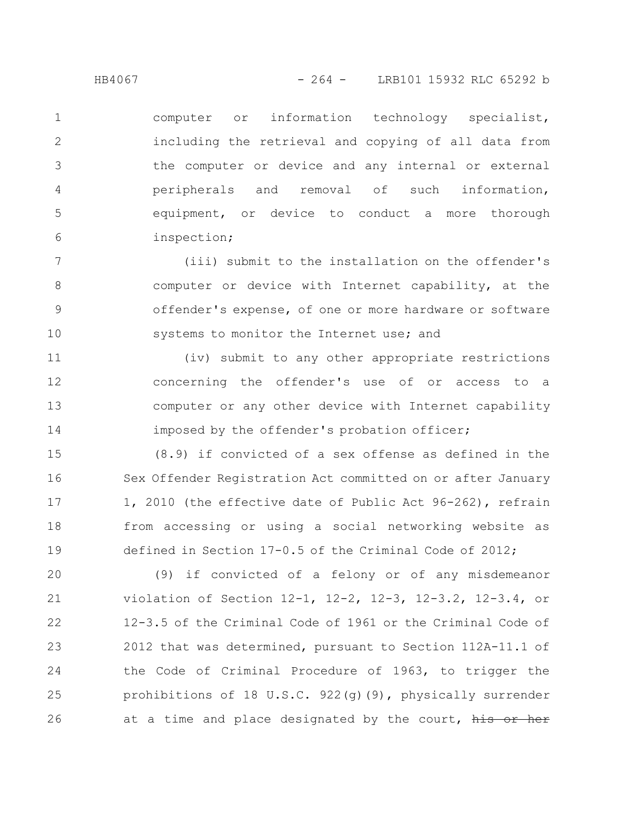computer or information technology specialist, including the retrieval and copying of all data from the computer or device and any internal or external peripherals and removal of such information, equipment, or device to conduct a more thorough inspection; 1 2 3 4 5 6

(iii) submit to the installation on the offender's computer or device with Internet capability, at the offender's expense, of one or more hardware or software systems to monitor the Internet use; and 7 8 9 10

(iv) submit to any other appropriate restrictions concerning the offender's use of or access to a computer or any other device with Internet capability imposed by the offender's probation officer; 11 12 13 14

(8.9) if convicted of a sex offense as defined in the Sex Offender Registration Act committed on or after January 1, 2010 (the effective date of Public Act 96-262), refrain from accessing or using a social networking website as defined in Section 17-0.5 of the Criminal Code of 2012; 15 16 17 18 19

(9) if convicted of a felony or of any misdemeanor violation of Section 12-1, 12-2, 12-3, 12-3.2, 12-3.4, or 12-3.5 of the Criminal Code of 1961 or the Criminal Code of 2012 that was determined, pursuant to Section 112A-11.1 of the Code of Criminal Procedure of 1963, to trigger the prohibitions of 18 U.S.C. 922(g)(9), physically surrender at a time and place designated by the court, his or her 20 21 22 23 24 25 26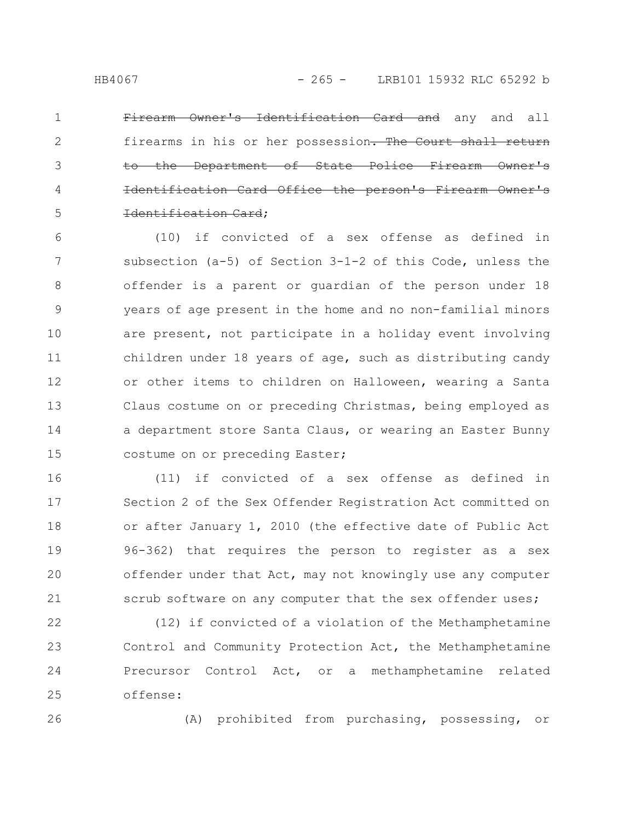Firearm Owner's Identification Card and any and all firearms in his or her possession. The Court shall return Department of State Police Firearm Identification Card Office the person's Firearm Owner's Identification Card; 1 2 3 4 5

(10) if convicted of a sex offense as defined in subsection (a-5) of Section 3-1-2 of this Code, unless the offender is a parent or guardian of the person under 18 years of age present in the home and no non-familial minors are present, not participate in a holiday event involving children under 18 years of age, such as distributing candy or other items to children on Halloween, wearing a Santa Claus costume on or preceding Christmas, being employed as a department store Santa Claus, or wearing an Easter Bunny costume on or preceding Easter; 6 7 8 9 10 11 12 13 14 15

(11) if convicted of a sex offense as defined in Section 2 of the Sex Offender Registration Act committed on or after January 1, 2010 (the effective date of Public Act 96-362) that requires the person to register as a sex offender under that Act, may not knowingly use any computer scrub software on any computer that the sex offender uses; 16 17 18 19 20 21

(12) if convicted of a violation of the Methamphetamine Control and Community Protection Act, the Methamphetamine Precursor Control Act, or a methamphetamine related offense: 22 23 24 25

26

(A) prohibited from purchasing, possessing, or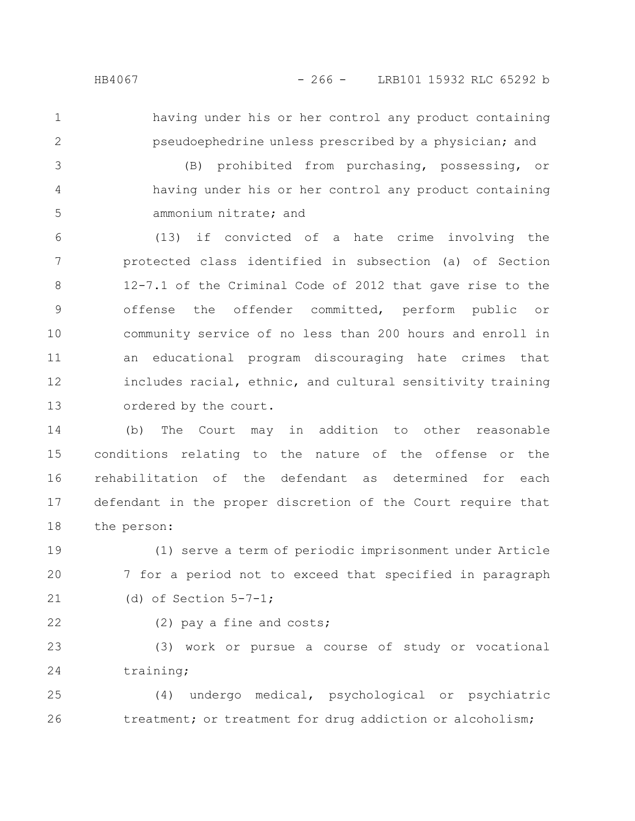- 
- 

1

2

having under his or her control any product containing pseudoephedrine unless prescribed by a physician; and

(B) prohibited from purchasing, possessing, or having under his or her control any product containing ammonium nitrate; and 3 4 5

(13) if convicted of a hate crime involving the protected class identified in subsection (a) of Section 12-7.1 of the Criminal Code of 2012 that gave rise to the offense the offender committed, perform public or community service of no less than 200 hours and enroll in an educational program discouraging hate crimes that includes racial, ethnic, and cultural sensitivity training ordered by the court. 6 7 8 9 10 11 12 13

(b) The Court may in addition to other reasonable conditions relating to the nature of the offense or the rehabilitation of the defendant as determined for each defendant in the proper discretion of the Court require that the person: 14 15 16 17 18

(1) serve a term of periodic imprisonment under Article 7 for a period not to exceed that specified in paragraph (d) of Section  $5-7-1$ ; 19 20 21

22

(2) pay a fine and costs;

(3) work or pursue a course of study or vocational training; 23 24

(4) undergo medical, psychological or psychiatric treatment; or treatment for drug addiction or alcoholism; 25 26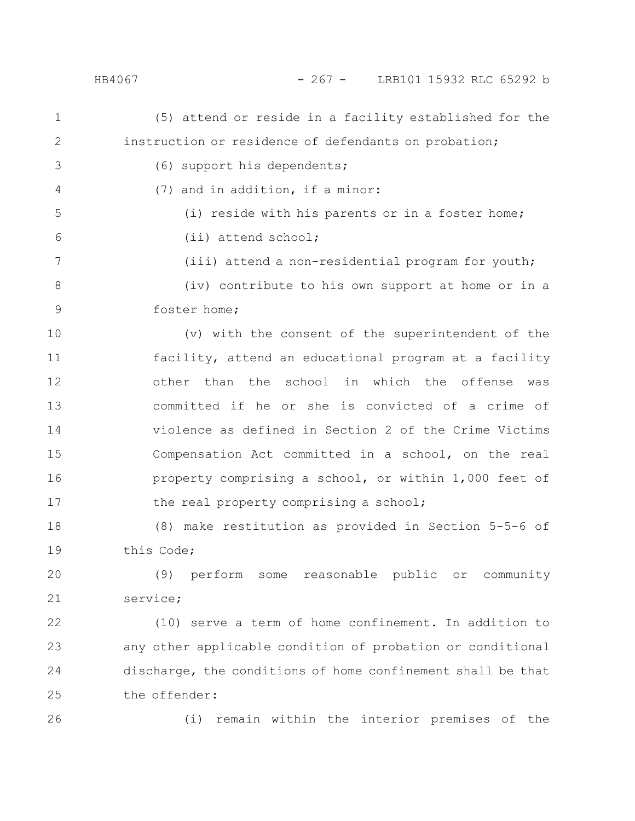(5) attend or reside in a facility established for the instruction or residence of defendants on probation; (6) support his dependents; (7) and in addition, if a minor: (i) reside with his parents or in a foster home; (ii) attend school; (iii) attend a non-residential program for youth; (iv) contribute to his own support at home or in a foster home; (v) with the consent of the superintendent of the facility, attend an educational program at a facility other than the school in which the offense was committed if he or she is convicted of a crime of violence as defined in Section 2 of the Crime Victims Compensation Act committed in a school, on the real property comprising a school, or within 1,000 feet of the real property comprising a school; (8) make restitution as provided in Section 5-5-6 of this Code; (9) perform some reasonable public or community service; (10) serve a term of home confinement. In addition to any other applicable condition of probation or conditional discharge, the conditions of home confinement shall be that the offender: 1 2 3 4 5 6 7 8 9 10 11 12 13 14 15 16 17 18 19 20 21 22 23 24 25

26

(i) remain within the interior premises of the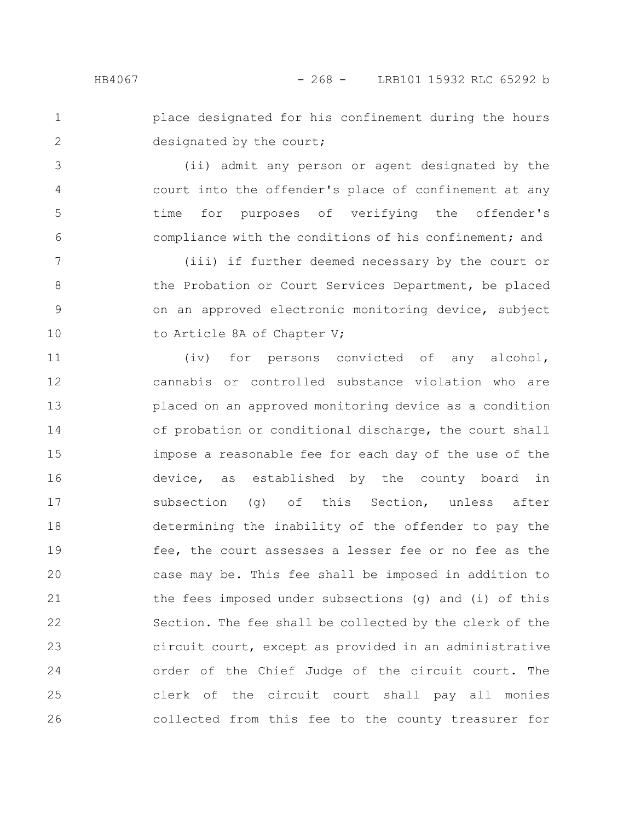1 2

3

4

5

6

place designated for his confinement during the hours designated by the court;

(ii) admit any person or agent designated by the court into the offender's place of confinement at any time for purposes of verifying the offender's compliance with the conditions of his confinement; and

(iii) if further deemed necessary by the court or the Probation or Court Services Department, be placed on an approved electronic monitoring device, subject to Article 8A of Chapter V; 7 8 9 10

(iv) for persons convicted of any alcohol, cannabis or controlled substance violation who are placed on an approved monitoring device as a condition of probation or conditional discharge, the court shall impose a reasonable fee for each day of the use of the device, as established by the county board in subsection (g) of this Section, unless after determining the inability of the offender to pay the fee, the court assesses a lesser fee or no fee as the case may be. This fee shall be imposed in addition to the fees imposed under subsections (g) and (i) of this Section. The fee shall be collected by the clerk of the circuit court, except as provided in an administrative order of the Chief Judge of the circuit court. The clerk of the circuit court shall pay all monies collected from this fee to the county treasurer for 11 12 13 14 15 16 17 18 19 20 21 22 23 24 25 26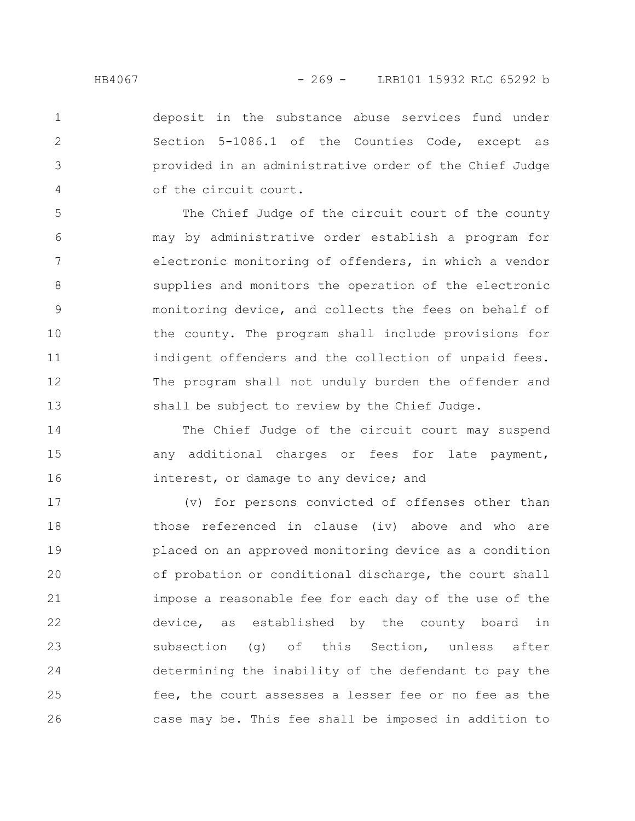1

2

3

4

deposit in the substance abuse services fund under Section 5-1086.1 of the Counties Code, except as provided in an administrative order of the Chief Judge of the circuit court.

The Chief Judge of the circuit court of the county may by administrative order establish a program for electronic monitoring of offenders, in which a vendor supplies and monitors the operation of the electronic monitoring device, and collects the fees on behalf of the county. The program shall include provisions for indigent offenders and the collection of unpaid fees. The program shall not unduly burden the offender and shall be subject to review by the Chief Judge. 5 6 7 8 9 10 11 12 13

The Chief Judge of the circuit court may suspend any additional charges or fees for late payment, interest, or damage to any device; and 14 15 16

(v) for persons convicted of offenses other than those referenced in clause (iv) above and who are placed on an approved monitoring device as a condition of probation or conditional discharge, the court shall impose a reasonable fee for each day of the use of the device, as established by the county board in subsection (g) of this Section, unless after determining the inability of the defendant to pay the fee, the court assesses a lesser fee or no fee as the case may be. This fee shall be imposed in addition to 17 18 19 20 21 22 23 24 25 26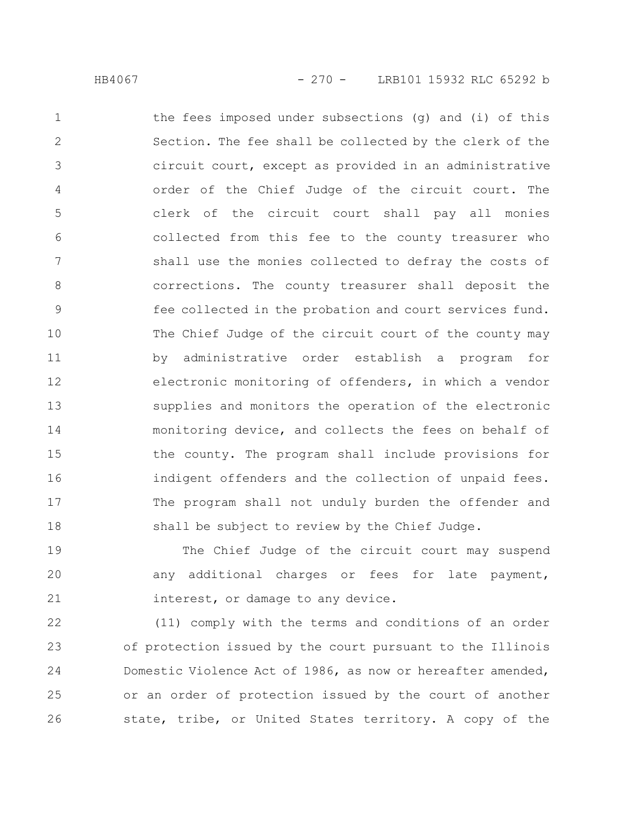the fees imposed under subsections (g) and (i) of this Section. The fee shall be collected by the clerk of the circuit court, except as provided in an administrative order of the Chief Judge of the circuit court. The clerk of the circuit court shall pay all monies collected from this fee to the county treasurer who shall use the monies collected to defray the costs of corrections. The county treasurer shall deposit the fee collected in the probation and court services fund. The Chief Judge of the circuit court of the county may by administrative order establish a program for electronic monitoring of offenders, in which a vendor supplies and monitors the operation of the electronic monitoring device, and collects the fees on behalf of the county. The program shall include provisions for indigent offenders and the collection of unpaid fees. The program shall not unduly burden the offender and shall be subject to review by the Chief Judge. 1 2 3 4 5 6 7 8 9 10 11 12 13 14 15 16 17 18

The Chief Judge of the circuit court may suspend any additional charges or fees for late payment, interest, or damage to any device. 19 20 21

(11) comply with the terms and conditions of an order of protection issued by the court pursuant to the Illinois Domestic Violence Act of 1986, as now or hereafter amended, or an order of protection issued by the court of another state, tribe, or United States territory. A copy of the 22 23 24 25 26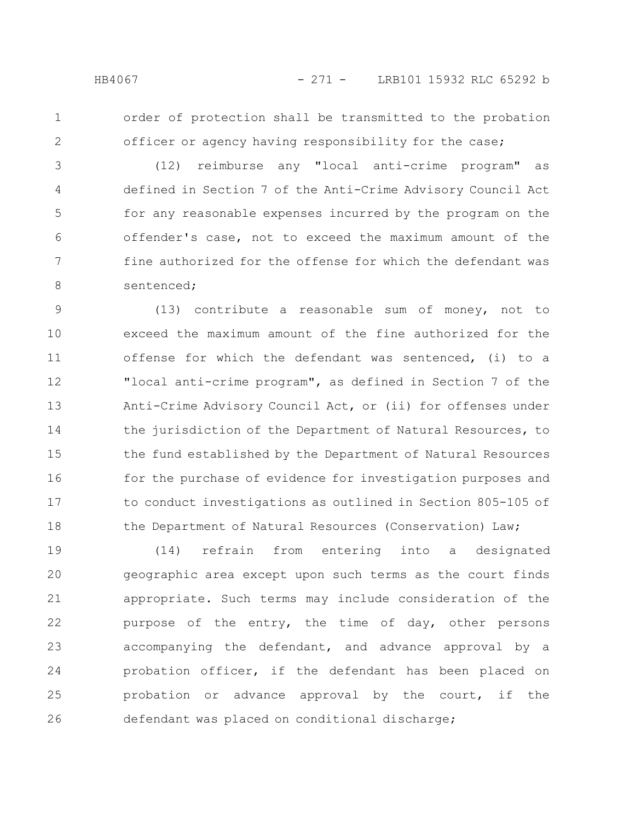1 2 order of protection shall be transmitted to the probation officer or agency having responsibility for the case;

(12) reimburse any "local anti-crime program" as defined in Section 7 of the Anti-Crime Advisory Council Act for any reasonable expenses incurred by the program on the offender's case, not to exceed the maximum amount of the fine authorized for the offense for which the defendant was sentenced; 3 4 5 6 7 8

(13) contribute a reasonable sum of money, not to exceed the maximum amount of the fine authorized for the offense for which the defendant was sentenced, (i) to a "local anti-crime program", as defined in Section 7 of the Anti-Crime Advisory Council Act, or (ii) for offenses under the jurisdiction of the Department of Natural Resources, to the fund established by the Department of Natural Resources for the purchase of evidence for investigation purposes and to conduct investigations as outlined in Section 805-105 of the Department of Natural Resources (Conservation) Law; 9 10 11 12 13 14 15 16 17 18

(14) refrain from entering into a designated geographic area except upon such terms as the court finds appropriate. Such terms may include consideration of the purpose of the entry, the time of day, other persons accompanying the defendant, and advance approval by a probation officer, if the defendant has been placed on probation or advance approval by the court, if the defendant was placed on conditional discharge; 19 20 21 22 23 24 25 26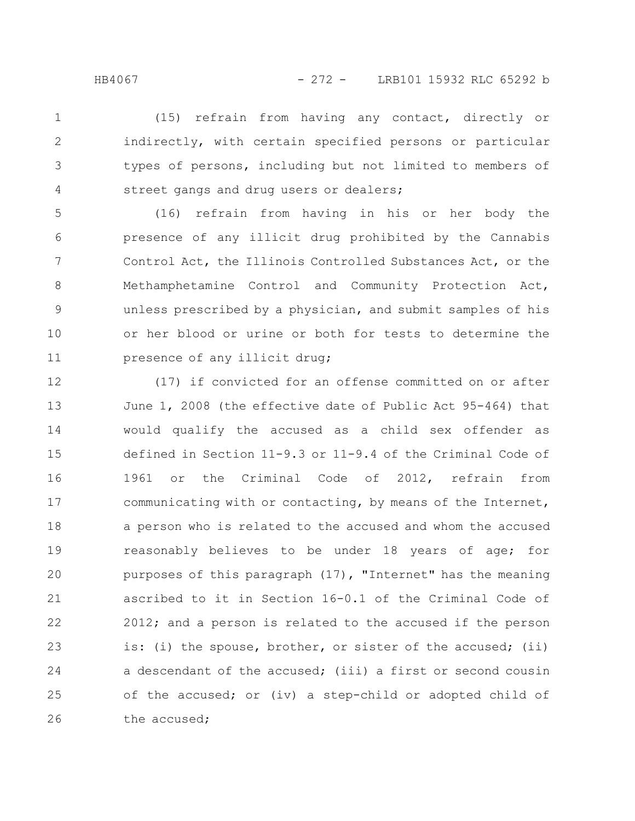(15) refrain from having any contact, directly or indirectly, with certain specified persons or particular types of persons, including but not limited to members of street gangs and drug users or dealers; 1 2 3 4

(16) refrain from having in his or her body the presence of any illicit drug prohibited by the Cannabis Control Act, the Illinois Controlled Substances Act, or the Methamphetamine Control and Community Protection Act, unless prescribed by a physician, and submit samples of his or her blood or urine or both for tests to determine the presence of any illicit drug; 5 6 7 8 9 10 11

(17) if convicted for an offense committed on or after June 1, 2008 (the effective date of Public Act 95-464) that would qualify the accused as a child sex offender as defined in Section 11-9.3 or 11-9.4 of the Criminal Code of 1961 or the Criminal Code of 2012, refrain from communicating with or contacting, by means of the Internet, a person who is related to the accused and whom the accused reasonably believes to be under 18 years of age; for purposes of this paragraph (17), "Internet" has the meaning ascribed to it in Section 16-0.1 of the Criminal Code of 2012; and a person is related to the accused if the person is: (i) the spouse, brother, or sister of the accused; (ii) a descendant of the accused; (iii) a first or second cousin of the accused; or (iv) a step-child or adopted child of the accused; 12 13 14 15 16 17 18 19 20 21 22 23 24 25 26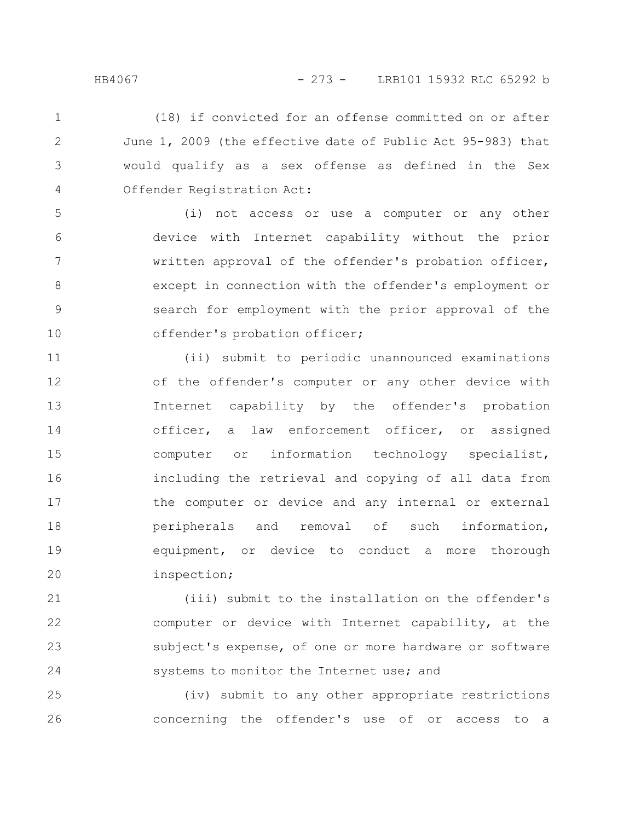(18) if convicted for an offense committed on or after June 1, 2009 (the effective date of Public Act 95-983) that would qualify as a sex offense as defined in the Sex Offender Registration Act: 1 2 3 4

(i) not access or use a computer or any other device with Internet capability without the prior written approval of the offender's probation officer, except in connection with the offender's employment or search for employment with the prior approval of the offender's probation officer; 5 6 7 8 9 10

(ii) submit to periodic unannounced examinations of the offender's computer or any other device with Internet capability by the offender's probation officer, a law enforcement officer, or assigned computer or information technology specialist, including the retrieval and copying of all data from the computer or device and any internal or external peripherals and removal of such information, equipment, or device to conduct a more thorough inspection; 11 12 13 14 15 16 17 18 19 20

(iii) submit to the installation on the offender's computer or device with Internet capability, at the subject's expense, of one or more hardware or software systems to monitor the Internet use; and 21 22 23 24

(iv) submit to any other appropriate restrictions concerning the offender's use of or access to a 25 26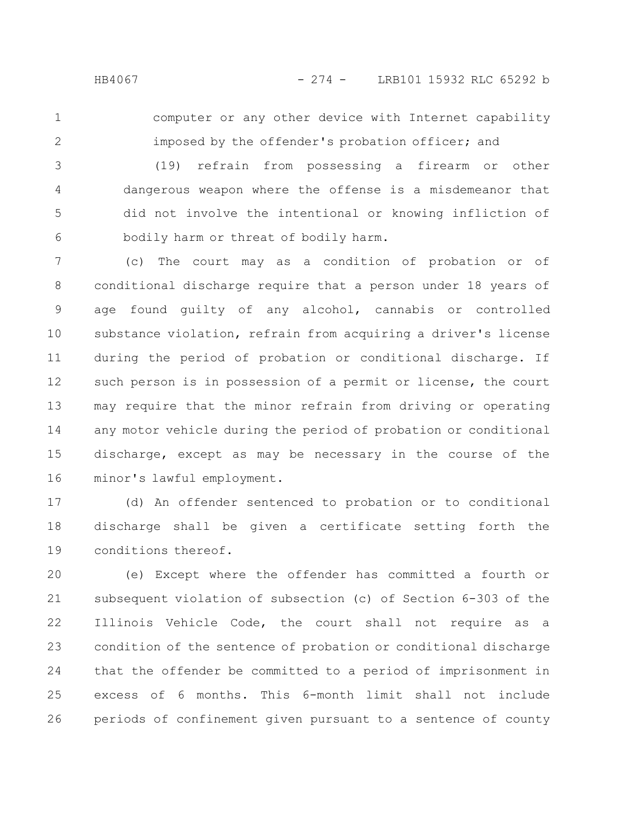1

2

computer or any other device with Internet capability imposed by the offender's probation officer; and

(19) refrain from possessing a firearm or other dangerous weapon where the offense is a misdemeanor that did not involve the intentional or knowing infliction of bodily harm or threat of bodily harm. 3 4 5 6

(c) The court may as a condition of probation or of conditional discharge require that a person under 18 years of age found guilty of any alcohol, cannabis or controlled substance violation, refrain from acquiring a driver's license during the period of probation or conditional discharge. If such person is in possession of a permit or license, the court may require that the minor refrain from driving or operating any motor vehicle during the period of probation or conditional discharge, except as may be necessary in the course of the minor's lawful employment. 7 8 9 10 11 12 13 14 15 16

(d) An offender sentenced to probation or to conditional discharge shall be given a certificate setting forth the conditions thereof. 17 18 19

(e) Except where the offender has committed a fourth or subsequent violation of subsection (c) of Section 6-303 of the Illinois Vehicle Code, the court shall not require as a condition of the sentence of probation or conditional discharge that the offender be committed to a period of imprisonment in excess of 6 months. This 6-month limit shall not include periods of confinement given pursuant to a sentence of county 20 21 22 23 24 25 26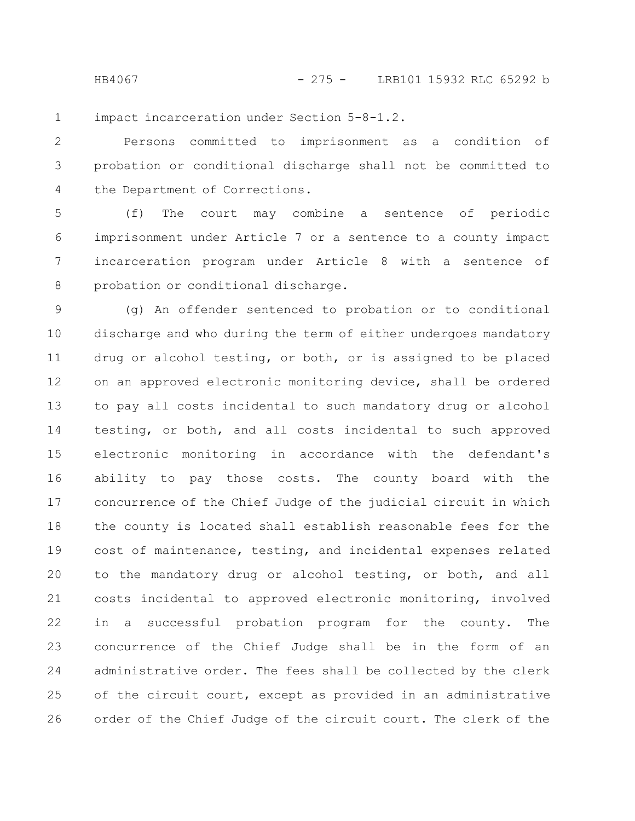HB4067 - 275 - LRB101 15932 RLC 65292 b

impact incarceration under Section 5-8-1.2. 1

Persons committed to imprisonment as a condition of probation or conditional discharge shall not be committed to the Department of Corrections. 2 3 4

(f) The court may combine a sentence of periodic imprisonment under Article 7 or a sentence to a county impact incarceration program under Article 8 with a sentence of probation or conditional discharge. 5 6 7 8

(g) An offender sentenced to probation or to conditional discharge and who during the term of either undergoes mandatory drug or alcohol testing, or both, or is assigned to be placed on an approved electronic monitoring device, shall be ordered to pay all costs incidental to such mandatory drug or alcohol testing, or both, and all costs incidental to such approved electronic monitoring in accordance with the defendant's ability to pay those costs. The county board with the concurrence of the Chief Judge of the judicial circuit in which the county is located shall establish reasonable fees for the cost of maintenance, testing, and incidental expenses related to the mandatory drug or alcohol testing, or both, and all costs incidental to approved electronic monitoring, involved in a successful probation program for the county. The concurrence of the Chief Judge shall be in the form of an administrative order. The fees shall be collected by the clerk of the circuit court, except as provided in an administrative order of the Chief Judge of the circuit court. The clerk of the 9 10 11 12 13 14 15 16 17 18 19 20 21 22 23 24 25 26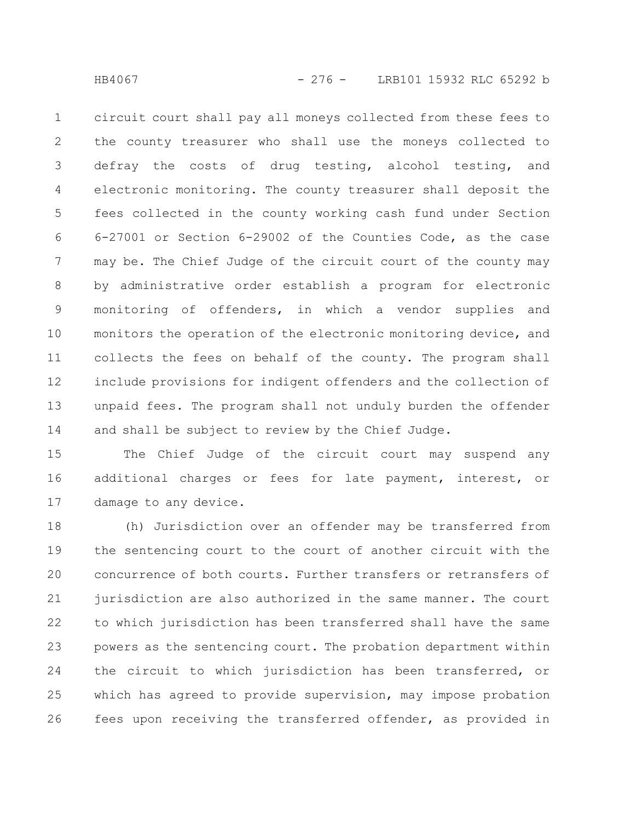circuit court shall pay all moneys collected from these fees to the county treasurer who shall use the moneys collected to defray the costs of drug testing, alcohol testing, and electronic monitoring. The county treasurer shall deposit the fees collected in the county working cash fund under Section 6-27001 or Section 6-29002 of the Counties Code, as the case may be. The Chief Judge of the circuit court of the county may by administrative order establish a program for electronic monitoring of offenders, in which a vendor supplies and monitors the operation of the electronic monitoring device, and collects the fees on behalf of the county. The program shall include provisions for indigent offenders and the collection of unpaid fees. The program shall not unduly burden the offender and shall be subject to review by the Chief Judge. 1 2 3 4 5 6 7 8 9 10 11 12 13 14

The Chief Judge of the circuit court may suspend any additional charges or fees for late payment, interest, or damage to any device. 15 16 17

(h) Jurisdiction over an offender may be transferred from the sentencing court to the court of another circuit with the concurrence of both courts. Further transfers or retransfers of jurisdiction are also authorized in the same manner. The court to which jurisdiction has been transferred shall have the same powers as the sentencing court. The probation department within the circuit to which jurisdiction has been transferred, or which has agreed to provide supervision, may impose probation fees upon receiving the transferred offender, as provided in 18 19 20 21 22 23 24 25 26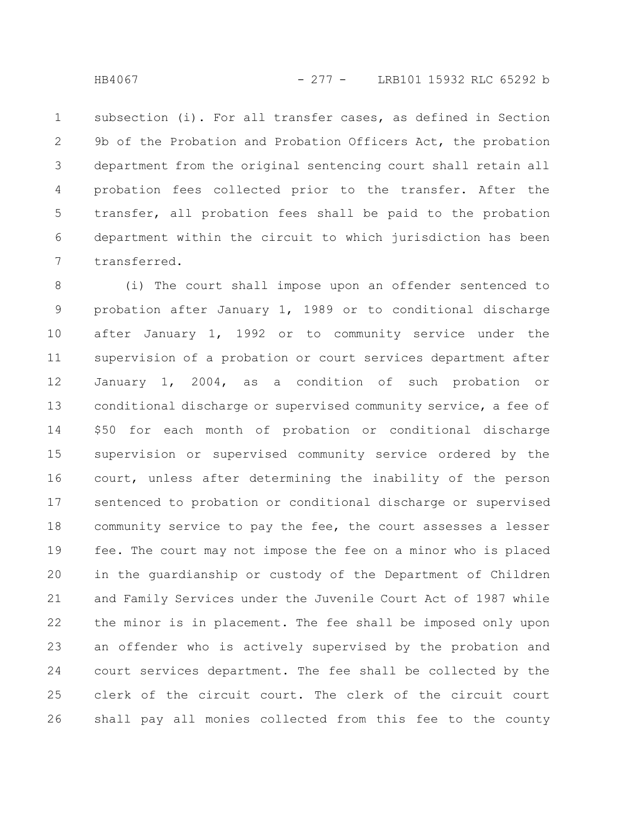subsection (i). For all transfer cases, as defined in Section 9b of the Probation and Probation Officers Act, the probation department from the original sentencing court shall retain all probation fees collected prior to the transfer. After the transfer, all probation fees shall be paid to the probation department within the circuit to which jurisdiction has been transferred. 1 2 3 4 5 6 7

(i) The court shall impose upon an offender sentenced to probation after January 1, 1989 or to conditional discharge after January 1, 1992 or to community service under the supervision of a probation or court services department after January 1, 2004, as a condition of such probation or conditional discharge or supervised community service, a fee of \$50 for each month of probation or conditional discharge supervision or supervised community service ordered by the court, unless after determining the inability of the person sentenced to probation or conditional discharge or supervised community service to pay the fee, the court assesses a lesser fee. The court may not impose the fee on a minor who is placed in the guardianship or custody of the Department of Children and Family Services under the Juvenile Court Act of 1987 while the minor is in placement. The fee shall be imposed only upon an offender who is actively supervised by the probation and court services department. The fee shall be collected by the clerk of the circuit court. The clerk of the circuit court shall pay all monies collected from this fee to the county 8 9 10 11 12 13 14 15 16 17 18 19 20 21 22 23 24 25 26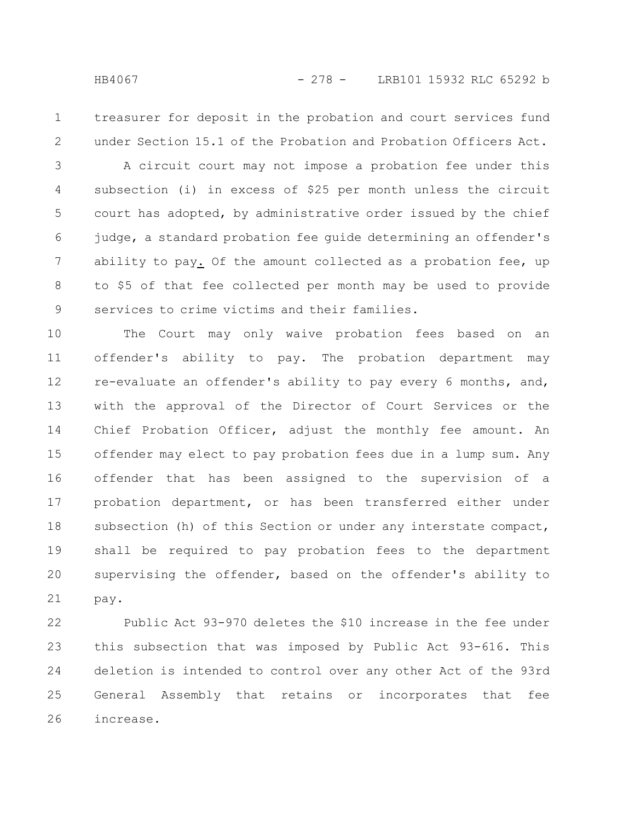1 2

treasurer for deposit in the probation and court services fund under Section 15.1 of the Probation and Probation Officers Act.

A circuit court may not impose a probation fee under this subsection (i) in excess of \$25 per month unless the circuit court has adopted, by administrative order issued by the chief judge, a standard probation fee guide determining an offender's ability to pay. Of the amount collected as a probation fee, up to \$5 of that fee collected per month may be used to provide services to crime victims and their families. 3 4 5 6 7 8 9

The Court may only waive probation fees based on an offender's ability to pay. The probation department may re-evaluate an offender's ability to pay every 6 months, and, with the approval of the Director of Court Services or the Chief Probation Officer, adjust the monthly fee amount. An offender may elect to pay probation fees due in a lump sum. Any offender that has been assigned to the supervision of a probation department, or has been transferred either under subsection (h) of this Section or under any interstate compact, shall be required to pay probation fees to the department supervising the offender, based on the offender's ability to pay. 10 11 12 13 14 15 16 17 18 19 20 21

Public Act 93-970 deletes the \$10 increase in the fee under this subsection that was imposed by Public Act 93-616. This deletion is intended to control over any other Act of the 93rd General Assembly that retains or incorporates that fee increase. 22 23 24 25 26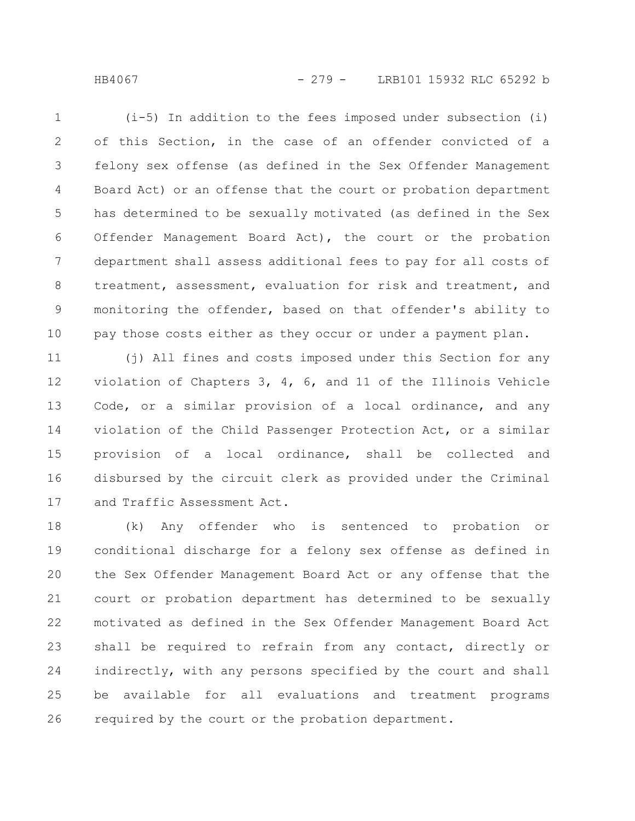HB4067 - 279 - LRB101 15932 RLC 65292 b

(i-5) In addition to the fees imposed under subsection (i) of this Section, in the case of an offender convicted of a felony sex offense (as defined in the Sex Offender Management Board Act) or an offense that the court or probation department has determined to be sexually motivated (as defined in the Sex Offender Management Board Act), the court or the probation department shall assess additional fees to pay for all costs of treatment, assessment, evaluation for risk and treatment, and monitoring the offender, based on that offender's ability to pay those costs either as they occur or under a payment plan. 1 2 3 4 5 6 7 8 9

(j) All fines and costs imposed under this Section for any violation of Chapters 3, 4, 6, and 11 of the Illinois Vehicle Code, or a similar provision of a local ordinance, and any violation of the Child Passenger Protection Act, or a similar provision of a local ordinance, shall be collected and disbursed by the circuit clerk as provided under the Criminal and Traffic Assessment Act. 11 12 13 14 15 16 17

(k) Any offender who is sentenced to probation or conditional discharge for a felony sex offense as defined in the Sex Offender Management Board Act or any offense that the court or probation department has determined to be sexually motivated as defined in the Sex Offender Management Board Act shall be required to refrain from any contact, directly or indirectly, with any persons specified by the court and shall be available for all evaluations and treatment programs required by the court or the probation department. 18 19 20 21 22 23 24 25 26

10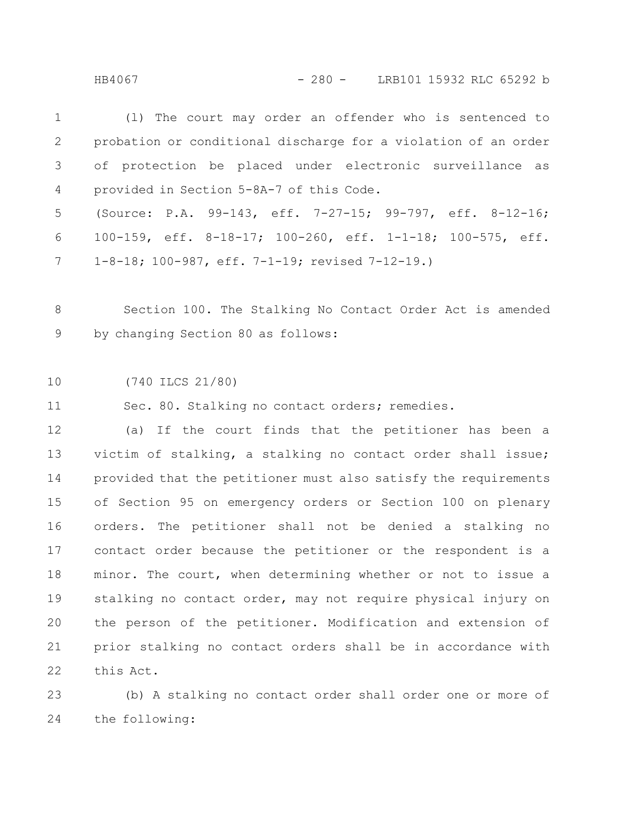HB4067 - 280 - LRB101 15932 RLC 65292 b

| $1 \quad \blacksquare$ | (1) The court may order an offender who is sentenced to        |
|------------------------|----------------------------------------------------------------|
| $\overline{2}$         | probation or conditional discharge for a violation of an order |
|                        | 3 of protection be placed under electronic surveillance as     |
|                        | 4 provided in Section 5-8A-7 of this Code.                     |
|                        | 5 (Source: P.A. 99-143, eff. 7-27-15; 99-797, eff. 8-12-16;    |
|                        | 6 100-159, eff. 8-18-17; 100-260, eff. 1-1-18; 100-575, eff.   |
|                        | 7 1-8-18; 100-987, eff. 7-1-19; revised 7-12-19.)              |

Section 100. The Stalking No Contact Order Act is amended by changing Section 80 as follows: 8 9

(740 ILCS 21/80) 10

Sec. 80. Stalking no contact orders; remedies. 11

(a) If the court finds that the petitioner has been a victim of stalking, a stalking no contact order shall issue; provided that the petitioner must also satisfy the requirements of Section 95 on emergency orders or Section 100 on plenary orders. The petitioner shall not be denied a stalking no contact order because the petitioner or the respondent is a minor. The court, when determining whether or not to issue a stalking no contact order, may not require physical injury on the person of the petitioner. Modification and extension of prior stalking no contact orders shall be in accordance with this Act. 12 13 14 15 16 17 18 19 20 21 22

(b) A stalking no contact order shall order one or more of the following: 23 24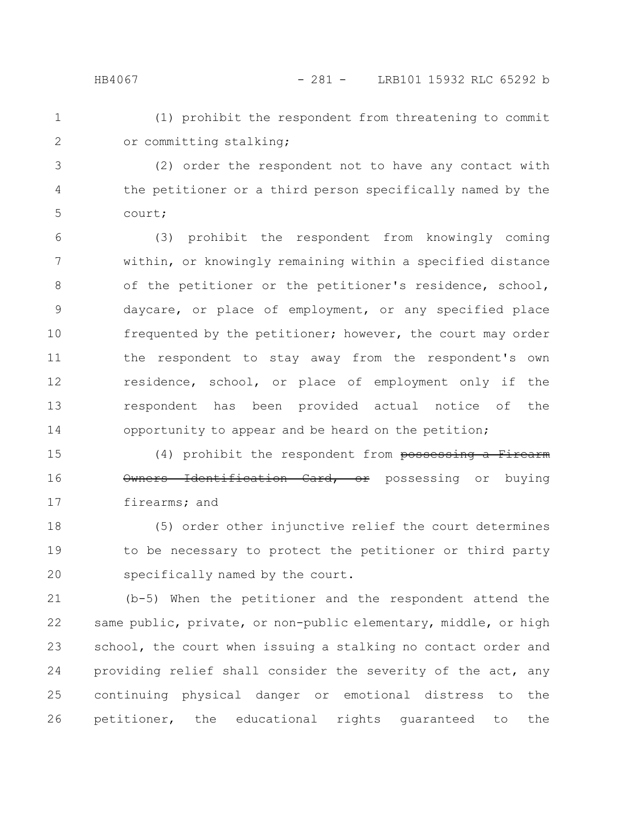## HB4067 - 281 - LRB101 15932 RLC 65292 b

(1) prohibit the respondent from threatening to commit or committing stalking; 1 2

(2) order the respondent not to have any contact with the petitioner or a third person specifically named by the court; 3 4 5

(3) prohibit the respondent from knowingly coming within, or knowingly remaining within a specified distance of the petitioner or the petitioner's residence, school, daycare, or place of employment, or any specified place frequented by the petitioner; however, the court may order the respondent to stay away from the respondent's own residence, school, or place of employment only if the respondent has been provided actual notice of the opportunity to appear and be heard on the petition; 6 7 8 9 10 11 12 13 14

(4) prohibit the respondent from possessing a Firearm Owners Identification Card, or possessing or buying firearms; and 15 16 17

(5) order other injunctive relief the court determines to be necessary to protect the petitioner or third party specifically named by the court. 18 19 20

(b-5) When the petitioner and the respondent attend the same public, private, or non-public elementary, middle, or high school, the court when issuing a stalking no contact order and providing relief shall consider the severity of the act, any continuing physical danger or emotional distress to the petitioner, the educational rights guaranteed to the 21 22 23 24 25 26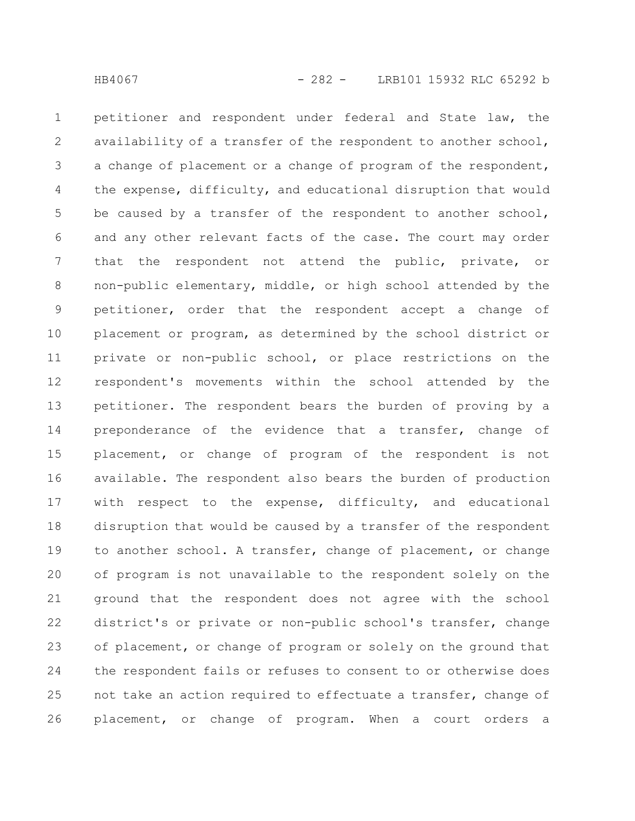petitioner and respondent under federal and State law, the availability of a transfer of the respondent to another school, a change of placement or a change of program of the respondent, the expense, difficulty, and educational disruption that would be caused by a transfer of the respondent to another school, and any other relevant facts of the case. The court may order that the respondent not attend the public, private, or non-public elementary, middle, or high school attended by the petitioner, order that the respondent accept a change of placement or program, as determined by the school district or private or non-public school, or place restrictions on the respondent's movements within the school attended by the petitioner. The respondent bears the burden of proving by a preponderance of the evidence that a transfer, change of placement, or change of program of the respondent is not available. The respondent also bears the burden of production with respect to the expense, difficulty, and educational disruption that would be caused by a transfer of the respondent to another school. A transfer, change of placement, or change of program is not unavailable to the respondent solely on the ground that the respondent does not agree with the school district's or private or non-public school's transfer, change of placement, or change of program or solely on the ground that the respondent fails or refuses to consent to or otherwise does not take an action required to effectuate a transfer, change of placement, or change of program. When a court orders a 1 2 3 4 5 6 7 8 9 10 11 12 13 14 15 16 17 18 19 20 21 22 23 24 25 26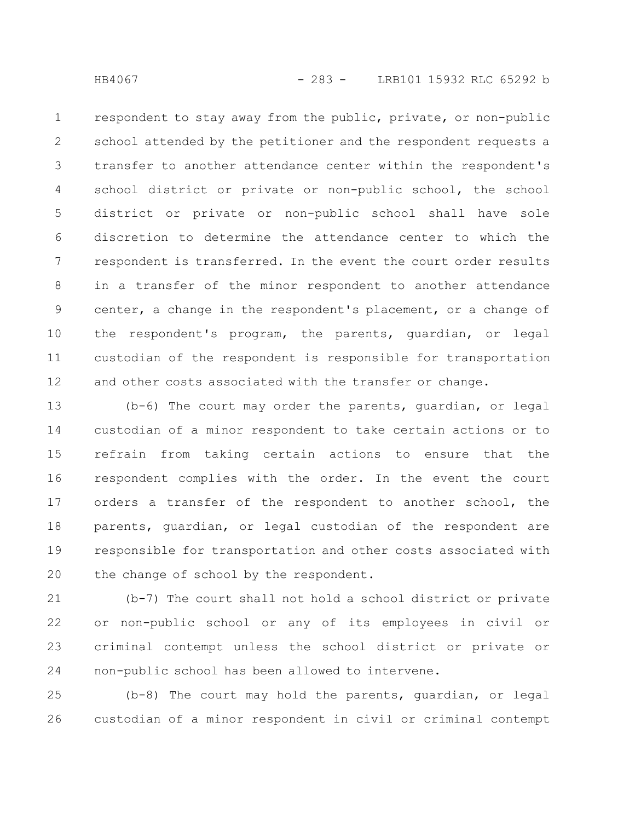respondent to stay away from the public, private, or non-public school attended by the petitioner and the respondent requests a transfer to another attendance center within the respondent's school district or private or non-public school, the school district or private or non-public school shall have sole discretion to determine the attendance center to which the respondent is transferred. In the event the court order results in a transfer of the minor respondent to another attendance center, a change in the respondent's placement, or a change of the respondent's program, the parents, guardian, or legal custodian of the respondent is responsible for transportation and other costs associated with the transfer or change. 1 2 3 4 5 6 7 8 9 10 11 12

(b-6) The court may order the parents, guardian, or legal custodian of a minor respondent to take certain actions or to refrain from taking certain actions to ensure that the respondent complies with the order. In the event the court orders a transfer of the respondent to another school, the parents, guardian, or legal custodian of the respondent are responsible for transportation and other costs associated with the change of school by the respondent. 13 14 15 16 17 18 19 20

(b-7) The court shall not hold a school district or private or non-public school or any of its employees in civil or criminal contempt unless the school district or private or non-public school has been allowed to intervene. 21 22 23 24

(b-8) The court may hold the parents, guardian, or legal custodian of a minor respondent in civil or criminal contempt 25 26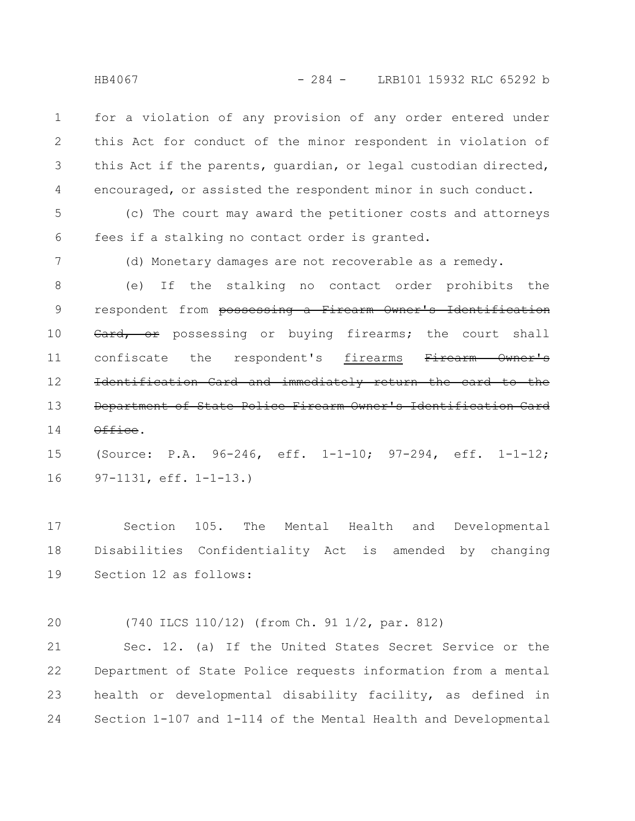HB4067 - 284 - LRB101 15932 RLC 65292 b

for a violation of any provision of any order entered under this Act for conduct of the minor respondent in violation of this Act if the parents, guardian, or legal custodian directed, encouraged, or assisted the respondent minor in such conduct. 1 2 3 4

(c) The court may award the petitioner costs and attorneys fees if a stalking no contact order is granted. 5 6

7

(d) Monetary damages are not recoverable as a remedy.

(e) If the stalking no contact order prohibits the respondent from possessing a Firearm Owner's Identification Card, or possessing or buying firearms; the court shall confiscate the respondent's firearms Firearm Owner's Identification Card and immediately return the card to the Department of State Police Firearm Owner's Office. 8 9 10 11 12 13 14

(Source: P.A. 96-246, eff. 1-1-10; 97-294, eff. 1-1-12; 97-1131, eff. 1-1-13.) 15 16

Section 105. The Mental Health and Developmental Disabilities Confidentiality Act is amended by changing Section 12 as follows: 17 18 19

(740 ILCS 110/12) (from Ch. 91 1/2, par. 812) 20

Sec. 12. (a) If the United States Secret Service or the Department of State Police requests information from a mental health or developmental disability facility, as defined in Section 1-107 and 1-114 of the Mental Health and Developmental 21 22 23 24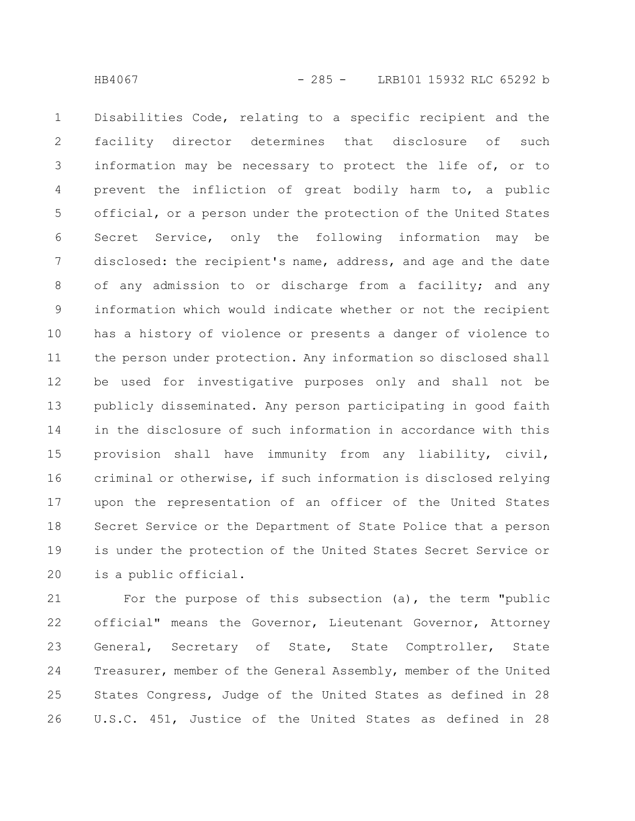Disabilities Code, relating to a specific recipient and the facility director determines that disclosure of such information may be necessary to protect the life of, or to prevent the infliction of great bodily harm to, a public official, or a person under the protection of the United States Secret Service, only the following information may be disclosed: the recipient's name, address, and age and the date of any admission to or discharge from a facility; and any information which would indicate whether or not the recipient has a history of violence or presents a danger of violence to the person under protection. Any information so disclosed shall be used for investigative purposes only and shall not be publicly disseminated. Any person participating in good faith in the disclosure of such information in accordance with this provision shall have immunity from any liability, civil, criminal or otherwise, if such information is disclosed relying upon the representation of an officer of the United States Secret Service or the Department of State Police that a person is under the protection of the United States Secret Service or is a public official. 1 2 3 4 5 6 7 8 9 10 11 12 13 14 15 16 17 18 19 20

For the purpose of this subsection (a), the term "public official" means the Governor, Lieutenant Governor, Attorney General, Secretary of State, State Comptroller, State Treasurer, member of the General Assembly, member of the United States Congress, Judge of the United States as defined in 28 U.S.C. 451, Justice of the United States as defined in 28 21 22 23 24 25 26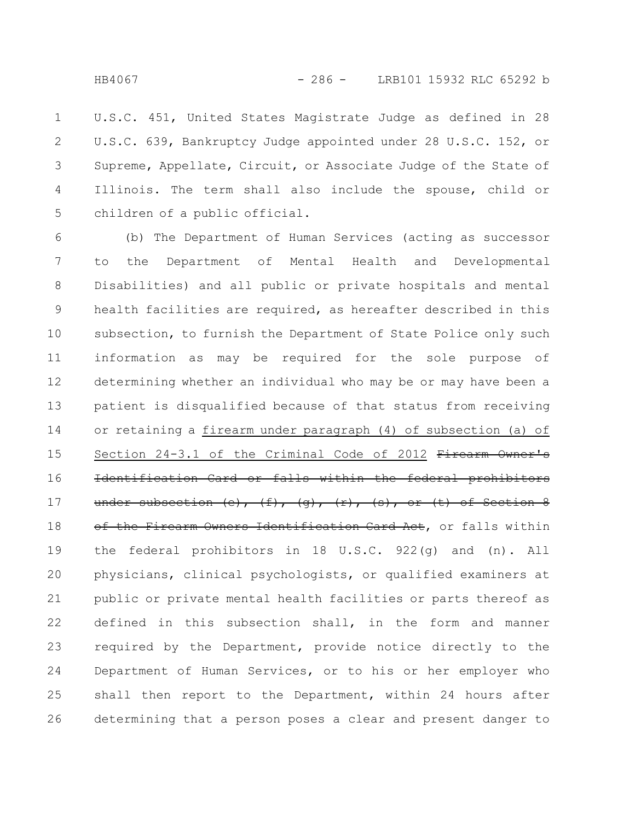U.S.C. 451, United States Magistrate Judge as defined in 28 U.S.C. 639, Bankruptcy Judge appointed under 28 U.S.C. 152, or Supreme, Appellate, Circuit, or Associate Judge of the State of Illinois. The term shall also include the spouse, child or children of a public official. 1 2 3 4 5

(b) The Department of Human Services (acting as successor to the Department of Mental Health and Developmental Disabilities) and all public or private hospitals and mental health facilities are required, as hereafter described in this subsection, to furnish the Department of State Police only such information as may be required for the sole purpose of determining whether an individual who may be or may have been a patient is disqualified because of that status from receiving or retaining a firearm under paragraph (4) of subsection (a) of Section 24-3.1 of the Criminal Code of 2012 Firearm Owner's Identification Card or falls within the federal prohibitors under subsection (e),  $(f)$ ,  $(g)$ ,  $(r)$ ,  $(s)$ , or  $(t)$  of Section 8 of the Firearm Owners Identification Card Act, or falls within the federal prohibitors in 18 U.S.C. 922(g) and (n). All physicians, clinical psychologists, or qualified examiners at public or private mental health facilities or parts thereof as defined in this subsection shall, in the form and manner required by the Department, provide notice directly to the Department of Human Services, or to his or her employer who shall then report to the Department, within 24 hours after determining that a person poses a clear and present danger to 6 7 8 9 10 11 12 13 14 15 16 17 18 19 20 21 22 23 24 25 26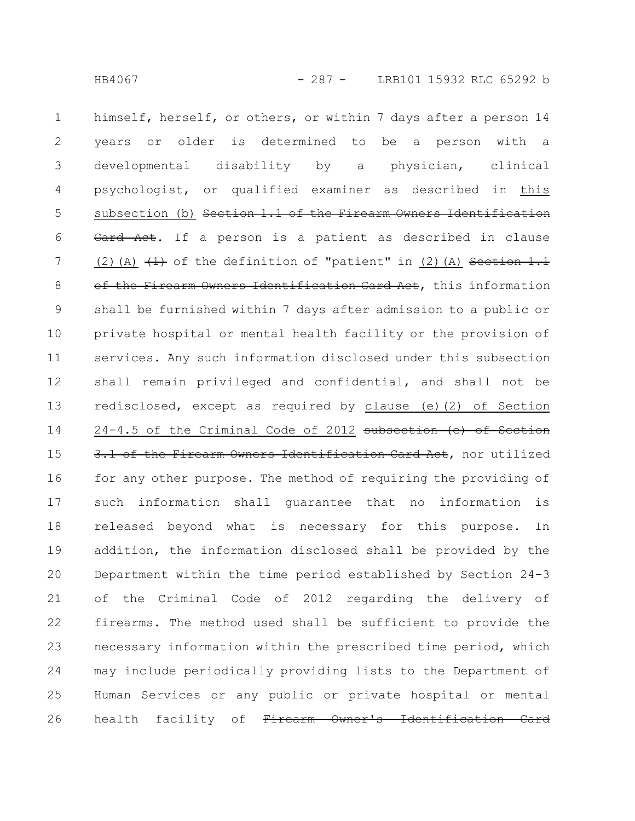himself, herself, or others, or within 7 days after a person 14 years or older is determined to be a person with a developmental disability by a physician, clinical psychologist, or qualified examiner as described in this subsection (b) Section 1.1 of the Firearm Owners Identification Card Act. If a person is a patient as described in clause (2)(A)  $(1)$  of the definition of "patient" in (2)(A) Section 1.1 of the Firearm Owners Identification Card Act, this information shall be furnished within 7 days after admission to a public or private hospital or mental health facility or the provision of services. Any such information disclosed under this subsection shall remain privileged and confidential, and shall not be redisclosed, except as required by clause (e)(2) of Section 24-4.5 of the Criminal Code of 2012 subsection (e) of Section 3.1 of the Firearm Owners Identification Card Act, nor utilized for any other purpose. The method of requiring the providing of such information shall guarantee that no information is released beyond what is necessary for this purpose. In addition, the information disclosed shall be provided by the Department within the time period established by Section 24-3 of the Criminal Code of 2012 regarding the delivery of firearms. The method used shall be sufficient to provide the necessary information within the prescribed time period, which may include periodically providing lists to the Department of Human Services or any public or private hospital or mental health facility of Firearm Owner's Identification 1 2 3 4 5 6 7 8 9 10 11 12 13 14 15 16 17 18 19 20 21 22 23 24 25 26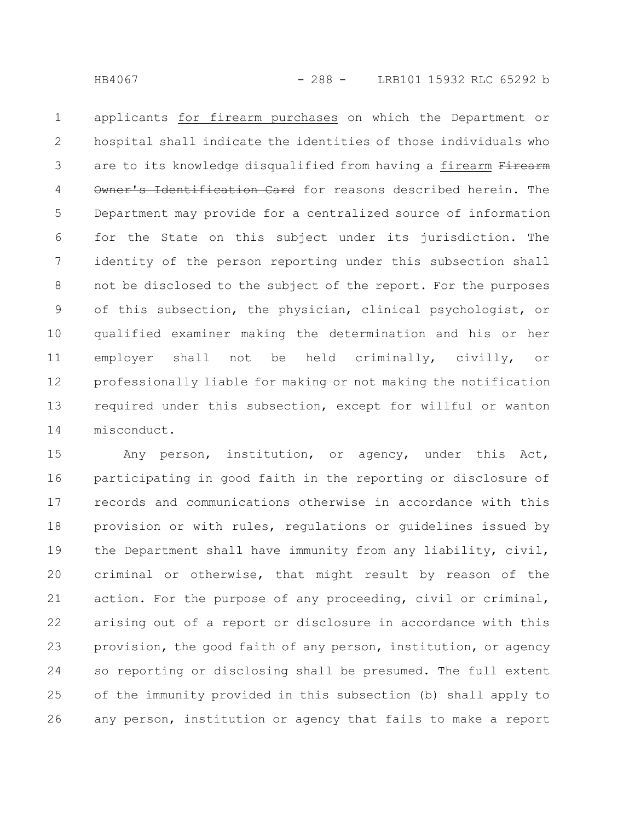applicants for firearm purchases on which the Department or hospital shall indicate the identities of those individuals who are to its knowledge disqualified from having a firearm Firearm Owner's Identification Card for reasons described herein. The Department may provide for a centralized source of information for the State on this subject under its jurisdiction. The identity of the person reporting under this subsection shall not be disclosed to the subject of the report. For the purposes of this subsection, the physician, clinical psychologist, or qualified examiner making the determination and his or her employer shall not be held criminally, civilly, or professionally liable for making or not making the notification required under this subsection, except for willful or wanton misconduct. 1 2 3 4 5 6 7 8 9 10 11 12 13 14

Any person, institution, or agency, under this Act, participating in good faith in the reporting or disclosure of records and communications otherwise in accordance with this provision or with rules, regulations or guidelines issued by the Department shall have immunity from any liability, civil, criminal or otherwise, that might result by reason of the action. For the purpose of any proceeding, civil or criminal, arising out of a report or disclosure in accordance with this provision, the good faith of any person, institution, or agency so reporting or disclosing shall be presumed. The full extent of the immunity provided in this subsection (b) shall apply to any person, institution or agency that fails to make a report 15 16 17 18 19 20 21 22 23 24 25 26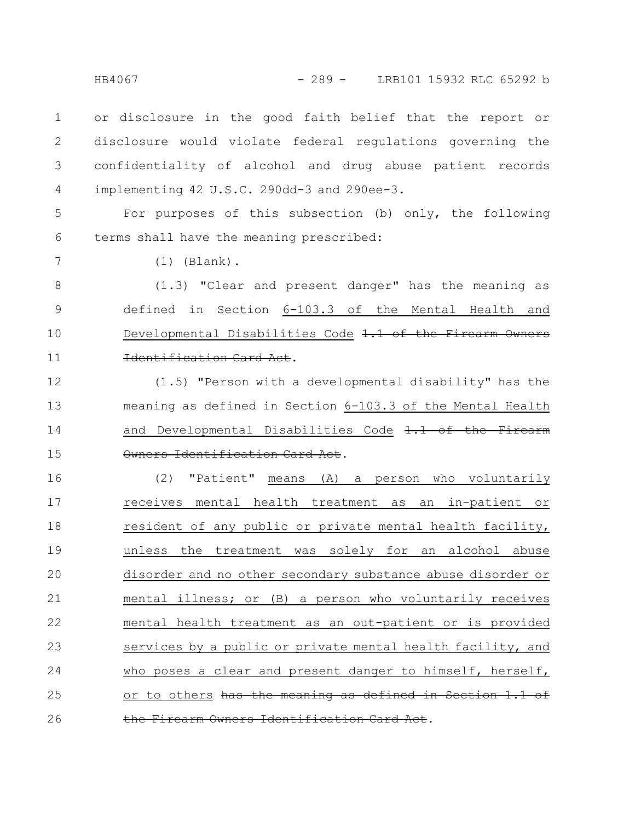HB4067 - 289 - LRB101 15932 RLC 65292 b

or disclosure in the good faith belief that the report or disclosure would violate federal regulations governing the confidentiality of alcohol and drug abuse patient records implementing 42 U.S.C. 290dd-3 and 290ee-3. 1 2 3 4

For purposes of this subsection (b) only, the following terms shall have the meaning prescribed: 5 6

7

(1) (Blank).

(1.3) "Clear and present danger" has the meaning as defined in Section 6-103.3 of the Mental Health and Developmental Disabilities Code 1.1 of the Firearm Owners Identification Card Act. 8 9 10 11

(1.5) "Person with a developmental disability" has the meaning as defined in Section 6-103.3 of the Mental Health and Developmental Disabilities Code 1.1 of the Firearm Owners Identification Card Act. 12 13 14 15

(2) "Patient" means (A) a person who voluntarily receives mental health treatment as an in-patient or resident of any public or private mental health facility, unless the treatment was solely for an alcohol abuse disorder and no other secondary substance abuse disorder or mental illness; or (B) a person who voluntarily receives mental health treatment as an out-patient or is provided services by a public or private mental health facility, and who poses a clear and present danger to himself, herself, or to others has the meaning as defined in Section 1.1 of Firearm Owners Identification Card Act. 16 17 18 19 20 21 22 23 24 25 26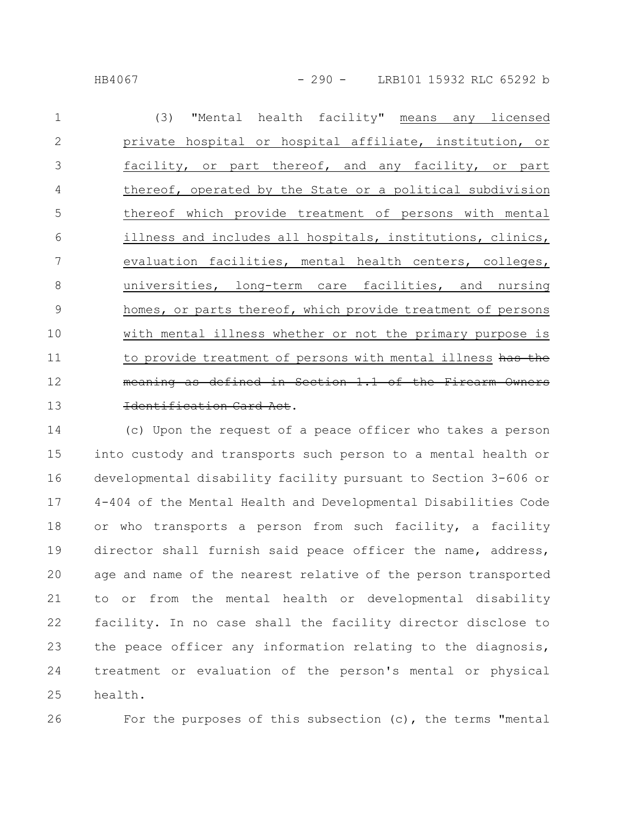HB4067 - 290 - LRB101 15932 RLC 65292 b

(3) "Mental health facility" means any licensed private hospital or hospital affiliate, institution, or facility, or part thereof, and any facility, or part thereof, operated by the State or a political subdivision thereof which provide treatment of persons with mental illness and includes all hospitals, institutions, clinics, evaluation facilities, mental health centers, colleges, universities, long-term care facilities, and nursing homes, or parts thereof, which provide treatment of persons with mental illness whether or not the primary purpose is to provide treatment of persons with mental illness has the meaning as defined in Section 1.1 of the Firearm Identification Card Act. 1 2 3 4 5 6 7 8 9 10 11 12 13

(c) Upon the request of a peace officer who takes a person into custody and transports such person to a mental health or developmental disability facility pursuant to Section 3-606 or 4-404 of the Mental Health and Developmental Disabilities Code or who transports a person from such facility, a facility director shall furnish said peace officer the name, address, age and name of the nearest relative of the person transported to or from the mental health or developmental disability facility. In no case shall the facility director disclose to the peace officer any information relating to the diagnosis, treatment or evaluation of the person's mental or physical health. 14 15 16 17 18 19 20 21 22 23 24 25

26

For the purposes of this subsection (c), the terms "mental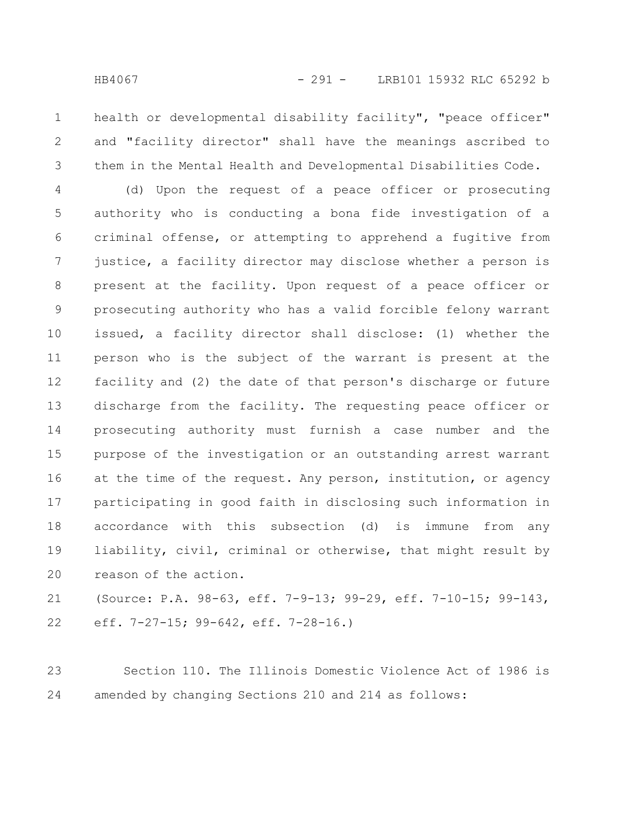health or developmental disability facility", "peace officer" and "facility director" shall have the meanings ascribed to them in the Mental Health and Developmental Disabilities Code. 1 2 3

(d) Upon the request of a peace officer or prosecuting authority who is conducting a bona fide investigation of a criminal offense, or attempting to apprehend a fugitive from justice, a facility director may disclose whether a person is present at the facility. Upon request of a peace officer or prosecuting authority who has a valid forcible felony warrant issued, a facility director shall disclose: (1) whether the person who is the subject of the warrant is present at the facility and (2) the date of that person's discharge or future discharge from the facility. The requesting peace officer or prosecuting authority must furnish a case number and the purpose of the investigation or an outstanding arrest warrant at the time of the request. Any person, institution, or agency participating in good faith in disclosing such information in accordance with this subsection (d) is immune from any liability, civil, criminal or otherwise, that might result by reason of the action. 4 5 6 7 8 9 10 11 12 13 14 15 16 17 18 19 20

(Source: P.A. 98-63, eff. 7-9-13; 99-29, eff. 7-10-15; 99-143, eff. 7-27-15; 99-642, eff. 7-28-16.) 21 22

Section 110. The Illinois Domestic Violence Act of 1986 is amended by changing Sections 210 and 214 as follows: 23 24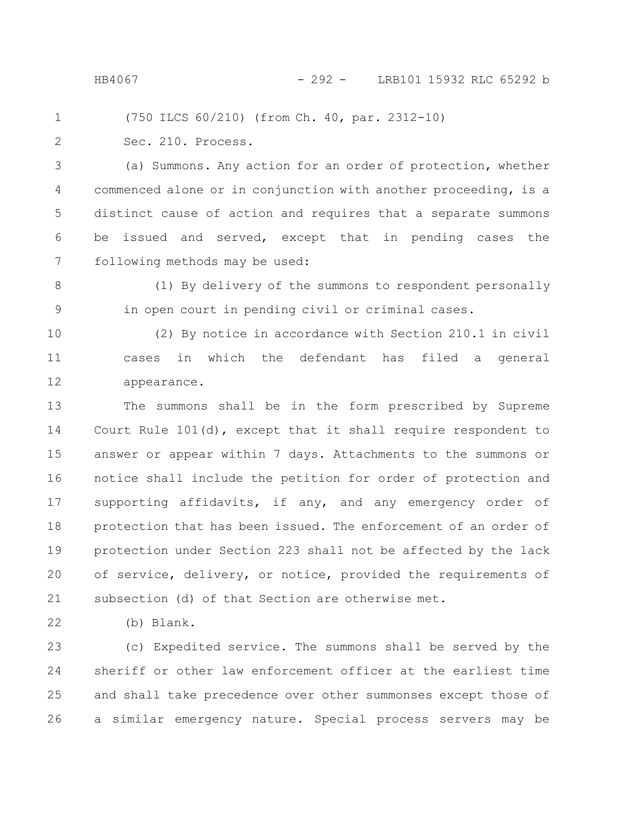(750 ILCS 60/210) (from Ch. 40, par. 2312-10) 1

2

Sec. 210. Process.

(a) Summons. Any action for an order of protection, whether commenced alone or in conjunction with another proceeding, is a distinct cause of action and requires that a separate summons be issued and served, except that in pending cases the following methods may be used: 3 4 5 6 7

(1) By delivery of the summons to respondent personally in open court in pending civil or criminal cases. 8 9

(2) By notice in accordance with Section 210.1 in civil cases in which the defendant has filed a general appearance. 10 11 12

The summons shall be in the form prescribed by Supreme Court Rule 101(d), except that it shall require respondent to answer or appear within 7 days. Attachments to the summons or notice shall include the petition for order of protection and supporting affidavits, if any, and any emergency order of protection that has been issued. The enforcement of an order of protection under Section 223 shall not be affected by the lack of service, delivery, or notice, provided the requirements of subsection (d) of that Section are otherwise met. 13 14 15 16 17 18 19 20 21

(b) Blank. 22

(c) Expedited service. The summons shall be served by the sheriff or other law enforcement officer at the earliest time and shall take precedence over other summonses except those of a similar emergency nature. Special process servers may be 23 24 25 26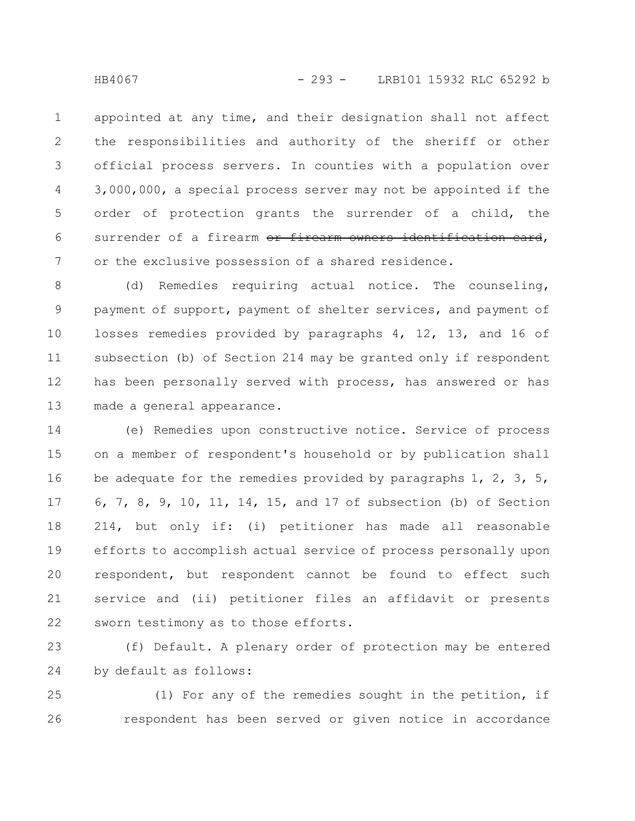appointed at any time, and their designation shall not affect the responsibilities and authority of the sheriff or other official process servers. In counties with a population over 3,000,000, a special process server may not be appointed if the order of protection grants the surrender of a child, the surrender of a firearm or firearm owners identification card, or the exclusive possession of a shared residence. 1 2 3 4 5 6 7

(d) Remedies requiring actual notice. The counseling, payment of support, payment of shelter services, and payment of losses remedies provided by paragraphs 4, 12, 13, and 16 of subsection (b) of Section 214 may be granted only if respondent has been personally served with process, has answered or has made a general appearance. 8 9 10 11 12 13

(e) Remedies upon constructive notice. Service of process on a member of respondent's household or by publication shall be adequate for the remedies provided by paragraphs  $1, 2, 3, 5,$ 6, 7, 8, 9, 10, 11, 14, 15, and 17 of subsection (b) of Section 214, but only if: (i) petitioner has made all reasonable efforts to accomplish actual service of process personally upon respondent, but respondent cannot be found to effect such service and (ii) petitioner files an affidavit or presents sworn testimony as to those efforts. 14 15 16 17 18 19 20 21 22

(f) Default. A plenary order of protection may be entered by default as follows: 23 24

(1) For any of the remedies sought in the petition, if respondent has been served or given notice in accordance 25 26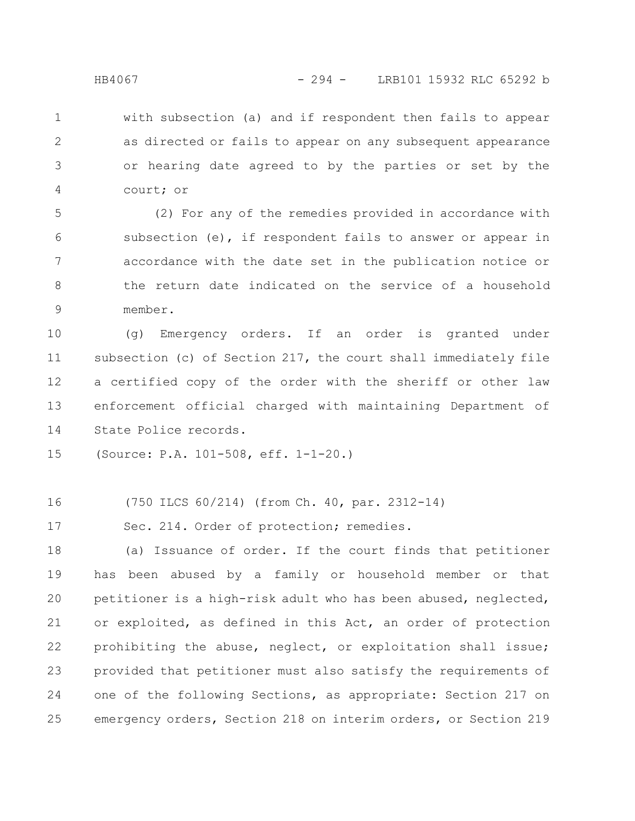with subsection (a) and if respondent then fails to appear as directed or fails to appear on any subsequent appearance or hearing date agreed to by the parties or set by the court; or 1 2 3 4

(2) For any of the remedies provided in accordance with subsection (e), if respondent fails to answer or appear in accordance with the date set in the publication notice or the return date indicated on the service of a household member. 5 6 7 8 9

(g) Emergency orders. If an order is granted under subsection (c) of Section 217, the court shall immediately file a certified copy of the order with the sheriff or other law enforcement official charged with maintaining Department of State Police records. 10 11 12 13 14

(Source: P.A. 101-508, eff. 1-1-20.) 15

(750 ILCS 60/214) (from Ch. 40, par. 2312-14) 16

Sec. 214. Order of protection; remedies. 17

(a) Issuance of order. If the court finds that petitioner has been abused by a family or household member or that petitioner is a high-risk adult who has been abused, neglected, or exploited, as defined in this Act, an order of protection prohibiting the abuse, neglect, or exploitation shall issue; provided that petitioner must also satisfy the requirements of one of the following Sections, as appropriate: Section 217 on emergency orders, Section 218 on interim orders, or Section 219 18 19 20 21 22 23 24 25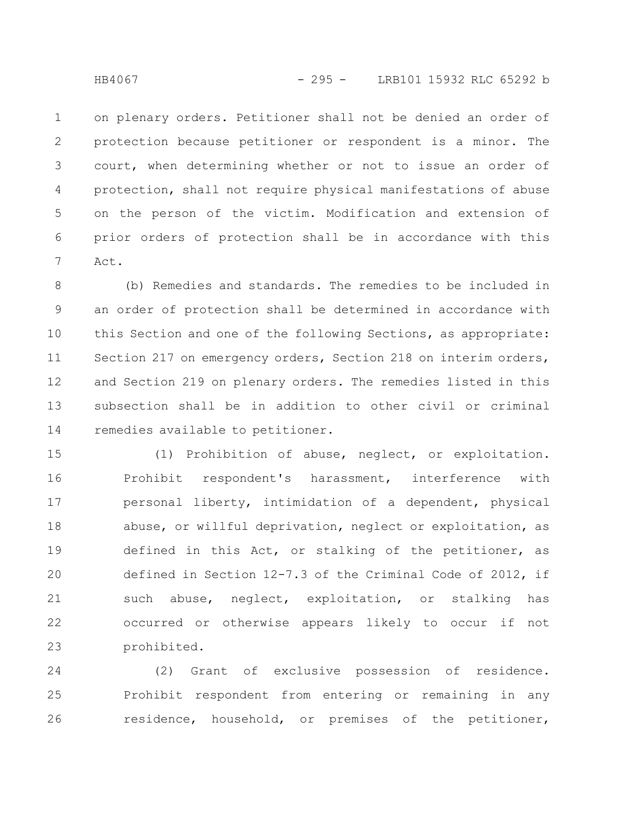on plenary orders. Petitioner shall not be denied an order of protection because petitioner or respondent is a minor. The court, when determining whether or not to issue an order of protection, shall not require physical manifestations of abuse on the person of the victim. Modification and extension of prior orders of protection shall be in accordance with this Act. 1 2 3 4 5 6 7

(b) Remedies and standards. The remedies to be included in an order of protection shall be determined in accordance with this Section and one of the following Sections, as appropriate: Section 217 on emergency orders, Section 218 on interim orders, and Section 219 on plenary orders. The remedies listed in this subsection shall be in addition to other civil or criminal remedies available to petitioner. 8 9 10 11 12 13 14

(1) Prohibition of abuse, neglect, or exploitation. Prohibit respondent's harassment, interference with personal liberty, intimidation of a dependent, physical abuse, or willful deprivation, neglect or exploitation, as defined in this Act, or stalking of the petitioner, as defined in Section 12-7.3 of the Criminal Code of 2012, if such abuse, neglect, exploitation, or stalking has occurred or otherwise appears likely to occur if not prohibited. 15 16 17 18 19 20 21 22 23

(2) Grant of exclusive possession of residence. Prohibit respondent from entering or remaining in any residence, household, or premises of the petitioner, 24 25 26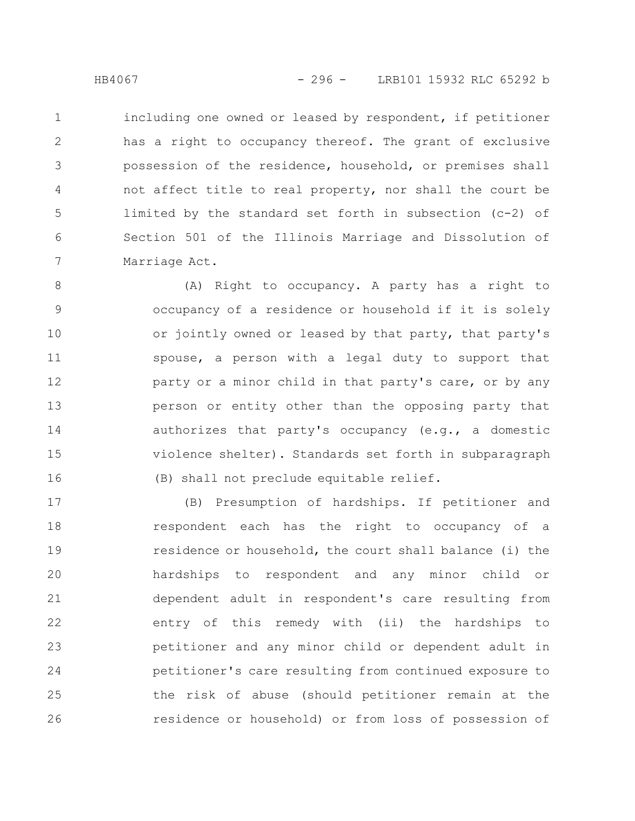including one owned or leased by respondent, if petitioner has a right to occupancy thereof. The grant of exclusive possession of the residence, household, or premises shall not affect title to real property, nor shall the court be limited by the standard set forth in subsection (c-2) of Section 501 of the Illinois Marriage and Dissolution of Marriage Act. 1 2 3 4 5 6 7

(A) Right to occupancy. A party has a right to occupancy of a residence or household if it is solely or jointly owned or leased by that party, that party's spouse, a person with a legal duty to support that party or a minor child in that party's care, or by any person or entity other than the opposing party that authorizes that party's occupancy (e.g., a domestic violence shelter). Standards set forth in subparagraph (B) shall not preclude equitable relief. 8 9 10 11 12 13 14 15 16

(B) Presumption of hardships. If petitioner and respondent each has the right to occupancy of a residence or household, the court shall balance (i) the hardships to respondent and any minor child or dependent adult in respondent's care resulting from entry of this remedy with (ii) the hardships to petitioner and any minor child or dependent adult in petitioner's care resulting from continued exposure to the risk of abuse (should petitioner remain at the residence or household) or from loss of possession of 17 18 19 20 21 22 23 24 25 26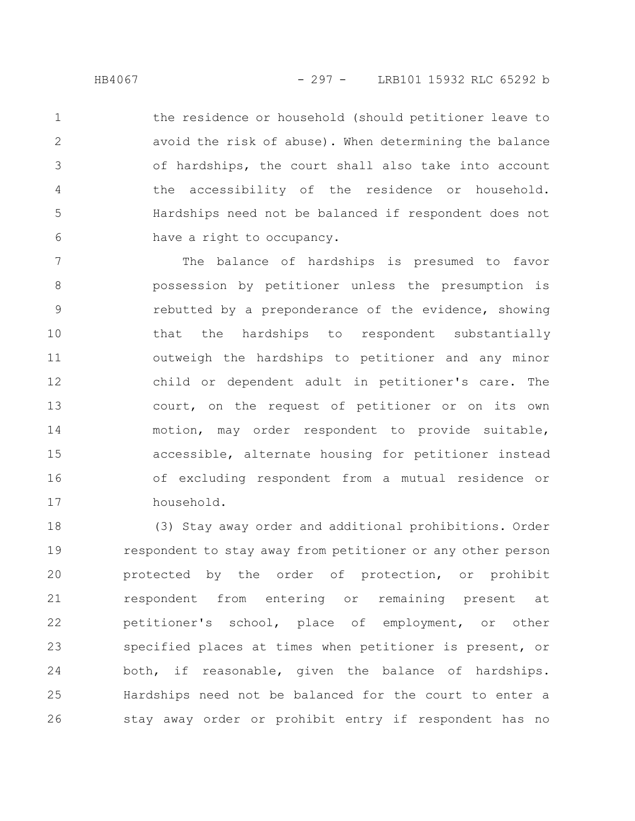the residence or household (should petitioner leave to avoid the risk of abuse). When determining the balance of hardships, the court shall also take into account the accessibility of the residence or household. Hardships need not be balanced if respondent does not have a right to occupancy. 1 2 3 4 5 6

The balance of hardships is presumed to favor possession by petitioner unless the presumption is rebutted by a preponderance of the evidence, showing that the hardships to respondent substantially outweigh the hardships to petitioner and any minor child or dependent adult in petitioner's care. The court, on the request of petitioner or on its own motion, may order respondent to provide suitable, accessible, alternate housing for petitioner instead of excluding respondent from a mutual residence or household. 7 8 9 10 11 12 13 14 15 16 17

(3) Stay away order and additional prohibitions. Order respondent to stay away from petitioner or any other person protected by the order of protection, or prohibit respondent from entering or remaining present at petitioner's school, place of employment, or other specified places at times when petitioner is present, or both, if reasonable, given the balance of hardships. Hardships need not be balanced for the court to enter a stay away order or prohibit entry if respondent has no 18 19 20 21 22 23 24 25 26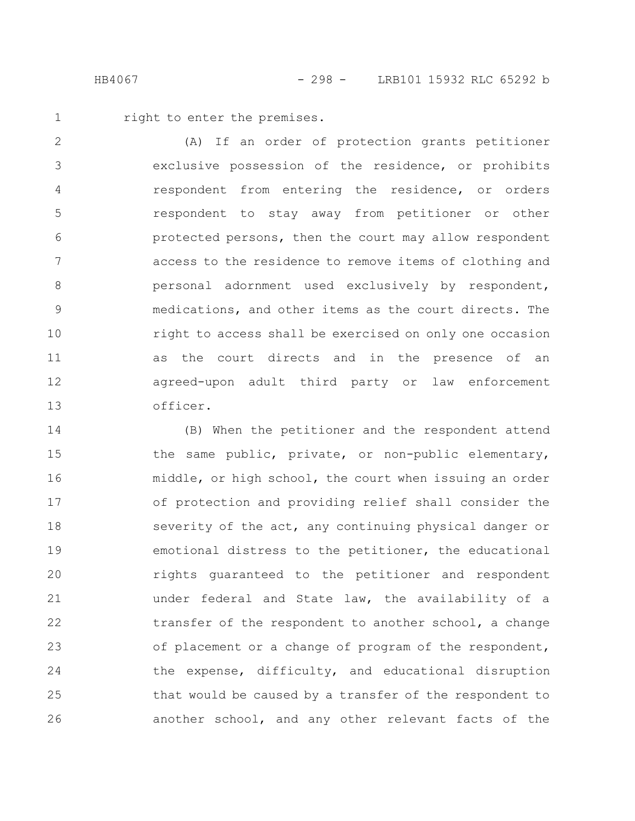right to enter the premises. 1

(A) If an order of protection grants petitioner exclusive possession of the residence, or prohibits respondent from entering the residence, or orders respondent to stay away from petitioner or other protected persons, then the court may allow respondent access to the residence to remove items of clothing and personal adornment used exclusively by respondent, medications, and other items as the court directs. The right to access shall be exercised on only one occasion as the court directs and in the presence of an agreed-upon adult third party or law enforcement officer. 2 3 4 5 6 7 8 9 10 11 12 13

(B) When the petitioner and the respondent attend the same public, private, or non-public elementary, middle, or high school, the court when issuing an order of protection and providing relief shall consider the severity of the act, any continuing physical danger or emotional distress to the petitioner, the educational rights guaranteed to the petitioner and respondent under federal and State law, the availability of a transfer of the respondent to another school, a change of placement or a change of program of the respondent, the expense, difficulty, and educational disruption that would be caused by a transfer of the respondent to another school, and any other relevant facts of the 14 15 16 17 18 19 20 21 22 23 24 25 26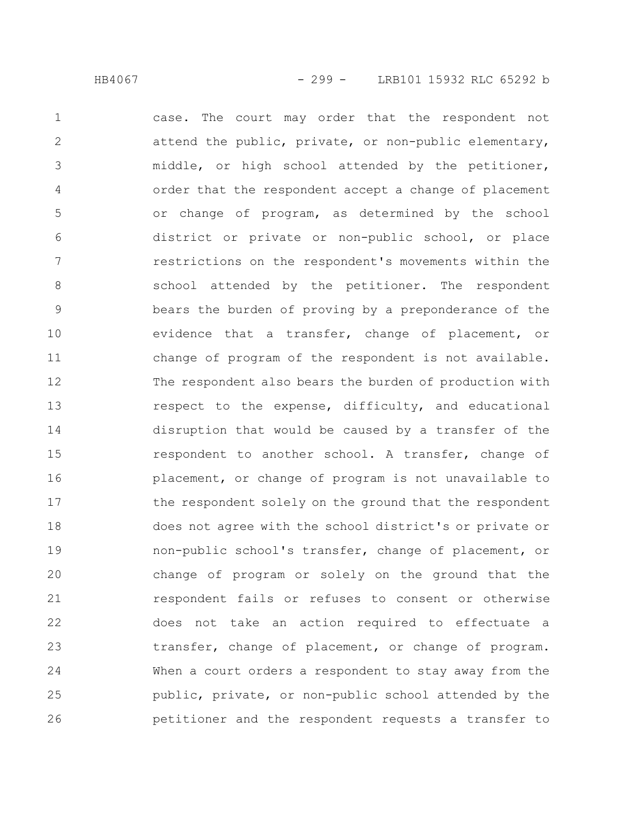case. The court may order that the respondent not attend the public, private, or non-public elementary, middle, or high school attended by the petitioner, order that the respondent accept a change of placement or change of program, as determined by the school district or private or non-public school, or place restrictions on the respondent's movements within the school attended by the petitioner. The respondent bears the burden of proving by a preponderance of the evidence that a transfer, change of placement, or change of program of the respondent is not available. The respondent also bears the burden of production with respect to the expense, difficulty, and educational disruption that would be caused by a transfer of the respondent to another school. A transfer, change of placement, or change of program is not unavailable to the respondent solely on the ground that the respondent does not agree with the school district's or private or non-public school's transfer, change of placement, or change of program or solely on the ground that the respondent fails or refuses to consent or otherwise does not take an action required to effectuate a transfer, change of placement, or change of program. When a court orders a respondent to stay away from the public, private, or non-public school attended by the petitioner and the respondent requests a transfer to 1 2 3 4 5 6 7 8 9 10 11 12 13 14 15 16 17 18 19 20 21 22 23 24 25 26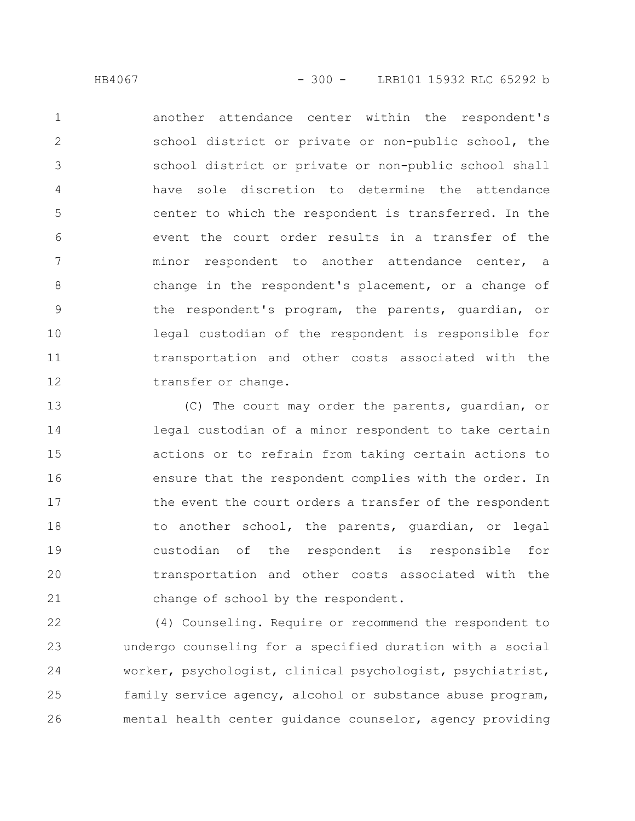another attendance center within the respondent's school district or private or non-public school, the school district or private or non-public school shall have sole discretion to determine the attendance center to which the respondent is transferred. In the event the court order results in a transfer of the minor respondent to another attendance center, a change in the respondent's placement, or a change of the respondent's program, the parents, guardian, or legal custodian of the respondent is responsible for transportation and other costs associated with the transfer or change. 1 2 3 4 5 6 7 8 9 10 11 12

(C) The court may order the parents, guardian, or legal custodian of a minor respondent to take certain actions or to refrain from taking certain actions to ensure that the respondent complies with the order. In the event the court orders a transfer of the respondent to another school, the parents, guardian, or legal custodian of the respondent is responsible for transportation and other costs associated with the change of school by the respondent. 13 14 15 16 17 18 19 20 21

(4) Counseling. Require or recommend the respondent to undergo counseling for a specified duration with a social worker, psychologist, clinical psychologist, psychiatrist, family service agency, alcohol or substance abuse program, mental health center guidance counselor, agency providing 22 23 24 25 26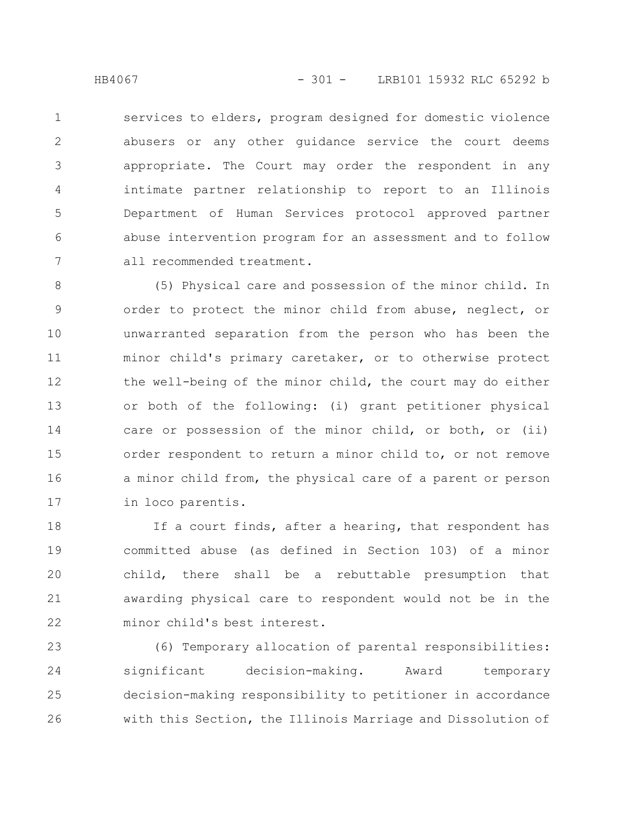services to elders, program designed for domestic violence abusers or any other guidance service the court deems appropriate. The Court may order the respondent in any intimate partner relationship to report to an Illinois Department of Human Services protocol approved partner abuse intervention program for an assessment and to follow all recommended treatment. 1 2 3 4 5 6 7

(5) Physical care and possession of the minor child. In order to protect the minor child from abuse, neglect, or unwarranted separation from the person who has been the minor child's primary caretaker, or to otherwise protect the well-being of the minor child, the court may do either or both of the following: (i) grant petitioner physical care or possession of the minor child, or both, or (ii) order respondent to return a minor child to, or not remove a minor child from, the physical care of a parent or person in loco parentis. 8 9 10 11 12 13 14 15 16 17

If a court finds, after a hearing, that respondent has committed abuse (as defined in Section 103) of a minor child, there shall be a rebuttable presumption that awarding physical care to respondent would not be in the minor child's best interest. 18 19 20 21 22

(6) Temporary allocation of parental responsibilities: significant decision-making. Award temporary decision-making responsibility to petitioner in accordance with this Section, the Illinois Marriage and Dissolution of 23 24 25 26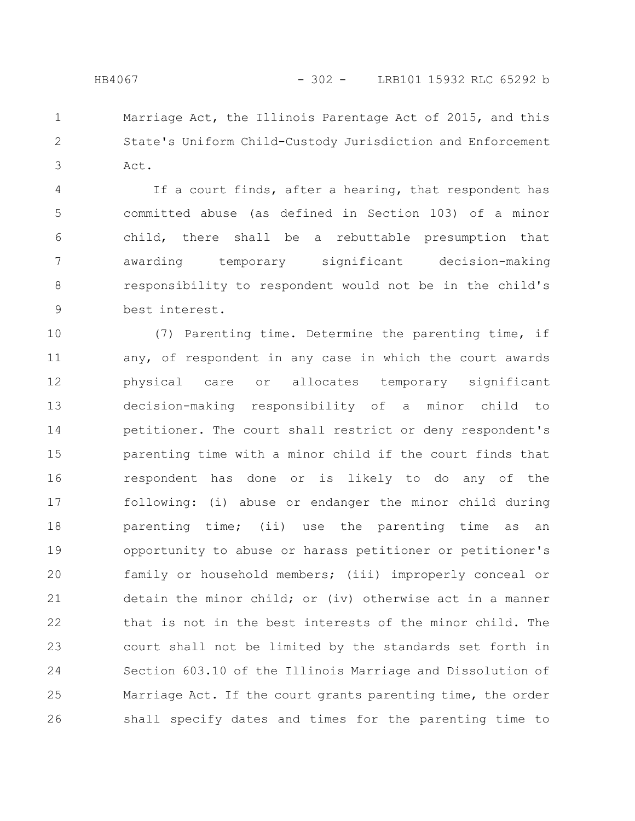Marriage Act, the Illinois Parentage Act of 2015, and this State's Uniform Child-Custody Jurisdiction and Enforcement Act. 1 2 3

If a court finds, after a hearing, that respondent has committed abuse (as defined in Section 103) of a minor child, there shall be a rebuttable presumption that awarding temporary significant decision-making responsibility to respondent would not be in the child's best interest. 4 5 6 7 8 9

(7) Parenting time. Determine the parenting time, if any, of respondent in any case in which the court awards physical care or allocates temporary significant decision-making responsibility of a minor child to petitioner. The court shall restrict or deny respondent's parenting time with a minor child if the court finds that respondent has done or is likely to do any of the following: (i) abuse or endanger the minor child during parenting time; (ii) use the parenting time as an opportunity to abuse or harass petitioner or petitioner's family or household members; (iii) improperly conceal or detain the minor child; or (iv) otherwise act in a manner that is not in the best interests of the minor child. The court shall not be limited by the standards set forth in Section 603.10 of the Illinois Marriage and Dissolution of Marriage Act. If the court grants parenting time, the order shall specify dates and times for the parenting time to 10 11 12 13 14 15 16 17 18 19 20 21 22 23 24 25 26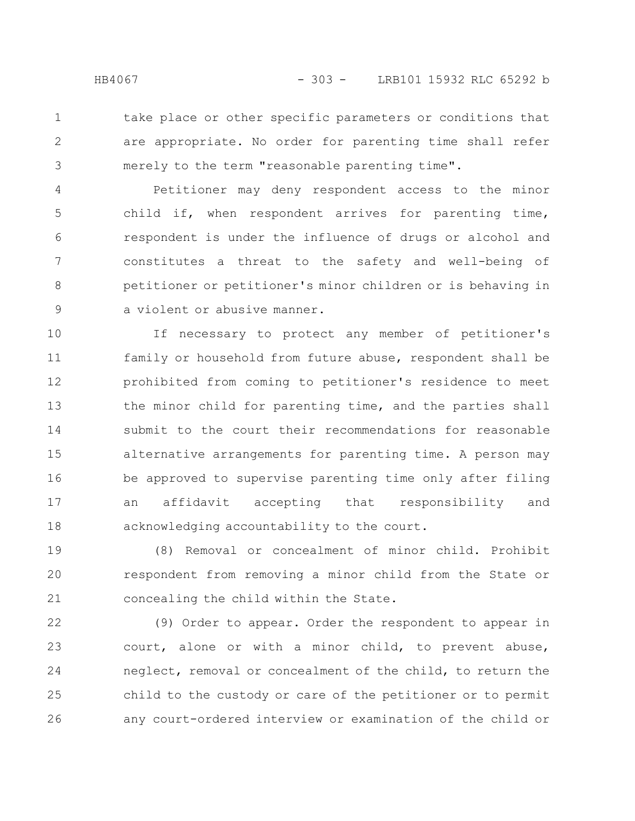take place or other specific parameters or conditions that are appropriate. No order for parenting time shall refer merely to the term "reasonable parenting time". 1 2 3

Petitioner may deny respondent access to the minor child if, when respondent arrives for parenting time, respondent is under the influence of drugs or alcohol and constitutes a threat to the safety and well-being of petitioner or petitioner's minor children or is behaving in a violent or abusive manner. 4 5 6 7 8 9

If necessary to protect any member of petitioner's family or household from future abuse, respondent shall be prohibited from coming to petitioner's residence to meet the minor child for parenting time, and the parties shall submit to the court their recommendations for reasonable alternative arrangements for parenting time. A person may be approved to supervise parenting time only after filing an affidavit accepting that responsibility and acknowledging accountability to the court. 10 11 12 13 14 15 16 17 18

(8) Removal or concealment of minor child. Prohibit respondent from removing a minor child from the State or concealing the child within the State. 19 20 21

(9) Order to appear. Order the respondent to appear in court, alone or with a minor child, to prevent abuse, neglect, removal or concealment of the child, to return the child to the custody or care of the petitioner or to permit any court-ordered interview or examination of the child or 22 23 24 25 26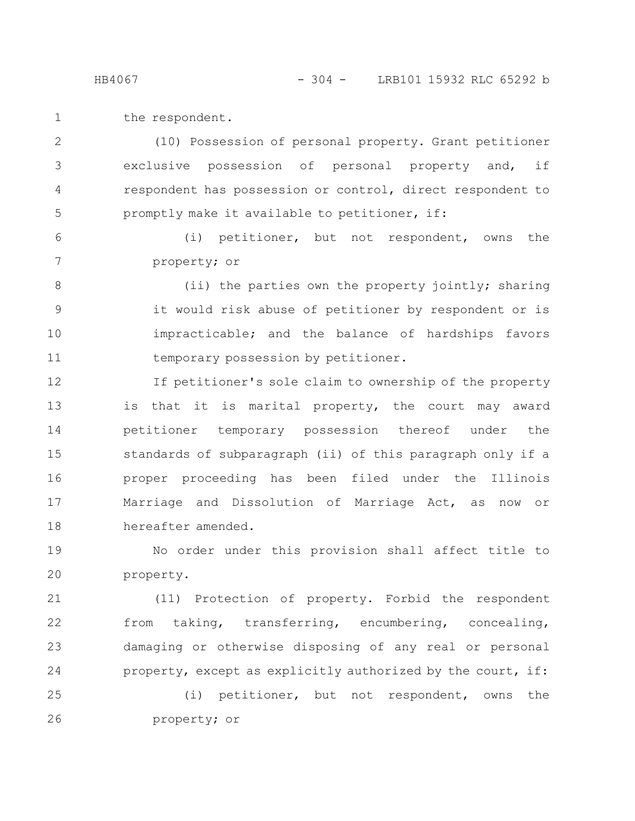the respondent. 1

(10) Possession of personal property. Grant petitioner exclusive possession of personal property and, if respondent has possession or control, direct respondent to promptly make it available to petitioner, if: 2 3 4 5

(i) petitioner, but not respondent, owns the property; or 6 7

(ii) the parties own the property jointly; sharing it would risk abuse of petitioner by respondent or is impracticable; and the balance of hardships favors temporary possession by petitioner. 8 9 10 11

If petitioner's sole claim to ownership of the property is that it is marital property, the court may award petitioner temporary possession thereof under the standards of subparagraph (ii) of this paragraph only if a proper proceeding has been filed under the Illinois Marriage and Dissolution of Marriage Act, as now or hereafter amended. 12 13 14 15 16 17 18

No order under this provision shall affect title to property. 19 20

(11) Protection of property. Forbid the respondent from taking, transferring, encumbering, concealing, damaging or otherwise disposing of any real or personal property, except as explicitly authorized by the court, if: 21 22 23 24

(i) petitioner, but not respondent, owns the property; or 25 26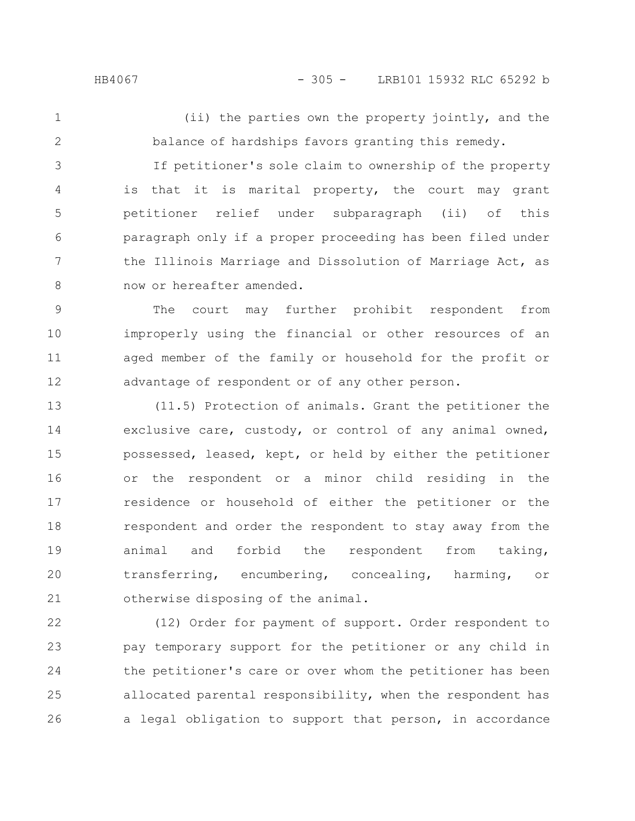(ii) the parties own the property jointly, and the balance of hardships favors granting this remedy. 1 2

If petitioner's sole claim to ownership of the property is that it is marital property, the court may grant petitioner relief under subparagraph (ii) of this paragraph only if a proper proceeding has been filed under the Illinois Marriage and Dissolution of Marriage Act, as now or hereafter amended. 3 4 5 6 7 8

The court may further prohibit respondent from improperly using the financial or other resources of an aged member of the family or household for the profit or advantage of respondent or of any other person. 9 10 11 12

(11.5) Protection of animals. Grant the petitioner the exclusive care, custody, or control of any animal owned, possessed, leased, kept, or held by either the petitioner or the respondent or a minor child residing in the residence or household of either the petitioner or the respondent and order the respondent to stay away from the animal and forbid the respondent from taking, transferring, encumbering, concealing, harming, or otherwise disposing of the animal. 13 14 15 16 17 18 19 20 21

(12) Order for payment of support. Order respondent to pay temporary support for the petitioner or any child in the petitioner's care or over whom the petitioner has been allocated parental responsibility, when the respondent has a legal obligation to support that person, in accordance 22 23 24 25 26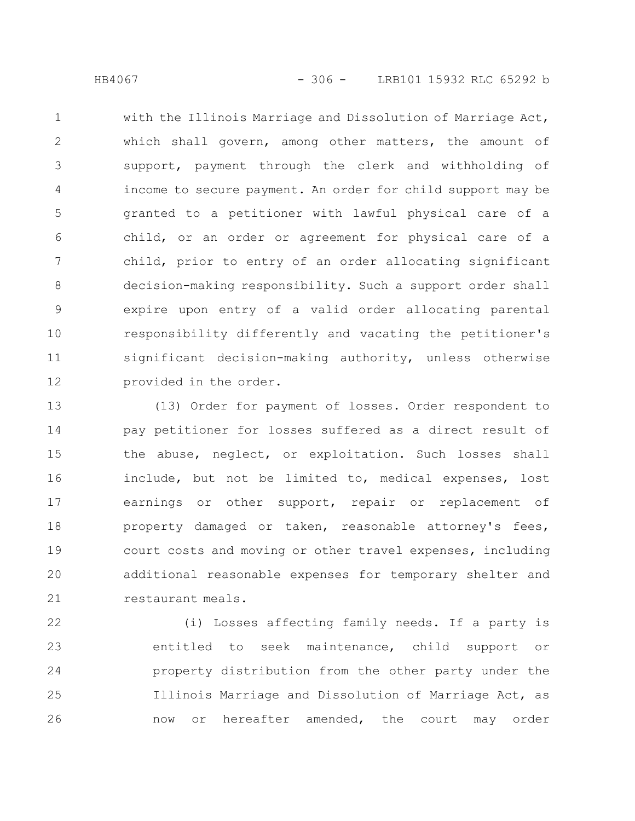with the Illinois Marriage and Dissolution of Marriage Act, which shall govern, among other matters, the amount of support, payment through the clerk and withholding of income to secure payment. An order for child support may be granted to a petitioner with lawful physical care of a child, or an order or agreement for physical care of a child, prior to entry of an order allocating significant decision-making responsibility. Such a support order shall expire upon entry of a valid order allocating parental responsibility differently and vacating the petitioner's significant decision-making authority, unless otherwise provided in the order. 1 2 3 4 5 6 7 8 9 10 11 12

(13) Order for payment of losses. Order respondent to pay petitioner for losses suffered as a direct result of the abuse, neglect, or exploitation. Such losses shall include, but not be limited to, medical expenses, lost earnings or other support, repair or replacement of property damaged or taken, reasonable attorney's fees, court costs and moving or other travel expenses, including additional reasonable expenses for temporary shelter and restaurant meals. 13 14 15 16 17 18 19 20 21

(i) Losses affecting family needs. If a party is entitled to seek maintenance, child support or property distribution from the other party under the Illinois Marriage and Dissolution of Marriage Act, as now or hereafter amended, the court may order 22 23 24 25 26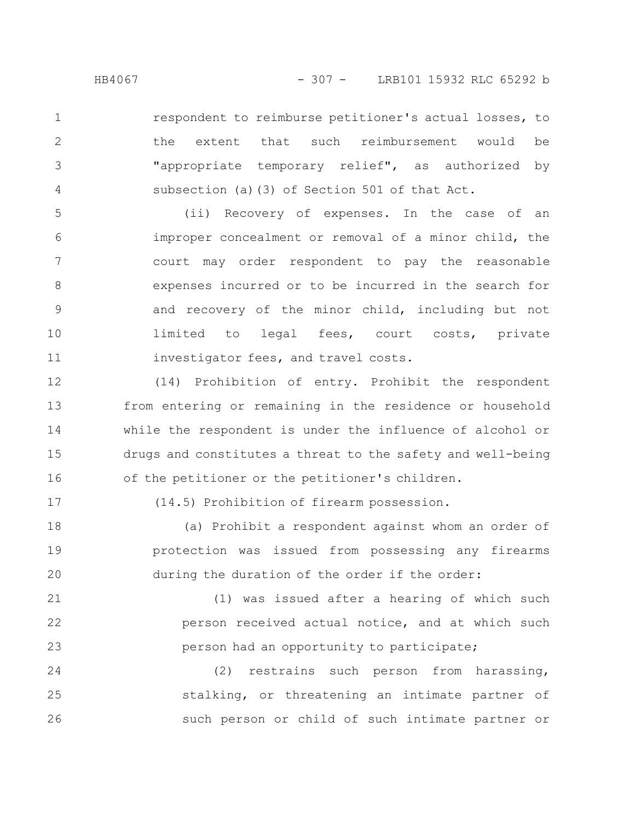respondent to reimburse petitioner's actual losses, to the extent that such reimbursement would be "appropriate temporary relief", as authorized by subsection (a)(3) of Section 501 of that Act. 1 2 3 4

(ii) Recovery of expenses. In the case of an improper concealment or removal of a minor child, the court may order respondent to pay the reasonable expenses incurred or to be incurred in the search for and recovery of the minor child, including but not limited to legal fees, court costs, private investigator fees, and travel costs. 5 6 7 8 9 10 11

(14) Prohibition of entry. Prohibit the respondent from entering or remaining in the residence or household while the respondent is under the influence of alcohol or drugs and constitutes a threat to the safety and well-being of the petitioner or the petitioner's children. 12 13 14 15 16

17

(14.5) Prohibition of firearm possession.

(a) Prohibit a respondent against whom an order of protection was issued from possessing any firearms during the duration of the order if the order: 18 19 20

(1) was issued after a hearing of which such person received actual notice, and at which such person had an opportunity to participate; 21 22 23

(2) restrains such person from harassing, stalking, or threatening an intimate partner of such person or child of such intimate partner or 24 25 26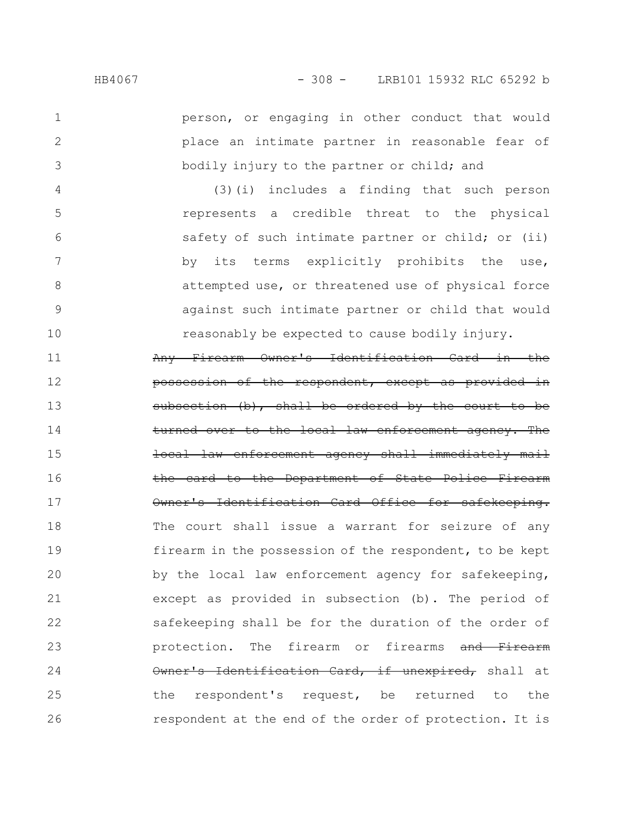2

3

person, or engaging in other conduct that would place an intimate partner in reasonable fear of bodily injury to the partner or child; and

(3)(i) includes a finding that such person represents a credible threat to the physical safety of such intimate partner or child; or (ii) by its terms explicitly prohibits the use, attempted use, or threatened use of physical force against such intimate partner or child that would reasonably be expected to cause bodily injury. 4 5 6 7 8 9 10

Any Firearm Owner's Identification Card in the possession of the respondent, except as provided on (b), shall be ordered by turned over to the local law enforcement agency. The enforcement agency shall immediately the card to the Department of State Police Owner's Identification Card Office for safekeeping. The court shall issue a warrant for seizure of any firearm in the possession of the respondent, to be kept by the local law enforcement agency for safekeeping, except as provided in subsection (b). The period of safekeeping shall be for the duration of the order of protection. The firearm or firearms and Firearm Owner's Identification Card, if unexpired, shall at the respondent's request, be returned to the respondent at the end of the order of protection. It is 11 12 13 14 15 16 17 18 19 20 21 22 23 24 25 26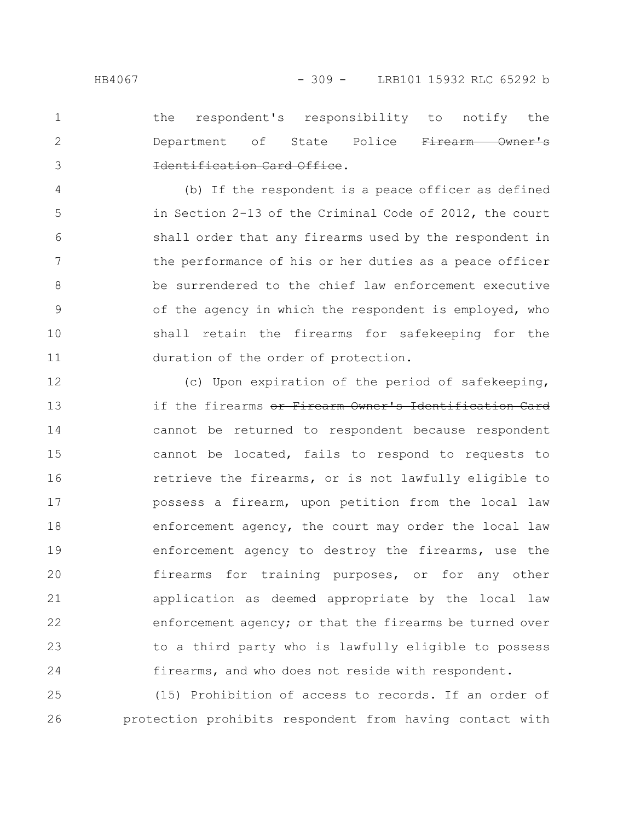2

3

the respondent's responsibility to notify the Department of State Police Firearm Owner's Identification Card Office.

(b) If the respondent is a peace officer as defined in Section 2-13 of the Criminal Code of 2012, the court shall order that any firearms used by the respondent in the performance of his or her duties as a peace officer be surrendered to the chief law enforcement executive of the agency in which the respondent is employed, who shall retain the firearms for safekeeping for the duration of the order of protection. 4 5 6 7 8 9 10 11

(c) Upon expiration of the period of safekeeping, if the firearms or Firearm Owner's Identification Card cannot be returned to respondent because respondent cannot be located, fails to respond to requests to retrieve the firearms, or is not lawfully eligible to possess a firearm, upon petition from the local law enforcement agency, the court may order the local law enforcement agency to destroy the firearms, use the firearms for training purposes, or for any other application as deemed appropriate by the local law enforcement agency; or that the firearms be turned over to a third party who is lawfully eligible to possess firearms, and who does not reside with respondent. 12 13 14 15 16 17 18 19 20 21 22 23 24

(15) Prohibition of access to records. If an order of protection prohibits respondent from having contact with 25 26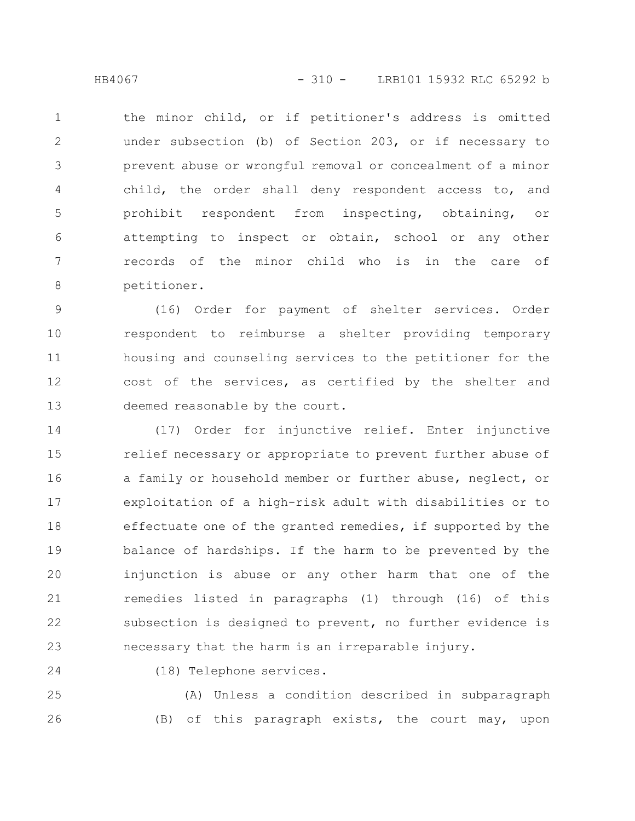the minor child, or if petitioner's address is omitted under subsection (b) of Section 203, or if necessary to prevent abuse or wrongful removal or concealment of a minor child, the order shall deny respondent access to, and prohibit respondent from inspecting, obtaining, or attempting to inspect or obtain, school or any other records of the minor child who is in the care of petitioner. 1 2 3 4 5 6 7 8

(16) Order for payment of shelter services. Order respondent to reimburse a shelter providing temporary housing and counseling services to the petitioner for the cost of the services, as certified by the shelter and deemed reasonable by the court. 9 10 11 12 13

(17) Order for injunctive relief. Enter injunctive relief necessary or appropriate to prevent further abuse of a family or household member or further abuse, neglect, or exploitation of a high-risk adult with disabilities or to effectuate one of the granted remedies, if supported by the balance of hardships. If the harm to be prevented by the injunction is abuse or any other harm that one of the remedies listed in paragraphs (1) through (16) of this subsection is designed to prevent, no further evidence is necessary that the harm is an irreparable injury. 14 15 16 17 18 19 20 21 22 23

24

(18) Telephone services.

(A) Unless a condition described in subparagraph (B) of this paragraph exists, the court may, upon 25 26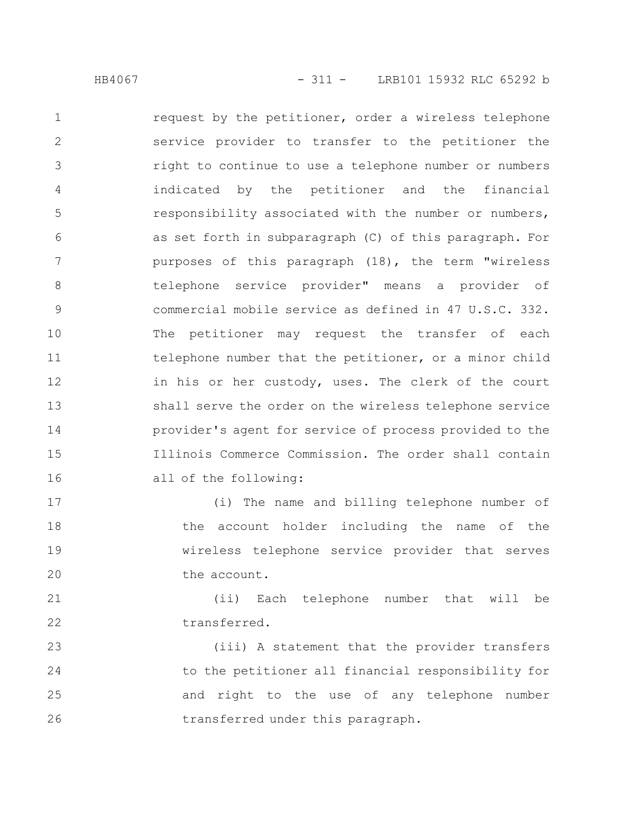request by the petitioner, order a wireless telephone service provider to transfer to the petitioner the right to continue to use a telephone number or numbers indicated by the petitioner and the financial responsibility associated with the number or numbers, as set forth in subparagraph (C) of this paragraph. For purposes of this paragraph (18), the term "wireless telephone service provider" means a provider of commercial mobile service as defined in 47 U.S.C. 332. The petitioner may request the transfer of each telephone number that the petitioner, or a minor child in his or her custody, uses. The clerk of the court shall serve the order on the wireless telephone service provider's agent for service of process provided to the Illinois Commerce Commission. The order shall contain all of the following: 1 2 3 4 5 6 7 8 9 10 11 12 13 14 15 16

(i) The name and billing telephone number of the account holder including the name of the wireless telephone service provider that serves the account. 17 18 19 20

(ii) Each telephone number that will be transferred. 21 22

(iii) A statement that the provider transfers to the petitioner all financial responsibility for and right to the use of any telephone number transferred under this paragraph. 23 24 25 26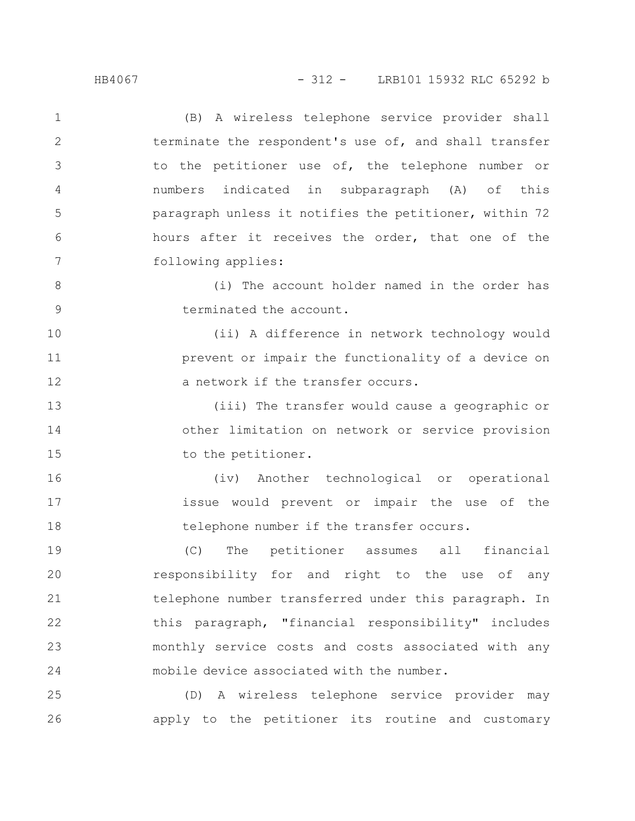(B) A wireless telephone service provider shall terminate the respondent's use of, and shall transfer to the petitioner use of, the telephone number or numbers indicated in subparagraph (A) of this paragraph unless it notifies the petitioner, within 72 hours after it receives the order, that one of the following applies: 1 2 3 4 5 6 7

(i) The account holder named in the order has terminated the account. 8 9

(ii) A difference in network technology would prevent or impair the functionality of a device on a network if the transfer occurs. 10 11 12

(iii) The transfer would cause a geographic or other limitation on network or service provision to the petitioner. 13 14 15

(iv) Another technological or operational issue would prevent or impair the use of the telephone number if the transfer occurs.

(C) The petitioner assumes all financial responsibility for and right to the use of any telephone number transferred under this paragraph. In this paragraph, "financial responsibility" includes monthly service costs and costs associated with any mobile device associated with the number. 19 20 21 22 23 24

(D) A wireless telephone service provider may apply to the petitioner its routine and customary 25 26

16

17

18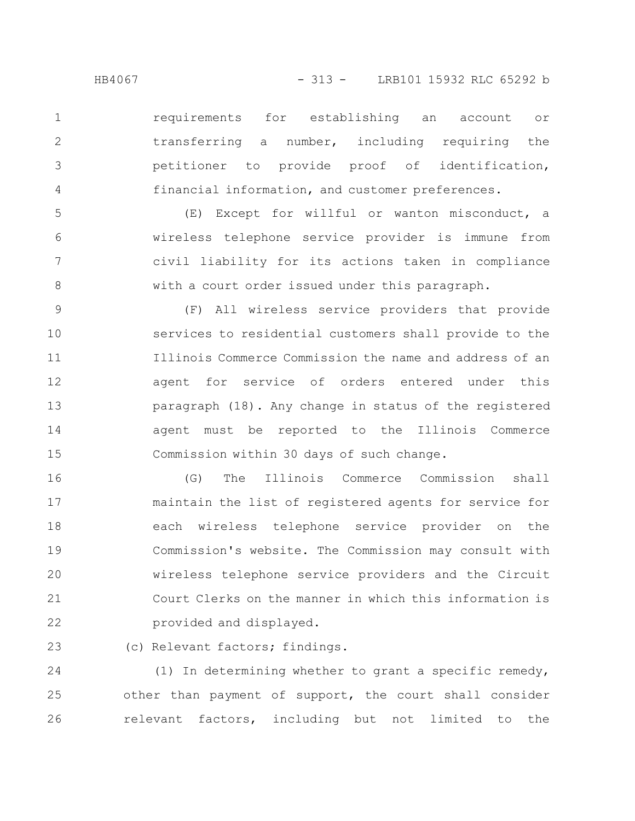2

3

4

requirements for establishing an account or transferring a number, including requiring the petitioner to provide proof of identification, financial information, and customer preferences.

(E) Except for willful or wanton misconduct, a wireless telephone service provider is immune from civil liability for its actions taken in compliance with a court order issued under this paragraph. 5 6 7 8

(F) All wireless service providers that provide services to residential customers shall provide to the Illinois Commerce Commission the name and address of an agent for service of orders entered under this paragraph (18). Any change in status of the registered agent must be reported to the Illinois Commerce Commission within 30 days of such change. 9 10 11 12 13 14 15

(G) The Illinois Commerce Commission shall maintain the list of registered agents for service for each wireless telephone service provider on the Commission's website. The Commission may consult with wireless telephone service providers and the Circuit Court Clerks on the manner in which this information is provided and displayed. 16 17 18 19 20 21 22

(c) Relevant factors; findings. 23

(1) In determining whether to grant a specific remedy, other than payment of support, the court shall consider relevant factors, including but not limited to the 24 25 26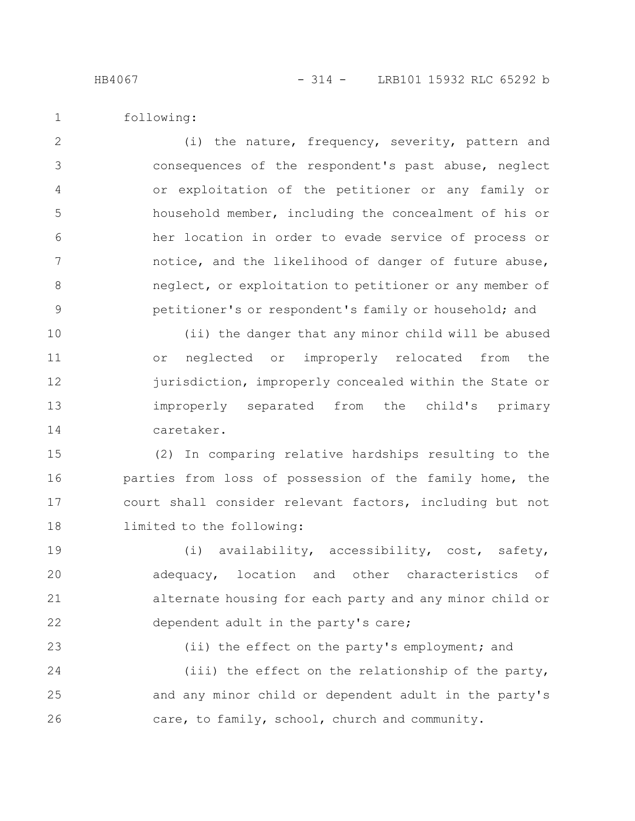23

24

following:

(i) the nature, frequency, severity, pattern and consequences of the respondent's past abuse, neglect or exploitation of the petitioner or any family or household member, including the concealment of his or her location in order to evade service of process or notice, and the likelihood of danger of future abuse, neglect, or exploitation to petitioner or any member of petitioner's or respondent's family or household; and 2 3 4 5 6 7 8 9

(ii) the danger that any minor child will be abused or neglected or improperly relocated from the jurisdiction, improperly concealed within the State or improperly separated from the child's primary caretaker. 10 11 12 13 14

(2) In comparing relative hardships resulting to the parties from loss of possession of the family home, the court shall consider relevant factors, including but not limited to the following: 15 16 17 18

(i) availability, accessibility, cost, safety, adequacy, location and other characteristics of alternate housing for each party and any minor child or dependent adult in the party's care; 19 20 21 22

(ii) the effect on the party's employment; and (iii) the effect on the relationship of the party,

and any minor child or dependent adult in the party's care, to family, school, church and community. 25 26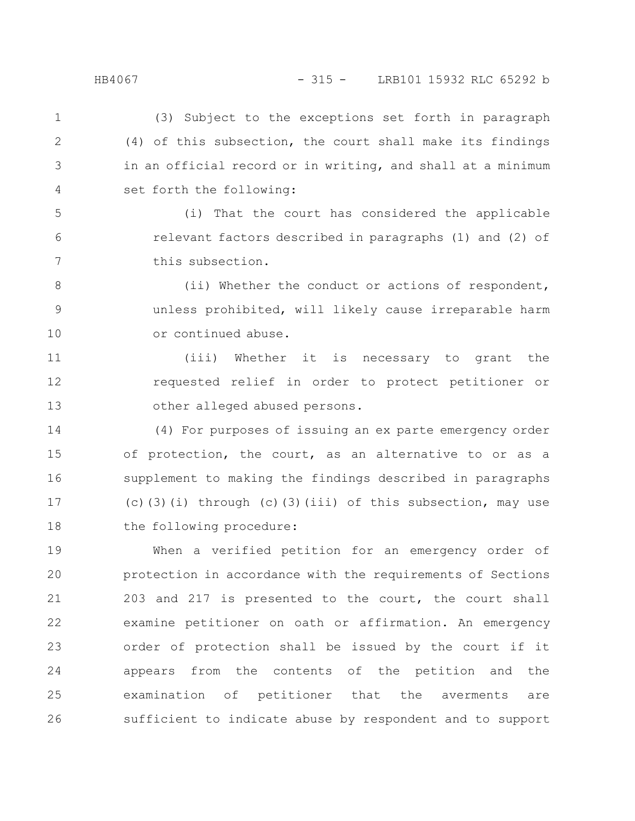6

7

(3) Subject to the exceptions set forth in paragraph (4) of this subsection, the court shall make its findings in an official record or in writing, and shall at a minimum set forth the following: 1 2 3 4

(i) That the court has considered the applicable relevant factors described in paragraphs (1) and (2) of this subsection.

(ii) Whether the conduct or actions of respondent, unless prohibited, will likely cause irreparable harm or continued abuse. 8 9 10

(iii) Whether it is necessary to grant the requested relief in order to protect petitioner or other alleged abused persons. 11 12 13

(4) For purposes of issuing an ex parte emergency order of protection, the court, as an alternative to or as a supplement to making the findings described in paragraphs (c)(3)(i) through (c)(3)(iii) of this subsection, may use the following procedure: 14 15 16 17 18

When a verified petition for an emergency order of protection in accordance with the requirements of Sections 203 and 217 is presented to the court, the court shall examine petitioner on oath or affirmation. An emergency order of protection shall be issued by the court if it appears from the contents of the petition and the examination of petitioner that the averments are sufficient to indicate abuse by respondent and to support 19 20 21 22 23 24 25 26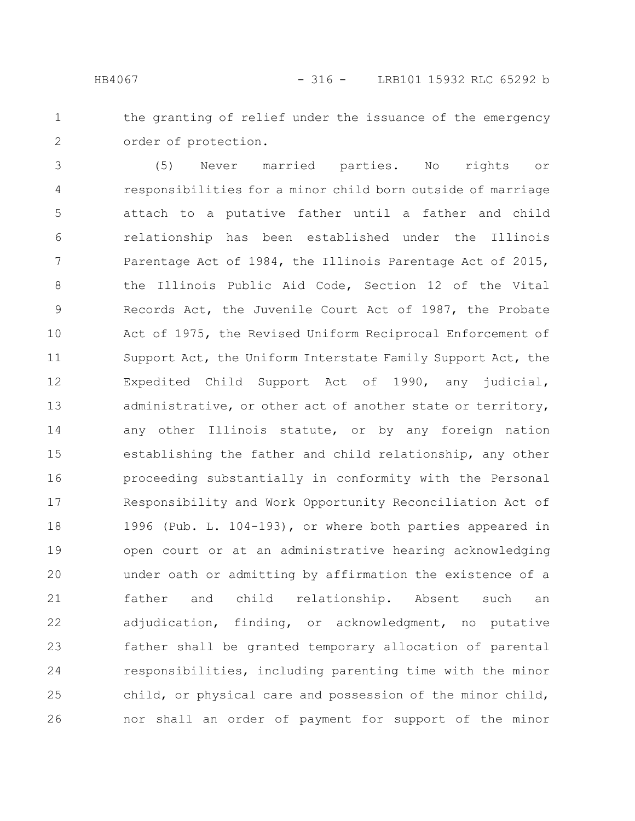the granting of relief under the issuance of the emergency order of protection. 1 2

(5) Never married parties. No rights or responsibilities for a minor child born outside of marriage attach to a putative father until a father and child relationship has been established under the Illinois Parentage Act of 1984, the Illinois Parentage Act of 2015, the Illinois Public Aid Code, Section 12 of the Vital Records Act, the Juvenile Court Act of 1987, the Probate Act of 1975, the Revised Uniform Reciprocal Enforcement of Support Act, the Uniform Interstate Family Support Act, the Expedited Child Support Act of 1990, any judicial, administrative, or other act of another state or territory, any other Illinois statute, or by any foreign nation establishing the father and child relationship, any other proceeding substantially in conformity with the Personal Responsibility and Work Opportunity Reconciliation Act of 1996 (Pub. L. 104-193), or where both parties appeared in open court or at an administrative hearing acknowledging under oath or admitting by affirmation the existence of a father and child relationship. Absent such an adjudication, finding, or acknowledgment, no putative father shall be granted temporary allocation of parental responsibilities, including parenting time with the minor child, or physical care and possession of the minor child, nor shall an order of payment for support of the minor 3 4 5 6 7 8 9 10 11 12 13 14 15 16 17 18 19 20 21 22 23 24 25 26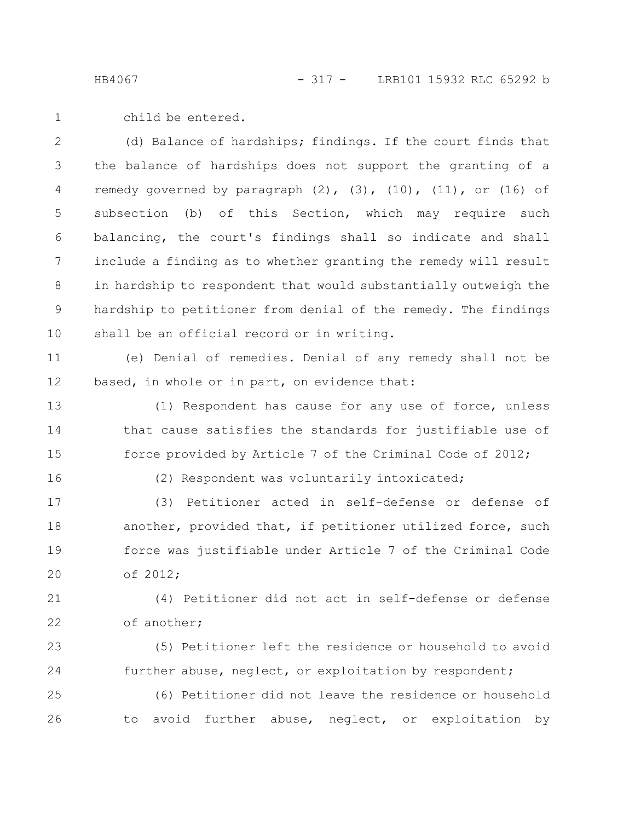child be entered. 1

(d) Balance of hardships; findings. If the court finds that the balance of hardships does not support the granting of a remedy governed by paragraph  $(2)$ ,  $(3)$ ,  $(10)$ ,  $(11)$ , or  $(16)$  of subsection (b) of this Section, which may require such balancing, the court's findings shall so indicate and shall include a finding as to whether granting the remedy will result in hardship to respondent that would substantially outweigh the hardship to petitioner from denial of the remedy. The findings shall be an official record or in writing. 2 3 4 5 6 7 8 9 10

(e) Denial of remedies. Denial of any remedy shall not be based, in whole or in part, on evidence that: 11 12

(1) Respondent has cause for any use of force, unless that cause satisfies the standards for justifiable use of force provided by Article 7 of the Criminal Code of 2012; 13 14 15

16

(2) Respondent was voluntarily intoxicated;

(3) Petitioner acted in self-defense or defense of another, provided that, if petitioner utilized force, such force was justifiable under Article 7 of the Criminal Code of 2012; 17 18 19 20

(4) Petitioner did not act in self-defense or defense of another; 21 22

(5) Petitioner left the residence or household to avoid further abuse, neglect, or exploitation by respondent; 23 24

(6) Petitioner did not leave the residence or household to avoid further abuse, neglect, or exploitation by 25 26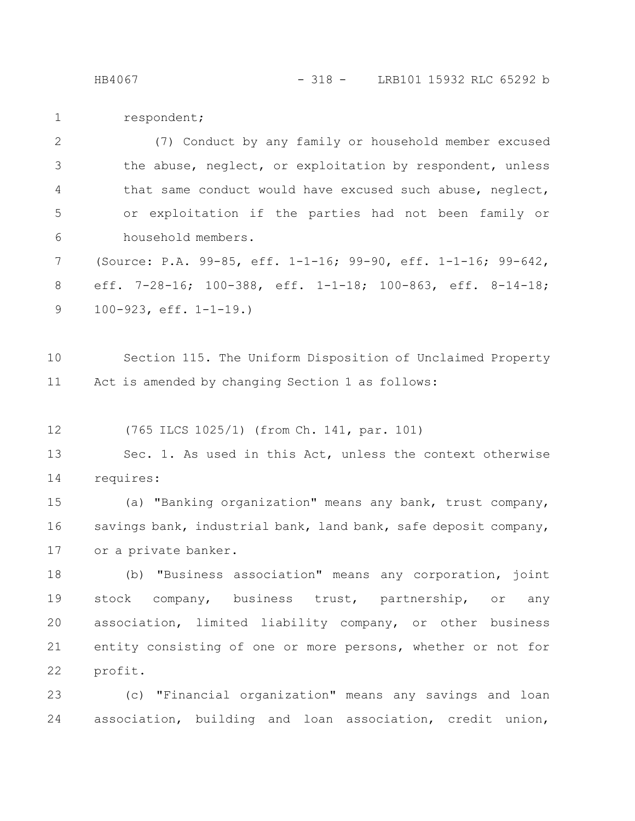respondent; 1

(7) Conduct by any family or household member excused the abuse, neglect, or exploitation by respondent, unless that same conduct would have excused such abuse, neglect, or exploitation if the parties had not been family or household members. 2 3 4 5 6

(Source: P.A. 99-85, eff. 1-1-16; 99-90, eff. 1-1-16; 99-642, eff. 7-28-16; 100-388, eff. 1-1-18; 100-863, eff. 8-14-18; 100-923, eff. 1-1-19.) 7 8 9

Section 115. The Uniform Disposition of Unclaimed Property Act is amended by changing Section 1 as follows: 10 11

(765 ILCS 1025/1) (from Ch. 141, par. 101) 12

Sec. 1. As used in this Act, unless the context otherwise requires: 13 14

(a) "Banking organization" means any bank, trust company, savings bank, industrial bank, land bank, safe deposit company, or a private banker. 15 16 17

(b) "Business association" means any corporation, joint stock company, business trust, partnership, or any association, limited liability company, or other business entity consisting of one or more persons, whether or not for profit. 18 19 20 21 22

(c) "Financial organization" means any savings and loan association, building and loan association, credit union, 23 24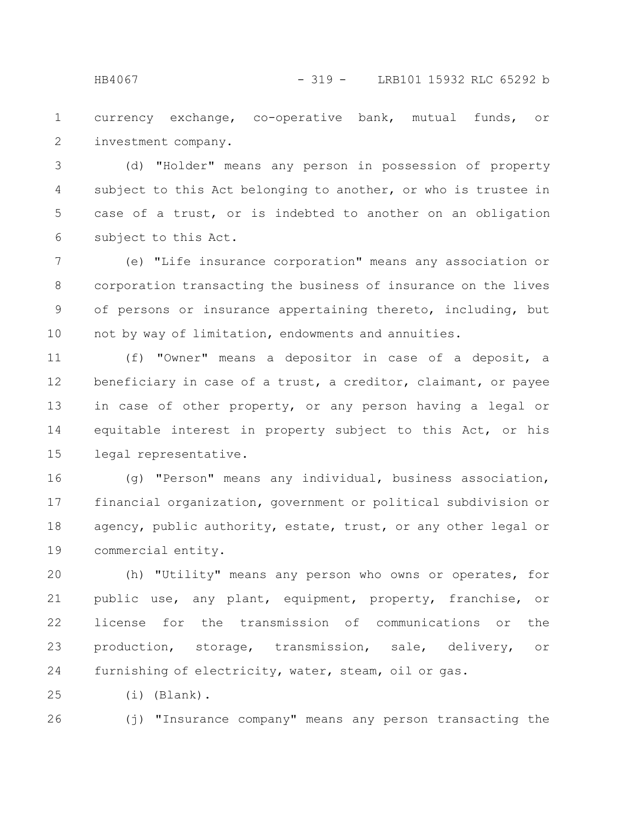currency exchange, co-operative bank, mutual funds, or investment company. 1 2

(d) "Holder" means any person in possession of property subject to this Act belonging to another, or who is trustee in case of a trust, or is indebted to another on an obligation subject to this Act. 3 4 5 6

(e) "Life insurance corporation" means any association or corporation transacting the business of insurance on the lives of persons or insurance appertaining thereto, including, but not by way of limitation, endowments and annuities. 7 8 9 10

(f) "Owner" means a depositor in case of a deposit, a beneficiary in case of a trust, a creditor, claimant, or payee in case of other property, or any person having a legal or equitable interest in property subject to this Act, or his legal representative. 11 12 13 14 15

(g) "Person" means any individual, business association, financial organization, government or political subdivision or agency, public authority, estate, trust, or any other legal or commercial entity. 16 17 18 19

(h) "Utility" means any person who owns or operates, for public use, any plant, equipment, property, franchise, or license for the transmission of communications or the production, storage, transmission, sale, delivery, or furnishing of electricity, water, steam, oil or gas. 20 21 22 23 24

(i) (Blank). 25

(j) "Insurance company" means any person transacting the 26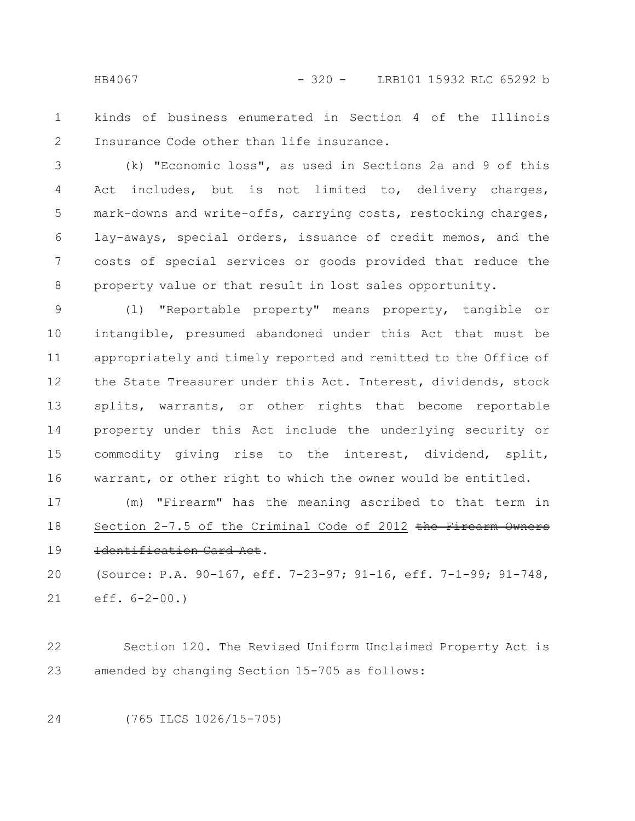HB4067 - 320 - LRB101 15932 RLC 65292 b

kinds of business enumerated in Section 4 of the Illinois Insurance Code other than life insurance. 1 2

(k) "Economic loss", as used in Sections 2a and 9 of this Act includes, but is not limited to, delivery charges, mark-downs and write-offs, carrying costs, restocking charges, lay-aways, special orders, issuance of credit memos, and the costs of special services or goods provided that reduce the property value or that result in lost sales opportunity. 3 4 5 6 7 8

(l) "Reportable property" means property, tangible or intangible, presumed abandoned under this Act that must be appropriately and timely reported and remitted to the Office of the State Treasurer under this Act. Interest, dividends, stock splits, warrants, or other rights that become reportable property under this Act include the underlying security or commodity giving rise to the interest, dividend, split, warrant, or other right to which the owner would be entitled. 9 10 11 12 13 14 15 16

(m) "Firearm" has the meaning ascribed to that term in Section  $2-7.5$  of the Criminal Code of 2012 the Firearm Identification Card Act. 17 18 19

(Source: P.A. 90-167, eff. 7-23-97; 91-16, eff. 7-1-99; 91-748, eff. 6-2-00.) 20 21

Section 120. The Revised Uniform Unclaimed Property Act is amended by changing Section 15-705 as follows: 22 23

24

(765 ILCS 1026/15-705)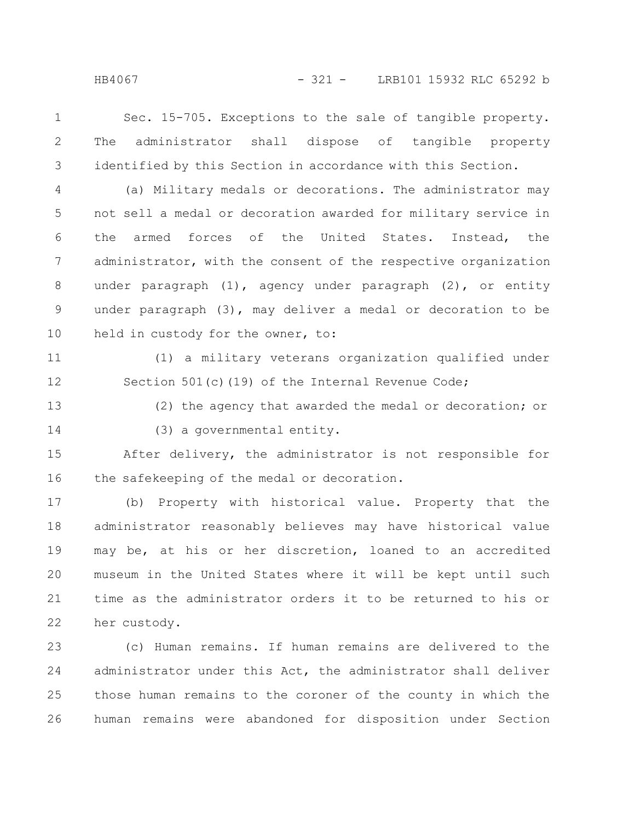Sec. 15-705. Exceptions to the sale of tangible property. The administrator shall dispose of tangible property identified by this Section in accordance with this Section. 1 2 3

(a) Military medals or decorations. The administrator may not sell a medal or decoration awarded for military service in the armed forces of the United States. Instead, the administrator, with the consent of the respective organization under paragraph (1), agency under paragraph (2), or entity under paragraph (3), may deliver a medal or decoration to be held in custody for the owner, to: 4 5 6 7 8 9 10

11

12

(1) a military veterans organization qualified under Section 501(c)(19) of the Internal Revenue Code;

13 14 (2) the agency that awarded the medal or decoration; or (3) a governmental entity.

After delivery, the administrator is not responsible for the safekeeping of the medal or decoration. 15 16

(b) Property with historical value. Property that the administrator reasonably believes may have historical value may be, at his or her discretion, loaned to an accredited museum in the United States where it will be kept until such time as the administrator orders it to be returned to his or her custody. 17 18 19 20 21 22

(c) Human remains. If human remains are delivered to the administrator under this Act, the administrator shall deliver those human remains to the coroner of the county in which the human remains were abandoned for disposition under Section 23 24 25 26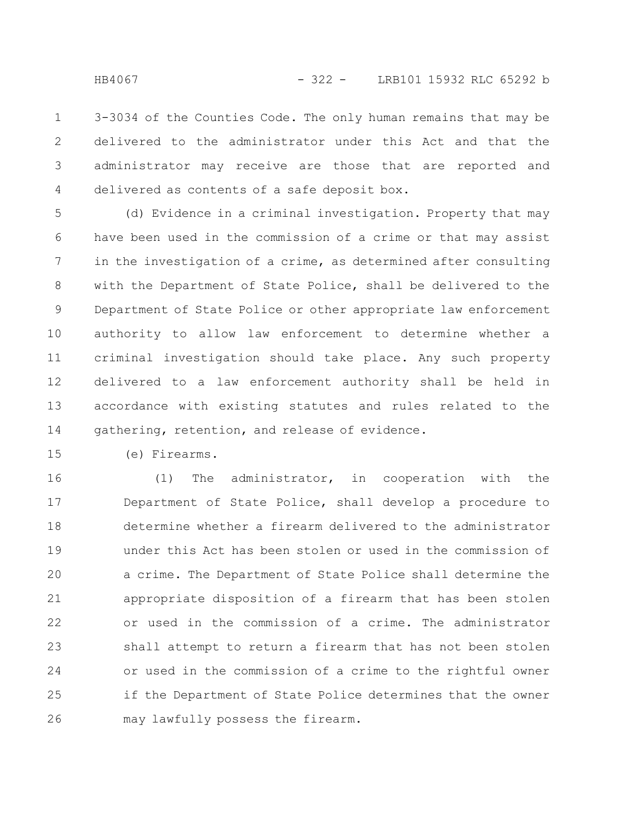3-3034 of the Counties Code. The only human remains that may be delivered to the administrator under this Act and that the administrator may receive are those that are reported and delivered as contents of a safe deposit box. 1 2 3 4

(d) Evidence in a criminal investigation. Property that may have been used in the commission of a crime or that may assist in the investigation of a crime, as determined after consulting with the Department of State Police, shall be delivered to the Department of State Police or other appropriate law enforcement authority to allow law enforcement to determine whether a criminal investigation should take place. Any such property delivered to a law enforcement authority shall be held in accordance with existing statutes and rules related to the gathering, retention, and release of evidence. 5 6 7 8 9 10 11 12 13 14

(e) Firearms. 15

(1) The administrator, in cooperation with the Department of State Police, shall develop a procedure to determine whether a firearm delivered to the administrator under this Act has been stolen or used in the commission of a crime. The Department of State Police shall determine the appropriate disposition of a firearm that has been stolen or used in the commission of a crime. The administrator shall attempt to return a firearm that has not been stolen or used in the commission of a crime to the rightful owner if the Department of State Police determines that the owner may lawfully possess the firearm. 16 17 18 19 20 21 22 23 24 25 26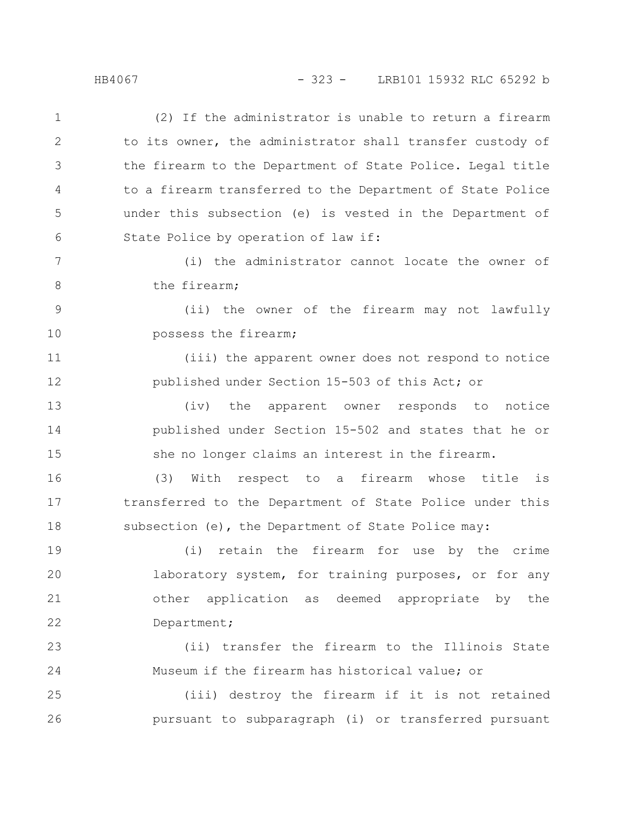## HB4067 - 323 - LRB101 15932 RLC 65292 b

(2) If the administrator is unable to return a firearm to its owner, the administrator shall transfer custody of the firearm to the Department of State Police. Legal title to a firearm transferred to the Department of State Police under this subsection (e) is vested in the Department of State Police by operation of law if: (i) the administrator cannot locate the owner of the firearm; (ii) the owner of the firearm may not lawfully possess the firearm; (iii) the apparent owner does not respond to notice published under Section 15-503 of this Act; or (iv) the apparent owner responds to notice published under Section 15-502 and states that he or she no longer claims an interest in the firearm. (3) With respect to a firearm whose title is transferred to the Department of State Police under this subsection (e), the Department of State Police may: (i) retain the firearm for use by the crime laboratory system, for training purposes, or for any other application as deemed appropriate by the Department; (ii) transfer the firearm to the Illinois State Museum if the firearm has historical value; or (iii) destroy the firearm if it is not retained pursuant to subparagraph (i) or transferred pursuant 1 2 3 4 5 6 7 8 9 10 11 12 13 14 15 16 17 18 19 20 21 22 23 24 25 26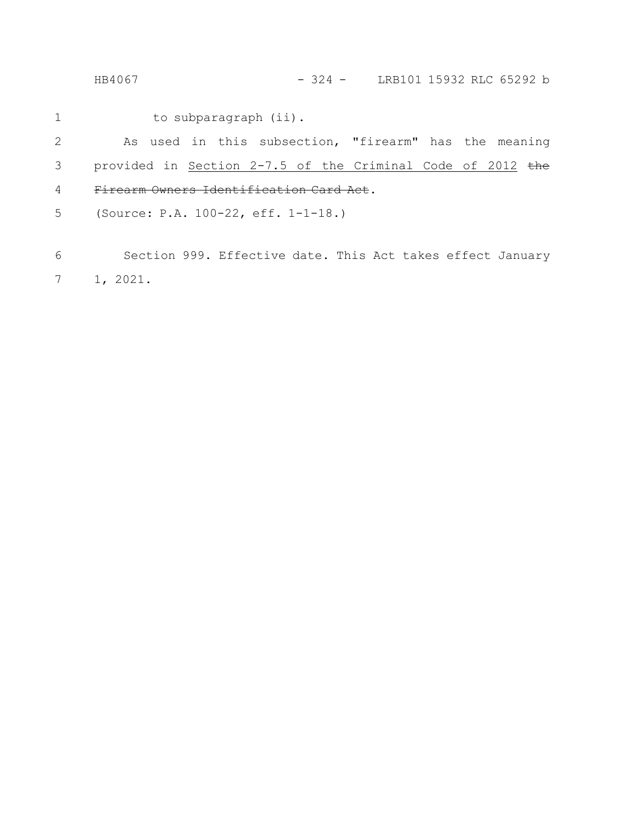HB4067 - 324 - LRB101 15932 RLC 65292 b

to subparagraph (ii). 1

As used in this subsection, "firearm" has the meaning provided in Section 2-7.5 of the Criminal Code of 2012 the Firearm Owners Identification Card Act. 2 3 4

(Source: P.A. 100-22, eff. 1-1-18.) 5

Section 999. Effective date. This Act takes effect January 1, 2021. 6 7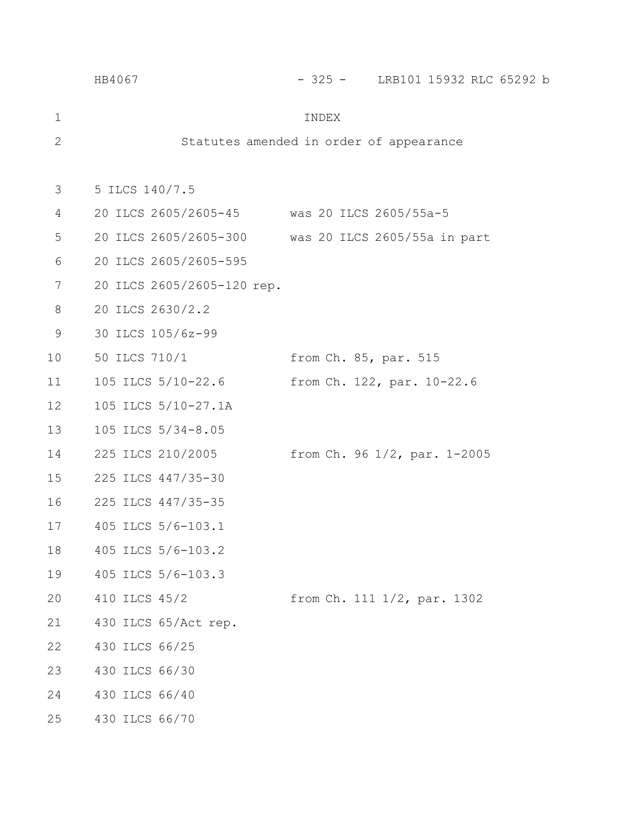|              | HB4067                                             |                       | - 325 - LRB101 15932 RLC 65292 b |  |  |  |  |  |
|--------------|----------------------------------------------------|-----------------------|----------------------------------|--|--|--|--|--|
| 1            |                                                    | INDEX                 |                                  |  |  |  |  |  |
| $\mathbf{2}$ | Statutes amended in order of appearance            |                       |                                  |  |  |  |  |  |
| 3            | 5 ILCS 140/7.5                                     |                       |                                  |  |  |  |  |  |
| 4            | 20 ILCS 2605/2605-45 was 20 ILCS 2605/55a-5        |                       |                                  |  |  |  |  |  |
| 5            | 20 ILCS 2605/2605-300 was 20 ILCS 2605/55a in part |                       |                                  |  |  |  |  |  |
| 6            | 20 ILCS 2605/2605-595                              |                       |                                  |  |  |  |  |  |
| 7            | 20 ILCS 2605/2605-120 rep.                         |                       |                                  |  |  |  |  |  |
| 8            | 20 ILCS 2630/2.2                                   |                       |                                  |  |  |  |  |  |
| 9            | 30 ILCS 105/6z-99                                  |                       |                                  |  |  |  |  |  |
| 10           | 50 ILCS 710/1                                      | from Ch. 85, par. 515 |                                  |  |  |  |  |  |
| 11           | 105 ILCS 5/10-22.6                                 |                       | from Ch. 122, par. 10-22.6       |  |  |  |  |  |
| 12           | 105 ILCS 5/10-27.1A                                |                       |                                  |  |  |  |  |  |
| 13           | 105 ILCS 5/34-8.05                                 |                       |                                  |  |  |  |  |  |
| 14           | 225 ILCS 210/2005                                  |                       | from Ch. 96 1/2, par. 1-2005     |  |  |  |  |  |
| 15           | 225 ILCS 447/35-30                                 |                       |                                  |  |  |  |  |  |
| 16           | 225 ILCS 447/35-35                                 |                       |                                  |  |  |  |  |  |
| 17           | 405 ILCS 5/6-103.1                                 |                       |                                  |  |  |  |  |  |
| 18           | 405 ILCS 5/6-103.2                                 |                       |                                  |  |  |  |  |  |
| 19           | 405 ILCS 5/6-103.3                                 |                       |                                  |  |  |  |  |  |
| 20           | 410 ILCS 45/2                                      |                       | from Ch. 111 1/2, par. 1302      |  |  |  |  |  |
| 21           | 430 ILCS 65/Act rep.                               |                       |                                  |  |  |  |  |  |
| 22           | 430 ILCS 66/25                                     |                       |                                  |  |  |  |  |  |
| 23           | 430 ILCS 66/30                                     |                       |                                  |  |  |  |  |  |
| 24           | 430 ILCS 66/40                                     |                       |                                  |  |  |  |  |  |
| 25           | 430 ILCS 66/70                                     |                       |                                  |  |  |  |  |  |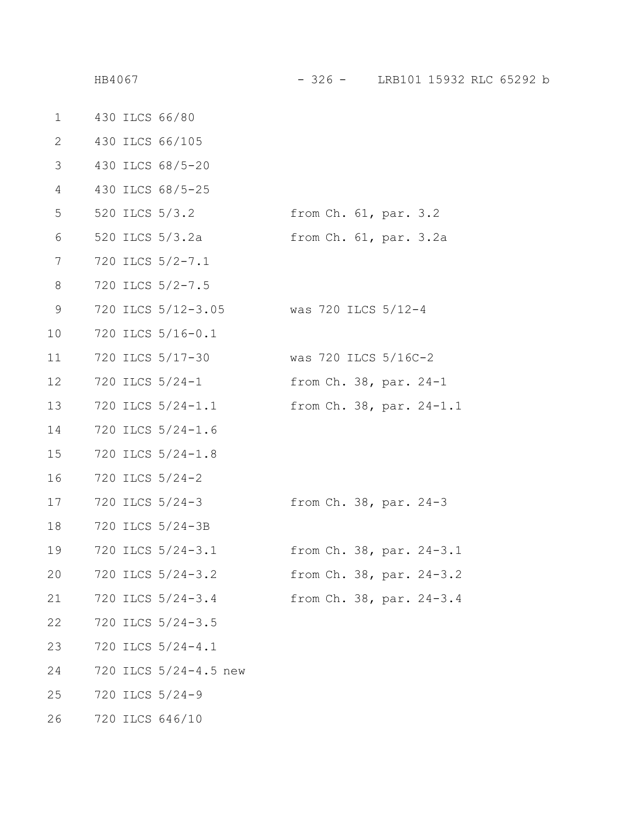| 1           |  | 430 ILCS 66/80        |                             |  |
|-------------|--|-----------------------|-----------------------------|--|
| 2           |  | 430 ILCS 66/105       |                             |  |
| 3           |  | 430 ILCS 68/5-20      |                             |  |
| 4           |  | 430 ILCS 68/5-25      |                             |  |
| 5           |  | 520 ILCS 5/3.2        | from Ch. 61, par. 3.2       |  |
| 6           |  | 520 ILCS 5/3.2a       | from Ch. 61, par. 3.2a      |  |
| 7           |  | 720 ILCS 5/2-7.1      |                             |  |
| 8           |  | 720 ILCS 5/2-7.5      |                             |  |
| $\mathsf 9$ |  | 720 ILCS 5/12-3.05    | was 720 ILCS $5/12-4$       |  |
| 10          |  | 720 ILCS 5/16-0.1     |                             |  |
| 11          |  | 720 ILCS 5/17-30      | was 720 ILCS $5/16C-2$      |  |
| 12          |  | 720 ILCS 5/24-1       | from $Ch. 38$ , par. $24-1$ |  |
| 13          |  | 720 ILCS 5/24-1.1     | from Ch. 38, par. 24-1.1    |  |
| 14          |  | 720 ILCS 5/24-1.6     |                             |  |
| 15          |  | 720 ILCS 5/24-1.8     |                             |  |
| 16          |  | 720 ILCS 5/24-2       |                             |  |
| 17          |  | 720 ILCS 5/24-3       | from $Ch. 38$ , par. $24-3$ |  |
| 18          |  | 720 ILCS 5/24-3B      |                             |  |
| 19          |  | 720 ILCS 5/24-3.1     | from Ch. 38, par. 24-3.1    |  |
| 20          |  | 720 ILCS 5/24-3.2     | from Ch. 38, par. 24-3.2    |  |
| 21          |  | 720 ILCS 5/24-3.4     | from Ch. 38, par. 24-3.4    |  |
| 22          |  | 720 ILCS 5/24-3.5     |                             |  |
| 23          |  | 720 ILCS 5/24-4.1     |                             |  |
| 24          |  | 720 ILCS 5/24-4.5 new |                             |  |
| 25          |  | 720 ILCS 5/24-9       |                             |  |
| 26          |  | 720 ILCS 646/10       |                             |  |